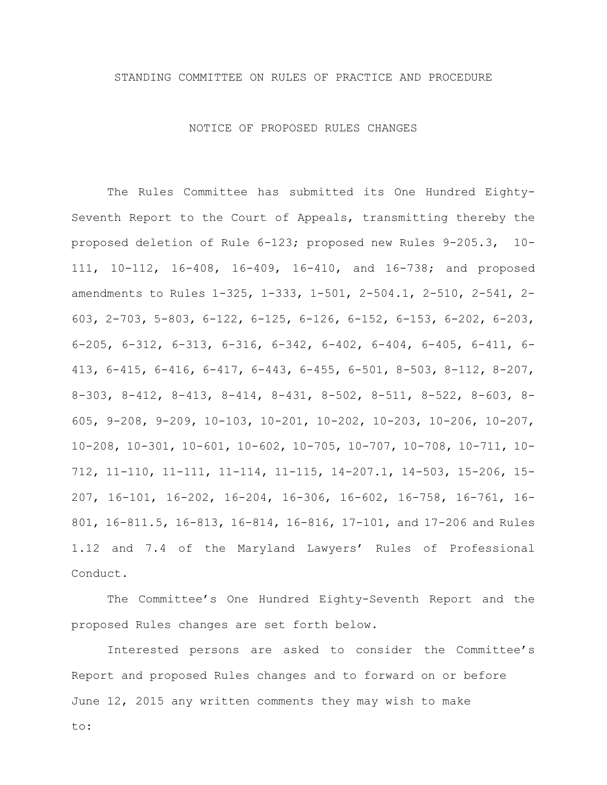### STANDING COMMITTEE ON RULES OF PRACTICE AND PROCEDURE

#### NOTICE OF PROPOSED RULES CHANGES

The Rules Committee has submitted its One Hundred Eighty-Seventh Report to the Court of Appeals, transmitting thereby the proposed deletion of Rule 6-123; proposed new Rules 9-205.3, 10- 111, 10-112, 16-408, 16-409, 16-410, and 16-738; and proposed amendments to Rules 1-325, 1-333, 1-501, 2-504.1, 2-510, 2-541, 2- 603, 2-703, 5-803, 6-122, 6-125, 6-126, 6-152, 6-153, 6-202, 6-203, 6-205, 6-312, 6-313, 6-316, 6-342, 6-402, 6-404, 6-405, 6-411, 6- 413, 6-415, 6-416, 6-417, 6-443, 6-455, 6-501, 8-503, 8-112, 8-207, 8-303, 8-412, 8-413, 8-414, 8-431, 8-502, 8-511, 8-522, 8-603, 8- 605, 9-208, 9-209, 10-103, 10-201, 10-202, 10-203, 10-206, 10-207, 10-208, 10-301, 10-601, 10-602, 10-705, 10-707, 10-708, 10-711, 10- 712, 11-110, 11-111, 11-114, 11-115, 14-207.1, 14-503, 15-206, 15- 207, 16-101, 16-202, 16-204, 16-306, 16-602, 16-758, 16-761, 16- 801, 16-811.5, 16-813, 16-814, 16-816, 17-101, and 17-206 and Rules 1.12 and 7.4 of the Maryland Lawyers' Rules of Professional Conduct.

The Committee's One Hundred Eighty-Seventh Report and the proposed Rules changes are set forth below.

Interested persons are asked to consider the Committee's Report and proposed Rules changes and to forward on or before June 12, 2015 any written comments they may wish to make

to: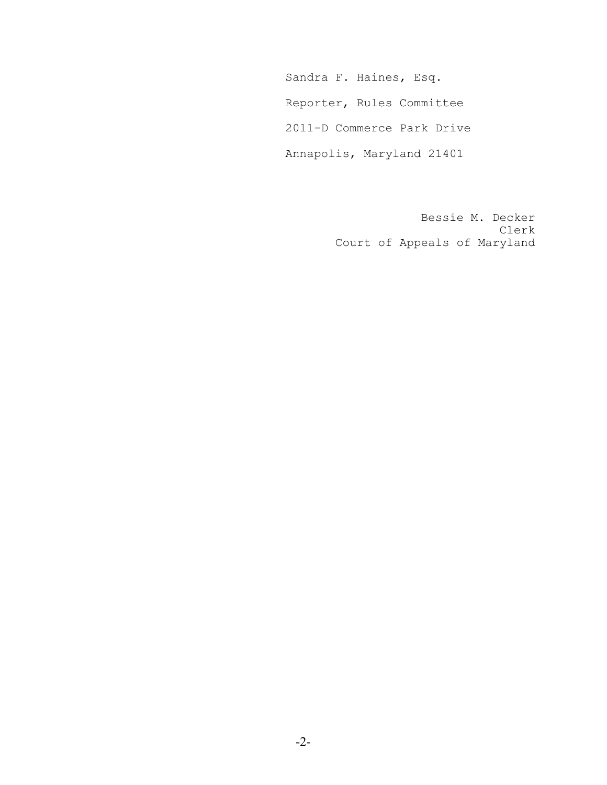Sandra F. Haines, Esq. Reporter, Rules Committee 2011-D Commerce Park Drive Annapolis, Maryland 21401

> Bessie M. Decker Clerk Court of Appeals of Maryland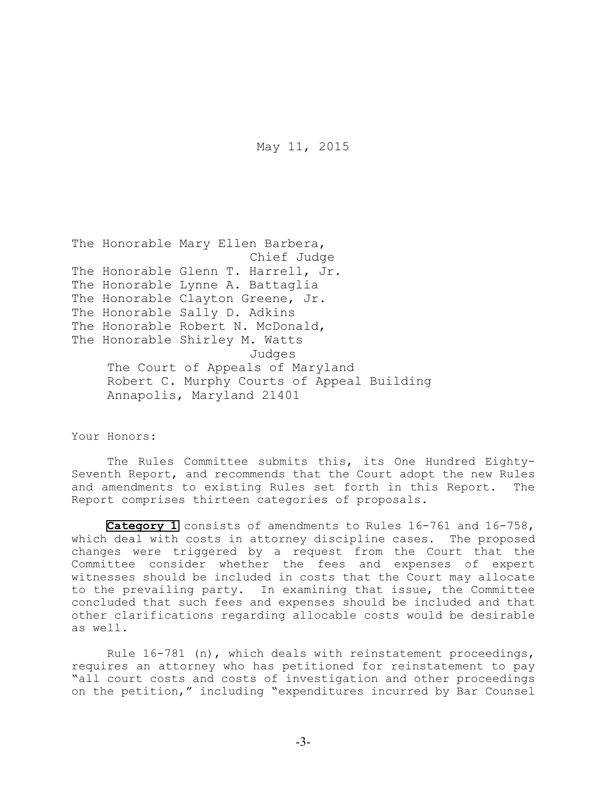May 11, 2015

```
The Honorable Mary Ellen Barbera,
                       Chief Judge
The Honorable Glenn T. Harrell, Jr.
The Honorable Lynne A. Battaglia
The Honorable Clayton Greene, Jr.
The Honorable Sally D. Adkins
The Honorable Robert N. McDonald,
The Honorable Shirley M. Watts
                       Judges
    The Court of Appeals of Maryland
    Robert C. Murphy Courts of Appeal Building
    Annapolis, Maryland 21401
```
Your Honors:

The Rules Committee submits this, its One Hundred Eighty-Seventh Report, and recommends that the Court adopt the new Rules and amendments to existing Rules set forth in this Report. The Report comprises thirteen categories of proposals.

[Category 1](#page-18-0) consists of amendments to Rules 16-761 and 16-758, which deal with costs in attorney discipline cases. The proposed changes were triggered by a request from the Court that the Committee consider whether the fees and expenses of expert witnesses should be included in costs that the Court may allocate to the prevailing party. In examining that issue, the Committee concluded that such fees and expenses should be included and that other clarifications regarding allocable costs would be desirable as well.

Rule 16-781 (n), which deals with reinstatement proceedings, requires an attorney who has petitioned for reinstatement to pay "all court costs and costs of investigation and other proceedings on the petition," including "expenditures incurred by Bar Counsel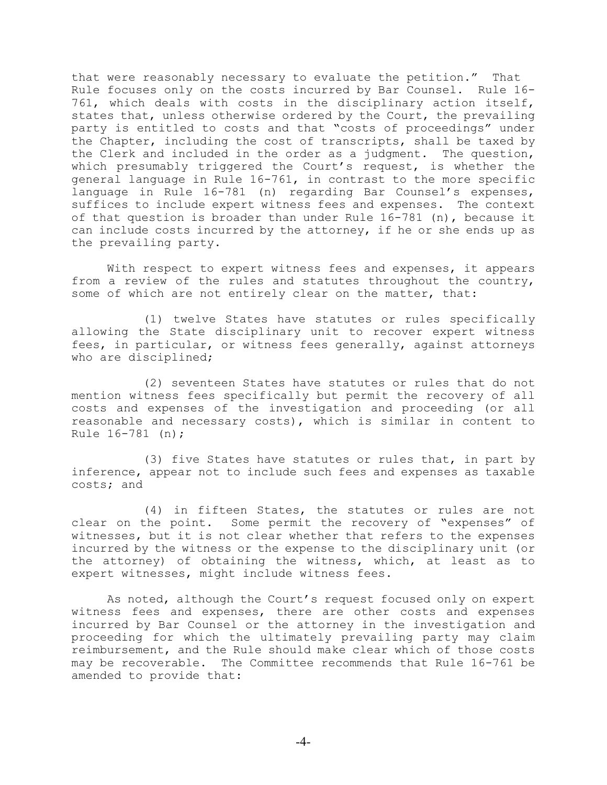that were reasonably necessary to evaluate the petition." That Rule focuses only on the costs incurred by Bar Counsel. Rule 16- 761, which deals with costs in the disciplinary action itself, states that, unless otherwise ordered by the Court, the prevailing party is entitled to costs and that "costs of proceedings" under the Chapter, including the cost of transcripts, shall be taxed by the Clerk and included in the order as a judgment. The question, which presumably triggered the Court's request, is whether the general language in Rule 16-761, in contrast to the more specific language in Rule 16-781 (n) regarding Bar Counsel's expenses, suffices to include expert witness fees and expenses. The context of that question is broader than under Rule 16-781 (n), because it can include costs incurred by the attorney, if he or she ends up as the prevailing party.

With respect to expert witness fees and expenses, it appears from a review of the rules and statutes throughout the country, some of which are not entirely clear on the matter, that:

(1) twelve States have statutes or rules specifically allowing the State disciplinary unit to recover expert witness fees, in particular, or witness fees generally, against attorneys who are disciplined;

(2) seventeen States have statutes or rules that do not mention witness fees specifically but permit the recovery of all costs and expenses of the investigation and proceeding (or all reasonable and necessary costs), which is similar in content to Rule 16-781 (n);

(3) five States have statutes or rules that, in part by inference, appear not to include such fees and expenses as taxable costs; and

(4) in fifteen States, the statutes or rules are not clear on the point. Some permit the recovery of "expenses" of witnesses, but it is not clear whether that refers to the expenses incurred by the witness or the expense to the disciplinary unit (or the attorney) of obtaining the witness, which, at least as to expert witnesses, might include witness fees.

As noted, although the Court's request focused only on expert witness fees and expenses, there are other costs and expenses incurred by Bar Counsel or the attorney in the investigation and proceeding for which the ultimately prevailing party may claim reimbursement, and the Rule should make clear which of those costs may be recoverable. The Committee recommends that Rule 16-761 be amended to provide that:

-4-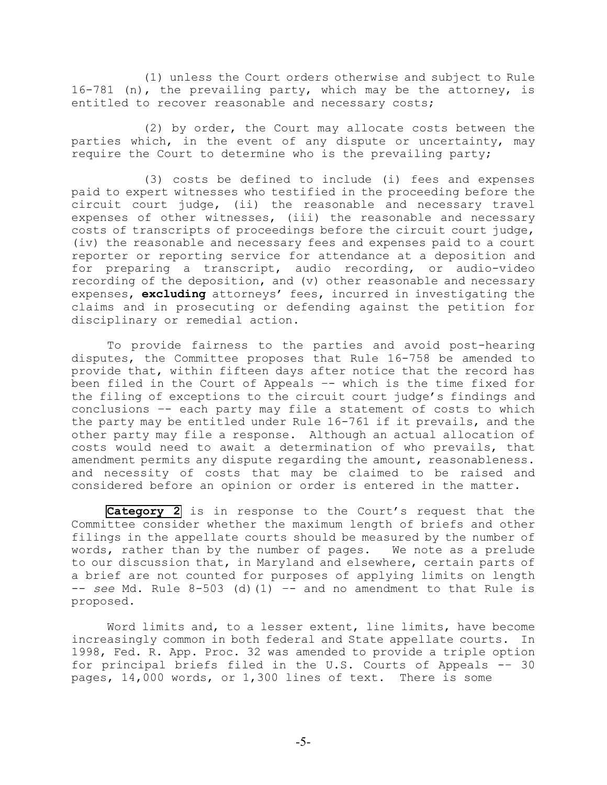(1) unless the Court orders otherwise and subject to Rule 16-781 (n), the prevailing party, which may be the attorney, is entitled to recover reasonable and necessary costs;

(2) by order, the Court may allocate costs between the parties which, in the event of any dispute or uncertainty, may require the Court to determine who is the prevailing party;

(3) costs be defined to include (i) fees and expenses paid to expert witnesses who testified in the proceeding before the circuit court judge, (ii) the reasonable and necessary travel expenses of other witnesses, (iii) the reasonable and necessary costs of transcripts of proceedings before the circuit court judge, (iv) the reasonable and necessary fees and expenses paid to a court reporter or reporting service for attendance at a deposition and for preparing a transcript, audio recording, or audio-video recording of the deposition, and (v) other reasonable and necessary expenses, **excluding** attorneys' fees, incurred in investigating the claims and in prosecuting or defending against the petition for disciplinary or remedial action.

To provide fairness to the parties and avoid post-hearing disputes, the Committee proposes that Rule 16-758 be amended to provide that, within fifteen days after notice that the record has been filed in the Court of Appeals –- which is the time fixed for the filing of exceptions to the circuit court judge's findings and conclusions –- each party may file a statement of costs to which the party may be entitled under Rule 16-761 if it prevails, and the other party may file a response. Although an actual allocation of costs would need to await a determination of who prevails, that amendment permits any dispute regarding the amount, reasonableness. and necessity of costs that may be claimed to be raised and considered before an opinion or order is entered in the matter.

**[Category 2](#page-22-0)** is in response to the Court's request that the Committee consider whether the maximum length of briefs and other filings in the appellate courts should be measured by the number of words, rather than by the number of pages. We note as a prelude to our discussion that, in Maryland and elsewhere, certain parts of a brief are not counted for purposes of applying limits on length -- *see* Md. Rule 8-503 (d)(1) –- and no amendment to that Rule is proposed.

Word limits and, to a lesser extent, line limits, have become increasingly common in both federal and State appellate courts. In 1998, Fed. R. App. Proc. 32 was amended to provide a triple option for principal briefs filed in the U.S. Courts of Appeals -– 30 pages, 14,000 words, or 1,300 lines of text. There is some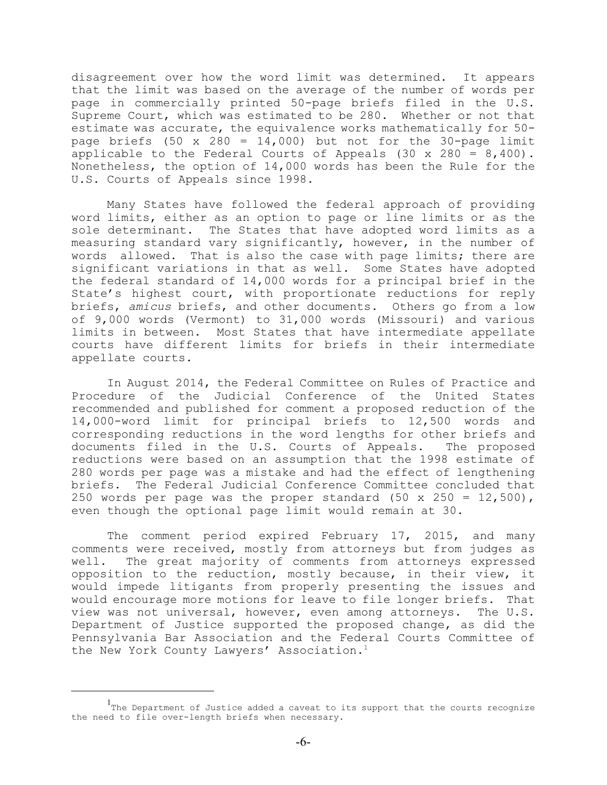disagreement over how the word limit was determined. It appears that the limit was based on the average of the number of words per page in commercially printed 50-page briefs filed in the U.S. Supreme Court, which was estimated to be 280. Whether or not that estimate was accurate, the equivalence works mathematically for 50 page briefs (50 x 280 = 14,000) but not for the 30-page limit applicable to the Federal Courts of Appeals  $(30 \times 280 = 8,400)$ . Nonetheless, the option of 14,000 words has been the Rule for the U.S. Courts of Appeals since 1998.

Many States have followed the federal approach of providing word limits, either as an option to page or line limits or as the sole determinant. The States that have adopted word limits as a measuring standard vary significantly, however, in the number of words allowed. That is also the case with page limits; there are significant variations in that as well. Some States have adopted the federal standard of 14,000 words for a principal brief in the State's highest court, with proportionate reductions for reply briefs, *amicus* briefs, and other documents. Others go from a low of 9,000 words (Vermont) to 31,000 words (Missouri) and various limits in between. Most States that have intermediate appellate courts have different limits for briefs in their intermediate appellate courts.

In August 2014, the Federal Committee on Rules of Practice and Procedure of the Judicial Conference of the United States recommended and published for comment a proposed reduction of the 14,000-word limit for principal briefs to 12,500 words and corresponding reductions in the word lengths for other briefs and documents filed in the U.S. Courts of Appeals. The proposed reductions were based on an assumption that the 1998 estimate of 280 words per page was a mistake and had the effect of lengthening briefs. The Federal Judicial Conference Committee concluded that 250 words per page was the proper standard  $(50 \times 250 = 12,500)$ , even though the optional page limit would remain at 30.

The comment period expired February 17, 2015, and many comments were received, mostly from attorneys but from judges as well. The great majority of comments from attorneys expressed opposition to the reduction, mostly because, in their view, it would impede litigants from properly presenting the issues and would encourage more motions for leave to file longer briefs. That view was not universal, however, even among attorneys. The U.S. Department of Justice supported the proposed change, as did the Pennsylvania Bar Association and the Federal Courts Committee of the New York County Lawyers' Association.<sup>1</sup>

 $1$ The Department of Justice added a caveat to its support that the courts recognize the need to file over-length briefs when necessary.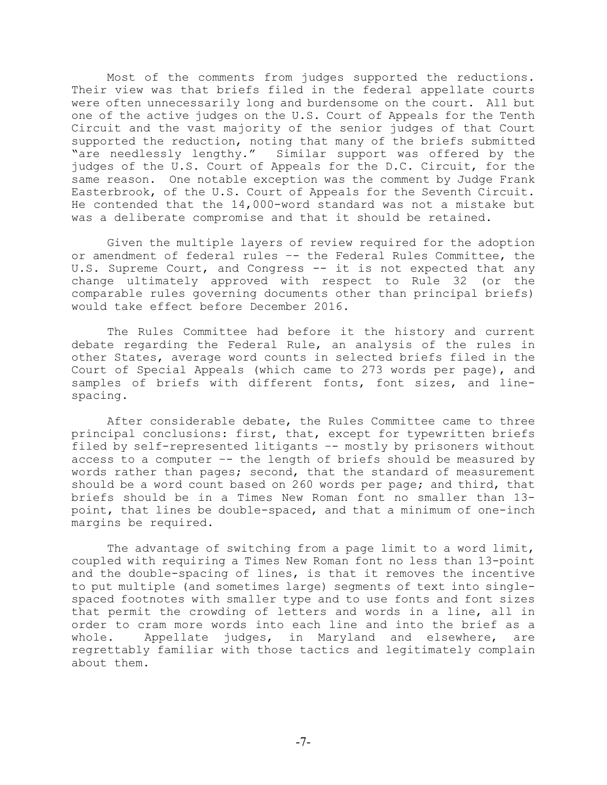Most of the comments from judges supported the reductions. Their view was that briefs filed in the federal appellate courts were often unnecessarily long and burdensome on the court. All but one of the active judges on the U.S. Court of Appeals for the Tenth Circuit and the vast majority of the senior judges of that Court supported the reduction, noting that many of the briefs submitted "are needlessly lengthy." Similar support was offered by the judges of the U.S. Court of Appeals for the D.C. Circuit, for the same reason. One notable exception was the comment by Judge Frank Easterbrook, of the U.S. Court of Appeals for the Seventh Circuit. He contended that the 14,000-word standard was not a mistake but was a deliberate compromise and that it should be retained.

Given the multiple layers of review required for the adoption or amendment of federal rules –- the Federal Rules Committee, the U.S. Supreme Court, and Congress -- it is not expected that any change ultimately approved with respect to Rule 32 (or the comparable rules governing documents other than principal briefs) would take effect before December 2016.

The Rules Committee had before it the history and current debate regarding the Federal Rule, an analysis of the rules in other States, average word counts in selected briefs filed in the Court of Special Appeals (which came to 273 words per page), and samples of briefs with different fonts, font sizes, and linespacing.

After considerable debate, the Rules Committee came to three principal conclusions: first, that, except for typewritten briefs filed by self-represented litigants –- mostly by prisoners without access to a computer –- the length of briefs should be measured by words rather than pages; second, that the standard of measurement should be a word count based on 260 words per page; and third, that briefs should be in a Times New Roman font no smaller than 13 point, that lines be double-spaced, and that a minimum of one-inch margins be required.

The advantage of switching from a page limit to a word limit, coupled with requiring a Times New Roman font no less than 13-point and the double-spacing of lines, is that it removes the incentive to put multiple (and sometimes large) segments of text into singlespaced footnotes with smaller type and to use fonts and font sizes that permit the crowding of letters and words in a line, all in order to cram more words into each line and into the brief as a whole. Appellate judges, in Maryland and elsewhere, are regrettably familiar with those tactics and legitimately complain about them.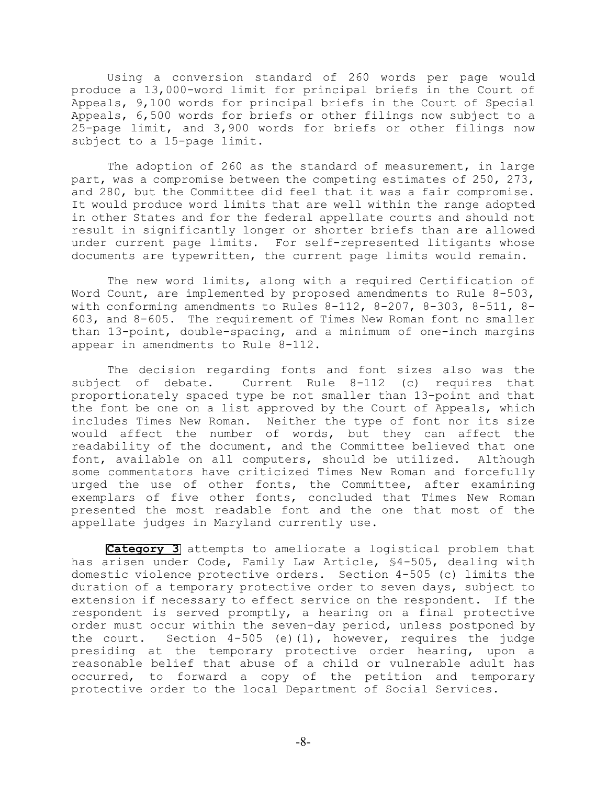Using a conversion standard of 260 words per page would produce a 13,000-word limit for principal briefs in the Court of Appeals, 9,100 words for principal briefs in the Court of Special Appeals, 6,500 words for briefs or other filings now subject to a 25-page limit, and 3,900 words for briefs or other filings now subject to a 15-page limit.

The adoption of 260 as the standard of measurement, in large part, was a compromise between the competing estimates of 250, 273, and 280, but the Committee did feel that it was a fair compromise. It would produce word limits that are well within the range adopted in other States and for the federal appellate courts and should not result in significantly longer or shorter briefs than are allowed under current page limits. For self-represented litigants whose documents are typewritten, the current page limits would remain.

The new word limits, along with a required Certification of Word Count, are implemented by proposed amendments to Rule 8-503, with conforming amendments to Rules  $8-112$ ,  $8-207$ ,  $8-303$ ,  $8-511$ ,  $8-$ 603, and 8-605. The requirement of Times New Roman font no smaller than 13-point, double-spacing, and a minimum of one-inch margins appear in amendments to Rule 8-112.

The decision regarding fonts and font sizes also was the subject of debate. Current Rule 8-112 (c) requires that proportionately spaced type be not smaller than 13-point and that the font be one on a list approved by the Court of Appeals, which includes Times New Roman. Neither the type of font nor its size would affect the number of words, but they can affect the readability of the document, and the Committee believed that one font, available on all computers, should be utilized. Although some commentators have criticized Times New Roman and forcefully urged the use of other fonts, the Committee, after examining exemplars of five other fonts, concluded that Times New Roman presented the most readable font and the one that most of the appellate judges in Maryland currently use.

**[Category 3](#page-36-0)** attempts to ameliorate a logistical problem that has arisen under Code, Family Law Article, §4-505, dealing with domestic violence protective orders. Section 4-505 (c) limits the duration of a temporary protective order to seven days, subject to extension if necessary to effect service on the respondent. If the respondent is served promptly, a hearing on a final protective order must occur within the seven-day period, unless postponed by the court. Section 4-505 (e)(1), however, requires the judge presiding at the temporary protective order hearing, upon a reasonable belief that abuse of a child or vulnerable adult has occurred, to forward a copy of the petition and temporary protective order to the local Department of Social Services.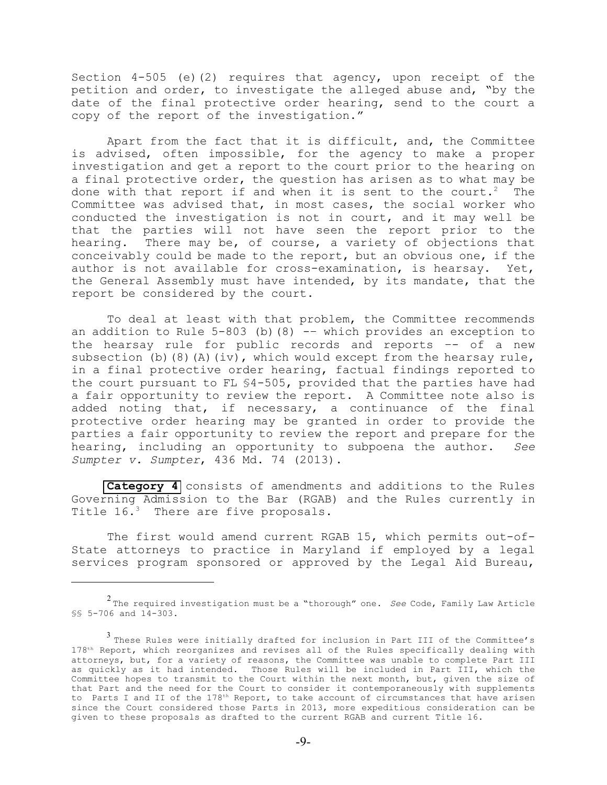Section 4-505 (e)(2) requires that agency, upon receipt of the petition and order, to investigate the alleged abuse and, "by the date of the final protective order hearing, send to the court a copy of the report of the investigation."

Apart from the fact that it is difficult, and, the Committee is advised, often impossible, for the agency to make a proper investigation and get a report to the court prior to the hearing on a final protective order, the question has arisen as to what may be done with that report if and when it is sent to the court.<sup>2</sup> The Committee was advised that, in most cases, the social worker who conducted the investigation is not in court, and it may well be that the parties will not have seen the report prior to the hearing. There may be, of course, a variety of objections that conceivably could be made to the report, but an obvious one, if the author is not available for cross-examination, is hearsay. Yet, the General Assembly must have intended, by its mandate, that the report be considered by the court.

To deal at least with that problem, the Committee recommends an addition to Rule  $5-803$  (b)(8) -- which provides an exception to the hearsay rule for public records and reports –- of a new subsection (b)(8)(A)(iv), which would except from the hearsay rule, in a final protective order hearing, factual findings reported to the court pursuant to FL §4-505, provided that the parties have had a fair opportunity to review the report. A Committee note also is added noting that, if necessary, a continuance of the final protective order hearing may be granted in order to provide the parties a fair opportunity to review the report and prepare for the hearing, including an opportunity to subpoena the author. *See Sumpter v. Sumpter*, 436 Md. 74 (2013).

**[Category 4](#page-46-0)** consists of amendments and additions to the Rules Governing Admission to the Bar (RGAB) and the Rules currently in Title  $16.^3$  There are five proposals.

The first would amend current RGAB 15, which permits out-of-State attorneys to practice in Maryland if employed by a legal services program sponsored or approved by the Legal Aid Bureau,

<sup>&</sup>lt;sup>2</sup> The required investigation must be a "thorough" one. *See* Code, Family Law Article §§ 5-706 and 14-303.

 $3$  These Rules were initially drafted for inclusion in Part III of the Committee's  $178<sup>th</sup>$  Report, which reorganizes and revises all of the Rules specifically dealing with attorneys, but, for a variety of reasons, the Committee was unable to complete Part III as quickly as it had intended. Those Rules will be included in Part III, which the Committee hopes to transmit to the Court within the next month, but, given the size of that Part and the need for the Court to consider it contemporaneously with supplements to Parts I and II of the 178<sup>th</sup> Report, to take account of circumstances that have arisen since the Court considered those Parts in 2013, more expeditious consideration can be given to these proposals as drafted to the current RGAB and current Title 16.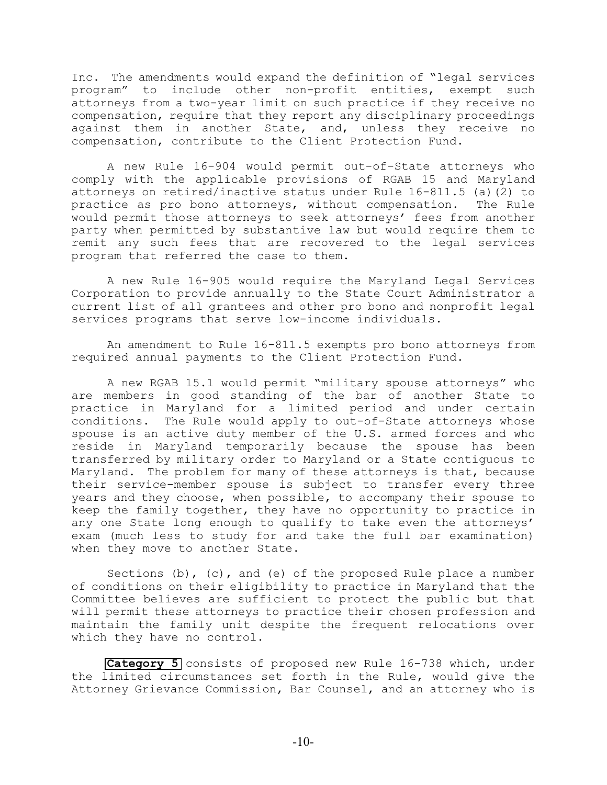Inc. The amendments would expand the definition of "legal services program" to include other non-profit entities, exempt such attorneys from a two-year limit on such practice if they receive no compensation, require that they report any disciplinary proceedings against them in another State, and, unless they receive no compensation, contribute to the Client Protection Fund.

A new Rule 16-904 would permit out-of-State attorneys who comply with the applicable provisions of RGAB 15 and Maryland attorneys on retired/inactive status under Rule 16-811.5 (a)(2) to practice as pro bono attorneys, without compensation. The Rule would permit those attorneys to seek attorneys' fees from another party when permitted by substantive law but would require them to remit any such fees that are recovered to the legal services program that referred the case to them.

A new Rule 16-905 would require the Maryland Legal Services Corporation to provide annually to the State Court Administrator a current list of all grantees and other pro bono and nonprofit legal services programs that serve low-income individuals.

An amendment to Rule 16-811.5 exempts pro bono attorneys from required annual payments to the Client Protection Fund.

A new RGAB 15.1 would permit "military spouse attorneys" who are members in good standing of the bar of another State to practice in Maryland for a limited period and under certain conditions. The Rule would apply to out-of-State attorneys whose spouse is an active duty member of the U.S. armed forces and who reside in Maryland temporarily because the spouse has been transferred by military order to Maryland or a State contiguous to Maryland. The problem for many of these attorneys is that, because their service-member spouse is subject to transfer every three years and they choose, when possible, to accompany their spouse to keep the family together, they have no opportunity to practice in any one State long enough to qualify to take even the attorneys' exam (much less to study for and take the full bar examination) when they move to another State.

Sections  $(b)$ ,  $(c)$ , and  $(e)$  of the proposed Rule place a number of conditions on their eligibility to practice in Maryland that the Committee believes are sufficient to protect the public but that will permit these attorneys to practice their chosen profession and maintain the family unit despite the frequent relocations over which they have no control.

**[Category 5](#page-65-0)** consists of proposed new Rule 16-738 which, under the limited circumstances set forth in the Rule, would give the Attorney Grievance Commission, Bar Counsel, and an attorney who is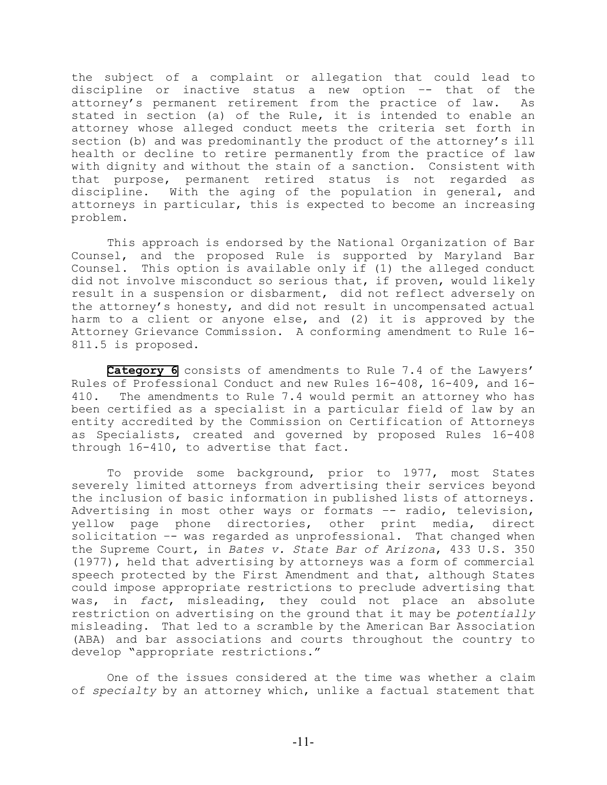the subject of a complaint or allegation that could lead to discipline or inactive status a new option –- that of the attorney's permanent retirement from the practice of law. As stated in section (a) of the Rule, it is intended to enable an attorney whose alleged conduct meets the criteria set forth in section (b) and was predominantly the product of the attorney's ill health or decline to retire permanently from the practice of law with dignity and without the stain of a sanction. Consistent with that purpose, permanent retired status is not regarded as discipline. With the aging of the population in general, and attorneys in particular, this is expected to become an increasing problem.

This approach is endorsed by the National Organization of Bar Counsel, and the proposed Rule is supported by Maryland Bar Counsel. This option is available only if (1) the alleged conduct did not involve misconduct so serious that, if proven, would likely result in a suspension or disbarment, did not reflect adversely on the attorney's honesty, and did not result in uncompensated actual harm to a client or anyone else, and (2) it is approved by the Attorney Grievance Commission. A conforming amendment to Rule 16- 811.5 is proposed.

**[Category 6](#page-70-0)** consists of amendments to Rule 7.4 of the Lawyers' Rules of Professional Conduct and new Rules 16-408, 16-409, and 16- 410. The amendments to Rule 7.4 would permit an attorney who has been certified as a specialist in a particular field of law by an entity accredited by the Commission on Certification of Attorneys as Specialists, created and governed by proposed Rules 16-408 through 16-410, to advertise that fact.

To provide some background, prior to 1977, most States severely limited attorneys from advertising their services beyond the inclusion of basic information in published lists of attorneys. Advertising in most other ways or formats –- radio, television, yellow page phone directories, other print media, direct solicitation -- was regarded as unprofessional. That changed when the Supreme Court, in *Bates v. State Bar of Arizona*, 433 U.S. 350 (1977), held that advertising by attorneys was a form of commercial speech protected by the First Amendment and that, although States could impose appropriate restrictions to preclude advertising that was, in *fact*, misleading, they could not place an absolute restriction on advertising on the ground that it may be *potentially* misleading. That led to a scramble by the American Bar Association (ABA) and bar associations and courts throughout the country to develop "appropriate restrictions."

One of the issues considered at the time was whether a claim of *specialty* by an attorney which, unlike a factual statement that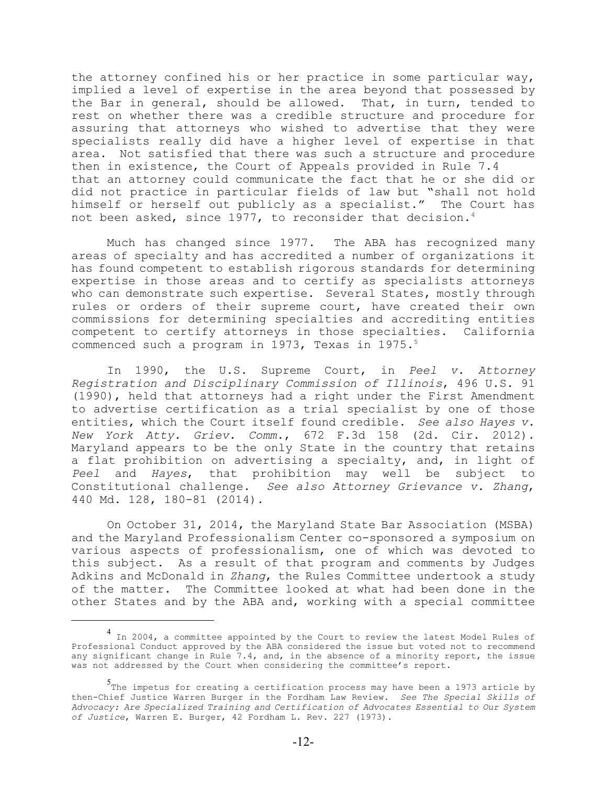the attorney confined his or her practice in some particular way, implied a level of expertise in the area beyond that possessed by the Bar in general, should be allowed. That, in turn, tended to rest on whether there was a credible structure and procedure for assuring that attorneys who wished to advertise that they were specialists really did have a higher level of expertise in that area. Not satisfied that there was such a structure and procedure then in existence, the Court of Appeals provided in Rule 7.4 that an attorney could communicate the fact that he or she did or did not practice in particular fields of law but "shall not hold himself or herself out publicly as a specialist." The Court has not been asked, since 1977, to reconsider that decision.<sup>4</sup>

Much has changed since 1977. The ABA has recognized many areas of specialty and has accredited a number of organizations it has found competent to establish rigorous standards for determining expertise in those areas and to certify as specialists attorneys who can demonstrate such expertise. Several States, mostly through rules or orders of their supreme court, have created their own commissions for determining specialties and accrediting entities competent to certify attorneys in those specialties. California commenced such a program in 1973, Texas in 1975.<sup>5</sup>

In 1990, the U.S. Supreme Court, in *Peel v. Attorney Registration and Disciplinary Commission of Illinois*, 496 U.S. 91 (1990), held that attorneys had a right under the First Amendment to advertise certification as a trial specialist by one of those entities, which the Court itself found credible. *See also Hayes v. New York Atty. Griev. Comm.*, 672 F.3d 158 (2d. Cir. 2012). Maryland appears to be the only State in the country that retains a flat prohibition on advertising a specialty, and, in light of *Peel* and *Hayes*, that prohibition may well be subject to Constitutional challenge. *See also Attorney Grievance v. Zhang*, 440 Md. 128, 180-81 (2014).

On October 31, 2014, the Maryland State Bar Association (MSBA) and the Maryland Professionalism Center co-sponsored a symposium on various aspects of professionalism, one of which was devoted to this subject. As a result of that program and comments by Judges Adkins and McDonald in *Zhang*, the Rules Committee undertook a study of the matter. The Committee looked at what had been done in the other States and by the ABA and, working with a special committee

In 2004, a committee appointed by the Court to review the latest Model Rules of Professional Conduct approved by the ABA considered the issue but voted not to recommend any significant change in Rule  $7.4$ , and, in the absence of a minority report, the issue was not addressed by the Court when considering the committee's report.

<sup>&</sup>lt;sup>5</sup>The impetus for creating a certification process may have been a 1973 article by then-Chief Justice Warren Burger in the Fordham Law Review. *See The Special Skills of Advocacy: Are Specialized Training and Certification of Advocates Essential to Our System of Justice*, Warren E. Burger, 42 Fordham L. Rev. 227 (1973).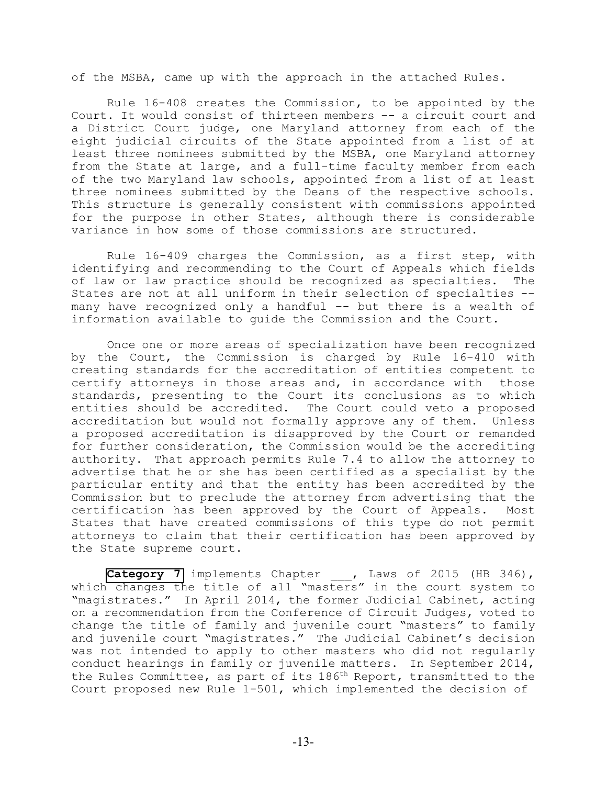of the MSBA, came up with the approach in the attached Rules.

Rule 16-408 creates the Commission, to be appointed by the Court. It would consist of thirteen members –- a circuit court and a District Court judge, one Maryland attorney from each of the eight judicial circuits of the State appointed from a list of at least three nominees submitted by the MSBA, one Maryland attorney from the State at large, and a full-time faculty member from each of the two Maryland law schools, appointed from a list of at least three nominees submitted by the Deans of the respective schools. This structure is generally consistent with commissions appointed for the purpose in other States, although there is considerable variance in how some of those commissions are structured.

Rule 16-409 charges the Commission, as a first step, with identifying and recommending to the Court of Appeals which fields of law or law practice should be recognized as specialties. The States are not at all uniform in their selection of specialties -– many have recognized only a handful -- but there is a wealth of information available to guide the Commission and the Court.

Once one or more areas of specialization have been recognized by the Court, the Commission is charged by Rule 16-410 with creating standards for the accreditation of entities competent to certify attorneys in those areas and, in accordance with those standards, presenting to the Court its conclusions as to which entities should be accredited. The Court could veto a proposed accreditation but would not formally approve any of them. Unless a proposed accreditation is disapproved by the Court or remanded for further consideration, the Commission would be the accrediting authority. That approach permits Rule 7.4 to allow the attorney to advertise that he or she has been certified as a specialist by the particular entity and that the entity has been accredited by the Commission but to preclude the attorney from advertising that the certification has been approved by the Court of Appeals. Most States that have created commissions of this type do not permit attorneys to claim that their certification has been approved by the State supreme court.

[Category 7](#page-83-0) implements Chapter , Laws of 2015 (HB 346), which changes the title of all "masters" in the court system to "magistrates." In April 2014, the former Judicial Cabinet, acting on a recommendation from the Conference of Circuit Judges, voted to change the title of family and juvenile court "masters" to family and juvenile court "magistrates." The Judicial Cabinet's decision was not intended to apply to other masters who did not regularly conduct hearings in family or juvenile matters. In September 2014, the Rules Committee, as part of its 186<sup>th</sup> Report, transmitted to the Court proposed new Rule 1-501, which implemented the decision of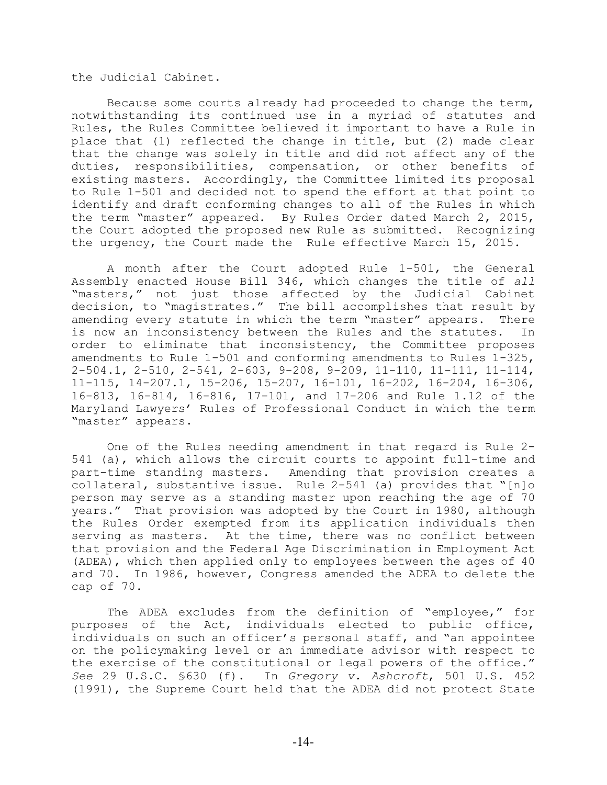the Judicial Cabinet.

Because some courts already had proceeded to change the term, notwithstanding its continued use in a myriad of statutes and Rules, the Rules Committee believed it important to have a Rule in place that (1) reflected the change in title, but (2) made clear that the change was solely in title and did not affect any of the duties, responsibilities, compensation, or other benefits of existing masters. Accordingly, the Committee limited its proposal to Rule 1-501 and decided not to spend the effort at that point to identify and draft conforming changes to all of the Rules in which the term "master" appeared. By Rules Order dated March 2, 2015, the Court adopted the proposed new Rule as submitted. Recognizing the urgency, the Court made the Rule effective March 15, 2015.

A month after the Court adopted Rule 1-501, the General Assembly enacted House Bill 346, which changes the title of *all* "masters," not just those affected by the Judicial Cabinet decision, to "magistrates." The bill accomplishes that result by amending every statute in which the term "master" appears. There is now an inconsistency between the Rules and the statutes. In order to eliminate that inconsistency, the Committee proposes amendments to Rule 1-501 and conforming amendments to Rules 1-325, 2-504.1, 2-510, 2-541, 2-603, 9-208, 9-209, 11-110, 11-111, 11-114, 11-115, 14-207.1, 15-206, 15-207, 16-101, 16-202, 16-204, 16-306, 16-813, 16-814, 16-816, 17-101, and 17-206 and Rule 1.12 of the Maryland Lawyers' Rules of Professional Conduct in which the term "master" appears.

One of the Rules needing amendment in that regard is Rule 2- 541 (a), which allows the circuit courts to appoint full-time and part-time standing masters. Amending that provision creates a collateral, substantive issue. Rule 2-541 (a) provides that "[n]o person may serve as a standing master upon reaching the age of 70 years." That provision was adopted by the Court in 1980, although the Rules Order exempted from its application individuals then serving as masters. At the time, there was no conflict between that provision and the Federal Age Discrimination in Employment Act (ADEA), which then applied only to employees between the ages of 40 and 70. In 1986, however, Congress amended the ADEA to delete the cap of 70.

The ADEA excludes from the definition of "employee," for purposes of the Act, individuals elected to public office, individuals on such an officer's personal staff, and "an appointee on the policymaking level or an immediate advisor with respect to the exercise of the constitutional or legal powers of the office." *See* 29 U.S.C. §630 (f). In *Gregory v. Ashcroft*, 501 U.S. 452 (1991), the Supreme Court held that the ADEA did not protect State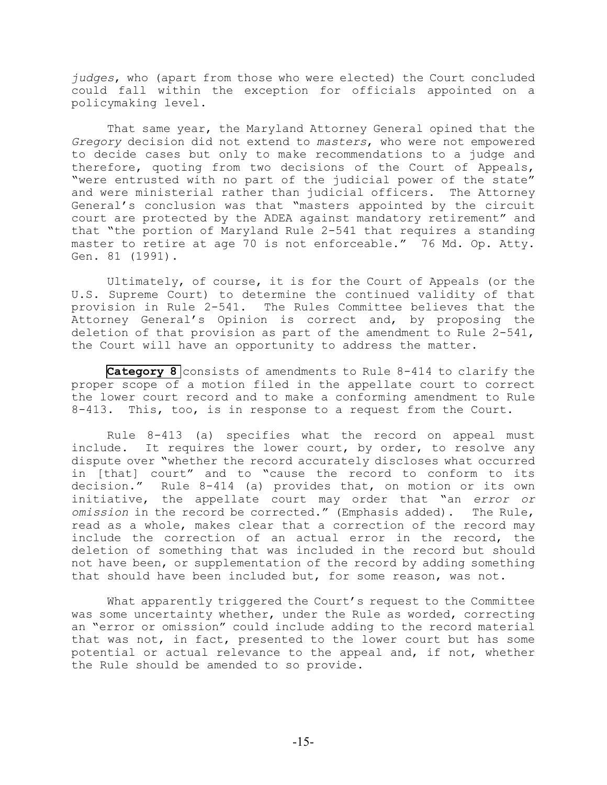*judges*, who (apart from those who were elected) the Court concluded could fall within the exception for officials appointed on a policymaking level.

That same year, the Maryland Attorney General opined that the *Gregory* decision did not extend to *masters*, who were not empowered to decide cases but only to make recommendations to a judge and therefore, quoting from two decisions of the Court of Appeals, "were entrusted with no part of the judicial power of the state" and were ministerial rather than judicial officers. The Attorney General's conclusion was that "masters appointed by the circuit court are protected by the ADEA against mandatory retirement" and that "the portion of Maryland Rule 2-541 that requires a standing master to retire at age 70 is not enforceable." 76 Md. Op. Atty. Gen. 81 (1991).

Ultimately, of course, it is for the Court of Appeals (or the U.S. Supreme Court) to determine the continued validity of that provision in Rule 2-541. The Rules Committee believes that the Attorney General's Opinion is correct and, by proposing the deletion of that provision as part of the amendment to Rule 2-541, the Court will have an opportunity to address the matter.

**[Category 8](#page-145-0)** consists of amendments to Rule 8-414 to clarify the proper scope of a motion filed in the appellate court to correct the lower court record and to make a conforming amendment to Rule 8-413. This, too, is in response to a request from the Court.

Rule 8-413 (a) specifies what the record on appeal must include. It requires the lower court, by order, to resolve any dispute over "whether the record accurately discloses what occurred in [that] court" and to "cause the record to conform to its decision." Rule 8-414 (a) provides that, on motion or its own initiative, the appellate court may order that "an *error or omission* in the record be corrected." (Emphasis added). The Rule, read as a whole, makes clear that a correction of the record may include the correction of an actual error in the record, the deletion of something that was included in the record but should not have been, or supplementation of the record by adding something that should have been included but, for some reason, was not.

What apparently triggered the Court's request to the Committee was some uncertainty whether, under the Rule as worded, correcting an "error or omission" could include adding to the record material that was not, in fact, presented to the lower court but has some potential or actual relevance to the appeal and, if not, whether the Rule should be amended to so provide.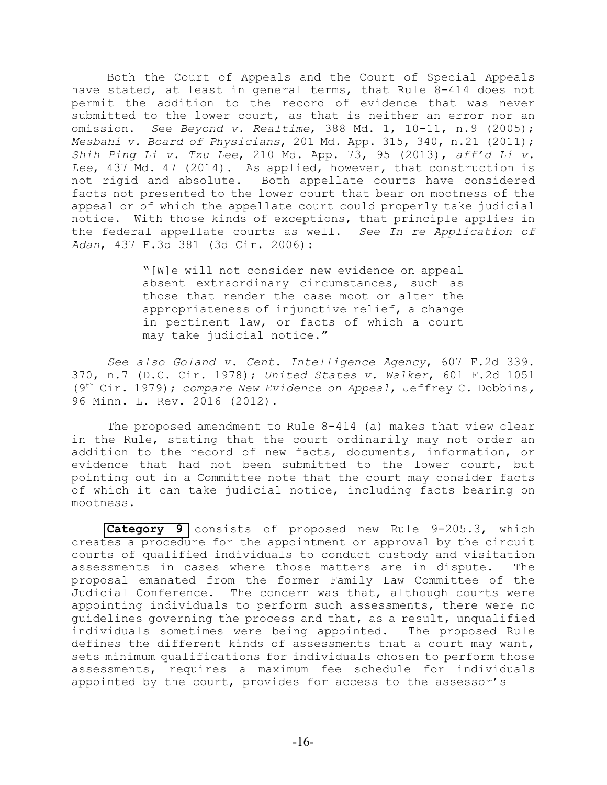Both the Court of Appeals and the Court of Special Appeals have stated, at least in general terms, that Rule 8-414 does not permit the addition to the record of evidence that was never submitted to the lower court, as that is neither an error nor an omission. *S*ee *Beyond v. Realtime*, 388 Md. 1, 10-11, n.9 (2005); *Mesbahi v. Board of Physicians*, 201 Md. App. 315, 340, n.21 (2011); *Shih Ping Li v. Tzu Lee*, 210 Md. App. 73, 95 (2013), *aff'd Li v. Lee*, 437 Md. 47 (2014). As applied, however, that construction is not rigid and absolute. Both appellate courts have considered facts not presented to the lower court that bear on mootness of the appeal or of which the appellate court could properly take judicial notice. With those kinds of exceptions, that principle applies in the federal appellate courts as well. *See In re Application of Adan*, 437 F.3d 381 (3d Cir. 2006):

> "[W]e will not consider new evidence on appeal absent extraordinary circumstances, such as those that render the case moot or alter the appropriateness of injunctive relief, a change in pertinent law, or facts of which a court may take judicial notice**."**

*See also Goland v. Cent. Intelligence Agency*, 607 F.2d 339. 370, n.7 (D.C. Cir. 1978); *United States v. Walker*, 601 F.2d 1051 (9<sup>th</sup> Cir. 1979); *compare New Evidence on Appeal*, Jeffrey C. Dobbins, 96 Minn. L. Rev. 2016 (2012).

The proposed amendment to Rule 8-414 (a) makes that view clear in the Rule, stating that the court ordinarily may not order an addition to the record of new facts, documents, information, or evidence that had not been submitted to the lower court, but pointing out in a Committee note that the court may consider facts of which it can take judicial notice, including facts bearing on mootness.

**[Category 9](#page-152-0)** consists of proposed new Rule 9-205.3, which creates a procedure for the appointment or approval by the circuit courts of qualified individuals to conduct custody and visitation assessments in cases where those matters are in dispute. The proposal emanated from the former Family Law Committee of the Judicial Conference. The concern was that, although courts were appointing individuals to perform such assessments, there were no guidelines governing the process and that, as a result, unqualified individuals sometimes were being appointed. The proposed Rule defines the different kinds of assessments that a court may want, sets minimum qualifications for individuals chosen to perform those assessments, requires a maximum fee schedule for individuals appointed by the court, provides for access to the assessor's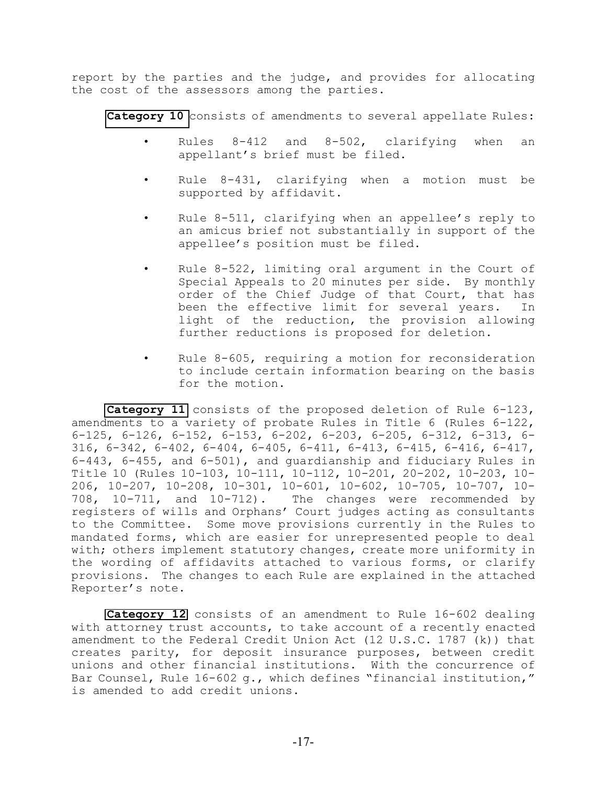report by the parties and the judge, and provides for allocating the cost of the assessors among the parties.

**[Category 10](#page-166-0)** consists of amendments to several appellate Rules:

- Rules 8-412 and 8-502, clarifying when an appellant's brief must be filed.
- Rule 8-431, clarifying when a motion must be supported by affidavit.
- Rule 8-511, clarifying when an appellee's reply to an amicus brief not substantially in support of the appellee's position must be filed.
- Rule  $8-522$ , limiting oral argument in the Court of Special Appeals to 20 minutes per side. By monthly order of the Chief Judge of that Court, that has been the effective limit for several years. In light of the reduction, the provision allowing further reductions is proposed for deletion.
- Rule  $8-605$ , requiring a motion for reconsideration to include certain information bearing on the basis for the motion.

**[Category 11](#page-188-0)** consists of the proposed deletion of Rule 6-123, amendments to a variety of probate Rules in Title 6 (Rules 6-122, 6-125, 6-126, 6-152, 6-153, 6-202, 6-203, 6-205, 6-312, 6-313, 6- 316, 6-342, 6-402, 6-404, 6-405, 6-411, 6-413, 6-415, 6-416, 6-417, 6-443, 6-455, and 6-501), and guardianship and fiduciary Rules in Title 10 (Rules 10-103, 10-111, 10-112, 10-201, 20-202, 10-203, 10- 206, 10-207, 10-208, 10-301, 10-601, 10-602, 10-705, 10-707, 10- 708, 10-711, and 10-712). The changes were recommended by registers of wills and Orphans' Court judges acting as consultants to the Committee. Some move provisions currently in the Rules to mandated forms, which are easier for unrepresented people to deal with; others implement statutory changes, create more uniformity in the wording of affidavits attached to various forms, or clarify provisions. The changes to each Rule are explained in the attached Reporter's note.

**[Category 12](#page-368-0)** consists of an amendment to Rule 16-602 dealing with attorney trust accounts, to take account of a recently enacted amendment to the Federal Credit Union Act (12 U.S.C. 1787 (k)) that creates parity, for deposit insurance purposes, between credit unions and other financial institutions. With the concurrence of Bar Counsel, Rule 16-602 g., which defines "financial institution," is amended to add credit unions.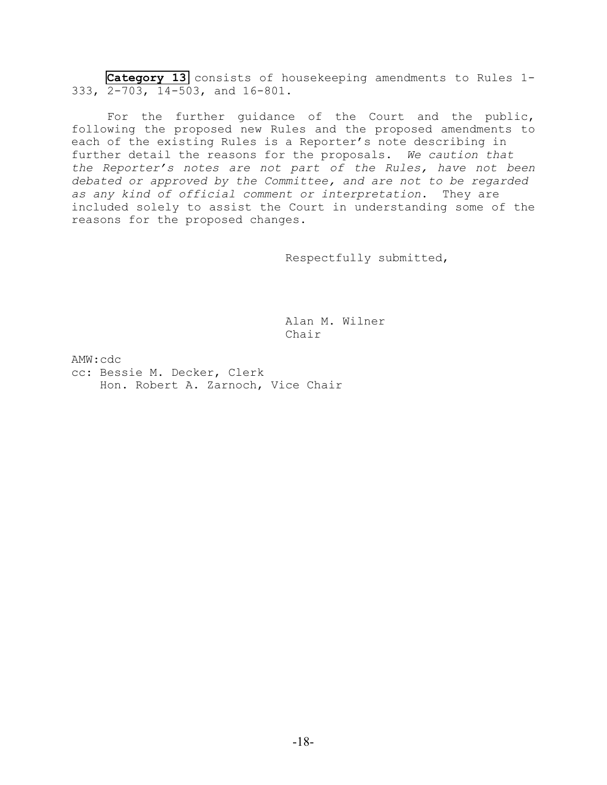**[Category 13](#page-371-0)** consists of housekeeping amendments to Rules 1- 333, 2-703, 14-503, and 16-801.

For the further guidance of the Court and the public, following the proposed new Rules and the proposed amendments to each of the existing Rules is a Reporter's note describing in further detail the reasons for the proposals. *We caution that the Reporter's notes are not part of the Rules, have not been debated or approved by the Committee, and are not to be regarded as any kind of official comment or interpretation*. They are included solely to assist the Court in understanding some of the reasons for the proposed changes.

Respectfully submitted,

Alan M. Wilner Chair

AMW:cdc

cc: Bessie M. Decker, Clerk Hon. Robert A. Zarnoch, Vice Chair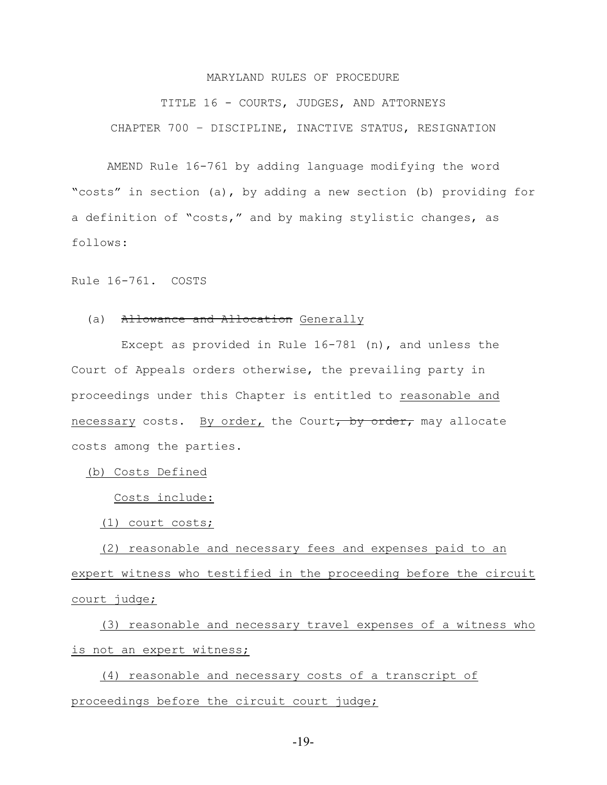#### MARYLAND RULES OF PROCEDURE

<span id="page-18-0"></span>TITLE 16 - COURTS, JUDGES, AND ATTORNEYS CHAPTER 700 – DISCIPLINE, INACTIVE STATUS, RESIGNATION

AMEND Rule 16-761 by adding language modifying the word "costs" in section (a), by adding a new section (b) providing for a definition of "costs," and by making stylistic changes, as follows:

Rule 16-761. COSTS

#### (a) Allowance and Allocation Generally

 Except as provided in Rule 16-781 (n), and unless the Court of Appeals orders otherwise, the prevailing party in proceedings under this Chapter is entitled to reasonable and necessary costs. By order, the Court, by order, may allocate costs among the parties.

(b) Costs Defined

Costs include:

(1) court costs;

 (2) reasonable and necessary fees and expenses paid to an expert witness who testified in the proceeding before the circuit court judge;

 (3) reasonable and necessary travel expenses of a witness who is not an expert witness;

 (4) reasonable and necessary costs of a transcript of proceedings before the circuit court judge;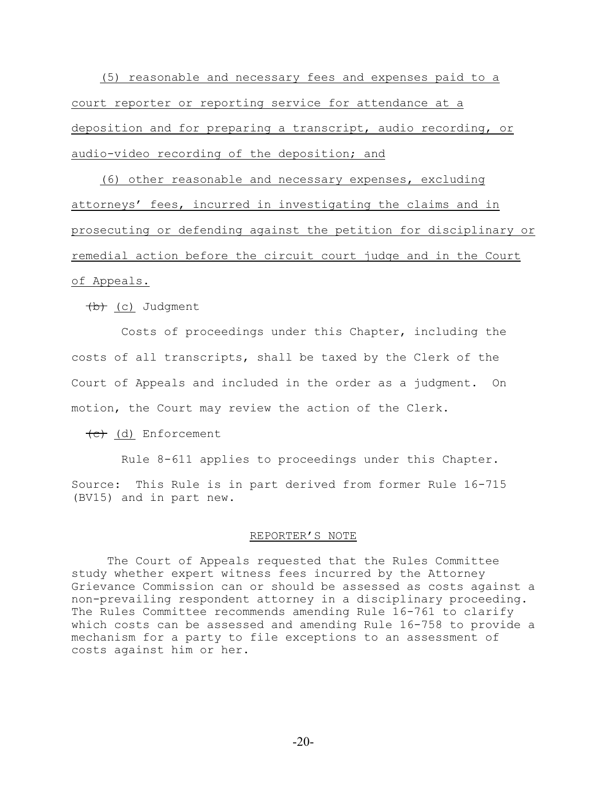(5) reasonable and necessary fees and expenses paid to a court reporter or reporting service for attendance at a deposition and for preparing a transcript, audio recording, or audio-video recording of the deposition; and

 (6) other reasonable and necessary expenses, excluding attorneys' fees, incurred in investigating the claims and in prosecuting or defending against the petition for disciplinary or remedial action before the circuit court judge and in the Court

# of Appeals.

 $(b)$  (c) Judgment

 Costs of proceedings under this Chapter, including the costs of all transcripts, shall be taxed by the Clerk of the Court of Appeals and included in the order as a judgment. On motion, the Court may review the action of the Clerk.

 $\left(\begin{matrix}c\end{matrix}\right)$  (d) Enforcement

Rule 8-611 applies to proceedings under this Chapter.

Source: This Rule is in part derived from former Rule 16-715 (BV15) and in part new.

#### REPORTER'S NOTE

The Court of Appeals requested that the Rules Committee study whether expert witness fees incurred by the Attorney Grievance Commission can or should be assessed as costs against a non-prevailing respondent attorney in a disciplinary proceeding. The Rules Committee recommends amending Rule 16-761 to clarify which costs can be assessed and amending Rule 16-758 to provide a mechanism for a party to file exceptions to an assessment of costs against him or her.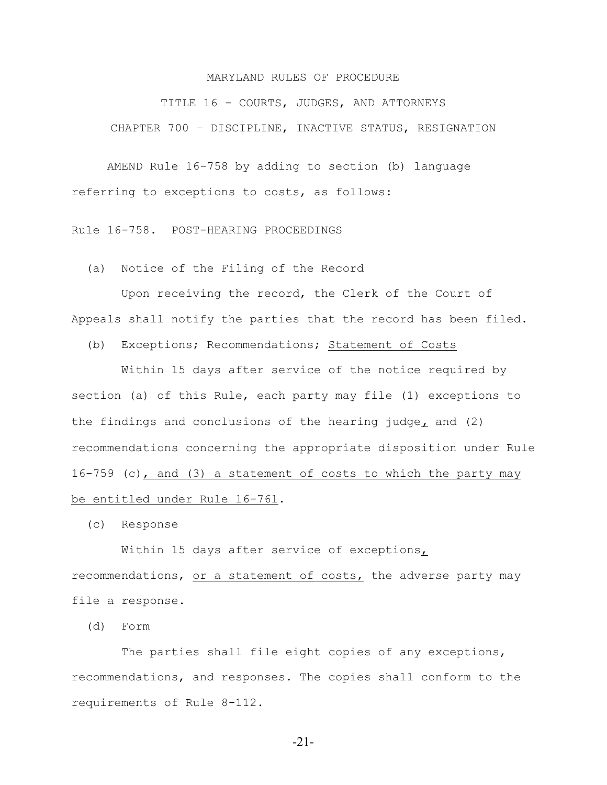#### MARYLAND RULES OF PROCEDURE

TITLE 16 - COURTS, JUDGES, AND ATTORNEYS CHAPTER 700 – DISCIPLINE, INACTIVE STATUS, RESIGNATION

AMEND Rule 16-758 by adding to section (b) language referring to exceptions to costs, as follows:

Rule 16-758. POST-HEARING PROCEEDINGS

(a) Notice of the Filing of the Record

 Upon receiving the record, the Clerk of the Court of Appeals shall notify the parties that the record has been filed.

(b) Exceptions; Recommendations; Statement of Costs

 Within 15 days after service of the notice required by section (a) of this Rule, each party may file (1) exceptions to the findings and conclusions of the hearing judge**,** and (2) recommendations concerning the appropriate disposition under Rule 16-759 (c), and (3) a statement of costs to which the party may be entitled under Rule 16-761.

(c) Response

Within 15 days after service of exceptions,

recommendations, or a statement of costs, the adverse party may file a response.

(d) Form

The parties shall file eight copies of any exceptions, recommendations, and responses. The copies shall conform to the requirements of Rule 8-112.

-21-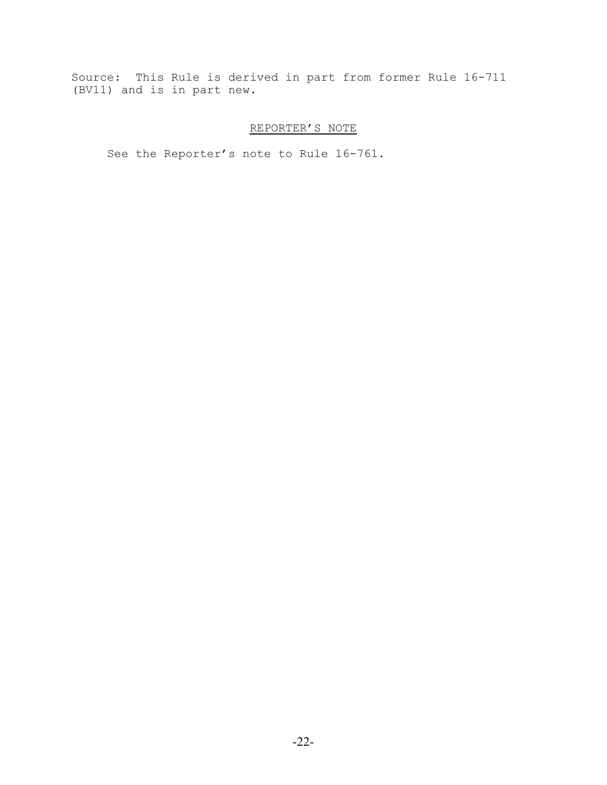Source: This Rule is derived in part from former Rule 16-711 (BV11) and is in part new.

# REPORTER'S NOTE

See the Reporter's note to Rule 16-761.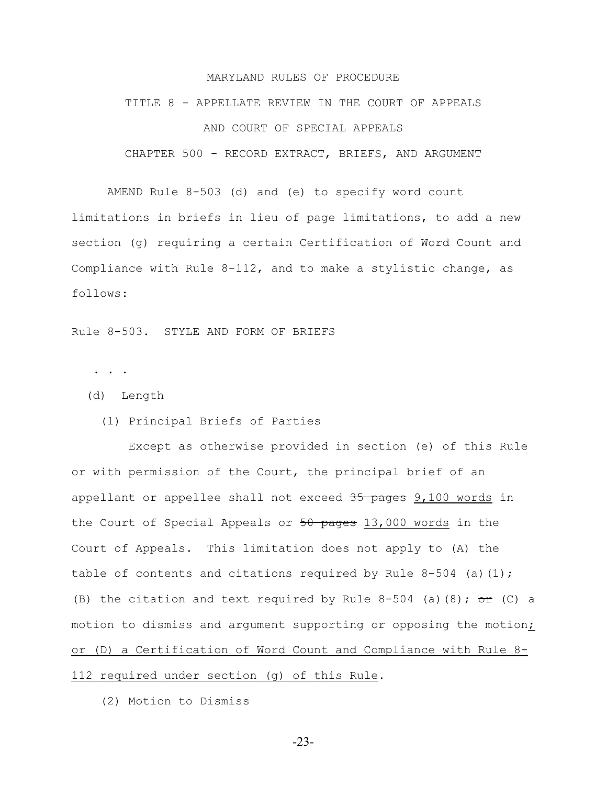#### MARYLAND RULES OF PROCEDURE

# <span id="page-22-0"></span>TITLE 8 - APPELLATE REVIEW IN THE COURT OF APPEALS AND COURT OF SPECIAL APPEALS

CHAPTER 500 - RECORD EXTRACT, BRIEFS, AND ARGUMENT

AMEND Rule 8-503 (d) and (e) to specify word count limitations in briefs in lieu of page limitations, to add a new section (g) requiring a certain Certification of Word Count and Compliance with Rule 8-112, and to make a stylistic change, as follows:

Rule 8-503. STYLE AND FORM OF BRIEFS

. . .

- (d) Length
	- (1) Principal Briefs of Parties

 Except as otherwise provided in section (e) of this Rule or with permission of the Court, the principal brief of an appellant or appellee shall not exceed 35 pages 9,100 words in the Court of Special Appeals or  $50$  pages 13,000 words in the Court of Appeals. This limitation does not apply to (A) the table of contents and citations required by Rule  $8-504$  (a)(1); (B) the citation and text required by Rule 8-504 (a)(8);  $\sigma$ r (C) a motion to dismiss and argument supporting or opposing the motion; or (D) a Certification of Word Count and Compliance with Rule 8- 112 required under section (g) of this Rule.

(2) Motion to Dismiss

-23-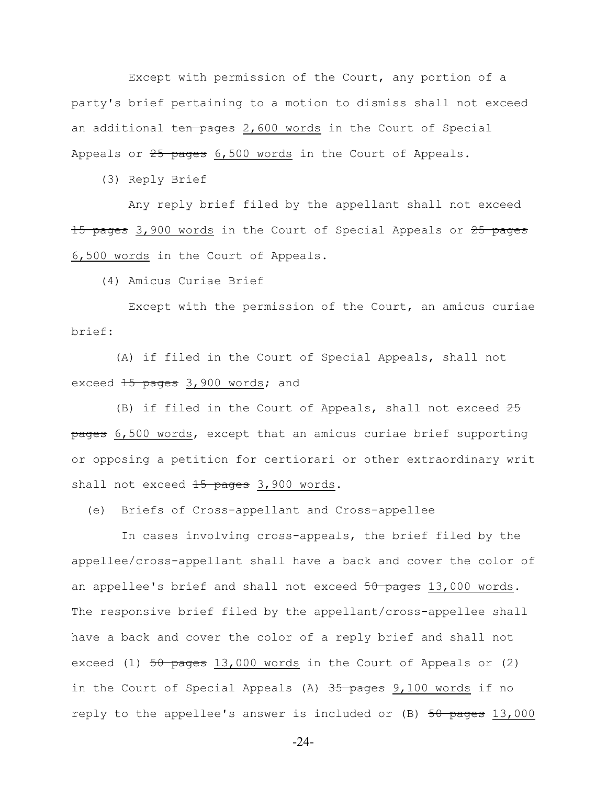Except with permission of the Court, any portion of a party's brief pertaining to a motion to dismiss shall not exceed an additional ten pages 2,600 words in the Court of Special Appeals or 25 pages 6,500 words in the Court of Appeals.

(3) Reply Brief

 Any reply brief filed by the appellant shall not exceed 15 pages 3,900 words in the Court of Special Appeals or 25 pages 6,500 words in the Court of Appeals.

(4) Amicus Curiae Brief

 Except with the permission of the Court, an amicus curiae brief:

 (A) if filed in the Court of Special Appeals, shall not exceed 15 pages 3,900 words; and

(B) if filed in the Court of Appeals, shall not exceed  $25$ pages 6,500 words, except that an amicus curiae brief supporting or opposing a petition for certiorari or other extraordinary writ shall not exceed 15 pages 3,900 words.

(e) Briefs of Cross-appellant and Cross-appellee

 In cases involving cross-appeals, the brief filed by the appellee/cross-appellant shall have a back and cover the color of an appellee's brief and shall not exceed 50 pages 13,000 words. The responsive brief filed by the appellant/cross-appellee shall have a back and cover the color of a reply brief and shall not exceed (1)  $50$  pages  $13,000$  words in the Court of Appeals or (2) in the Court of Special Appeals  $(A)$  35 pages 9,100 words if no reply to the appellee's answer is included or (B) 50 pages 13,000

-24-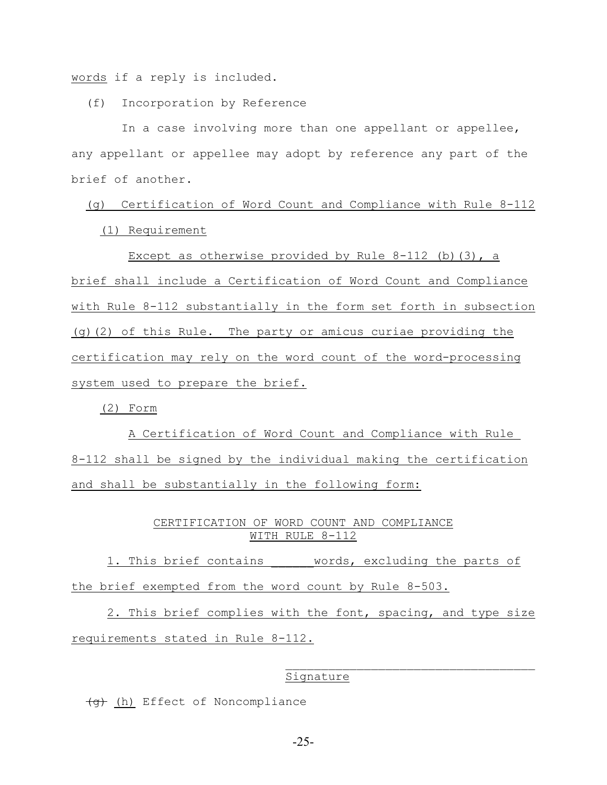words if a reply is included.

(f) Incorporation by Reference

 In a case involving more than one appellant or appellee, any appellant or appellee may adopt by reference any part of the brief of another.

 (g) Certification of Word Count and Compliance with Rule 8-112 (1) Requirement

Except as otherwise provided by Rule  $8-112$  (b)(3), a brief shall include a Certification of Word Count and Compliance with Rule 8-112 substantially in the form set forth in subsection (g)(2) of this Rule. The party or amicus curiae providing the certification may rely on the word count of the word-processing system used to prepare the brief.

(2) Form

 A Certification of Word Count and Compliance with Rule 8-112 shall be signed by the individual making the certification and shall be substantially in the following form:

# CERTIFICATION OF WORD COUNT AND COMPLIANCE WITH RULE 8-112

1. This brief contains words, excluding the parts of the brief exempted from the word count by Rule 8-503.

2. This brief complies with the font, spacing, and type size requirements stated in Rule 8-112.

#### Signature

 $\mathcal{L}_\text{max}$ 

(g) (h) Effect of Noncompliance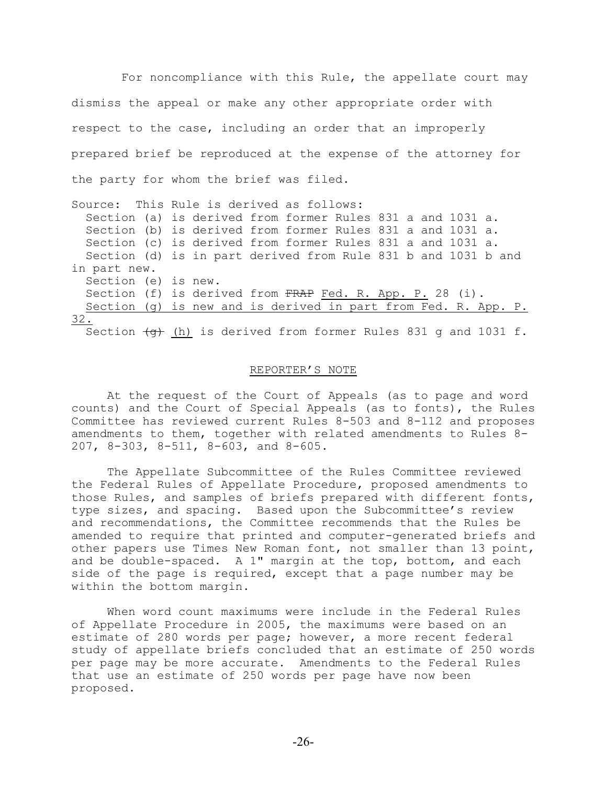For noncompliance with this Rule, the appellate court may dismiss the appeal or make any other appropriate order with respect to the case, including an order that an improperly prepared brief be reproduced at the expense of the attorney for the party for whom the brief was filed.

Source: This Rule is derived as follows: Section (a) is derived from former Rules 831 a and 1031 a. Section (b) is derived from former Rules 831 a and 1031 a. Section (c) is derived from former Rules 831 a and 1031 a. Section (d) is in part derived from Rule 831 b and 1031 b and in part new. Section (e) is new. Section (f) is derived from FRAP Fed. R. App. P. 28 (i). Section (g) is new and is derived in part from Fed. R. App. P. 32. Section  $\left(\frac{q}{q}\right)$  (h) is derived from former Rules 831 q and 1031 f.

#### REPORTER'S NOTE

At the request of the Court of Appeals (as to page and word counts) and the Court of Special Appeals (as to fonts), the Rules Committee has reviewed current Rules 8-503 and 8-112 and proposes amendments to them, together with related amendments to Rules 8- 207, 8-303, 8-511, 8-603, and 8-605.

The Appellate Subcommittee of the Rules Committee reviewed the Federal Rules of Appellate Procedure, proposed amendments to those Rules, and samples of briefs prepared with different fonts, type sizes, and spacing. Based upon the Subcommittee's review and recommendations, the Committee recommends that the Rules be amended to require that printed and computer-generated briefs and other papers use Times New Roman font, not smaller than 13 point, and be double-spaced. A 1" margin at the top, bottom, and each side of the page is required, except that a page number may be within the bottom margin.

When word count maximums were include in the Federal Rules of Appellate Procedure in 2005, the maximums were based on an estimate of 280 words per page; however, a more recent federal study of appellate briefs concluded that an estimate of 250 words per page may be more accurate. Amendments to the Federal Rules that use an estimate of 250 words per page have now been proposed.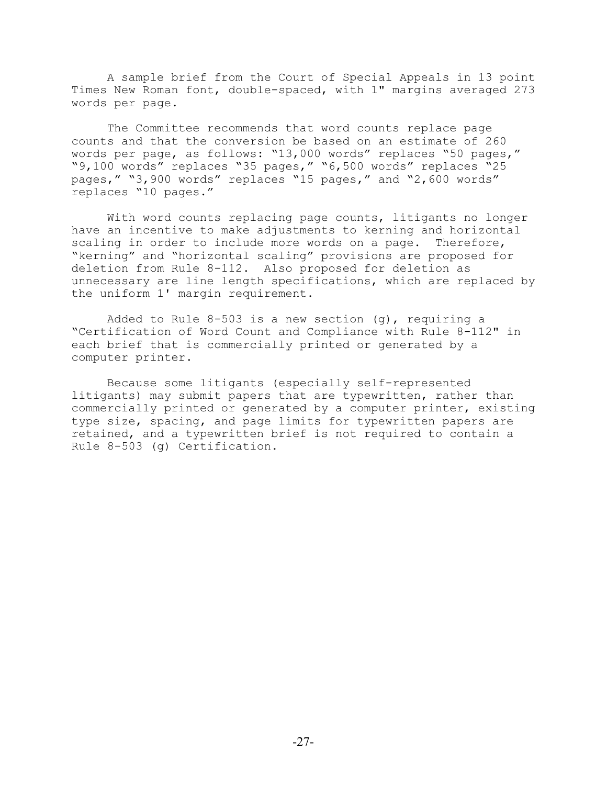A sample brief from the Court of Special Appeals in 13 point Times New Roman font, double-spaced, with 1" margins averaged 273 words per page.

The Committee recommends that word counts replace page counts and that the conversion be based on an estimate of 260 words per page, as follows: "13,000 words" replaces "50 pages," "9,100 words" replaces "35 pages," "6,500 words" replaces "25 pages," "3,900 words" replaces "15 pages," and "2,600 words" replaces "10 pages."

With word counts replacing page counts, litigants no longer have an incentive to make adjustments to kerning and horizontal scaling in order to include more words on a page. Therefore, "kerning" and "horizontal scaling" provisions are proposed for deletion from Rule 8-112. Also proposed for deletion as unnecessary are line length specifications, which are replaced by the uniform 1' margin requirement.

Added to Rule  $8-503$  is a new section (q), requiring a "Certification of Word Count and Compliance with Rule 8-112" in each brief that is commercially printed or generated by a computer printer.

Because some litigants (especially self-represented litigants) may submit papers that are typewritten, rather than commercially printed or generated by a computer printer, existing type size, spacing, and page limits for typewritten papers are retained, and a typewritten brief is not required to contain a Rule 8-503 (g) Certification.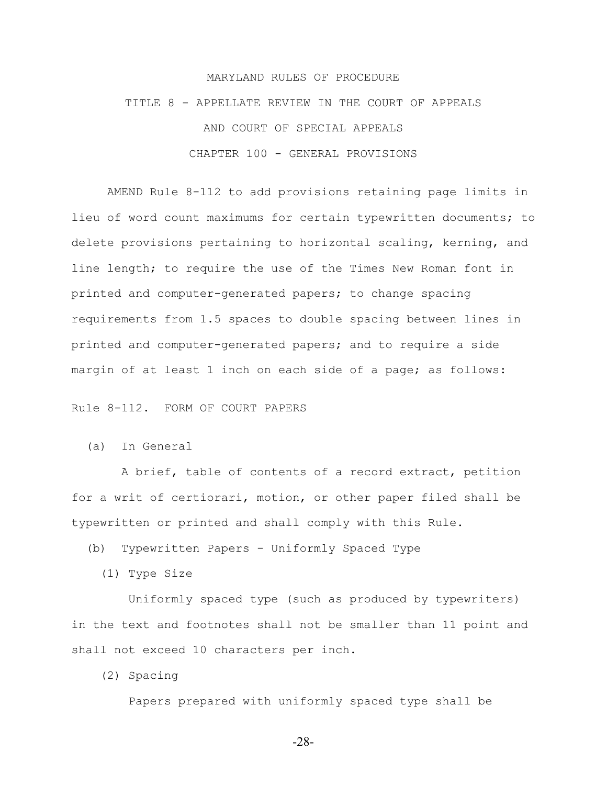#### MARYLAND RULES OF PROCEDURE

TITLE 8 - APPELLATE REVIEW IN THE COURT OF APPEALS AND COURT OF SPECIAL APPEALS CHAPTER 100 - GENERAL PROVISIONS

AMEND Rule 8-112 to add provisions retaining page limits in lieu of word count maximums for certain typewritten documents; to delete provisions pertaining to horizontal scaling, kerning, and line length; to require the use of the Times New Roman font in printed and computer-generated papers; to change spacing requirements from 1.5 spaces to double spacing between lines in printed and computer-generated papers; and to require a side margin of at least 1 inch on each side of a page; as follows:

Rule 8-112. FORM OF COURT PAPERS

(a) In General

 A brief, table of contents of a record extract, petition for a writ of certiorari, motion, or other paper filed shall be typewritten or printed and shall comply with this Rule.

(b) Typewritten Papers - Uniformly Spaced Type

(1) Type Size

 Uniformly spaced type (such as produced by typewriters) in the text and footnotes shall not be smaller than 11 point and shall not exceed 10 characters per inch.

(2) Spacing

Papers prepared with uniformly spaced type shall be

-28-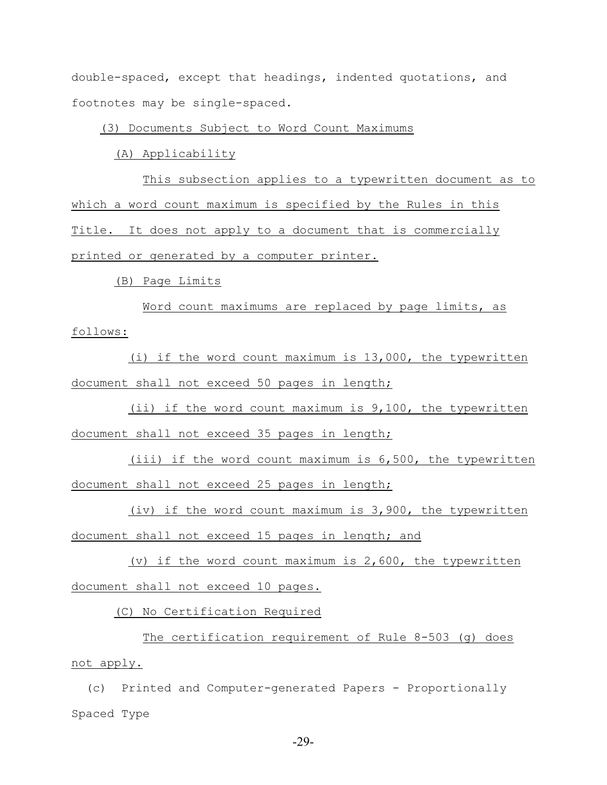double-spaced, except that headings, indented quotations, and footnotes may be single-spaced.

(3) Documents Subject to Word Count Maximums

(A) Applicability

 This subsection applies to a typewritten document as to which a word count maximum is specified by the Rules in this Title. It does not apply to a document that is commercially printed or generated by a computer printer.

(B) Page Limits

 Word count maximums are replaced by page limits, as follows:

 (i) if the word count maximum is 13,000, the typewritten document shall not exceed 50 pages in length;

 (ii) if the word count maximum is 9,100, the typewritten document shall not exceed 35 pages in length;

 (iii) if the word count maximum is 6,500, the typewritten document shall not exceed 25 pages in length;

 (iv) if the word count maximum is 3,900, the typewritten document shall not exceed 15 pages in length; and

 (v) if the word count maximum is 2,600, the typewritten document shall not exceed 10 pages.

(C) No Certification Required

 The certification requirement of Rule 8-503 (g) does not apply.

 (c) Printed and Computer-generated Papers - Proportionally Spaced Type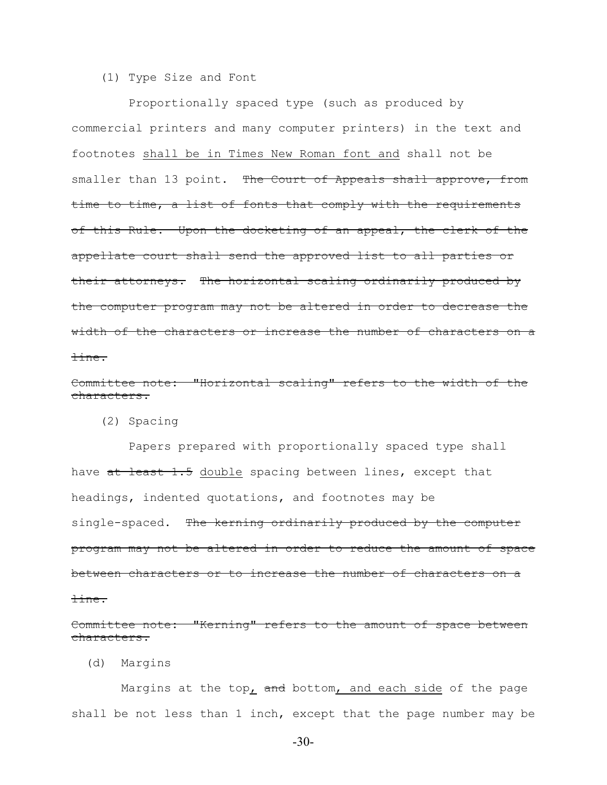#### (1) Type Size and Font

 Proportionally spaced type (such as produced by commercial printers and many computer printers) in the text and footnotes shall be in Times New Roman font and shall not be smaller than 13 point. The Court of Appeals shall approve, from time to time, a list of fonts that comply with the requirements of this Rule. Upon the docketing of an appeal, the clerk of the appellate court shall send the approved list to all parties or their attorneys. The horizontal scaling ordinarily produced by the computer program may not be altered in order to decrease the width of the characters or increase the number of characters on a line.

Committee note: "Horizontal scaling" refers to the width of the characters.

(2) Spacing

 Papers prepared with proportionally spaced type shall have at least 1.5 double spacing between lines, except that headings, indented quotations, and footnotes may be single-spaced. The kerning ordinarily produced by the computer program may not be altered in order to reduce the amount of space between characters or to increase the number of characters on a line.

Committee note: "Kerning" refers to the amount of space between characters.

(d) Margins

Margins at the top $<sub>L</sub>$  and bottom, and each side of the page</sub> shall be not less than 1 inch, except that the page number may be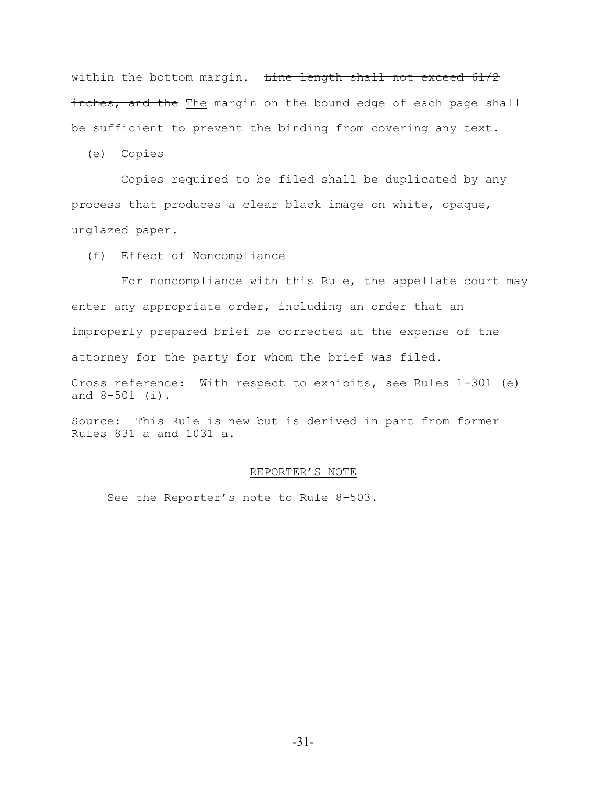within the bottom margin. Line length shall not exceed 61/2 inches, and the The margin on the bound edge of each page shall be sufficient to prevent the binding from covering any text.

(e) Copies

 Copies required to be filed shall be duplicated by any process that produces a clear black image on white, opaque, unglazed paper.

(f) Effect of Noncompliance

 For noncompliance with this Rule, the appellate court may enter any appropriate order, including an order that an improperly prepared brief be corrected at the expense of the attorney for the party for whom the brief was filed.

Cross reference: With respect to exhibits, see Rules 1-301 (e) and 8-501 (i).

Source: This Rule is new but is derived in part from former Rules 831 a and 1031 a.

#### REPORTER'S NOTE

See the Reporter's note to Rule 8-503.

-31-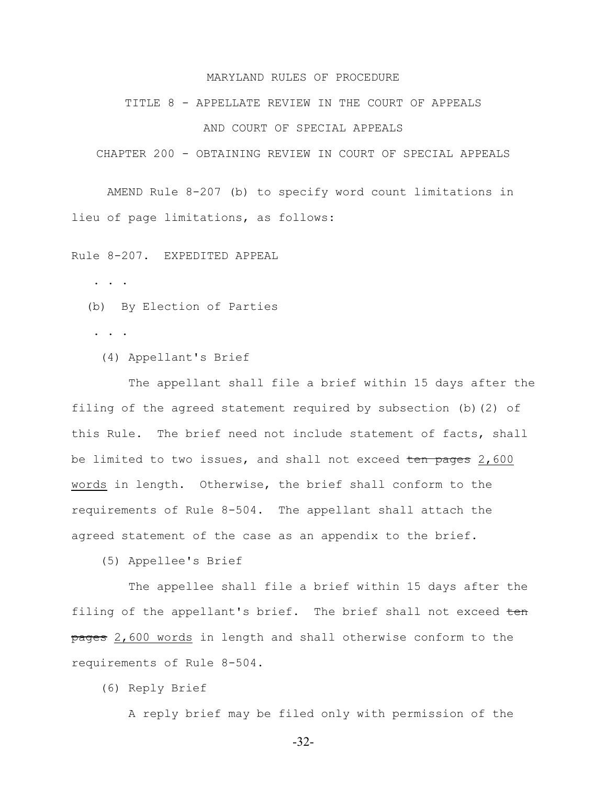#### MARYLAND RULES OF PROCEDURE

#### TITLE 8 - APPELLATE REVIEW IN THE COURT OF APPEALS

## AND COURT OF SPECIAL APPEALS

CHAPTER 200 - OBTAINING REVIEW IN COURT OF SPECIAL APPEALS

AMEND Rule 8-207 (b) to specify word count limitations in lieu of page limitations, as follows:

Rule 8-207. EXPEDITED APPEAL

. . .

(b) By Election of Parties

. . .

(4) Appellant's Brief

 The appellant shall file a brief within 15 days after the filing of the agreed statement required by subsection (b)(2) of this Rule. The brief need not include statement of facts, shall be limited to two issues, and shall not exceed ten pages 2,600 words in length. Otherwise, the brief shall conform to the requirements of Rule 8-504. The appellant shall attach the agreed statement of the case as an appendix to the brief.

(5) Appellee's Brief

 The appellee shall file a brief within 15 days after the filing of the appellant's brief. The brief shall not exceed ten pages 2,600 words in length and shall otherwise conform to the requirements of Rule 8-504.

(6) Reply Brief

A reply brief may be filed only with permission of the

-32-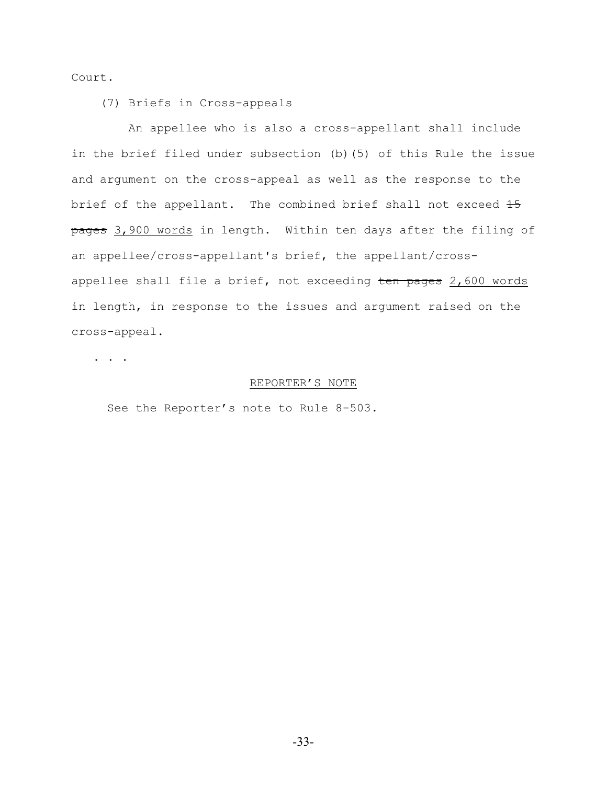Court.

(7) Briefs in Cross-appeals

 An appellee who is also a cross-appellant shall include in the brief filed under subsection (b)(5) of this Rule the issue and argument on the cross-appeal as well as the response to the brief of the appellant. The combined brief shall not exceed  $15$ pages 3,900 words in length. Within ten days after the filing of an appellee/cross-appellant's brief, the appellant/crossappellee shall file a brief, not exceeding  $t$ en pages  $2,600$  words in length, in response to the issues and argument raised on the cross-appeal.

. . .

#### REPORTER'S NOTE

See the Reporter's note to Rule 8-503.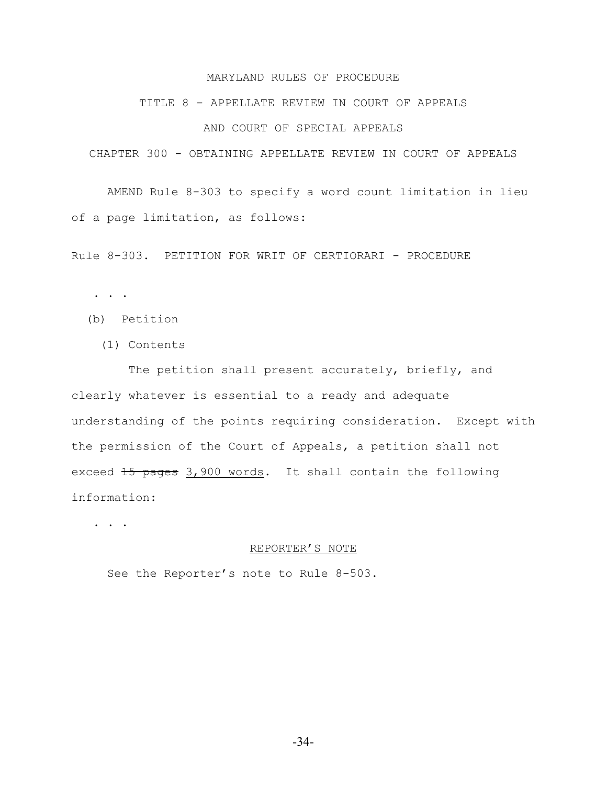## MARYLAND RULES OF PROCEDURE

#### TITLE 8 - APPELLATE REVIEW IN COURT OF APPEALS

## AND COURT OF SPECIAL APPEALS

CHAPTER 300 - OBTAINING APPELLATE REVIEW IN COURT OF APPEALS

AMEND Rule 8-303 to specify a word count limitation in lieu of a page limitation, as follows:

Rule 8-303. PETITION FOR WRIT OF CERTIORARI - PROCEDURE

. . .

- (b) Petition
	- (1) Contents

The petition shall present accurately, briefly, and clearly whatever is essential to a ready and adequate understanding of the points requiring consideration. Except with the permission of the Court of Appeals, a petition shall not exceed 15 pages 3,900 words. It shall contain the following information:

. . .

#### REPORTER'S NOTE

See the Reporter's note to Rule 8-503.

-34-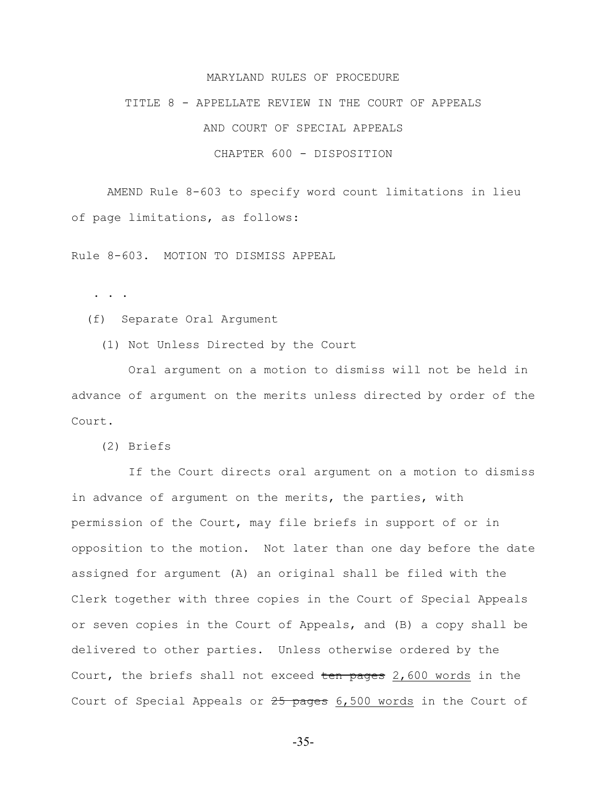#### MARYLAND RULES OF PROCEDURE

TITLE 8 - APPELLATE REVIEW IN THE COURT OF APPEALS

AND COURT OF SPECIAL APPEALS

## CHAPTER 600 - DISPOSITION

AMEND Rule 8-603 to specify word count limitations in lieu of page limitations, as follows:

Rule 8-603. MOTION TO DISMISS APPEAL

. . .

(f) Separate Oral Argument

(1) Not Unless Directed by the Court

 Oral argument on a motion to dismiss will not be held in advance of argument on the merits unless directed by order of the Court.

(2) Briefs

 If the Court directs oral argument on a motion to dismiss in advance of argument on the merits, the parties, with permission of the Court, may file briefs in support of or in opposition to the motion. Not later than one day before the date assigned for argument (A) an original shall be filed with the Clerk together with three copies in the Court of Special Appeals or seven copies in the Court of Appeals, and (B) a copy shall be delivered to other parties. Unless otherwise ordered by the Court, the briefs shall not exceed ten pages 2,600 words in the Court of Special Appeals or 25 pages 6,500 words in the Court of

-35-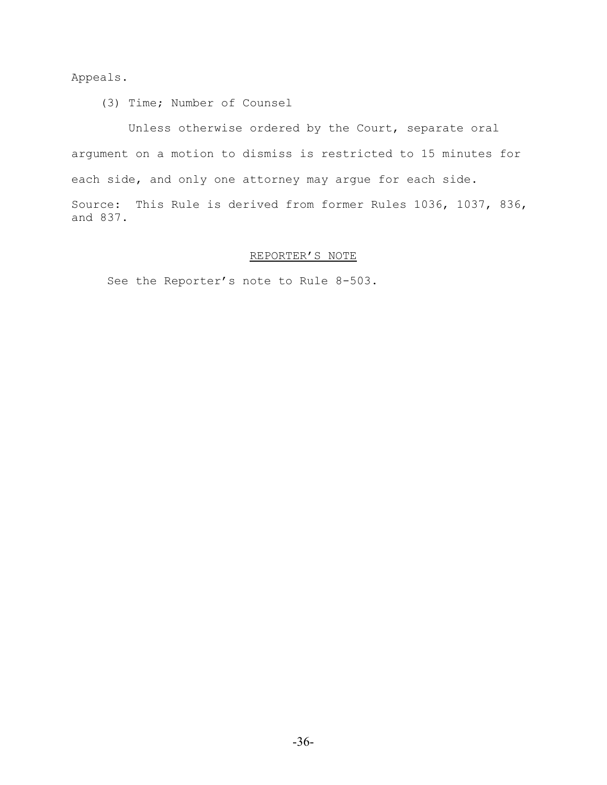Appeals.

(3) Time; Number of Counsel

 Unless otherwise ordered by the Court, separate oral argument on a motion to dismiss is restricted to 15 minutes for each side, and only one attorney may argue for each side. Source: This Rule is derived from former Rules 1036, 1037, 836, and 837.

# REPORTER'S NOTE

See the Reporter's note to Rule 8-503.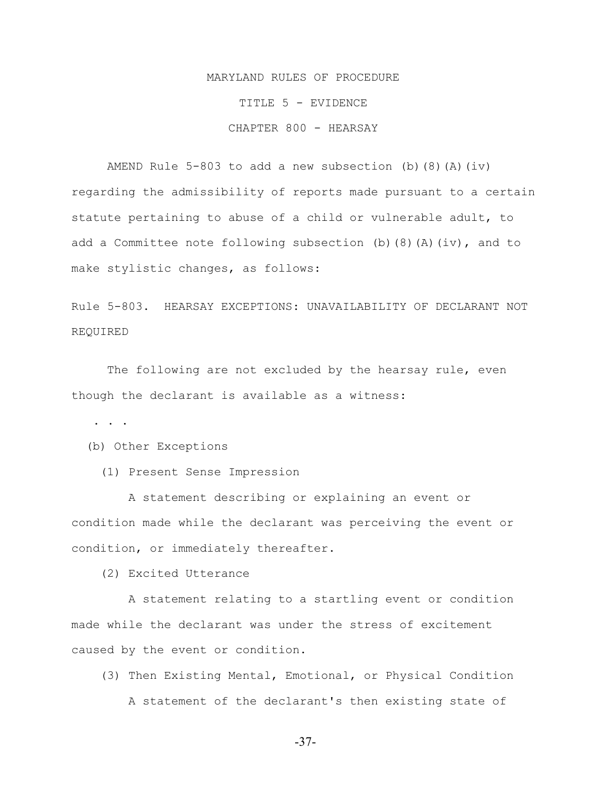# MARYLAND RULES OF PROCEDURE TITLE 5 - EVIDENCE CHAPTER 800 - HEARSAY

AMEND Rule 5-803 to add a new subsection (b)  $(8)$   $(A)$   $(iv)$ regarding the admissibility of reports made pursuant to a certain statute pertaining to abuse of a child or vulnerable adult, to add a Committee note following subsection (b)(8)(A)(iv), and to make stylistic changes, as follows:

Rule 5-803. HEARSAY EXCEPTIONS: UNAVAILABILITY OF DECLARANT NOT REQUIRED

The following are not excluded by the hearsay rule, even though the declarant is available as a witness:

. . .

(b) Other Exceptions

(1) Present Sense Impression

 A statement describing or explaining an event or condition made while the declarant was perceiving the event or condition, or immediately thereafter.

(2) Excited Utterance

 A statement relating to a startling event or condition made while the declarant was under the stress of excitement caused by the event or condition.

 (3) Then Existing Mental, Emotional, or Physical Condition A statement of the declarant's then existing state of

-37-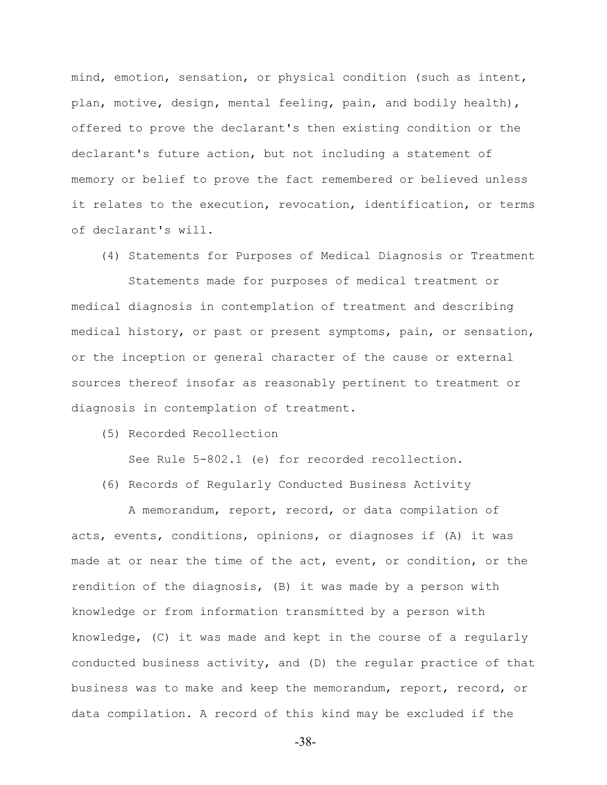mind, emotion, sensation, or physical condition (such as intent, plan, motive, design, mental feeling, pain, and bodily health), offered to prove the declarant's then existing condition or the declarant's future action, but not including a statement of memory or belief to prove the fact remembered or believed unless it relates to the execution, revocation, identification, or terms of declarant's will.

(4) Statements for Purposes of Medical Diagnosis or Treatment

 Statements made for purposes of medical treatment or medical diagnosis in contemplation of treatment and describing medical history, or past or present symptoms, pain, or sensation, or the inception or general character of the cause or external sources thereof insofar as reasonably pertinent to treatment or diagnosis in contemplation of treatment.

(5) Recorded Recollection

See Rule 5-802.1 (e) for recorded recollection.

(6) Records of Regularly Conducted Business Activity

 A memorandum, report, record, or data compilation of acts, events, conditions, opinions, or diagnoses if (A) it was made at or near the time of the act, event, or condition, or the rendition of the diagnosis, (B) it was made by a person with knowledge or from information transmitted by a person with knowledge, (C) it was made and kept in the course of a regularly conducted business activity, and (D) the regular practice of that business was to make and keep the memorandum, report, record, or data compilation. A record of this kind may be excluded if the

-38-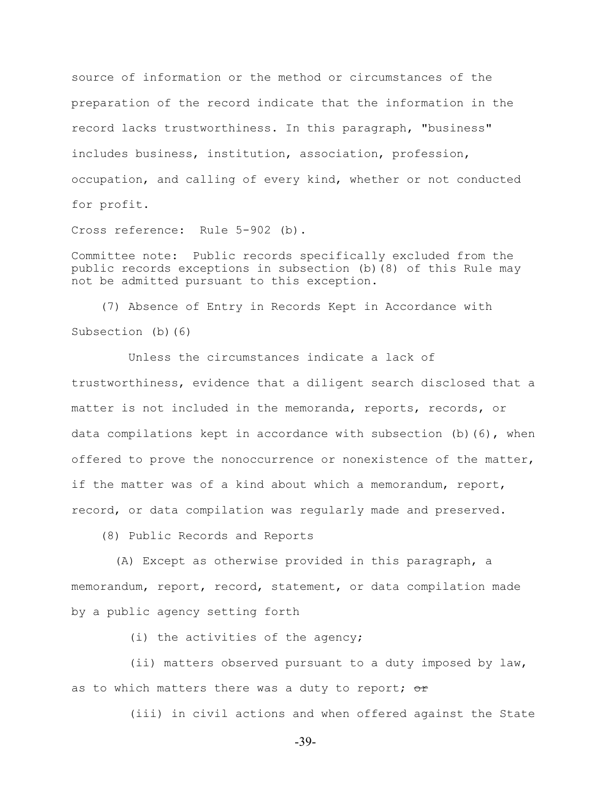source of information or the method or circumstances of the preparation of the record indicate that the information in the record lacks trustworthiness. In this paragraph, "business" includes business, institution, association, profession, occupation, and calling of every kind, whether or not conducted for profit.

Cross reference: Rule 5-902 (b).

Committee note: Public records specifically excluded from the public records exceptions in subsection (b)(8) of this Rule may not be admitted pursuant to this exception.

 (7) Absence of Entry in Records Kept in Accordance with Subsection (b)(6)

 Unless the circumstances indicate a lack of trustworthiness, evidence that a diligent search disclosed that a matter is not included in the memoranda, reports, records, or data compilations kept in accordance with subsection  $(b)$  (6), when offered to prove the nonoccurrence or nonexistence of the matter, if the matter was of a kind about which a memorandum, report, record, or data compilation was regularly made and preserved.

(8) Public Records and Reports

 (A) Except as otherwise provided in this paragraph, a memorandum, report, record, statement, or data compilation made by a public agency setting forth

(i) the activities of the agency;

 (ii) matters observed pursuant to a duty imposed by law, as to which matters there was a duty to report;  $\sigma$ r

(iii) in civil actions and when offered against the State

-39-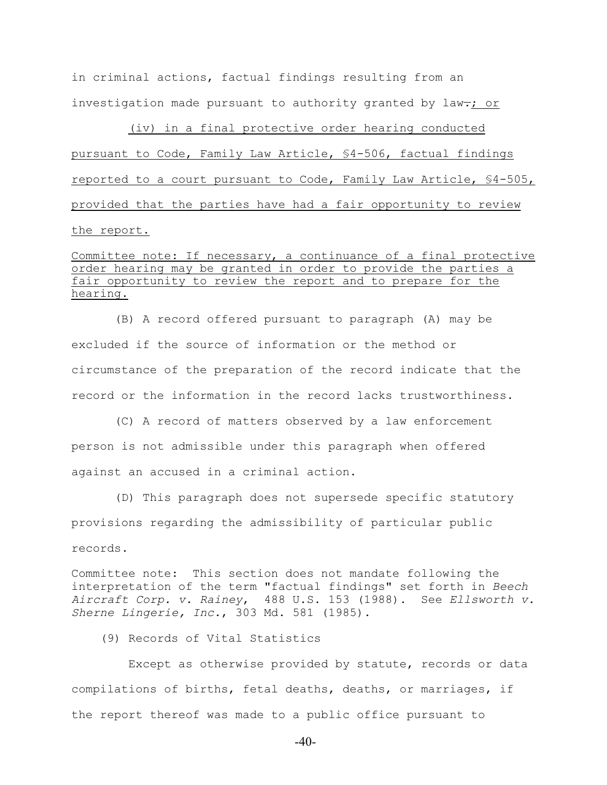in criminal actions, factual findings resulting from an investigation made pursuant to authority granted by law $\div$ ; or

 (iv) in a final protective order hearing conducted pursuant to Code, Family Law Article, §4-506, factual findings reported to a court pursuant to Code, Family Law Article, §4-505, provided that the parties have had a fair opportunity to review the report.

# Committee note: If necessary, a continuance of a final protective order hearing may be granted in order to provide the parties a fair opportunity to review the report and to prepare for the hearing.

 (B) A record offered pursuant to paragraph (A) may be excluded if the source of information or the method or circumstance of the preparation of the record indicate that the record or the information in the record lacks trustworthiness.

 (C) A record of matters observed by a law enforcement person is not admissible under this paragraph when offered against an accused in a criminal action.

 (D) This paragraph does not supersede specific statutory provisions regarding the admissibility of particular public records.

Committee note: This section does not mandate following the interpretation of the term "factual findings" set forth in *Beech Aircraft Corp. v. Rainey*, 488 U.S. 153 (1988). See *Ellsworth v. Sherne Lingerie, Inc.*, 303 Md. 581 (1985).

(9) Records of Vital Statistics

 Except as otherwise provided by statute, records or data compilations of births, fetal deaths, deaths, or marriages, if the report thereof was made to a public office pursuant to

-40-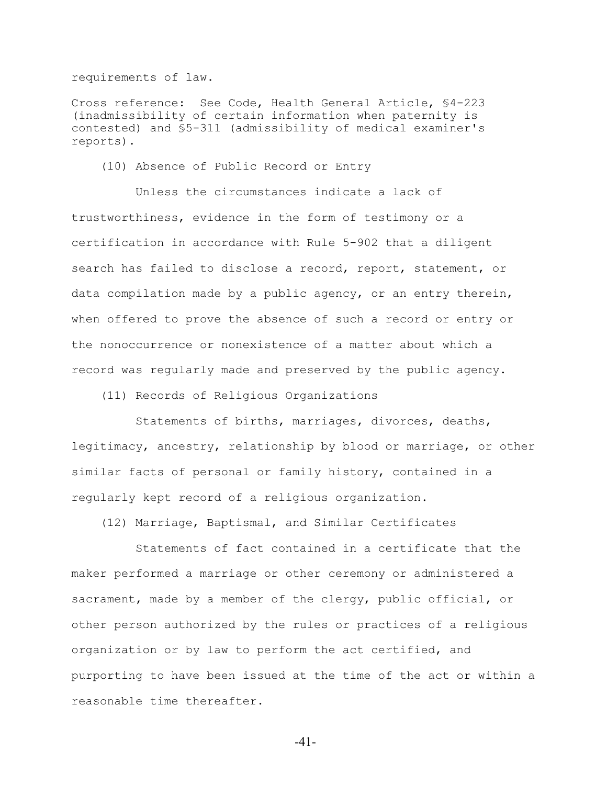requirements of law.

Cross reference: See Code, Health General Article, §4-223 (inadmissibility of certain information when paternity is contested) and §5-311 (admissibility of medical examiner's reports).

(10) Absence of Public Record or Entry

 Unless the circumstances indicate a lack of trustworthiness, evidence in the form of testimony or a certification in accordance with Rule 5-902 that a diligent search has failed to disclose a record, report, statement, or data compilation made by a public agency, or an entry therein, when offered to prove the absence of such a record or entry or the nonoccurrence or nonexistence of a matter about which a record was regularly made and preserved by the public agency.

(11) Records of Religious Organizations

 Statements of births, marriages, divorces, deaths, legitimacy, ancestry, relationship by blood or marriage, or other similar facts of personal or family history, contained in a regularly kept record of a religious organization.

(12) Marriage, Baptismal, and Similar Certificates

 Statements of fact contained in a certificate that the maker performed a marriage or other ceremony or administered a sacrament, made by a member of the clergy, public official, or other person authorized by the rules or practices of a religious organization or by law to perform the act certified, and purporting to have been issued at the time of the act or within a reasonable time thereafter.

-41-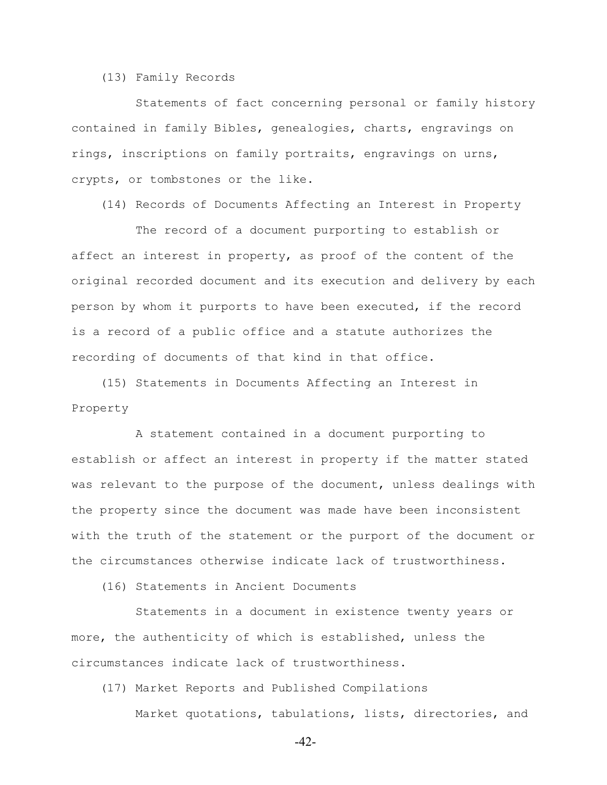(13) Family Records

 Statements of fact concerning personal or family history contained in family Bibles, genealogies, charts, engravings on rings, inscriptions on family portraits, engravings on urns, crypts, or tombstones or the like.

(14) Records of Documents Affecting an Interest in Property

 The record of a document purporting to establish or affect an interest in property, as proof of the content of the original recorded document and its execution and delivery by each person by whom it purports to have been executed, if the record is a record of a public office and a statute authorizes the recording of documents of that kind in that office.

 (15) Statements in Documents Affecting an Interest in Property

 A statement contained in a document purporting to establish or affect an interest in property if the matter stated was relevant to the purpose of the document, unless dealings with the property since the document was made have been inconsistent with the truth of the statement or the purport of the document or the circumstances otherwise indicate lack of trustworthiness.

(16) Statements in Ancient Documents

 Statements in a document in existence twenty years or more, the authenticity of which is established, unless the circumstances indicate lack of trustworthiness.

(17) Market Reports and Published Compilations

Market quotations, tabulations, lists, directories, and

-42-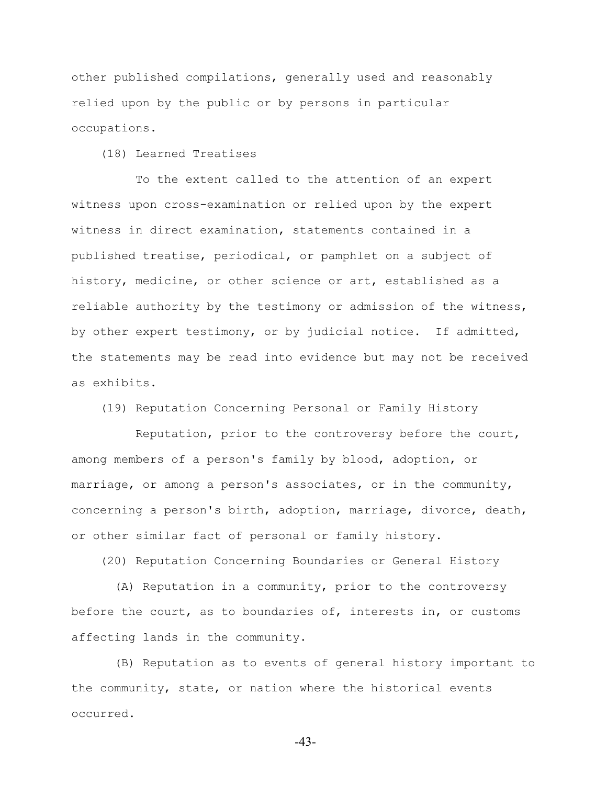other published compilations, generally used and reasonably relied upon by the public or by persons in particular occupations.

(18) Learned Treatises

 To the extent called to the attention of an expert witness upon cross-examination or relied upon by the expert witness in direct examination, statements contained in a published treatise, periodical, or pamphlet on a subject of history, medicine, or other science or art, established as a reliable authority by the testimony or admission of the witness, by other expert testimony, or by judicial notice. If admitted, the statements may be read into evidence but may not be received as exhibits.

(19) Reputation Concerning Personal or Family History

 Reputation, prior to the controversy before the court, among members of a person's family by blood, adoption, or marriage, or among a person's associates, or in the community, concerning a person's birth, adoption, marriage, divorce, death, or other similar fact of personal or family history.

(20) Reputation Concerning Boundaries or General History

 (A) Reputation in a community, prior to the controversy before the court, as to boundaries of, interests in, or customs affecting lands in the community.

 (B) Reputation as to events of general history important to the community, state, or nation where the historical events occurred.

-43-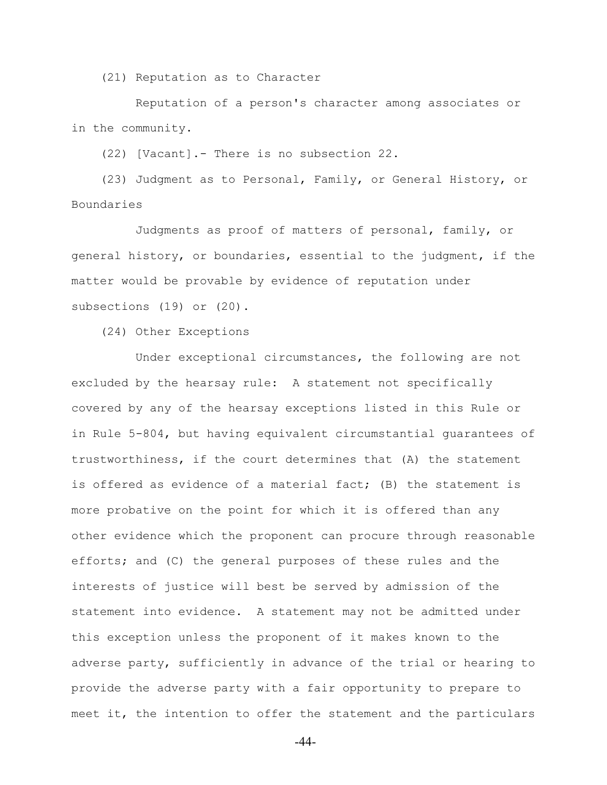(21) Reputation as to Character

 Reputation of a person's character among associates or in the community.

(22) [Vacant].- There is no subsection 22.

 (23) Judgment as to Personal, Family, or General History, or Boundaries

 Judgments as proof of matters of personal, family, or general history, or boundaries, essential to the judgment, if the matter would be provable by evidence of reputation under subsections (19) or (20).

(24) Other Exceptions

 Under exceptional circumstances, the following are not excluded by the hearsay rule: A statement not specifically covered by any of the hearsay exceptions listed in this Rule or in Rule 5-804, but having equivalent circumstantial guarantees of trustworthiness, if the court determines that (A) the statement is offered as evidence of a material fact; (B) the statement is more probative on the point for which it is offered than any other evidence which the proponent can procure through reasonable efforts; and (C) the general purposes of these rules and the interests of justice will best be served by admission of the statement into evidence. A statement may not be admitted under this exception unless the proponent of it makes known to the adverse party, sufficiently in advance of the trial or hearing to provide the adverse party with a fair opportunity to prepare to meet it, the intention to offer the statement and the particulars

-44-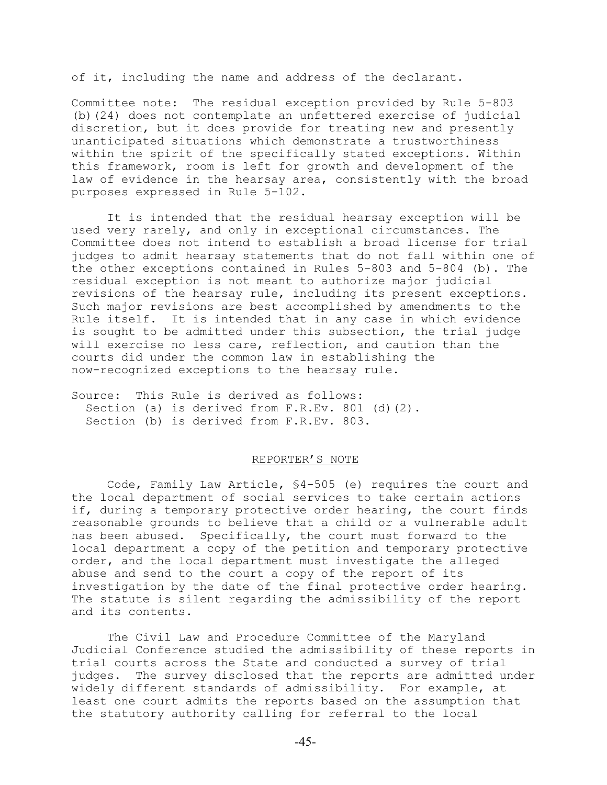of it, including the name and address of the declarant.

Committee note: The residual exception provided by Rule 5-803 (b)(24) does not contemplate an unfettered exercise of judicial discretion, but it does provide for treating new and presently unanticipated situations which demonstrate a trustworthiness within the spirit of the specifically stated exceptions. Within this framework, room is left for growth and development of the law of evidence in the hearsay area, consistently with the broad purposes expressed in Rule 5-102.

It is intended that the residual hearsay exception will be used very rarely, and only in exceptional circumstances. The Committee does not intend to establish a broad license for trial judges to admit hearsay statements that do not fall within one of the other exceptions contained in Rules 5-803 and 5-804 (b). The residual exception is not meant to authorize major judicial revisions of the hearsay rule, including its present exceptions. Such major revisions are best accomplished by amendments to the Rule itself. It is intended that in any case in which evidence is sought to be admitted under this subsection, the trial judge will exercise no less care, reflection, and caution than the courts did under the common law in establishing the now-recognized exceptions to the hearsay rule.

Source: This Rule is derived as follows: Section (a) is derived from F.R.Ev. 801 (d)(2). Section (b) is derived from F.R.Ev. 803.

#### REPORTER'S NOTE

Code, Family Law Article, §4-505 (e) requires the court and the local department of social services to take certain actions if, during a temporary protective order hearing, the court finds reasonable grounds to believe that a child or a vulnerable adult has been abused. Specifically, the court must forward to the local department a copy of the petition and temporary protective order, and the local department must investigate the alleged abuse and send to the court a copy of the report of its investigation by the date of the final protective order hearing. The statute is silent regarding the admissibility of the report and its contents.

The Civil Law and Procedure Committee of the Maryland Judicial Conference studied the admissibility of these reports in trial courts across the State and conducted a survey of trial judges. The survey disclosed that the reports are admitted under widely different standards of admissibility. For example, at least one court admits the reports based on the assumption that the statutory authority calling for referral to the local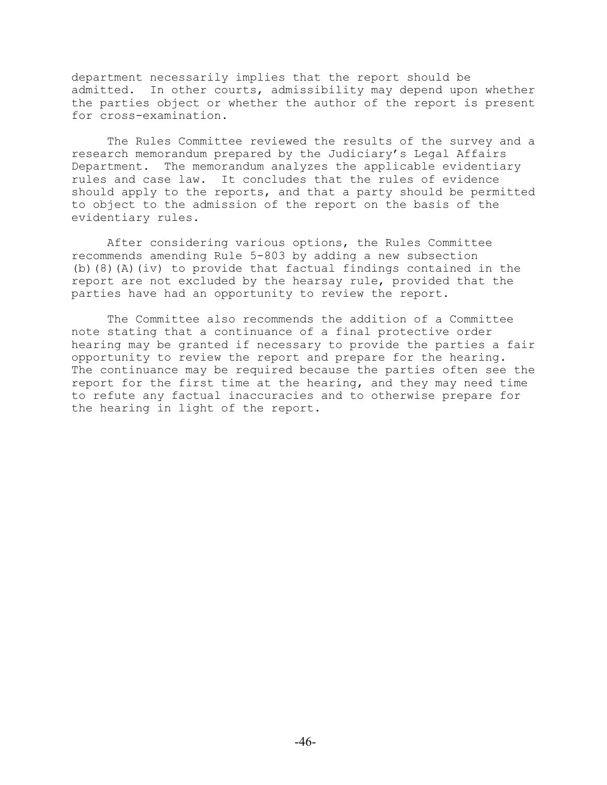department necessarily implies that the report should be admitted. In other courts, admissibility may depend upon whether the parties object or whether the author of the report is present for cross-examination.

The Rules Committee reviewed the results of the survey and a research memorandum prepared by the Judiciary's Legal Affairs Department. The memorandum analyzes the applicable evidentiary rules and case law. It concludes that the rules of evidence should apply to the reports, and that a party should be permitted to object to the admission of the report on the basis of the evidentiary rules.

After considering various options, the Rules Committee recommends amending Rule 5-803 by adding a new subsection (b)(8)(A)(iv) to provide that factual findings contained in the report are not excluded by the hearsay rule, provided that the parties have had an opportunity to review the report.

The Committee also recommends the addition of a Committee note stating that a continuance of a final protective order hearing may be granted if necessary to provide the parties a fair opportunity to review the report and prepare for the hearing. The continuance may be required because the parties often see the report for the first time at the hearing, and they may need time to refute any factual inaccuracies and to otherwise prepare for the hearing in light of the report.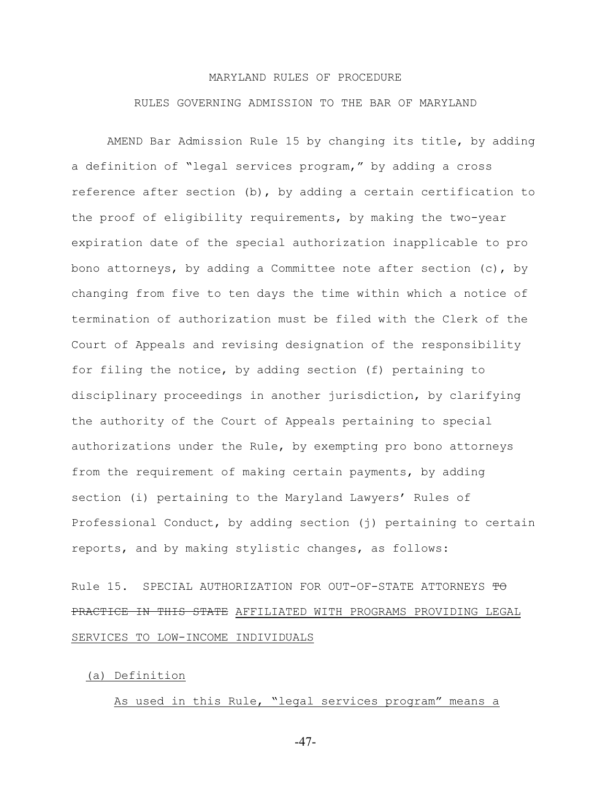# MARYLAND RULES OF PROCEDURE RULES GOVERNING ADMISSION TO THE BAR OF MARYLAND

AMEND Bar Admission Rule 15 by changing its title, by adding a definition of "legal services program," by adding a cross reference after section (b), by adding a certain certification to the proof of eligibility requirements, by making the two-year expiration date of the special authorization inapplicable to pro bono attorneys, by adding a Committee note after section  $(c)$ , by changing from five to ten days the time within which a notice of termination of authorization must be filed with the Clerk of the Court of Appeals and revising designation of the responsibility for filing the notice, by adding section (f) pertaining to disciplinary proceedings in another jurisdiction, by clarifying the authority of the Court of Appeals pertaining to special authorizations under the Rule, by exempting pro bono attorneys from the requirement of making certain payments, by adding section (i) pertaining to the Maryland Lawyers' Rules of Professional Conduct, by adding section (j) pertaining to certain reports, and by making stylistic changes, as follows:

Rule 15. SPECIAL AUTHORIZATION FOR OUT-OF-STATE ATTORNEYS TO PRACTICE IN THIS STATE AFFILIATED WITH PROGRAMS PROVIDING LEGAL SERVICES TO LOW-INCOME INDIVIDUALS

#### (a) Definition

As used in this Rule, "legal services program" means a

-47-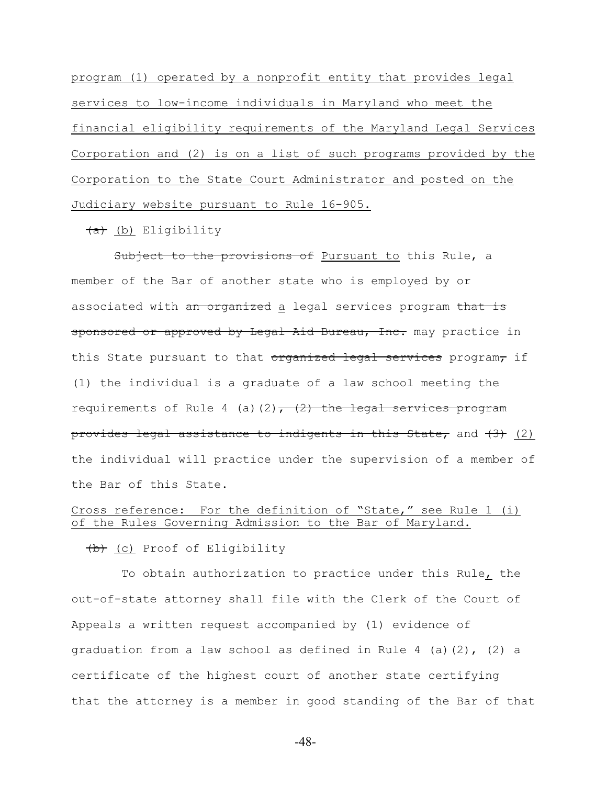program (1) operated by a nonprofit entity that provides legal services to low-income individuals in Maryland who meet the financial eligibility requirements of the Maryland Legal Services Corporation and (2) is on a list of such programs provided by the Corporation to the State Court Administrator and posted on the Judiciary website pursuant to Rule 16-905.

(a) (b) Eligibility

Subject to the provisions of Pursuant to this Rule, a member of the Bar of another state who is employed by or associated with an organized a legal services program that is sponsored or approved by Legal Aid Bureau, Inc. may practice in this State pursuant to that organized legal services program, if (1) the individual is a graduate of a law school meeting the requirements of Rule 4 (a)(2),  $(2)$ , the legal services program provides legal assistance to indigents in this State, and (3) (2) the individual will practice under the supervision of a member of the Bar of this State.

## Cross reference: For the definition of "State," see Rule 1 (i) of the Rules Governing Admission to the Bar of Maryland.

(b) (c) Proof of Eligibility

 To obtain authorization to practice under this Rule, the out-of-state attorney shall file with the Clerk of the Court of Appeals a written request accompanied by (1) evidence of graduation from a law school as defined in Rule 4 (a)(2), (2) a certificate of the highest court of another state certifying that the attorney is a member in good standing of the Bar of that

-48-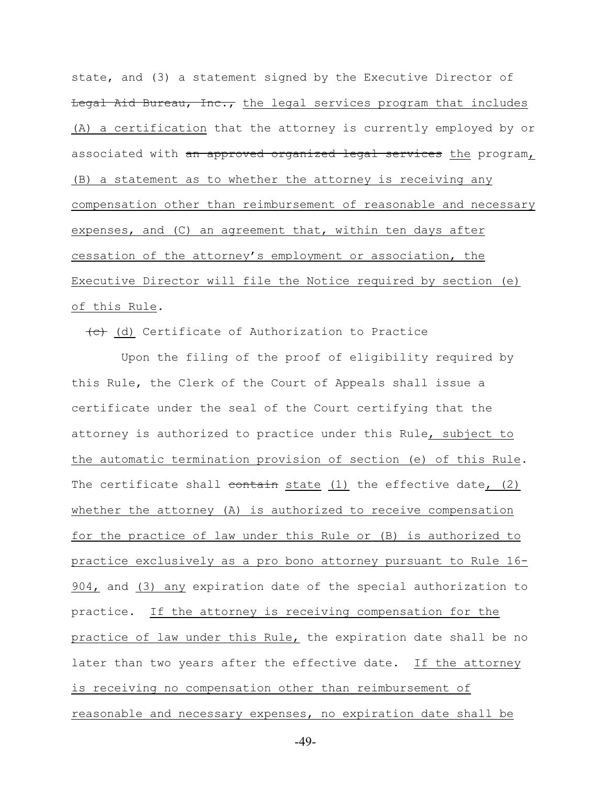state, and (3) a statement signed by the Executive Director of Legal Aid Bureau, Inc., the legal services program that includes (A) a certification that the attorney is currently employed by or associated with an approved organized legal services the program, (B) a statement as to whether the attorney is receiving any compensation other than reimbursement of reasonable and necessary expenses, and (C) an agreement that, within ten days after cessation of the attorney's employment or association, the Executive Director will file the Notice required by section (e) of this Rule.

(d) Certificate of Authorization to Practice

 Upon the filing of the proof of eligibility required by this Rule, the Clerk of the Court of Appeals shall issue a certificate under the seal of the Court certifying that the attorney is authorized to practice under this Rule, subject to the automatic termination provision of section (e) of this Rule. The certificate shall  $\frac{\text{content}}{\text{content}}$  state  $(1)$  the effective date,  $(2)$ whether the attorney (A) is authorized to receive compensation for the practice of law under this Rule or (B) is authorized to practice exclusively as a pro bono attorney pursuant to Rule 16- 904, and (3) any expiration date of the special authorization to practice. If the attorney is receiving compensation for the practice of law under this Rule, the expiration date shall be no later than two years after the effective date. If the attorney is receiving no compensation other than reimbursement of reasonable and necessary expenses, no expiration date shall be

-49-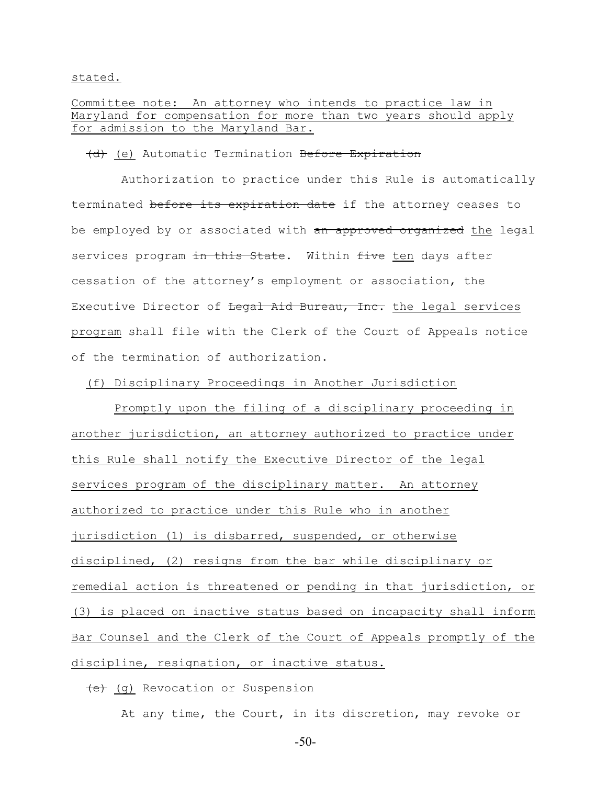stated.

# Committee note: An attorney who intends to practice law in Maryland for compensation for more than two years should apply for admission to the Maryland Bar.

#### (d) (e) Automatic Termination Before Expiration

 Authorization to practice under this Rule is automatically terminated before its expiration date if the attorney ceases to be employed by or associated with an approved organized the legal services program in this State. Within five ten days after cessation of the attorney's employment or association, the Executive Director of <del>Legal Aid Bureau, Inc.</del> the legal services program shall file with the Clerk of the Court of Appeals notice of the termination of authorization.

#### (f) Disciplinary Proceedings in Another Jurisdiction

 Promptly upon the filing of a disciplinary proceeding in another jurisdiction, an attorney authorized to practice under this Rule shall notify the Executive Director of the legal services program of the disciplinary matter. An attorney authorized to practice under this Rule who in another jurisdiction (1) is disbarred, suspended, or otherwise disciplined, (2) resigns from the bar while disciplinary or remedial action is threatened or pending in that jurisdiction, or (3) is placed on inactive status based on incapacity shall inform Bar Counsel and the Clerk of the Court of Appeals promptly of the discipline, resignation, or inactive status.

(e) (g) Revocation or Suspension

At any time, the Court, in its discretion, may revoke or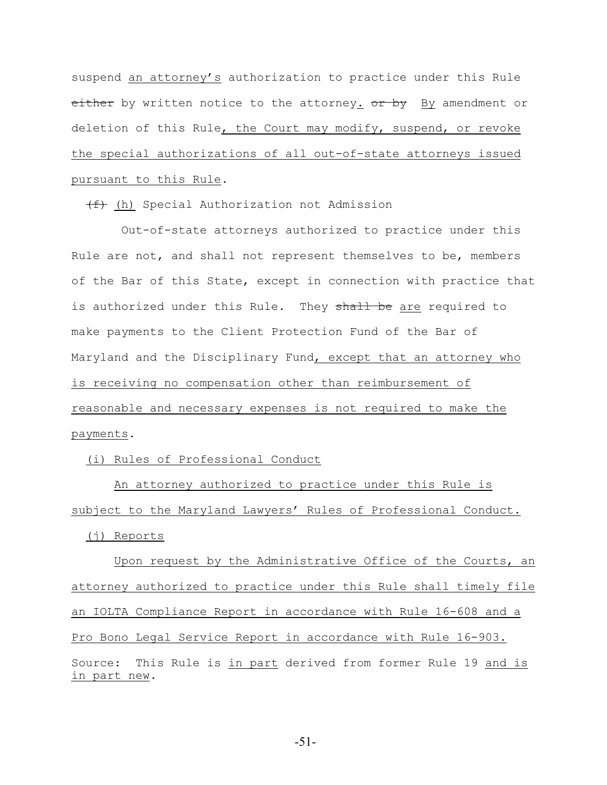suspend an attorney's authorization to practice under this Rule either by written notice to the attorney. or by By amendment or deletion of this Rule, the Court may modify, suspend, or revoke the special authorizations of all out-of-state attorneys issued pursuant to this Rule.

(f) (h) Special Authorization not Admission

 Out-of-state attorneys authorized to practice under this Rule are not, and shall not represent themselves to be, members of the Bar of this State, except in connection with practice that is authorized under this Rule. They shall be are required to make payments to the Client Protection Fund of the Bar of Maryland and the Disciplinary Fund, except that an attorney who is receiving no compensation other than reimbursement of reasonable and necessary expenses is not required to make the payments.

(i) Rules of Professional Conduct

 An attorney authorized to practice under this Rule is subject to the Maryland Lawyers' Rules of Professional Conduct.

(j) Reports

 Upon request by the Administrative Office of the Courts, an attorney authorized to practice under this Rule shall timely file an IOLTA Compliance Report in accordance with Rule 16-608 and a Pro Bono Legal Service Report in accordance with Rule 16-903. Source: This Rule is in part derived from former Rule 19 and is in part new.

-51-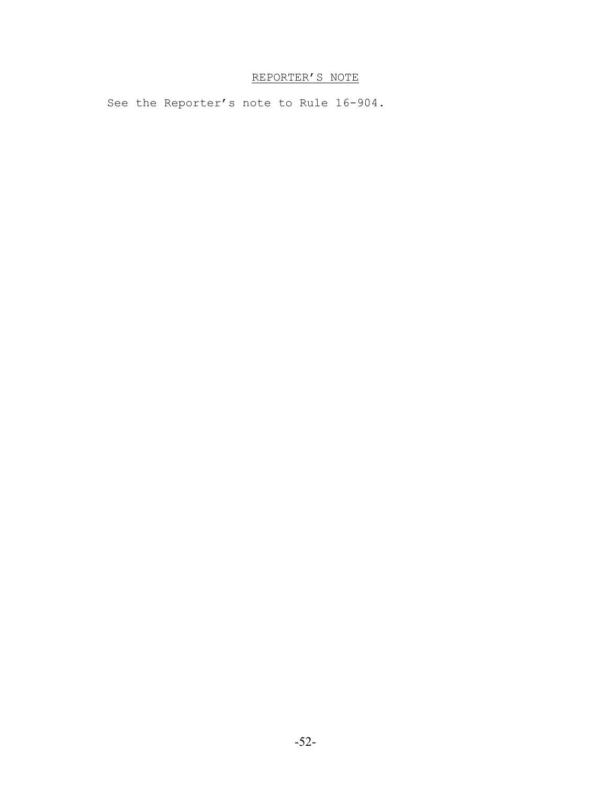# REPORTER'S NOTE

See the Reporter's note to Rule 16-904.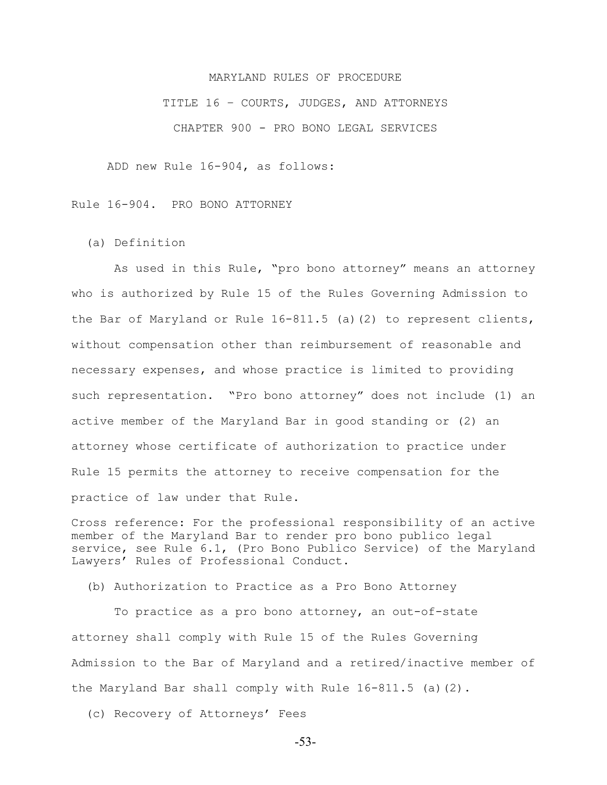#### MARYLAND RULES OF PROCEDURE

TITLE 16 – COURTS, JUDGES, AND ATTORNEYS CHAPTER 900 - PRO BONO LEGAL SERVICES

ADD new Rule 16-904, as follows:

Rule 16-904. PRO BONO ATTORNEY

(a) Definition

 As used in this Rule, "pro bono attorney" means an attorney who is authorized by Rule 15 of the Rules Governing Admission to the Bar of Maryland or Rule 16-811.5 (a)(2) to represent clients, without compensation other than reimbursement of reasonable and necessary expenses, and whose practice is limited to providing such representation. "Pro bono attorney" does not include (1) an active member of the Maryland Bar in good standing or (2) an attorney whose certificate of authorization to practice under Rule 15 permits the attorney to receive compensation for the practice of law under that Rule.

Cross reference: For the professional responsibility of an active member of the Maryland Bar to render pro bono publico legal service, see Rule 6.1, (Pro Bono Publico Service) of the Maryland Lawyers' Rules of Professional Conduct.

(b) Authorization to Practice as a Pro Bono Attorney

 To practice as a pro bono attorney, an out-of-state attorney shall comply with Rule 15 of the Rules Governing Admission to the Bar of Maryland and a retired/inactive member of the Maryland Bar shall comply with Rule  $16-811.5$  (a)(2).

(c) Recovery of Attorneys' Fees

-53-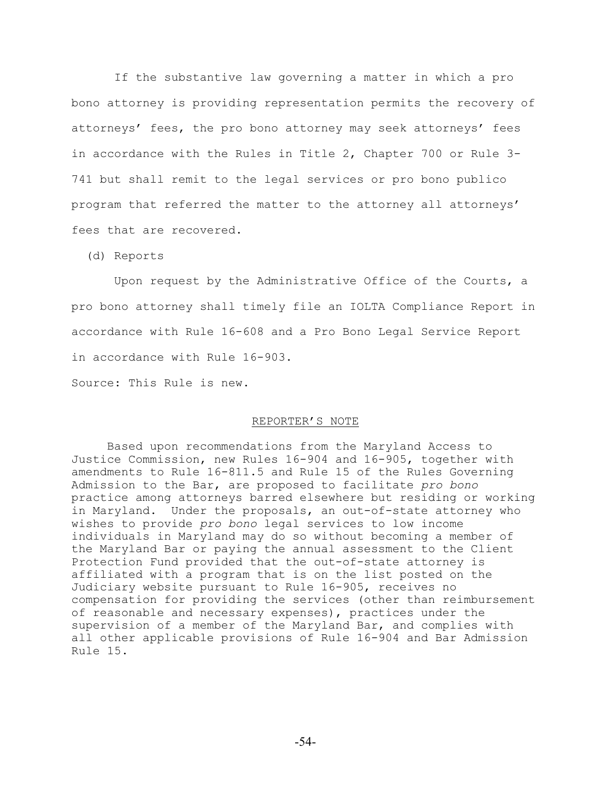If the substantive law governing a matter in which a pro bono attorney is providing representation permits the recovery of attorneys' fees, the pro bono attorney may seek attorneys' fees in accordance with the Rules in Title 2, Chapter 700 or Rule 3- 741 but shall remit to the legal services or pro bono publico program that referred the matter to the attorney all attorneys' fees that are recovered.

(d) Reports

 Upon request by the Administrative Office of the Courts, a pro bono attorney shall timely file an IOLTA Compliance Report in accordance with Rule 16-608 and a Pro Bono Legal Service Report in accordance with Rule 16-903.

Source: This Rule is new.

#### REPORTER'S NOTE

Based upon recommendations from the Maryland Access to Justice Commission, new Rules 16-904 and 16-905, together with amendments to Rule 16-811.5 and Rule 15 of the Rules Governing Admission to the Bar, are proposed to facilitate *pro bono* practice among attorneys barred elsewhere but residing or working in Maryland. Under the proposals, an out-of-state attorney who wishes to provide *pro bono* legal services to low income individuals in Maryland may do so without becoming a member of the Maryland Bar or paying the annual assessment to the Client Protection Fund provided that the out-of-state attorney is affiliated with a program that is on the list posted on the Judiciary website pursuant to Rule 16-905, receives no compensation for providing the services (other than reimbursement of reasonable and necessary expenses), practices under the supervision of a member of the Maryland Bar, and complies with all other applicable provisions of Rule 16-904 and Bar Admission Rule 15.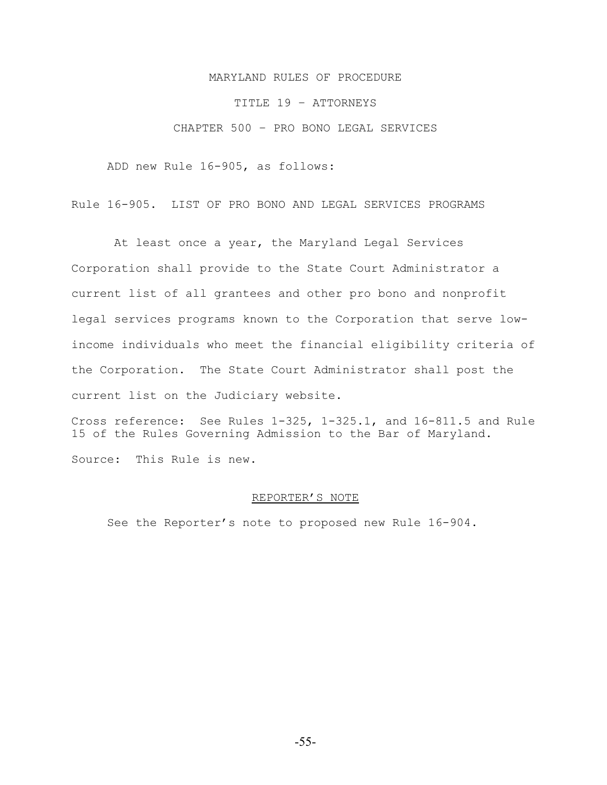### MARYLAND RULES OF PROCEDURE

#### TITLE 19 – ATTORNEYS

### CHAPTER 500 – PRO BONO LEGAL SERVICES

ADD new Rule 16-905, as follows:

Rule 16-905. LIST OF PRO BONO AND LEGAL SERVICES PROGRAMS

 At least once a year, the Maryland Legal Services Corporation shall provide to the State Court Administrator a current list of all grantees and other pro bono and nonprofit legal services programs known to the Corporation that serve lowincome individuals who meet the financial eligibility criteria of the Corporation. The State Court Administrator shall post the current list on the Judiciary website.

Cross reference: See Rules 1-325, 1-325.1, and 16-811.5 and Rule 15 of the Rules Governing Admission to the Bar of Maryland. Source: This Rule is new.

#### REPORTER'S NOTE

See the Reporter's note to proposed new Rule 16-904.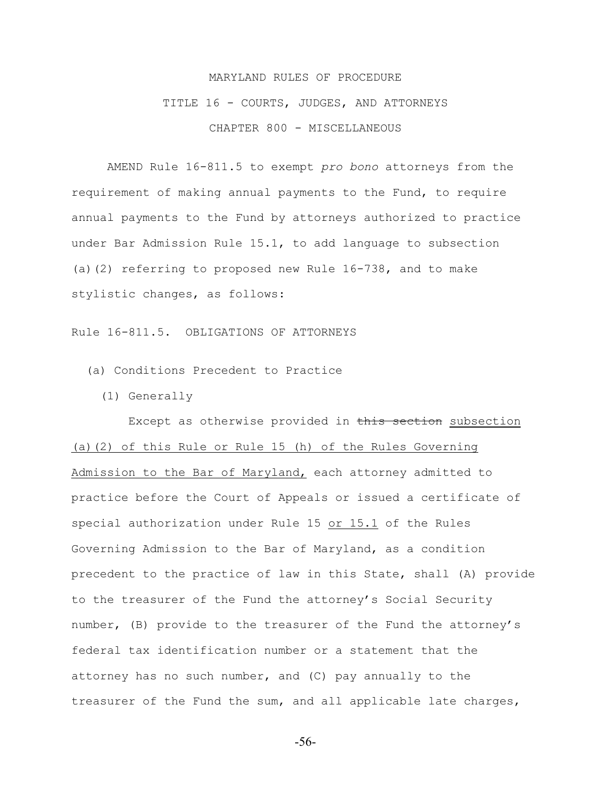# MARYLAND RULES OF PROCEDURE TITLE 16 - COURTS, JUDGES, AND ATTORNEYS CHAPTER 800 - MISCELLANEOUS

AMEND Rule 16-811.5 to exempt *pro bono* attorneys from the requirement of making annual payments to the Fund, to require annual payments to the Fund by attorneys authorized to practice under Bar Admission Rule 15.1, to add language to subsection (a)(2) referring to proposed new Rule 16-738, and to make stylistic changes, as follows:

Rule 16-811.5. OBLIGATIONS OF ATTORNEYS

(a) Conditions Precedent to Practice

(1) Generally

 Except as otherwise provided in this section subsection (a)(2) of this Rule or Rule 15 (h) of the Rules Governing Admission to the Bar of Maryland, each attorney admitted to practice before the Court of Appeals or issued a certificate of special authorization under Rule 15 or 15.1 of the Rules Governing Admission to the Bar of Maryland, as a condition precedent to the practice of law in this State, shall (A) provide to the treasurer of the Fund the attorney's Social Security number, (B) provide to the treasurer of the Fund the attorney's federal tax identification number or a statement that the attorney has no such number, and (C) pay annually to the treasurer of the Fund the sum, and all applicable late charges,

-56-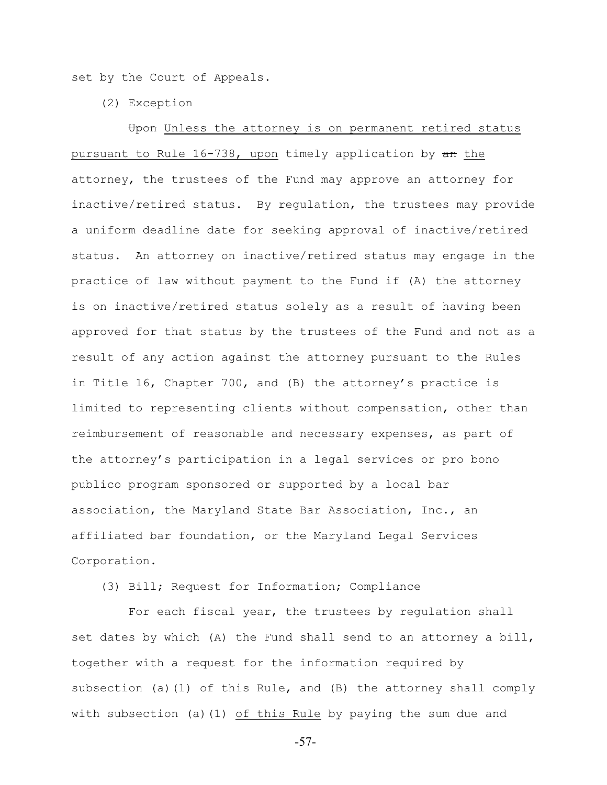set by the Court of Appeals.

(2) Exception

Upon Unless the attorney is on permanent retired status pursuant to Rule  $16-738$ , upon timely application by  $\pi$  the attorney, the trustees of the Fund may approve an attorney for inactive/retired status. By regulation, the trustees may provide a uniform deadline date for seeking approval of inactive/retired status. An attorney on inactive/retired status may engage in the practice of law without payment to the Fund if (A) the attorney is on inactive/retired status solely as a result of having been approved for that status by the trustees of the Fund and not as a result of any action against the attorney pursuant to the Rules in Title 16, Chapter 700, and (B) the attorney's practice is limited to representing clients without compensation, other than reimbursement of reasonable and necessary expenses, as part of the attorney's participation in a legal services or pro bono publico program sponsored or supported by a local bar association, the Maryland State Bar Association, Inc., an affiliated bar foundation, or the Maryland Legal Services Corporation.

(3) Bill; Request for Information; Compliance

 For each fiscal year, the trustees by regulation shall set dates by which (A) the Fund shall send to an attorney a bill, together with a request for the information required by subsection (a)(1) of this Rule, and (B) the attorney shall comply with subsection (a)(1)  $of$  this Rule by paying the sum due and

-57-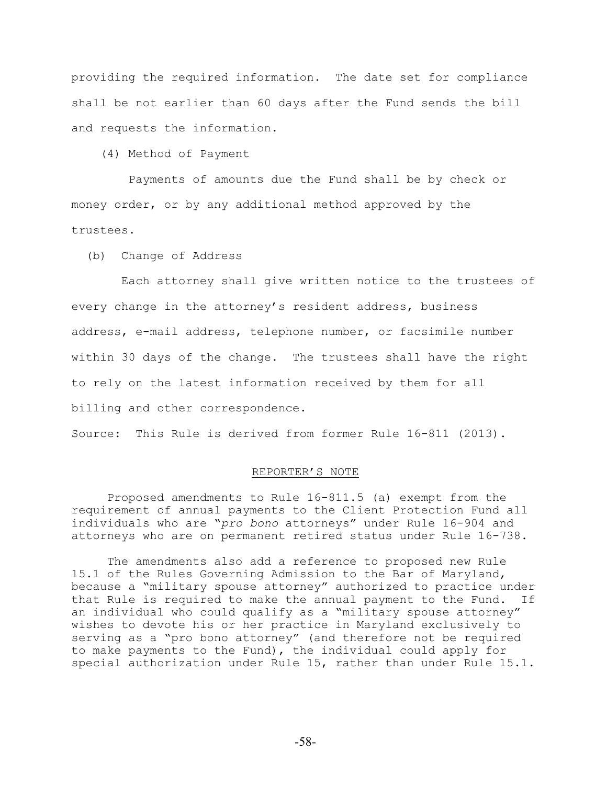providing the required information. The date set for compliance shall be not earlier than 60 days after the Fund sends the bill and requests the information.

(4) Method of Payment

 Payments of amounts due the Fund shall be by check or money order, or by any additional method approved by the trustees.

(b) Change of Address

 Each attorney shall give written notice to the trustees of every change in the attorney's resident address, business address, e-mail address, telephone number, or facsimile number within 30 days of the change. The trustees shall have the right to rely on the latest information received by them for all billing and other correspondence.

Source: This Rule is derived from former Rule 16-811 (2013).

#### REPORTER'S NOTE

Proposed amendments to Rule 16-811.5 (a) exempt from the requirement of annual payments to the Client Protection Fund all individuals who are "*pro bono* attorneys" under Rule 16-904 and attorneys who are on permanent retired status under Rule 16-738.

The amendments also add a reference to proposed new Rule 15.1 of the Rules Governing Admission to the Bar of Maryland, because a "military spouse attorney" authorized to practice under that Rule is required to make the annual payment to the Fund. an individual who could qualify as a "military spouse attorney" wishes to devote his or her practice in Maryland exclusively to serving as a "pro bono attorney" (and therefore not be required to make payments to the Fund), the individual could apply for special authorization under Rule 15, rather than under Rule 15.1.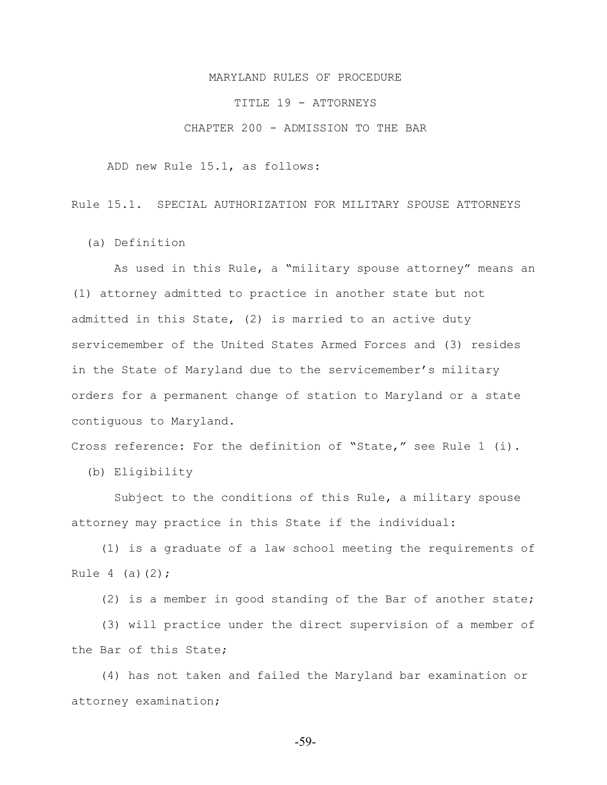#### MARYLAND RULES OF PROCEDURE

TITLE 19 - ATTORNEYS

CHAPTER 200 - ADMISSION TO THE BAR

ADD new Rule 15.1, as follows:

Rule 15.1. SPECIAL AUTHORIZATION FOR MILITARY SPOUSE ATTORNEYS

(a) Definition

 As used in this Rule, a "military spouse attorney" means an (1) attorney admitted to practice in another state but not admitted in this State, (2) is married to an active duty servicemember of the United States Armed Forces and (3) resides in the State of Maryland due to the servicemember's military orders for a permanent change of station to Maryland or a state contiguous to Maryland.

Cross reference: For the definition of "State," see Rule 1 (i).

(b) Eligibility

 Subject to the conditions of this Rule, a military spouse attorney may practice in this State if the individual:

 (1) is a graduate of a law school meeting the requirements of Rule  $4$  (a)(2);

(2) is a member in good standing of the Bar of another state;

 (3) will practice under the direct supervision of a member of the Bar of this State;

 (4) has not taken and failed the Maryland bar examination or attorney examination;

-59-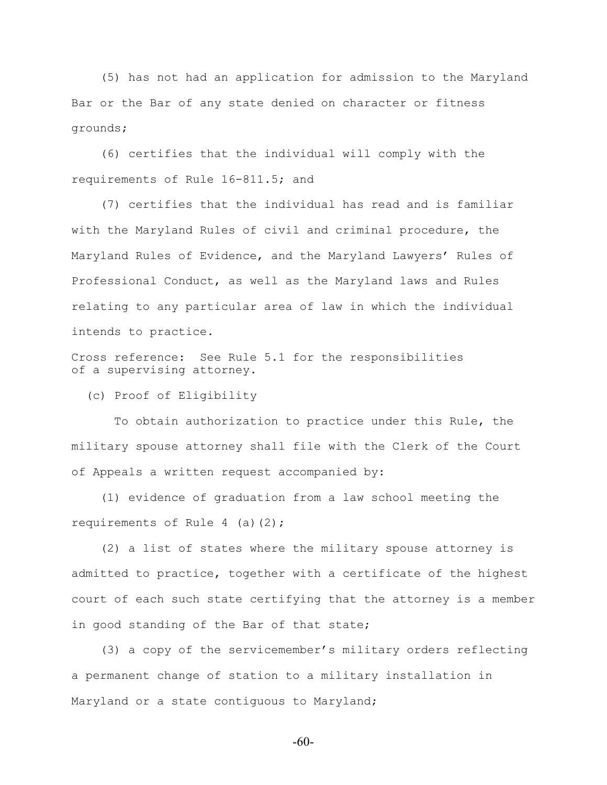(5) has not had an application for admission to the Maryland Bar or the Bar of any state denied on character or fitness grounds;

 (6) certifies that the individual will comply with the requirements of Rule 16-811.5; and

 (7) certifies that the individual has read and is familiar with the Maryland Rules of civil and criminal procedure, the Maryland Rules of Evidence, and the Maryland Lawyers' Rules of Professional Conduct, as well as the Maryland laws and Rules relating to any particular area of law in which the individual intends to practice.

Cross reference: See Rule 5.1 for the responsibilities of a supervising attorney.

(c) Proof of Eligibility

 To obtain authorization to practice under this Rule, the military spouse attorney shall file with the Clerk of the Court of Appeals a written request accompanied by:

 (1) evidence of graduation from a law school meeting the requirements of Rule  $4$  (a)(2);

 (2) a list of states where the military spouse attorney is admitted to practice, together with a certificate of the highest court of each such state certifying that the attorney is a member in good standing of the Bar of that state;

 (3) a copy of the servicemember's military orders reflecting a permanent change of station to a military installation in Maryland or a state contiguous to Maryland;

-60-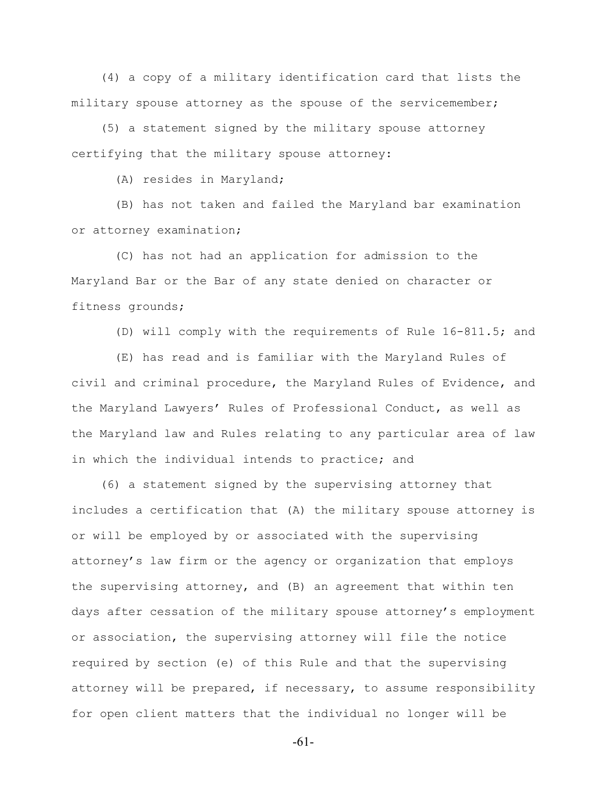(4) a copy of a military identification card that lists the military spouse attorney as the spouse of the servicemember;

 (5) a statement signed by the military spouse attorney certifying that the military spouse attorney:

(A) resides in Maryland;

 (B) has not taken and failed the Maryland bar examination or attorney examination;

 (C) has not had an application for admission to the Maryland Bar or the Bar of any state denied on character or fitness grounds;

(D) will comply with the requirements of Rule 16-811.5; and

 (E) has read and is familiar with the Maryland Rules of civil and criminal procedure, the Maryland Rules of Evidence, and the Maryland Lawyers' Rules of Professional Conduct, as well as the Maryland law and Rules relating to any particular area of law in which the individual intends to practice; and

 (6) a statement signed by the supervising attorney that includes a certification that (A) the military spouse attorney is or will be employed by or associated with the supervising attorney's law firm or the agency or organization that employs the supervising attorney, and (B) an agreement that within ten days after cessation of the military spouse attorney's employment or association, the supervising attorney will file the notice required by section (e) of this Rule and that the supervising attorney will be prepared, if necessary, to assume responsibility for open client matters that the individual no longer will be

-61-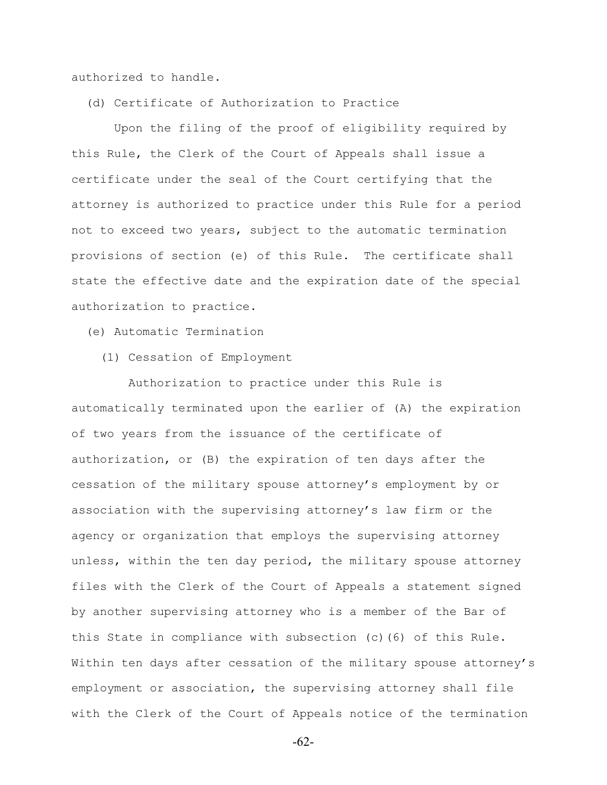authorized to handle.

(d) Certificate of Authorization to Practice

 Upon the filing of the proof of eligibility required by this Rule, the Clerk of the Court of Appeals shall issue a certificate under the seal of the Court certifying that the attorney is authorized to practice under this Rule for a period not to exceed two years, subject to the automatic termination provisions of section (e) of this Rule. The certificate shall state the effective date and the expiration date of the special authorization to practice.

(e) Automatic Termination

(1) Cessation of Employment

 Authorization to practice under this Rule is automatically terminated upon the earlier of (A) the expiration of two years from the issuance of the certificate of authorization, or (B) the expiration of ten days after the cessation of the military spouse attorney's employment by or association with the supervising attorney's law firm or the agency or organization that employs the supervising attorney unless, within the ten day period, the military spouse attorney files with the Clerk of the Court of Appeals a statement signed by another supervising attorney who is a member of the Bar of this State in compliance with subsection (c)(6) of this Rule. Within ten days after cessation of the military spouse attorney's employment or association, the supervising attorney shall file with the Clerk of the Court of Appeals notice of the termination

-62-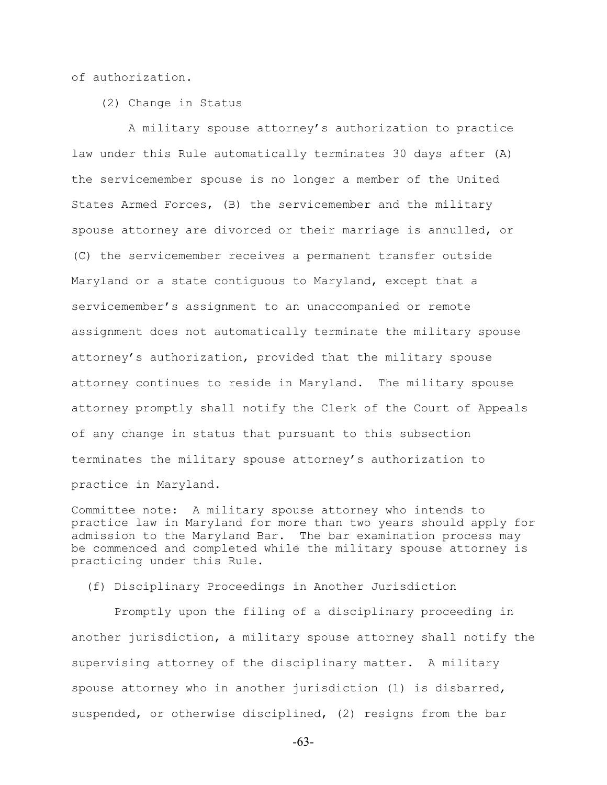of authorization.

(2) Change in Status

 A military spouse attorney's authorization to practice law under this Rule automatically terminates 30 days after (A) the servicemember spouse is no longer a member of the United States Armed Forces, (B) the servicemember and the military spouse attorney are divorced or their marriage is annulled, or (C) the servicemember receives a permanent transfer outside Maryland or a state contiguous to Maryland, except that a servicemember's assignment to an unaccompanied or remote assignment does not automatically terminate the military spouse attorney's authorization, provided that the military spouse attorney continues to reside in Maryland. The military spouse attorney promptly shall notify the Clerk of the Court of Appeals of any change in status that pursuant to this subsection terminates the military spouse attorney's authorization to practice in Maryland.

Committee note: A military spouse attorney who intends to practice law in Maryland for more than two years should apply for admission to the Maryland Bar. The bar examination process may be commenced and completed while the military spouse attorney is practicing under this Rule.

(f) Disciplinary Proceedings in Another Jurisdiction

 Promptly upon the filing of a disciplinary proceeding in another jurisdiction, a military spouse attorney shall notify the supervising attorney of the disciplinary matter. A military spouse attorney who in another jurisdiction (1) is disbarred, suspended, or otherwise disciplined, (2) resigns from the bar

-63-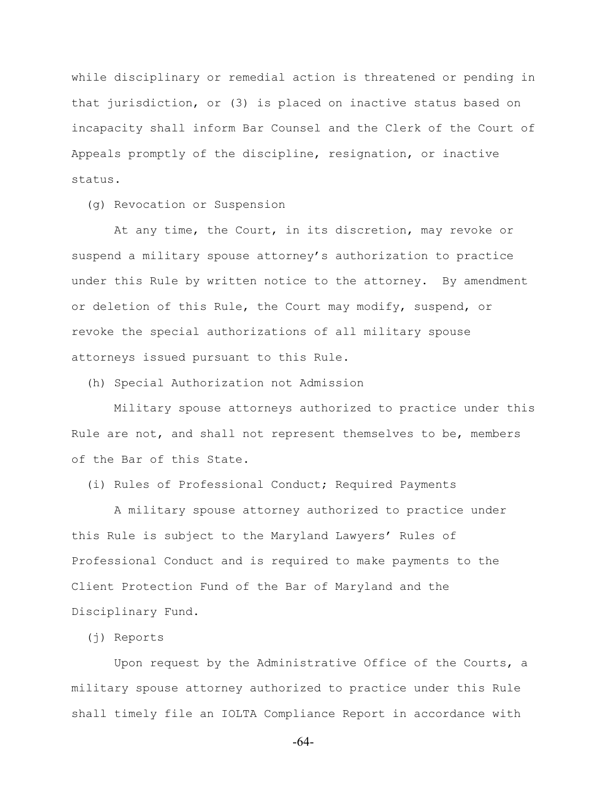while disciplinary or remedial action is threatened or pending in that jurisdiction, or (3) is placed on inactive status based on incapacity shall inform Bar Counsel and the Clerk of the Court of Appeals promptly of the discipline, resignation, or inactive status.

(g) Revocation or Suspension

 At any time, the Court, in its discretion, may revoke or suspend a military spouse attorney's authorization to practice under this Rule by written notice to the attorney. By amendment or deletion of this Rule, the Court may modify, suspend, or revoke the special authorizations of all military spouse attorneys issued pursuant to this Rule.

(h) Special Authorization not Admission

 Military spouse attorneys authorized to practice under this Rule are not, and shall not represent themselves to be, members of the Bar of this State.

(i) Rules of Professional Conduct; Required Payments

 A military spouse attorney authorized to practice under this Rule is subject to the Maryland Lawyers' Rules of Professional Conduct and is required to make payments to the Client Protection Fund of the Bar of Maryland and the Disciplinary Fund.

(j) Reports

 Upon request by the Administrative Office of the Courts, a military spouse attorney authorized to practice under this Rule shall timely file an IOLTA Compliance Report in accordance with

-64-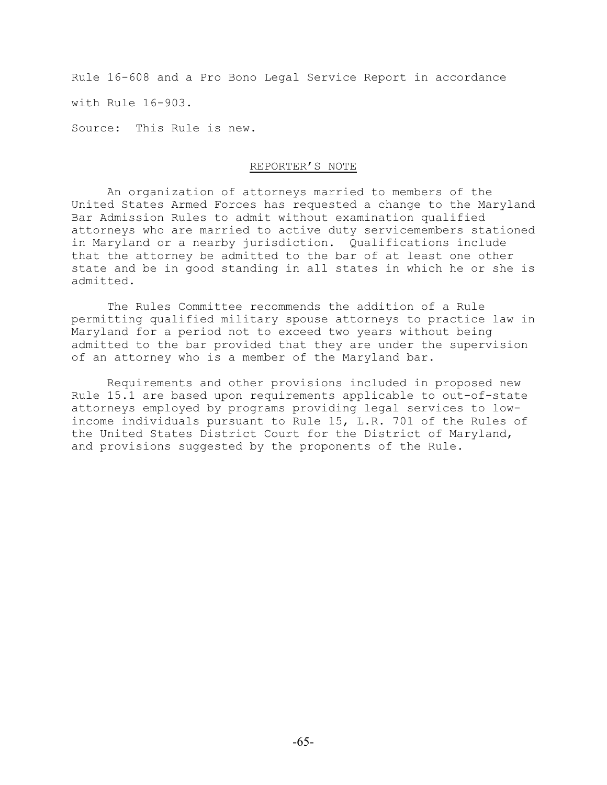Rule 16-608 and a Pro Bono Legal Service Report in accordance

with Rule 16-903.

Source: This Rule is new.

#### REPORTER'S NOTE

An organization of attorneys married to members of the United States Armed Forces has requested a change to the Maryland Bar Admission Rules to admit without examination qualified attorneys who are married to active duty servicemembers stationed in Maryland or a nearby jurisdiction. Qualifications include that the attorney be admitted to the bar of at least one other state and be in good standing in all states in which he or she is admitted.

The Rules Committee recommends the addition of a Rule permitting qualified military spouse attorneys to practice law in Maryland for a period not to exceed two years without being admitted to the bar provided that they are under the supervision of an attorney who is a member of the Maryland bar.

Requirements and other provisions included in proposed new Rule 15.1 are based upon requirements applicable to out-of-state attorneys employed by programs providing legal services to lowincome individuals pursuant to Rule 15, L.R. 701 of the Rules of the United States District Court for the District of Maryland, and provisions suggested by the proponents of the Rule.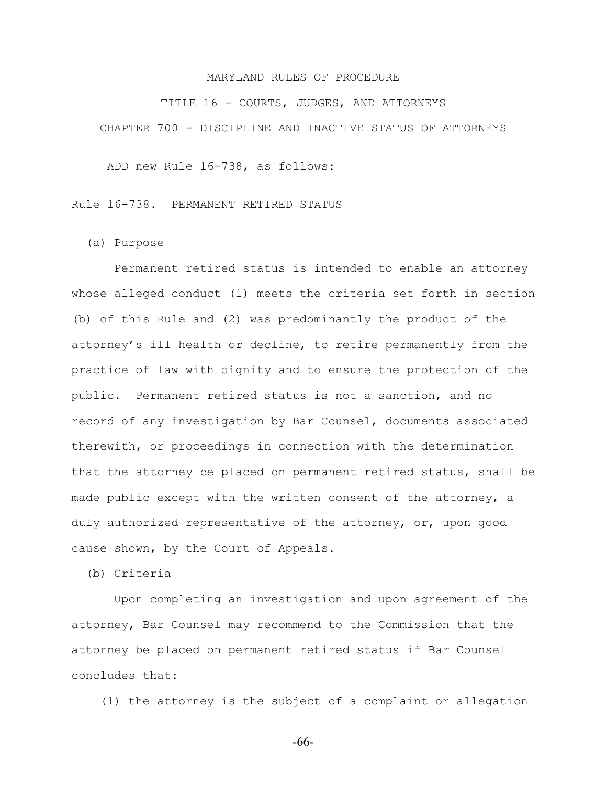#### MARYLAND RULES OF PROCEDURE

TITLE 16 - COURTS, JUDGES, AND ATTORNEYS CHAPTER 700 - DISCIPLINE AND INACTIVE STATUS OF ATTORNEYS

ADD new Rule 16-738, as follows:

Rule 16-738. PERMANENT RETIRED STATUS

(a) Purpose

 Permanent retired status is intended to enable an attorney whose alleged conduct (1) meets the criteria set forth in section (b) of this Rule and (2) was predominantly the product of the attorney's ill health or decline, to retire permanently from the practice of law with dignity and to ensure the protection of the public. Permanent retired status is not a sanction, and no record of any investigation by Bar Counsel, documents associated therewith, or proceedings in connection with the determination that the attorney be placed on permanent retired status, shall be made public except with the written consent of the attorney, a duly authorized representative of the attorney, or, upon good cause shown, by the Court of Appeals.

(b) Criteria

 Upon completing an investigation and upon agreement of the attorney, Bar Counsel may recommend to the Commission that the attorney be placed on permanent retired status if Bar Counsel concludes that:

(1) the attorney is the subject of a complaint or allegation

-66-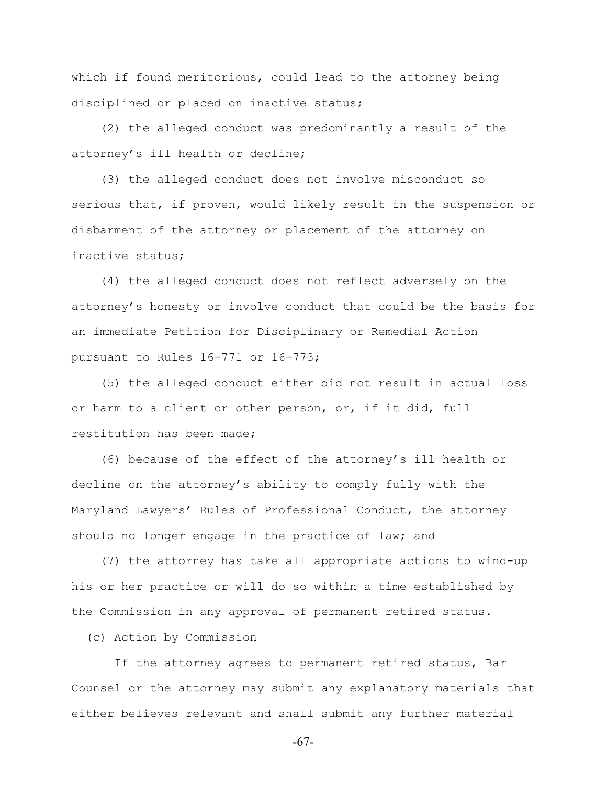which if found meritorious, could lead to the attorney being disciplined or placed on inactive status;

 (2) the alleged conduct was predominantly a result of the attorney's ill health or decline;

 (3) the alleged conduct does not involve misconduct so serious that, if proven, would likely result in the suspension or disbarment of the attorney or placement of the attorney on inactive status;

 (4) the alleged conduct does not reflect adversely on the attorney's honesty or involve conduct that could be the basis for an immediate Petition for Disciplinary or Remedial Action pursuant to Rules 16-771 or 16-773;

 (5) the alleged conduct either did not result in actual loss or harm to a client or other person, or, if it did, full restitution has been made;

 (6) because of the effect of the attorney's ill health or decline on the attorney's ability to comply fully with the Maryland Lawyers' Rules of Professional Conduct, the attorney should no longer engage in the practice of law; and

 (7) the attorney has take all appropriate actions to wind-up his or her practice or will do so within a time established by the Commission in any approval of permanent retired status.

(c) Action by Commission

 If the attorney agrees to permanent retired status, Bar Counsel or the attorney may submit any explanatory materials that either believes relevant and shall submit any further material

-67-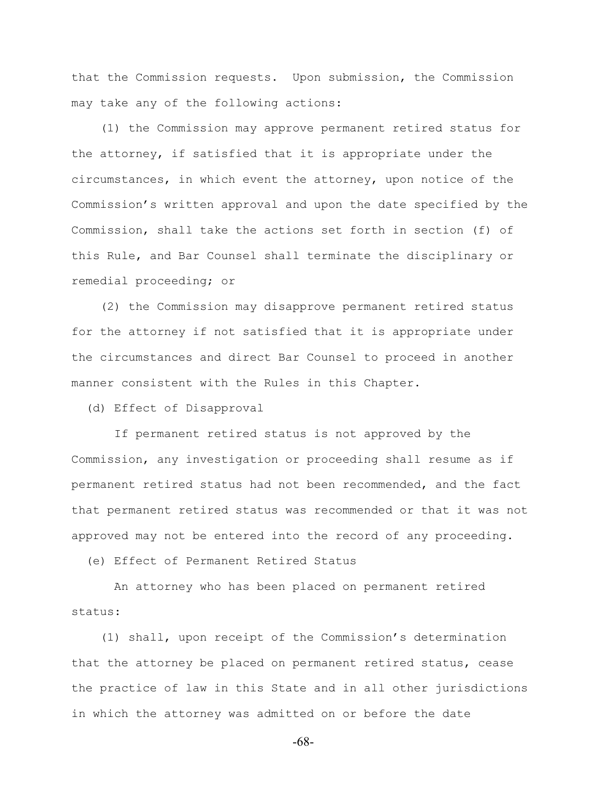that the Commission requests. Upon submission, the Commission may take any of the following actions:

 (1) the Commission may approve permanent retired status for the attorney, if satisfied that it is appropriate under the circumstances, in which event the attorney, upon notice of the Commission's written approval and upon the date specified by the Commission, shall take the actions set forth in section (f) of this Rule, and Bar Counsel shall terminate the disciplinary or remedial proceeding; or

 (2) the Commission may disapprove permanent retired status for the attorney if not satisfied that it is appropriate under the circumstances and direct Bar Counsel to proceed in another manner consistent with the Rules in this Chapter.

(d) Effect of Disapproval

 If permanent retired status is not approved by the Commission, any investigation or proceeding shall resume as if permanent retired status had not been recommended, and the fact that permanent retired status was recommended or that it was not approved may not be entered into the record of any proceeding.

(e) Effect of Permanent Retired Status

 An attorney who has been placed on permanent retired status:

 (1) shall, upon receipt of the Commission's determination that the attorney be placed on permanent retired status, cease the practice of law in this State and in all other jurisdictions in which the attorney was admitted on or before the date

-68-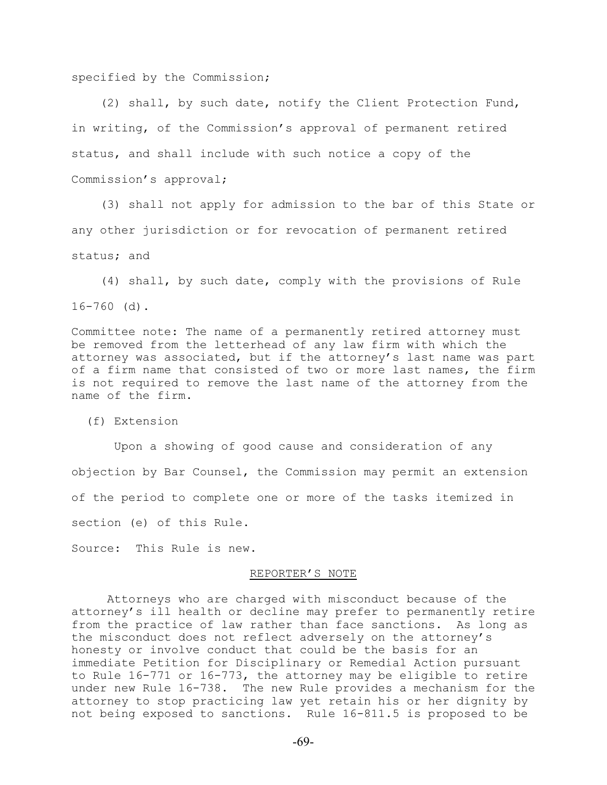specified by the Commission;

 (2) shall, by such date, notify the Client Protection Fund, in writing, of the Commission's approval of permanent retired status, and shall include with such notice a copy of the Commission's approval;

 (3) shall not apply for admission to the bar of this State or any other jurisdiction or for revocation of permanent retired status; and

 (4) shall, by such date, comply with the provisions of Rule 16-760 (d).

Committee note: The name of a permanently retired attorney must be removed from the letterhead of any law firm with which the attorney was associated, but if the attorney's last name was part of a firm name that consisted of two or more last names, the firm is not required to remove the last name of the attorney from the name of the firm.

(f) Extension

 Upon a showing of good cause and consideration of any objection by Bar Counsel, the Commission may permit an extension of the period to complete one or more of the tasks itemized in section (e) of this Rule.

Source: This Rule is new.

#### REPORTER'S NOTE

Attorneys who are charged with misconduct because of the attorney's ill health or decline may prefer to permanently retire from the practice of law rather than face sanctions. As long as the misconduct does not reflect adversely on the attorney's honesty or involve conduct that could be the basis for an immediate Petition for Disciplinary or Remedial Action pursuant to Rule 16-771 or 16-773, the attorney may be eligible to retire under new Rule 16-738. The new Rule provides a mechanism for the attorney to stop practicing law yet retain his or her dignity by not being exposed to sanctions. Rule 16-811.5 is proposed to be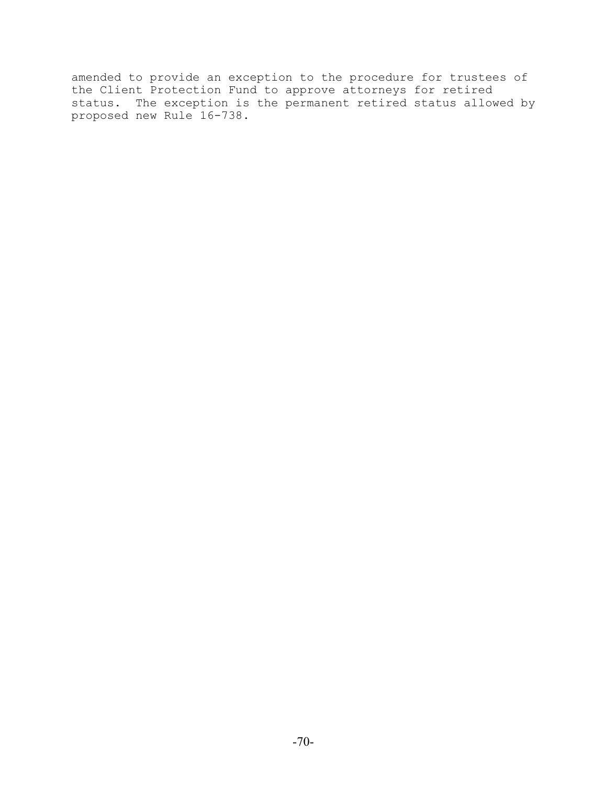amended to provide an exception to the procedure for trustees of the Client Protection Fund to approve attorneys for retired status. The exception is the permanent retired status allowed by proposed new Rule 16-738.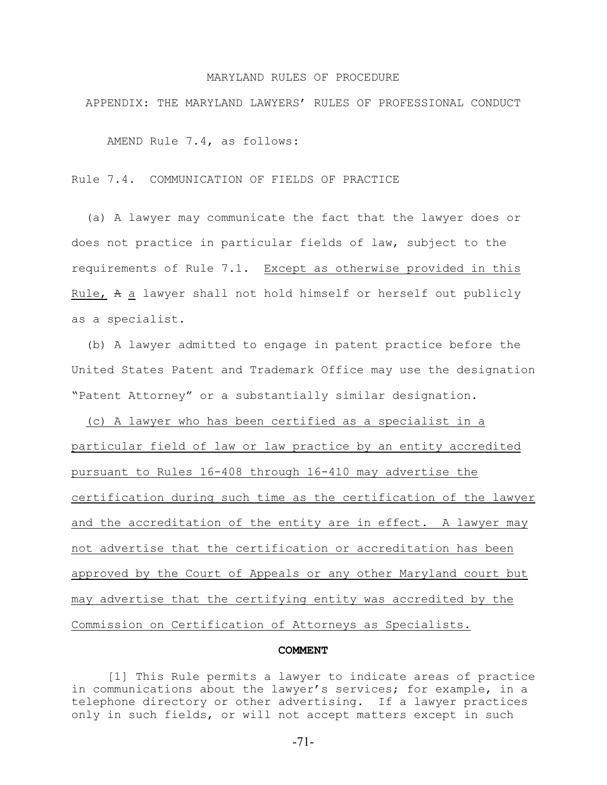#### MARYLAND RULES OF PROCEDURE

APPENDIX: THE MARYLAND LAWYERS' RULES OF PROFESSIONAL CONDUCT

AMEND Rule 7.4, as follows:

Rule 7.4. COMMUNICATION OF FIELDS OF PRACTICE

 (a) A lawyer may communicate the fact that the lawyer does or does not practice in particular fields of law, subject to the requirements of Rule 7.1. Except as otherwise provided in this Rule, A a lawyer shall not hold himself or herself out publicly as a specialist.

 (b) A lawyer admitted to engage in patent practice before the United States Patent and Trademark Office may use the designation "Patent Attorney" or a substantially similar designation.

 (c) A lawyer who has been certified as a specialist in a particular field of law or law practice by an entity accredited pursuant to Rules 16-408 through 16-410 may advertise the certification during such time as the certification of the lawyer and the accreditation of the entity are in effect. A lawyer may not advertise that the certification or accreditation has been approved by the Court of Appeals or any other Maryland court but may advertise that the certifying entity was accredited by the Commission on Certification of Attorneys as Specialists.

#### **COMMENT**

[1] This Rule permits a lawyer to indicate areas of practice in communications about the lawyer's services; for example, in a telephone directory or other advertising. If a lawyer practices only in such fields, or will not accept matters except in such

-71-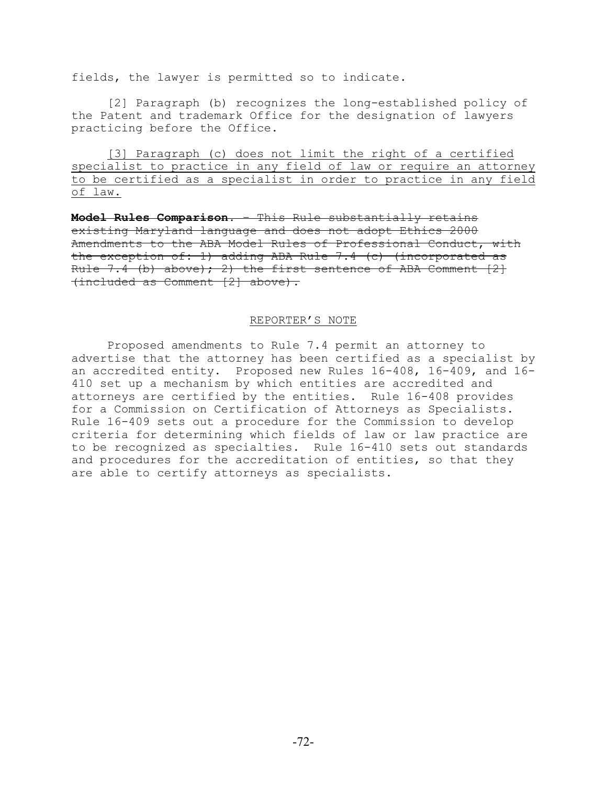fields, the lawyer is permitted so to indicate.

[2] Paragraph (b) recognizes the long-established policy of the Patent and trademark Office for the designation of lawyers practicing before the Office.

[3] Paragraph (c) does not limit the right of a certified specialist to practice in any field of law or require an attorney to be certified as a specialist in order to practice in any field of law.

**Model Rules Comparison**. – This Rule substantially retains existing Maryland language and does not adopt Ethics 2000 Amendments to the ABA Model Rules of Professional Conduct, with the exception of: 1) adding ABA Rule 7.4 (c) (incorporated as Rule 7.4 (b) above); 2) the first sentence of ABA Comment  $[2]$ (included as Comment [2] above).

#### REPORTER'S NOTE

Proposed amendments to Rule 7.4 permit an attorney to advertise that the attorney has been certified as a specialist by an accredited entity. Proposed new Rules 16-408, 16-409, and 16- 410 set up a mechanism by which entities are accredited and attorneys are certified by the entities. Rule 16-408 provides for a Commission on Certification of Attorneys as Specialists. Rule 16-409 sets out a procedure for the Commission to develop criteria for determining which fields of law or law practice are to be recognized as specialties. Rule 16-410 sets out standards and procedures for the accreditation of entities, so that they are able to certify attorneys as specialists.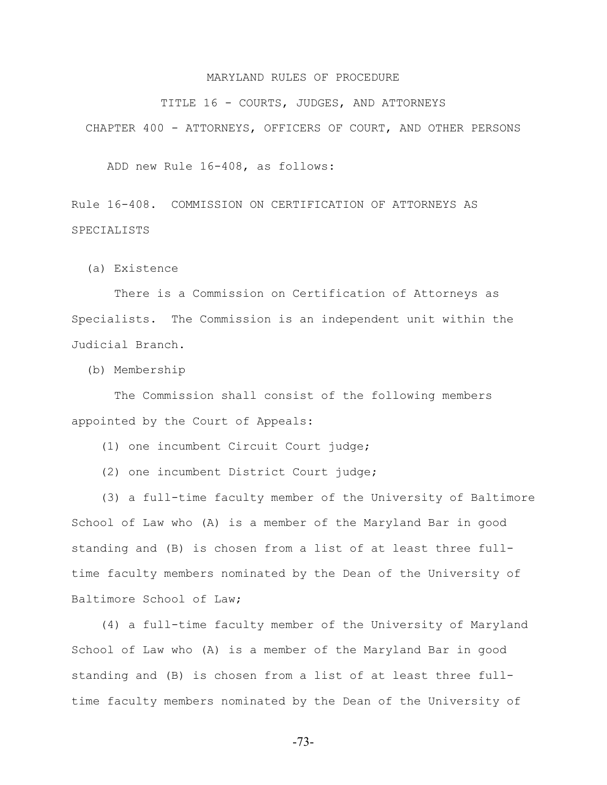TITLE 16 - COURTS, JUDGES, AND ATTORNEYS

CHAPTER 400 - ATTORNEYS, OFFICERS OF COURT, AND OTHER PERSONS

ADD new Rule 16-408, as follows:

Rule 16-408. COMMISSION ON CERTIFICATION OF ATTORNEYS AS SPECIALISTS

(a) Existence

 There is a Commission on Certification of Attorneys as Specialists. The Commission is an independent unit within the Judicial Branch.

(b) Membership

 The Commission shall consist of the following members appointed by the Court of Appeals:

(1) one incumbent Circuit Court judge;

(2) one incumbent District Court judge;

 (3) a full-time faculty member of the University of Baltimore School of Law who (A) is a member of the Maryland Bar in good standing and (B) is chosen from a list of at least three fulltime faculty members nominated by the Dean of the University of Baltimore School of Law;

 (4) a full-time faculty member of the University of Maryland School of Law who (A) is a member of the Maryland Bar in good standing and (B) is chosen from a list of at least three fulltime faculty members nominated by the Dean of the University of

-73-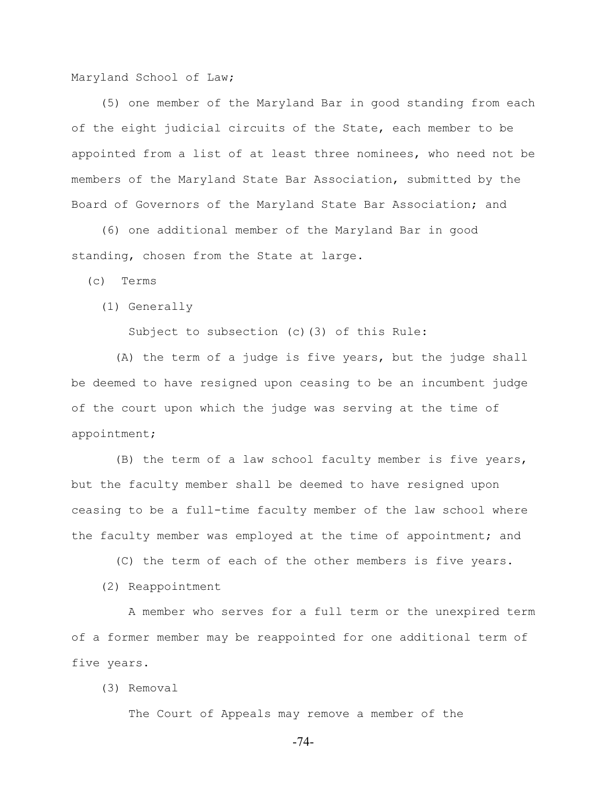Maryland School of Law;

 (5) one member of the Maryland Bar in good standing from each of the eight judicial circuits of the State, each member to be appointed from a list of at least three nominees, who need not be members of the Maryland State Bar Association, submitted by the Board of Governors of the Maryland State Bar Association; and

 (6) one additional member of the Maryland Bar in good standing, chosen from the State at large.

(c) Terms

(1) Generally

Subject to subsection (c)(3) of this Rule:

 (A) the term of a judge is five years, but the judge shall be deemed to have resigned upon ceasing to be an incumbent judge of the court upon which the judge was serving at the time of appointment;

 (B) the term of a law school faculty member is five years, but the faculty member shall be deemed to have resigned upon ceasing to be a full-time faculty member of the law school where the faculty member was employed at the time of appointment; and

(C) the term of each of the other members is five years.

(2) Reappointment

 A member who serves for a full term or the unexpired term of a former member may be reappointed for one additional term of five years.

(3) Removal

The Court of Appeals may remove a member of the

-74-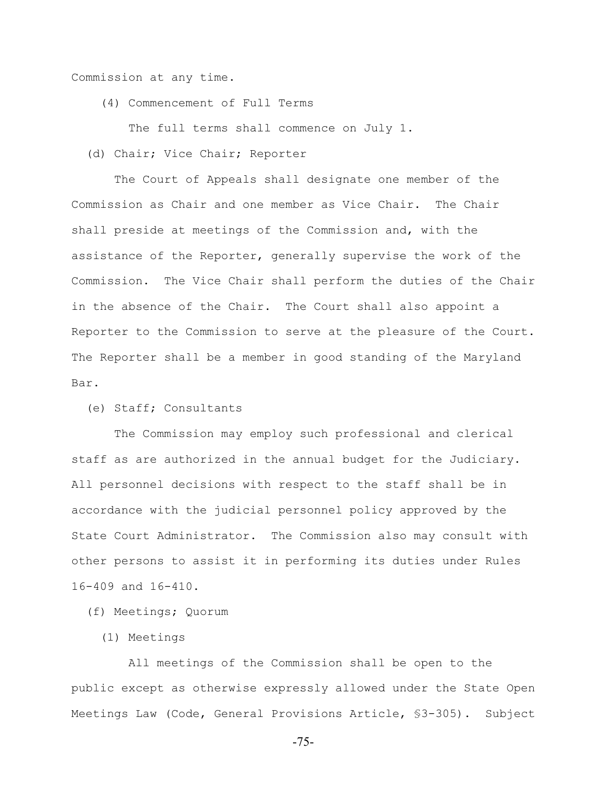Commission at any time.

(4) Commencement of Full Terms

The full terms shall commence on July 1.

(d) Chair; Vice Chair; Reporter

 The Court of Appeals shall designate one member of the Commission as Chair and one member as Vice Chair. The Chair shall preside at meetings of the Commission and, with the assistance of the Reporter, generally supervise the work of the Commission. The Vice Chair shall perform the duties of the Chair in the absence of the Chair. The Court shall also appoint a Reporter to the Commission to serve at the pleasure of the Court. The Reporter shall be a member in good standing of the Maryland Bar.

(e) Staff; Consultants

 The Commission may employ such professional and clerical staff as are authorized in the annual budget for the Judiciary. All personnel decisions with respect to the staff shall be in accordance with the judicial personnel policy approved by the State Court Administrator. The Commission also may consult with other persons to assist it in performing its duties under Rules 16-409 and 16-410.

(f) Meetings; Quorum

(1) Meetings

 All meetings of the Commission shall be open to the public except as otherwise expressly allowed under the State Open Meetings Law (Code, General Provisions Article, §3-305). Subject

-75-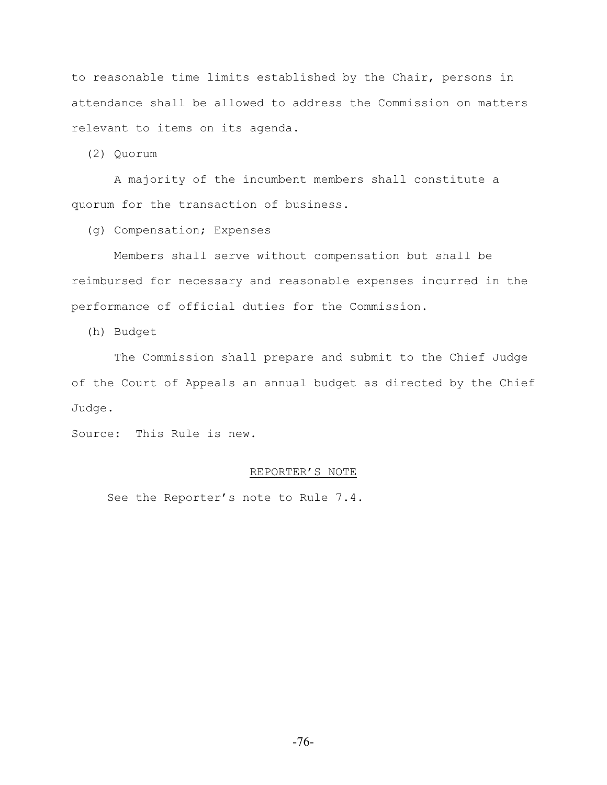to reasonable time limits established by the Chair, persons in attendance shall be allowed to address the Commission on matters relevant to items on its agenda.

(2) Quorum

 A majority of the incumbent members shall constitute a quorum for the transaction of business.

(g) Compensation; Expenses

 Members shall serve without compensation but shall be reimbursed for necessary and reasonable expenses incurred in the performance of official duties for the Commission.

(h) Budget

 The Commission shall prepare and submit to the Chief Judge of the Court of Appeals an annual budget as directed by the Chief Judge.

Source: This Rule is new.

## REPORTER'S NOTE

See the Reporter's note to Rule 7.4.

-76-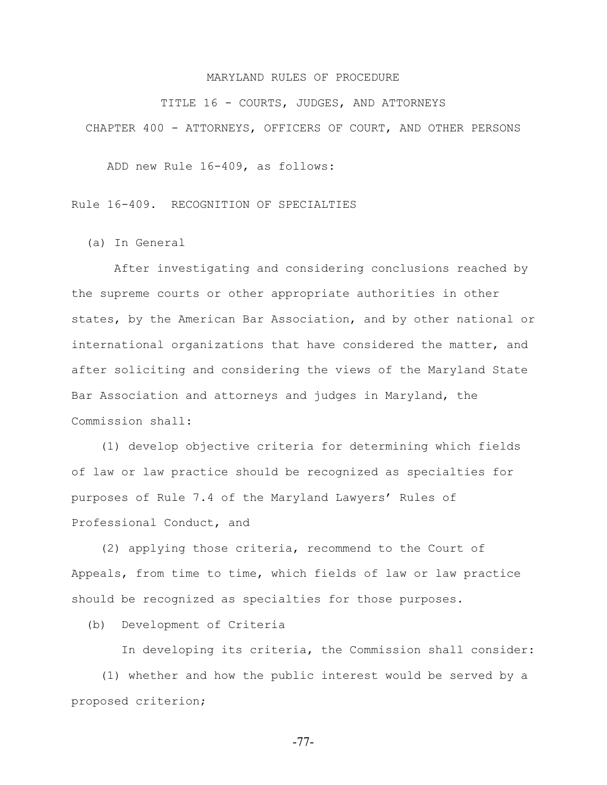TITLE 16 - COURTS, JUDGES, AND ATTORNEYS

CHAPTER 400 - ATTORNEYS, OFFICERS OF COURT, AND OTHER PERSONS

ADD new Rule 16-409, as follows:

Rule 16-409. RECOGNITION OF SPECIALTIES

(a) In General

 After investigating and considering conclusions reached by the supreme courts or other appropriate authorities in other states, by the American Bar Association, and by other national or international organizations that have considered the matter, and after soliciting and considering the views of the Maryland State Bar Association and attorneys and judges in Maryland, the Commission shall:

 (1) develop objective criteria for determining which fields of law or law practice should be recognized as specialties for purposes of Rule 7.4 of the Maryland Lawyers' Rules of Professional Conduct, and

 (2) applying those criteria, recommend to the Court of Appeals, from time to time, which fields of law or law practice should be recognized as specialties for those purposes.

(b) Development of Criteria

 In developing its criteria, the Commission shall consider: (1) whether and how the public interest would be served by a proposed criterion;

-77-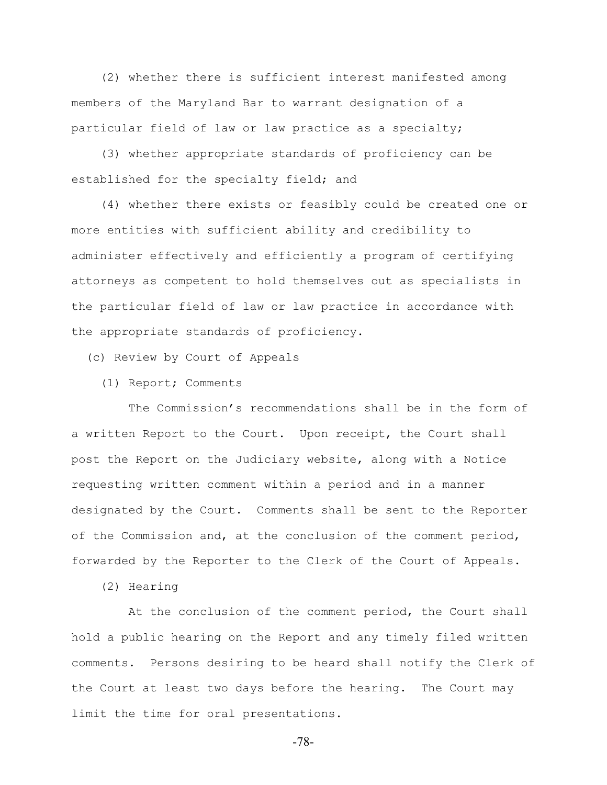(2) whether there is sufficient interest manifested among members of the Maryland Bar to warrant designation of a particular field of law or law practice as a specialty;

 (3) whether appropriate standards of proficiency can be established for the specialty field; and

 (4) whether there exists or feasibly could be created one or more entities with sufficient ability and credibility to administer effectively and efficiently a program of certifying attorneys as competent to hold themselves out as specialists in the particular field of law or law practice in accordance with the appropriate standards of proficiency.

(c) Review by Court of Appeals

(1) Report; Comments

 The Commission's recommendations shall be in the form of a written Report to the Court. Upon receipt, the Court shall post the Report on the Judiciary website, along with a Notice requesting written comment within a period and in a manner designated by the Court. Comments shall be sent to the Reporter of the Commission and, at the conclusion of the comment period, forwarded by the Reporter to the Clerk of the Court of Appeals.

(2) Hearing

 At the conclusion of the comment period, the Court shall hold a public hearing on the Report and any timely filed written comments. Persons desiring to be heard shall notify the Clerk of the Court at least two days before the hearing. The Court may limit the time for oral presentations.

-78-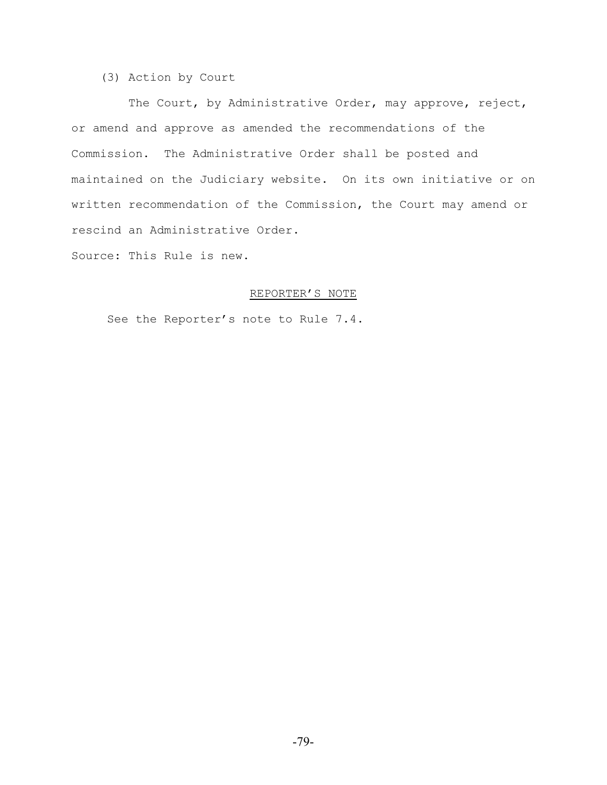# (3) Action by Court

 The Court, by Administrative Order, may approve, reject, or amend and approve as amended the recommendations of the Commission. The Administrative Order shall be posted and maintained on the Judiciary website. On its own initiative or on written recommendation of the Commission, the Court may amend or rescind an Administrative Order.

Source: This Rule is new.

# REPORTER'S NOTE

See the Reporter's note to Rule 7.4.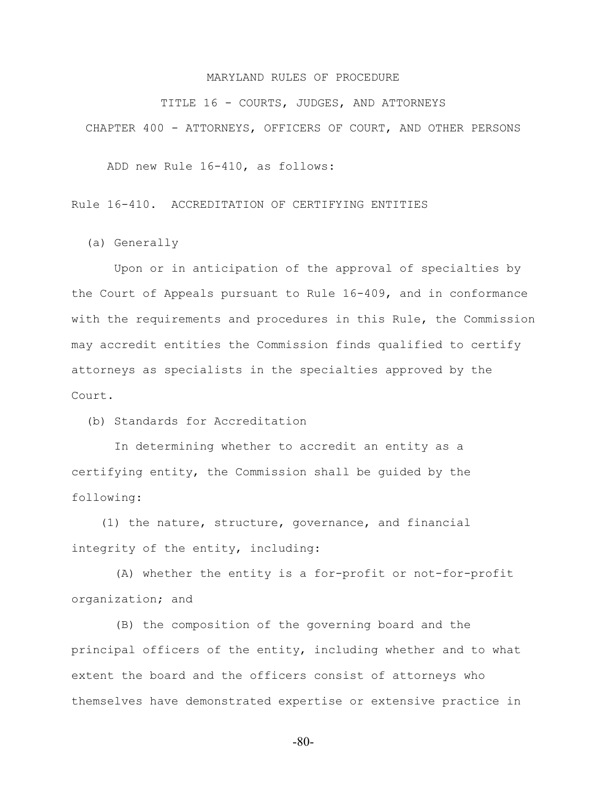TITLE 16 - COURTS, JUDGES, AND ATTORNEYS

CHAPTER 400 - ATTORNEYS, OFFICERS OF COURT, AND OTHER PERSONS

ADD new Rule 16-410, as follows:

Rule 16-410. ACCREDITATION OF CERTIFYING ENTITIES

(a) Generally

 Upon or in anticipation of the approval of specialties by the Court of Appeals pursuant to Rule 16-409, and in conformance with the requirements and procedures in this Rule, the Commission may accredit entities the Commission finds qualified to certify attorneys as specialists in the specialties approved by the Court.

(b) Standards for Accreditation

 In determining whether to accredit an entity as a certifying entity, the Commission shall be guided by the following:

 (1) the nature, structure, governance, and financial integrity of the entity, including:

 (A) whether the entity is a for-profit or not-for-profit organization; and

 (B) the composition of the governing board and the principal officers of the entity, including whether and to what extent the board and the officers consist of attorneys who themselves have demonstrated expertise or extensive practice in

-80-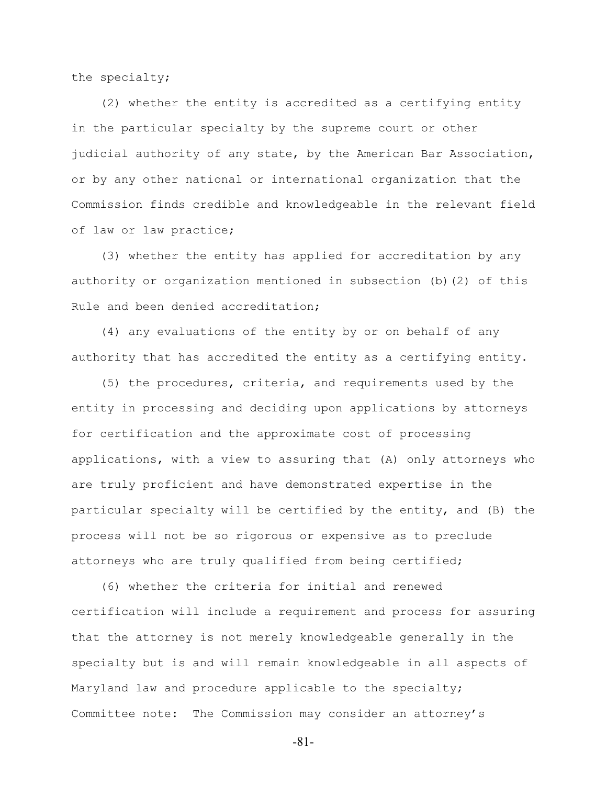the specialty;

 (2) whether the entity is accredited as a certifying entity in the particular specialty by the supreme court or other judicial authority of any state, by the American Bar Association, or by any other national or international organization that the Commission finds credible and knowledgeable in the relevant field of law or law practice;

 (3) whether the entity has applied for accreditation by any authority or organization mentioned in subsection (b)(2) of this Rule and been denied accreditation;

 (4) any evaluations of the entity by or on behalf of any authority that has accredited the entity as a certifying entity.

 (5) the procedures, criteria, and requirements used by the entity in processing and deciding upon applications by attorneys for certification and the approximate cost of processing applications, with a view to assuring that (A) only attorneys who are truly proficient and have demonstrated expertise in the particular specialty will be certified by the entity, and (B) the process will not be so rigorous or expensive as to preclude attorneys who are truly qualified from being certified;

 (6) whether the criteria for initial and renewed certification will include a requirement and process for assuring that the attorney is not merely knowledgeable generally in the specialty but is and will remain knowledgeable in all aspects of Maryland law and procedure applicable to the specialty; Committee note: The Commission may consider an attorney's

-81-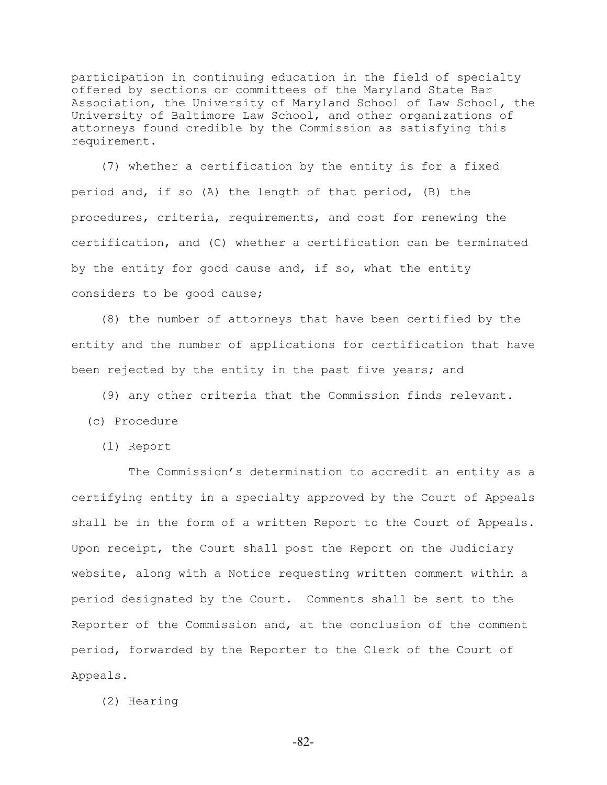participation in continuing education in the field of specialty offered by sections or committees of the Maryland State Bar Association, the University of Maryland School of Law School, the University of Baltimore Law School, and other organizations of attorneys found credible by the Commission as satisfying this requirement.

 (7) whether a certification by the entity is for a fixed period and, if so (A) the length of that period, (B) the procedures, criteria, requirements, and cost for renewing the certification, and (C) whether a certification can be terminated by the entity for good cause and, if so, what the entity considers to be good cause;

 (8) the number of attorneys that have been certified by the entity and the number of applications for certification that have been rejected by the entity in the past five years; and

(9) any other criteria that the Commission finds relevant.

- (c) Procedure
	- (1) Report

 The Commission's determination to accredit an entity as a certifying entity in a specialty approved by the Court of Appeals shall be in the form of a written Report to the Court of Appeals. Upon receipt, the Court shall post the Report on the Judiciary website, along with a Notice requesting written comment within a period designated by the Court. Comments shall be sent to the Reporter of the Commission and, at the conclusion of the comment period, forwarded by the Reporter to the Clerk of the Court of Appeals.

(2) Hearing

-82-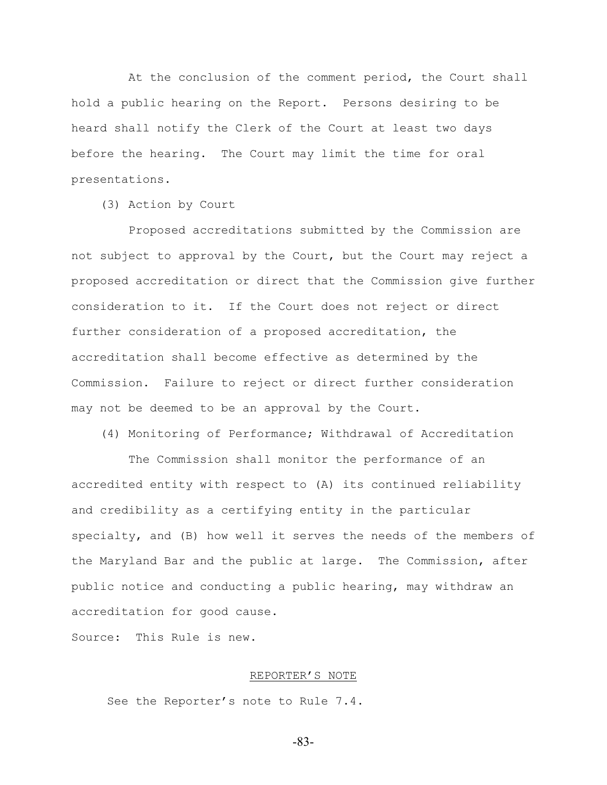At the conclusion of the comment period, the Court shall hold a public hearing on the Report. Persons desiring to be heard shall notify the Clerk of the Court at least two days before the hearing. The Court may limit the time for oral presentations.

(3) Action by Court

 Proposed accreditations submitted by the Commission are not subject to approval by the Court, but the Court may reject a proposed accreditation or direct that the Commission give further consideration to it. If the Court does not reject or direct further consideration of a proposed accreditation, the accreditation shall become effective as determined by the Commission. Failure to reject or direct further consideration may not be deemed to be an approval by the Court.

(4) Monitoring of Performance; Withdrawal of Accreditation

 The Commission shall monitor the performance of an accredited entity with respect to (A) its continued reliability and credibility as a certifying entity in the particular specialty, and (B) how well it serves the needs of the members of the Maryland Bar and the public at large. The Commission, after public notice and conducting a public hearing, may withdraw an accreditation for good cause.

Source: This Rule is new.

# REPORTER'S NOTE

See the Reporter's note to Rule 7.4.

-83-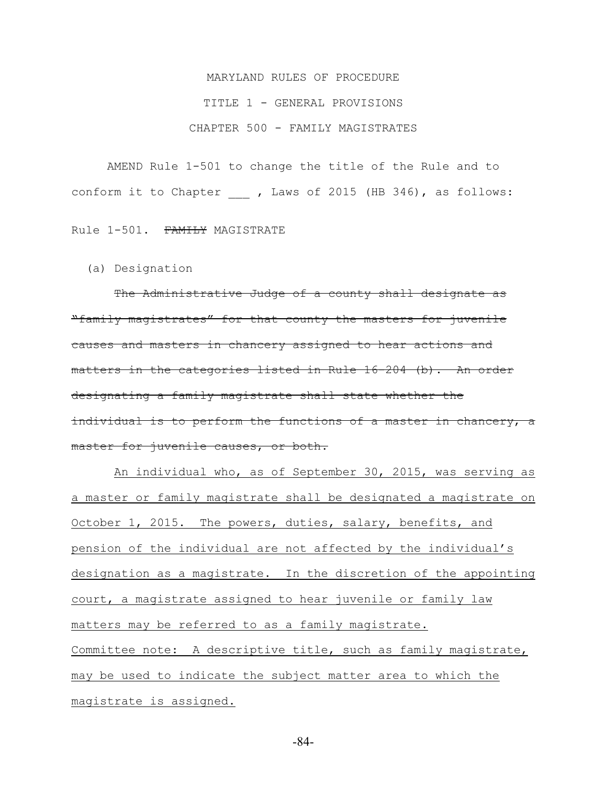# MARYLAND RULES OF PROCEDURE TITLE 1 - GENERAL PROVISIONS CHAPTER 500 - FAMILY MAGISTRATES

AMEND Rule 1-501 to change the title of the Rule and to conform it to Chapter , Laws of 2015 (HB 346), as follows:

Rule 1-501. FAMILY MAGISTRATE

(a) Designation

The Administrative Judge of a county shall designate as "family magistrates" for that county the masters for juvenile causes and masters in chancery assigned to hear actions and matters in the categories listed in Rule 16-204 (b). An order designating a family magistrate shall state whether the individual is to perform the functions of a master in chancery, a master for juvenile causes, or both.

 An individual who, as of September 30, 2015, was serving as a master or family magistrate shall be designated a magistrate on October 1, 2015. The powers, duties, salary, benefits, and pension of the individual are not affected by the individual's designation as a magistrate. In the discretion of the appointing court, a magistrate assigned to hear juvenile or family law matters may be referred to as a family magistrate. Committee note: A descriptive title, such as family magistrate, may be used to indicate the subject matter area to which the magistrate is assigned.

-84-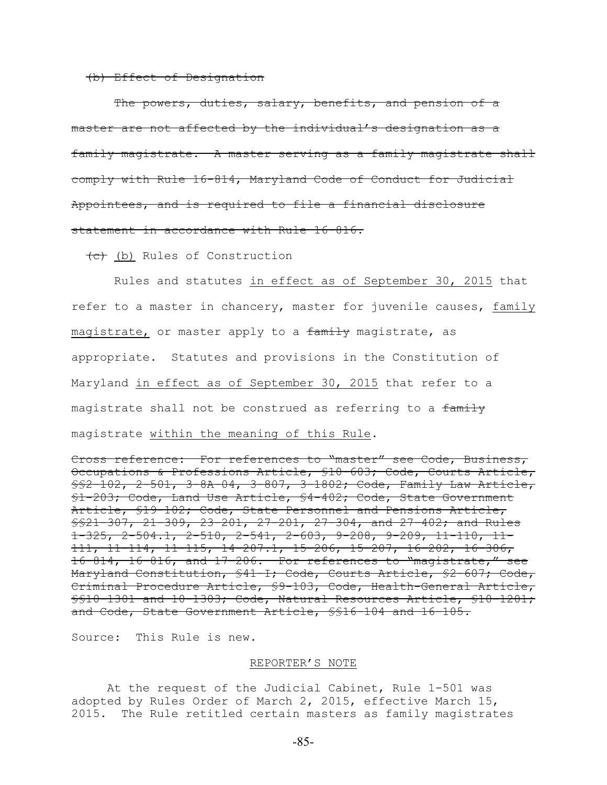## (b) Effect of Designation

The powers, duties, salary, benefits, and pension of a master are not affected by the individual's designation as a family magistrate. A master serving as a family magistrate shall comply with Rule 16-814, Maryland Code of Conduct for Judicial Appointees, and is required to file a financial disclosure statement in accordance with Rule 16-816.

(c) (b) Rules of Construction

 Rules and statutes in effect as of September 30, 2015 that refer to a master in chancery, master for juvenile causes, family magistrate, or master apply to a family magistrate, as appropriate. Statutes and provisions in the Constitution of Maryland in effect as of September 30, 2015 that refer to a magistrate shall not be construed as referring to a family magistrate within the meaning of this Rule.

Cross reference: For references to "master" see Code, Business, Occupations & Professions Article, §10-603; Code, Courts Article, §§2-102, 2-501, 3-8A-04, 3-807, 3-1802; Code, Family Law Article, §1-203; Code, Land Use Article, §4-402; Code, State Government Article, §19-102; Code, State Personnel and Pensions Article, §§21-307, 21-309, 23-201, 27-201, 27-304, and 27-402; and Rules 1-325, 2-504.1, 2-510, 2-541, 2-603, 9-208, 9-209, 11-110, 11- 111, 11-114, 11-115, 14-207.1, 15-206, 15-207, 16-202, 16-306, 16-814, 16-816, and 17-206. For references to "magistrate," see Maryland Constitution, §41-I; Code, Courts Article, §2-607; Code, Criminal Procedure Article, §9-103, Code, Health-General Article, §§10-1301 and 10-1303; Code, Natural Resources Article, §10-1201; and Code, State Government Article, §§16-104 and 16-105.

Source: This Rule is new.

#### REPORTER'S NOTE

At the request of the Judicial Cabinet, Rule 1-501 was adopted by Rules Order of March 2, 2015, effective March 15, 2015. The Rule retitled certain masters as family magistrates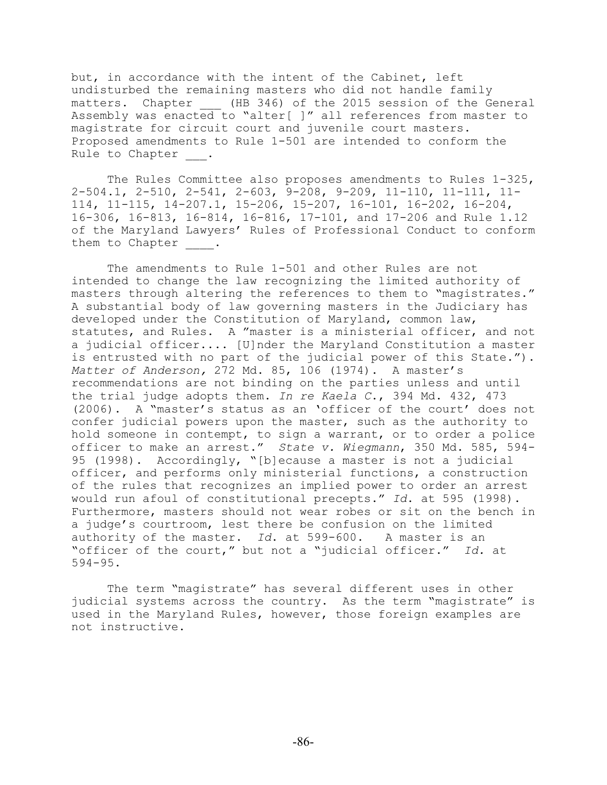but, in accordance with the intent of the Cabinet, left undisturbed the remaining masters who did not handle family matters. Chapter (HB 346) of the 2015 session of the General Assembly was enacted to "alter[ ]" all references from master to magistrate for circuit court and juvenile court masters. Proposed amendments to Rule 1-501 are intended to conform the Rule to Chapter .

The Rules Committee also proposes amendments to Rules 1-325, 2-504.1, 2-510, 2-541, 2-603, 9-208, 9-209, 11-110, 11-111, 11- 114, 11-115, 14-207.1, 15-206, 15-207, 16-101, 16-202, 16-204, 16-306, 16-813, 16-814, 16-816, 17-101, and 17-206 and Rule 1.12 of the Maryland Lawyers' Rules of Professional Conduct to conform them to Chapter .

The amendments to Rule 1-501 and other Rules are not intended to change the law recognizing the limited authority of masters through altering the references to them to "magistrates." A substantial body of law governing masters in the Judiciary has developed under the Constitution of Maryland, common law, statutes, and Rules. A "master is a ministerial officer, and not a judicial officer.... [U]nder the Maryland Constitution a master is entrusted with no part of the judicial power of this State."). *Matter of Anderson,* 272 Md. 85, 106 (1974). A master's recommendations are not binding on the parties unless and until the trial judge adopts them. *In re Kaela C*., 394 Md. 432, 473 (2006). A "master's status as an 'officer of the court' does not confer judicial powers upon the master, such as the authority to hold someone in contempt, to sign a warrant, or to order a police officer to make an arrest." *State v. Wiegmann*, 350 Md. 585, 594- 95 (1998). Accordingly, "[b]ecause a master is not a judicial officer, and performs only ministerial functions, a construction of the rules that recognizes an implied power to order an arrest would run afoul of constitutional precepts." *Id*. at 595 (1998). Furthermore, masters should not wear robes or sit on the bench in a judge's courtroom, lest there be confusion on the limited authority of the master. *Id*. at 599-600. A master is an "officer of the court," but not a "judicial officer." *Id.* at 594-95.

The term "magistrate" has several different uses in other judicial systems across the country. As the term "magistrate" is used in the Maryland Rules, however, those foreign examples are not instructive.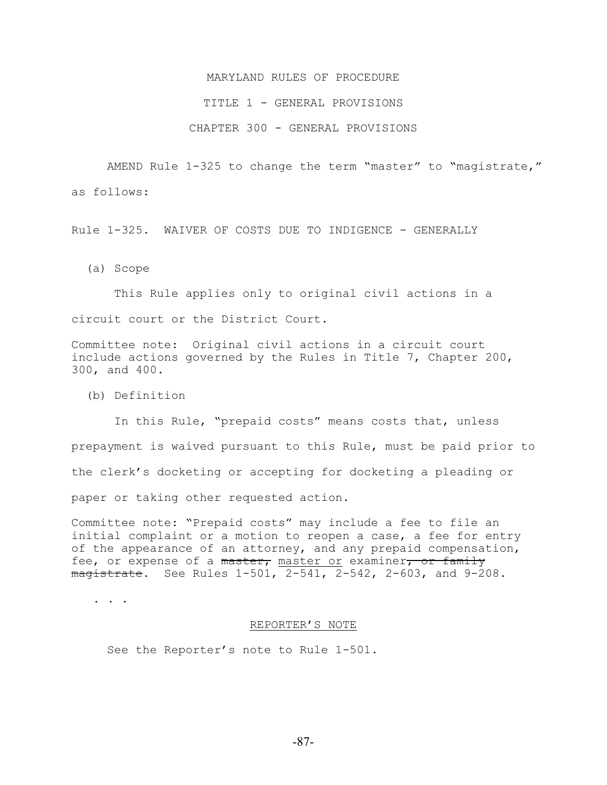# TITLE 1 - GENERAL PROVISIONS

# CHAPTER 300 - GENERAL PROVISIONS

AMEND Rule 1-325 to change the term "master" to "magistrate," as follows:

Rule 1-325. WAIVER OF COSTS DUE TO INDIGENCE - GENERALLY

(a) Scope

 This Rule applies only to original civil actions in a circuit court or the District Court.

Committee note: Original civil actions in a circuit court include actions governed by the Rules in Title 7, Chapter 200, 300, and 400.

(b) Definition

 In this Rule, "prepaid costs" means costs that, unless prepayment is waived pursuant to this Rule, must be paid prior to the clerk's docketing or accepting for docketing a pleading or paper or taking other requested action.

Committee note: "Prepaid costs" may include a fee to file an initial complaint or a motion to reopen a case, a fee for entry of the appearance of an attorney, and any prepaid compensation, fee, or expense of a master, master or examiner, or family  $maxistrate.$  See Rules  $1-501$ ,  $2-541$ ,  $2-542$ ,  $2-603$ , and  $9-208$ .

. . .

#### REPORTER'S NOTE

See the Reporter's note to Rule 1-501.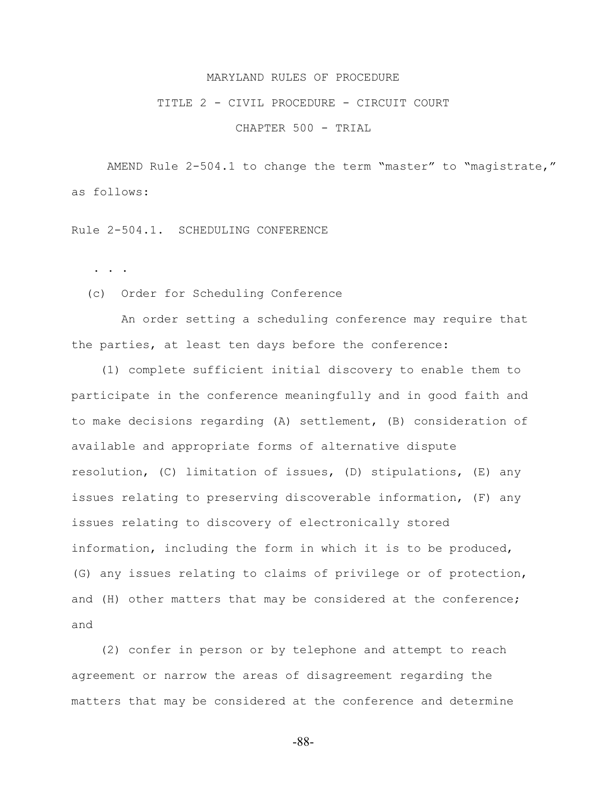#### TITLE 2 - CIVIL PROCEDURE - CIRCUIT COURT

CHAPTER 500 - TRIAL

AMEND Rule 2-504.1 to change the term "master" to "magistrate," as follows:

Rule 2-504.1. SCHEDULING CONFERENCE

. . .

(c) Order for Scheduling Conference

 An order setting a scheduling conference may require that the parties, at least ten days before the conference:

 (1) complete sufficient initial discovery to enable them to participate in the conference meaningfully and in good faith and to make decisions regarding (A) settlement, (B) consideration of available and appropriate forms of alternative dispute resolution, (C) limitation of issues, (D) stipulations, (E) any issues relating to preserving discoverable information, (F) any issues relating to discovery of electronically stored information, including the form in which it is to be produced, (G) any issues relating to claims of privilege or of protection, and (H) other matters that may be considered at the conference; and

 (2) confer in person or by telephone and attempt to reach agreement or narrow the areas of disagreement regarding the matters that may be considered at the conference and determine

-88-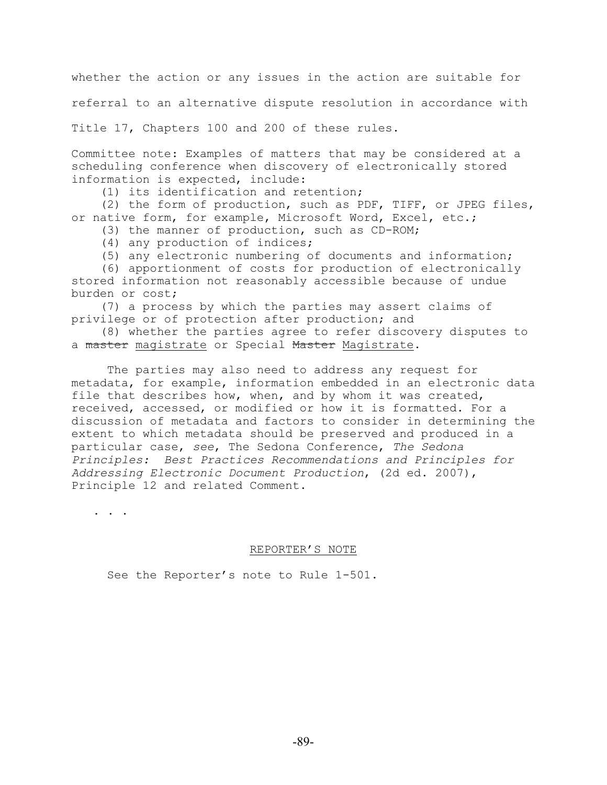whether the action or any issues in the action are suitable for

referral to an alternative dispute resolution in accordance with

Title 17, Chapters 100 and 200 of these rules.

Committee note: Examples of matters that may be considered at a scheduling conference when discovery of electronically stored information is expected, include:

(1) its identification and retention;

 (2) the form of production, such as PDF, TIFF, or JPEG files, or native form, for example, Microsoft Word, Excel, etc.;

(3) the manner of production, such as CD-ROM;

(4) any production of indices;

(5) any electronic numbering of documents and information;

 (6) apportionment of costs for production of electronically stored information not reasonably accessible because of undue burden or cost;

 (7) a process by which the parties may assert claims of privilege or of protection after production; and

 (8) whether the parties agree to refer discovery disputes to a master magistrate or Special Master Magistrate.

The parties may also need to address any request for metadata, for example, information embedded in an electronic data file that describes how, when, and by whom it was created, received, accessed, or modified or how it is formatted. For a discussion of metadata and factors to consider in determining the extent to which metadata should be preserved and produced in a particular case, *see*, The Sedona Conference, *The Sedona Principles: Best Practices Recommendations and Principles for Addressing Electronic Document Production*, (2d ed. 2007), Principle 12 and related Comment.

. . .

# REPORTER'S NOTE

See the Reporter's note to Rule 1-501.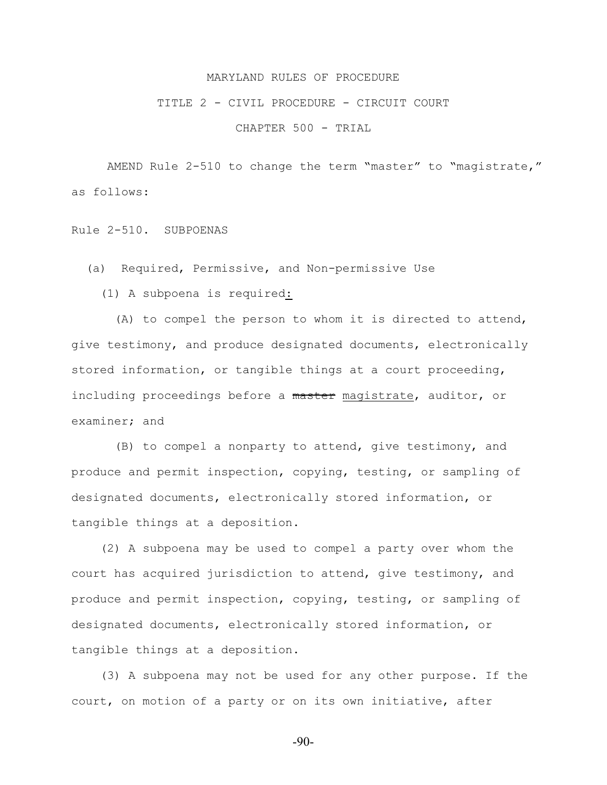#### TITLE 2 - CIVIL PROCEDURE - CIRCUIT COURT

CHAPTER 500 - TRIAL

AMEND Rule 2-510 to change the term "master" to "magistrate," as follows:

Rule 2-510. SUBPOENAS

(a) Required, Permissive, and Non-permissive Use

(1) A subpoena is required:

 (A) to compel the person to whom it is directed to attend, give testimony, and produce designated documents, electronically stored information, or tangible things at a court proceeding, including proceedings before a master magistrate, auditor, or examiner; and

 (B) to compel a nonparty to attend, give testimony, and produce and permit inspection, copying, testing, or sampling of designated documents, electronically stored information, or tangible things at a deposition.

 (2) A subpoena may be used to compel a party over whom the court has acquired jurisdiction to attend, give testimony, and produce and permit inspection, copying, testing, or sampling of designated documents, electronically stored information, or tangible things at a deposition.

 (3) A subpoena may not be used for any other purpose. If the court, on motion of a party or on its own initiative, after

-90-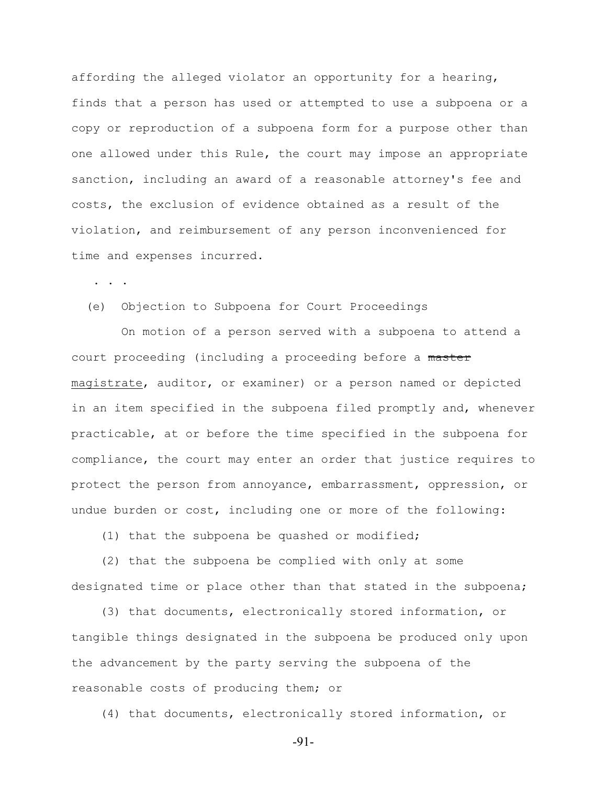affording the alleged violator an opportunity for a hearing, finds that a person has used or attempted to use a subpoena or a copy or reproduction of a subpoena form for a purpose other than one allowed under this Rule, the court may impose an appropriate sanction, including an award of a reasonable attorney's fee and costs, the exclusion of evidence obtained as a result of the violation, and reimbursement of any person inconvenienced for time and expenses incurred.

. . .

# (e) Objection to Subpoena for Court Proceedings

 On motion of a person served with a subpoena to attend a court proceeding (including a proceeding before a master magistrate, auditor, or examiner) or a person named or depicted in an item specified in the subpoena filed promptly and, whenever practicable, at or before the time specified in the subpoena for compliance, the court may enter an order that justice requires to protect the person from annoyance, embarrassment, oppression, or undue burden or cost, including one or more of the following:

(1) that the subpoena be quashed or modified;

 (2) that the subpoena be complied with only at some designated time or place other than that stated in the subpoena;

 (3) that documents, electronically stored information, or tangible things designated in the subpoena be produced only upon the advancement by the party serving the subpoena of the reasonable costs of producing them; or

(4) that documents, electronically stored information, or

-91-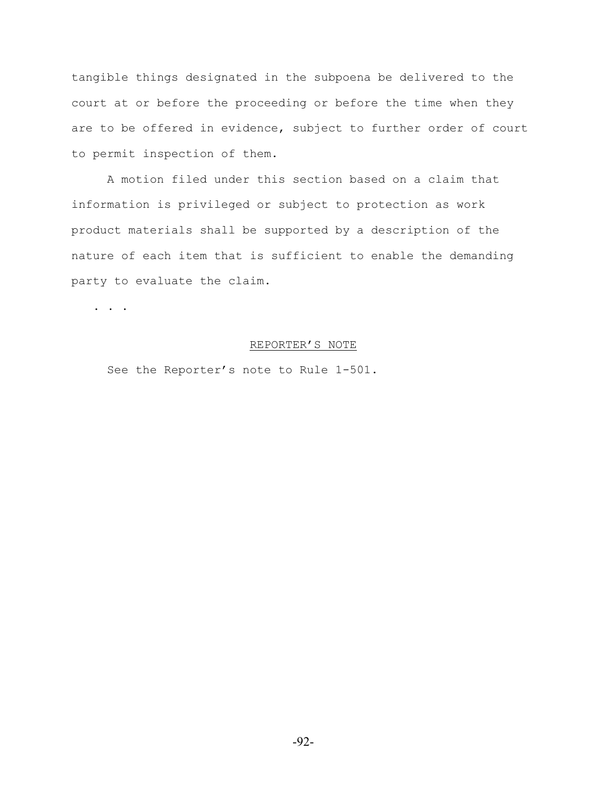tangible things designated in the subpoena be delivered to the court at or before the proceeding or before the time when they are to be offered in evidence, subject to further order of court to permit inspection of them.

A motion filed under this section based on a claim that information is privileged or subject to protection as work product materials shall be supported by a description of the nature of each item that is sufficient to enable the demanding party to evaluate the claim.

. . .

# REPORTER'S NOTE

See the Reporter's note to Rule 1-501.

-92-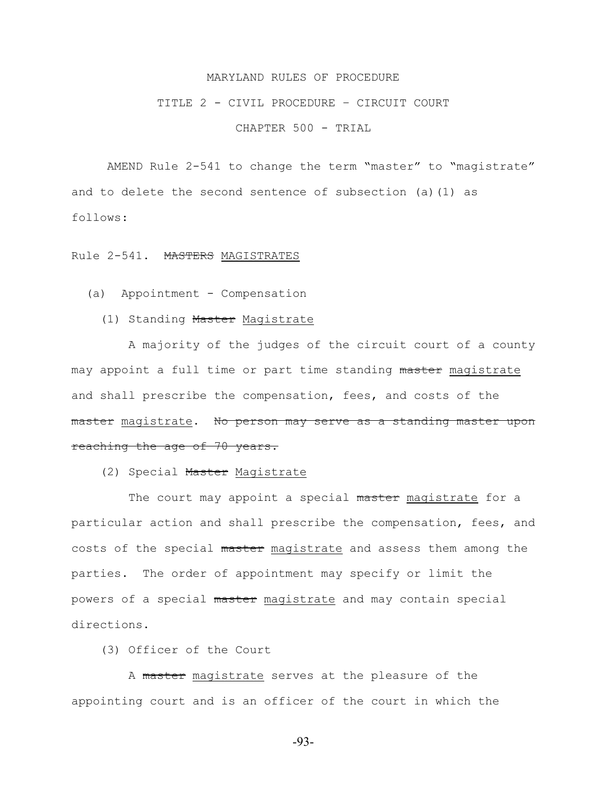## TITLE 2 - CIVIL PROCEDURE – CIRCUIT COURT

CHAPTER 500 - TRIAL

AMEND Rule 2-541 to change the term "master" to "magistrate" and to delete the second sentence of subsection (a)(1) as follows:

Rule 2-541. MASTERS MAGISTRATES

- (a) Appointment Compensation
	- (1) Standing Master Magistrate

 A majority of the judges of the circuit court of a county may appoint a full time or part time standing master magistrate and shall prescribe the compensation, fees, and costs of the master magistrate. No person may serve as a standing master upon reaching the age of 70 years.

(2) Special Master Magistrate

The court may appoint a special master magistrate for a particular action and shall prescribe the compensation, fees, and costs of the special master magistrate and assess them among the parties. The order of appointment may specify or limit the powers of a special master magistrate and may contain special directions.

(3) Officer of the Court

 A master magistrate serves at the pleasure of the appointing court and is an officer of the court in which the

-93-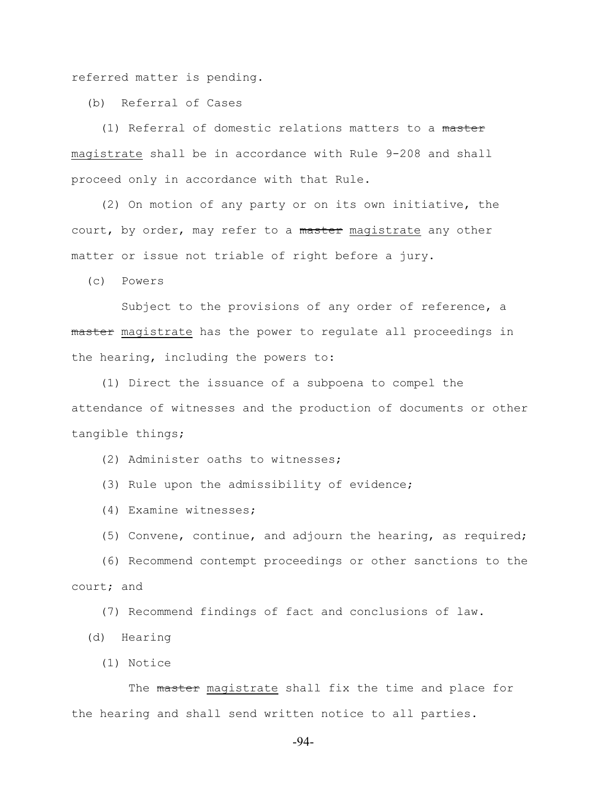referred matter is pending.

(b) Referral of Cases

 (1) Referral of domestic relations matters to a master magistrate shall be in accordance with Rule 9-208 and shall proceed only in accordance with that Rule.

 (2) On motion of any party or on its own initiative, the court, by order, may refer to a master magistrate any other matter or issue not triable of right before a jury.

(c) Powers

Subject to the provisions of any order of reference, a master magistrate has the power to regulate all proceedings in the hearing, including the powers to:

 (1) Direct the issuance of a subpoena to compel the attendance of witnesses and the production of documents or other tangible things;

(2) Administer oaths to witnesses;

(3) Rule upon the admissibility of evidence;

(4) Examine witnesses;

(5) Convene, continue, and adjourn the hearing, as required;

 (6) Recommend contempt proceedings or other sanctions to the court; and

(7) Recommend findings of fact and conclusions of law.

(d) Hearing

(1) Notice

The master magistrate shall fix the time and place for the hearing and shall send written notice to all parties.

-94-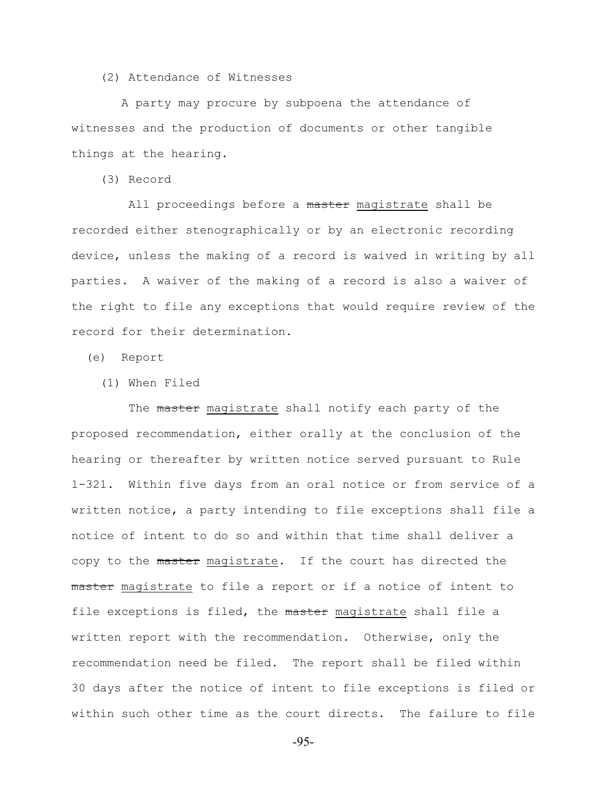(2) Attendance of Witnesses

 A party may procure by subpoena the attendance of witnesses and the production of documents or other tangible things at the hearing.

(3) Record

All proceedings before a master magistrate shall be recorded either stenographically or by an electronic recording device, unless the making of a record is waived in writing by all parties. A waiver of the making of a record is also a waiver of the right to file any exceptions that would require review of the record for their determination.

(e) Report

(1) When Filed

The master magistrate shall notify each party of the proposed recommendation, either orally at the conclusion of the hearing or thereafter by written notice served pursuant to Rule 1-321. Within five days from an oral notice or from service of a written notice, a party intending to file exceptions shall file a notice of intent to do so and within that time shall deliver a copy to the master magistrate. If the court has directed the master magistrate to file a report or if a notice of intent to file exceptions is filed, the master magistrate shall file a written report with the recommendation. Otherwise, only the recommendation need be filed. The report shall be filed within 30 days after the notice of intent to file exceptions is filed or within such other time as the court directs. The failure to file

-95-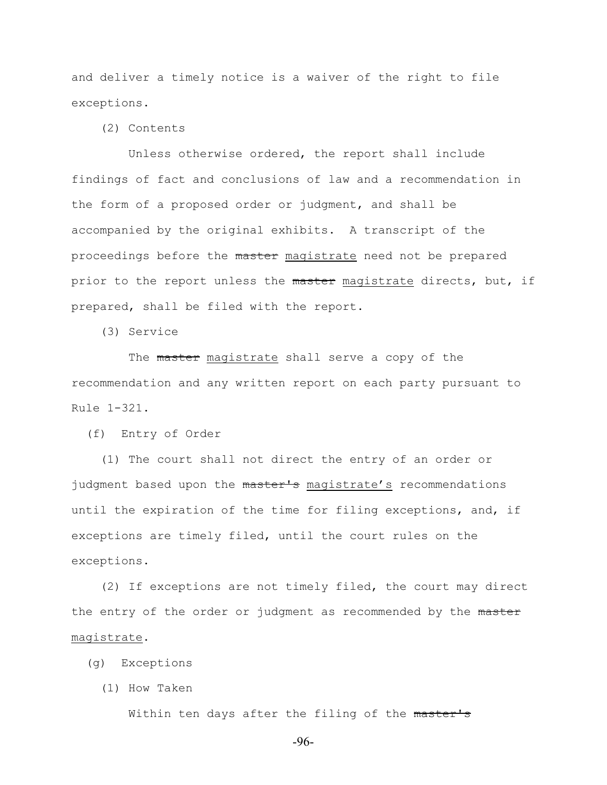and deliver a timely notice is a waiver of the right to file exceptions.

(2) Contents

 Unless otherwise ordered, the report shall include findings of fact and conclusions of law and a recommendation in the form of a proposed order or judgment, and shall be accompanied by the original exhibits. A transcript of the proceedings before the master magistrate need not be prepared prior to the report unless the master magistrate directs, but, if prepared, shall be filed with the report.

(3) Service

The master magistrate shall serve a copy of the recommendation and any written report on each party pursuant to Rule 1-321.

(f) Entry of Order

 (1) The court shall not direct the entry of an order or judgment based upon the master's magistrate's recommendations until the expiration of the time for filing exceptions, and, if exceptions are timely filed, until the court rules on the exceptions.

 (2) If exceptions are not timely filed, the court may direct the entry of the order or judgment as recommended by the master magistrate.

- (g) Exceptions
	- (1) How Taken

Within ten days after the filing of the master's

-96-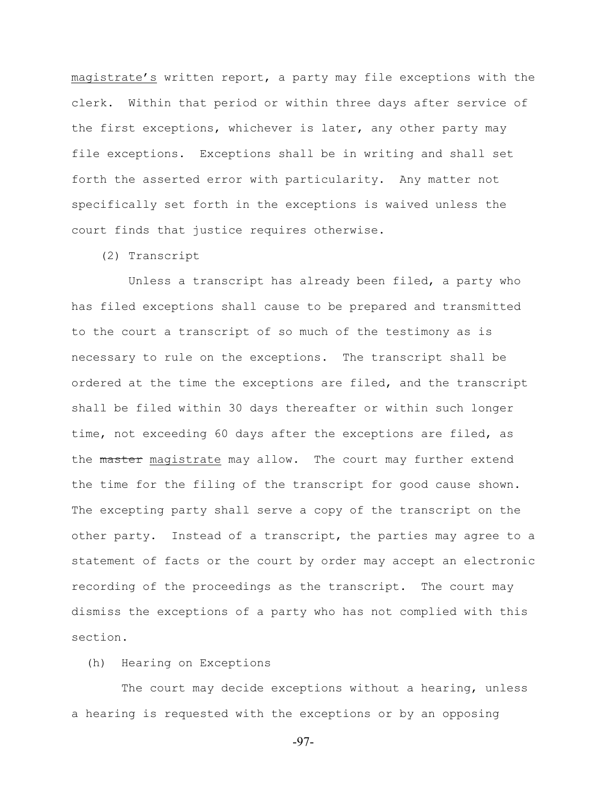magistrate's written report, a party may file exceptions with the clerk. Within that period or within three days after service of the first exceptions, whichever is later, any other party may file exceptions. Exceptions shall be in writing and shall set forth the asserted error with particularity. Any matter not specifically set forth in the exceptions is waived unless the court finds that justice requires otherwise.

(2) Transcript

 Unless a transcript has already been filed, a party who has filed exceptions shall cause to be prepared and transmitted to the court a transcript of so much of the testimony as is necessary to rule on the exceptions. The transcript shall be ordered at the time the exceptions are filed, and the transcript shall be filed within 30 days thereafter or within such longer time, not exceeding 60 days after the exceptions are filed, as the master magistrate may allow. The court may further extend the time for the filing of the transcript for good cause shown. The excepting party shall serve a copy of the transcript on the other party. Instead of a transcript, the parties may agree to a statement of facts or the court by order may accept an electronic recording of the proceedings as the transcript. The court may dismiss the exceptions of a party who has not complied with this section.

# (h) Hearing on Exceptions

 The court may decide exceptions without a hearing, unless a hearing is requested with the exceptions or by an opposing

-97-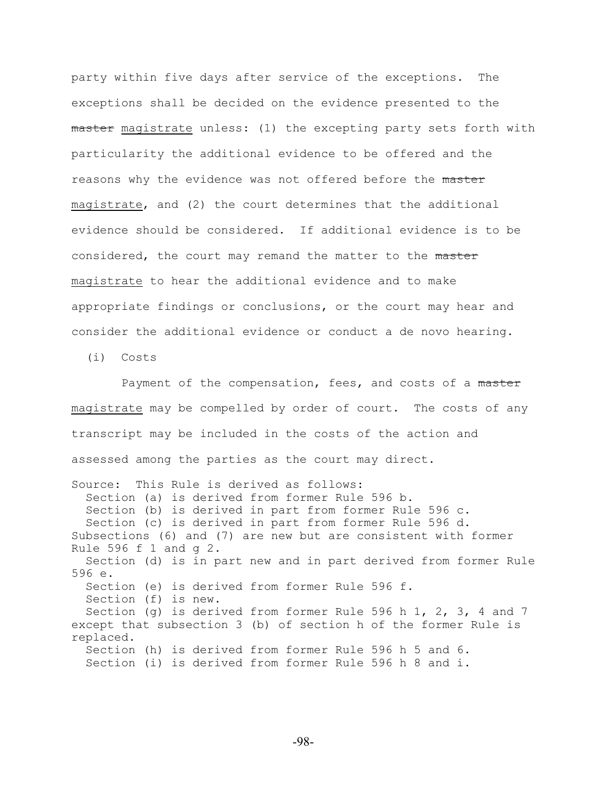party within five days after service of the exceptions. The exceptions shall be decided on the evidence presented to the master magistrate unless: (1) the excepting party sets forth with particularity the additional evidence to be offered and the reasons why the evidence was not offered before the master magistrate, and (2) the court determines that the additional evidence should be considered. If additional evidence is to be considered, the court may remand the matter to the master magistrate to hear the additional evidence and to make appropriate findings or conclusions, or the court may hear and consider the additional evidence or conduct a de novo hearing.

(i) Costs

Payment of the compensation, fees, and costs of a master magistrate may be compelled by order of court. The costs of any transcript may be included in the costs of the action and assessed among the parties as the court may direct.

Source: This Rule is derived as follows: Section (a) is derived from former Rule 596 b. Section (b) is derived in part from former Rule 596 c. Section (c) is derived in part from former Rule 596 d. Subsections (6) and (7) are new but are consistent with former Rule 596 f 1 and g 2. Section (d) is in part new and in part derived from former Rule 596 e. Section (e) is derived from former Rule 596 f. Section (f) is new. Section (g) is derived from former Rule 596 h 1, 2, 3, 4 and 7 except that subsection 3 (b) of section h of the former Rule is replaced. Section (h) is derived from former Rule 596 h 5 and 6. Section (i) is derived from former Rule 596 h 8 and i.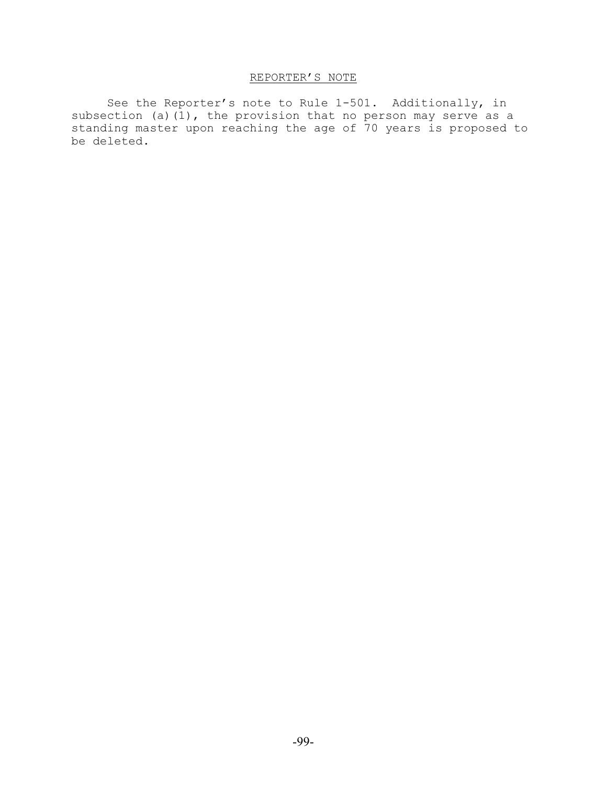# REPORTER'S NOTE

See the Reporter's note to Rule 1-501. Additionally, in subsection (a)(1), the provision that no person may serve as a standing master upon reaching the age of 70 years is proposed to be deleted.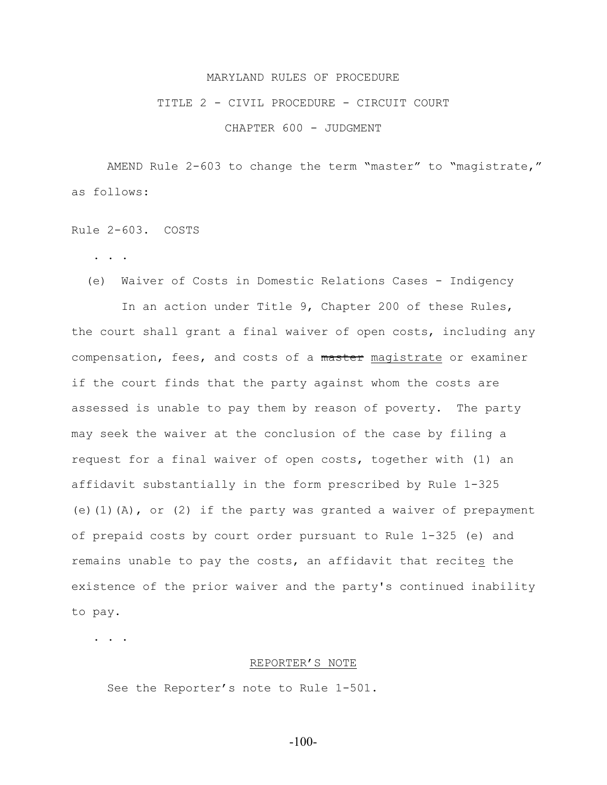# TITLE 2 - CIVIL PROCEDURE - CIRCUIT COURT

CHAPTER 600 - JUDGMENT

AMEND Rule 2-603 to change the term "master" to "magistrate," as follows:

Rule 2-603. COSTS

. . .

(e) Waiver of Costs in Domestic Relations Cases - Indigency

 In an action under Title 9, Chapter 200 of these Rules, the court shall grant a final waiver of open costs, including any compensation, fees, and costs of a master magistrate or examiner if the court finds that the party against whom the costs are assessed is unable to pay them by reason of poverty. The party may seek the waiver at the conclusion of the case by filing a request for a final waiver of open costs, together with (1) an affidavit substantially in the form prescribed by Rule 1-325 (e)(1)(A), or (2) if the party was granted a waiver of prepayment of prepaid costs by court order pursuant to Rule 1-325 (e) and remains unable to pay the costs, an affidavit that recites the existence of the prior waiver and the party's continued inability to pay.

. . .

#### REPORTER'S NOTE

See the Reporter's note to Rule 1-501.

-100-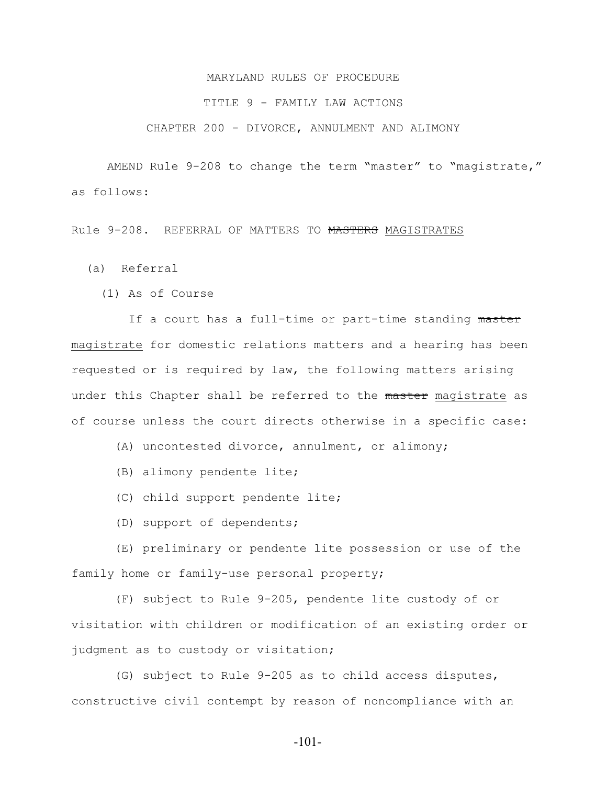# TITLE 9 - FAMILY LAW ACTIONS

# CHAPTER 200 - DIVORCE, ANNULMENT AND ALIMONY

AMEND Rule 9-208 to change the term "master" to "magistrate," as follows:

Rule 9-208. REFERRAL OF MATTERS TO MASTERS MAGISTRATES

(a) Referral

(1) As of Course

If a court has a full-time or part-time standing master magistrate for domestic relations matters and a hearing has been requested or is required by law, the following matters arising under this Chapter shall be referred to the master magistrate as of course unless the court directs otherwise in a specific case:

(A) uncontested divorce, annulment, or alimony;

- (B) alimony pendente lite;
- (C) child support pendente lite;
- (D) support of dependents;

 (E) preliminary or pendente lite possession or use of the family home or family-use personal property;

 (F) subject to Rule 9-205, pendente lite custody of or visitation with children or modification of an existing order or judgment as to custody or visitation;

 (G) subject to Rule 9-205 as to child access disputes, constructive civil contempt by reason of noncompliance with an

-101-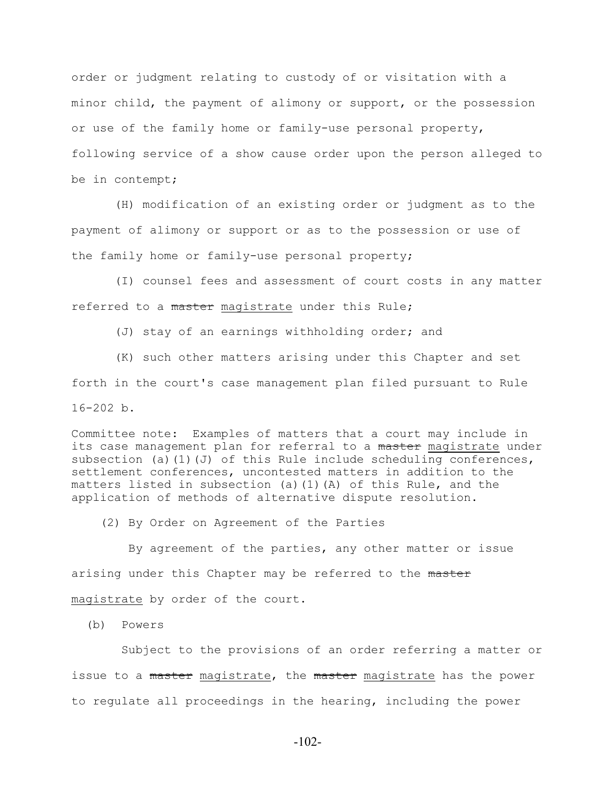order or judgment relating to custody of or visitation with a minor child, the payment of alimony or support, or the possession or use of the family home or family-use personal property, following service of a show cause order upon the person alleged to be in contempt;

 (H) modification of an existing order or judgment as to the payment of alimony or support or as to the possession or use of the family home or family-use personal property;

 (I) counsel fees and assessment of court costs in any matter referred to a master magistrate under this Rule;

(J) stay of an earnings withholding order; and

 (K) such other matters arising under this Chapter and set forth in the court's case management plan filed pursuant to Rule 16-202 b.

Committee note: Examples of matters that a court may include in its case management plan for referral to a master magistrate under subsection (a)(1)(J) of this Rule include scheduling conferences, settlement conferences, uncontested matters in addition to the matters listed in subsection (a)(1)(A) of this Rule, and the application of methods of alternative dispute resolution.

(2) By Order on Agreement of the Parties

 By agreement of the parties, any other matter or issue arising under this Chapter may be referred to the master magistrate by order of the court.

(b) Powers

 Subject to the provisions of an order referring a matter or issue to a master magistrate, the master magistrate has the power to regulate all proceedings in the hearing, including the power

-102-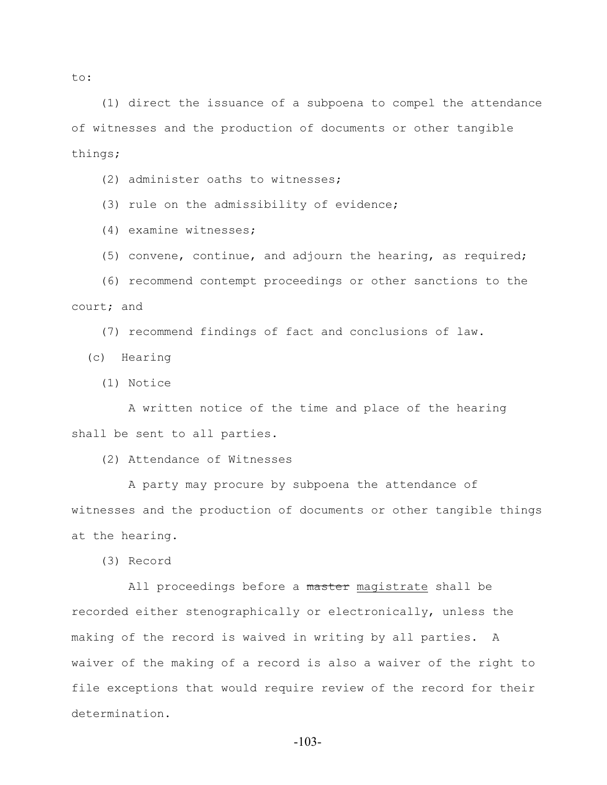(1) direct the issuance of a subpoena to compel the attendance of witnesses and the production of documents or other tangible things;

(2) administer oaths to witnesses;

(3) rule on the admissibility of evidence;

(4) examine witnesses;

(5) convene, continue, and adjourn the hearing, as required;

 (6) recommend contempt proceedings or other sanctions to the court; and

(7) recommend findings of fact and conclusions of law.

(c) Hearing

(1) Notice

 A written notice of the time and place of the hearing shall be sent to all parties.

(2) Attendance of Witnesses

 A party may procure by subpoena the attendance of witnesses and the production of documents or other tangible things at the hearing.

(3) Record

All proceedings before a master magistrate shall be recorded either stenographically or electronically, unless the making of the record is waived in writing by all parties. A waiver of the making of a record is also a waiver of the right to file exceptions that would require review of the record for their determination.

to: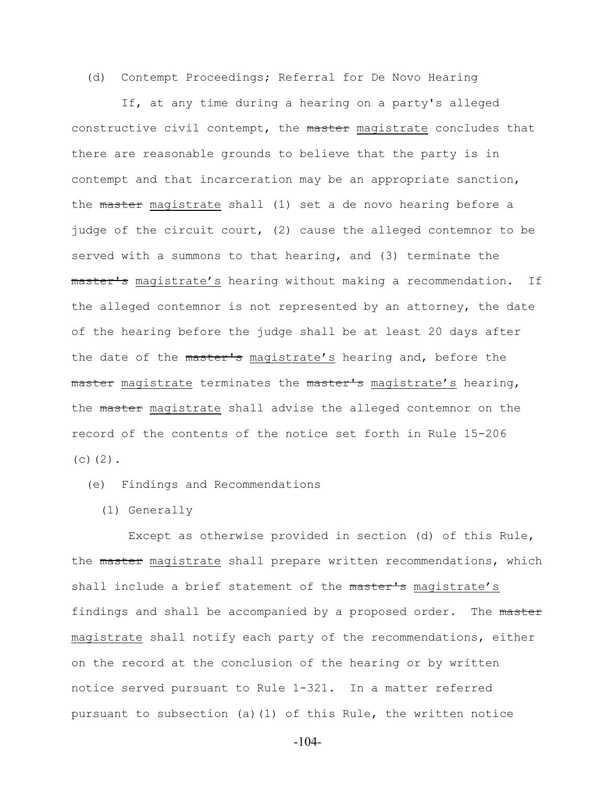(d) Contempt Proceedings; Referral for De Novo Hearing

 If, at any time during a hearing on a party's alleged constructive civil contempt, the master magistrate concludes that there are reasonable grounds to believe that the party is in contempt and that incarceration may be an appropriate sanction, the master magistrate shall (1) set a de novo hearing before a judge of the circuit court, (2) cause the alleged contemnor to be served with a summons to that hearing, and (3) terminate the master's magistrate's hearing without making a recommendation. If the alleged contemnor is not represented by an attorney, the date of the hearing before the judge shall be at least 20 days after the date of the master's magistrate's hearing and, before the master magistrate terminates the master's magistrate's hearing, the master magistrate shall advise the alleged contemnor on the record of the contents of the notice set forth in Rule 15-206  $(c)$   $(2)$ .

(e) Findings and Recommendations

(1) Generally

 Except as otherwise provided in section (d) of this Rule, the master magistrate shall prepare written recommendations, which shall include a brief statement of the master's magistrate's findings and shall be accompanied by a proposed order. The master magistrate shall notify each party of the recommendations, either on the record at the conclusion of the hearing or by written notice served pursuant to Rule 1-321. In a matter referred pursuant to subsection (a)(1) of this Rule, the written notice

-104-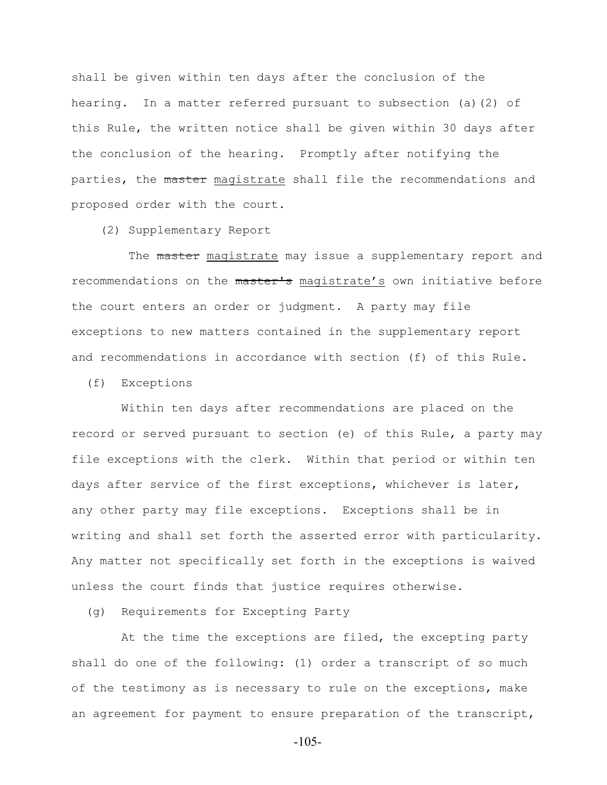shall be given within ten days after the conclusion of the hearing. In a matter referred pursuant to subsection (a)(2) of this Rule, the written notice shall be given within 30 days after the conclusion of the hearing. Promptly after notifying the parties, the master magistrate shall file the recommendations and proposed order with the court.

(2) Supplementary Report

The master magistrate may issue a supplementary report and recommendations on the master's magistrate's own initiative before the court enters an order or judgment. A party may file exceptions to new matters contained in the supplementary report and recommendations in accordance with section (f) of this Rule.

(f) Exceptions

 Within ten days after recommendations are placed on the record or served pursuant to section (e) of this Rule, a party may file exceptions with the clerk. Within that period or within ten days after service of the first exceptions, whichever is later, any other party may file exceptions. Exceptions shall be in writing and shall set forth the asserted error with particularity. Any matter not specifically set forth in the exceptions is waived unless the court finds that justice requires otherwise.

(g) Requirements for Excepting Party

 At the time the exceptions are filed, the excepting party shall do one of the following: (1) order a transcript of so much of the testimony as is necessary to rule on the exceptions, make an agreement for payment to ensure preparation of the transcript,

-105-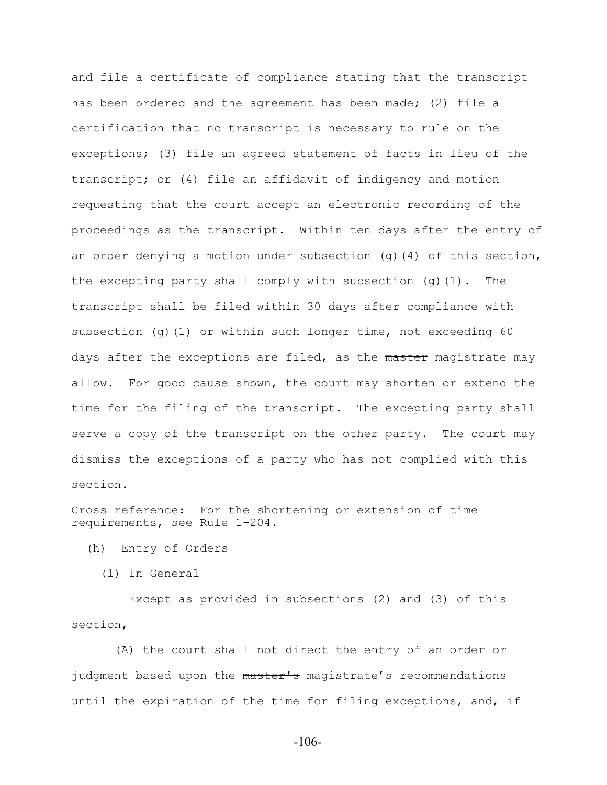and file a certificate of compliance stating that the transcript has been ordered and the agreement has been made; (2) file a certification that no transcript is necessary to rule on the exceptions; (3) file an agreed statement of facts in lieu of the transcript; or (4) file an affidavit of indigency and motion requesting that the court accept an electronic recording of the proceedings as the transcript. Within ten days after the entry of an order denying a motion under subsection  $(q)$  (4) of this section, the excepting party shall comply with subsection (g)(1). The transcript shall be filed within 30 days after compliance with subsection (q)(1) or within such longer time, not exceeding  $60$ days after the exceptions are filed, as the master magistrate may allow. For good cause shown, the court may shorten or extend the time for the filing of the transcript. The excepting party shall serve a copy of the transcript on the other party. The court may dismiss the exceptions of a party who has not complied with this section.

Cross reference: For the shortening or extension of time requirements, see Rule 1-204.

(h) Entry of Orders

(1) In General

 Except as provided in subsections (2) and (3) of this section,

 (A) the court shall not direct the entry of an order or judgment based upon the master's magistrate's recommendations until the expiration of the time for filing exceptions, and, if

-106-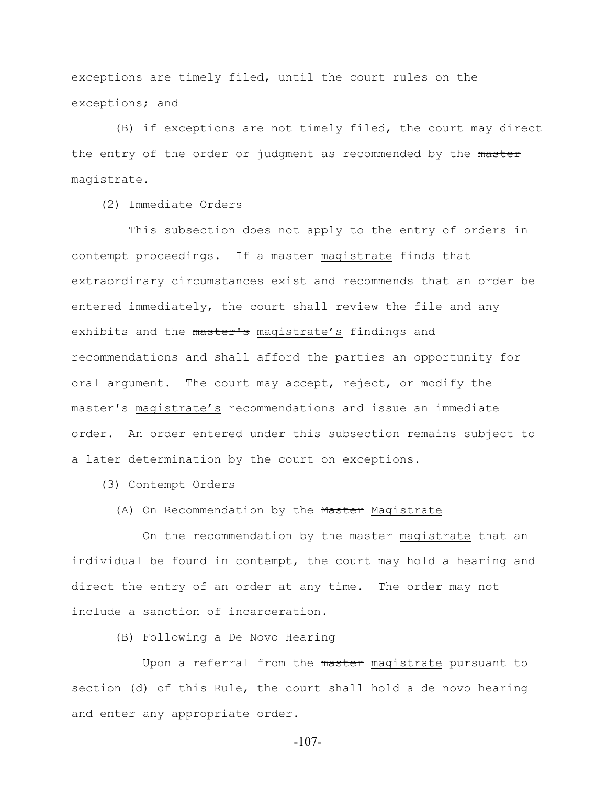exceptions are timely filed, until the court rules on the exceptions; and

 (B) if exceptions are not timely filed, the court may direct the entry of the order or judgment as recommended by the master magistrate.

(2) Immediate Orders

 This subsection does not apply to the entry of orders in contempt proceedings. If a master magistrate finds that extraordinary circumstances exist and recommends that an order be entered immediately, the court shall review the file and any exhibits and the master's magistrate's findings and recommendations and shall afford the parties an opportunity for oral argument. The court may accept, reject, or modify the master's magistrate's recommendations and issue an immediate order. An order entered under this subsection remains subject to a later determination by the court on exceptions.

(3) Contempt Orders

# (A) On Recommendation by the Master Magistrate

On the recommendation by the master magistrate that an individual be found in contempt, the court may hold a hearing and direct the entry of an order at any time. The order may not include a sanction of incarceration.

(B) Following a De Novo Hearing

Upon a referral from the master magistrate pursuant to section (d) of this Rule, the court shall hold a de novo hearing and enter any appropriate order.

-107-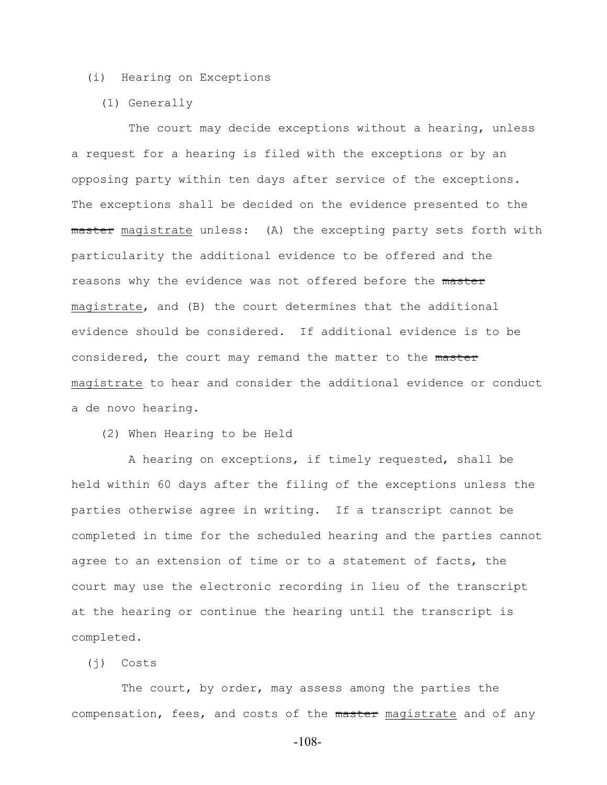# (i) Hearing on Exceptions

(1) Generally

 The court may decide exceptions without a hearing, unless a request for a hearing is filed with the exceptions or by an opposing party within ten days after service of the exceptions. The exceptions shall be decided on the evidence presented to the master magistrate unless: (A) the excepting party sets forth with particularity the additional evidence to be offered and the reasons why the evidence was not offered before the master magistrate, and (B) the court determines that the additional evidence should be considered. If additional evidence is to be considered, the court may remand the matter to the master magistrate to hear and consider the additional evidence or conduct a de novo hearing.

(2) When Hearing to be Held

 A hearing on exceptions, if timely requested, shall be held within 60 days after the filing of the exceptions unless the parties otherwise agree in writing. If a transcript cannot be completed in time for the scheduled hearing and the parties cannot agree to an extension of time or to a statement of facts, the court may use the electronic recording in lieu of the transcript at the hearing or continue the hearing until the transcript is completed.

# (j) Costs

 The court, by order, may assess among the parties the compensation, fees, and costs of the master magistrate and of any

-108-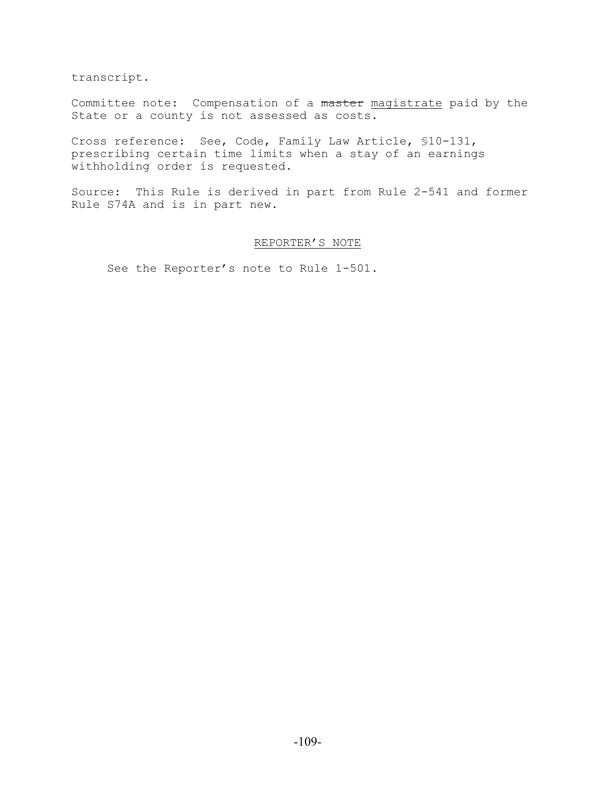transcript.

Committee note: Compensation of a master magistrate paid by the State or a county is not assessed as costs.

Cross reference: See, Code, Family Law Article, §10-131, prescribing certain time limits when a stay of an earnings withholding order is requested.

Source: This Rule is derived in part from Rule 2-541 and former Rule S74A and is in part new.

# REPORTER'S NOTE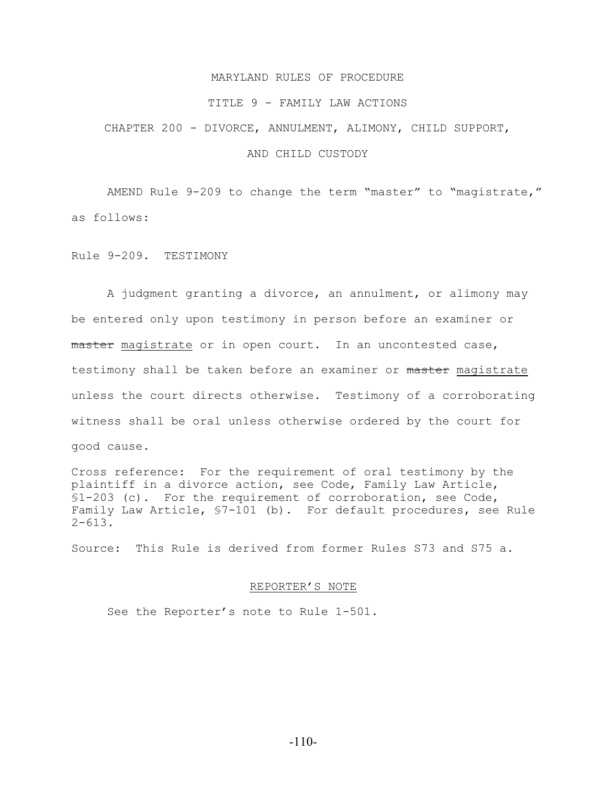#### TITLE 9 - FAMILY LAW ACTIONS

CHAPTER 200 - DIVORCE, ANNULMENT, ALIMONY, CHILD SUPPORT,

## AND CHILD CUSTODY

AMEND Rule 9-209 to change the term "master" to "magistrate," as follows:

Rule 9-209. TESTIMONY

A judgment granting a divorce, an annulment, or alimony may be entered only upon testimony in person before an examiner or master magistrate or in open court. In an uncontested case, testimony shall be taken before an examiner or master magistrate unless the court directs otherwise. Testimony of a corroborating witness shall be oral unless otherwise ordered by the court for good cause.

Cross reference: For the requirement of oral testimony by the plaintiff in a divorce action, see Code, Family Law Article, §1-203 (c). For the requirement of corroboration, see Code, Family Law Article, §7-101 (b). For default procedures, see Rule 2-613.

Source: This Rule is derived from former Rules S73 and S75 a.

#### REPORTER'S NOTE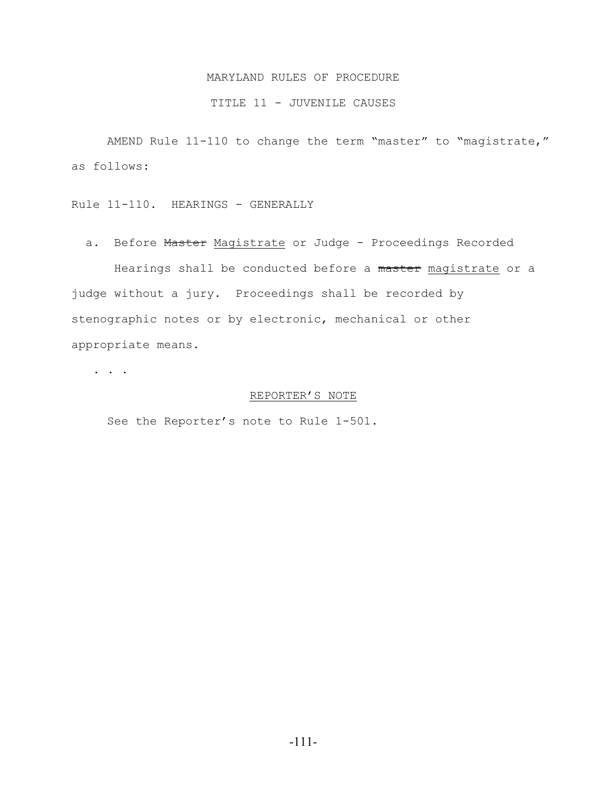## TITLE 11 - JUVENILE CAUSES

AMEND Rule 11-110 to change the term "master" to "magistrate," as follows:

Rule 11-110. HEARINGS - GENERALLY

a. Before Master Magistrate or Judge - Proceedings Recorded

Hearings shall be conducted before a master magistrate or a judge without a jury. Proceedings shall be recorded by stenographic notes or by electronic, mechanical or other appropriate means.

. . .

### REPORTER'S NOTE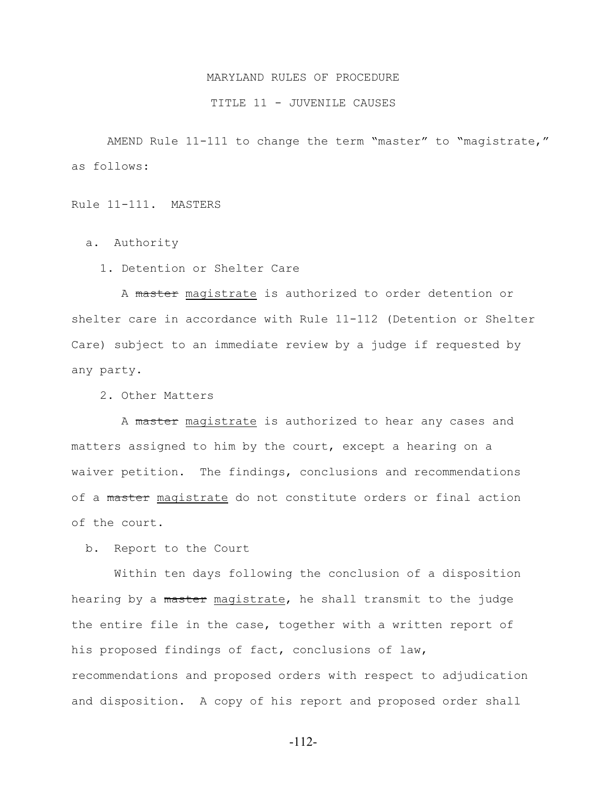#### TITLE 11 - JUVENILE CAUSES

AMEND Rule 11-111 to change the term "master" to "magistrate," as follows:

Rule 11-111. MASTERS

a. Authority

1. Detention or Shelter Care

 A master magistrate is authorized to order detention or shelter care in accordance with Rule 11-112 (Detention or Shelter Care) subject to an immediate review by a judge if requested by any party.

2. Other Matters

A master magistrate is authorized to hear any cases and matters assigned to him by the court, except a hearing on a waiver petition. The findings, conclusions and recommendations of a master magistrate do not constitute orders or final action of the court.

b. Report to the Court

 Within ten days following the conclusion of a disposition hearing by a master magistrate, he shall transmit to the judge the entire file in the case, together with a written report of his proposed findings of fact, conclusions of law, recommendations and proposed orders with respect to adjudication and disposition. A copy of his report and proposed order shall

-112-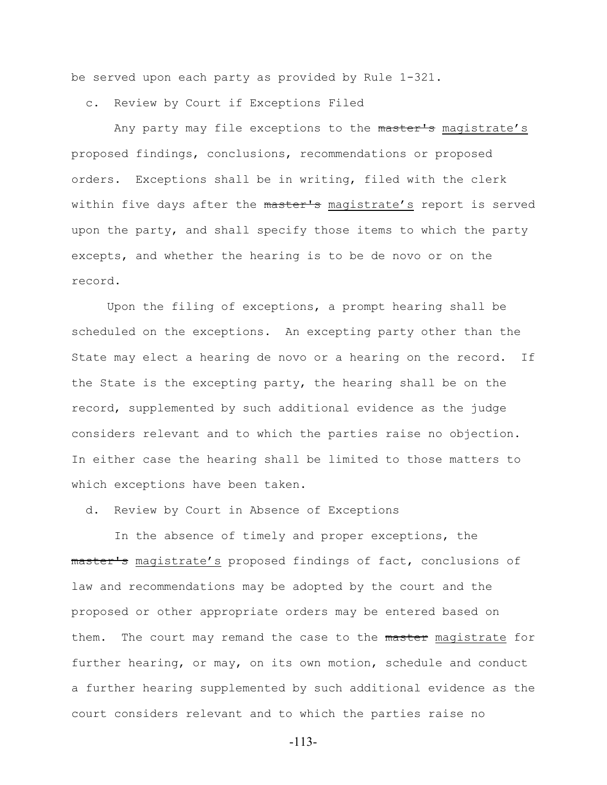be served upon each party as provided by Rule 1-321.

c. Review by Court if Exceptions Filed

Any party may file exceptions to the master's magistrate's proposed findings, conclusions, recommendations or proposed orders. Exceptions shall be in writing, filed with the clerk within five days after the master's magistrate's report is served upon the party, and shall specify those items to which the party excepts, and whether the hearing is to be de novo or on the record.

Upon the filing of exceptions, a prompt hearing shall be scheduled on the exceptions. An excepting party other than the State may elect a hearing de novo or a hearing on the record. If the State is the excepting party, the hearing shall be on the record, supplemented by such additional evidence as the judge considers relevant and to which the parties raise no objection. In either case the hearing shall be limited to those matters to which exceptions have been taken.

d. Review by Court in Absence of Exceptions

 In the absence of timely and proper exceptions, the master's magistrate's proposed findings of fact, conclusions of law and recommendations may be adopted by the court and the proposed or other appropriate orders may be entered based on them. The court may remand the case to the master magistrate for further hearing, or may, on its own motion, schedule and conduct a further hearing supplemented by such additional evidence as the court considers relevant and to which the parties raise no

-113-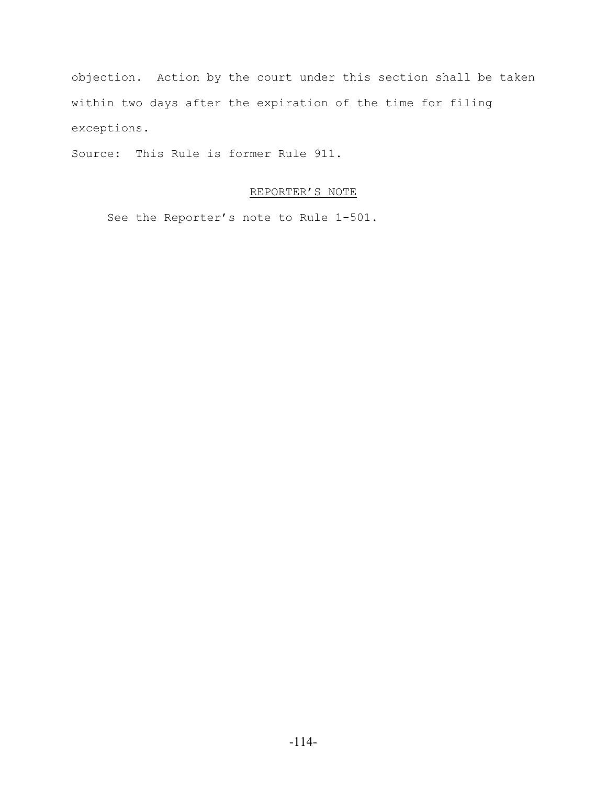objection. Action by the court under this section shall be taken within two days after the expiration of the time for filing exceptions.

Source: This Rule is former Rule 911.

# REPORTER'S NOTE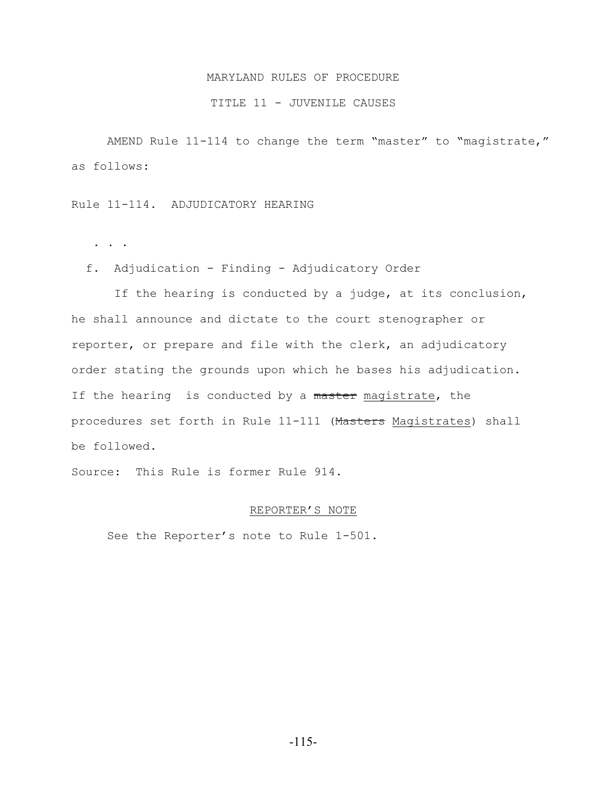### TITLE 11 - JUVENILE CAUSES

AMEND Rule 11-114 to change the term "master" to "magistrate," as follows:

Rule 11-114. ADJUDICATORY HEARING

. . .

f. Adjudication - Finding - Adjudicatory Order

 If the hearing is conducted by a judge, at its conclusion, he shall announce and dictate to the court stenographer or reporter, or prepare and file with the clerk, an adjudicatory order stating the grounds upon which he bases his adjudication. If the hearing is conducted by a master magistrate, the procedures set forth in Rule 11-111 (Masters Magistrates) shall be followed.

Source: This Rule is former Rule 914.

#### REPORTER'S NOTE

See the Reporter's note to Rule 1-501.

-115-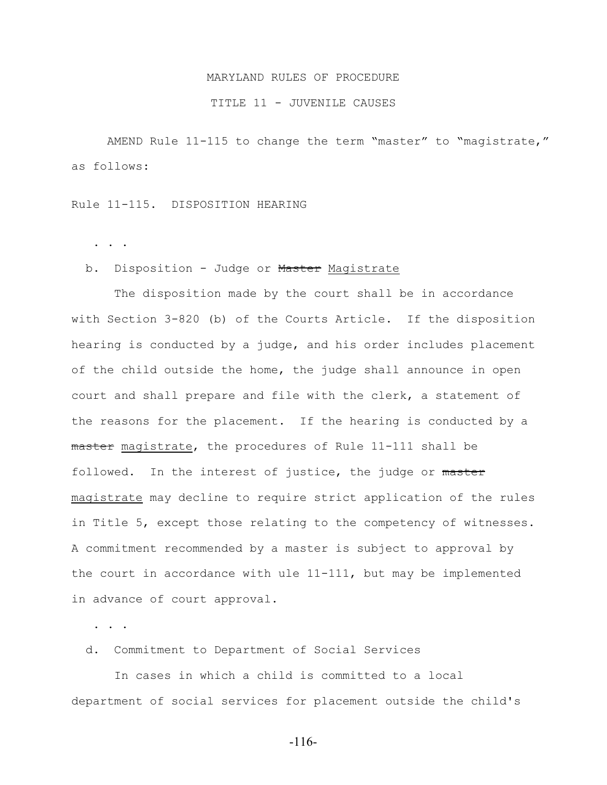#### TITLE 11 - JUVENILE CAUSES

AMEND Rule 11-115 to change the term "master" to "magistrate," as follows:

Rule 11-115. DISPOSITION HEARING

. . .

#### b. Disposition - Judge or Master Magistrate

 The disposition made by the court shall be in accordance with Section 3-820 (b) of the Courts Article. If the disposition hearing is conducted by a judge, and his order includes placement of the child outside the home, the judge shall announce in open court and shall prepare and file with the clerk, a statement of the reasons for the placement. If the hearing is conducted by a master magistrate, the procedures of Rule 11-111 shall be followed. In the interest of justice, the judge or master magistrate may decline to require strict application of the rules in Title 5, except those relating to the competency of witnesses. A commitment recommended by a master is subject to approval by the court in accordance with ule 11-111, but may be implemented in advance of court approval.

. . .

d. Commitment to Department of Social Services

 In cases in which a child is committed to a local department of social services for placement outside the child's

-116-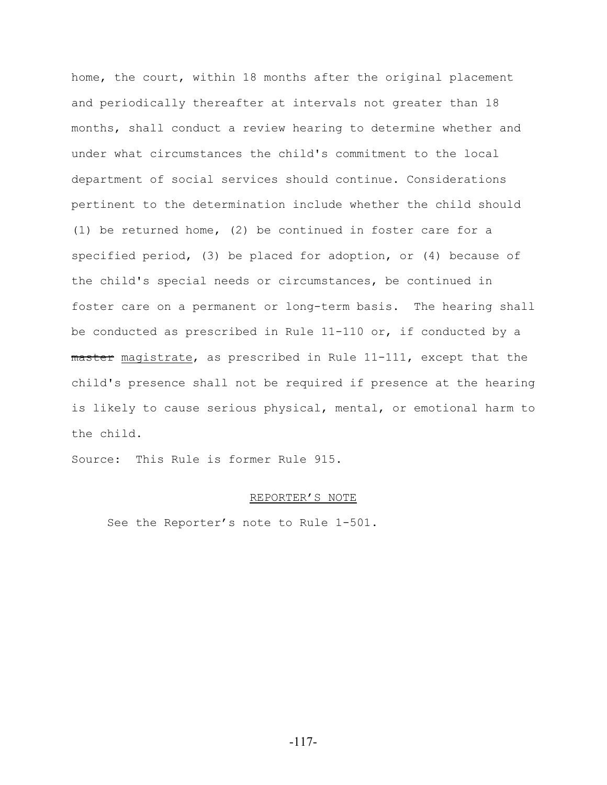home, the court, within 18 months after the original placement and periodically thereafter at intervals not greater than 18 months, shall conduct a review hearing to determine whether and under what circumstances the child's commitment to the local department of social services should continue. Considerations pertinent to the determination include whether the child should (1) be returned home, (2) be continued in foster care for a specified period, (3) be placed for adoption, or (4) because of the child's special needs or circumstances, be continued in foster care on a permanent or long-term basis. The hearing shall be conducted as prescribed in Rule 11-110 or, if conducted by a master magistrate, as prescribed in Rule 11-111, except that the child's presence shall not be required if presence at the hearing is likely to cause serious physical, mental, or emotional harm to the child.

Source: This Rule is former Rule 915.

#### REPORTER'S NOTE

See the Reporter's note to Rule 1-501.

-117-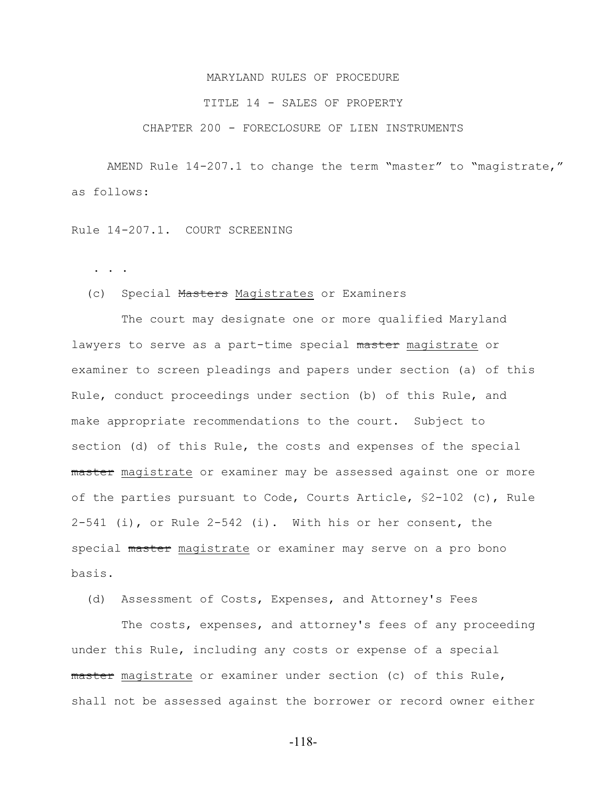#### TITLE 14 - SALES OF PROPERTY

## CHAPTER 200 - FORECLOSURE OF LIEN INSTRUMENTS

AMEND Rule 14-207.1 to change the term "master" to "magistrate," as follows:

Rule 14-207.1. COURT SCREENING

. . .

# (c) Special Masters Magistrates or Examiners

 The court may designate one or more qualified Maryland lawyers to serve as a part-time special master magistrate or examiner to screen pleadings and papers under section (a) of this Rule, conduct proceedings under section (b) of this Rule, and make appropriate recommendations to the court. Subject to section (d) of this Rule, the costs and expenses of the special master magistrate or examiner may be assessed against one or more of the parties pursuant to Code, Courts Article, §2-102 (c), Rule 2-541 (i), or Rule 2-542 (i). With his or her consent, the special master magistrate or examiner may serve on a pro bono basis.

(d) Assessment of Costs, Expenses, and Attorney's Fees

 The costs, expenses, and attorney's fees of any proceeding under this Rule, including any costs or expense of a special master magistrate or examiner under section (c) of this Rule, shall not be assessed against the borrower or record owner either

-118-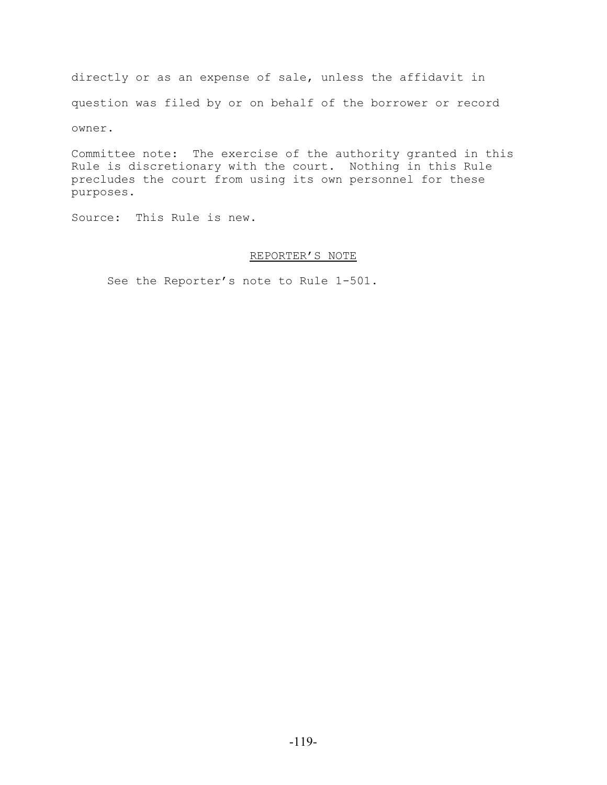directly or as an expense of sale, unless the affidavit in question was filed by or on behalf of the borrower or record owner.

Committee note: The exercise of the authority granted in this Rule is discretionary with the court. Nothing in this Rule precludes the court from using its own personnel for these purposes.

Source: This Rule is new.

# REPORTER'S NOTE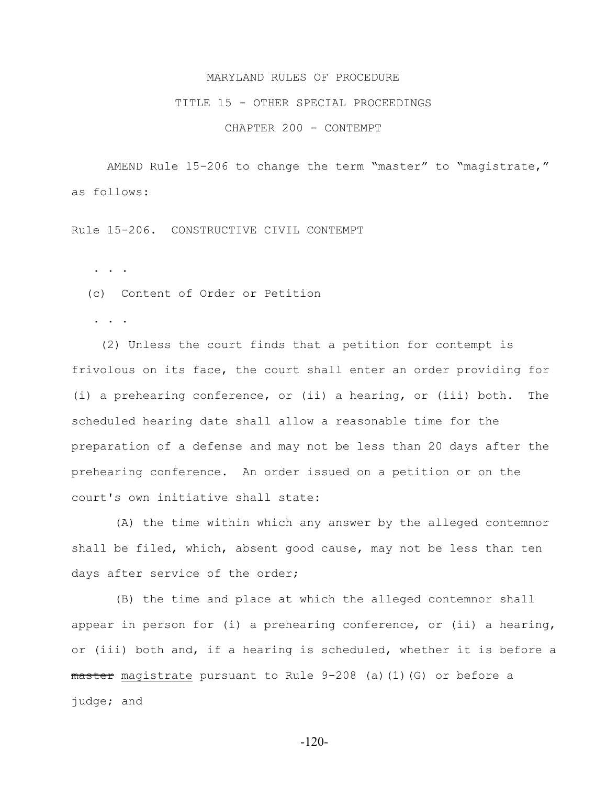#### TITLE 15 - OTHER SPECIAL PROCEEDINGS

CHAPTER 200 - CONTEMPT

AMEND Rule 15-206 to change the term "master" to "magistrate," as follows:

Rule 15-206. CONSTRUCTIVE CIVIL CONTEMPT

. . .

(c) Content of Order or Petition

. . .

 (2) Unless the court finds that a petition for contempt is frivolous on its face, the court shall enter an order providing for (i) a prehearing conference, or (ii) a hearing, or (iii) both. The scheduled hearing date shall allow a reasonable time for the preparation of a defense and may not be less than 20 days after the prehearing conference. An order issued on a petition or on the court's own initiative shall state:

 (A) the time within which any answer by the alleged contemnor shall be filed, which, absent good cause, may not be less than ten days after service of the order;

 (B) the time and place at which the alleged contemnor shall appear in person for (i) a prehearing conference, or (ii) a hearing, or (iii) both and, if a hearing is scheduled, whether it is before a master magistrate pursuant to Rule 9-208 (a)(1)(G) or before a judge; and

-120-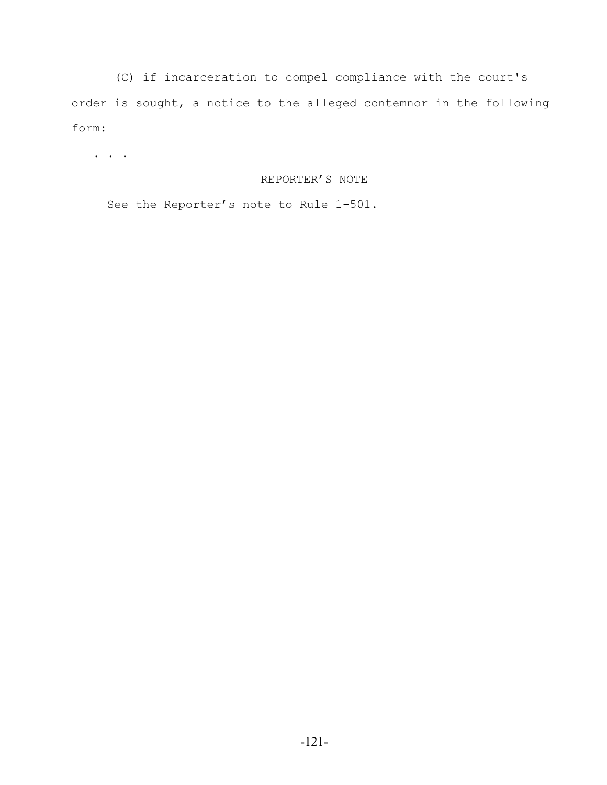(C) if incarceration to compel compliance with the court's order is sought, a notice to the alleged contemnor in the following form:

. . .

# REPORTER'S NOTE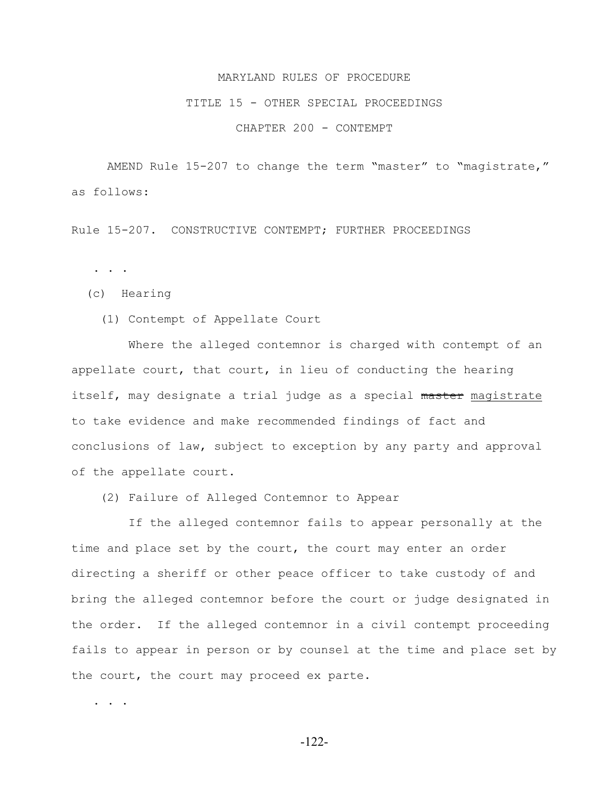#### TITLE 15 - OTHER SPECIAL PROCEEDINGS

## CHAPTER 200 - CONTEMPT

AMEND Rule 15-207 to change the term "master" to "magistrate," as follows:

Rule 15-207. CONSTRUCTIVE CONTEMPT; FURTHER PROCEEDINGS

. . .

(c) Hearing

(1) Contempt of Appellate Court

 Where the alleged contemnor is charged with contempt of an appellate court, that court, in lieu of conducting the hearing itself, may designate a trial judge as a special master magistrate to take evidence and make recommended findings of fact and conclusions of law, subject to exception by any party and approval of the appellate court.

(2) Failure of Alleged Contemnor to Appear

 If the alleged contemnor fails to appear personally at the time and place set by the court, the court may enter an order directing a sheriff or other peace officer to take custody of and bring the alleged contemnor before the court or judge designated in the order. If the alleged contemnor in a civil contempt proceeding fails to appear in person or by counsel at the time and place set by the court, the court may proceed ex parte.

. . . .

-122-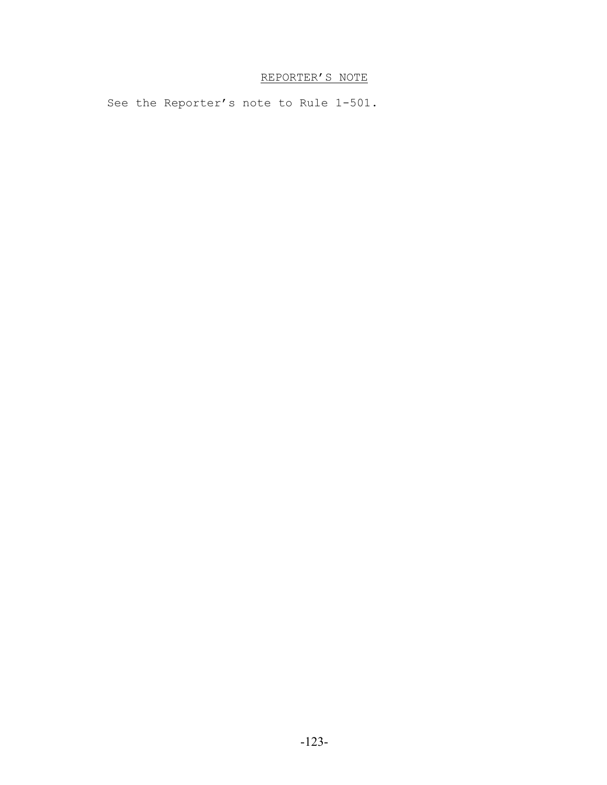# REPORTER'S NOTE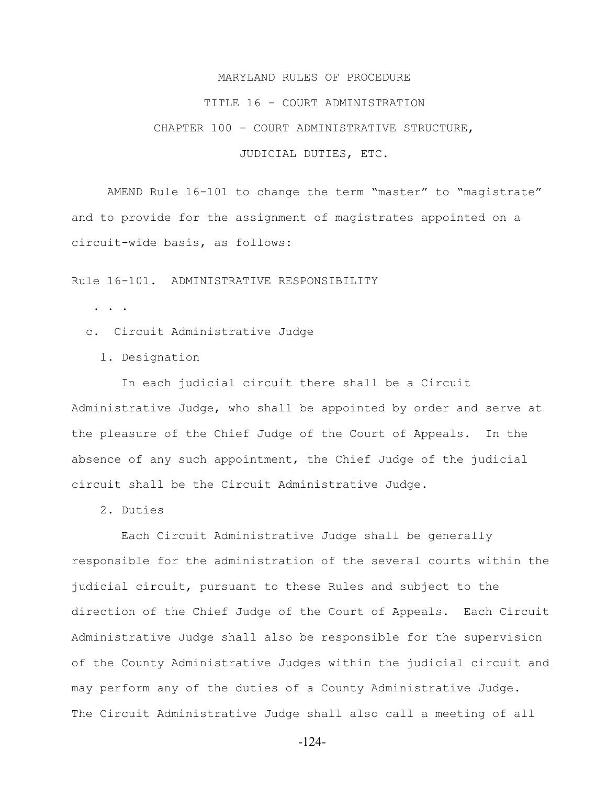#### TITLE 16 - COURT ADMINISTRATION

CHAPTER 100 - COURT ADMINISTRATIVE STRUCTURE,

JUDICIAL DUTIES, ETC.

AMEND Rule 16-101 to change the term "master" to "magistrate" and to provide for the assignment of magistrates appointed on a circuit-wide basis, as follows:

Rule 16-101. ADMINISTRATIVE RESPONSIBILITY

- . . .
- c. Circuit Administrative Judge
	- 1. Designation

 In each judicial circuit there shall be a Circuit Administrative Judge, who shall be appointed by order and serve at the pleasure of the Chief Judge of the Court of Appeals. In the absence of any such appointment, the Chief Judge of the judicial circuit shall be the Circuit Administrative Judge.

2. Duties

 Each Circuit Administrative Judge shall be generally responsible for the administration of the several courts within the judicial circuit, pursuant to these Rules and subject to the direction of the Chief Judge of the Court of Appeals. Each Circuit Administrative Judge shall also be responsible for the supervision of the County Administrative Judges within the judicial circuit and may perform any of the duties of a County Administrative Judge. The Circuit Administrative Judge shall also call a meeting of all

-124-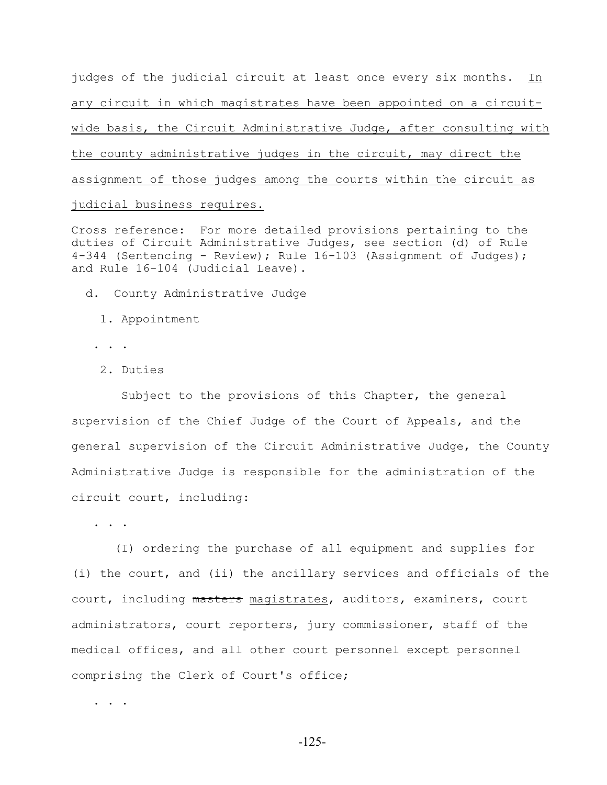judges of the judicial circuit at least once every six months. In any circuit in which magistrates have been appointed on a circuitwide basis, the Circuit Administrative Judge, after consulting with the county administrative judges in the circuit, may direct the assignment of those judges among the courts within the circuit as judicial business requires.

Cross reference: For more detailed provisions pertaining to the duties of Circuit Administrative Judges, see section (d) of Rule 4-344 (Sentencing - Review); Rule 16-103 (Assignment of Judges); and Rule 16-104 (Judicial Leave).

d. County Administrative Judge

- 1. Appointment
- . . .
- 2. Duties

 Subject to the provisions of this Chapter, the general supervision of the Chief Judge of the Court of Appeals, and the general supervision of the Circuit Administrative Judge, the County Administrative Judge is responsible for the administration of the circuit court, including:

. . .

 (I) ordering the purchase of all equipment and supplies for (i) the court, and (ii) the ancillary services and officials of the court, including masters magistrates, auditors, examiners, court administrators, court reporters, jury commissioner, staff of the medical offices, and all other court personnel except personnel comprising the Clerk of Court's office;

. . . .

-125-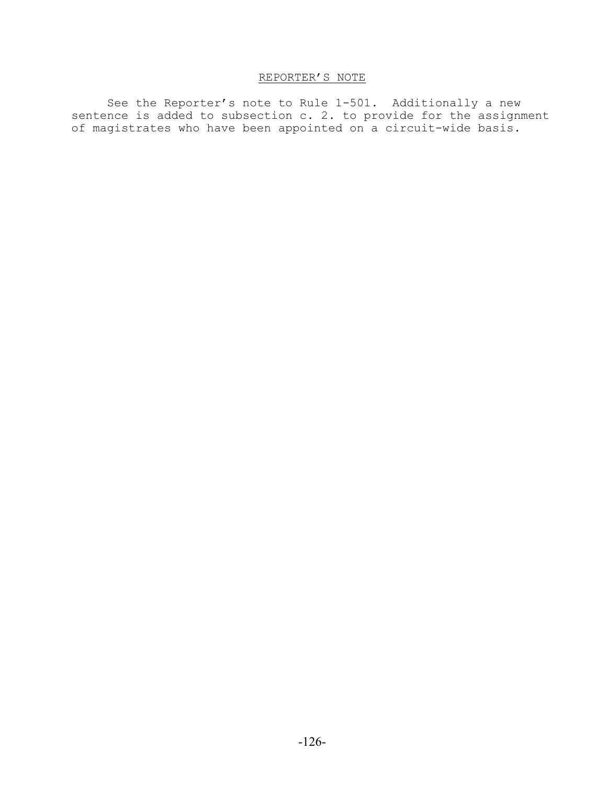# REPORTER'S NOTE

See the Reporter's note to Rule 1-501. Additionally a new sentence is added to subsection c. 2. to provide for the assignment of magistrates who have been appointed on a circuit-wide basis.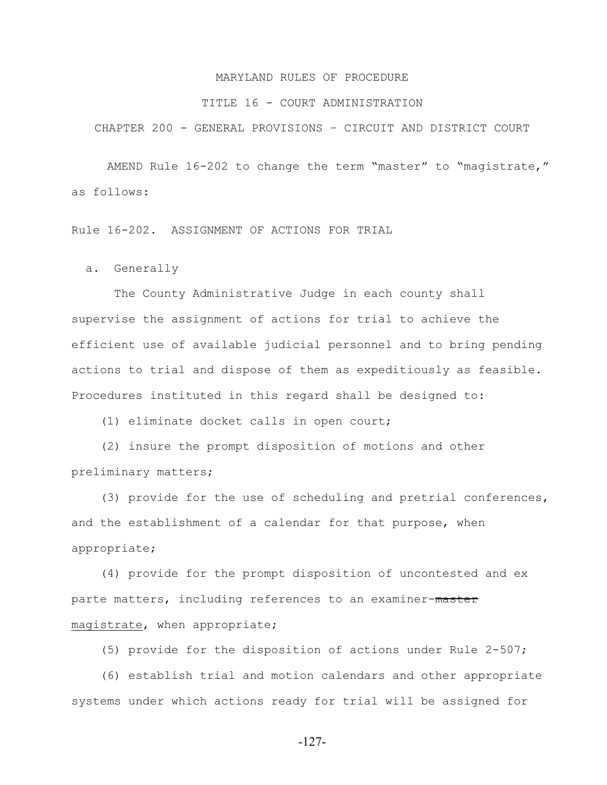#### TITLE 16 - COURT ADMINISTRATION

CHAPTER 200 - GENERAL PROVISIONS – CIRCUIT AND DISTRICT COURT

AMEND Rule 16-202 to change the term "master" to "magistrate," as follows:

Rule 16-202. ASSIGNMENT OF ACTIONS FOR TRIAL

a. Generally

 The County Administrative Judge in each county shall supervise the assignment of actions for trial to achieve the efficient use of available judicial personnel and to bring pending actions to trial and dispose of them as expeditiously as feasible. Procedures instituted in this regard shall be designed to:

(1) eliminate docket calls in open court;

 (2) insure the prompt disposition of motions and other preliminary matters;

 (3) provide for the use of scheduling and pretrial conferences, and the establishment of a calendar for that purpose, when appropriate;

 (4) provide for the prompt disposition of uncontested and ex parte matters, including references to an examiner-master magistrate, when appropriate;

(5) provide for the disposition of actions under Rule 2-507;

 (6) establish trial and motion calendars and other appropriate systems under which actions ready for trial will be assigned for

-127-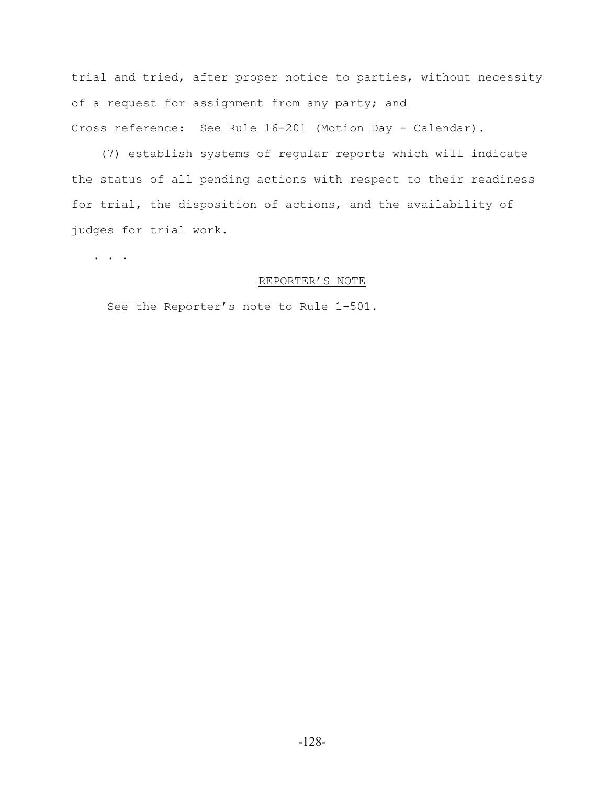trial and tried, after proper notice to parties, without necessity of a request for assignment from any party; and Cross reference: See Rule 16-201 (Motion Day - Calendar).

 (7) establish systems of regular reports which will indicate the status of all pending actions with respect to their readiness for trial, the disposition of actions, and the availability of judges for trial work.

. . .

## REPORTER'S NOTE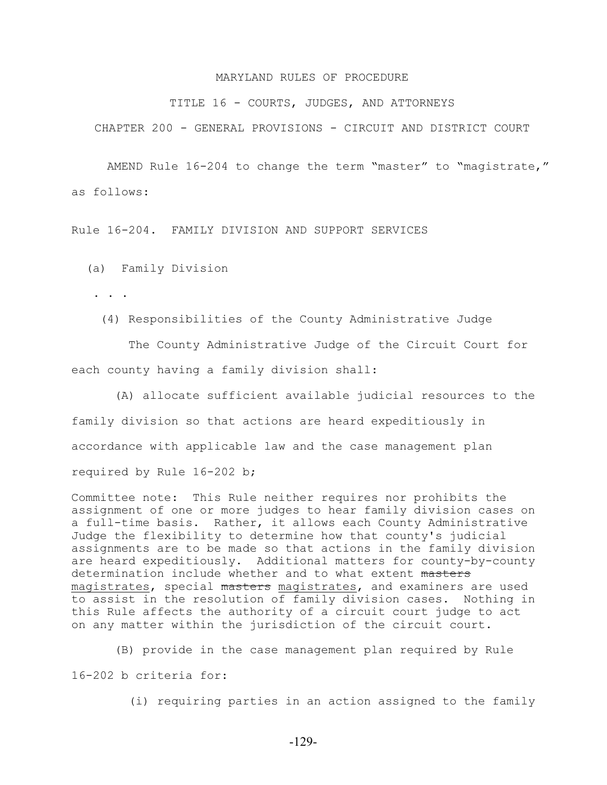TITLE 16 - COURTS, JUDGES, AND ATTORNEYS

CHAPTER 200 - GENERAL PROVISIONS - CIRCUIT AND DISTRICT COURT

AMEND Rule 16-204 to change the term "master" to "magistrate," as follows:

Rule 16-204. FAMILY DIVISION AND SUPPORT SERVICES

(a) Family Division

. . .

(4) Responsibilities of the County Administrative Judge

 The County Administrative Judge of the Circuit Court for each county having a family division shall:

 (A) allocate sufficient available judicial resources to the family division so that actions are heard expeditiously in accordance with applicable law and the case management plan required by Rule 16-202 b;

Committee note: This Rule neither requires nor prohibits the assignment of one or more judges to hear family division cases on a full-time basis. Rather, it allows each County Administrative Judge the flexibility to determine how that county's judicial assignments are to be made so that actions in the family division are heard expeditiously. Additional matters for county-by-county determination include whether and to what extent masters magistrates, special masters magistrates, and examiners are used to assist in the resolution of family division cases. Nothing in this Rule affects the authority of a circuit court judge to act on any matter within the jurisdiction of the circuit court.

 (B) provide in the case management plan required by Rule 16-202 b criteria for:

(i) requiring parties in an action assigned to the family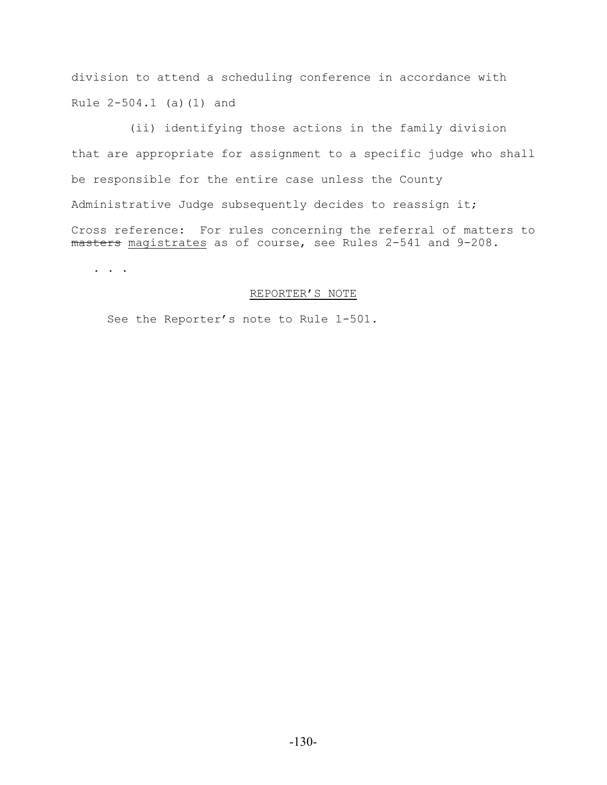division to attend a scheduling conference in accordance with Rule 2-504.1 (a)(1) and

 (ii) identifying those actions in the family division that are appropriate for assignment to a specific judge who shall be responsible for the entire case unless the County Administrative Judge subsequently decides to reassign it; Cross reference: For rules concerning the referral of matters to masters magistrates as of course, see Rules 2-541 and 9-208.

. . .

# REPORTER'S NOTE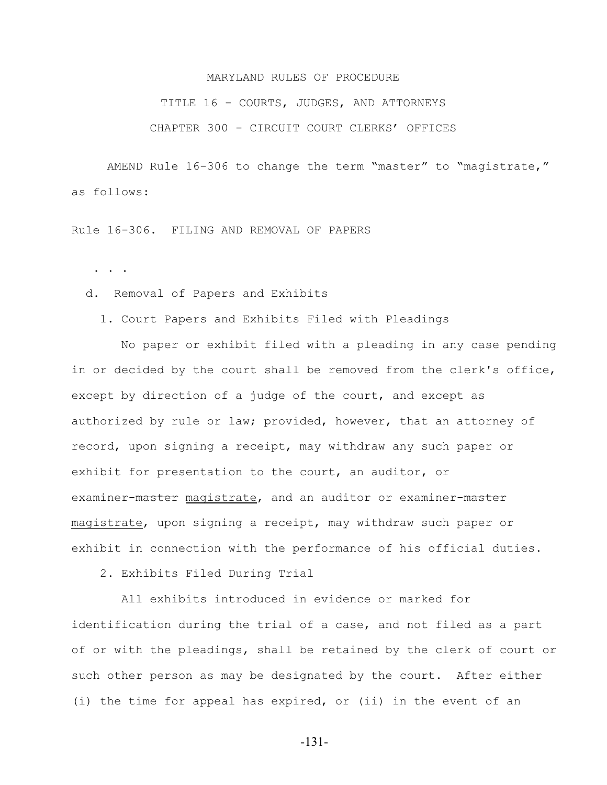TITLE 16 - COURTS, JUDGES, AND ATTORNEYS

CHAPTER 300 - CIRCUIT COURT CLERKS' OFFICES

AMEND Rule 16-306 to change the term "master" to "magistrate," as follows:

Rule 16-306. FILING AND REMOVAL OF PAPERS

. . .

d. Removal of Papers and Exhibits

1. Court Papers and Exhibits Filed with Pleadings

 No paper or exhibit filed with a pleading in any case pending in or decided by the court shall be removed from the clerk's office, except by direction of a judge of the court, and except as authorized by rule or law; provided, however, that an attorney of record, upon signing a receipt, may withdraw any such paper or exhibit for presentation to the court, an auditor, or examiner-master magistrate, and an auditor or examiner-master magistrate, upon signing a receipt, may withdraw such paper or exhibit in connection with the performance of his official duties.

2. Exhibits Filed During Trial

 All exhibits introduced in evidence or marked for identification during the trial of a case, and not filed as a part of or with the pleadings, shall be retained by the clerk of court or such other person as may be designated by the court. After either (i) the time for appeal has expired, or (ii) in the event of an

-131-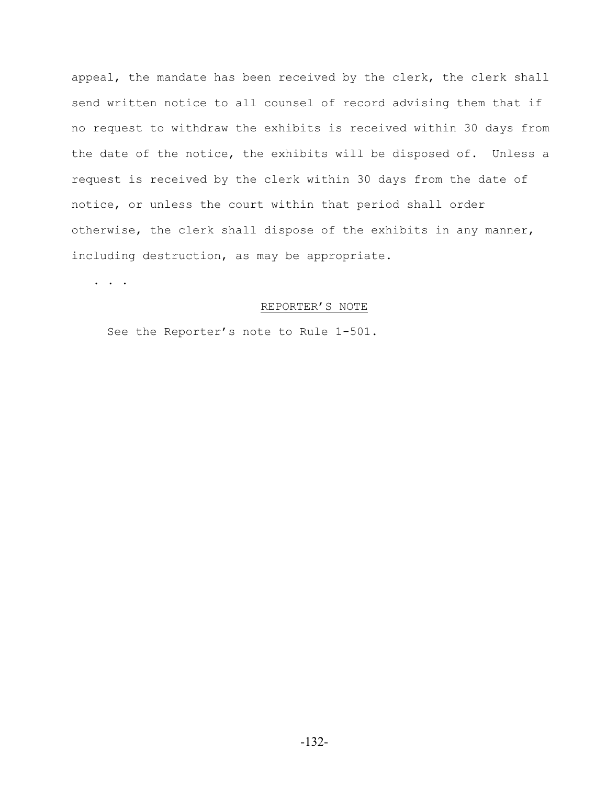appeal, the mandate has been received by the clerk, the clerk shall send written notice to all counsel of record advising them that if no request to withdraw the exhibits is received within 30 days from the date of the notice, the exhibits will be disposed of. Unless a request is received by the clerk within 30 days from the date of notice, or unless the court within that period shall order otherwise, the clerk shall dispose of the exhibits in any manner, including destruction, as may be appropriate.

. . .

## REPORTER'S NOTE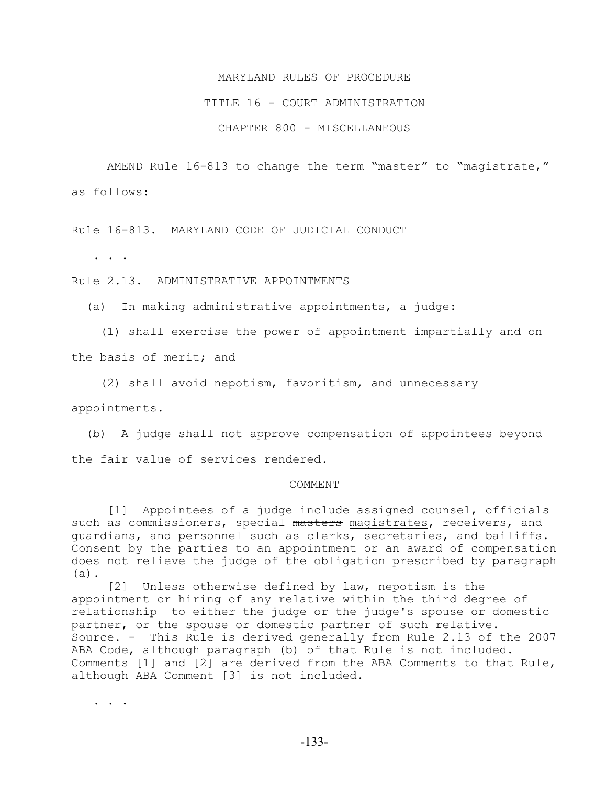## TITLE 16 - COURT ADMINISTRATION

CHAPTER 800 - MISCELLANEOUS

AMEND Rule 16-813 to change the term "master" to "magistrate," as follows:

Rule 16-813. MARYLAND CODE OF JUDICIAL CONDUCT

. . .

Rule 2.13. ADMINISTRATIVE APPOINTMENTS

(a) In making administrative appointments, a judge:

 (1) shall exercise the power of appointment impartially and on the basis of merit; and

(2) shall avoid nepotism, favoritism, and unnecessary

appointments.

 (b) A judge shall not approve compensation of appointees beyond the fair value of services rendered.

#### COMMENT

 [1] Appointees of a judge include assigned counsel, officials such as commissioners, special masters magistrates, receivers, and guardians, and personnel such as clerks, secretaries, and bailiffs. Consent by the parties to an appointment or an award of compensation does not relieve the judge of the obligation prescribed by paragraph (a).

 [2] Unless otherwise defined by law, nepotism is the appointment or hiring of any relative within the third degree of relationship to either the judge or the judge's spouse or domestic partner, or the spouse or domestic partner of such relative. Source.–- This Rule is derived generally from Rule 2.13 of the 2007 ABA Code, although paragraph (b) of that Rule is not included. Comments [1] and [2] are derived from the ABA Comments to that Rule, although ABA Comment [3] is not included.

. . . .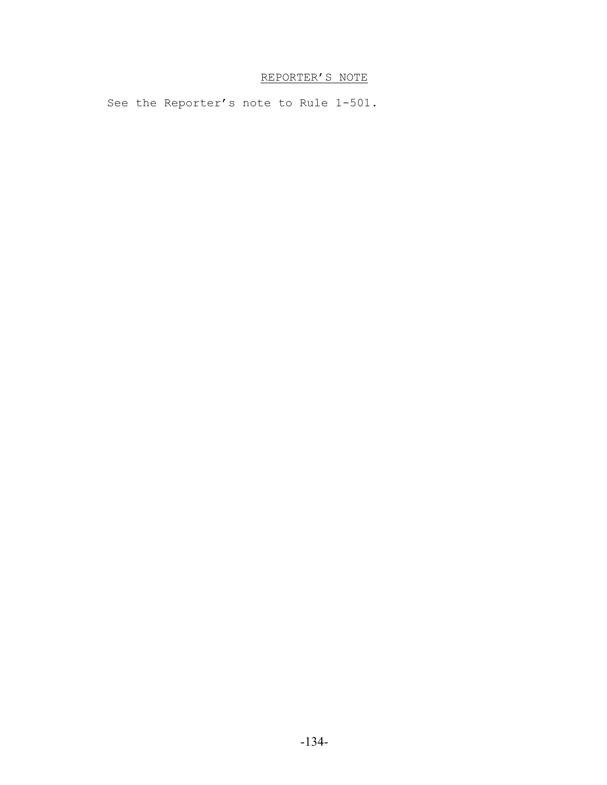# REPORTER'S NOTE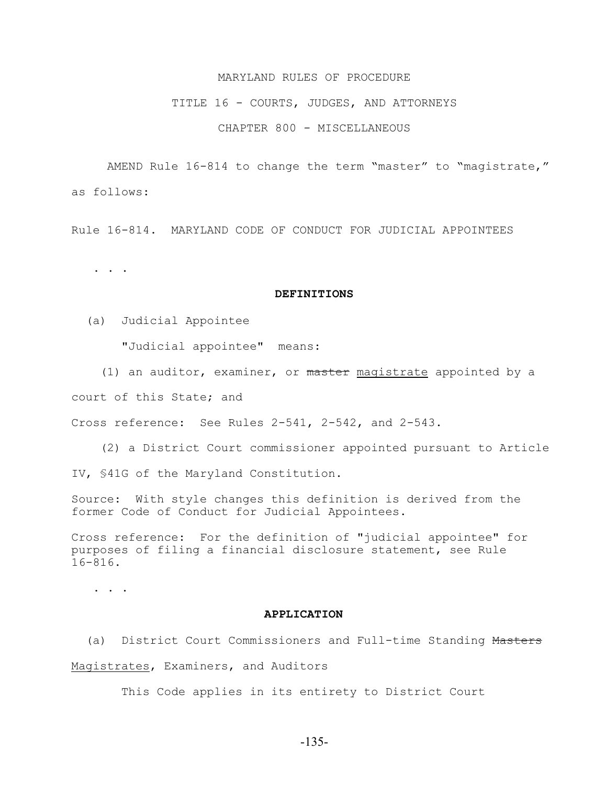#### TITLE 16 - COURTS, JUDGES, AND ATTORNEYS

CHAPTER 800 - MISCELLANEOUS

AMEND Rule 16-814 to change the term "master" to "magistrate," as follows:

Rule 16-814. MARYLAND CODE OF CONDUCT FOR JUDICIAL APPOINTEES

. . .

## **DEFINITIONS**

(a) Judicial Appointee

"Judicial appointee" means:

(1) an auditor, examiner, or master magistrate appointed by a

court of this State; and

Cross reference: See Rules 2-541, 2-542, and 2-543.

 (2) a District Court commissioner appointed pursuant to Article IV, §41G of the Maryland Constitution.

Source: With style changes this definition is derived from the former Code of Conduct for Judicial Appointees.

Cross reference: For the definition of "judicial appointee" for purposes of filing a financial disclosure statement, see Rule 16-816.

. . .

## **APPLICATION**

 (a) District Court Commissioners and Full-time Standing Masters Magistrates, Examiners, and Auditors

This Code applies in its entirety to District Court

-135-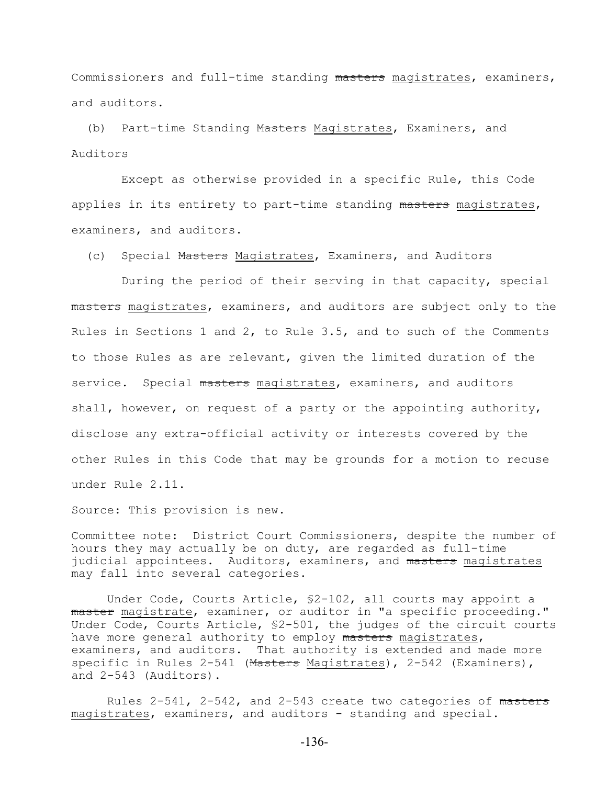Commissioners and full-time standing masters magistrates, examiners, and auditors.

 (b) Part-time Standing Masters Magistrates, Examiners, and Auditors

 Except as otherwise provided in a specific Rule, this Code applies in its entirety to part-time standing masters magistrates, examiners, and auditors.

(c) Special Masters Magistrates, Examiners, and Auditors

 During the period of their serving in that capacity, special masters magistrates, examiners, and auditors are subject only to the Rules in Sections 1 and 2, to Rule 3.5, and to such of the Comments to those Rules as are relevant, given the limited duration of the service. Special masters magistrates, examiners, and auditors shall, however, on request of a party or the appointing authority, disclose any extra-official activity or interests covered by the other Rules in this Code that may be grounds for a motion to recuse under Rule 2.11.

Source: This provision is new.

Committee note: District Court Commissioners, despite the number of hours they may actually be on duty, are regarded as full-time judicial appointees. Auditors, examiners, and masters magistrates may fall into several categories.

Under Code, Courts Article, §2-102, all courts may appoint a master magistrate, examiner, or auditor in "a specific proceeding." Under Code, Courts Article, §2-501, the judges of the circuit courts have more general authority to employ masters magistrates, examiners, and auditors. That authority is extended and made more specific in Rules 2-541 (Masters Magistrates), 2-542 (Examiners), and 2-543 (Auditors).

Rules  $2-541$ ,  $2-542$ , and  $2-543$  create two categories of masters magistrates, examiners, and auditors - standing and special.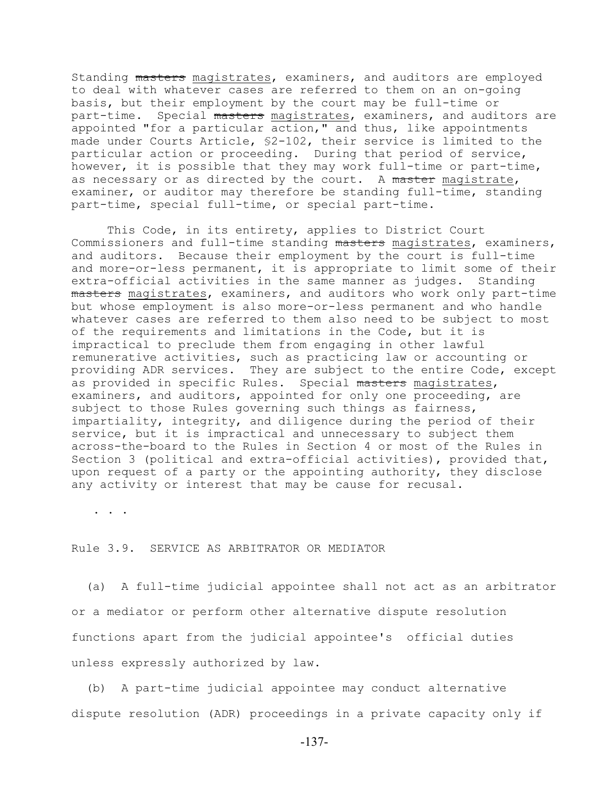Standing masters magistrates, examiners, and auditors are employed to deal with whatever cases are referred to them on an on-going basis, but their employment by the court may be full-time or part-time. Special masters magistrates, examiners, and auditors are appointed "for a particular action," and thus, like appointments made under Courts Article, §2-102, their service is limited to the particular action or proceeding. During that period of service, however, it is possible that they may work full-time or part-time, as necessary or as directed by the court. A master magistrate, examiner, or auditor may therefore be standing full-time, standing part-time, special full-time, or special part-time.

This Code, in its entirety, applies to District Court Commissioners and full-time standing masters magistrates, examiners, and auditors. Because their employment by the court is full-time and more-or-less permanent, it is appropriate to limit some of their extra-official activities in the same manner as judges. Standing masters magistrates, examiners, and auditors who work only part-time but whose employment is also more-or-less permanent and who handle whatever cases are referred to them also need to be subject to most of the requirements and limitations in the Code, but it is impractical to preclude them from engaging in other lawful remunerative activities, such as practicing law or accounting or providing ADR services. They are subject to the entire Code, except as provided in specific Rules. Special masters magistrates, examiners, and auditors, appointed for only one proceeding, are subject to those Rules governing such things as fairness, impartiality, integrity, and diligence during the period of their service, but it is impractical and unnecessary to subject them across-the-board to the Rules in Section 4 or most of the Rules in Section 3 (political and extra-official activities), provided that, upon request of a party or the appointing authority, they disclose any activity or interest that may be cause for recusal.

. . .

## Rule 3.9. SERVICE AS ARBITRATOR OR MEDIATOR

 (a) A full-time judicial appointee shall not act as an arbitrator or a mediator or perform other alternative dispute resolution functions apart from the judicial appointee's official duties unless expressly authorized by law.

 (b) A part-time judicial appointee may conduct alternative dispute resolution (ADR) proceedings in a private capacity only if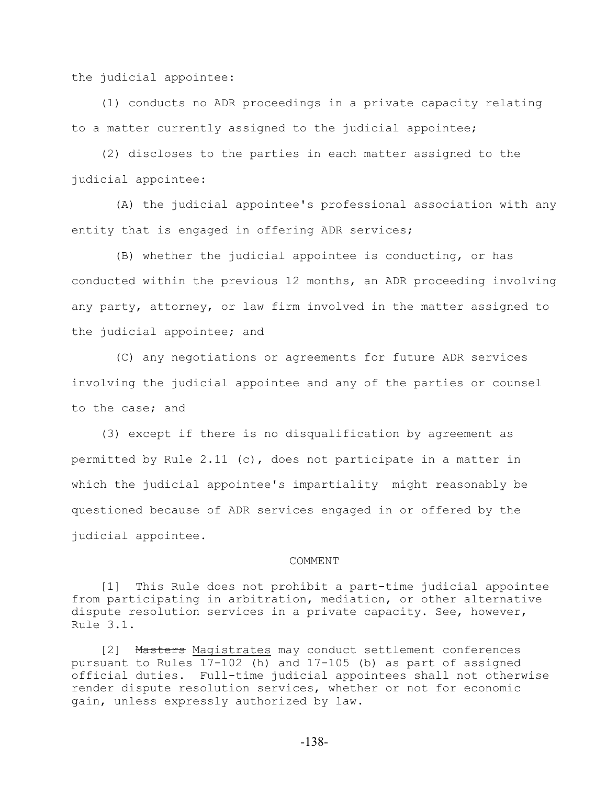the judicial appointee:

 (1) conducts no ADR proceedings in a private capacity relating to a matter currently assigned to the judicial appointee;

 (2) discloses to the parties in each matter assigned to the judicial appointee:

 (A) the judicial appointee's professional association with any entity that is engaged in offering ADR services;

 (B) whether the judicial appointee is conducting, or has conducted within the previous 12 months, an ADR proceeding involving any party, attorney, or law firm involved in the matter assigned to the judicial appointee; and

 (C) any negotiations or agreements for future ADR services involving the judicial appointee and any of the parties or counsel to the case; and

 (3) except if there is no disqualification by agreement as permitted by Rule 2.11 (c), does not participate in a matter in which the judicial appointee's impartiality might reasonably be questioned because of ADR services engaged in or offered by the judicial appointee.

#### COMMENT

 [1] This Rule does not prohibit a part-time judicial appointee from participating in arbitration, mediation, or other alternative dispute resolution services in a private capacity. See, however, Rule 3.1.

[2] Masters Magistrates may conduct settlement conferences pursuant to Rules 17-102 (h) and 17-105 (b) as part of assigned official duties. Full-time judicial appointees shall not otherwise render dispute resolution services, whether or not for economic gain, unless expressly authorized by law.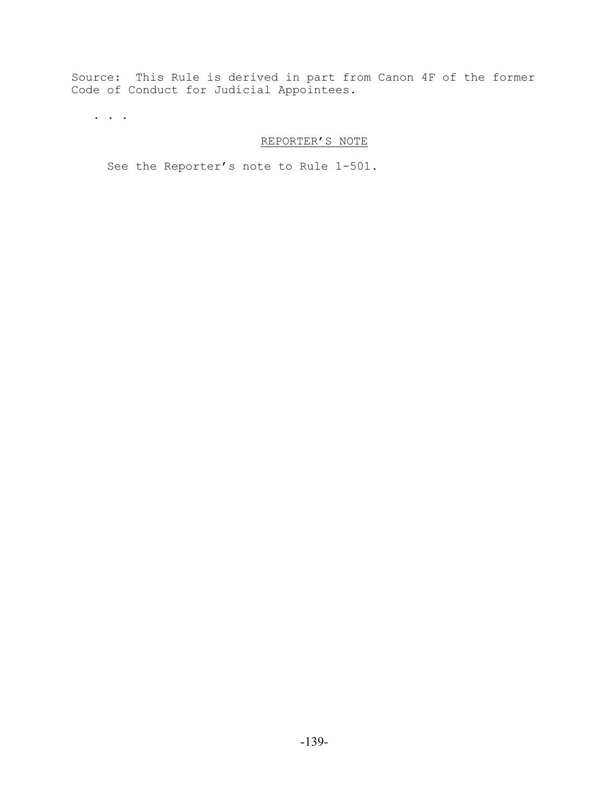Source: This Rule is derived in part from Canon 4F of the former Code of Conduct for Judicial Appointees.

. . .

# REPORTER'S NOTE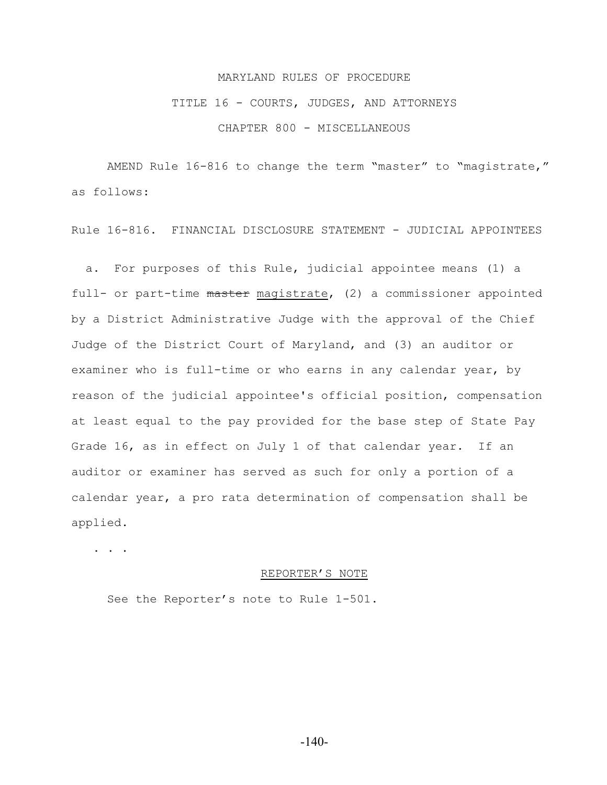# TITLE 16 - COURTS, JUDGES, AND ATTORNEYS

CHAPTER 800 - MISCELLANEOUS

AMEND Rule 16-816 to change the term "master" to "magistrate," as follows:

Rule 16-816. FINANCIAL DISCLOSURE STATEMENT - JUDICIAL APPOINTEES

 a. For purposes of this Rule, judicial appointee means (1) a full- or part-time master magistrate, (2) a commissioner appointed by a District Administrative Judge with the approval of the Chief Judge of the District Court of Maryland, and (3) an auditor or examiner who is full-time or who earns in any calendar year, by reason of the judicial appointee's official position, compensation at least equal to the pay provided for the base step of State Pay Grade 16, as in effect on July 1 of that calendar year. If an auditor or examiner has served as such for only a portion of a calendar year, a pro rata determination of compensation shall be applied.

. . .

#### REPORTER'S NOTE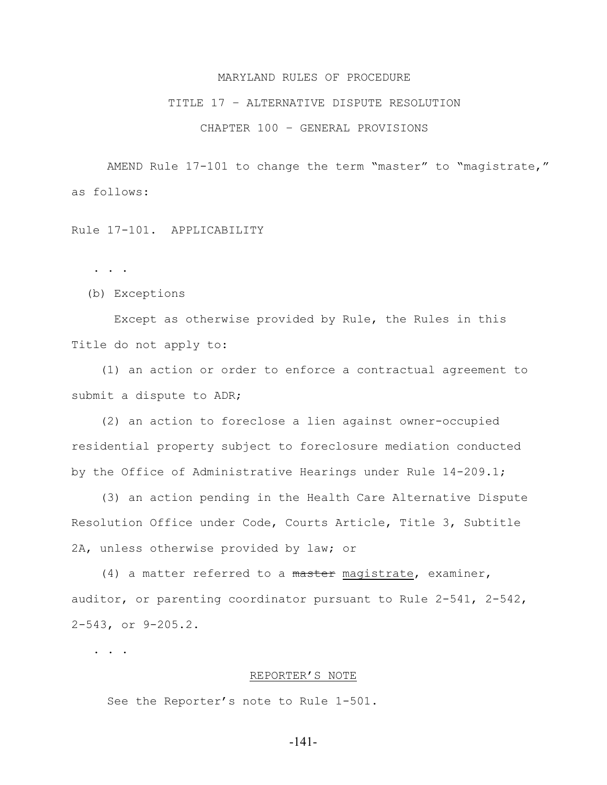#### TITLE 17 – ALTERNATIVE DISPUTE RESOLUTION

## CHAPTER 100 – GENERAL PROVISIONS

AMEND Rule 17-101 to change the term "master" to "magistrate," as follows:

# Rule 17-101. APPLICABILITY

. . .

(b) Exceptions

 Except as otherwise provided by Rule, the Rules in this Title do not apply to:

 (1) an action or order to enforce a contractual agreement to submit a dispute to ADR;

 (2) an action to foreclose a lien against owner-occupied residential property subject to foreclosure mediation conducted by the Office of Administrative Hearings under Rule 14-209.1;

 (3) an action pending in the Health Care Alternative Dispute Resolution Office under Code, Courts Article, Title 3, Subtitle 2A, unless otherwise provided by law; or

(4) a matter referred to a master magistrate, examiner, auditor, or parenting coordinator pursuant to Rule 2-541, 2-542, 2-543, or 9-205.2.

. . .

### REPORTER'S NOTE

See the Reporter's note to Rule 1-501.

-141-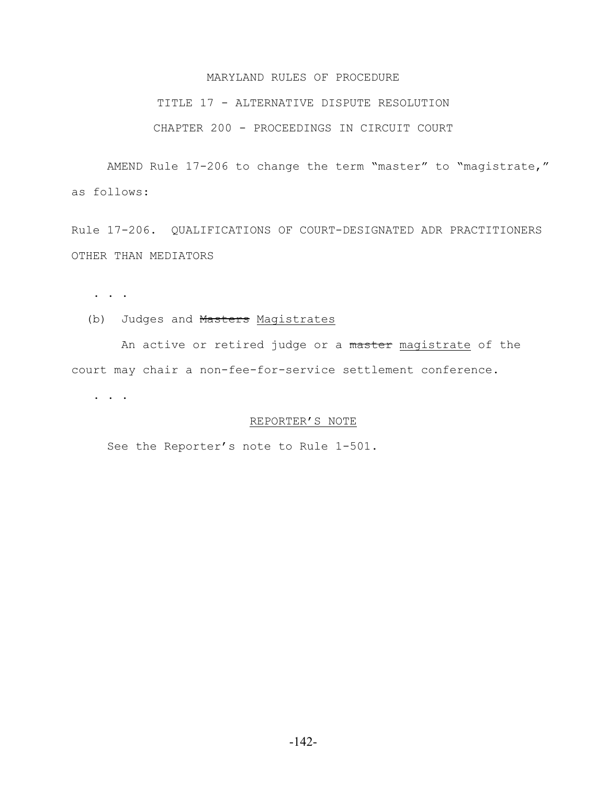### TITLE 17 - ALTERNATIVE DISPUTE RESOLUTION

# CHAPTER 200 - PROCEEDINGS IN CIRCUIT COURT

AMEND Rule 17-206 to change the term "master" to "magistrate," as follows:

Rule 17-206. QUALIFICATIONS OF COURT-DESIGNATED ADR PRACTITIONERS OTHER THAN MEDIATORS

. . .

### (b) Judges and Masters Magistrates

An active or retired judge or a master magistrate of the court may chair a non-fee-for-service settlement conference.

. . . . . . .  $\overline{\phantom{a}}$ 

## REPORTER'S NOTE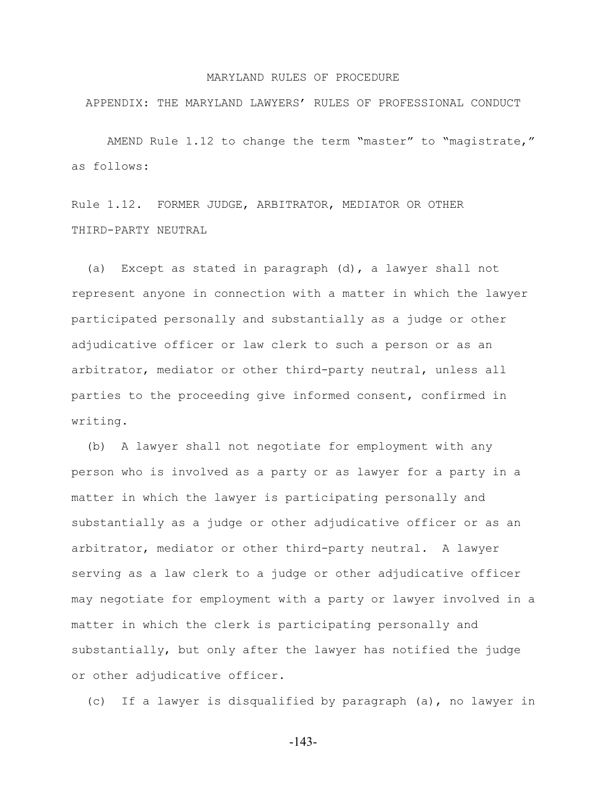APPENDIX: THE MARYLAND LAWYERS' RULES OF PROFESSIONAL CONDUCT

AMEND Rule 1.12 to change the term "master" to "magistrate," as follows:

Rule 1.12. FORMER JUDGE, ARBITRATOR, MEDIATOR OR OTHER THIRD-PARTY NEUTRAL

 (a) Except as stated in paragraph (d), a lawyer shall not represent anyone in connection with a matter in which the lawyer participated personally and substantially as a judge or other adjudicative officer or law clerk to such a person or as an arbitrator, mediator or other third-party neutral, unless all parties to the proceeding give informed consent, confirmed in writing.

 (b) A lawyer shall not negotiate for employment with any person who is involved as a party or as lawyer for a party in a matter in which the lawyer is participating personally and substantially as a judge or other adjudicative officer or as an arbitrator, mediator or other third-party neutral. A lawyer serving as a law clerk to a judge or other adjudicative officer may negotiate for employment with a party or lawyer involved in a matter in which the clerk is participating personally and substantially, but only after the lawyer has notified the judge or other adjudicative officer.

(c) If a lawyer is disqualified by paragraph (a), no lawyer in

-143-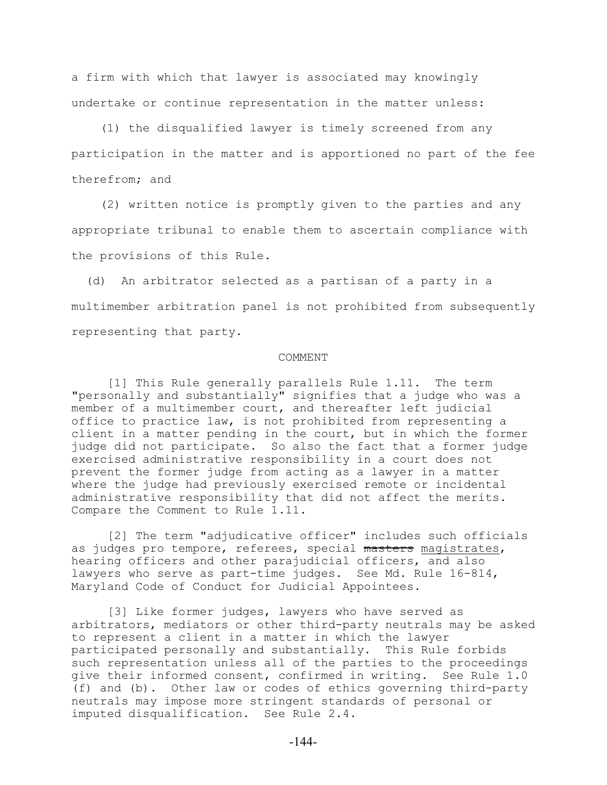a firm with which that lawyer is associated may knowingly undertake or continue representation in the matter unless:

 (1) the disqualified lawyer is timely screened from any participation in the matter and is apportioned no part of the fee therefrom; and

 (2) written notice is promptly given to the parties and any appropriate tribunal to enable them to ascertain compliance with the provisions of this Rule.

 (d) An arbitrator selected as a partisan of a party in a multimember arbitration panel is not prohibited from subsequently representing that party.

#### COMMENT

[1] This Rule generally parallels Rule 1.11. The term "personally and substantially" signifies that a judge who was a member of a multimember court, and thereafter left judicial office to practice law, is not prohibited from representing a client in a matter pending in the court, but in which the former judge did not participate. So also the fact that a former judge exercised administrative responsibility in a court does not prevent the former judge from acting as a lawyer in a matter where the judge had previously exercised remote or incidental administrative responsibility that did not affect the merits. Compare the Comment to Rule 1.11.

[2] The term "adjudicative officer" includes such officials as judges pro tempore, referees, special masters magistrates, hearing officers and other parajudicial officers, and also lawyers who serve as part-time judges. See Md. Rule 16-814, Maryland Code of Conduct for Judicial Appointees.

[3] Like former judges, lawyers who have served as arbitrators, mediators or other third-party neutrals may be asked to represent a client in a matter in which the lawyer participated personally and substantially. This Rule forbids such representation unless all of the parties to the proceedings give their informed consent, confirmed in writing. See Rule 1.0 (f) and (b). Other law or codes of ethics governing third-party neutrals may impose more stringent standards of personal or imputed disqualification. See Rule 2.4.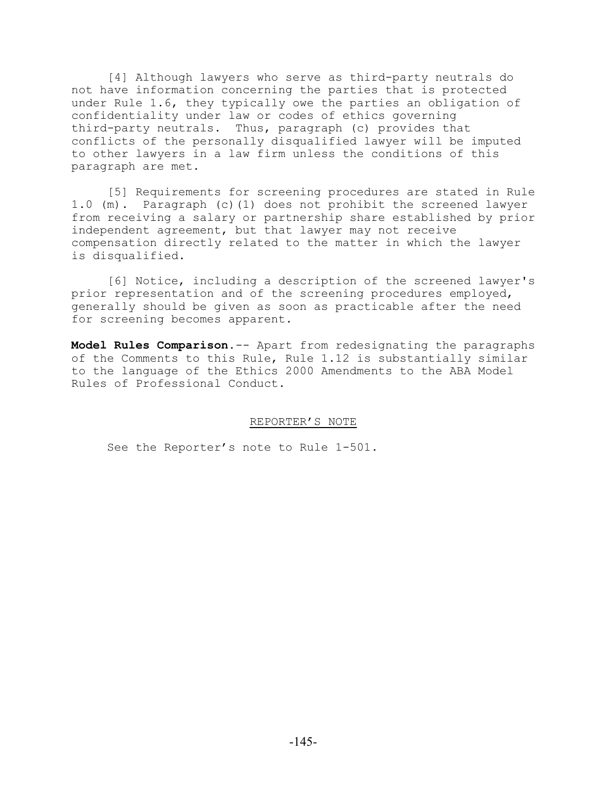[4] Although lawyers who serve as third-party neutrals do not have information concerning the parties that is protected under Rule 1.6, they typically owe the parties an obligation of confidentiality under law or codes of ethics governing third-party neutrals. Thus, paragraph (c) provides that conflicts of the personally disqualified lawyer will be imputed to other lawyers in a law firm unless the conditions of this paragraph are met.

[5] Requirements for screening procedures are stated in Rule 1.0 (m). Paragraph (c)(1) does not prohibit the screened lawyer from receiving a salary or partnership share established by prior independent agreement, but that lawyer may not receive compensation directly related to the matter in which the lawyer is disqualified.

[6] Notice, including a description of the screened lawyer's prior representation and of the screening procedures employed, generally should be given as soon as practicable after the need for screening becomes apparent.

**Model Rules Comparison**.-- Apart from redesignating the paragraphs of the Comments to this Rule, Rule 1.12 is substantially similar to the language of the Ethics 2000 Amendments to the ABA Model Rules of Professional Conduct.

# REPORTER'S NOTE

See the Reporter's note to Rule 1-501.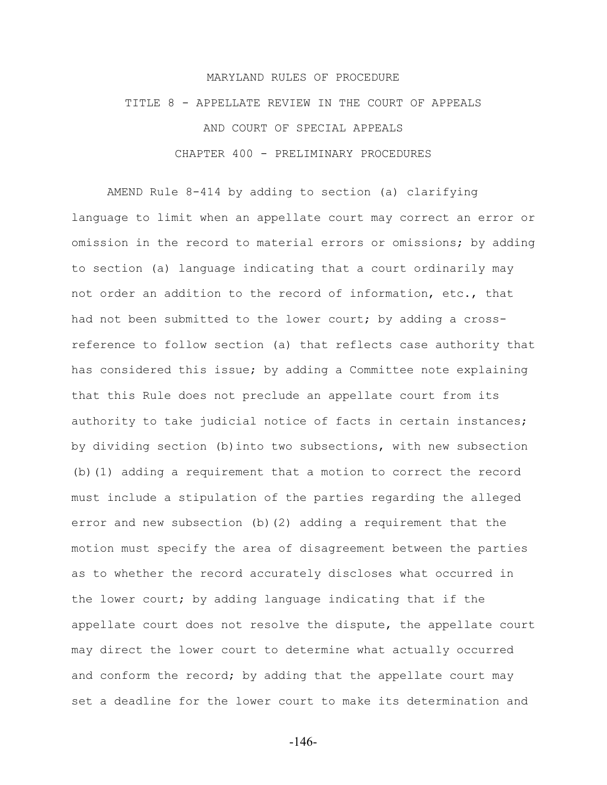# MARYLAND RULES OF PROCEDURE TITLE 8 - APPELLATE REVIEW IN THE COURT OF APPEALS AND COURT OF SPECIAL APPEALS CHAPTER 400 - PRELIMINARY PROCEDURES

AMEND Rule 8-414 by adding to section (a) clarifying language to limit when an appellate court may correct an error or omission in the record to material errors or omissions; by adding to section (a) language indicating that a court ordinarily may not order an addition to the record of information, etc., that had not been submitted to the lower court; by adding a crossreference to follow section (a) that reflects case authority that has considered this issue; by adding a Committee note explaining that this Rule does not preclude an appellate court from its authority to take judicial notice of facts in certain instances; by dividing section (b)into two subsections, with new subsection (b)(1) adding a requirement that a motion to correct the record must include a stipulation of the parties regarding the alleged error and new subsection (b)(2) adding a requirement that the motion must specify the area of disagreement between the parties as to whether the record accurately discloses what occurred in the lower court; by adding language indicating that if the appellate court does not resolve the dispute, the appellate court may direct the lower court to determine what actually occurred and conform the record; by adding that the appellate court may set a deadline for the lower court to make its determination and

-146-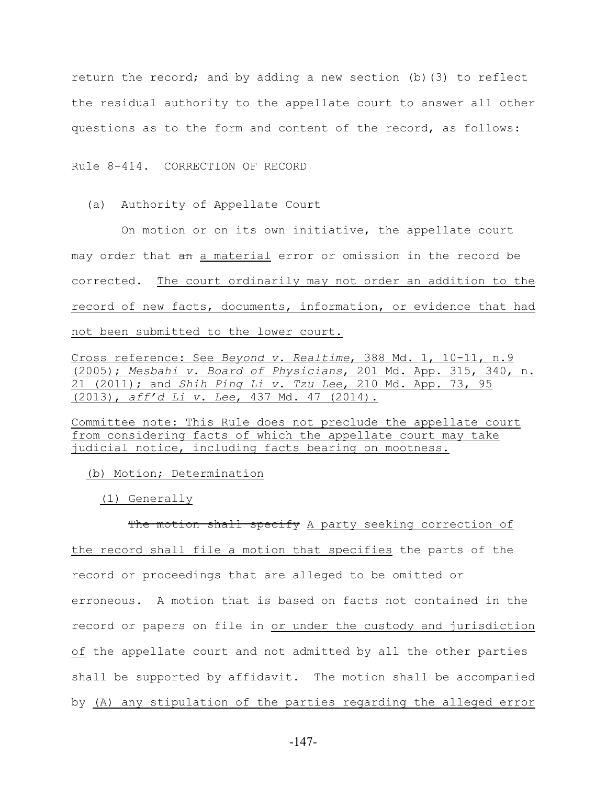return the record; and by adding a new section (b)(3) to reflect the residual authority to the appellate court to answer all other questions as to the form and content of the record, as follows:

Rule 8-414. CORRECTION OF RECORD

(a) Authority of Appellate Court

 On motion or on its own initiative, the appellate court may order that an a material error or omission in the record be corrected. The court ordinarily may not order an addition to the record of new facts, documents, information, or evidence that had not been submitted to the lower court.

Cross reference: See *Beyond v. Realtime*, 388 Md. 1, 10-11, n.9 (2005); *Mesbahi v. Board of Physicians*, 201 Md. App. 315, 340, n. 21 (2011); and *Shih Ping Li v. Tzu Lee*, 210 Md. App. 73, 95 (2013), *aff'd Li v. Lee*, 437 Md. 47 (2014).

Committee note: This Rule does not preclude the appellate court from considering facts of which the appellate court may take judicial notice, including facts bearing on mootness.

(b) Motion; Determination

(1) Generally

The motion shall specify A party seeking correction of the record shall file a motion that specifies the parts of the record or proceedings that are alleged to be omitted or erroneous. A motion that is based on facts not contained in the record or papers on file in or under the custody and jurisdiction of the appellate court and not admitted by all the other parties shall be supported by affidavit. The motion shall be accompanied by (A) any stipulation of the parties regarding the alleged error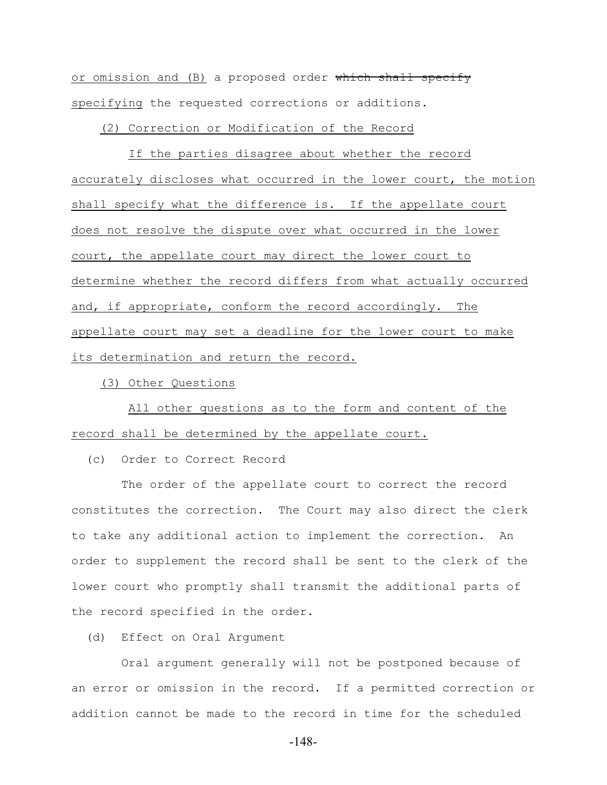or omission and (B) a proposed order which shall specify specifying the requested corrections or additions.

(2) Correction or Modification of the Record

 If the parties disagree about whether the record accurately discloses what occurred in the lower court, the motion shall specify what the difference is. If the appellate court does not resolve the dispute over what occurred in the lower court, the appellate court may direct the lower court to determine whether the record differs from what actually occurred and, if appropriate, conform the record accordingly. The appellate court may set a deadline for the lower court to make its determination and return the record.

(3) Other Questions

 All other questions as to the form and content of the record shall be determined by the appellate court.

(c) Order to Correct Record

 The order of the appellate court to correct the record constitutes the correction. The Court may also direct the clerk to take any additional action to implement the correction. An order to supplement the record shall be sent to the clerk of the lower court who promptly shall transmit the additional parts of the record specified in the order.

(d) Effect on Oral Argument

 Oral argument generally will not be postponed because of an error or omission in the record. If a permitted correction or addition cannot be made to the record in time for the scheduled

-148-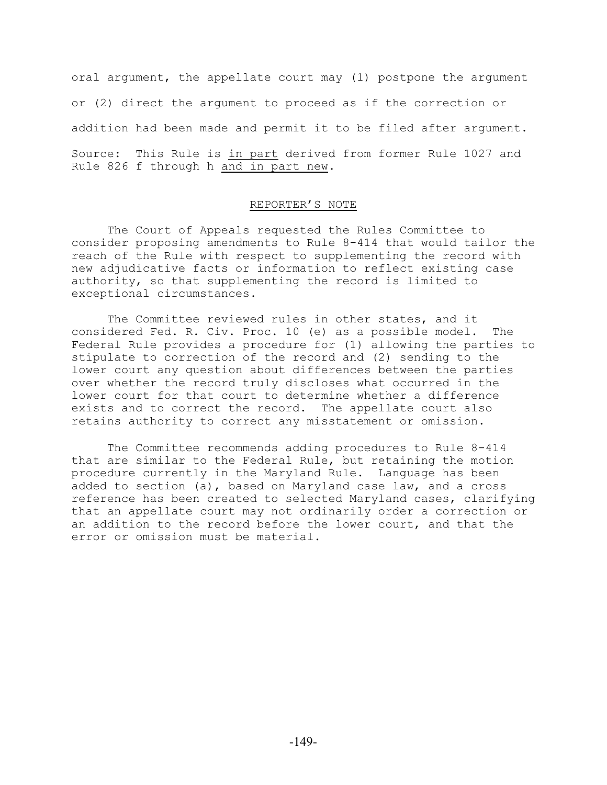oral argument, the appellate court may (1) postpone the argument or (2) direct the argument to proceed as if the correction or addition had been made and permit it to be filed after argument. Source: This Rule is in part derived from former Rule 1027 and Rule 826 f through h and in part new.

## REPORTER'S NOTE

The Court of Appeals requested the Rules Committee to consider proposing amendments to Rule 8-414 that would tailor the reach of the Rule with respect to supplementing the record with new adjudicative facts or information to reflect existing case authority, so that supplementing the record is limited to exceptional circumstances.

The Committee reviewed rules in other states, and it considered Fed. R. Civ. Proc. 10 (e) as a possible model. The Federal Rule provides a procedure for (1) allowing the parties to stipulate to correction of the record and (2) sending to the lower court any question about differences between the parties over whether the record truly discloses what occurred in the lower court for that court to determine whether a difference exists and to correct the record. The appellate court also retains authority to correct any misstatement or omission.

The Committee recommends adding procedures to Rule 8-414 that are similar to the Federal Rule, but retaining the motion procedure currently in the Maryland Rule. Language has been added to section (a), based on Maryland case law, and a cross reference has been created to selected Maryland cases, clarifying that an appellate court may not ordinarily order a correction or an addition to the record before the lower court, and that the error or omission must be material.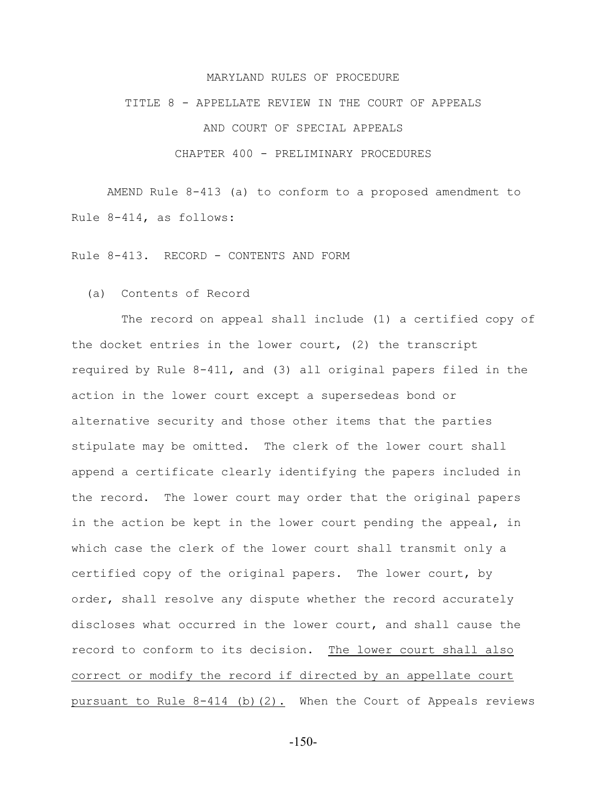## MARYLAND RULES OF PROCEDURE

#### TITLE 8 - APPELLATE REVIEW IN THE COURT OF APPEALS

AND COURT OF SPECIAL APPEALS

## CHAPTER 400 - PRELIMINARY PROCEDURES

AMEND Rule 8-413 (a) to conform to a proposed amendment to Rule 8-414, as follows:

Rule 8-413. RECORD - CONTENTS AND FORM

## (a) Contents of Record

 The record on appeal shall include (1) a certified copy of the docket entries in the lower court, (2) the transcript required by Rule 8-411, and (3) all original papers filed in the action in the lower court except a supersedeas bond or alternative security and those other items that the parties stipulate may be omitted. The clerk of the lower court shall append a certificate clearly identifying the papers included in the record. The lower court may order that the original papers in the action be kept in the lower court pending the appeal, in which case the clerk of the lower court shall transmit only a certified copy of the original papers. The lower court, by order, shall resolve any dispute whether the record accurately discloses what occurred in the lower court, and shall cause the record to conform to its decision. The lower court shall also correct or modify the record if directed by an appellate court pursuant to Rule 8-414 (b)(2). When the Court of Appeals reviews

-150-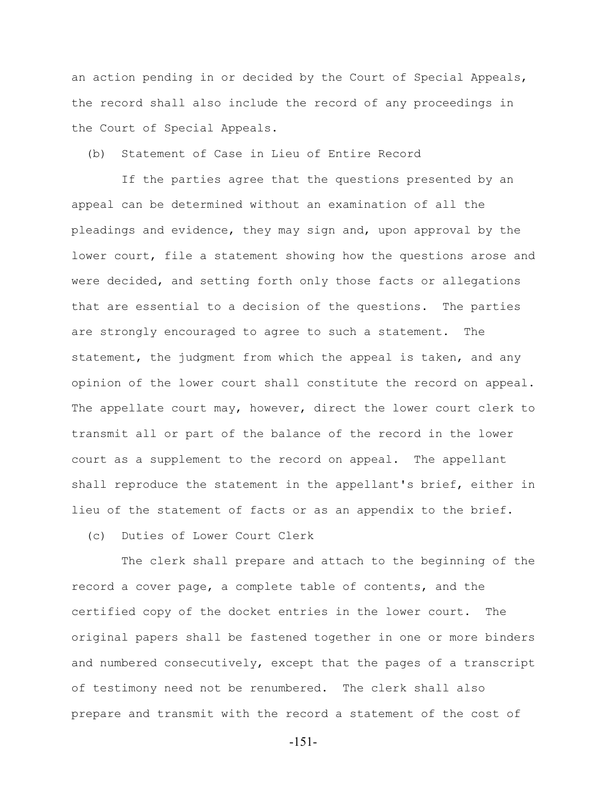an action pending in or decided by the Court of Special Appeals, the record shall also include the record of any proceedings in the Court of Special Appeals.

(b) Statement of Case in Lieu of Entire Record

 If the parties agree that the questions presented by an appeal can be determined without an examination of all the pleadings and evidence, they may sign and, upon approval by the lower court, file a statement showing how the questions arose and were decided, and setting forth only those facts or allegations that are essential to a decision of the questions. The parties are strongly encouraged to agree to such a statement. The statement, the judgment from which the appeal is taken, and any opinion of the lower court shall constitute the record on appeal. The appellate court may, however, direct the lower court clerk to transmit all or part of the balance of the record in the lower court as a supplement to the record on appeal. The appellant shall reproduce the statement in the appellant's brief, either in lieu of the statement of facts or as an appendix to the brief.

(c) Duties of Lower Court Clerk

 The clerk shall prepare and attach to the beginning of the record a cover page, a complete table of contents, and the certified copy of the docket entries in the lower court. The original papers shall be fastened together in one or more binders and numbered consecutively, except that the pages of a transcript of testimony need not be renumbered. The clerk shall also prepare and transmit with the record a statement of the cost of

-151-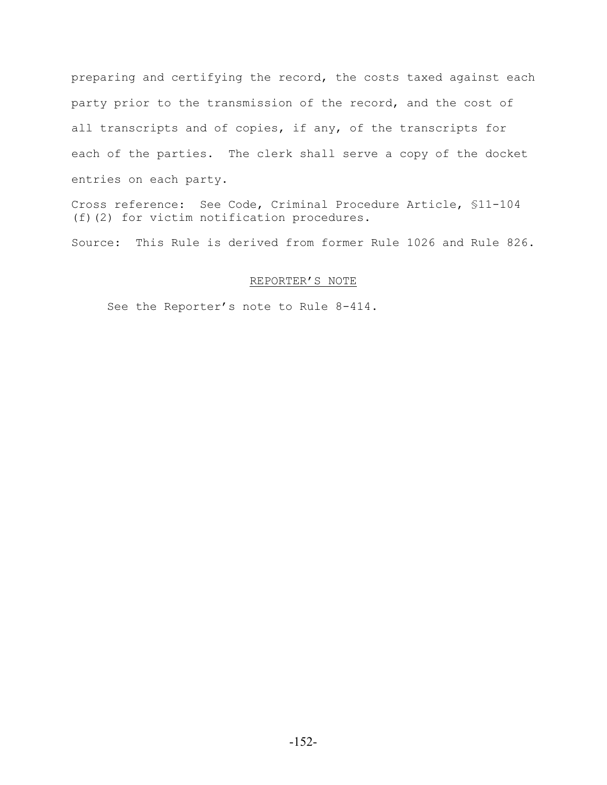preparing and certifying the record, the costs taxed against each party prior to the transmission of the record, and the cost of all transcripts and of copies, if any, of the transcripts for each of the parties. The clerk shall serve a copy of the docket entries on each party.

Cross reference: See Code, Criminal Procedure Article, §11-104 (f)(2) for victim notification procedures.

Source: This Rule is derived from former Rule 1026 and Rule 826.

## REPORTER'S NOTE

See the Reporter's note to Rule 8-414.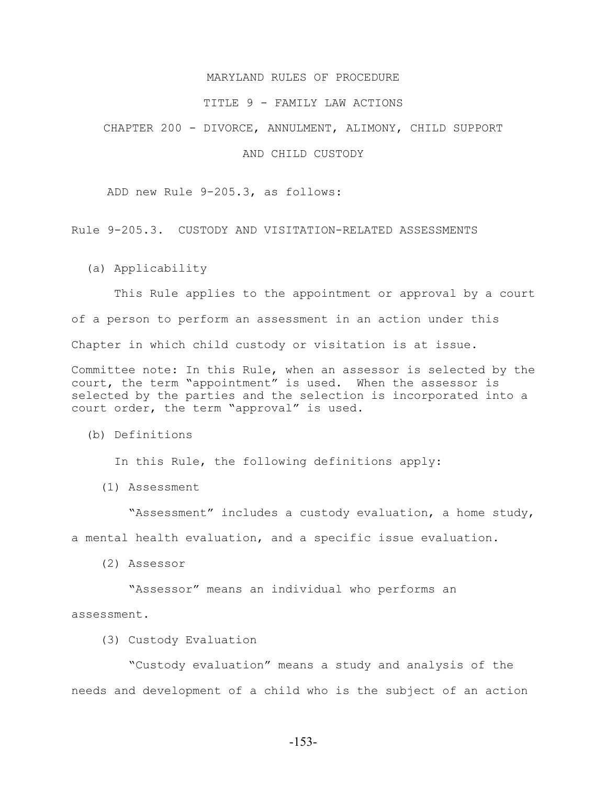## MARYLAND RULES OF PROCEDURE

#### TITLE 9 - FAMILY LAW ACTIONS

CHAPTER 200 - DIVORCE, ANNULMENT, ALIMONY, CHILD SUPPORT

## AND CHILD CUSTODY

ADD new Rule 9-205.3, as follows:

Rule 9-205.3. CUSTODY AND VISITATION-RELATED ASSESSMENTS

(a) Applicability

 This Rule applies to the appointment or approval by a court of a person to perform an assessment in an action under this Chapter in which child custody or visitation is at issue.

Committee note: In this Rule, when an assessor is selected by the court, the term "appointment" is used. When the assessor is selected by the parties and the selection is incorporated into a court order, the term "approval" is used.

(b) Definitions

In this Rule, the following definitions apply:

(1) Assessment

 "Assessment" includes a custody evaluation, a home study, a mental health evaluation, and a specific issue evaluation.

(2) Assessor

"Assessor" means an individual who performs an

assessment.

(3) Custody Evaluation

 "Custody evaluation" means a study and analysis of the needs and development of a child who is the subject of an action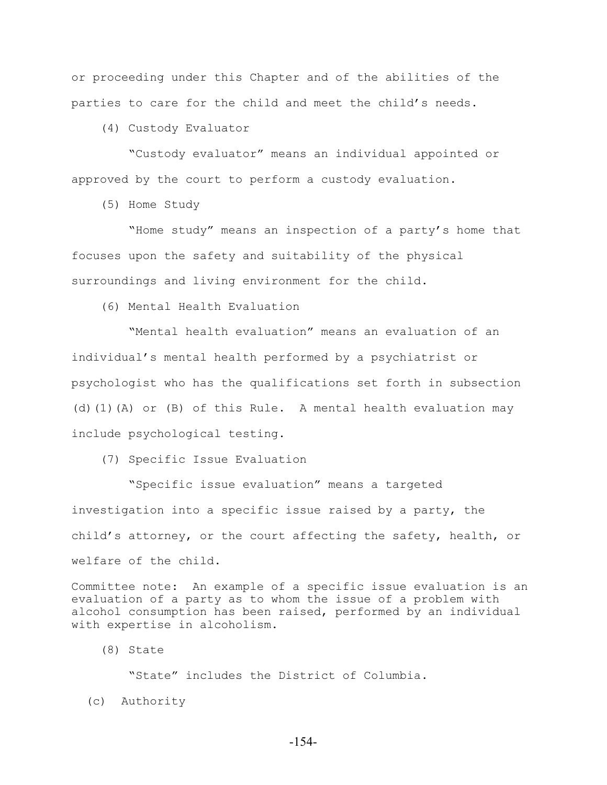or proceeding under this Chapter and of the abilities of the parties to care for the child and meet the child's needs.

(4) Custody Evaluator

 "Custody evaluator" means an individual appointed or approved by the court to perform a custody evaluation.

(5) Home Study

 "Home study" means an inspection of a party's home that focuses upon the safety and suitability of the physical surroundings and living environment for the child.

(6) Mental Health Evaluation

 "Mental health evaluation" means an evaluation of an individual's mental health performed by a psychiatrist or psychologist who has the qualifications set forth in subsection (d)(1)(A) or (B) of this Rule. A mental health evaluation may include psychological testing.

(7) Specific Issue Evaluation

 "Specific issue evaluation" means a targeted investigation into a specific issue raised by a party, the child's attorney, or the court affecting the safety, health, or welfare of the child.

Committee note: An example of a specific issue evaluation is an evaluation of a party as to whom the issue of a problem with alcohol consumption has been raised, performed by an individual with expertise in alcoholism.

(8) State

"State" includes the District of Columbia.

(c) Authority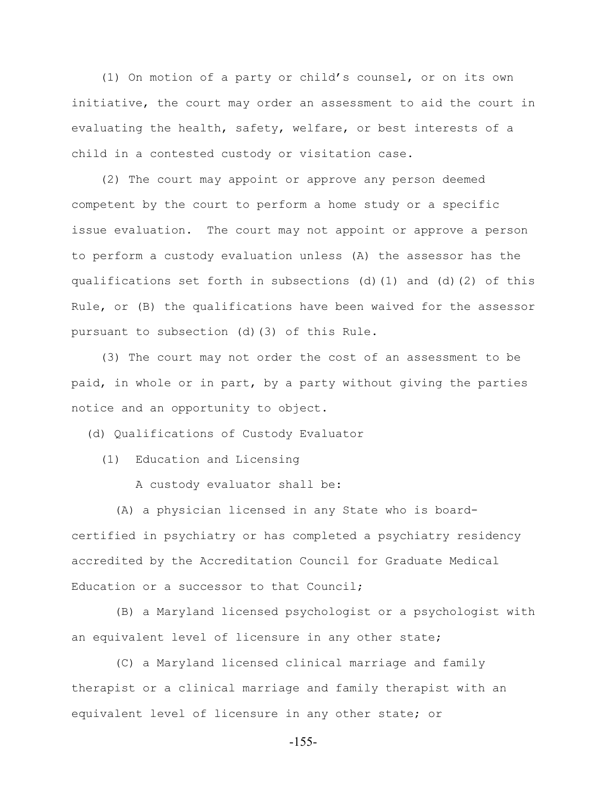(1) On motion of a party or child's counsel, or on its own initiative, the court may order an assessment to aid the court in evaluating the health, safety, welfare, or best interests of a child in a contested custody or visitation case.

 (2) The court may appoint or approve any person deemed competent by the court to perform a home study or a specific issue evaluation. The court may not appoint or approve a person to perform a custody evaluation unless (A) the assessor has the qualifications set forth in subsections (d)(1) and (d)(2) of this Rule, or (B) the qualifications have been waived for the assessor pursuant to subsection (d)(3) of this Rule.

 (3) The court may not order the cost of an assessment to be paid, in whole or in part, by a party without giving the parties notice and an opportunity to object.

(d) Qualifications of Custody Evaluator

(1) Education and Licensing

A custody evaluator shall be:

 (A) a physician licensed in any State who is boardcertified in psychiatry or has completed a psychiatry residency accredited by the Accreditation Council for Graduate Medical Education or a successor to that Council;

 (B) a Maryland licensed psychologist or a psychologist with an equivalent level of licensure in any other state;

 (C) a Maryland licensed clinical marriage and family therapist or a clinical marriage and family therapist with an equivalent level of licensure in any other state; or

-155-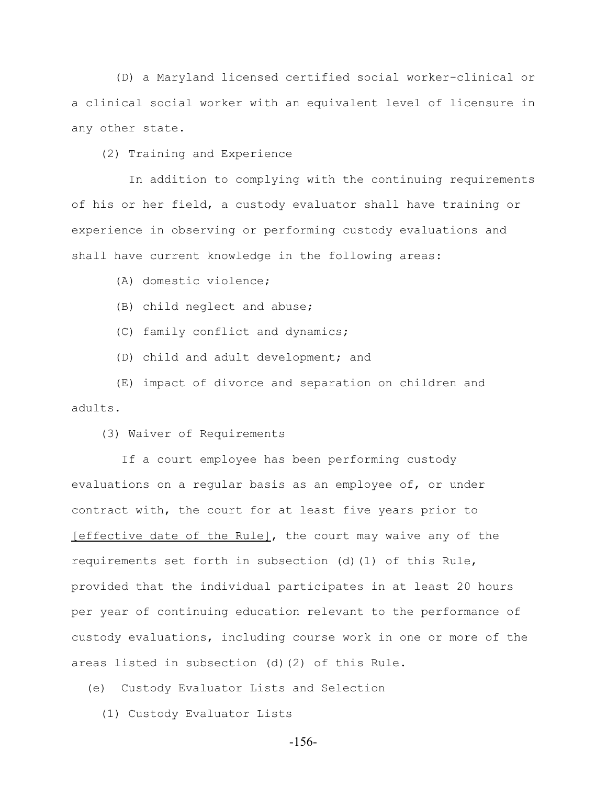(D) a Maryland licensed certified social worker-clinical or a clinical social worker with an equivalent level of licensure in any other state.

(2) Training and Experience

 In addition to complying with the continuing requirements of his or her field, a custody evaluator shall have training or experience in observing or performing custody evaluations and shall have current knowledge in the following areas:

(A) domestic violence;

(B) child neglect and abuse;

(C) family conflict and dynamics;

(D) child and adult development; and

 (E) impact of divorce and separation on children and adults.

(3) Waiver of Requirements

 If a court employee has been performing custody evaluations on a regular basis as an employee of, or under contract with, the court for at least five years prior to [effective date of the Rule], the court may waive any of the requirements set forth in subsection (d)(1) of this Rule, provided that the individual participates in at least 20 hours per year of continuing education relevant to the performance of custody evaluations, including course work in one or more of the areas listed in subsection (d)(2) of this Rule.

(e) Custody Evaluator Lists and Selection

(1) Custody Evaluator Lists

-156-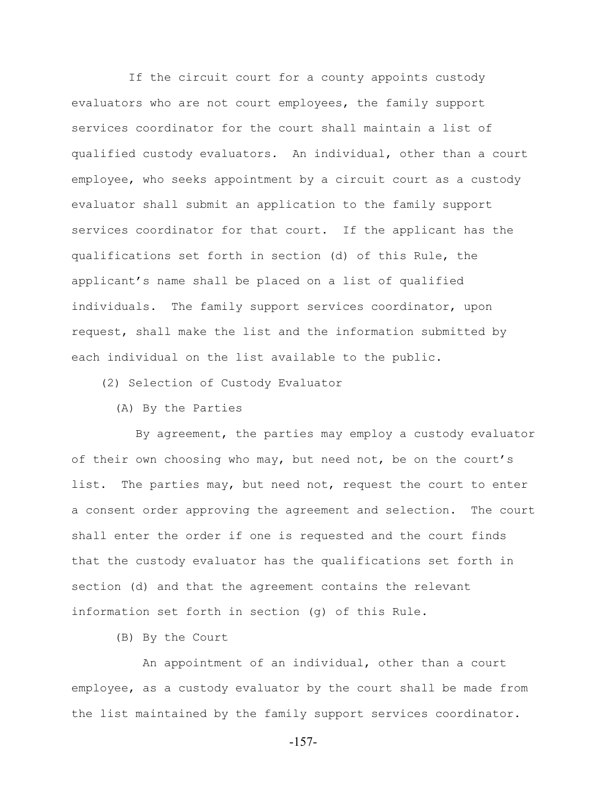If the circuit court for a county appoints custody evaluators who are not court employees, the family support services coordinator for the court shall maintain a list of qualified custody evaluators. An individual, other than a court employee, who seeks appointment by a circuit court as a custody evaluator shall submit an application to the family support services coordinator for that court. If the applicant has the qualifications set forth in section (d) of this Rule, the applicant's name shall be placed on a list of qualified individuals. The family support services coordinator, upon request, shall make the list and the information submitted by each individual on the list available to the public.

(2) Selection of Custody Evaluator

(A) By the Parties

 By agreement, the parties may employ a custody evaluator of their own choosing who may, but need not, be on the court's list. The parties may, but need not, request the court to enter a consent order approving the agreement and selection. The court shall enter the order if one is requested and the court finds that the custody evaluator has the qualifications set forth in section (d) and that the agreement contains the relevant information set forth in section (g) of this Rule.

(B) By the Court

 An appointment of an individual, other than a court employee, as a custody evaluator by the court shall be made from the list maintained by the family support services coordinator.

-157-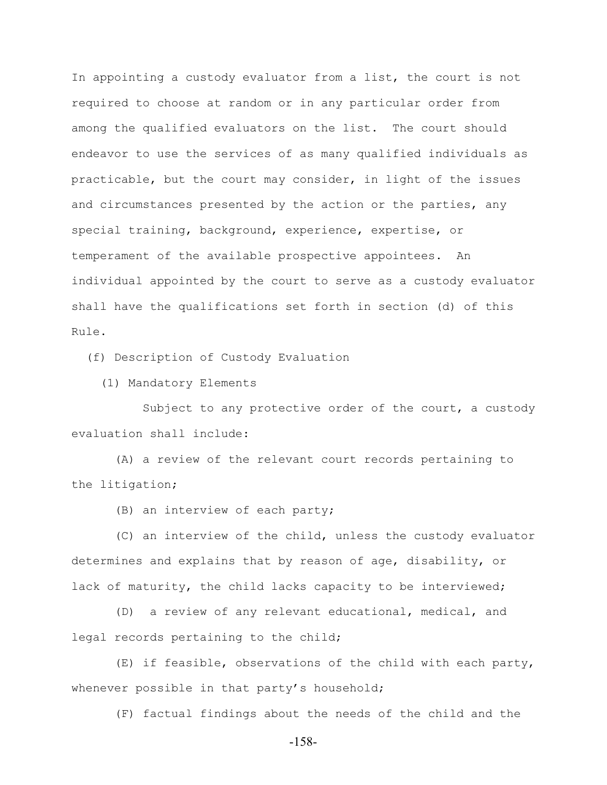In appointing a custody evaluator from a list, the court is not required to choose at random or in any particular order from among the qualified evaluators on the list. The court should endeavor to use the services of as many qualified individuals as practicable, but the court may consider, in light of the issues and circumstances presented by the action or the parties, any special training, background, experience, expertise, or temperament of the available prospective appointees. An individual appointed by the court to serve as a custody evaluator shall have the qualifications set forth in section (d) of this Rule.

(f) Description of Custody Evaluation

(1) Mandatory Elements

 Subject to any protective order of the court, a custody evaluation shall include:

 (A) a review of the relevant court records pertaining to the litigation;

(B) an interview of each party;

 (C) an interview of the child, unless the custody evaluator determines and explains that by reason of age, disability, or lack of maturity, the child lacks capacity to be interviewed;

 (D) a review of any relevant educational, medical, and legal records pertaining to the child;

 (E) if feasible, observations of the child with each party, whenever possible in that party's household;

(F) factual findings about the needs of the child and the

-158-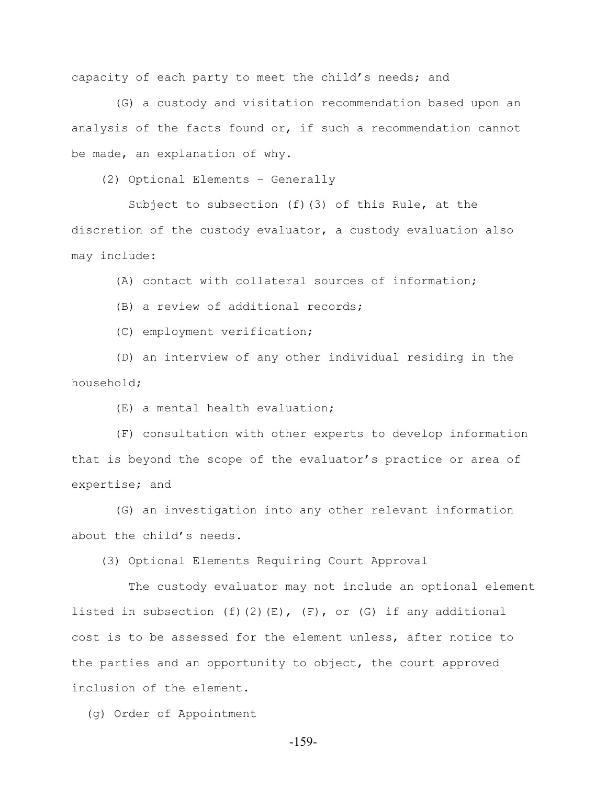capacity of each party to meet the child's needs; and

 (G) a custody and visitation recommendation based upon an analysis of the facts found or, if such a recommendation cannot be made, an explanation of why.

(2) Optional Elements – Generally

 Subject to subsection (f)(3) of this Rule, at the discretion of the custody evaluator, a custody evaluation also may include:

(A) contact with collateral sources of information;

(B) a review of additional records;

(C) employment verification;

 (D) an interview of any other individual residing in the household;

(E) a mental health evaluation;

 (F) consultation with other experts to develop information that is beyond the scope of the evaluator's practice or area of expertise; and

 (G) an investigation into any other relevant information about the child's needs.

(3) Optional Elements Requiring Court Approval

 The custody evaluator may not include an optional element listed in subsection  $(f)(2)(E)$ ,  $(F)$ , or  $(G)$  if any additional cost is to be assessed for the element unless, after notice to the parties and an opportunity to object, the court approved inclusion of the element.

(g) Order of Appointment

-159-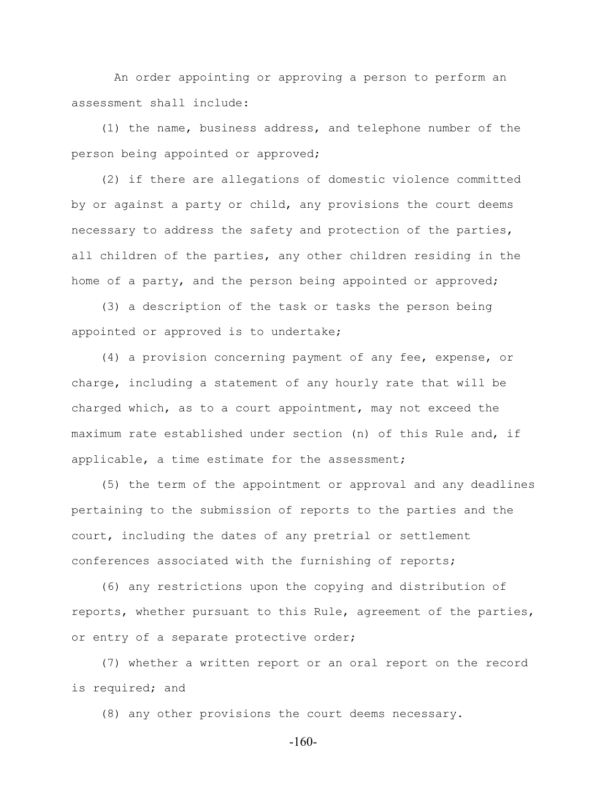An order appointing or approving a person to perform an assessment shall include:

 (1) the name, business address, and telephone number of the person being appointed or approved;

 (2) if there are allegations of domestic violence committed by or against a party or child, any provisions the court deems necessary to address the safety and protection of the parties, all children of the parties, any other children residing in the home of a party, and the person being appointed or approved;

 (3) a description of the task or tasks the person being appointed or approved is to undertake;

 (4) a provision concerning payment of any fee, expense, or charge, including a statement of any hourly rate that will be charged which, as to a court appointment, may not exceed the maximum rate established under section (n) of this Rule and, if applicable, a time estimate for the assessment;

 (5) the term of the appointment or approval and any deadlines pertaining to the submission of reports to the parties and the court, including the dates of any pretrial or settlement conferences associated with the furnishing of reports;

 (6) any restrictions upon the copying and distribution of reports, whether pursuant to this Rule, agreement of the parties, or entry of a separate protective order;

 (7) whether a written report or an oral report on the record is required; and

(8) any other provisions the court deems necessary.

-160-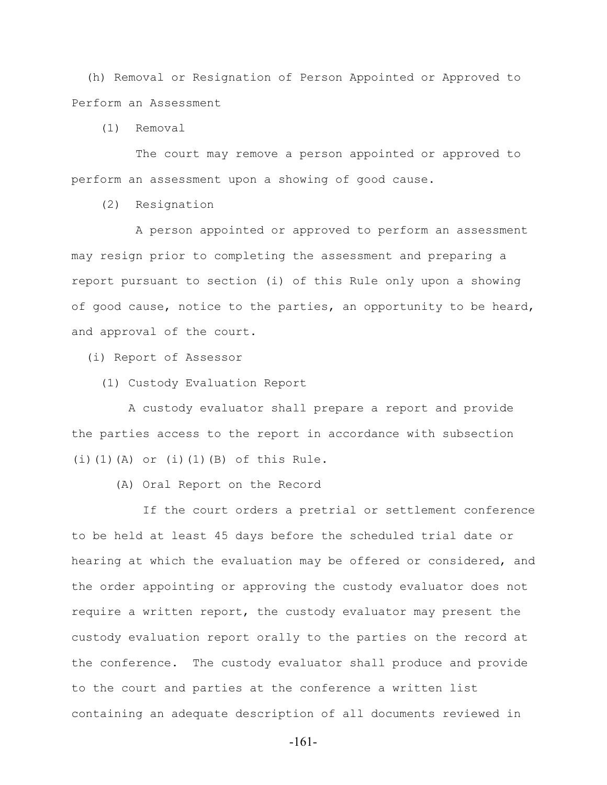(h) Removal or Resignation of Person Appointed or Approved to Perform an Assessment

(1) Removal

 The court may remove a person appointed or approved to perform an assessment upon a showing of good cause.

(2) Resignation

 A person appointed or approved to perform an assessment may resign prior to completing the assessment and preparing a report pursuant to section (i) of this Rule only upon a showing of good cause, notice to the parties, an opportunity to be heard, and approval of the court.

(i) Report of Assessor

(1) Custody Evaluation Report

 A custody evaluator shall prepare a report and provide the parties access to the report in accordance with subsection  $(i)$  $(1)$  $(A)$  or  $(i)$  $(1)$  $(B)$  of this Rule.

(A) Oral Report on the Record

 If the court orders a pretrial or settlement conference to be held at least 45 days before the scheduled trial date or hearing at which the evaluation may be offered or considered, and the order appointing or approving the custody evaluator does not require a written report, the custody evaluator may present the custody evaluation report orally to the parties on the record at the conference. The custody evaluator shall produce and provide to the court and parties at the conference a written list containing an adequate description of all documents reviewed in

-161-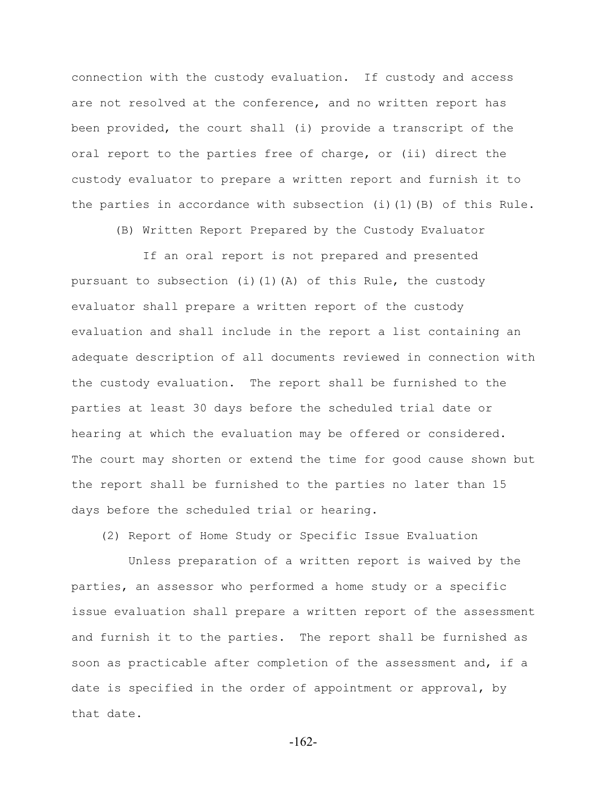connection with the custody evaluation. If custody and access are not resolved at the conference, and no written report has been provided, the court shall (i) provide a transcript of the oral report to the parties free of charge, or (ii) direct the custody evaluator to prepare a written report and furnish it to the parties in accordance with subsection (i)(1)(B) of this Rule.

(B) Written Report Prepared by the Custody Evaluator

 If an oral report is not prepared and presented pursuant to subsection (i)(1)(A) of this Rule, the custody evaluator shall prepare a written report of the custody evaluation and shall include in the report a list containing an adequate description of all documents reviewed in connection with the custody evaluation. The report shall be furnished to the parties at least 30 days before the scheduled trial date or hearing at which the evaluation may be offered or considered. The court may shorten or extend the time for good cause shown but the report shall be furnished to the parties no later than 15 days before the scheduled trial or hearing.

(2) Report of Home Study or Specific Issue Evaluation

 Unless preparation of a written report is waived by the parties, an assessor who performed a home study or a specific issue evaluation shall prepare a written report of the assessment and furnish it to the parties. The report shall be furnished as soon as practicable after completion of the assessment and, if a date is specified in the order of appointment or approval, by that date.

-162-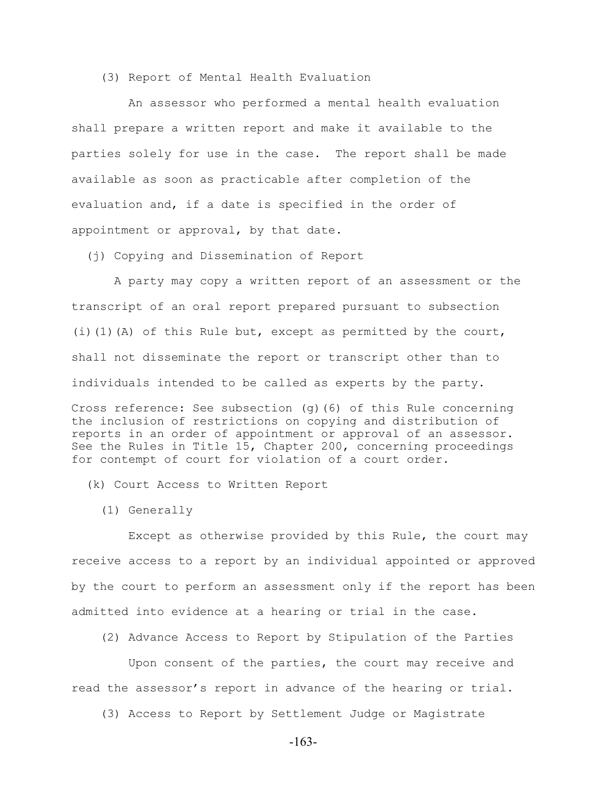(3) Report of Mental Health Evaluation

 An assessor who performed a mental health evaluation shall prepare a written report and make it available to the parties solely for use in the case. The report shall be made available as soon as practicable after completion of the evaluation and, if a date is specified in the order of appointment or approval, by that date.

(j) Copying and Dissemination of Report

 A party may copy a written report of an assessment or the transcript of an oral report prepared pursuant to subsection (i)(1)(A) of this Rule but, except as permitted by the court, shall not disseminate the report or transcript other than to individuals intended to be called as experts by the party.

Cross reference: See subsection (g)(6) of this Rule concerning the inclusion of restrictions on copying and distribution of reports in an order of appointment or approval of an assessor. See the Rules in Title 15, Chapter 200, concerning proceedings for contempt of court for violation of a court order.

(k) Court Access to Written Report

(1) Generally

 Except as otherwise provided by this Rule, the court may receive access to a report by an individual appointed or approved by the court to perform an assessment only if the report has been admitted into evidence at a hearing or trial in the case.

(2) Advance Access to Report by Stipulation of the Parties

 Upon consent of the parties, the court may receive and read the assessor's report in advance of the hearing or trial.

(3) Access to Report by Settlement Judge or Magistrate

-163-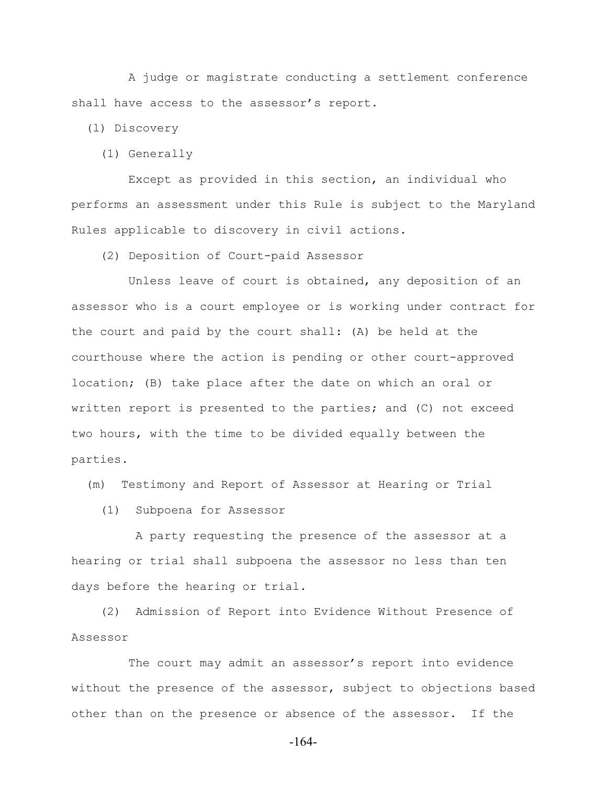A judge or magistrate conducting a settlement conference shall have access to the assessor's report.

(l) Discovery

(1) Generally

 Except as provided in this section, an individual who performs an assessment under this Rule is subject to the Maryland Rules applicable to discovery in civil actions.

(2) Deposition of Court-paid Assessor

 Unless leave of court is obtained, any deposition of an assessor who is a court employee or is working under contract for the court and paid by the court shall: (A) be held at the courthouse where the action is pending or other court-approved location; (B) take place after the date on which an oral or written report is presented to the parties; and (C) not exceed two hours, with the time to be divided equally between the parties.

(m) Testimony and Report of Assessor at Hearing or Trial

(1) Subpoena for Assessor

 A party requesting the presence of the assessor at a hearing or trial shall subpoena the assessor no less than ten days before the hearing or trial.

 (2) Admission of Report into Evidence Without Presence of Assessor

 The court may admit an assessor's report into evidence without the presence of the assessor, subject to objections based other than on the presence or absence of the assessor. If the

-164-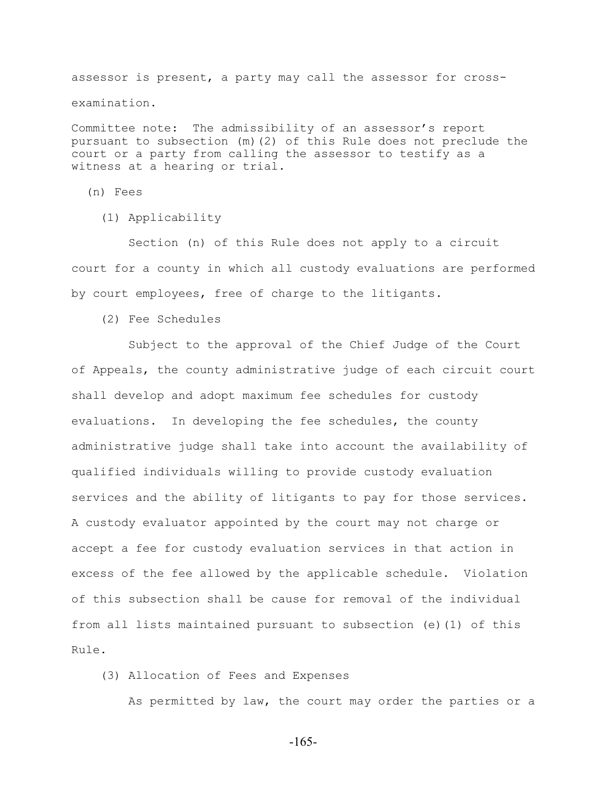assessor is present, a party may call the assessor for crossexamination.

Committee note: The admissibility of an assessor's report pursuant to subsection (m)(2) of this Rule does not preclude the court or a party from calling the assessor to testify as a witness at a hearing or trial.

(n) Fees

(1) Applicability

 Section (n) of this Rule does not apply to a circuit court for a county in which all custody evaluations are performed by court employees, free of charge to the litigants.

(2) Fee Schedules

 Subject to the approval of the Chief Judge of the Court of Appeals, the county administrative judge of each circuit court shall develop and adopt maximum fee schedules for custody evaluations. In developing the fee schedules, the county administrative judge shall take into account the availability of qualified individuals willing to provide custody evaluation services and the ability of litigants to pay for those services. A custody evaluator appointed by the court may not charge or accept a fee for custody evaluation services in that action in excess of the fee allowed by the applicable schedule. Violation of this subsection shall be cause for removal of the individual from all lists maintained pursuant to subsection (e)(1) of this Rule.

(3) Allocation of Fees and Expenses

As permitted by law, the court may order the parties or a

-165-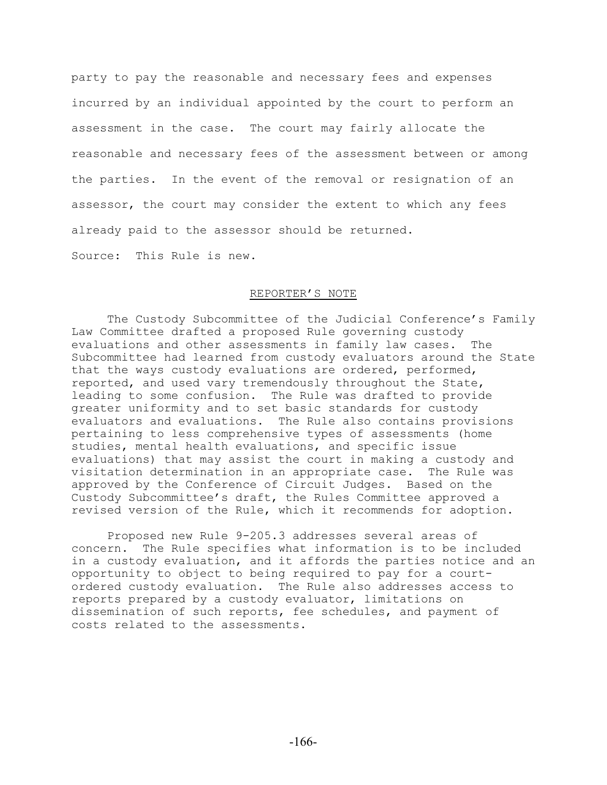party to pay the reasonable and necessary fees and expenses incurred by an individual appointed by the court to perform an assessment in the case. The court may fairly allocate the reasonable and necessary fees of the assessment between or among the parties. In the event of the removal or resignation of an assessor, the court may consider the extent to which any fees already paid to the assessor should be returned.

Source: This Rule is new.

## REPORTER'S NOTE

The Custody Subcommittee of the Judicial Conference's Family Law Committee drafted a proposed Rule governing custody evaluations and other assessments in family law cases. The Subcommittee had learned from custody evaluators around the State that the ways custody evaluations are ordered, performed, reported, and used vary tremendously throughout the State, leading to some confusion. The Rule was drafted to provide greater uniformity and to set basic standards for custody evaluators and evaluations. The Rule also contains provisions pertaining to less comprehensive types of assessments (home studies, mental health evaluations, and specific issue evaluations) that may assist the court in making a custody and visitation determination in an appropriate case. The Rule was approved by the Conference of Circuit Judges. Based on the Custody Subcommittee's draft, the Rules Committee approved a revised version of the Rule, which it recommends for adoption.

Proposed new Rule 9-205.3 addresses several areas of concern. The Rule specifies what information is to be included in a custody evaluation, and it affords the parties notice and an opportunity to object to being required to pay for a courtordered custody evaluation. The Rule also addresses access to reports prepared by a custody evaluator, limitations on dissemination of such reports, fee schedules, and payment of costs related to the assessments.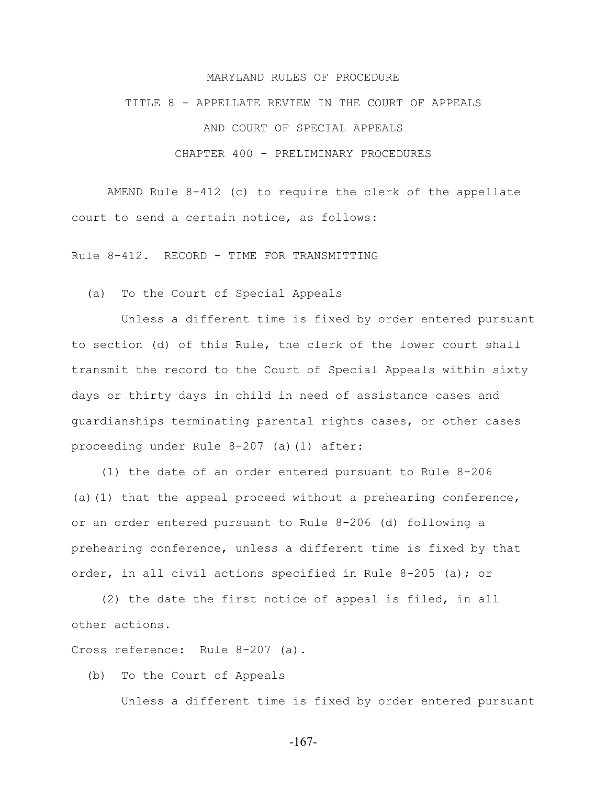## MARYLAND RULES OF PROCEDURE

TITLE 8 - APPELLATE REVIEW IN THE COURT OF APPEALS

AND COURT OF SPECIAL APPEALS

CHAPTER 400 - PRELIMINARY PROCEDURES

AMEND Rule 8-412 (c) to require the clerk of the appellate court to send a certain notice, as follows:

Rule 8-412. RECORD - TIME FOR TRANSMITTING

(a) To the Court of Special Appeals

 Unless a different time is fixed by order entered pursuant to section (d) of this Rule, the clerk of the lower court shall transmit the record to the Court of Special Appeals within sixty days or thirty days in child in need of assistance cases and guardianships terminating parental rights cases, or other cases proceeding under Rule 8-207 (a)(1) after:

 (1) the date of an order entered pursuant to Rule 8-206 (a)(1) that the appeal proceed without a prehearing conference, or an order entered pursuant to Rule 8-206 (d) following a prehearing conference, unless a different time is fixed by that order, in all civil actions specified in Rule 8-205 (a); or

 (2) the date the first notice of appeal is filed, in all other actions.

Cross reference: Rule 8-207 (a).

(b) To the Court of Appeals

Unless a different time is fixed by order entered pursuant

-167-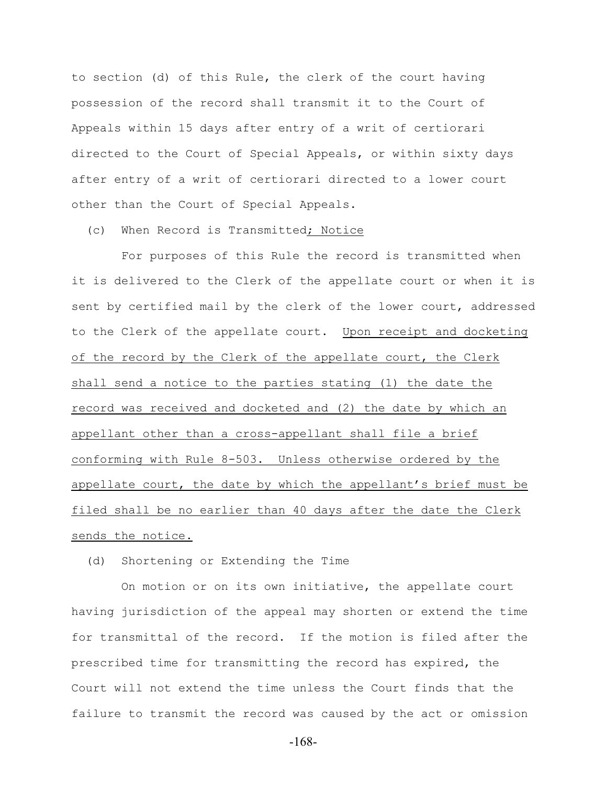to section (d) of this Rule, the clerk of the court having possession of the record shall transmit it to the Court of Appeals within 15 days after entry of a writ of certiorari directed to the Court of Special Appeals, or within sixty days after entry of a writ of certiorari directed to a lower court other than the Court of Special Appeals.

(c) When Record is Transmitted; Notice

 For purposes of this Rule the record is transmitted when it is delivered to the Clerk of the appellate court or when it is sent by certified mail by the clerk of the lower court, addressed to the Clerk of the appellate court. Upon receipt and docketing of the record by the Clerk of the appellate court, the Clerk shall send a notice to the parties stating (1) the date the record was received and docketed and (2) the date by which an appellant other than a cross-appellant shall file a brief conforming with Rule 8-503. Unless otherwise ordered by the appellate court, the date by which the appellant's brief must be filed shall be no earlier than 40 days after the date the Clerk sends the notice.

(d) Shortening or Extending the Time

 On motion or on its own initiative, the appellate court having jurisdiction of the appeal may shorten or extend the time for transmittal of the record. If the motion is filed after the prescribed time for transmitting the record has expired, the Court will not extend the time unless the Court finds that the failure to transmit the record was caused by the act or omission

-168-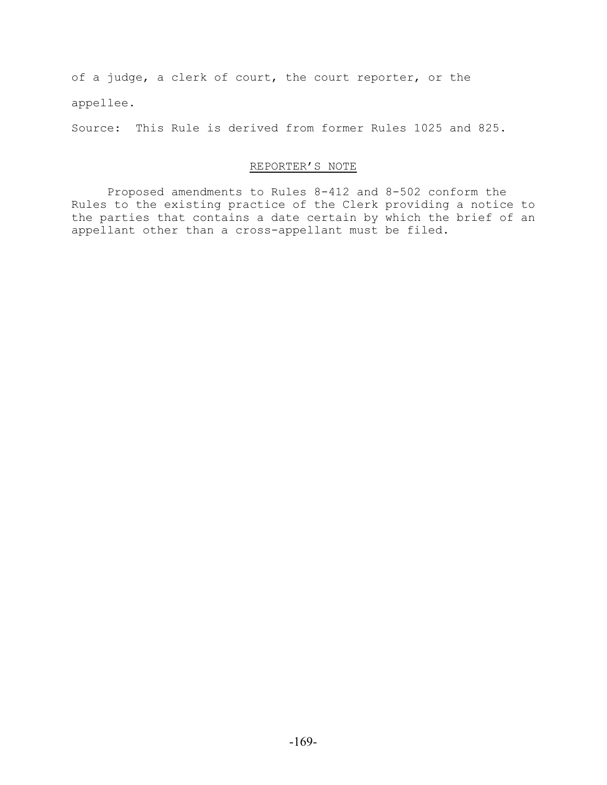of a judge, a clerk of court, the court reporter, or the appellee.

Source: This Rule is derived from former Rules 1025 and 825.

# REPORTER'S NOTE

Proposed amendments to Rules 8-412 and 8-502 conform the Rules to the existing practice of the Clerk providing a notice to the parties that contains a date certain by which the brief of an appellant other than a cross-appellant must be filed.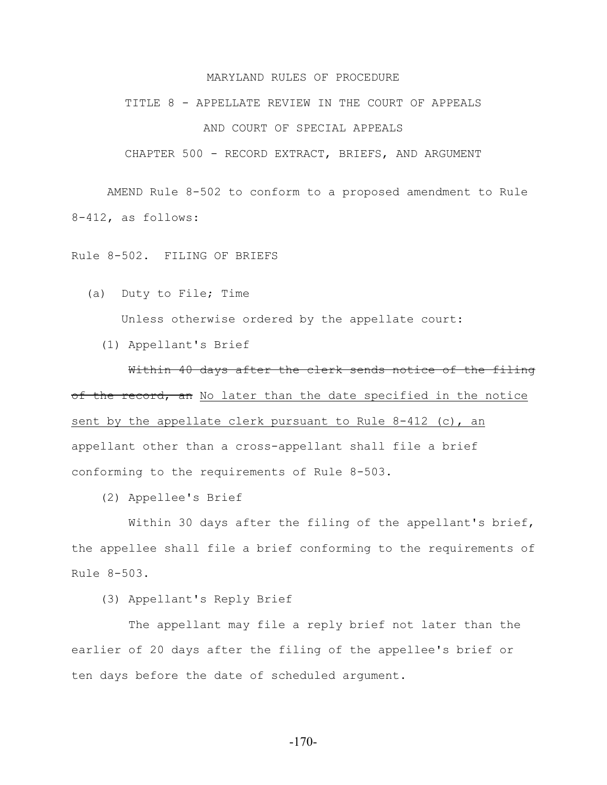## MARYLAND RULES OF PROCEDURE

#### TITLE 8 - APPELLATE REVIEW IN THE COURT OF APPEALS

# AND COURT OF SPECIAL APPEALS

CHAPTER 500 - RECORD EXTRACT, BRIEFS, AND ARGUMENT

AMEND Rule 8-502 to conform to a proposed amendment to Rule 8-412, as follows:

Rule 8-502. FILING OF BRIEFS

- (a) Duty to File; Time Unless otherwise ordered by the appellate court:
	- (1) Appellant's Brief

Within 40 days after the clerk sends notice of the filing of the record, an No later than the date specified in the notice sent by the appellate clerk pursuant to Rule  $8-412$  (c), an appellant other than a cross-appellant shall file a brief conforming to the requirements of Rule 8-503.

(2) Appellee's Brief

 Within 30 days after the filing of the appellant's brief, the appellee shall file a brief conforming to the requirements of Rule 8-503.

(3) Appellant's Reply Brief

 The appellant may file a reply brief not later than the earlier of 20 days after the filing of the appellee's brief or ten days before the date of scheduled argument.

-170-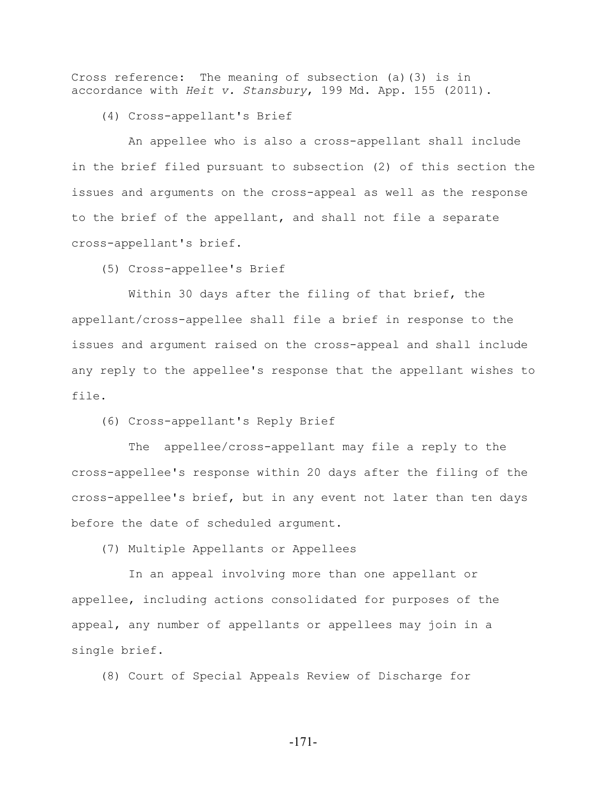Cross reference: The meaning of subsection (a)(3) is in accordance with *Heit v. Stansbury*, 199 Md. App. 155 (2011).

(4) Cross-appellant's Brief

 An appellee who is also a cross-appellant shall include in the brief filed pursuant to subsection (2) of this section the issues and arguments on the cross-appeal as well as the response to the brief of the appellant, and shall not file a separate cross-appellant's brief.

(5) Cross-appellee's Brief

 Within 30 days after the filing of that brief, the appellant/cross-appellee shall file a brief in response to the issues and argument raised on the cross-appeal and shall include any reply to the appellee's response that the appellant wishes to file.

(6) Cross-appellant's Reply Brief

 The appellee/cross-appellant may file a reply to the cross-appellee's response within 20 days after the filing of the cross-appellee's brief, but in any event not later than ten days before the date of scheduled argument.

(7) Multiple Appellants or Appellees

 In an appeal involving more than one appellant or appellee, including actions consolidated for purposes of the appeal, any number of appellants or appellees may join in a single brief.

(8) Court of Special Appeals Review of Discharge for

-171-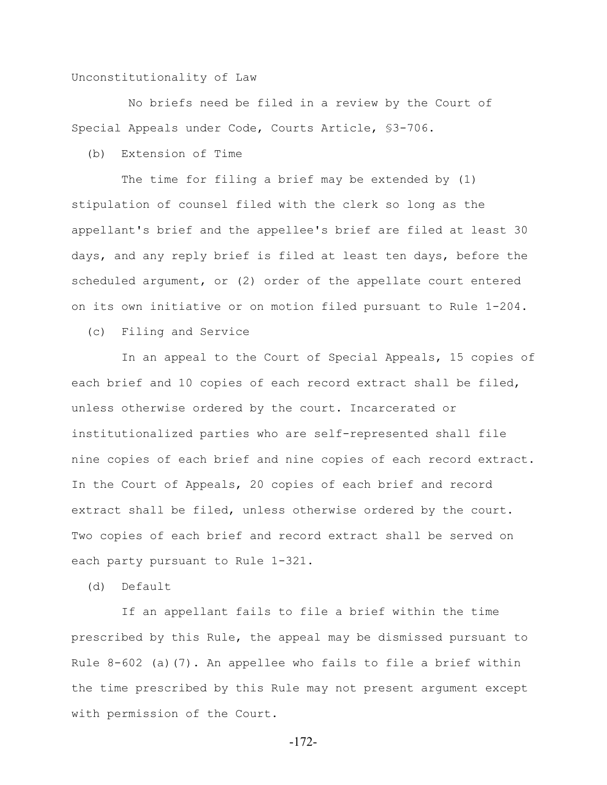## Unconstitutionality of Law

 No briefs need be filed in a review by the Court of Special Appeals under Code, Courts Article, §3-706.

(b) Extension of Time

 The time for filing a brief may be extended by (1) stipulation of counsel filed with the clerk so long as the appellant's brief and the appellee's brief are filed at least 30 days, and any reply brief is filed at least ten days, before the scheduled argument, or (2) order of the appellate court entered on its own initiative or on motion filed pursuant to Rule 1-204.

(c) Filing and Service

 In an appeal to the Court of Special Appeals, 15 copies of each brief and 10 copies of each record extract shall be filed, unless otherwise ordered by the court. Incarcerated or institutionalized parties who are self-represented shall file nine copies of each brief and nine copies of each record extract. In the Court of Appeals, 20 copies of each brief and record extract shall be filed, unless otherwise ordered by the court. Two copies of each brief and record extract shall be served on each party pursuant to Rule 1-321.

(d) Default

 If an appellant fails to file a brief within the time prescribed by this Rule, the appeal may be dismissed pursuant to Rule  $8-602$  (a)(7). An appellee who fails to file a brief within the time prescribed by this Rule may not present argument except with permission of the Court.

-172-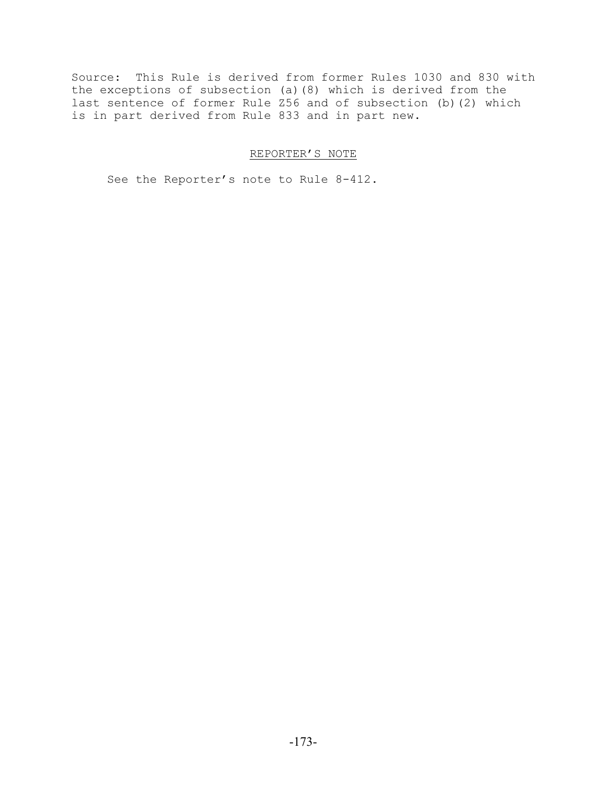Source: This Rule is derived from former Rules 1030 and 830 with the exceptions of subsection (a)(8) which is derived from the last sentence of former Rule Z56 and of subsection (b)(2) which is in part derived from Rule 833 and in part new.

# REPORTER'S NOTE

See the Reporter's note to Rule 8-412.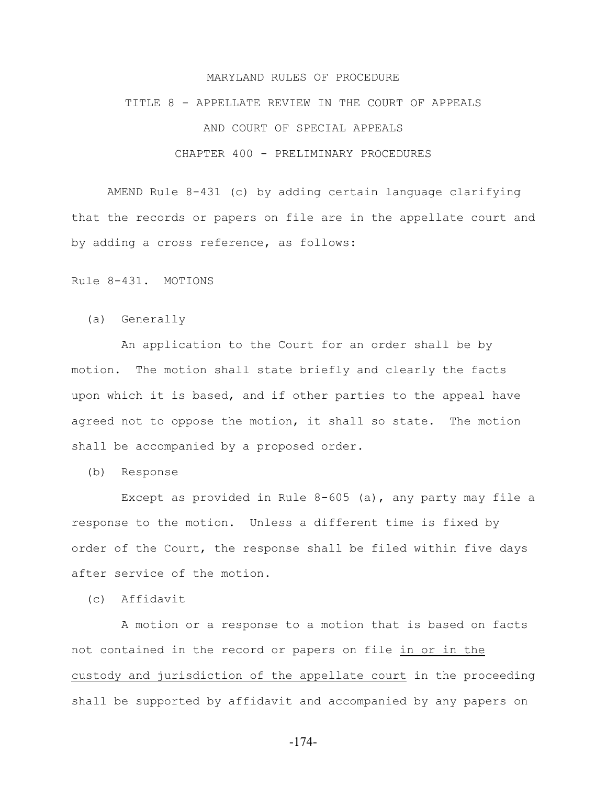## MARYLAND RULES OF PROCEDURE

#### TITLE 8 - APPELLATE REVIEW IN THE COURT OF APPEALS

# AND COURT OF SPECIAL APPEALS

# CHAPTER 400 - PRELIMINARY PROCEDURES

AMEND Rule 8-431 (c) by adding certain language clarifying that the records or papers on file are in the appellate court and by adding a cross reference, as follows:

Rule 8-431. MOTIONS

(a) Generally

 An application to the Court for an order shall be by motion. The motion shall state briefly and clearly the facts upon which it is based, and if other parties to the appeal have agreed not to oppose the motion, it shall so state. The motion shall be accompanied by a proposed order.

(b) Response

 Except as provided in Rule 8-605 (a), any party may file a response to the motion. Unless a different time is fixed by order of the Court, the response shall be filed within five days after service of the motion.

(c) Affidavit

 A motion or a response to a motion that is based on facts not contained in the record or papers on file in or in the custody and jurisdiction of the appellate court in the proceeding shall be supported by affidavit and accompanied by any papers on

-174-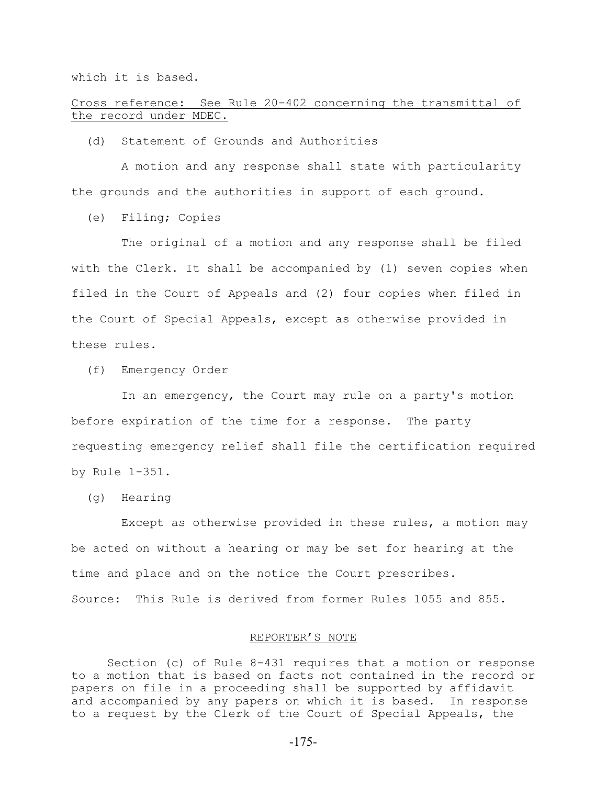which it is based.

Cross reference: See Rule 20-402 concerning the transmittal of the record under MDEC.

(d) Statement of Grounds and Authorities

 A motion and any response shall state with particularity the grounds and the authorities in support of each ground.

(e) Filing; Copies

 The original of a motion and any response shall be filed with the Clerk. It shall be accompanied by (1) seven copies when filed in the Court of Appeals and (2) four copies when filed in the Court of Special Appeals, except as otherwise provided in these rules.

(f) Emergency Order

 In an emergency, the Court may rule on a party's motion before expiration of the time for a response. The party requesting emergency relief shall file the certification required by Rule 1-351.

(g) Hearing

 Except as otherwise provided in these rules, a motion may be acted on without a hearing or may be set for hearing at the time and place and on the notice the Court prescribes. Source: This Rule is derived from former Rules 1055 and 855.

# REPORTER'S NOTE

Section (c) of Rule 8-431 requires that a motion or response to a motion that is based on facts not contained in the record or papers on file in a proceeding shall be supported by affidavit and accompanied by any papers on which it is based. In response to a request by the Clerk of the Court of Special Appeals, the

-175-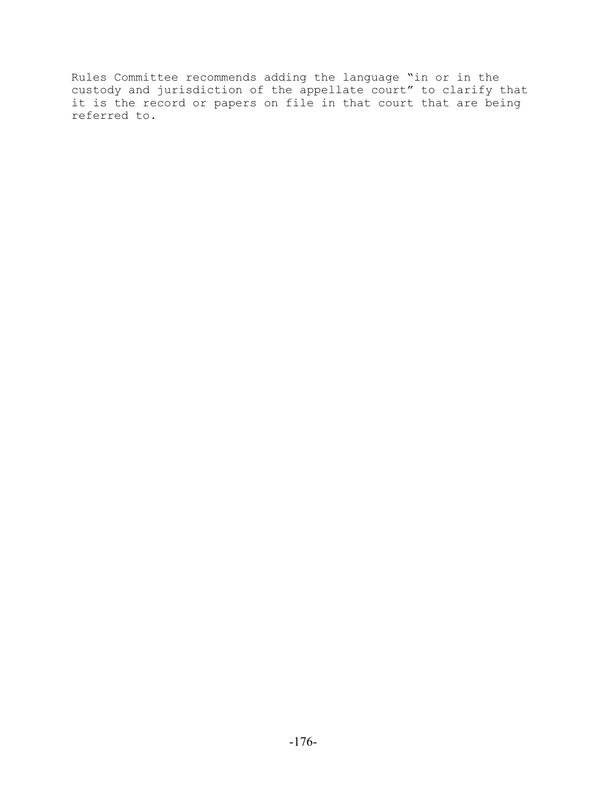Rules Committee recommends adding the language "in or in the custody and jurisdiction of the appellate court" to clarify that it is the record or papers on file in that court that are being referred to.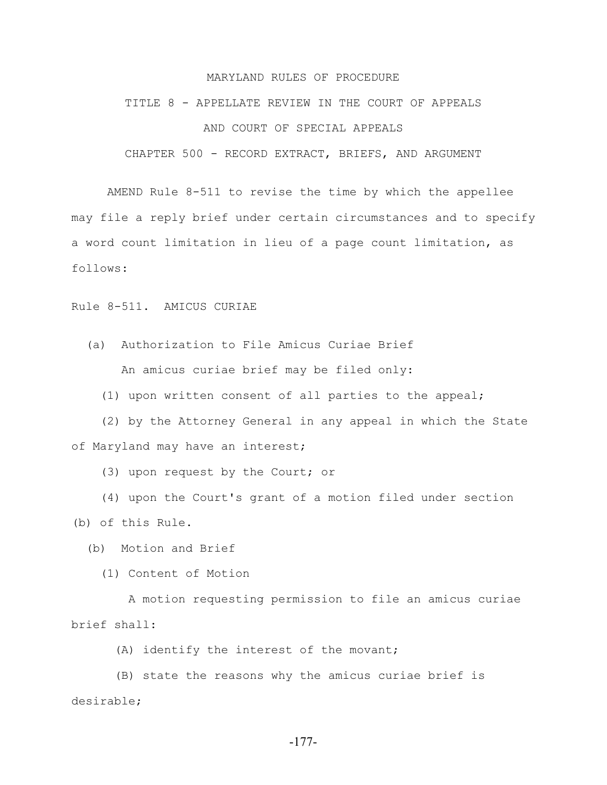## MARYLAND RULES OF PROCEDURE

# TITLE 8 - APPELLATE REVIEW IN THE COURT OF APPEALS

# AND COURT OF SPECIAL APPEALS

CHAPTER 500 - RECORD EXTRACT, BRIEFS, AND ARGUMENT

AMEND Rule 8-511 to revise the time by which the appellee may file a reply brief under certain circumstances and to specify a word count limitation in lieu of a page count limitation, as follows:

Rule 8-511. AMICUS CURIAE

 (a) Authorization to File Amicus Curiae Brief An amicus curiae brief may be filed only:

(1) upon written consent of all parties to the appeal;

 (2) by the Attorney General in any appeal in which the State of Maryland may have an interest;

(3) upon request by the Court; or

 (4) upon the Court's grant of a motion filed under section (b) of this Rule.

(b) Motion and Brief

(1) Content of Motion

 A motion requesting permission to file an amicus curiae brief shall:

(A) identify the interest of the movant;

 (B) state the reasons why the amicus curiae brief is desirable;

-177-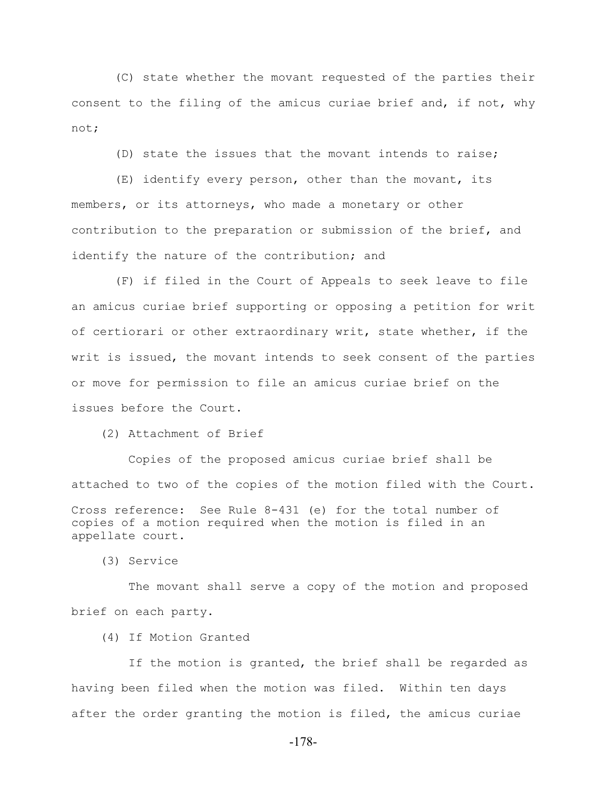(C) state whether the movant requested of the parties their consent to the filing of the amicus curiae brief and, if not, why not;

(D) state the issues that the movant intends to raise;

 (E) identify every person, other than the movant, its members, or its attorneys, who made a monetary or other contribution to the preparation or submission of the brief, and identify the nature of the contribution; and

 (F) if filed in the Court of Appeals to seek leave to file an amicus curiae brief supporting or opposing a petition for writ of certiorari or other extraordinary writ, state whether, if the writ is issued, the movant intends to seek consent of the parties or move for permission to file an amicus curiae brief on the issues before the Court.

(2) Attachment of Brief

 Copies of the proposed amicus curiae brief shall be attached to two of the copies of the motion filed with the Court. Cross reference: See Rule 8-431 (e) for the total number of copies of a motion required when the motion is filed in an appellate court.

(3) Service

 The movant shall serve a copy of the motion and proposed brief on each party.

(4) If Motion Granted

 If the motion is granted, the brief shall be regarded as having been filed when the motion was filed. Within ten days after the order granting the motion is filed, the amicus curiae

-178-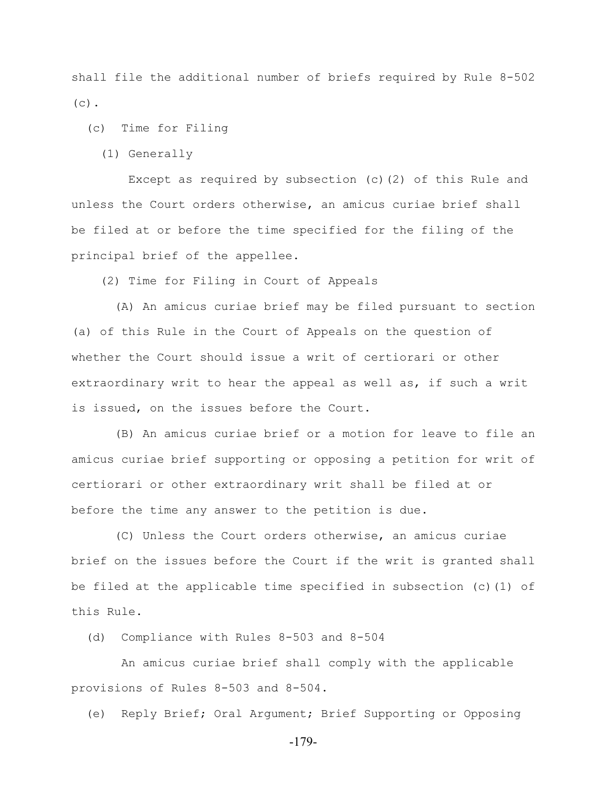shall file the additional number of briefs required by Rule 8-502  $(c)$ .

(c) Time for Filing

(1) Generally

 Except as required by subsection (c)(2) of this Rule and unless the Court orders otherwise, an amicus curiae brief shall be filed at or before the time specified for the filing of the principal brief of the appellee.

(2) Time for Filing in Court of Appeals

 (A) An amicus curiae brief may be filed pursuant to section (a) of this Rule in the Court of Appeals on the question of whether the Court should issue a writ of certiorari or other extraordinary writ to hear the appeal as well as, if such a writ is issued, on the issues before the Court.

 (B) An amicus curiae brief or a motion for leave to file an amicus curiae brief supporting or opposing a petition for writ of certiorari or other extraordinary writ shall be filed at or before the time any answer to the petition is due.

 (C) Unless the Court orders otherwise, an amicus curiae brief on the issues before the Court if the writ is granted shall be filed at the applicable time specified in subsection (c)(1) of this Rule.

(d) Compliance with Rules 8-503 and 8-504

 An amicus curiae brief shall comply with the applicable provisions of Rules 8-503 and 8-504.

(e) Reply Brief; Oral Argument; Brief Supporting or Opposing

-179-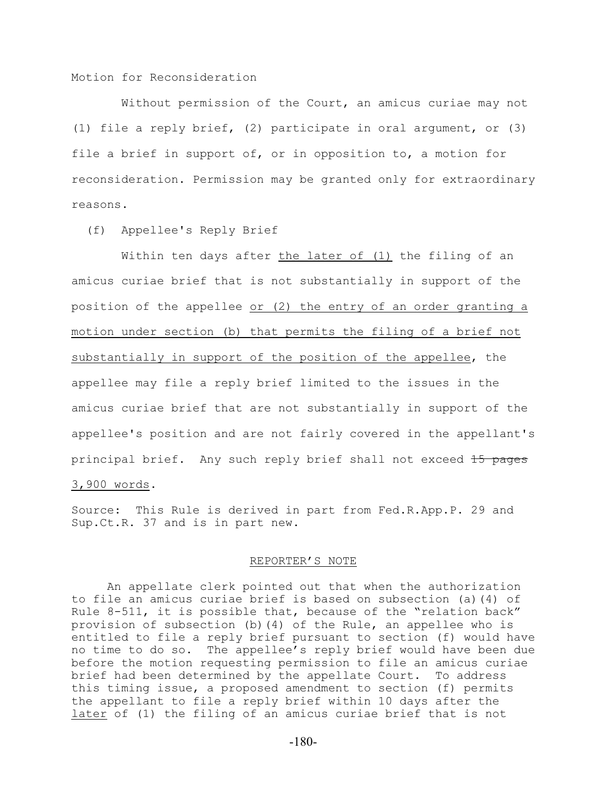Motion for Reconsideration

 Without permission of the Court, an amicus curiae may not (1) file a reply brief, (2) participate in oral argument, or (3) file a brief in support of, or in opposition to, a motion for reconsideration. Permission may be granted only for extraordinary reasons.

(f) Appellee's Reply Brief

 Within ten days after the later of (1) the filing of an amicus curiae brief that is not substantially in support of the position of the appellee or (2) the entry of an order granting a motion under section (b) that permits the filing of a brief not substantially in support of the position of the appellee, the appellee may file a reply brief limited to the issues in the amicus curiae brief that are not substantially in support of the appellee's position and are not fairly covered in the appellant's principal brief. Any such reply brief shall not exceed 15 pages 3,900 words.

Source: This Rule is derived in part from Fed.R.App.P. 29 and Sup.Ct.R. 37 and is in part new.

## REPORTER'S NOTE

An appellate clerk pointed out that when the authorization to file an amicus curiae brief is based on subsection (a)(4) of Rule 8-511, it is possible that, because of the "relation back" provision of subsection (b)(4) of the Rule, an appellee who is entitled to file a reply brief pursuant to section (f) would have no time to do so. The appellee's reply brief would have been due before the motion requesting permission to file an amicus curiae brief had been determined by the appellate Court. To address this timing issue, a proposed amendment to section (f) permits the appellant to file a reply brief within 10 days after the later of (1) the filing of an amicus curiae brief that is not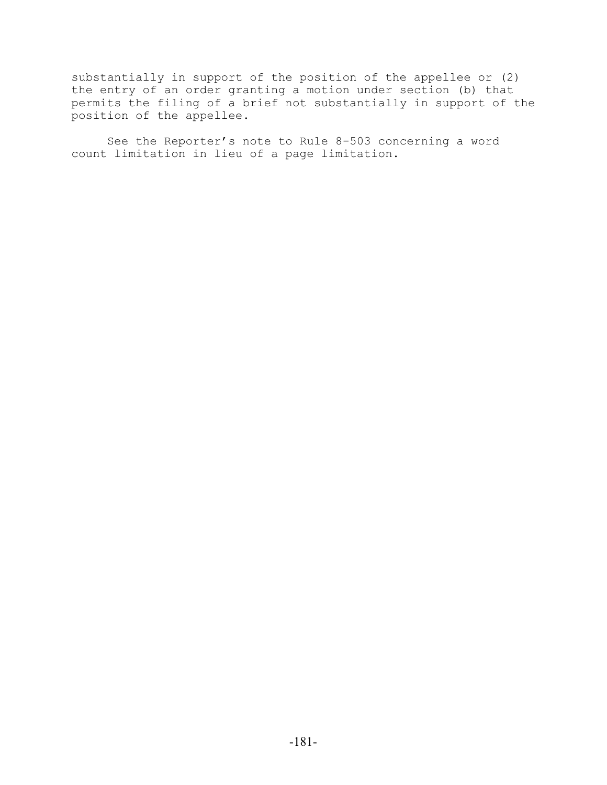substantially in support of the position of the appellee or (2) the entry of an order granting a motion under section (b) that permits the filing of a brief not substantially in support of the position of the appellee.

See the Reporter's note to Rule 8-503 concerning a word count limitation in lieu of a page limitation.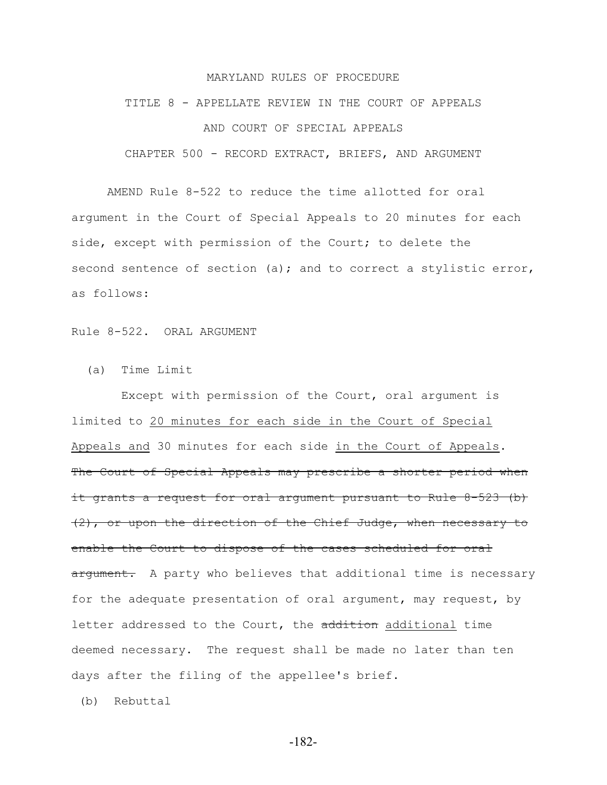#### MARYLAND RULES OF PROCEDURE

# TITLE 8 - APPELLATE REVIEW IN THE COURT OF APPEALS AND COURT OF SPECIAL APPEALS CHAPTER 500 - RECORD EXTRACT, BRIEFS, AND ARGUMENT

AMEND Rule 8-522 to reduce the time allotted for oral argument in the Court of Special Appeals to 20 minutes for each side, except with permission of the Court; to delete the second sentence of section (a); and to correct a stylistic error, as follows:

Rule 8-522. ORAL ARGUMENT

(a) Time Limit

 Except with permission of the Court, oral argument is limited to 20 minutes for each side in the Court of Special Appeals and 30 minutes for each side in the Court of Appeals. The Court of Special Appeals may prescribe a shorter period when it grants a request for oral argument pursuant to Rule 8-523 (b) (2), or upon the direction of the Chief Judge, when necessary to enable the Court to dispose of the cases scheduled for oral argument. A party who believes that additional time is necessary for the adequate presentation of oral argument, may request, by letter addressed to the Court, the addition additional time deemed necessary. The request shall be made no later than ten days after the filing of the appellee's brief.

(b) Rebuttal

-182-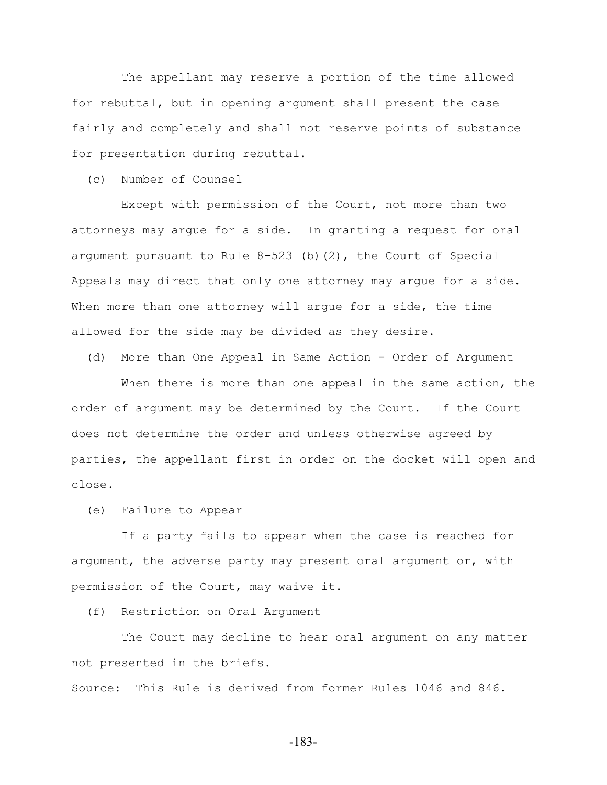The appellant may reserve a portion of the time allowed for rebuttal, but in opening argument shall present the case fairly and completely and shall not reserve points of substance for presentation during rebuttal.

(c) Number of Counsel

 Except with permission of the Court, not more than two attorneys may argue for a side. In granting a request for oral argument pursuant to Rule  $8-523$  (b)(2), the Court of Special Appeals may direct that only one attorney may argue for a side. When more than one attorney will arque for a side, the time allowed for the side may be divided as they desire.

(d) More than One Appeal in Same Action - Order of Argument

When there is more than one appeal in the same action, the order of argument may be determined by the Court. If the Court does not determine the order and unless otherwise agreed by parties, the appellant first in order on the docket will open and close.

(e) Failure to Appear

 If a party fails to appear when the case is reached for argument, the adverse party may present oral argument or, with permission of the Court, may waive it.

(f) Restriction on Oral Argument

 The Court may decline to hear oral argument on any matter not presented in the briefs.

Source: This Rule is derived from former Rules 1046 and 846.

-183-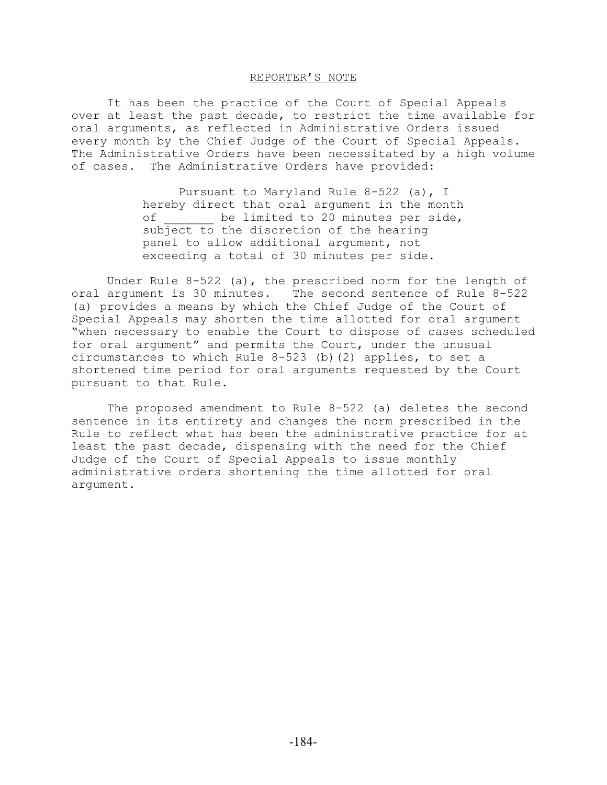#### REPORTER'S NOTE

It has been the practice of the Court of Special Appeals over at least the past decade, to restrict the time available for oral arguments, as reflected in Administrative Orders issued every month by the Chief Judge of the Court of Special Appeals. The Administrative Orders have been necessitated by a high volume of cases. The Administrative Orders have provided:

> Pursuant to Maryland Rule 8-522 (a), I hereby direct that oral argument in the month of be limited to 20 minutes per side, subject to the discretion of the hearing panel to allow additional argument, not exceeding a total of 30 minutes per side.

Under Rule 8-522 (a), the prescribed norm for the length of oral argument is 30 minutes. The second sentence of Rule 8-522 (a) provides a means by which the Chief Judge of the Court of Special Appeals may shorten the time allotted for oral argument "when necessary to enable the Court to dispose of cases scheduled for oral argument" and permits the Court, under the unusual circumstances to which Rule  $8-523$  (b)(2) applies, to set a shortened time period for oral arguments requested by the Court pursuant to that Rule.

The proposed amendment to Rule 8-522 (a) deletes the second sentence in its entirety and changes the norm prescribed in the Rule to reflect what has been the administrative practice for at least the past decade, dispensing with the need for the Chief Judge of the Court of Special Appeals to issue monthly administrative orders shortening the time allotted for oral argument.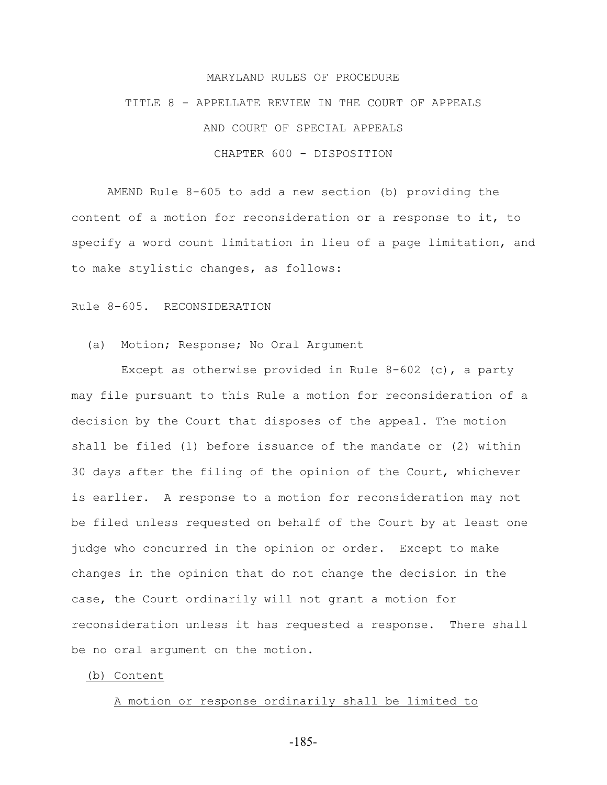#### MARYLAND RULES OF PROCEDURE

## TITLE 8 - APPELLATE REVIEW IN THE COURT OF APPEALS AND COURT OF SPECIAL APPEALS CHAPTER 600 - DISPOSITION

AMEND Rule 8-605 to add a new section (b) providing the content of a motion for reconsideration or a response to it, to specify a word count limitation in lieu of a page limitation, and to make stylistic changes, as follows:

#### Rule 8-605. RECONSIDERATION

## (a) Motion; Response; No Oral Argument

 Except as otherwise provided in Rule 8-602 (c), a party may file pursuant to this Rule a motion for reconsideration of a decision by the Court that disposes of the appeal. The motion shall be filed (1) before issuance of the mandate or (2) within 30 days after the filing of the opinion of the Court, whichever is earlier. A response to a motion for reconsideration may not be filed unless requested on behalf of the Court by at least one judge who concurred in the opinion or order. Except to make changes in the opinion that do not change the decision in the case, the Court ordinarily will not grant a motion for reconsideration unless it has requested a response. There shall be no oral argument on the motion.

#### (b) Content

#### A motion or response ordinarily shall be limited to

-185-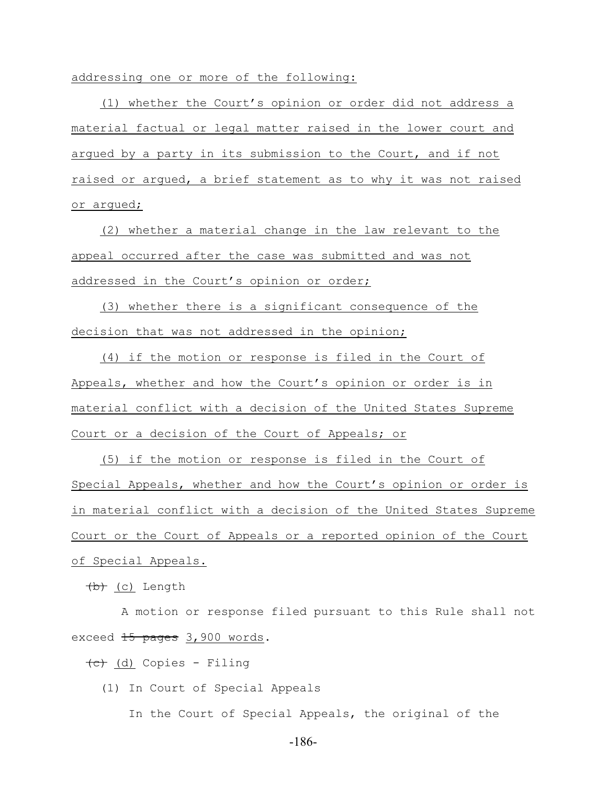addressing one or more of the following:

 (1) whether the Court's opinion or order did not address a material factual or legal matter raised in the lower court and argued by a party in its submission to the Court, and if not raised or argued, a brief statement as to why it was not raised or argued;

 (2) whether a material change in the law relevant to the appeal occurred after the case was submitted and was not addressed in the Court's opinion or order;

 (3) whether there is a significant consequence of the decision that was not addressed in the opinion;

 (4) if the motion or response is filed in the Court of Appeals, whether and how the Court's opinion or order is in material conflict with a decision of the United States Supreme Court or a decision of the Court of Appeals; or

 (5) if the motion or response is filed in the Court of Special Appeals, whether and how the Court's opinion or order is in material conflict with a decision of the United States Supreme Court or the Court of Appeals or a reported opinion of the Court of Special Appeals.

(b) (c) Length

 A motion or response filed pursuant to this Rule shall not exceed 15 pages 3,900 words.

 $\overline{(c)}$  (d) Copies - Filing

(1) In Court of Special Appeals

In the Court of Special Appeals, the original of the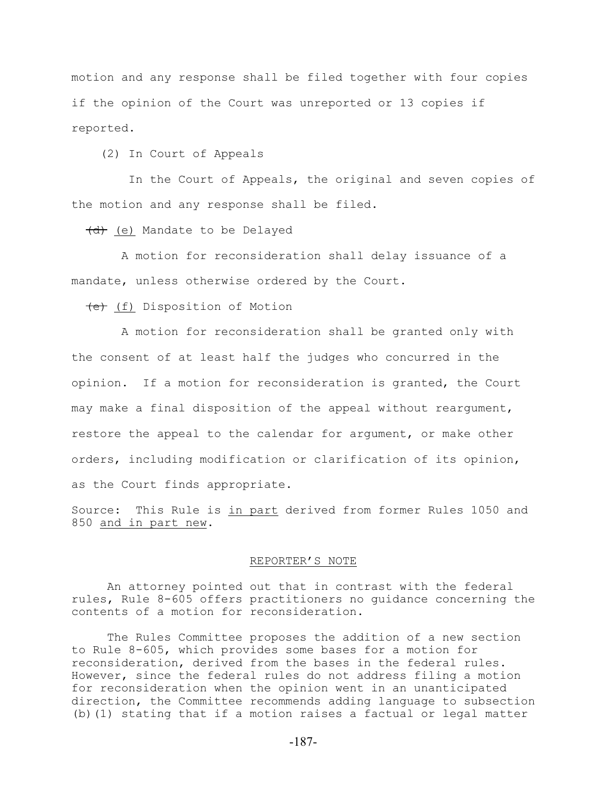motion and any response shall be filed together with four copies if the opinion of the Court was unreported or 13 copies if reported.

(2) In Court of Appeals

 In the Court of Appeals, the original and seven copies of the motion and any response shall be filed.

(d) (e) Mandate to be Delayed

 A motion for reconsideration shall delay issuance of a mandate, unless otherwise ordered by the Court.

(e) (f) Disposition of Motion

 A motion for reconsideration shall be granted only with the consent of at least half the judges who concurred in the opinion. If a motion for reconsideration is granted, the Court may make a final disposition of the appeal without reargument, restore the appeal to the calendar for argument, or make other orders, including modification or clarification of its opinion, as the Court finds appropriate.

Source: This Rule is in part derived from former Rules 1050 and 850 and in part new.

#### REPORTER'S NOTE

An attorney pointed out that in contrast with the federal rules, Rule 8-605 offers practitioners no guidance concerning the contents of a motion for reconsideration.

The Rules Committee proposes the addition of a new section to Rule 8-605, which provides some bases for a motion for reconsideration, derived from the bases in the federal rules. However, since the federal rules do not address filing a motion for reconsideration when the opinion went in an unanticipated direction, the Committee recommends adding language to subsection (b)(1) stating that if a motion raises a factual or legal matter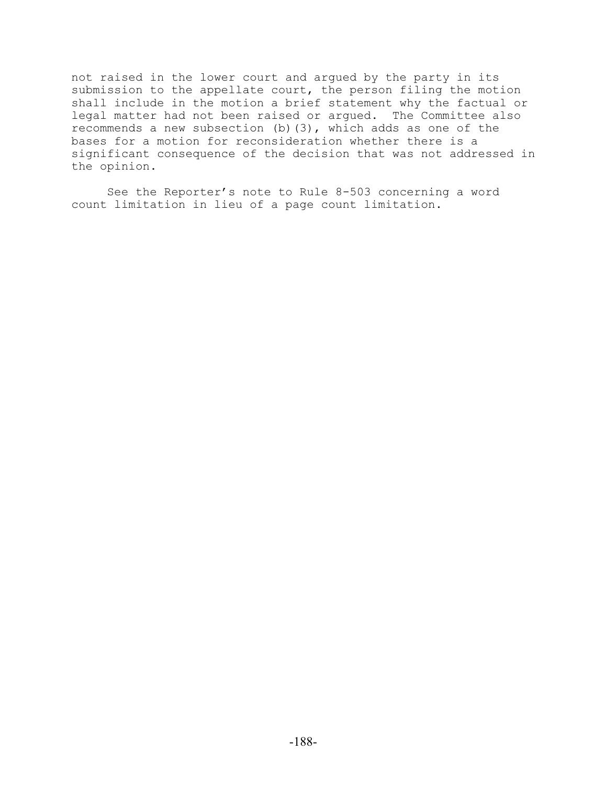not raised in the lower court and argued by the party in its submission to the appellate court, the person filing the motion shall include in the motion a brief statement why the factual or legal matter had not been raised or argued. The Committee also recommends a new subsection (b)(3), which adds as one of the bases for a motion for reconsideration whether there is a significant consequence of the decision that was not addressed in the opinion.

See the Reporter's note to Rule 8-503 concerning a word count limitation in lieu of a page count limitation.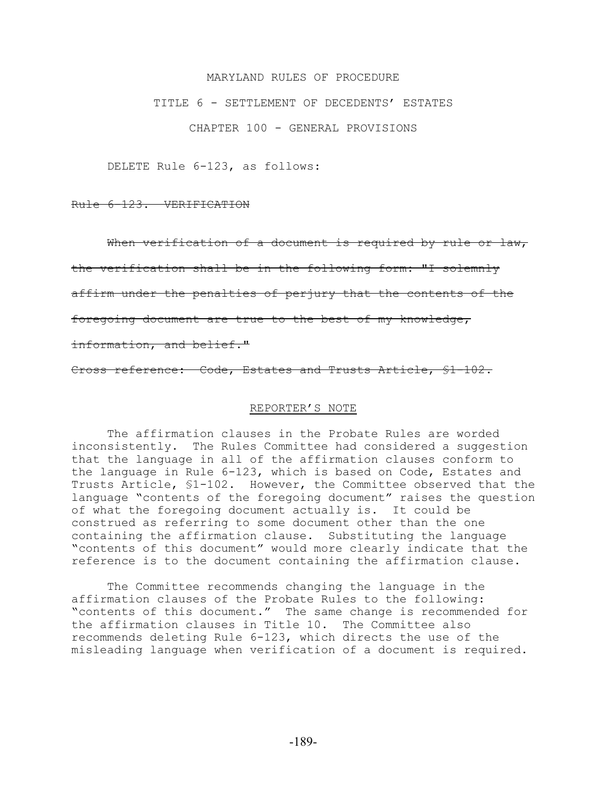#### MARYLAND RULES OF PROCEDURE

#### TITLE 6 - SETTLEMENT OF DECEDENTS' ESTATES

CHAPTER 100 - GENERAL PROVISIONS

DELETE Rule 6-123, as follows:

Rule 6-123. VERIFICATION

When verification of a document is required by rule or law,

the verification shall be in the following form: "I solemnly

affirm under the penalties of perjury that the contents of the

foregoing document are true to the best of my knowledge,

information, and belief."

Cross reference: Code, Estates and Trusts Article, §1-102.

#### REPORTER'S NOTE

The affirmation clauses in the Probate Rules are worded inconsistently. The Rules Committee had considered a suggestion that the language in all of the affirmation clauses conform to the language in Rule 6-123, which is based on Code, Estates and Trusts Article, §1-102. However, the Committee observed that the language "contents of the foregoing document" raises the question of what the foregoing document actually is. It could be construed as referring to some document other than the one containing the affirmation clause. Substituting the language "contents of this document" would more clearly indicate that the reference is to the document containing the affirmation clause.

The Committee recommends changing the language in the affirmation clauses of the Probate Rules to the following: "contents of this document." The same change is recommended for the affirmation clauses in Title 10. The Committee also recommends deleting Rule 6-123, which directs the use of the misleading language when verification of a document is required.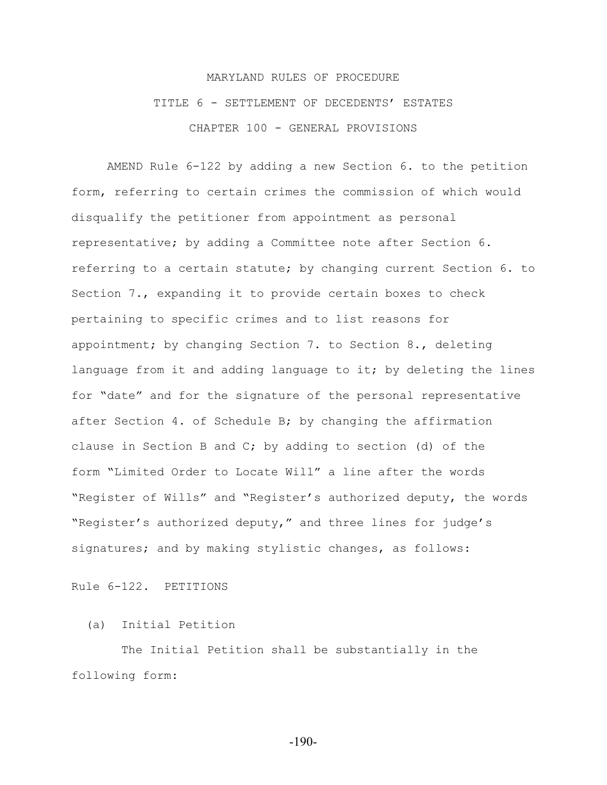## MARYLAND RULES OF PROCEDURE TITLE 6 - SETTLEMENT OF DECEDENTS' ESTATES CHAPTER 100 - GENERAL PROVISIONS

AMEND Rule 6-122 by adding a new Section 6. to the petition form, referring to certain crimes the commission of which would disqualify the petitioner from appointment as personal representative; by adding a Committee note after Section 6. referring to a certain statute; by changing current Section 6. to Section 7., expanding it to provide certain boxes to check pertaining to specific crimes and to list reasons for appointment; by changing Section 7. to Section 8., deleting language from it and adding language to it; by deleting the lines for "date" and for the signature of the personal representative after Section 4. of Schedule B; by changing the affirmation clause in Section B and C; by adding to section (d) of the form "Limited Order to Locate Will" a line after the words "Register of Wills" and "Register's authorized deputy, the words "Register's authorized deputy," and three lines for judge's signatures; and by making stylistic changes, as follows:

Rule 6-122. PETITIONS

## (a) Initial Petition

 The Initial Petition shall be substantially in the following form: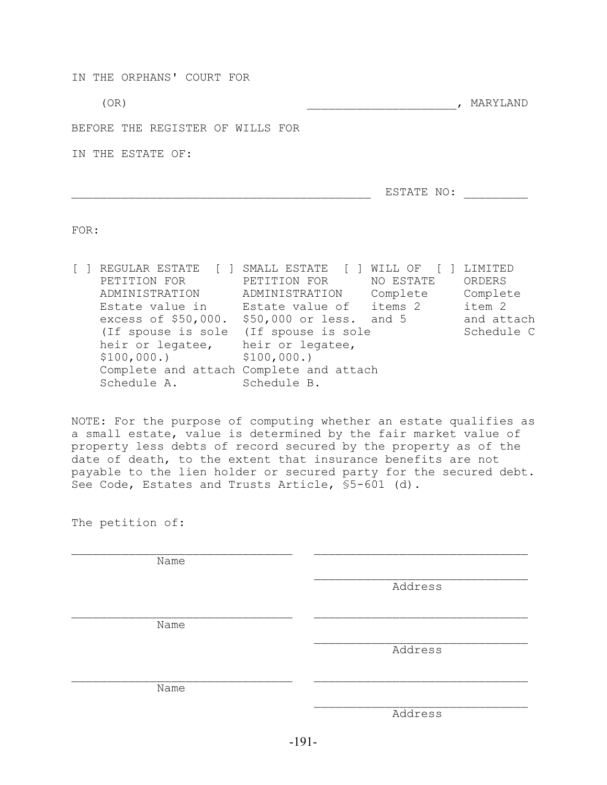IN THE ORPHANS' COURT FOR  $(OR)$  , MARYLAND BEFORE THE REGISTER OF WILLS FOR IN THE ESTATE OF: \_\_\_\_\_\_\_\_\_\_\_\_\_\_\_\_\_\_\_\_\_\_\_\_\_\_\_\_\_\_\_\_\_\_\_\_\_\_\_\_\_\_ ESTATE NO: \_\_\_\_\_\_\_\_\_

FOR:

[ ] REGULAR ESTATE [ ] SMALL ESTATE [ ] WILL OF [ ] LIMITED PETITION FOR PETITION FOR NO ESTATE ORDERS ADMINISTRATION ADMINISTRATION Complete Complete ADMINISTRATION ADMINISTRATION Complete Complete<br>Estate value in Estate value of items 2 item 2 excess of  $$50,000$ .  $$50,000$  or less. and 5 and attach (If spouse is sole (If spouse is sole Schedule C heir or legatee, heir or legatee, \$100,000.) \$100,000.) Complete and attach Complete and attach Schedule A. Schedule B.

NOTE: For the purpose of computing whether an estate qualifies as a small estate, value is determined by the fair market value of property less debts of record secured by the property as of the date of death, to the extent that insurance benefits are not payable to the lien holder or secured party for the secured debt. See Code, Estates and Trusts Article, §5-601 (d).

| The petition of: |         |
|------------------|---------|
| Name             |         |
|                  |         |
|                  | Address |
|                  |         |
| Name             |         |
|                  | Address |
|                  |         |
| Name             |         |
|                  | Address |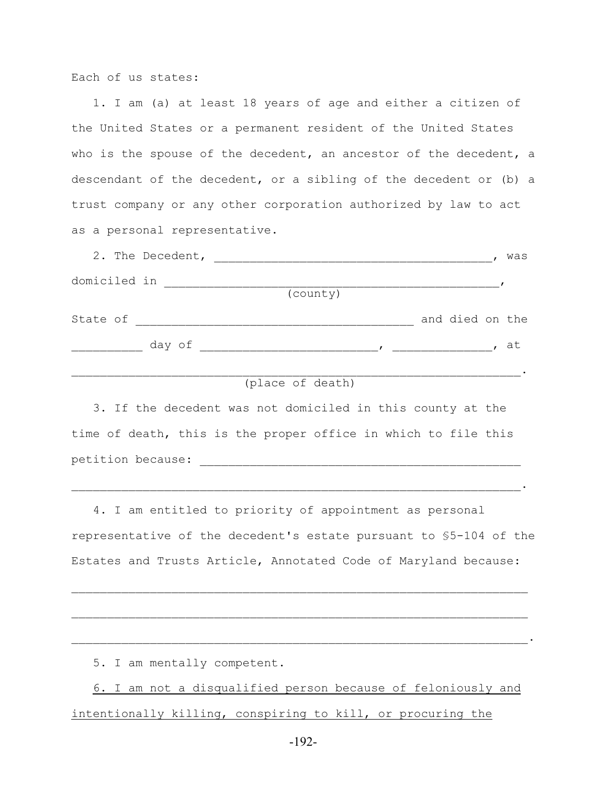Each of us states:

 1. I am (a) at least 18 years of age and either a citizen of the United States or a permanent resident of the United States who is the spouse of the decedent, an ancestor of the decedent, a descendant of the decedent, or a sibling of the decedent or (b) a trust company or any other corporation authorized by law to act as a personal representative.

|              | 2. The Decedent, |          |                 | was |
|--------------|------------------|----------|-----------------|-----|
| domiciled in |                  |          |                 |     |
|              |                  | (county) |                 |     |
| State of     |                  |          | and died on the |     |
|              | day of           |          |                 | at  |
|              |                  |          |                 |     |

```
 (place of death)
```
 3. If the decedent was not domiciled in this county at the time of death, this is the proper office in which to file this petition because: \_\_\_\_\_\_\_\_\_\_\_\_\_\_\_\_\_\_\_\_\_\_\_\_\_\_\_\_\_\_\_\_\_\_\_\_\_\_\_\_\_\_\_\_\_

 4. I am entitled to priority of appointment as personal representative of the decedent's estate pursuant to §5-104 of the Estates and Trusts Article, Annotated Code of Maryland because:

 $\mathcal{L}_\text{max} = \mathcal{L}_\text{max} = \mathcal{L}_\text{max} = \mathcal{L}_\text{max} = \mathcal{L}_\text{max} = \mathcal{L}_\text{max} = \mathcal{L}_\text{max} = \mathcal{L}_\text{max} = \mathcal{L}_\text{max} = \mathcal{L}_\text{max} = \mathcal{L}_\text{max} = \mathcal{L}_\text{max} = \mathcal{L}_\text{max} = \mathcal{L}_\text{max} = \mathcal{L}_\text{max} = \mathcal{L}_\text{max} = \mathcal{L}_\text{max} = \mathcal{L}_\text{max} = \mathcal{$ 

 $\mathcal{L}_\mathcal{L} = \mathcal{L}_\mathcal{L} = \mathcal{L}_\mathcal{L} = \mathcal{L}_\mathcal{L} = \mathcal{L}_\mathcal{L} = \mathcal{L}_\mathcal{L} = \mathcal{L}_\mathcal{L} = \mathcal{L}_\mathcal{L} = \mathcal{L}_\mathcal{L} = \mathcal{L}_\mathcal{L} = \mathcal{L}_\mathcal{L} = \mathcal{L}_\mathcal{L} = \mathcal{L}_\mathcal{L} = \mathcal{L}_\mathcal{L} = \mathcal{L}_\mathcal{L} = \mathcal{L}_\mathcal{L} = \mathcal{L}_\mathcal{L}$ 

 $\mathcal{L}_\text{max} = \mathcal{L}_\text{max} = \mathcal{L}_\text{max} = \mathcal{L}_\text{max} = \mathcal{L}_\text{max} = \mathcal{L}_\text{max} = \mathcal{L}_\text{max} = \mathcal{L}_\text{max} = \mathcal{L}_\text{max} = \mathcal{L}_\text{max} = \mathcal{L}_\text{max} = \mathcal{L}_\text{max} = \mathcal{L}_\text{max} = \mathcal{L}_\text{max} = \mathcal{L}_\text{max} = \mathcal{L}_\text{max} = \mathcal{L}_\text{max} = \mathcal{L}_\text{max} = \mathcal{$ 

5. I am mentally competent.

 6. I am not a disqualified person because of feloniously and intentionally killing, conspiring to kill, or procuring the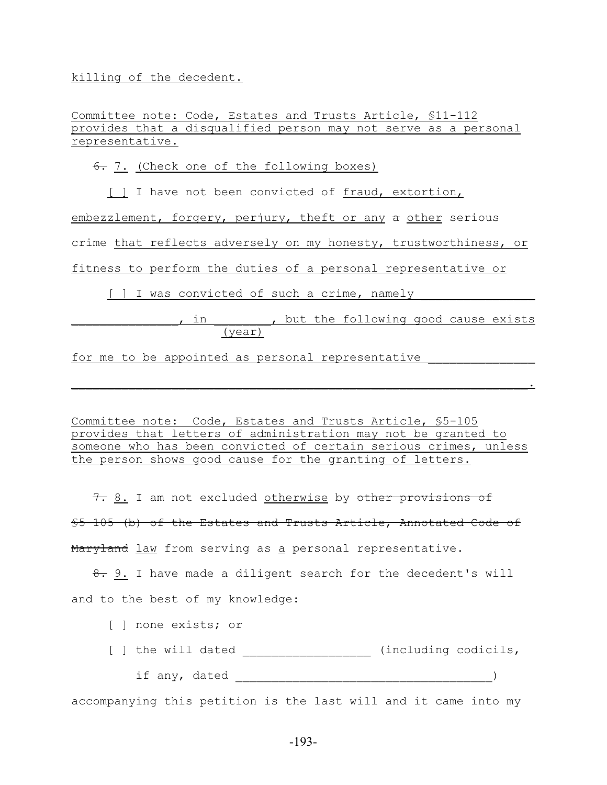killing of the decedent.

Committee note: Code, Estates and Trusts Article, §11-112 provides that a disqualified person may not serve as a personal representative.

 $6.7.$  (Check one of the following boxes)

[ ] I have not been convicted of fraud, extortion,

embezzlement, forgery, perjury, theft or any a other serious

crime that reflects adversely on my honesty, trustworthiness, or

fitness to perform the duties of a personal representative or

[ ] I was convicted of such a crime, namely

## p and the following good cause exists (year)

for me to be appointed as personal representative

Committee note: Code, Estates and Trusts Article, §5-105 provides that letters of administration may not be granted to someone who has been convicted of certain serious crimes, unless the person shows good cause for the granting of letters.

 $\mathcal{L}_\text{max} = \mathcal{L}_\text{max} = \mathcal{L}_\text{max} = \mathcal{L}_\text{max} = \mathcal{L}_\text{max} = \mathcal{L}_\text{max} = \mathcal{L}_\text{max} = \mathcal{L}_\text{max} = \mathcal{L}_\text{max} = \mathcal{L}_\text{max} = \mathcal{L}_\text{max} = \mathcal{L}_\text{max} = \mathcal{L}_\text{max} = \mathcal{L}_\text{max} = \mathcal{L}_\text{max} = \mathcal{L}_\text{max} = \mathcal{L}_\text{max} = \mathcal{L}_\text{max} = \mathcal{$ 

7. 8. I am not excluded otherwise by other provisions of §5-105 (b) of the Estates and Trusts Article, Annotated Code of Maryland law from serving as a personal representative.

8. 9. I have made a diligent search for the decedent's will and to the best of my knowledge:

- [ ] none exists; or
- [ ] the will dated \_\_\_\_\_\_\_\_\_\_\_\_\_\_\_\_\_\_\_ (including codicils,
	- if any, dated  $\qquad \qquad$

accompanying this petition is the last will and it came into my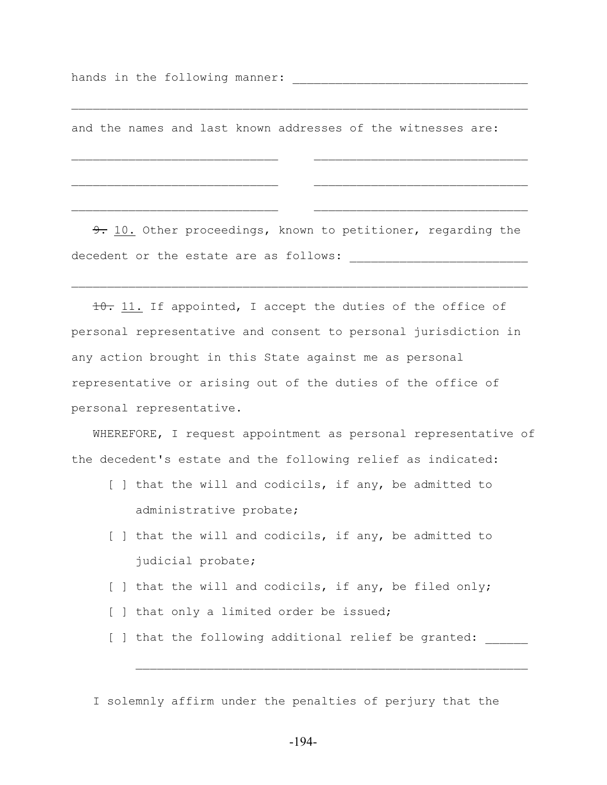hands in the following manner: \_\_\_\_\_\_\_\_\_\_\_\_\_\_\_\_\_\_\_\_\_\_\_\_\_\_\_\_\_\_\_\_\_

and the names and last known addresses of the witnesses are:

 $\mathcal{L}_\text{max} = \mathcal{L}_\text{max} = \mathcal{L}_\text{max} = \mathcal{L}_\text{max} = \mathcal{L}_\text{max} = \mathcal{L}_\text{max} = \mathcal{L}_\text{max} = \mathcal{L}_\text{max} = \mathcal{L}_\text{max} = \mathcal{L}_\text{max} = \mathcal{L}_\text{max} = \mathcal{L}_\text{max} = \mathcal{L}_\text{max} = \mathcal{L}_\text{max} = \mathcal{L}_\text{max} = \mathcal{L}_\text{max} = \mathcal{L}_\text{max} = \mathcal{L}_\text{max} = \mathcal{$ 

9. 10. Other proceedings, known to petitioner, regarding the decedent or the estate are as follows:

 $\mathcal{L}_\text{max}$  and the contract of the contract of the contract of the contract of the contract of the contract of

 $\mathcal{L}_\text{max}$  and the contract of the contract of the contract of the contract of the contract of the contract of

 10. 11. If appointed, I accept the duties of the office of personal representative and consent to personal jurisdiction in any action brought in this State against me as personal representative or arising out of the duties of the office of personal representative.

WHEREFORE, I request appointment as personal representative of the decedent's estate and the following relief as indicated:

- [ ] that the will and codicils, if any, be admitted to administrative probate;
- [ ] that the will and codicils, if any, be admitted to judicial probate;
- [ ] that the will and codicils, if any, be filed only;
- [ ] that only a limited order be issued;
- [ ] that the following additional relief be granted:

I solemnly affirm under the penalties of perjury that the

 $\mathcal{L}_\text{max}$  and the contract of the contract of the contract of the contract of the contract of the contract of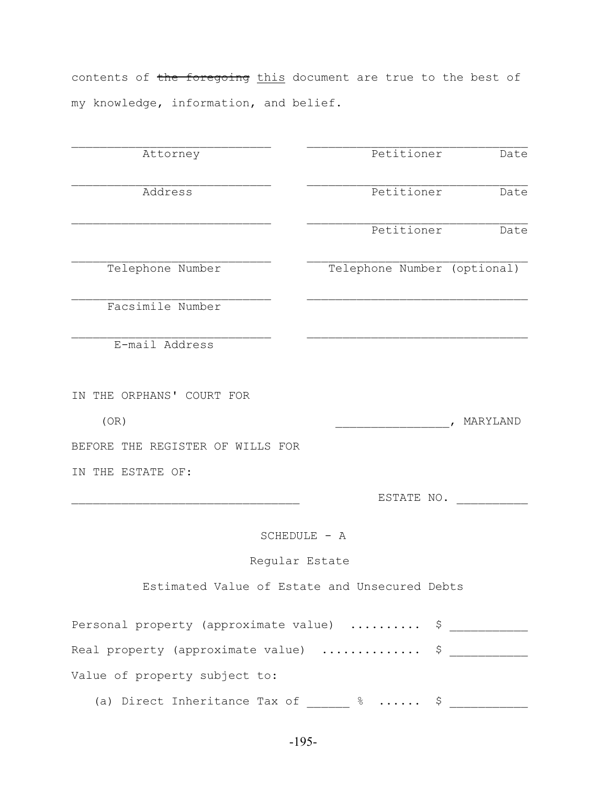contents of the foregoing this document are true to the best of my knowledge, information, and belief.

| Attorney                                                                | Petitioner                                    | Date     |
|-------------------------------------------------------------------------|-----------------------------------------------|----------|
| Address                                                                 | Petitioner                                    | Date     |
|                                                                         | Petitioner                                    | Date     |
| Telephone Number                                                        | Telephone Number (optional)                   |          |
| Facsimile Number                                                        |                                               |          |
| E-mail Address                                                          |                                               |          |
| IN THE ORPHANS' COURT FOR                                               |                                               |          |
| (OR)                                                                    |                                               | MARYLAND |
| BEFORE THE REGISTER OF WILLS FOR                                        |                                               |          |
| IN THE ESTATE OF:                                                       |                                               |          |
|                                                                         | ESTATE NO.                                    |          |
|                                                                         | SCHEDULE - A                                  |          |
| Regular Estate                                                          |                                               |          |
|                                                                         | Estimated Value of Estate and Unsecured Debts |          |
| Personal property (approximate value)  \$ ___________                   |                                               |          |
| Real property (approximate value)  \$                                   |                                               |          |
| Value of property subject to:                                           |                                               |          |
| (a) Direct Inheritance Tax of $\frac{2}{\sqrt{3}}$ $\frac{2}{\sqrt{3}}$ |                                               |          |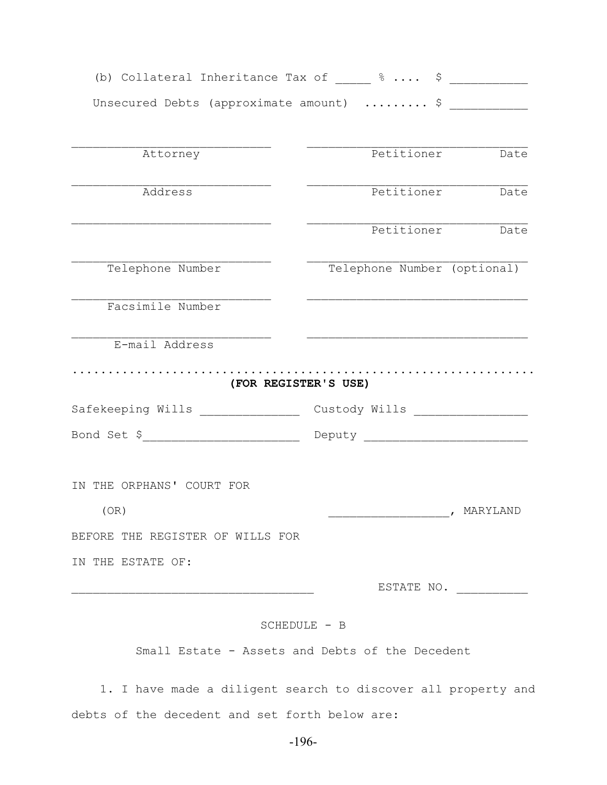| (b) Collateral Inheritance Tax of $\frac{1}{2}$ $\frac{1}{2}$ $\cdots$ $\frac{1}{2}$ $\cdots$ |                                                                                                                      |                             |
|-----------------------------------------------------------------------------------------------|----------------------------------------------------------------------------------------------------------------------|-----------------------------|
| Unsecured Debts (approximate amount) $\frac{1}{2}$                                            |                                                                                                                      |                             |
| Attorney                                                                                      |                                                                                                                      | Petitioner Date             |
| Address                                                                                       |                                                                                                                      | Petitioner Date             |
|                                                                                               |                                                                                                                      | Petitioner Date             |
| Telephone Number                                                                              |                                                                                                                      | Telephone Number (optional) |
| Facsimile Number                                                                              | <u> 1989 - Johann John Harry, mars eta bat eta bat eta bat ez artean eta bat ez artean erroman ez artean ez arte</u> |                             |
| E-mail Address<br>(FOR REGISTER'S USE)                                                        |                                                                                                                      |                             |
| Safekeeping Wills _______________                                                             |                                                                                                                      |                             |
| Bond Set \$ _________________________________ Deputy ____________________________             |                                                                                                                      |                             |
| IN THE ORPHANS' COURT FOR<br>(OR)                                                             |                                                                                                                      | , MARYLAND                  |
| BEFORE THE REGISTER OF WILLS FOR                                                              |                                                                                                                      |                             |
| IN THE ESTATE OF:                                                                             |                                                                                                                      |                             |
|                                                                                               |                                                                                                                      |                             |
|                                                                                               |                                                                                                                      | ESTATE NO.                  |

Small Estate - Assets and Debts of the Decedent

 1. I have made a diligent search to discover all property and debts of the decedent and set forth below are: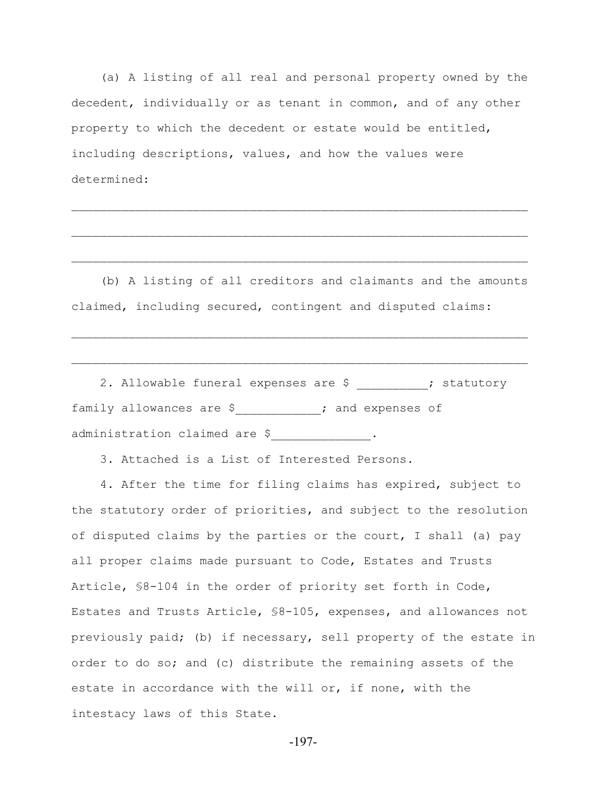(a) A listing of all real and personal property owned by the decedent, individually or as tenant in common, and of any other property to which the decedent or estate would be entitled, including descriptions, values, and how the values were determined:

 $\mathcal{L}_\text{max} = \mathcal{L}_\text{max} = \mathcal{L}_\text{max} = \mathcal{L}_\text{max} = \mathcal{L}_\text{max} = \mathcal{L}_\text{max} = \mathcal{L}_\text{max} = \mathcal{L}_\text{max} = \mathcal{L}_\text{max} = \mathcal{L}_\text{max} = \mathcal{L}_\text{max} = \mathcal{L}_\text{max} = \mathcal{L}_\text{max} = \mathcal{L}_\text{max} = \mathcal{L}_\text{max} = \mathcal{L}_\text{max} = \mathcal{L}_\text{max} = \mathcal{L}_\text{max} = \mathcal{$ 

 $\mathcal{L}_\text{max} = \mathcal{L}_\text{max} = \mathcal{L}_\text{max} = \mathcal{L}_\text{max} = \mathcal{L}_\text{max} = \mathcal{L}_\text{max} = \mathcal{L}_\text{max} = \mathcal{L}_\text{max} = \mathcal{L}_\text{max} = \mathcal{L}_\text{max} = \mathcal{L}_\text{max} = \mathcal{L}_\text{max} = \mathcal{L}_\text{max} = \mathcal{L}_\text{max} = \mathcal{L}_\text{max} = \mathcal{L}_\text{max} = \mathcal{L}_\text{max} = \mathcal{L}_\text{max} = \mathcal{$ 

 $\mathcal{L}_\text{max} = \mathcal{L}_\text{max} = \mathcal{L}_\text{max} = \mathcal{L}_\text{max} = \mathcal{L}_\text{max} = \mathcal{L}_\text{max} = \mathcal{L}_\text{max} = \mathcal{L}_\text{max} = \mathcal{L}_\text{max} = \mathcal{L}_\text{max} = \mathcal{L}_\text{max} = \mathcal{L}_\text{max} = \mathcal{L}_\text{max} = \mathcal{L}_\text{max} = \mathcal{L}_\text{max} = \mathcal{L}_\text{max} = \mathcal{L}_\text{max} = \mathcal{L}_\text{max} = \mathcal{$ 

 (b) A listing of all creditors and claimants and the amounts claimed, including secured, contingent and disputed claims:

 $\mathcal{L}_\text{max} = \mathcal{L}_\text{max} = \mathcal{L}_\text{max} = \mathcal{L}_\text{max} = \mathcal{L}_\text{max} = \mathcal{L}_\text{max} = \mathcal{L}_\text{max} = \mathcal{L}_\text{max} = \mathcal{L}_\text{max} = \mathcal{L}_\text{max} = \mathcal{L}_\text{max} = \mathcal{L}_\text{max} = \mathcal{L}_\text{max} = \mathcal{L}_\text{max} = \mathcal{L}_\text{max} = \mathcal{L}_\text{max} = \mathcal{L}_\text{max} = \mathcal{L}_\text{max} = \mathcal{$ 

 $\mathcal{L}_\text{max} = \mathcal{L}_\text{max} = \mathcal{L}_\text{max} = \mathcal{L}_\text{max} = \mathcal{L}_\text{max} = \mathcal{L}_\text{max} = \mathcal{L}_\text{max} = \mathcal{L}_\text{max} = \mathcal{L}_\text{max} = \mathcal{L}_\text{max} = \mathcal{L}_\text{max} = \mathcal{L}_\text{max} = \mathcal{L}_\text{max} = \mathcal{L}_\text{max} = \mathcal{L}_\text{max} = \mathcal{L}_\text{max} = \mathcal{L}_\text{max} = \mathcal{L}_\text{max} = \mathcal{$ 

2. Allowable funeral expenses are \$  $\cdot$  statutory family allowances are \$<br>
<u>[</u>][[11][12]  $\int$  and expenses of administration claimed are \$<br>
\_\_\_\_\_\_\_\_\_\_\_\_\_\_\_\_\_\_\_\_\_\_.

3. Attached is a List of Interested Persons.

 4. After the time for filing claims has expired, subject to the statutory order of priorities, and subject to the resolution of disputed claims by the parties or the court, I shall (a) pay all proper claims made pursuant to Code, Estates and Trusts Article, §8-104 in the order of priority set forth in Code, Estates and Trusts Article, §8-105, expenses, and allowances not previously paid; (b) if necessary, sell property of the estate in order to do so; and (c) distribute the remaining assets of the estate in accordance with the will or, if none, with the intestacy laws of this State.

-197-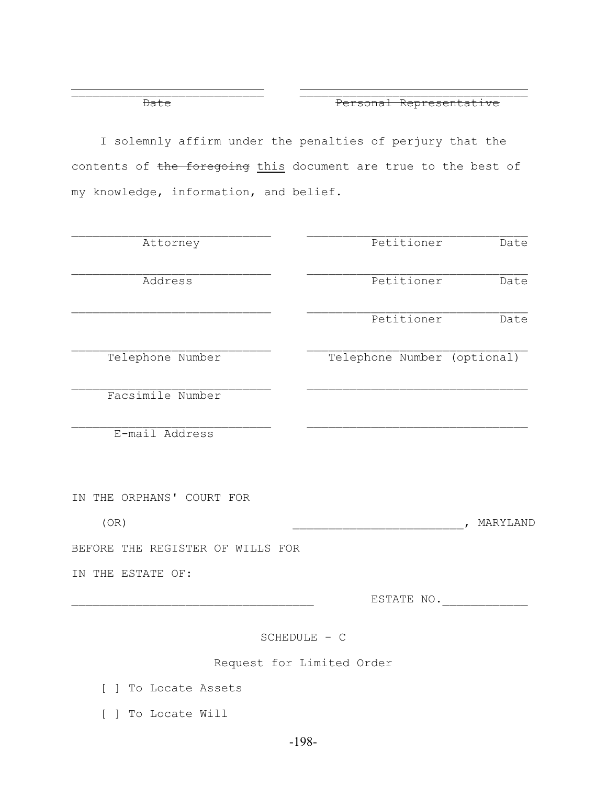Date **Date** Personal Representative

 I solemnly affirm under the penalties of perjury that the contents of the foregoing this document are true to the best of my knowledge, information, and belief.

 $\overline{\phantom{a}}$  , and the contract of the contract of the contract of the contract of the contract of the contract of the contract of the contract of the contract of the contract of the contract of the contract of the contrac

| Attorney                         | Petitioner                  | Date                     |
|----------------------------------|-----------------------------|--------------------------|
| Address                          | Petitioner                  | Date                     |
|                                  | Petitioner                  | Date                     |
| Telephone Number                 | Telephone Number (optional) |                          |
| Facsimile Number                 |                             |                          |
| E-mail Address                   |                             |                          |
|                                  |                             |                          |
| IN THE ORPHANS' COURT FOR        |                             |                          |
| (OR)                             |                             | MARYLAND<br>$\mathbf{r}$ |
| BEFORE THE REGISTER OF WILLS FOR |                             |                          |
| IN THE ESTATE OF:                |                             |                          |
|                                  | ESTATE NO.                  |                          |
|                                  | SCHEDULE - C                |                          |
|                                  | Request for Limited Order   |                          |
| .                                |                             |                          |

[ ] To Locate Assets

[ ] To Locate Will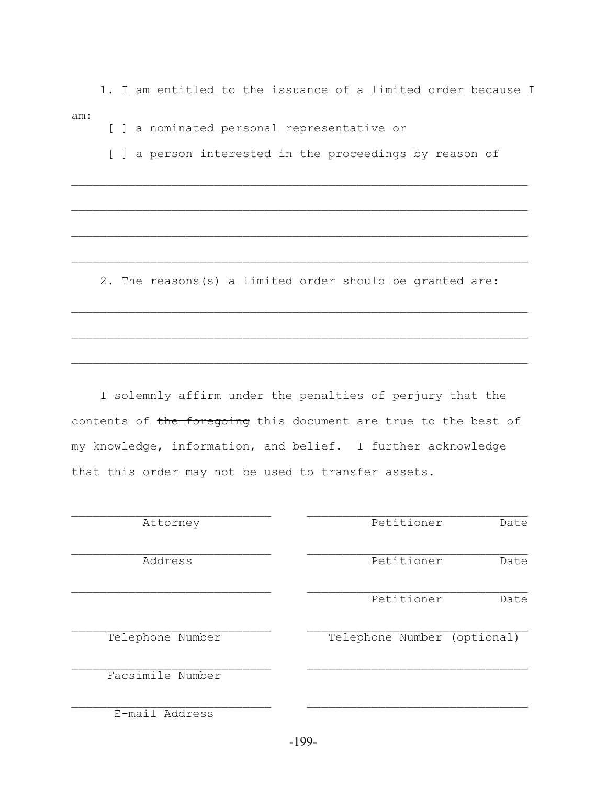1. I am entitled to the issuance of a limited order because I am:

[ ] a nominated personal representative or

[ ] a person interested in the proceedings by reason of

 $\mathcal{L}_\text{max} = \frac{1}{2} \sum_{i=1}^n \mathcal{L}_\text{max}(\mathbf{z}_i - \mathbf{z}_i)$ 

 $\mathcal{L}_\text{max} = \frac{1}{2} \sum_{i=1}^n \mathcal{L}_\text{max}(\mathbf{z}_i - \mathbf{z}_i)$ 

 $\mathcal{L}_\text{max} = \frac{1}{2} \sum_{i=1}^n \mathcal{L}_\text{max}(\mathbf{z}_i - \mathbf{z}_i)$ 

 $\mathcal{L}_\text{max} = \frac{1}{2} \sum_{i=1}^n \mathcal{L}_\text{max}(\mathbf{z}_i - \mathbf{z}_i)$ 

2. The reasons(s) a limited order should be granted are:

 $\mathcal{L}_\text{max} = \frac{1}{2} \sum_{i=1}^n \mathcal{L}_\text{max}(\mathbf{z}_i - \mathbf{z}_i)$ 

 $\mathcal{L}_\text{max} = \frac{1}{2} \sum_{i=1}^n \mathcal{L}_\text{max}(\mathbf{z}_i - \mathbf{z}_i)$ 

 $\mathcal{L}_\text{max} = \frac{1}{2} \sum_{i=1}^n \mathcal{L}_\text{max}(\mathbf{z}_i - \mathbf{z}_i)$ 

 I solemnly affirm under the penalties of perjury that the contents of the foregoing this document are true to the best of my knowledge, information, and belief. I further acknowledge that this order may not be used to transfer assets.

| Attorney         | Petitioner                  | Date |
|------------------|-----------------------------|------|
| Address          | Petitioner                  | Date |
|                  | Petitioner                  | Date |
| Telephone Number | Telephone Number (optional) |      |
| Facsimile Number |                             |      |
| E-mail Address   |                             |      |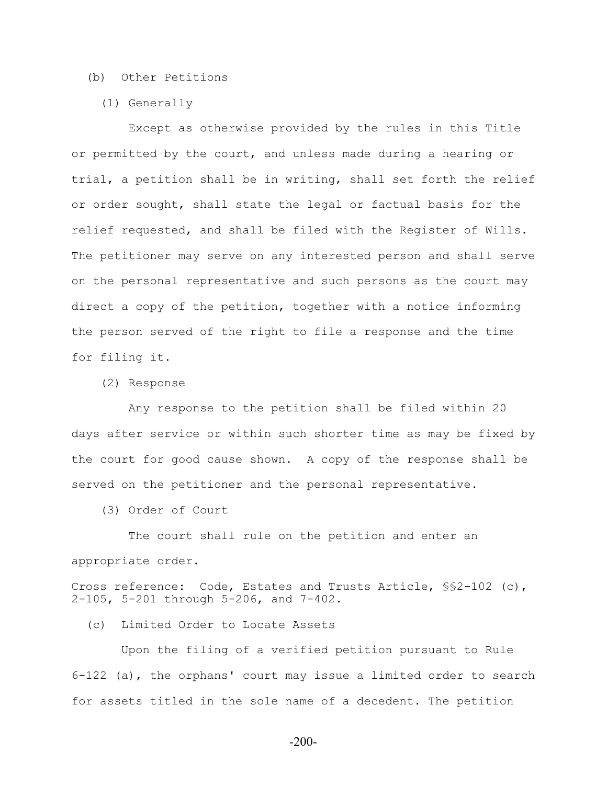### (b) Other Petitions

(1) Generally

 Except as otherwise provided by the rules in this Title or permitted by the court, and unless made during a hearing or trial, a petition shall be in writing, shall set forth the relief or order sought, shall state the legal or factual basis for the relief requested, and shall be filed with the Register of Wills. The petitioner may serve on any interested person and shall serve on the personal representative and such persons as the court may direct a copy of the petition, together with a notice informing the person served of the right to file a response and the time for filing it.

(2) Response

 Any response to the petition shall be filed within 20 days after service or within such shorter time as may be fixed by the court for good cause shown. A copy of the response shall be served on the petitioner and the personal representative.

(3) Order of Court

 The court shall rule on the petition and enter an appropriate order.

Cross reference: Code, Estates and Trusts Article, §§2-102 (c), 2-105, 5-201 through 5-206, and 7-402.

(c) Limited Order to Locate Assets

 Upon the filing of a verified petition pursuant to Rule 6-122 (a), the orphans' court may issue a limited order to search for assets titled in the sole name of a decedent. The petition

-200-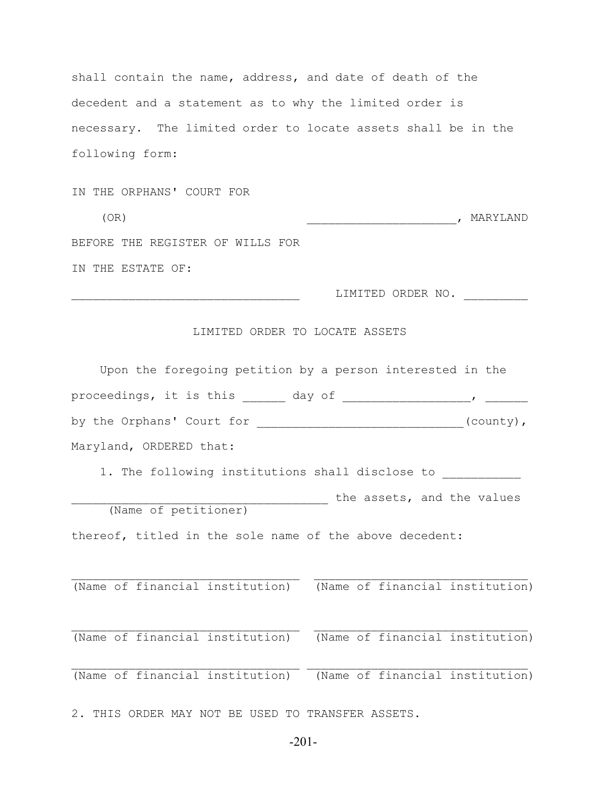shall contain the name, address, and date of death of the decedent and a statement as to why the limited order is necessary. The limited order to locate assets shall be in the following form:

IN THE ORPHANS' COURT FOR (OR)  $\overline{\phantom{a}}$  MARYLAND BEFORE THE REGISTER OF WILLS FOR IN THE ESTATE OF:  $\texttt{LIMITED}$  ORDER NO.  $\_\_\_\_\_\_\_\_\_\_\_\_\_\_\_\_\_\_\_\_$ LIMITED ORDER TO LOCATE ASSETS Upon the foregoing petition by a person interested in the

proceedings, it is this \_\_\_\_\_\_ day of \_\_\_\_\_\_\_\_\_\_\_\_\_\_\_\_\_\_\_\_, \_\_\_\_\_\_\_\_\_ by the Orphans' Court for \_\_\_\_\_\_\_\_\_\_\_\_\_\_\_\_\_\_\_\_\_\_\_\_\_\_\_\_\_\_\_(county), Maryland, ORDERED that: 1. The following institutions shall disclose to \_\_\_\_\_\_\_\_\_\_\_ the assets, and the values (Name of petitioner) thereof, titled in the sole name of the above decedent:  $\mathcal{L}_\text{max} = \frac{1}{2} \sum_{i=1}^n \mathcal{L}_\text{max}(\mathbf{x}_i - \mathbf{y}_i)$ (Name of financial institution) (Name of financial institution)  $\mathcal{L}_\text{max} = \mathcal{L}_\text{max} = \mathcal{L}_\text{max} = \mathcal{L}_\text{max} = \mathcal{L}_\text{max} = \mathcal{L}_\text{max} = \mathcal{L}_\text{max} = \mathcal{L}_\text{max} = \mathcal{L}_\text{max} = \mathcal{L}_\text{max} = \mathcal{L}_\text{max} = \mathcal{L}_\text{max} = \mathcal{L}_\text{max} = \mathcal{L}_\text{max} = \mathcal{L}_\text{max} = \mathcal{L}_\text{max} = \mathcal{L}_\text{max} = \mathcal{L}_\text{max} = \mathcal{$ (Name of financial institution) (Name of financial institution)  $\mathcal{L}_\text{max} = \frac{1}{2} \sum_{i=1}^n \mathcal{L}_\text{max}(\mathbf{z}_i - \mathbf{z}_i)$ (Name of financial institution) (Name of financial institution)

2. THIS ORDER MAY NOT BE USED TO TRANSFER ASSETS.

-201-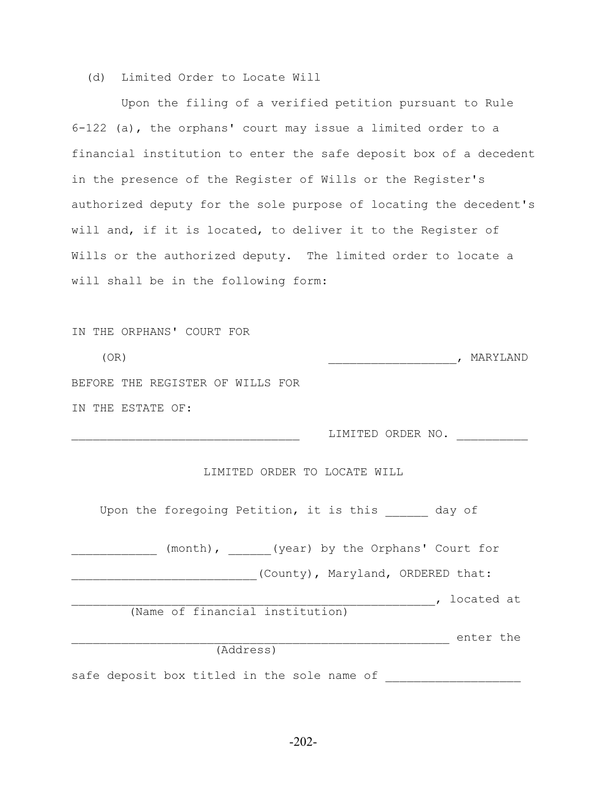## (d) Limited Order to Locate Will

 Upon the filing of a verified petition pursuant to Rule 6-122 (a), the orphans' court may issue a limited order to a financial institution to enter the safe deposit box of a decedent in the presence of the Register of Wills or the Register's authorized deputy for the sole purpose of locating the decedent's will and, if it is located, to deliver it to the Register of Wills or the authorized deputy. The limited order to locate a will shall be in the following form:

| IN THE ORPHANS' COURT FOR                                                          |
|------------------------------------------------------------------------------------|
| (OR)<br>, MARYLAND                                                                 |
| BEFORE THE REGISTER OF WILLS FOR                                                   |
| IN THE ESTATE OF:                                                                  |
| LIMITED ORDER NO.                                                                  |
| LIMITED ORDER TO LOCATE WILL<br>Upon the foregoing Petition, it is this and day of |
| (month), (year) by the Orphans' Court for                                          |
| (County), Maryland, ORDERED that:                                                  |
| (Name of financial institution)                                                    |
| enter the<br><u> 1989 - Johann John Stone, mars et al. (</u><br>(Address)          |
| safe deposit box titled in the sole name of                                        |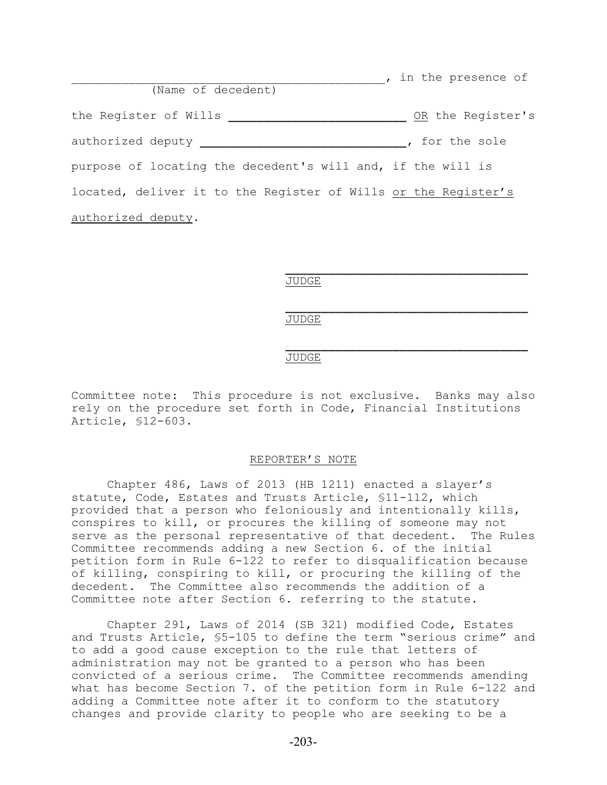| (Name of decedent)                                             | , in the presence of |
|----------------------------------------------------------------|----------------------|
|                                                                |                      |
| the Register of Wills                                          | OR the Register's    |
| authorized deputy _____                                        | , for the sole       |
| purpose of locating the decedent's will and, if the will is    |                      |
| located, deliver it to the Register of Wills or the Register's |                      |
| authorized deputy.                                             |                      |

 $\frac{1}{\sqrt{2}}$  ,  $\frac{1}{\sqrt{2}}$  ,  $\frac{1}{\sqrt{2}}$  ,  $\frac{1}{\sqrt{2}}$  ,  $\frac{1}{\sqrt{2}}$  ,  $\frac{1}{\sqrt{2}}$  ,  $\frac{1}{\sqrt{2}}$  ,  $\frac{1}{\sqrt{2}}$  ,  $\frac{1}{\sqrt{2}}$  ,  $\frac{1}{\sqrt{2}}$  ,  $\frac{1}{\sqrt{2}}$  ,  $\frac{1}{\sqrt{2}}$  ,  $\frac{1}{\sqrt{2}}$  ,  $\frac{1}{\sqrt{2}}$  ,  $\frac{1}{\sqrt{2}}$ JUDGE

 $\frac{1}{\sqrt{2}}$  ,  $\frac{1}{\sqrt{2}}$  ,  $\frac{1}{\sqrt{2}}$  ,  $\frac{1}{\sqrt{2}}$  ,  $\frac{1}{\sqrt{2}}$  ,  $\frac{1}{\sqrt{2}}$  ,  $\frac{1}{\sqrt{2}}$  ,  $\frac{1}{\sqrt{2}}$  ,  $\frac{1}{\sqrt{2}}$  ,  $\frac{1}{\sqrt{2}}$  ,  $\frac{1}{\sqrt{2}}$  ,  $\frac{1}{\sqrt{2}}$  ,  $\frac{1}{\sqrt{2}}$  ,  $\frac{1}{\sqrt{2}}$  ,  $\frac{1}{\sqrt{2}}$ JUDGE

## $\frac{1}{\sqrt{2}}$  ,  $\frac{1}{\sqrt{2}}$  ,  $\frac{1}{\sqrt{2}}$  ,  $\frac{1}{\sqrt{2}}$  ,  $\frac{1}{\sqrt{2}}$  ,  $\frac{1}{\sqrt{2}}$  ,  $\frac{1}{\sqrt{2}}$  ,  $\frac{1}{\sqrt{2}}$  ,  $\frac{1}{\sqrt{2}}$  ,  $\frac{1}{\sqrt{2}}$  ,  $\frac{1}{\sqrt{2}}$  ,  $\frac{1}{\sqrt{2}}$  ,  $\frac{1}{\sqrt{2}}$  ,  $\frac{1}{\sqrt{2}}$  ,  $\frac{1}{\sqrt{2}}$ JUDGE

Committee note: This procedure is not exclusive. Banks may also rely on the procedure set forth in Code, Financial Institutions Article, §12-603.

#### REPORTER'S NOTE

Chapter 486, Laws of 2013 (HB 1211) enacted a slayer's statute, Code, Estates and Trusts Article, §11-112, which provided that a person who feloniously and intentionally kills, conspires to kill, or procures the killing of someone may not serve as the personal representative of that decedent. The Rules Committee recommends adding a new Section 6. of the initial petition form in Rule 6-122 to refer to disqualification because of killing, conspiring to kill, or procuring the killing of the decedent. The Committee also recommends the addition of a Committee note after Section 6. referring to the statute.

Chapter 291, Laws of 2014 (SB 321) modified Code, Estates and Trusts Article, §5-105 to define the term "serious crime" and to add a good cause exception to the rule that letters of administration may not be granted to a person who has been convicted of a serious crime. The Committee recommends amending what has become Section 7. of the petition form in Rule 6-122 and adding a Committee note after it to conform to the statutory changes and provide clarity to people who are seeking to be a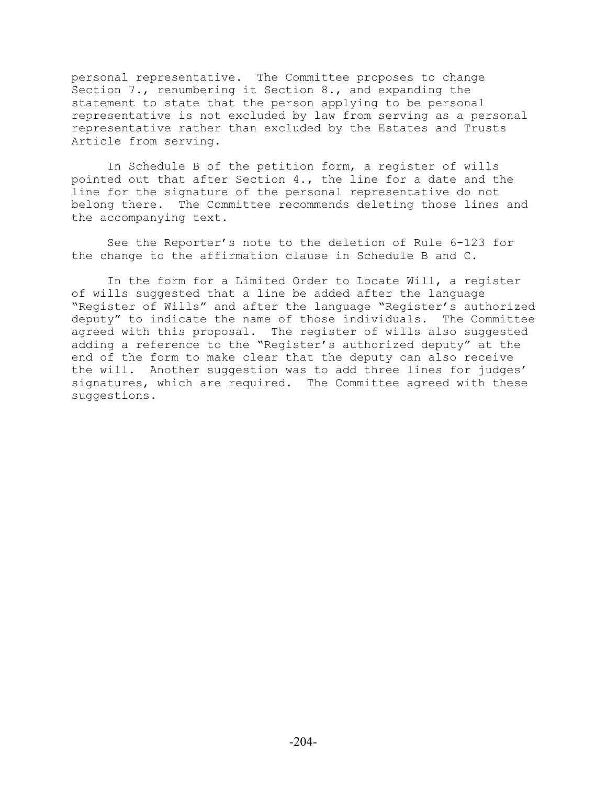personal representative. The Committee proposes to change Section 7., renumbering it Section 8., and expanding the statement to state that the person applying to be personal representative is not excluded by law from serving as a personal representative rather than excluded by the Estates and Trusts Article from serving.

In Schedule B of the petition form, a register of wills pointed out that after Section 4., the line for a date and the line for the signature of the personal representative do not belong there. The Committee recommends deleting those lines and the accompanying text.

See the Reporter's note to the deletion of Rule 6-123 for the change to the affirmation clause in Schedule B and C.

In the form for a Limited Order to Locate Will, a register of wills suggested that a line be added after the language "Register of Wills" and after the language "Register's authorized deputy" to indicate the name of those individuals. The Committee agreed with this proposal. The register of wills also suggested adding a reference to the "Register's authorized deputy" at the end of the form to make clear that the deputy can also receive the will. Another suggestion was to add three lines for judges' signatures, which are required. The Committee agreed with these suggestions.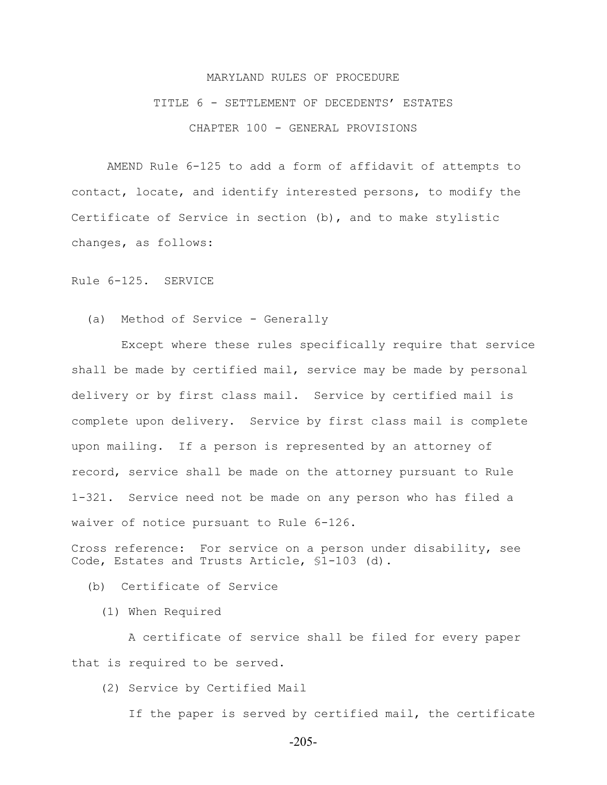## MARYLAND RULES OF PROCEDURE TITLE 6 - SETTLEMENT OF DECEDENTS' ESTATES CHAPTER 100 - GENERAL PROVISIONS

AMEND Rule 6-125 to add a form of affidavit of attempts to contact, locate, and identify interested persons, to modify the Certificate of Service in section (b), and to make stylistic changes, as follows:

Rule 6-125. SERVICE

(a) Method of Service - Generally

 Except where these rules specifically require that service shall be made by certified mail, service may be made by personal delivery or by first class mail. Service by certified mail is complete upon delivery. Service by first class mail is complete upon mailing. If a person is represented by an attorney of record, service shall be made on the attorney pursuant to Rule 1-321. Service need not be made on any person who has filed a waiver of notice pursuant to Rule 6-126.

Cross reference: For service on a person under disability, see Code, Estates and Trusts Article, §1-103 (d).

(b) Certificate of Service

(1) When Required

 A certificate of service shall be filed for every paper that is required to be served.

(2) Service by Certified Mail

If the paper is served by certified mail, the certificate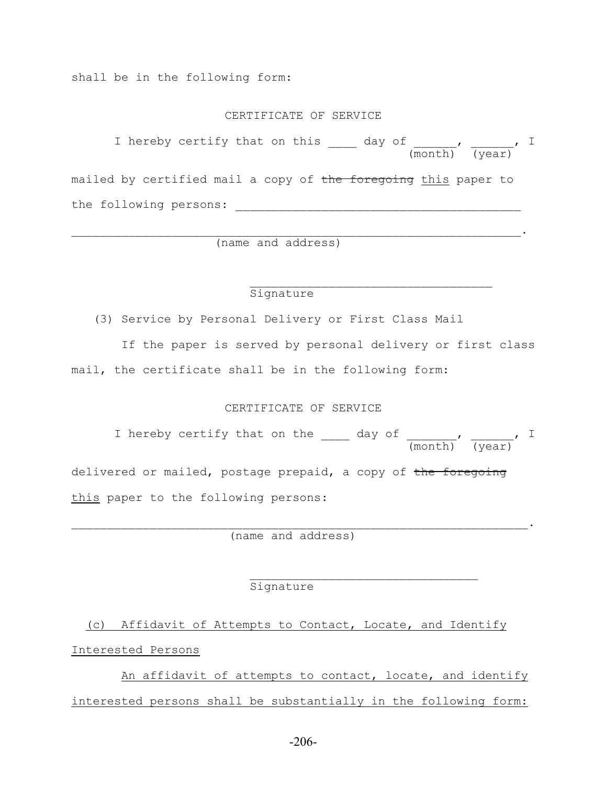shall be in the following form:

#### CERTIFICATE OF SERVICE

I hereby certify that on this day of the state of the state of  $\bar{I}$  (month) (year) mailed by certified mail a copy of the foregoing this paper to the following persons:

 $\mathcal{L}_\text{max} = \mathcal{L}_\text{max} = \mathcal{L}_\text{max} = \mathcal{L}_\text{max} = \mathcal{L}_\text{max} = \mathcal{L}_\text{max} = \mathcal{L}_\text{max} = \mathcal{L}_\text{max} = \mathcal{L}_\text{max} = \mathcal{L}_\text{max} = \mathcal{L}_\text{max} = \mathcal{L}_\text{max} = \mathcal{L}_\text{max} = \mathcal{L}_\text{max} = \mathcal{L}_\text{max} = \mathcal{L}_\text{max} = \mathcal{L}_\text{max} = \mathcal{L}_\text{max} = \mathcal{$ 

(name and address)

### Signature

(3) Service by Personal Delivery or First Class Mail

 If the paper is served by personal delivery or first class mail, the certificate shall be in the following form:

## CERTIFICATE OF SERVICE

I hereby certify that on the day of the state of the state of  $\mathcal{I}$  (month) (year) delivered or mailed, postage prepaid, a copy of the foregoing this paper to the following persons:

 $\mathcal{L}_\mathcal{L} = \mathcal{L}_\mathcal{L} = \mathcal{L}_\mathcal{L} = \mathcal{L}_\mathcal{L} = \mathcal{L}_\mathcal{L} = \mathcal{L}_\mathcal{L} = \mathcal{L}_\mathcal{L} = \mathcal{L}_\mathcal{L} = \mathcal{L}_\mathcal{L} = \mathcal{L}_\mathcal{L} = \mathcal{L}_\mathcal{L} = \mathcal{L}_\mathcal{L} = \mathcal{L}_\mathcal{L} = \mathcal{L}_\mathcal{L} = \mathcal{L}_\mathcal{L} = \mathcal{L}_\mathcal{L} = \mathcal{L}_\mathcal{L}$ 

(name and address)

## $\mathcal{L}_\text{max}$  and  $\mathcal{L}_\text{max}$  and  $\mathcal{L}_\text{max}$  and  $\mathcal{L}_\text{max}$  and  $\mathcal{L}_\text{max}$ Signature

 (c) Affidavit of Attempts to Contact, Locate, and Identify Interested Persons

 An affidavit of attempts to contact, locate, and identify interested persons shall be substantially in the following form: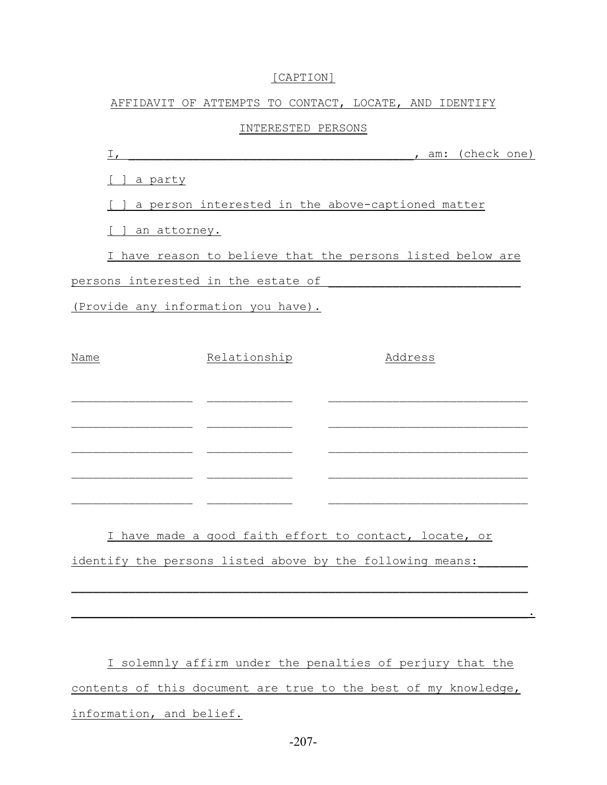## [CAPTION]

### AFFIDAVIT OF ATTEMPTS TO CONTACT, LOCATE, AND IDENTIFY

### INTERESTED PERSONS

| $I_{\ell}$                                                 | , am: (check one) |  |
|------------------------------------------------------------|-------------------|--|
| a party                                                    |                   |  |
| a person interested in the above-captioned matter          |                   |  |
| an attorney.                                               |                   |  |
| I have reason to believe that the persons listed below are |                   |  |
| persons interested in the estate of                        |                   |  |
| (Provide any information you have).                        |                   |  |
|                                                            |                   |  |
| Name<br>Relationship                                       | Address           |  |
|                                                            |                   |  |
|                                                            |                   |  |
|                                                            |                   |  |
|                                                            |                   |  |
| $\overline{\phantom{a}}$                                   |                   |  |
|                                                            |                   |  |
| I have made a good faith effort to contact, locate, or     |                   |  |
| identify the persons listed above by the following means:  |                   |  |
|                                                            |                   |  |

I solemnly affirm under the penalties of perjury that the contents of this document are true to the best of my knowledge, information, and belief.

 $\blacksquare$  . The contract of the contract of the contract of the contract of the contract of the contract of the contract of the contract of the contract of the contract of the contract of the contract of the contract of the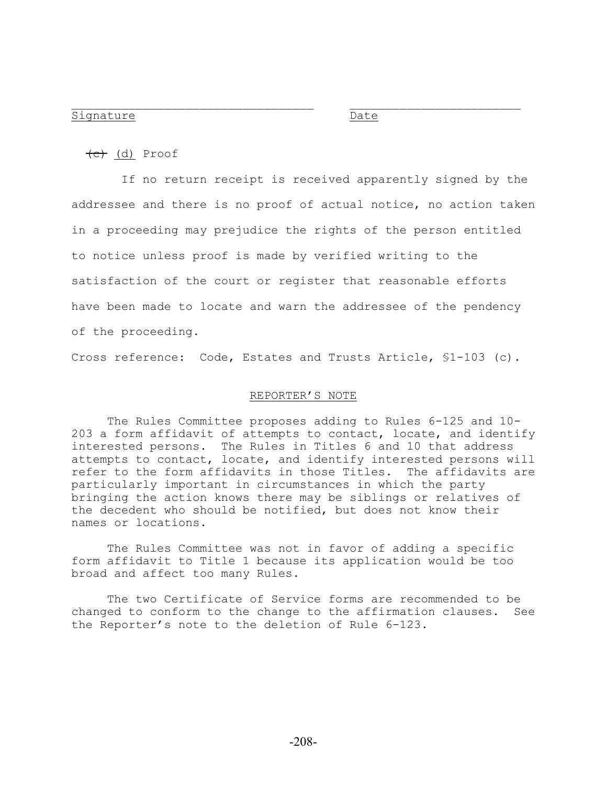#### Signature Date

(c) (d) Proof

 If no return receipt is received apparently signed by the addressee and there is no proof of actual notice, no action taken in a proceeding may prejudice the rights of the person entitled to notice unless proof is made by verified writing to the satisfaction of the court or register that reasonable efforts have been made to locate and warn the addressee of the pendency of the proceeding.

 $\mathcal{L}_\text{max}$  and the contract of the contract of the contract of the contract of the contract of the contract of

Cross reference: Code, Estates and Trusts Article, §1-103 (c).

#### REPORTER'S NOTE

The Rules Committee proposes adding to Rules 6-125 and 10- 203 a form affidavit of attempts to contact, locate, and identify interested persons. The Rules in Titles 6 and 10 that address attempts to contact, locate, and identify interested persons will refer to the form affidavits in those Titles. The affidavits are particularly important in circumstances in which the party bringing the action knows there may be siblings or relatives of the decedent who should be notified, but does not know their names or locations.

The Rules Committee was not in favor of adding a specific form affidavit to Title 1 because its application would be too broad and affect too many Rules.

The two Certificate of Service forms are recommended to be changed to conform to the change to the affirmation clauses. See the Reporter's note to the deletion of Rule 6-123.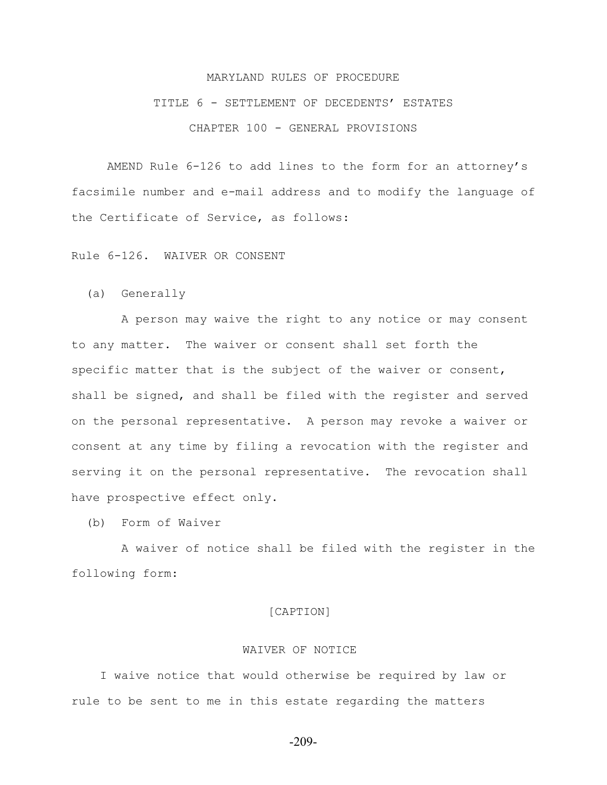## MARYLAND RULES OF PROCEDURE TITLE 6 - SETTLEMENT OF DECEDENTS' ESTATES CHAPTER 100 - GENERAL PROVISIONS

AMEND Rule 6-126 to add lines to the form for an attorney's facsimile number and e-mail address and to modify the language of the Certificate of Service, as follows:

Rule 6-126. WAIVER OR CONSENT

(a) Generally

 A person may waive the right to any notice or may consent to any matter. The waiver or consent shall set forth the specific matter that is the subject of the waiver or consent, shall be signed, and shall be filed with the register and served on the personal representative. A person may revoke a waiver or consent at any time by filing a revocation with the register and serving it on the personal representative. The revocation shall have prospective effect only.

(b) Form of Waiver

 A waiver of notice shall be filed with the register in the following form:

## [CAPTION]

### WAIVER OF NOTICE

 I waive notice that would otherwise be required by law or rule to be sent to me in this estate regarding the matters

-209-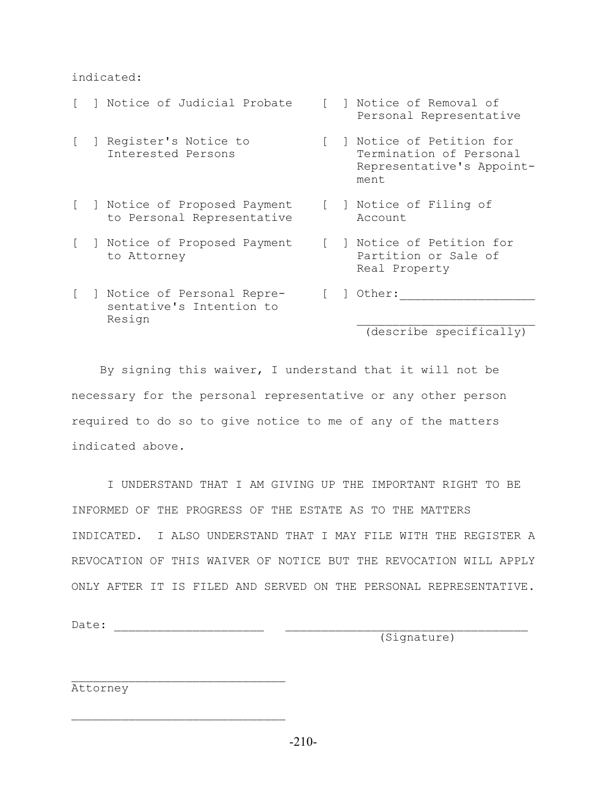### indicated:

 Personal Representative [ ] Register's Notice to [ ] Notice of Petition for Interested Persons Termination of Personal Representative's Appoint ment and the ment of the ment [ ] Notice of Proposed Payment [ ] Notice of Filing of to Personal Representative Account [ ] Notice of Proposed Payment [ ] Notice of Petition for to Attorney The Partition or Sale of Real Property [ ] Notice of Personal Repre- [ ] Other:\_\_\_\_\_\_\_\_\_\_\_\_\_\_\_\_\_\_\_ sentative's Intention to Resign  $\Box$ 

[ ] Notice of Judicial Probate [ ] Notice of Removal of

(describe specifically)

 By signing this waiver, I understand that it will not be necessary for the personal representative or any other person required to do so to give notice to me of any of the matters indicated above.

 I UNDERSTAND THAT I AM GIVING UP THE IMPORTANT RIGHT TO BE INFORMED OF THE PROGRESS OF THE ESTATE AS TO THE MATTERS INDICATED. I ALSO UNDERSTAND THAT I MAY FILE WITH THE REGISTER A REVOCATION OF THIS WAIVER OF NOTICE BUT THE REVOCATION WILL APPLY ONLY AFTER IT IS FILED AND SERVED ON THE PERSONAL REPRESENTATIVE.

Date: \_\_\_\_\_\_\_\_\_\_\_\_\_\_\_\_\_\_\_\_\_ \_\_\_\_\_\_\_\_\_\_\_\_\_\_\_\_\_\_\_\_\_\_\_\_\_\_\_\_\_\_\_\_\_\_

(Signature)

Attorney

 $\mathcal{L}_\text{max}$ 

 $\mathcal{L}_\text{max}$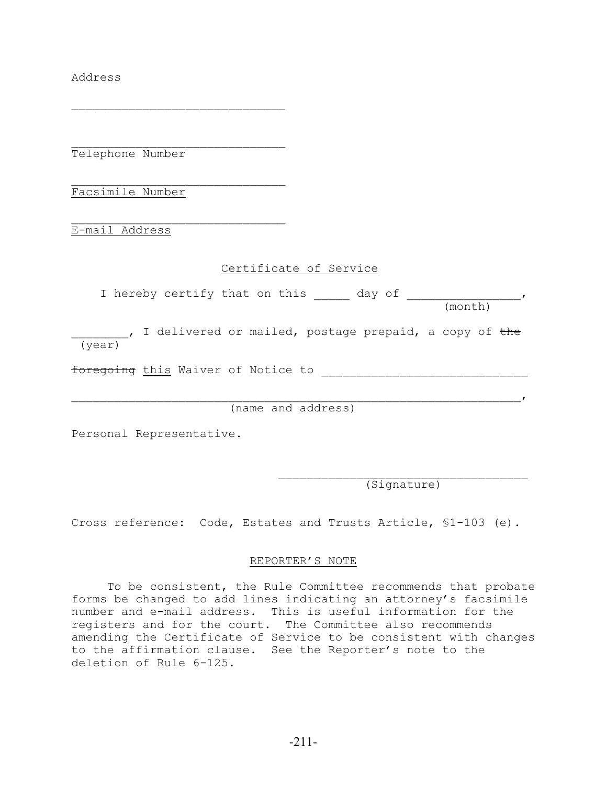Address

Telephone Number

 $\mathcal{L}_\text{max}$ 

 $\mathcal{L}_\text{max}$ 

 $\mathcal{L}_\text{max}$ Facsimile Number

 $\mathcal{L}_\text{max}$ E-mail Address

## Certificate of Service

I hereby certify that on this and day of the results of the results of the results of the results of the results of  $\sim$ (month)

<sub>\_\_\_</sub>, I delivered or mailed, postage prepaid, a copy of <del>the</del> (year)

foregoing this Waiver of Notice to

(name and address)

 $\overline{I}$ 

Personal Representative.

(Signature)

Cross reference: Code, Estates and Trusts Article, §1-103 (e).

## REPORTER'S NOTE

To be consistent, the Rule Committee recommends that probate forms be changed to add lines indicating an attorney's facsimile number and e-mail address. This is useful information for the registers and for the court. The Committee also recommends amending the Certificate of Service to be consistent with changes to the affirmation clause. See the Reporter's note to the deletion of Rule 6-125.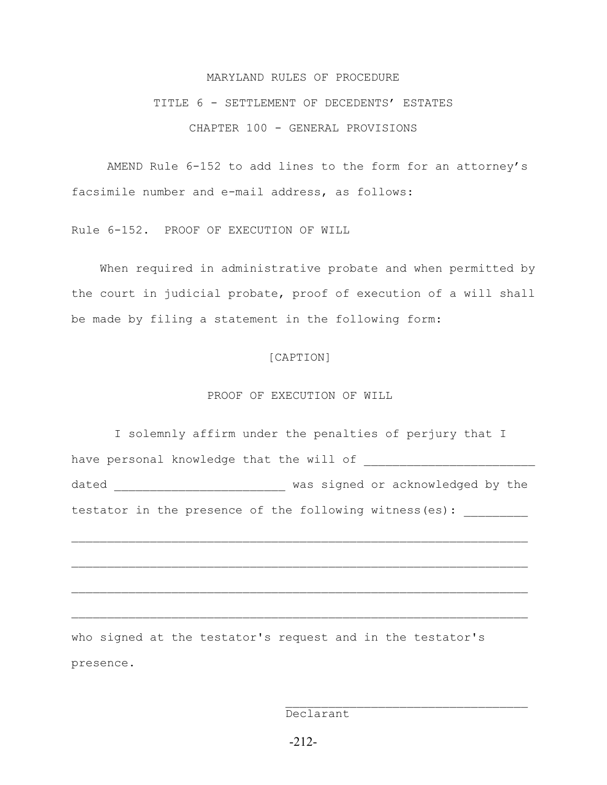#### MARYLAND RULES OF PROCEDURE

## TITLE 6 - SETTLEMENT OF DECEDENTS' ESTATES CHAPTER 100 - GENERAL PROVISIONS

AMEND Rule 6-152 to add lines to the form for an attorney's facsimile number and e-mail address, as follows:

Rule 6-152. PROOF OF EXECUTION OF WILL

 When required in administrative probate and when permitted by the court in judicial probate, proof of execution of a will shall be made by filing a statement in the following form:

## [CAPTION]

#### PROOF OF EXECUTION OF WILL

 I solemnly affirm under the penalties of perjury that I have personal knowledge that the will of dated \_\_\_\_\_\_\_\_\_\_\_\_\_\_\_\_\_\_\_\_\_\_\_\_\_\_\_\_\_ was signed or acknowledged by the testator in the presence of the following witness(es):

 $\mathcal{L}_\text{max} = \frac{1}{2} \sum_{i=1}^n \mathcal{L}_\text{max}(\mathbf{z}_i - \mathbf{z}_i)$ 

 $\mathcal{L}_\text{max} = \frac{1}{2} \sum_{i=1}^n \mathcal{L}_\text{max}(\mathbf{z}_i - \mathbf{z}_i)$ 

 $\mathcal{L}_\text{max} = \frac{1}{2} \sum_{i=1}^n \mathcal{L}_\text{max}(\mathbf{z}_i - \mathbf{z}_i)$ 

who signed at the testator's request and in the testator's presence.

Declarant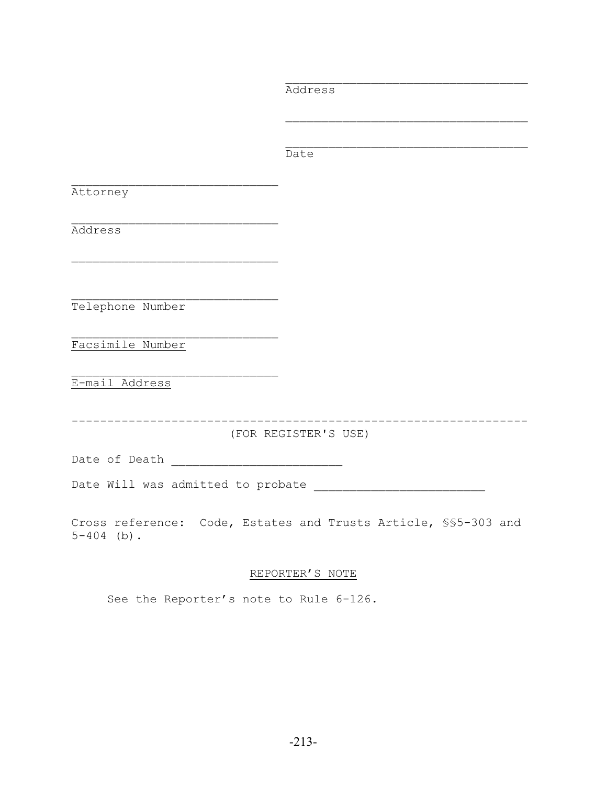Address  $\mathcal{L}_\text{max}$  and  $\mathcal{L}_\text{max}$  and  $\mathcal{L}_\text{max}$  and  $\mathcal{L}_\text{max}$  and  $\mathcal{L}_\text{max}$  $\mathcal{L}_\text{max}$  and  $\mathcal{L}_\text{max}$  and  $\mathcal{L}_\text{max}$  and  $\mathcal{L}_\text{max}$  and  $\mathcal{L}_\text{max}$ **Date** Date  $\mathcal{L}_\text{max}$ Attorney  $\mathcal{L}_\text{max}$ Address  $\mathcal{L}_\text{max}$  $\mathcal{L}_\text{max}$ Telephone Number  $\mathcal{L}_\text{max}$ Facsimile Number E-mail Address ---------------------------------------------------------------- (FOR REGISTER'S USE) Date of Death \_\_\_\_\_\_\_\_\_\_\_\_\_\_\_\_\_\_\_\_\_\_\_\_ Date Will was admitted to probate \_\_\_\_\_\_\_\_\_\_\_\_\_\_\_\_\_\_\_\_\_\_\_\_ Cross reference: Code, Estates and Trusts Article, §§5-303 and  $5-404$  (b).

 $\mathcal{L}_\text{max}$  and  $\mathcal{L}_\text{max}$  and  $\mathcal{L}_\text{max}$  and  $\mathcal{L}_\text{max}$  and  $\mathcal{L}_\text{max}$ 

REPORTER'S NOTE

See the Reporter's note to Rule 6-126.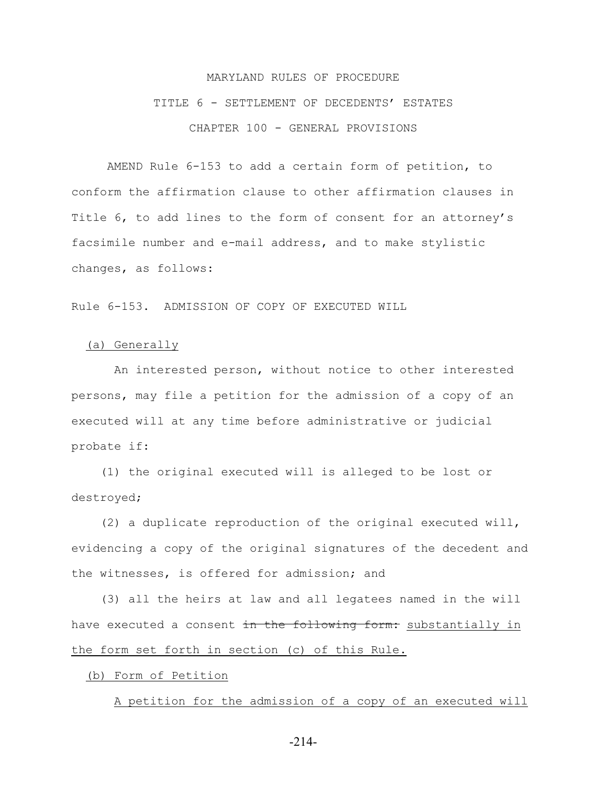## MARYLAND RULES OF PROCEDURE TITLE 6 - SETTLEMENT OF DECEDENTS' ESTATES CHAPTER 100 - GENERAL PROVISIONS

AMEND Rule 6-153 to add a certain form of petition, to conform the affirmation clause to other affirmation clauses in Title 6, to add lines to the form of consent for an attorney's facsimile number and e-mail address, and to make stylistic changes, as follows:

Rule 6-153. ADMISSION OF COPY OF EXECUTED WILL

#### (a) Generally

 An interested person, without notice to other interested persons, may file a petition for the admission of a copy of an executed will at any time before administrative or judicial probate if:

 (1) the original executed will is alleged to be lost or destroyed;

 (2) a duplicate reproduction of the original executed will, evidencing a copy of the original signatures of the decedent and the witnesses, is offered for admission; and

 (3) all the heirs at law and all legatees named in the will have executed a consent in the following form: substantially in the form set forth in section (c) of this Rule.

(b) Form of Petition

A petition for the admission of a copy of an executed will

-214-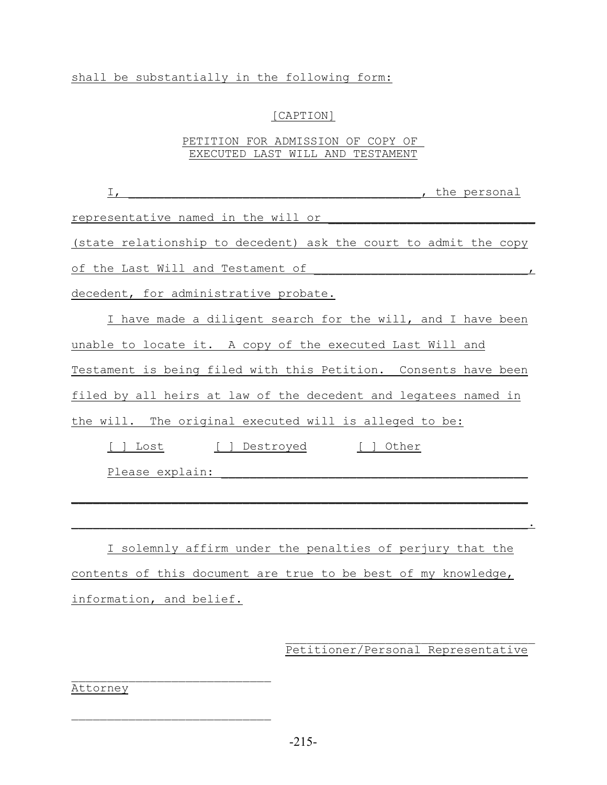## shall be substantially in the following form:

## [CAPTION]

## PETITION FOR ADMISSION OF COPY OF EXECUTED LAST WILL AND TESTAMENT

| , the personal<br>$\frac{1}{\sqrt{2}}$                           |
|------------------------------------------------------------------|
| representative named in the will or                              |
| (state relationship to decedent) ask the court to admit the copy |
| of the Last Will and Testament of                                |
| decedent, for administrative probate.                            |
| I have made a diligent search for the will, and I have been      |
| unable to locate it. A copy of the executed Last Will and        |
| Testament is being filed with this Petition. Consents have been  |
| filed by all heirs at law of the decedent and legatees named in  |
| the will. The original executed will is alleged to be:           |
| [ ] Destroyed [ ] Other<br>Lost                                  |
| Please explain:                                                  |
|                                                                  |
|                                                                  |
| I solemnly affirm under the penalties of perjury that the        |
| contents of this document are true to be best of my knowledge,   |
| information, and belief.                                         |

## $\mathcal{L}_\text{max}$ Petitioner/Personal Representative

Attorney

 $\mathcal{L}_\text{max}$ 

 $\mathcal{L}_\text{max}$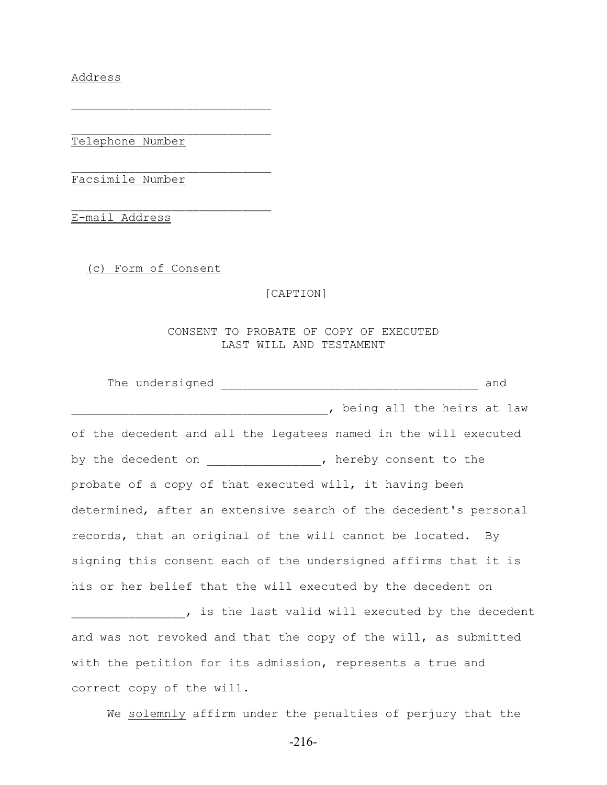Address

Telephone Number

 $\mathcal{L}_\text{max}$ 

 $\mathcal{L}_\text{max}$ 

 $\mathcal{L}_\text{max}$ 

Facsimile Number

E-mail Address

(c) Form of Consent

[CAPTION]

CONSENT TO PROBATE OF COPY OF EXECUTED LAST WILL AND TESTAMENT

|                                                                  | and |
|------------------------------------------------------------------|-----|
| , being all the heirs at law                                     |     |
| of the decedent and all the legatees named in the will executed  |     |
| by the decedent on _______________, hereby consent to the        |     |
| probate of a copy of that executed will, it having been          |     |
| determined, after an extensive search of the decedent's personal |     |
| records, that an original of the will cannot be located. By      |     |
| signing this consent each of the undersigned affirms that it is  |     |
| his or her belief that the will executed by the decedent on      |     |
| , is the last valid will executed by the decedent                |     |
| and was not revoked and that the copy of the will, as submitted  |     |
| with the petition for its admission, represents a true and       |     |
| correct copy of the will.                                        |     |

We solemnly affirm under the penalties of perjury that the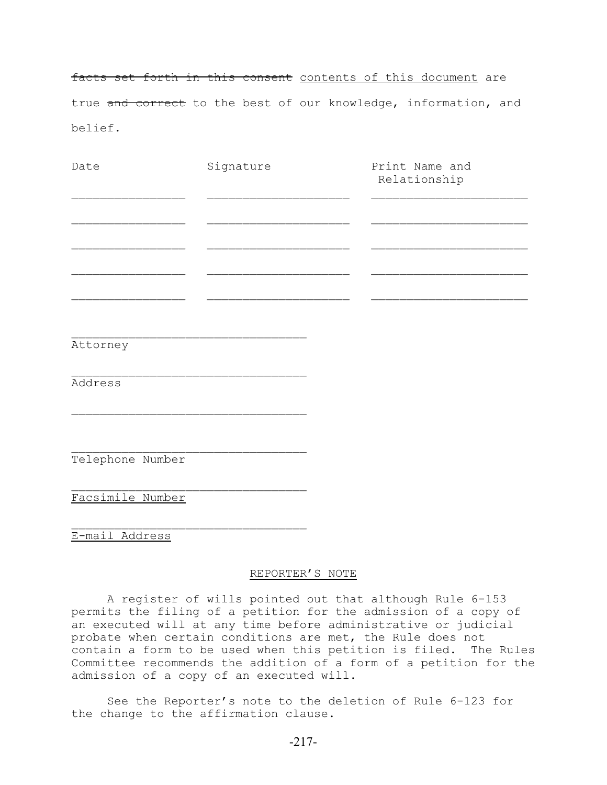facts set forth in this consent contents of this document are true and correct to the best of our knowledge, information, and belief.

| Date     | Signature | Print Name and<br>Relationship |
|----------|-----------|--------------------------------|
|          |           |                                |
|          |           |                                |
|          |           |                                |
|          |           |                                |
|          |           |                                |
| Attorney |           |                                |
| Address  |           |                                |

 $\mathcal{L}_\text{max}$ Telephone Number

 $\mathcal{L}_\text{max}$ 

Facsimile Number

 $\mathcal{L}_\text{max}$ E-mail Address

REPORTER'S NOTE

A register of wills pointed out that although Rule 6-153 permits the filing of a petition for the admission of a copy of an executed will at any time before administrative or judicial probate when certain conditions are met, the Rule does not contain a form to be used when this petition is filed. The Rules Committee recommends the addition of a form of a petition for the admission of a copy of an executed will.

See the Reporter's note to the deletion of Rule 6-123 for the change to the affirmation clause.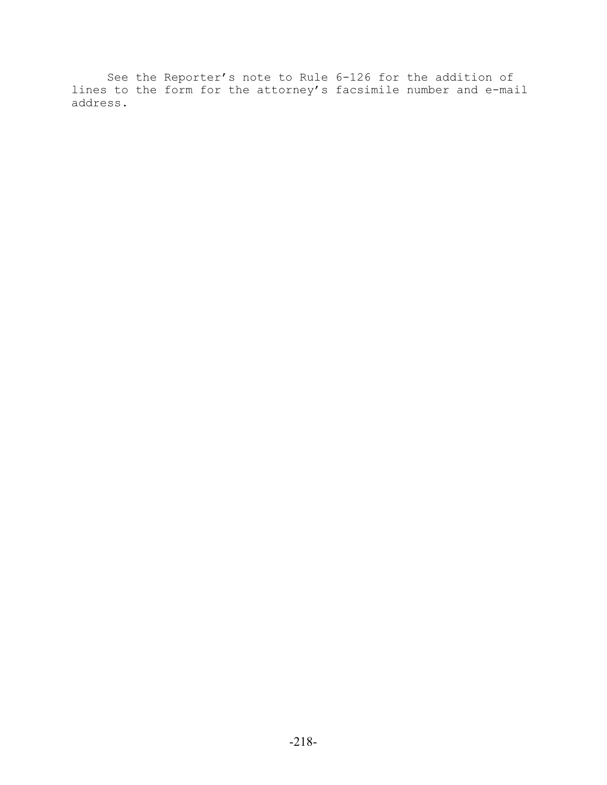See the Reporter's note to Rule 6-126 for the addition of lines to the form for the attorney's facsimile number and e-mail address.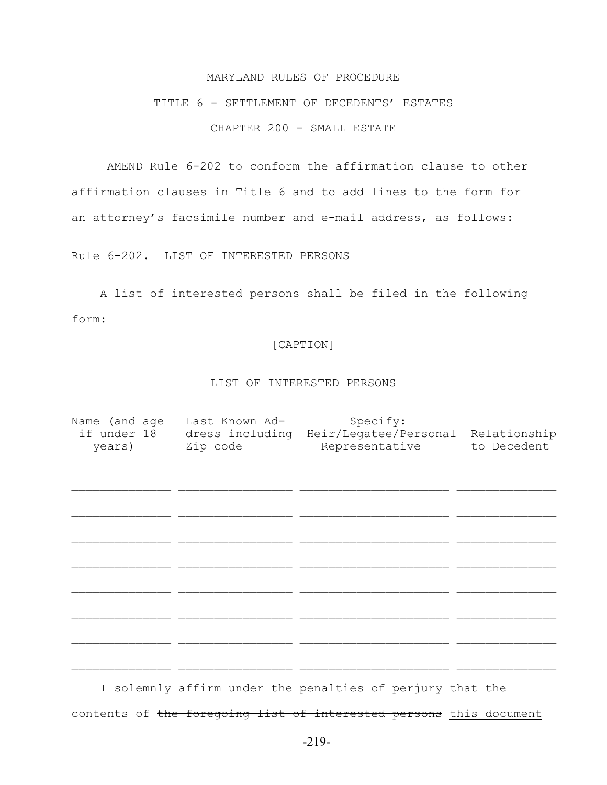#### MARYLAND RULES OF PROCEDURE

## TITLE 6 - SETTLEMENT OF DECEDENTS' ESTATES CHAPTER 200 - SMALL ESTATE

AMEND Rule 6-202 to conform the affirmation clause to other affirmation clauses in Title 6 and to add lines to the form for an attorney's facsimile number and e-mail address, as follows:

Rule 6-202. LIST OF INTERESTED PERSONS

 A list of interested persons shall be filed in the following form:

#### [CAPTION]

#### LIST OF INTERESTED PERSONS

| Name (and age<br>years) | Last Known Ad-<br>Zip code | Specify:<br>if under 18 dress including Heir/Legatee/Personal<br>Representative | Relationship<br>to Decedent |
|-------------------------|----------------------------|---------------------------------------------------------------------------------|-----------------------------|
|                         |                            |                                                                                 |                             |
|                         |                            |                                                                                 |                             |
|                         |                            |                                                                                 |                             |
|                         |                            |                                                                                 |                             |
|                         |                            |                                                                                 |                             |

 I solemnly affirm under the penalties of perjury that the contents of the foregoing list of interested persons this document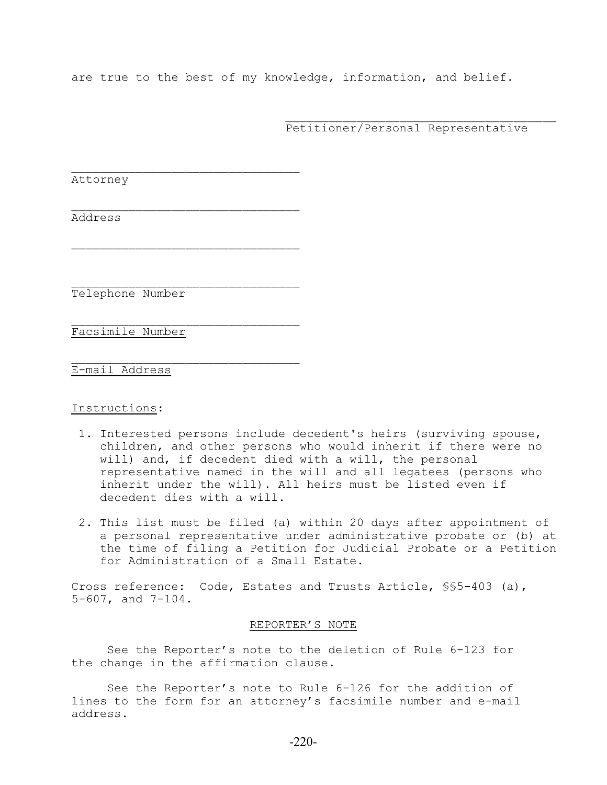are true to the best of my knowledge, information, and belief.

Petitioner/Personal Representative

 $\mathcal{L}_\text{max}$ 

Attorney

Address

Telephone Number

 $\mathcal{L}_\text{max}$ 

 $\mathcal{L}_\text{max}$ 

 $\mathcal{L}_\text{max}$ 

 $\mathcal{L}_\text{max}$ 

Facsimile Number

E-mail Address

#### Instructions:

- 1. Interested persons include decedent's heirs (surviving spouse, children, and other persons who would inherit if there were no will) and, if decedent died with a will, the personal representative named in the will and all legatees (persons who inherit under the will). All heirs must be listed even if decedent dies with a will.
- 2. This list must be filed (a) within 20 days after appointment of a personal representative under administrative probate or (b) at the time of filing a Petition for Judicial Probate or a Petition for Administration of a Small Estate.

Cross reference: Code, Estates and Trusts Article, §§5-403 (a), 5-607, and 7-104.

#### REPORTER'S NOTE

See the Reporter's note to the deletion of Rule 6-123 for the change in the affirmation clause.

See the Reporter's note to Rule 6-126 for the addition of lines to the form for an attorney's facsimile number and e-mail address.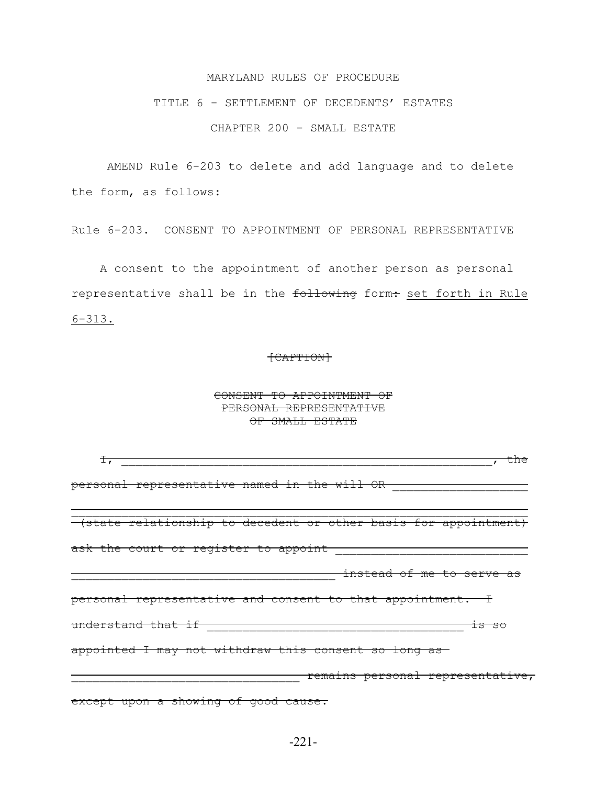#### MARYLAND RULES OF PROCEDURE

## TITLE 6 - SETTLEMENT OF DECEDENTS' ESTATES CHAPTER 200 - SMALL ESTATE

AMEND Rule 6-203 to delete and add language and to delete the form, as follows:

Rule 6-203. CONSENT TO APPOINTMENT OF PERSONAL REPRESENTATIVE

 A consent to the appointment of another person as personal representative shall be in the following form: set forth in Rule  $6 - 313.$ 

#### [CAPTION]

#### CONSENT TO APPOINTMENT OF PERSONAL REPRESENTATIVE OF SMALL ESTATE

| $\pm$ ,                                                         |
|-----------------------------------------------------------------|
| personal representative named in the will OR                    |
| (state relationship to decedent or other basis for appointment) |
| ask the court or register to appoint [10]                       |
| <del>instead of me to serve as</del>                            |
| personal representative and consent to that appointment. I      |
| understand that if<br>1S SO                                     |
| appointed I may not withdraw this consent so long as-           |
| remains personal representative,                                |
| except upon a showing of good cause.                            |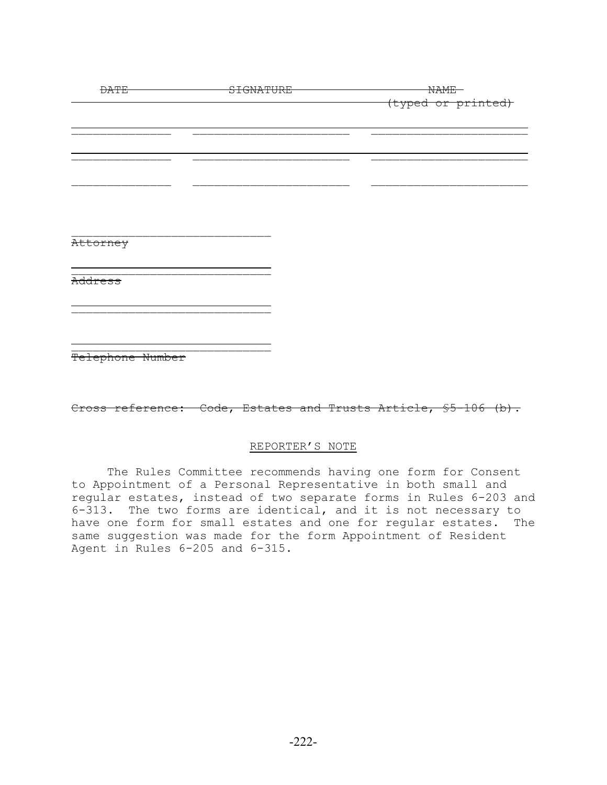| <b>DATE</b>      | SIGNATURE |  | <b>NAME</b>        |
|------------------|-----------|--|--------------------|
|                  |           |  | (typed or printed) |
|                  |           |  |                    |
|                  |           |  |                    |
|                  |           |  |                    |
|                  |           |  |                    |
|                  |           |  |                    |
|                  |           |  |                    |
|                  |           |  |                    |
|                  |           |  |                    |
| Attorney         |           |  |                    |
|                  |           |  |                    |
|                  |           |  |                    |
| Address          |           |  |                    |
|                  |           |  |                    |
|                  |           |  |                    |
|                  |           |  |                    |
|                  |           |  |                    |
| Telephone Number |           |  |                    |

Cross reference: Code, Estates and Trusts Article, \$5-106 (b).

#### REPORTER'S NOTE

The Rules Committee recommends having one form for Consent to Appointment of a Personal Representative in both small and regular estates, instead of two separate forms in Rules 6-203 and 6-313. The two forms are identical, and it is not necessary to have one form for small estates and one for regular estates. The same suggestion was made for the form Appointment of Resident Agent in Rules 6-205 and 6-315.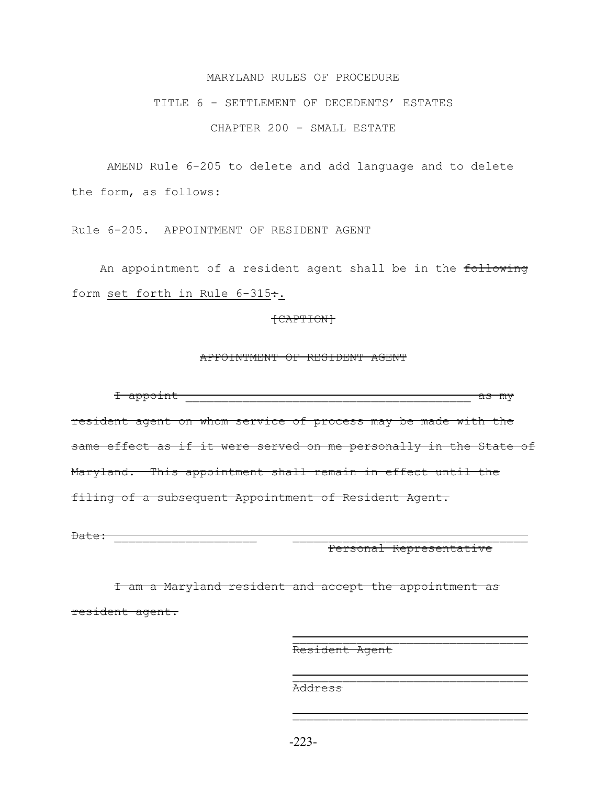#### MARYLAND RULES OF PROCEDURE

## TITLE 6 - SETTLEMENT OF DECEDENTS' ESTATES

CHAPTER 200 - SMALL ESTATE

AMEND Rule 6-205 to delete and add language and to delete the form, as follows:

Rule 6-205. APPOINTMENT OF RESIDENT AGENT

An appointment of a resident agent shall be in the following form set forth in Rule 6-315:.

#### [CAPTION]

#### APPOINTMENT OF RESIDENT AGENT

 I appoint \_\_\_\_\_\_\_\_\_\_\_\_\_\_\_\_\_\_\_\_\_\_\_\_\_\_\_\_\_\_\_\_\_\_\_\_\_\_\_\_ as my resident agent on whom service of process may be made with the same effect as if it were served on me personally in the State of Maryland. This appointment shall remain in effect until the filing of a subsequent Appointment of Resident Agent.

Date: 2008. 2009. 2009. 2009. 2009. 2009. 2009. 2009. 2009. 2009. 2009. 2009. 2009. 2009. 2009. 2009. 2009. 20

Personal Representative

 I am a Maryland resident and accept the appointment as resident agent.

 $\overline{\phantom{a}}$  , and the contract of the contract of the contract of the contract of the contract of the contract of the contract of the contract of the contract of the contract of the contract of the contract of the contrac

 $\overline{\phantom{a}}$  , and the contract of the contract of the contract of the contract of the contract of the contract of the contract of the contract of the contract of the contract of the contract of the contract of the contrac

Resident Agent

Address

-223-

 $\overline{\phantom{a}}$  , and the contract of the contract of the contract of the contract of the contract of the contract of the contract of the contract of the contract of the contract of the contract of the contract of the contrac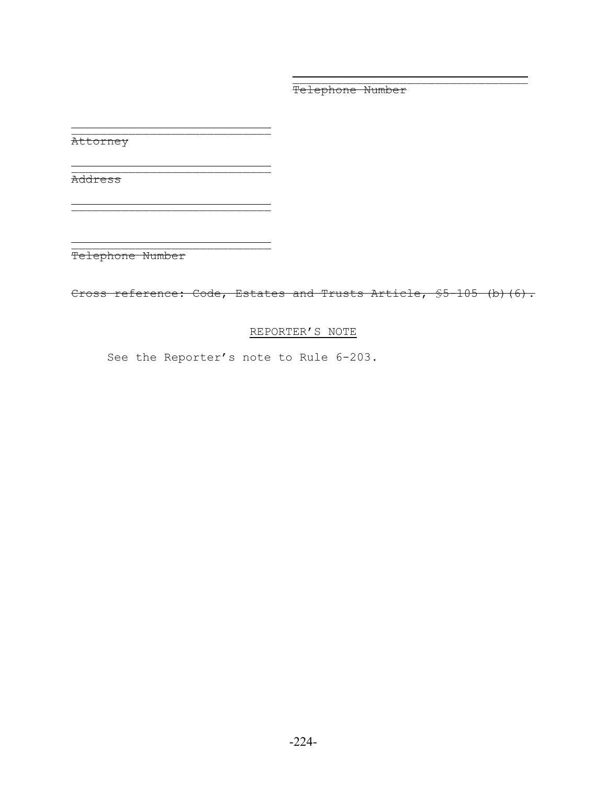Telephone Number

Attorney

Address

\_\_\_\_\_\_\_\_\_\_\_\_\_\_\_\_\_\_\_\_\_\_\_\_\_\_\_\_ Telephone Number

\_\_\_\_\_\_\_\_\_\_\_\_\_\_\_\_\_\_\_\_\_\_\_\_\_\_\_\_

 $\overline{\phantom{a}}$  , and the contract of the contract of the contract of  $\overline{\phantom{a}}$ 

\_\_\_\_\_\_\_\_\_\_\_\_\_\_\_\_\_\_\_\_\_\_\_\_\_\_\_\_

Cross reference: Code, Estates and Trusts Article, \$5-105 (b)(6).

 $\overline{\phantom{a}}$  , and the contract of the contract of the contract of the contract of the contract of the contract of the contract of the contract of the contract of the contract of the contract of the contract of the contrac

## REPORTER'S NOTE

See the Reporter's note to Rule 6-203.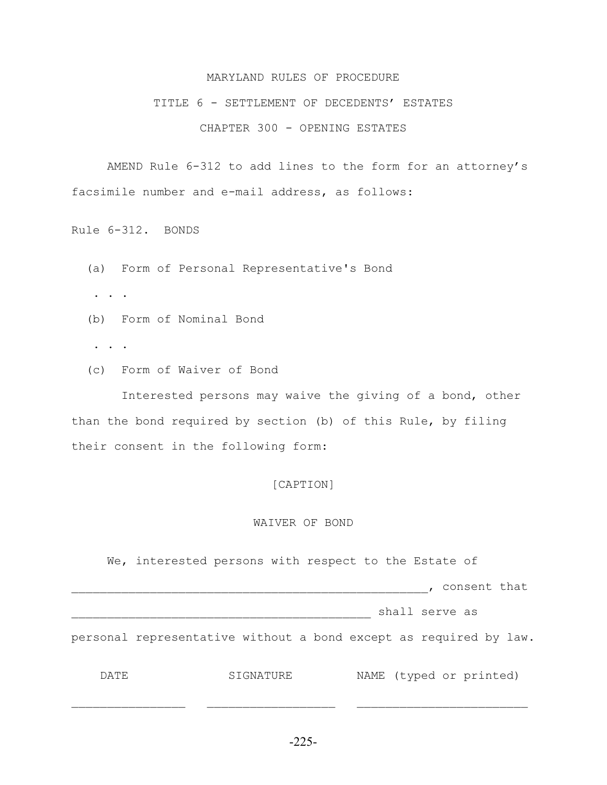#### MARYLAND RULES OF PROCEDURE

### TITLE 6 - SETTLEMENT OF DECEDENTS' ESTATES

#### CHAPTER 300 - OPENING ESTATES

AMEND Rule 6-312 to add lines to the form for an attorney's facsimile number and e-mail address, as follows:

Rule 6-312. BONDS

- (a) Form of Personal Representative's Bond
- . . .
- (b) Form of Nominal Bond
- . . .
- (c) Form of Waiver of Bond

 Interested persons may waive the giving of a bond, other than the bond required by section (b) of this Rule, by filing their consent in the following form:

#### [CAPTION]

#### WAIVER OF BOND

 We, interested persons with respect to the Estate of \_\_\_\_\_\_\_\_\_\_\_\_\_\_\_\_\_\_\_\_\_\_\_\_\_\_\_\_\_\_\_\_\_\_\_\_\_\_\_\_\_\_\_\_\_\_\_\_\_\_, consent that \_\_\_\_\_\_\_\_\_\_\_\_\_\_\_\_\_\_\_\_\_\_\_\_\_\_\_\_\_\_\_\_\_\_\_\_\_\_\_\_\_\_ shall serve as personal representative without a bond except as required by law. DATE SIGNATURE NAME (typed or printed)

-225-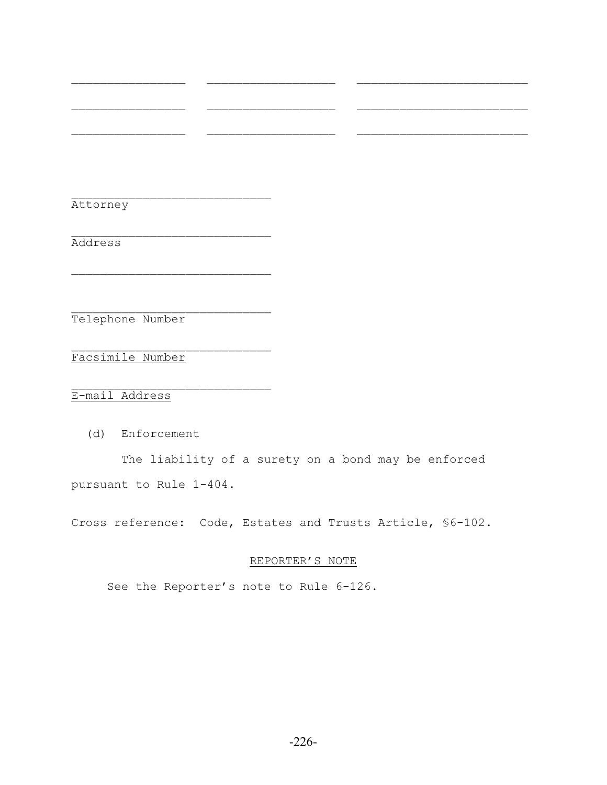Attorney

Address

Telephone Number

 $\mathcal{L}_\text{max}$ 

 $\mathcal{L}_\text{max}$ 

 $\mathcal{L}_\text{max}$ 

 $\mathcal{L}_\text{max}$ Facsimile Number

E-mail Address

(d) Enforcement

 The liability of a surety on a bond may be enforced pursuant to Rule 1-404.

 $\mathcal{L}_\text{max}$  and the contract of the contract of the contract of the contract of the contract of the contract of

 $\mathcal{L}_\text{max}$  and the contract of the contract of the contract of the contract of the contract of the contract of

 $\mathcal{L}_\text{max}$  and the contract of the contract of the contract of the contract of the contract of the contract of

Cross reference: Code, Estates and Trusts Article, §6-102.

#### REPORTER'S NOTE

See the Reporter's note to Rule 6-126.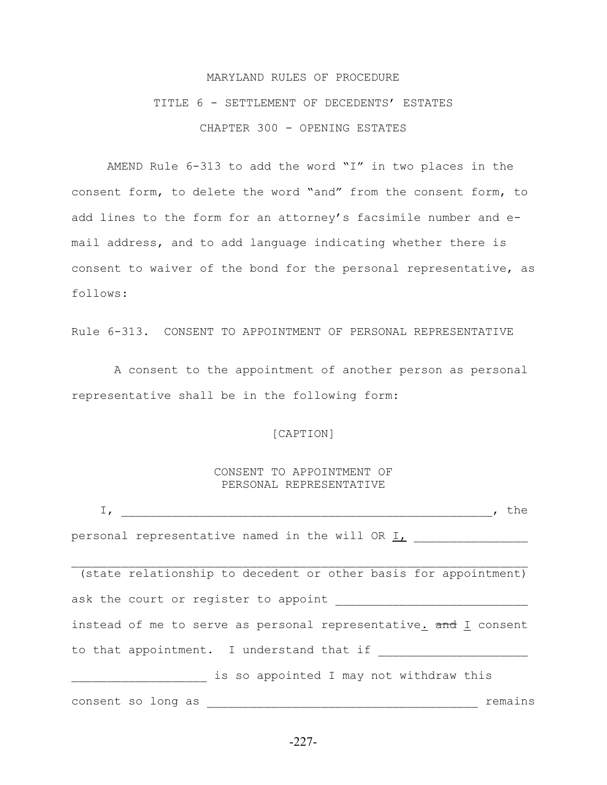# MARYLAND RULES OF PROCEDURE TITLE 6 - SETTLEMENT OF DECEDENTS' ESTATES CHAPTER 300 - OPENING ESTATES

AMEND Rule 6-313 to add the word "I" in two places in the consent form, to delete the word "and" from the consent form, to add lines to the form for an attorney's facsimile number and email address, and to add language indicating whether there is consent to waiver of the bond for the personal representative, as follows:

Rule 6-313. CONSENT TO APPOINTMENT OF PERSONAL REPRESENTATIVE

 A consent to the appointment of another person as personal representative shall be in the following form:

#### [CAPTION]

#### CONSENT TO APPOINTMENT OF PERSONAL REPRESENTATIVE

 $I$ , the personal representative named in the will OR I, \_\_\_\_\_\_\_\_\_\_\_\_\_\_\_\_  $\mathcal{L}_\text{max} = \mathcal{L}_\text{max} = \mathcal{L}_\text{max} = \mathcal{L}_\text{max} = \mathcal{L}_\text{max} = \mathcal{L}_\text{max} = \mathcal{L}_\text{max} = \mathcal{L}_\text{max} = \mathcal{L}_\text{max} = \mathcal{L}_\text{max} = \mathcal{L}_\text{max} = \mathcal{L}_\text{max} = \mathcal{L}_\text{max} = \mathcal{L}_\text{max} = \mathcal{L}_\text{max} = \mathcal{L}_\text{max} = \mathcal{L}_\text{max} = \mathcal{L}_\text{max} = \mathcal{$  (state relationship to decedent or other basis for appointment) ask the court or register to appoint instead of me to serve as personal representative.  $\frac{1}{2}$  consent to that appointment. I understand that if \_\_\_\_\_\_\_\_\_\_\_\_\_\_\_\_\_\_\_\_\_ is so appointed I may not withdraw this consent so long as \_\_\_\_\_\_\_\_\_\_\_\_\_\_\_\_\_\_\_\_\_\_\_\_\_\_\_\_\_\_\_\_\_\_\_\_\_\_ remains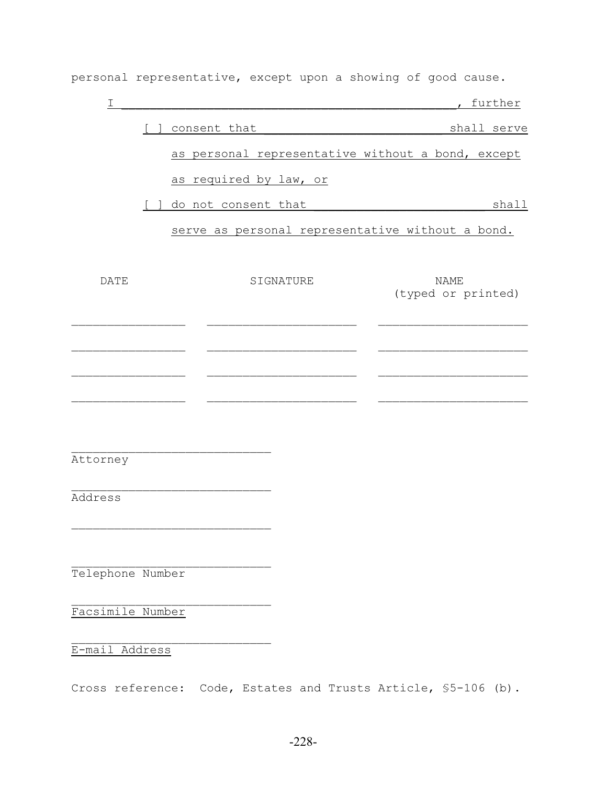personal representative, except upon a showing of good cause.

| I                |              |                        |           | , further                                         |
|------------------|--------------|------------------------|-----------|---------------------------------------------------|
|                  |              | consent that           |           | shall serve                                       |
|                  |              |                        |           | as personal representative without a bond, except |
|                  |              | as required by law, or |           |                                                   |
|                  | $\mathbf{1}$ | do not consent that    |           | shall                                             |
|                  |              |                        |           | serve as personal representative without a bond.  |
|                  |              |                        |           |                                                   |
| <b>DATE</b>      |              |                        | SIGNATURE | <b>NAME</b><br>(typed or printed)                 |
|                  |              |                        |           |                                                   |
|                  |              |                        |           |                                                   |
|                  |              |                        |           |                                                   |
|                  |              |                        |           |                                                   |
|                  |              |                        |           |                                                   |
| Attorney         |              |                        |           |                                                   |
| Address          |              |                        |           |                                                   |
|                  |              |                        |           |                                                   |
|                  |              |                        |           |                                                   |
| Telephone Number |              |                        |           |                                                   |
| Facsimile Number |              |                        |           |                                                   |
| E-mail Address   |              |                        |           |                                                   |

Cross reference: Code, Estates and Trusts Article, §5-106 (b).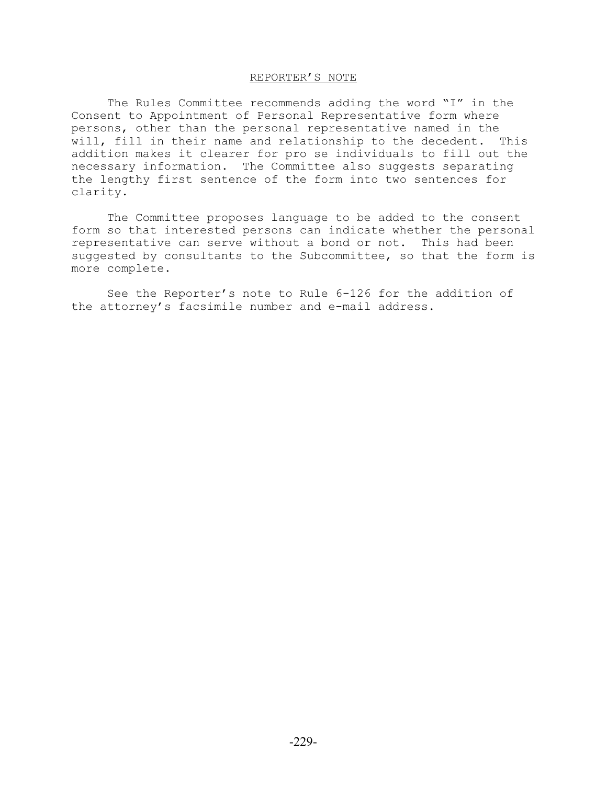### REPORTER'S NOTE

The Rules Committee recommends adding the word "I" in the Consent to Appointment of Personal Representative form where persons, other than the personal representative named in the will, fill in their name and relationship to the decedent. This addition makes it clearer for pro se individuals to fill out the necessary information. The Committee also suggests separating the lengthy first sentence of the form into two sentences for clarity.

The Committee proposes language to be added to the consent form so that interested persons can indicate whether the personal representative can serve without a bond or not. This had been suggested by consultants to the Subcommittee, so that the form is more complete.

See the Reporter's note to Rule 6-126 for the addition of the attorney's facsimile number and e-mail address.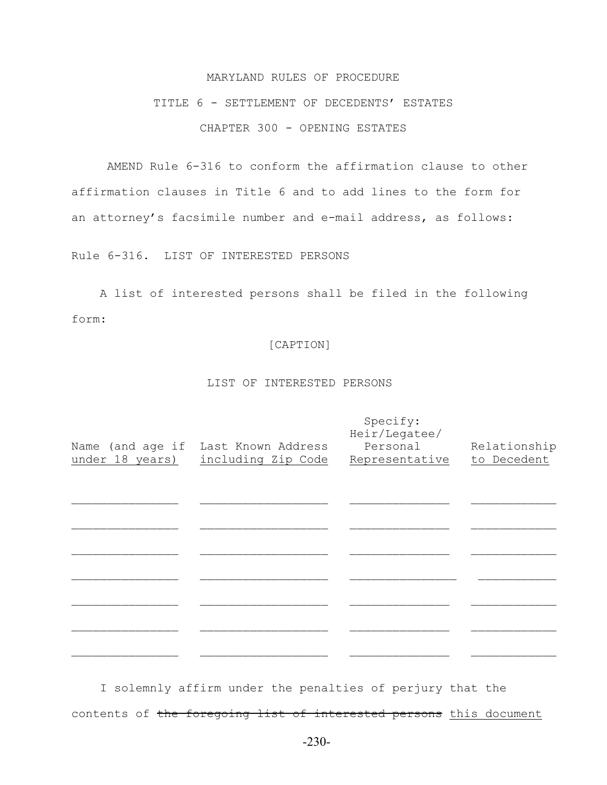#### MARYLAND RULES OF PROCEDURE

## TITLE 6 - SETTLEMENT OF DECEDENTS' ESTATES CHAPTER 300 - OPENING ESTATES

AMEND Rule 6-316 to conform the affirmation clause to other affirmation clauses in Title 6 and to add lines to the form for an attorney's facsimile number and e-mail address, as follows:

Rule 6-316. LIST OF INTERESTED PERSONS

 A list of interested persons shall be filed in the following form:

#### [CAPTION]

#### LIST OF INTERESTED PERSONS

|                 |                                     | Specify:<br>Heir/Legatee/ |              |
|-----------------|-------------------------------------|---------------------------|--------------|
|                 | Name (and age if Last Known Address | Personal                  | Relationship |
| under 18 years) | including Zip Code                  | Representative            | to Decedent  |
|                 |                                     |                           |              |
|                 |                                     |                           |              |
|                 |                                     |                           |              |
|                 |                                     |                           |              |
|                 |                                     |                           |              |
|                 |                                     |                           |              |
|                 |                                     |                           |              |
|                 |                                     |                           |              |
|                 |                                     |                           |              |
|                 |                                     |                           |              |
|                 |                                     |                           |              |

 I solemnly affirm under the penalties of perjury that the contents of the foregoing list of interested persons this document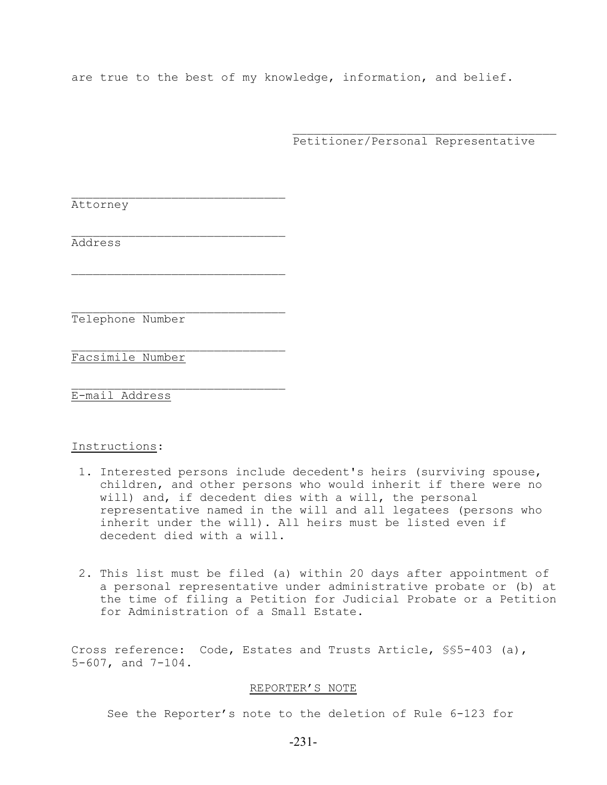are true to the best of my knowledge, information, and belief.

 $\mathcal{L}_\text{max}$  and  $\mathcal{L}_\text{max}$  and  $\mathcal{L}_\text{max}$  and  $\mathcal{L}_\text{max}$  and  $\mathcal{L}_\text{max}$ 

Petitioner/Personal Representative

Attorney

Address

Telephone Number

 $\mathcal{L}_\text{max}$ 

 $\mathcal{L}_\text{max}$ 

 $\mathcal{L}_\text{max}$ 

 $\mathcal{L}_\text{max}$ Facsimile Number

E-mail Address

#### Instructions:

- 1. Interested persons include decedent's heirs (surviving spouse, children, and other persons who would inherit if there were no will) and, if decedent dies with a will, the personal representative named in the will and all legatees (persons who inherit under the will). All heirs must be listed even if decedent died with a will.
- 2. This list must be filed (a) within 20 days after appointment of a personal representative under administrative probate or (b) at the time of filing a Petition for Judicial Probate or a Petition for Administration of a Small Estate.

Cross reference: Code, Estates and Trusts Article, §§5-403 (a), 5-607, and 7-104.

#### REPORTER'S NOTE

See the Reporter's note to the deletion of Rule 6-123 for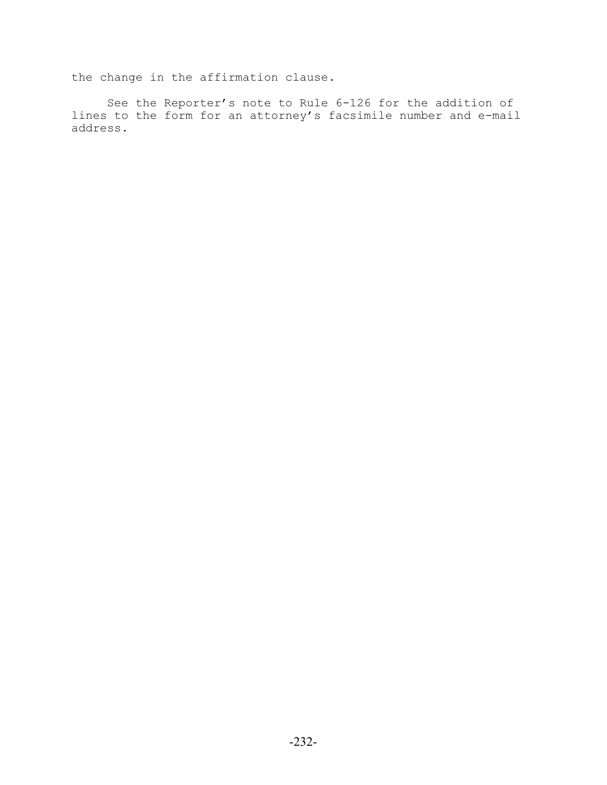the change in the affirmation clause.

See the Reporter's note to Rule 6-126 for the addition of lines to the form for an attorney's facsimile number and e-mail address.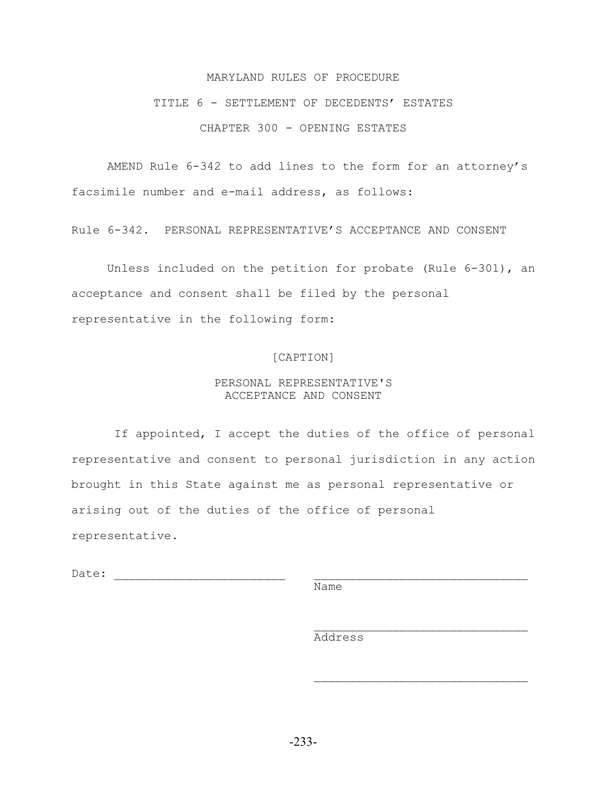#### MARYLAND RULES OF PROCEDURE

## TITLE 6 - SETTLEMENT OF DECEDENTS' ESTATES CHAPTER 300 - OPENING ESTATES

AMEND Rule 6-342 to add lines to the form for an attorney's facsimile number and e-mail address, as follows:

Rule 6-342. PERSONAL REPRESENTATIVE'S ACCEPTANCE AND CONSENT

Unless included on the petition for probate (Rule 6-301), an acceptance and consent shall be filed by the personal representative in the following form:

#### [CAPTION]

#### PERSONAL REPRESENTATIVE'S ACCEPTANCE AND CONSENT

 If appointed, I accept the duties of the office of personal representative and consent to personal jurisdiction in any action brought in this State against me as personal representative or arising out of the duties of the office of personal representative.

Date:

**Name** Name

Address

 $\mathcal{L}_\text{max}$  and  $\mathcal{L}_\text{max}$  and  $\mathcal{L}_\text{max}$  and  $\mathcal{L}_\text{max}$  and  $\mathcal{L}_\text{max}$ 

 $\mathcal{L}_\text{max}$  and  $\mathcal{L}_\text{max}$  and  $\mathcal{L}_\text{max}$  and  $\mathcal{L}_\text{max}$  and  $\mathcal{L}_\text{max}$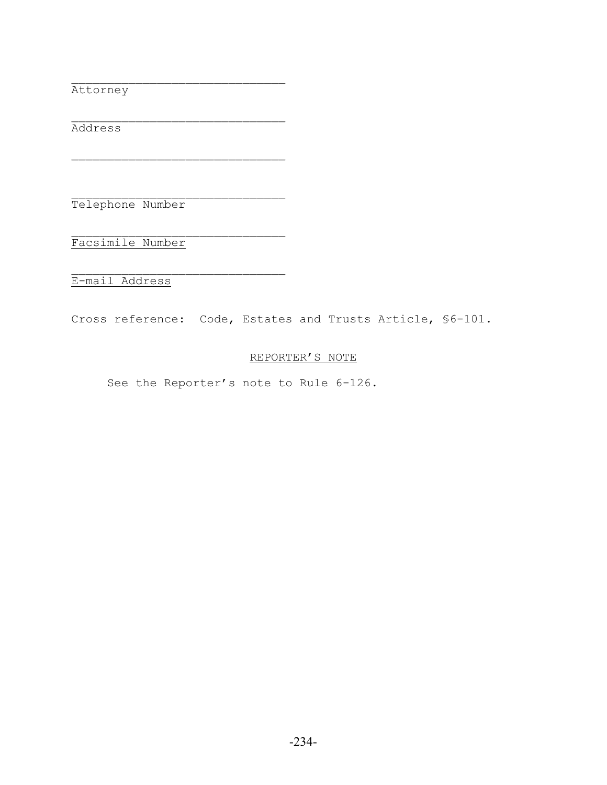Attorney

 $\mathcal{L}_\text{max}$ Address

 $\mathcal{L}_\text{max}$ Telephone Number

 $\mathcal{L}_\text{max}$ 

 $\mathcal{L}_\text{max}$ Facsimile Number

E-mail Address

Cross reference: Code, Estates and Trusts Article, §6-101.

## REPORTER'S NOTE

See the Reporter's note to Rule 6-126.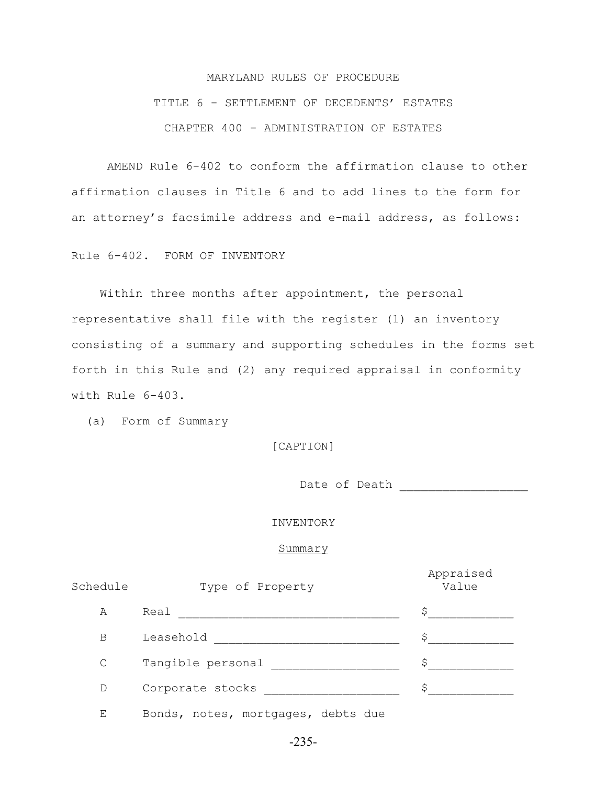# MARYLAND RULES OF PROCEDURE TITLE 6 - SETTLEMENT OF DECEDENTS' ESTATES CHAPTER 400 - ADMINISTRATION OF ESTATES

AMEND Rule 6-402 to conform the affirmation clause to other affirmation clauses in Title 6 and to add lines to the form for an attorney's facsimile address and e-mail address, as follows:

Rule 6-402. FORM OF INVENTORY

 Within three months after appointment, the personal representative shall file with the register (1) an inventory consisting of a summary and supporting schedules in the forms set forth in this Rule and (2) any required appraisal in conformity with Rule 6-403.

(a) Form of Summary

[CAPTION]

Date of Death \_\_\_\_\_\_\_\_\_\_\_\_\_\_\_\_\_\_

INVENTORY

#### Summary

| Schedule     | Type of Property                   | Appraised<br>Value |
|--------------|------------------------------------|--------------------|
| A            | Real                               | Ş                  |
| B            | Leasehold                          | \$                 |
| $\mathsf{C}$ | Tangible personal                  | S                  |
| D            | Corporate stocks                   | S                  |
| Е            | Bonds, notes, mortgages, debts due |                    |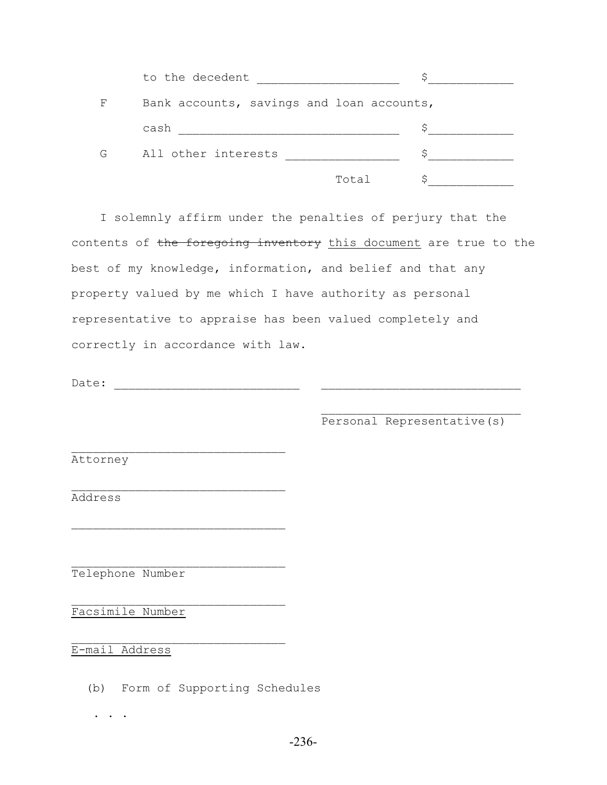|   | to the decedent                           |   |
|---|-------------------------------------------|---|
| F | Bank accounts, savings and loan accounts, |   |
|   | cash                                      | c |
| G | All other interests                       |   |
|   | Total                                     |   |

 I solemnly affirm under the penalties of perjury that the contents of the foregoing inventory this document are true to the best of my knowledge, information, and belief and that any property valued by me which I have authority as personal representative to appraise has been valued completely and correctly in accordance with law.

 $\mathcal{L}_\text{max}$  and  $\mathcal{L}_\text{max}$  and  $\mathcal{L}_\text{max}$  and  $\mathcal{L}_\text{max}$  and  $\mathcal{L}_\text{max}$ 

Date: \_\_\_\_\_\_\_\_\_\_\_\_\_\_\_\_\_\_\_\_\_\_\_\_\_\_ \_\_\_\_\_\_\_\_\_\_\_\_\_\_\_\_\_\_\_\_\_\_\_\_\_\_\_\_

 $\mathcal{L}_\text{max}$ 

 $\mathcal{L}_\text{max}$ 

 $\mathcal{L}_\text{max}$ 

 $\mathcal{L}_\text{max}$ 

Personal Representative(s)

Attorney

Address

Telephone Number

Facsimile Number

E-mail Address

(b) Form of Supporting Schedules

. . .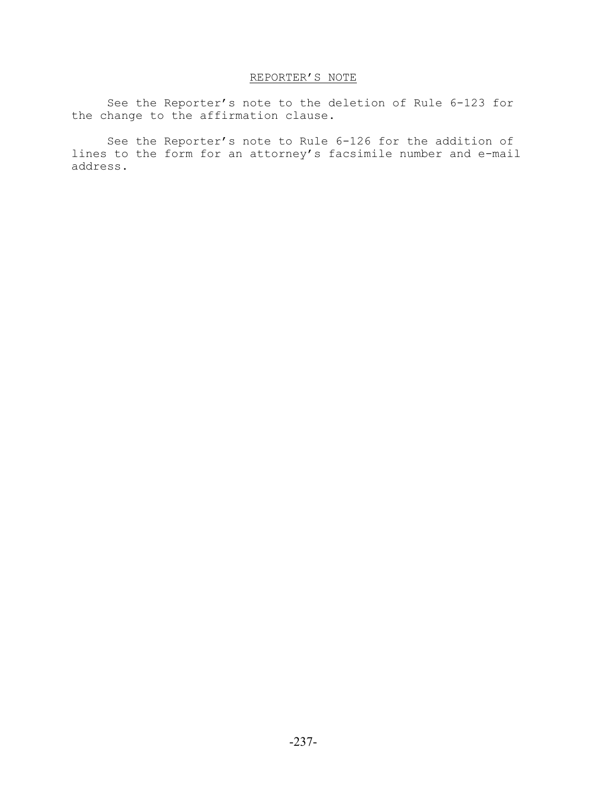## REPORTER'S NOTE

See the Reporter's note to the deletion of Rule 6-123 for the change to the affirmation clause.

See the Reporter's note to Rule 6-126 for the addition of lines to the form for an attorney's facsimile number and e-mail address.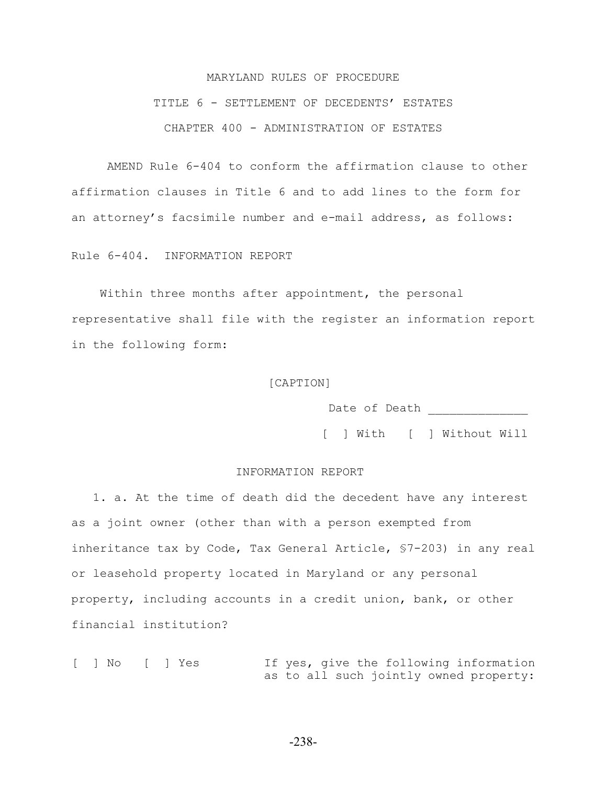# MARYLAND RULES OF PROCEDURE TITLE 6 - SETTLEMENT OF DECEDENTS' ESTATES CHAPTER 400 - ADMINISTRATION OF ESTATES

AMEND Rule 6-404 to conform the affirmation clause to other affirmation clauses in Title 6 and to add lines to the form for an attorney's facsimile number and e-mail address, as follows:

Rule 6-404. INFORMATION REPORT

 Within three months after appointment, the personal representative shall file with the register an information report in the following form:

#### [CAPTION]

Date of Death

[ ] With [ ] Without Will

#### INFORMATION REPORT

 1. a. At the time of death did the decedent have any interest as a joint owner (other than with a person exempted from inheritance tax by Code, Tax General Article, §7-203) in any real or leasehold property located in Maryland or any personal property, including accounts in a credit union, bank, or other financial institution?

[ ] No [ ] Yes If yes, give the following information as to all such jointly owned property:

-238-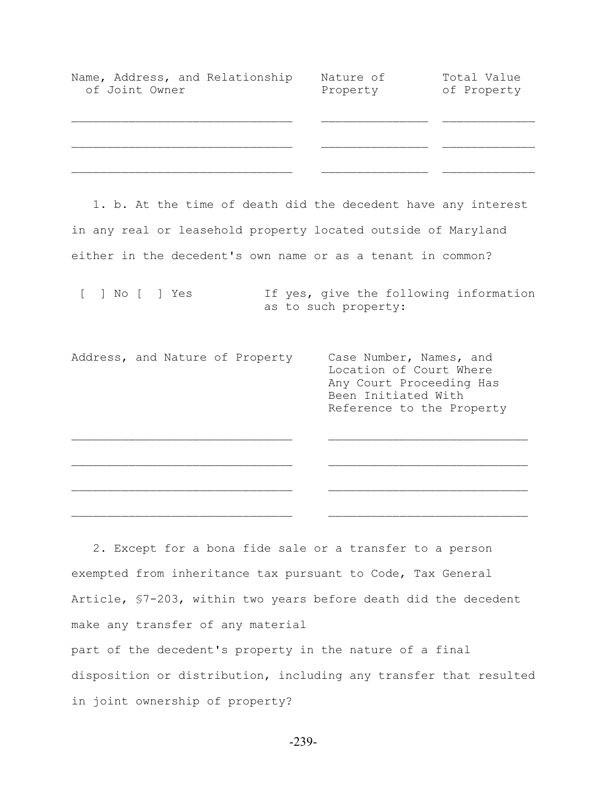| Name, Address, and Relationship<br>of Joint Owner | Nature of<br>Property | Total Value<br>of Property |
|---------------------------------------------------|-----------------------|----------------------------|
|                                                   |                       |                            |
|                                                   |                       |                            |

 1. b. At the time of death did the decedent have any interest in any real or leasehold property located outside of Maryland either in the decedent's own name or as a tenant in common?

[ ] No [ ] Yes If yes, give the following information as to such property:

Address, and Nature of Property Case Number, Names, and Location of Court Where Any Court Proceeding Has Been Initiated With Reference to the Property

 $\mathcal{L}_\text{max}$  and the contract of the contract of the contract of the contract of the contract of the contract of

 $\mathcal{L}_\text{max}$  and the contract of the contract of the contract of the contract of the contract of the contract of

 $\mathcal{L}_\text{max}$  and the contract of the contract of the contract of the contract of the contract of the contract of

 2. Except for a bona fide sale or a transfer to a person exempted from inheritance tax pursuant to Code, Tax General Article, §7-203, within two years before death did the decedent make any transfer of any material

part of the decedent's property in the nature of a final disposition or distribution, including any transfer that resulted in joint ownership of property?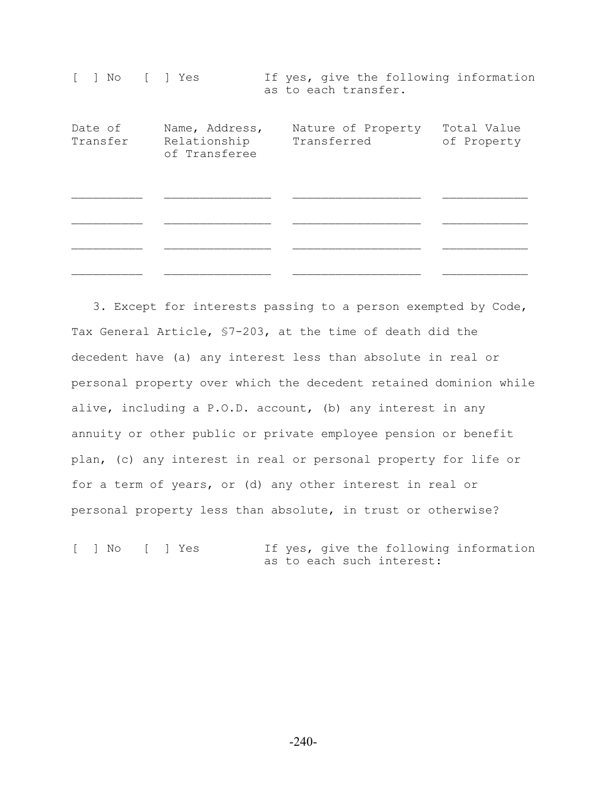| ſ.<br>  No     Yes  |                                                 |             | as to each transfer. | If yes, give the following information |  |
|---------------------|-------------------------------------------------|-------------|----------------------|----------------------------------------|--|
| Date of<br>Transfer | Name, Address,<br>Relationship<br>of Transferee | Transferred | Nature of Property   | Total Value<br>of Property             |  |
|                     |                                                 |             |                      |                                        |  |
|                     |                                                 |             |                      |                                        |  |

 3. Except for interests passing to a person exempted by Code, Tax General Article, §7-203, at the time of death did the decedent have (a) any interest less than absolute in real or personal property over which the decedent retained dominion while alive, including a P.O.D. account, (b) any interest in any annuity or other public or private employee pension or benefit plan, (c) any interest in real or personal property for life or for a term of years, or (d) any other interest in real or personal property less than absolute, in trust or otherwise?

[ ] No [ ] Yes If yes, give the following information as to each such interest:

-240-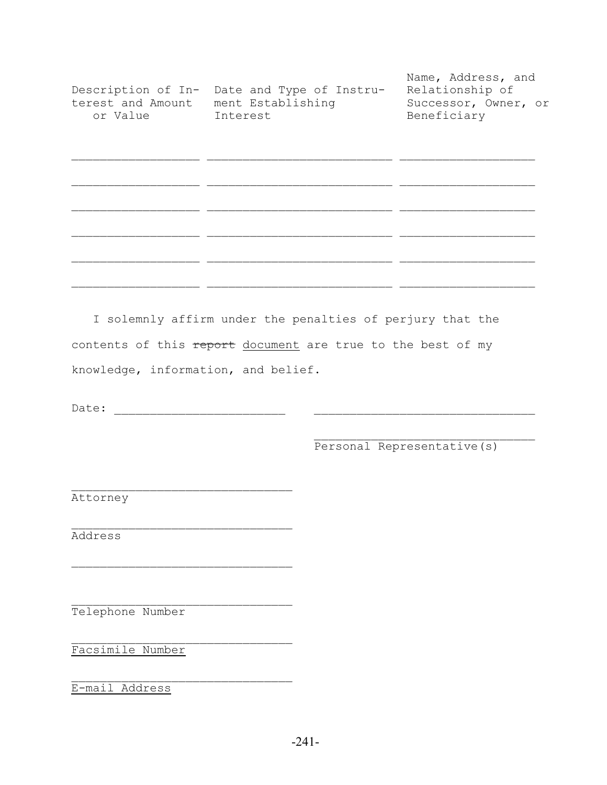| Description of In-<br>terest and Amount<br>or Value | Date and Type of Instru-<br>ment Establishing<br>Interest | Name, Address, and<br>Relationship of<br>Successor, Owner, or<br>Beneficiary |
|-----------------------------------------------------|-----------------------------------------------------------|------------------------------------------------------------------------------|
|                                                     |                                                           |                                                                              |
|                                                     |                                                           |                                                                              |
|                                                     |                                                           |                                                                              |
|                                                     |                                                           |                                                                              |
|                                                     |                                                           |                                                                              |

 I solemnly affirm under the penalties of perjury that the contents of this report document are true to the best of my knowledge, information, and belief.

Date: \_\_\_\_\_\_\_\_\_\_\_\_\_\_\_\_\_\_\_\_\_\_\_\_ \_\_\_\_\_\_\_\_\_\_\_\_\_\_\_\_\_\_\_\_\_\_\_\_\_\_\_\_\_\_\_

 $\mathcal{L}_\text{max}$ 

 $\mathcal{L}_\text{max}$ 

 $\mathcal{L}_\text{max}$ 

 $\mathcal{L}_\text{max}$  and  $\mathcal{L}_\text{max}$  and  $\mathcal{L}_\text{max}$  and  $\mathcal{L}_\text{max}$  and  $\mathcal{L}_\text{max}$ Personal Representative(s)

Attorney

 $\mathcal{L}_\text{max}$ Address

Telephone Number

Facsimile Number

E-mail Address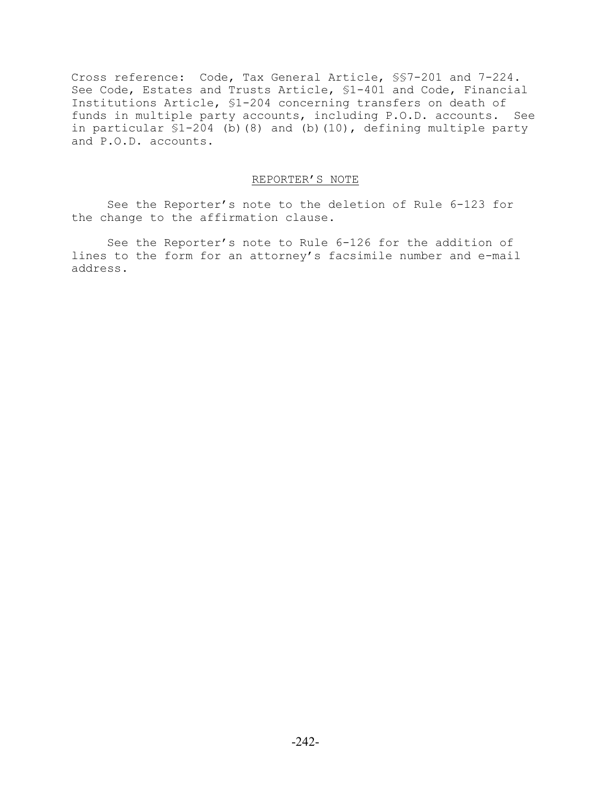Cross reference: Code, Tax General Article, §§7-201 and 7-224. See Code, Estates and Trusts Article, §1-401 and Code, Financial Institutions Article, §1-204 concerning transfers on death of funds in multiple party accounts, including P.O.D. accounts. See in particular §1-204 (b)(8) and (b)(10), defining multiple party and P.O.D. accounts.

#### REPORTER'S NOTE

See the Reporter's note to the deletion of Rule 6-123 for the change to the affirmation clause.

See the Reporter's note to Rule 6-126 for the addition of lines to the form for an attorney's facsimile number and e-mail address.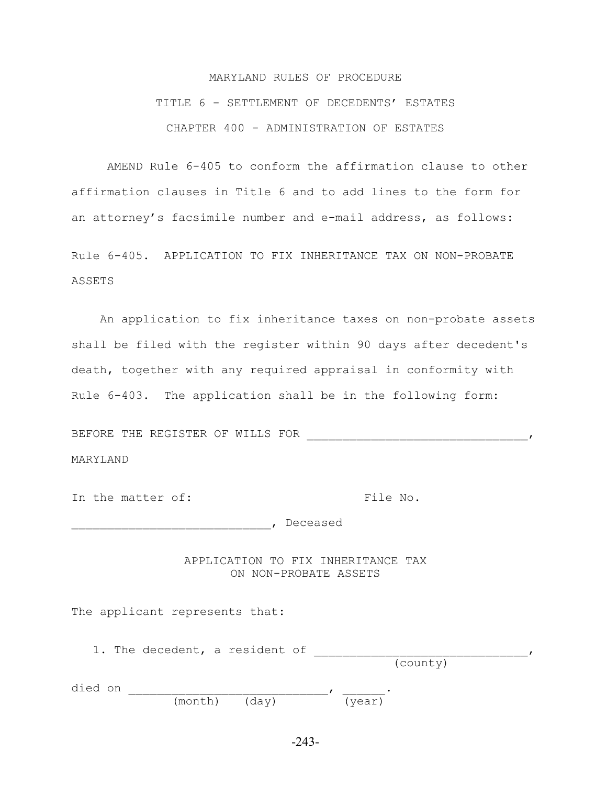# MARYLAND RULES OF PROCEDURE TITLE 6 - SETTLEMENT OF DECEDENTS' ESTATES CHAPTER 400 - ADMINISTRATION OF ESTATES

AMEND Rule 6-405 to conform the affirmation clause to other affirmation clauses in Title 6 and to add lines to the form for an attorney's facsimile number and e-mail address, as follows:

Rule 6-405. APPLICATION TO FIX INHERITANCE TAX ON NON-PROBATE ASSETS

 An application to fix inheritance taxes on non-probate assets shall be filed with the register within 90 days after decedent's death, together with any required appraisal in conformity with Rule 6-403. The application shall be in the following form:

BEFORE THE REGISTER OF WILLS FOR \_\_\_\_\_\_\_\_\_\_\_\_\_\_\_\_\_\_\_\_\_\_\_\_\_\_\_\_\_\_\_, MARYLAND

In the matter of: The No.

\_\_\_\_\_\_\_\_\_\_\_\_\_\_\_\_\_\_\_\_\_\_\_\_\_\_\_\_, Deceased

APPLICATION TO FIX INHERITANCE TAX ON NON-PROBATE ASSETS

The applicant represents that:

 1. The decedent, a resident of \_\_\_\_\_\_\_\_\_\_\_\_\_\_\_\_\_\_\_\_\_\_\_\_\_\_\_\_\_\_, (county)

| died on |                           |          |  |
|---------|---------------------------|----------|--|
|         | $(m \cap t)$ $(d \cap v)$ | 1742 Y I |  |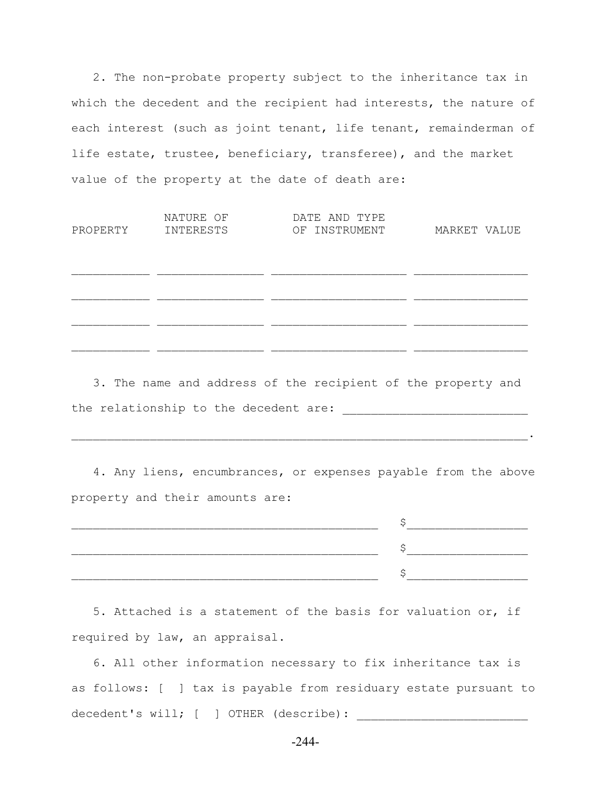2. The non-probate property subject to the inheritance tax in which the decedent and the recipient had interests, the nature of each interest (such as joint tenant, life tenant, remainderman of life estate, trustee, beneficiary, transferee), and the market value of the property at the date of death are:

| PROPERTY | NATURE OF<br>INTERESTS | DATE AND TYPE<br>OF INSTRUMENT | MARKET VALUE |
|----------|------------------------|--------------------------------|--------------|
|          |                        |                                |              |
|          |                        |                                |              |
|          |                        |                                |              |

 3. The name and address of the recipient of the property and the relationship to the decedent are: \_\_\_\_\_\_\_\_\_\_\_\_\_\_\_\_\_\_\_\_\_\_\_\_\_\_

 4. Any liens, encumbrances, or expenses payable from the above property and their amounts are:

 $\mathcal{L}_\mathcal{L} = \mathcal{L}_\mathcal{L} = \mathcal{L}_\mathcal{L} = \mathcal{L}_\mathcal{L} = \mathcal{L}_\mathcal{L} = \mathcal{L}_\mathcal{L} = \mathcal{L}_\mathcal{L} = \mathcal{L}_\mathcal{L} = \mathcal{L}_\mathcal{L} = \mathcal{L}_\mathcal{L} = \mathcal{L}_\mathcal{L} = \mathcal{L}_\mathcal{L} = \mathcal{L}_\mathcal{L} = \mathcal{L}_\mathcal{L} = \mathcal{L}_\mathcal{L} = \mathcal{L}_\mathcal{L} = \mathcal{L}_\mathcal{L}$ 

| ______________ |
|----------------|
|                |

 5. Attached is a statement of the basis for valuation or, if required by law, an appraisal.

 6. All other information necessary to fix inheritance tax is as follows: [ ] tax is payable from residuary estate pursuant to decedent's will; [ ] OTHER (describe): \_\_\_\_\_\_\_\_\_\_\_\_\_\_\_\_\_\_\_\_\_\_\_\_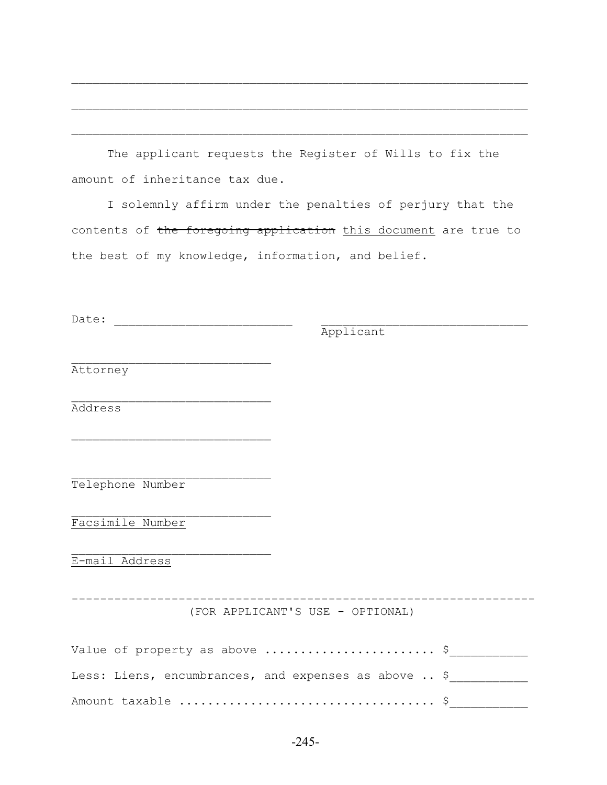The applicant requests the Register of Wills to fix the amount of inheritance tax due.

 $\mathcal{L}_\text{max} = \mathcal{L}_\text{max} = \mathcal{L}_\text{max} = \mathcal{L}_\text{max} = \mathcal{L}_\text{max} = \mathcal{L}_\text{max} = \mathcal{L}_\text{max} = \mathcal{L}_\text{max} = \mathcal{L}_\text{max} = \mathcal{L}_\text{max} = \mathcal{L}_\text{max} = \mathcal{L}_\text{max} = \mathcal{L}_\text{max} = \mathcal{L}_\text{max} = \mathcal{L}_\text{max} = \mathcal{L}_\text{max} = \mathcal{L}_\text{max} = \mathcal{L}_\text{max} = \mathcal{$ 

 $\mathcal{L}_\text{max} = \mathcal{L}_\text{max} = \mathcal{L}_\text{max} = \mathcal{L}_\text{max} = \mathcal{L}_\text{max} = \mathcal{L}_\text{max} = \mathcal{L}_\text{max} = \mathcal{L}_\text{max} = \mathcal{L}_\text{max} = \mathcal{L}_\text{max} = \mathcal{L}_\text{max} = \mathcal{L}_\text{max} = \mathcal{L}_\text{max} = \mathcal{L}_\text{max} = \mathcal{L}_\text{max} = \mathcal{L}_\text{max} = \mathcal{L}_\text{max} = \mathcal{L}_\text{max} = \mathcal{$ 

 $\mathcal{L}_\text{max} = \mathcal{L}_\text{max} = \mathcal{L}_\text{max} = \mathcal{L}_\text{max} = \mathcal{L}_\text{max} = \mathcal{L}_\text{max} = \mathcal{L}_\text{max} = \mathcal{L}_\text{max} = \mathcal{L}_\text{max} = \mathcal{L}_\text{max} = \mathcal{L}_\text{max} = \mathcal{L}_\text{max} = \mathcal{L}_\text{max} = \mathcal{L}_\text{max} = \mathcal{L}_\text{max} = \mathcal{L}_\text{max} = \mathcal{L}_\text{max} = \mathcal{L}_\text{max} = \mathcal{$ 

 I solemnly affirm under the penalties of perjury that the contents of the foregoing application this document are true to the best of my knowledge, information, and belief.

Date: \_\_\_\_\_\_\_\_\_\_\_\_\_\_\_\_\_\_\_\_\_\_\_\_\_ \_\_\_\_\_\_\_\_\_\_\_\_\_\_\_\_\_\_\_\_\_\_\_\_\_\_\_\_\_

 $\mathcal{L}_\text{max}$ 

 $\mathcal{L}_\text{max}$ 

 $\mathcal{L}_\text{max}$ 

 $\mathcal{L}_\text{max}$ 

 $\mathcal{L}_\text{max}$ 

Applicant

Attorney

Address

Telephone Number

Facsimile Number

E-mail Address

-----------------------------------------------------------------

(FOR APPLICANT'S USE - OPTIONAL)

| Less: Liens, encumbrances, and expenses as above $\ldots$ \$ |  |
|--------------------------------------------------------------|--|
|                                                              |  |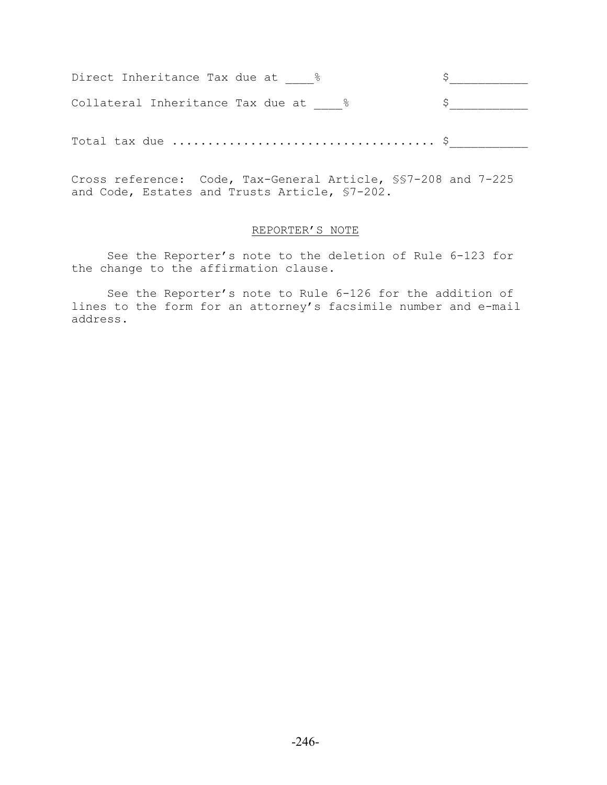| Direct Inheritance Tax due at     |  |
|-----------------------------------|--|
| Collateral Inheritance Tax due at |  |
|                                   |  |
|                                   |  |

Cross reference: Code, Tax-General Article, §§7-208 and 7-225 and Code, Estates and Trusts Article, §7-202.

### REPORTER'S NOTE

See the Reporter's note to the deletion of Rule 6-123 for the change to the affirmation clause.

See the Reporter's note to Rule 6-126 for the addition of lines to the form for an attorney's facsimile number and e-mail address.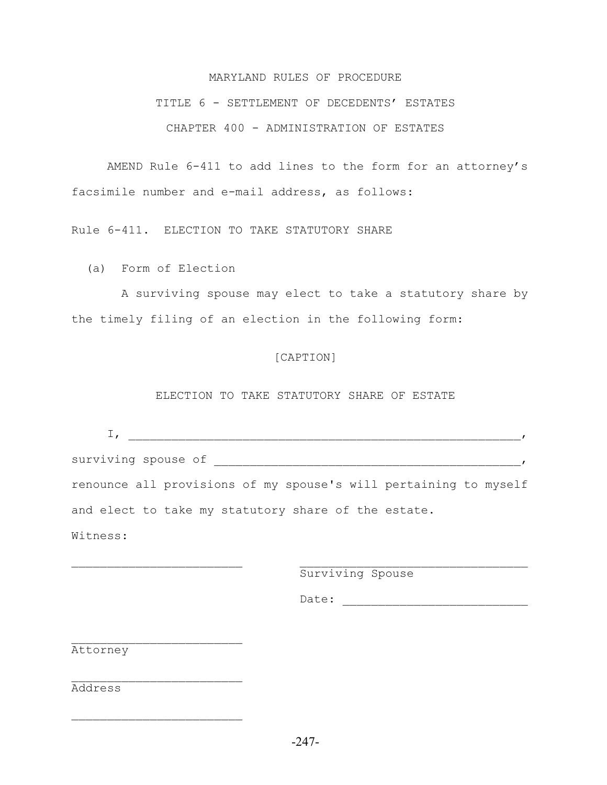#### MARYLAND RULES OF PROCEDURE

### TITLE 6 - SETTLEMENT OF DECEDENTS' ESTATES

CHAPTER 400 - ADMINISTRATION OF ESTATES

AMEND Rule 6-411 to add lines to the form for an attorney's facsimile number and e-mail address, as follows:

Rule 6-411. ELECTION TO TAKE STATUTORY SHARE

(a) Form of Election

 A surviving spouse may elect to take a statutory share by the timely filing of an election in the following form:

#### [CAPTION]

#### ELECTION TO TAKE STATUTORY SHARE OF ESTATE

| surviving spouse of                                              |  |
|------------------------------------------------------------------|--|
| renounce all provisions of my spouse's will pertaining to myself |  |
| and elect to take my statutory share of the estate.              |  |
| Witness:                                                         |  |

 $\mathcal{L}_\text{max}$  and the contract of the contract of the contract of the contract of the contract of the contract of

Surviving Spouse

Date:

Attorney

 $\mathcal{L}_\text{max}$ 

 $\mathcal{L}_\text{max}$ 

 $\mathcal{L}_\text{max}$ 

Address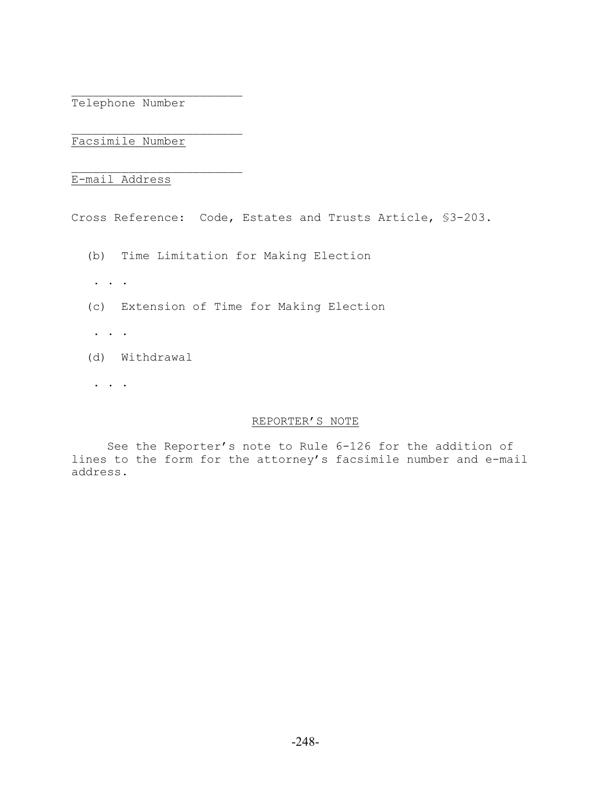Telephone Number

 $\mathcal{L}_\text{max}$ 

 $\mathcal{L}_\text{max}$ 

Facsimile Number

E-mail Address

Cross Reference: Code, Estates and Trusts Article, §3-203.

- (b) Time Limitation for Making Election
- . . .
- (c) Extension of Time for Making Election
- . . .
- (d) Withdrawal
- . . .

#### REPORTER'S NOTE

See the Reporter's note to Rule 6-126 for the addition of lines to the form for the attorney's facsimile number and e-mail address.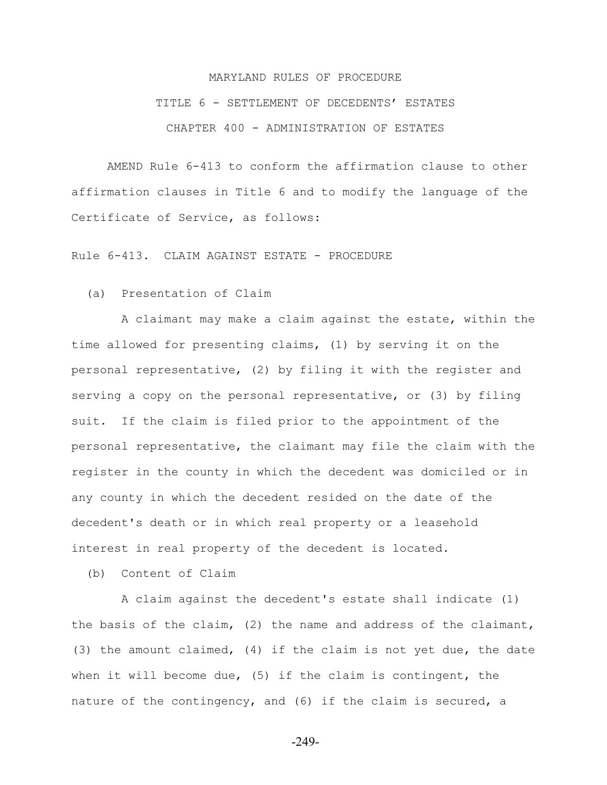# MARYLAND RULES OF PROCEDURE TITLE 6 - SETTLEMENT OF DECEDENTS' ESTATES CHAPTER 400 - ADMINISTRATION OF ESTATES

AMEND Rule 6-413 to conform the affirmation clause to other affirmation clauses in Title 6 and to modify the language of the Certificate of Service, as follows:

Rule 6-413. CLAIM AGAINST ESTATE - PROCEDURE

(a) Presentation of Claim

 A claimant may make a claim against the estate, within the time allowed for presenting claims, (1) by serving it on the personal representative, (2) by filing it with the register and serving a copy on the personal representative, or (3) by filing suit. If the claim is filed prior to the appointment of the personal representative, the claimant may file the claim with the register in the county in which the decedent was domiciled or in any county in which the decedent resided on the date of the decedent's death or in which real property or a leasehold interest in real property of the decedent is located.

(b) Content of Claim

 A claim against the decedent's estate shall indicate (1) the basis of the claim, (2) the name and address of the claimant, (3) the amount claimed, (4) if the claim is not yet due, the date when it will become due, (5) if the claim is contingent, the nature of the contingency, and (6) if the claim is secured, a

-249-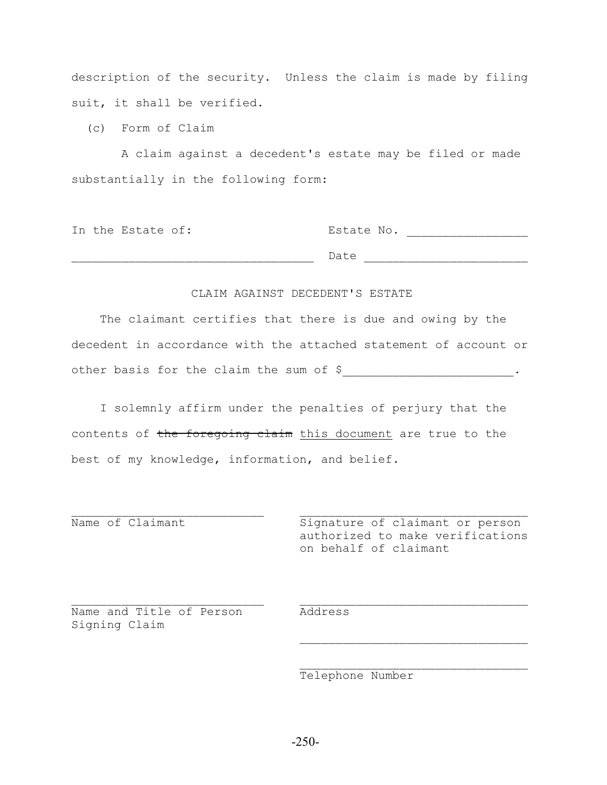description of the security. Unless the claim is made by filing suit, it shall be verified.

(c) Form of Claim

 A claim against a decedent's estate may be filed or made substantially in the following form:

|  | In the Estate of: | Estate No. |  |
|--|-------------------|------------|--|
|  |                   |            |  |
|  |                   | Date       |  |

#### CLAIM AGAINST DECEDENT'S ESTATE

 The claimant certifies that there is due and owing by the decedent in accordance with the attached statement of account or other basis for the claim the sum of \$<br>
\_\_\_\_\_\_\_\_\_\_\_\_\_\_\_\_\_\_\_\_\_\_\_\_\_\_\_\_\_.

 I solemnly affirm under the penalties of perjury that the contents of the foregoing claim this document are true to the best of my knowledge, information, and belief.

 $\mathcal{L}_\text{max}$  and the contract of the contract of the contract of the contract of the contract of the contract of

 $\mathcal{L}_\text{max}$  and  $\mathcal{L}_\text{max}$  and  $\mathcal{L}_\text{max}$  and  $\mathcal{L}_\text{max}$  and  $\mathcal{L}_\text{max}$ 

 $\mathcal{L}_\text{max}$  and  $\mathcal{L}_\text{max}$  and  $\mathcal{L}_\text{max}$  and  $\mathcal{L}_\text{max}$  and  $\mathcal{L}_\text{max}$ 

Name of Claimant The Signature of claimant or person authorized to make verifications on behalf of claimant

Name and Title of Person Address Signing Claim

Telephone Number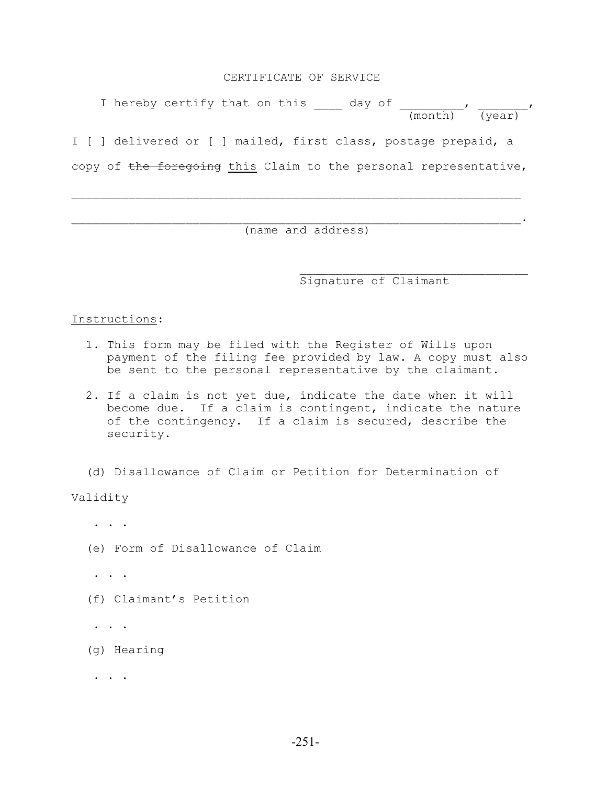#### CERTIFICATE OF SERVICE

I hereby certify that on this  $\frac{1}{\sqrt{2}}$  day of  $\frac{1}{\sqrt{2}}$  $\frac{1}{(\text{month})}$  (year) I [ ] delivered or [ ] mailed, first class, postage prepaid, a copy of the foregoing this Claim to the personal representative,

 $\mathcal{L}_\text{max} = \frac{1}{2} \sum_{i=1}^n \mathcal{L}_\text{max}(\mathbf{x}_i - \mathbf{y}_i)$ 

 $\mathcal{L}_\text{max} = \mathcal{L}_\text{max} = \mathcal{L}_\text{max} = \mathcal{L}_\text{max} = \mathcal{L}_\text{max} = \mathcal{L}_\text{max} = \mathcal{L}_\text{max} = \mathcal{L}_\text{max} = \mathcal{L}_\text{max} = \mathcal{L}_\text{max} = \mathcal{L}_\text{max} = \mathcal{L}_\text{max} = \mathcal{L}_\text{max} = \mathcal{L}_\text{max} = \mathcal{L}_\text{max} = \mathcal{L}_\text{max} = \mathcal{L}_\text{max} = \mathcal{L}_\text{max} = \mathcal{$ (name and address)

Signature of Claimant

#### Instructions:

- 1. This form may be filed with the Register of Wills upon payment of the filing fee provided by law. A copy must also be sent to the personal representative by the claimant.
- 2. If a claim is not yet due, indicate the date when it will become due. If a claim is contingent, indicate the nature of the contingency. If a claim is secured, describe the security.
- (d) Disallowance of Claim or Petition for Determination of

Validity

. . .

- (e) Form of Disallowance of Claim
- . . .
- (f) Claimant's Petition

. . .

(g) Hearing

 $\cdot$  . . .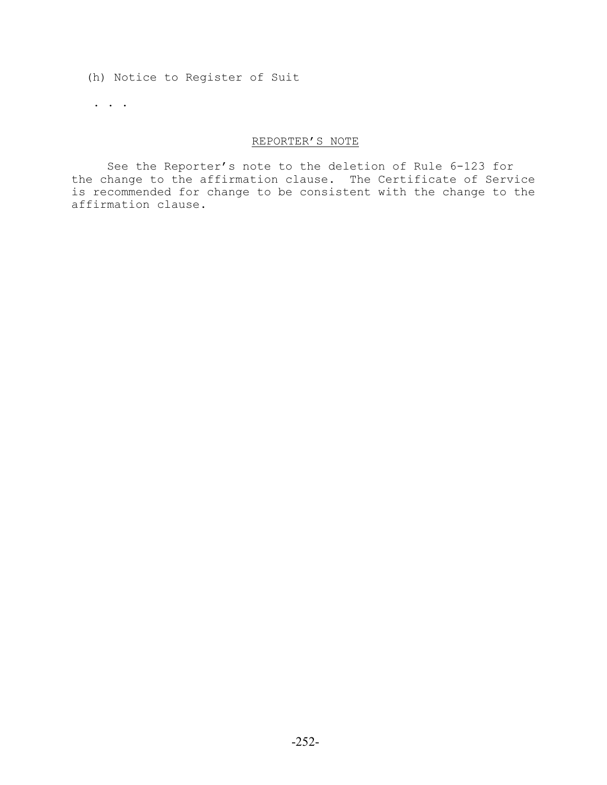(h) Notice to Register of Suit

. . .

### REPORTER'S NOTE

See the Reporter's note to the deletion of Rule 6-123 for the change to the affirmation clause. The Certificate of Service is recommended for change to be consistent with the change to the affirmation clause.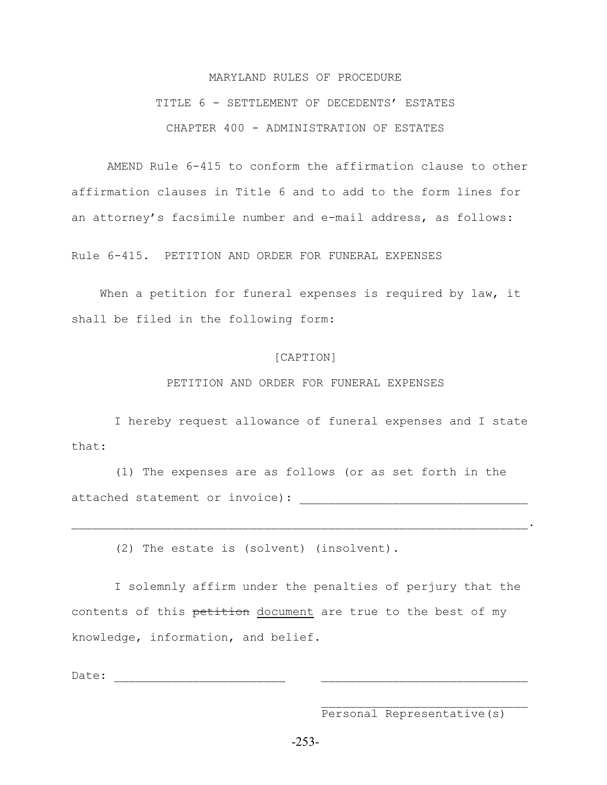## MARYLAND RULES OF PROCEDURE TITLE 6 - SETTLEMENT OF DECEDENTS' ESTATES CHAPTER 400 - ADMINISTRATION OF ESTATES

AMEND Rule 6-415 to conform the affirmation clause to other affirmation clauses in Title 6 and to add to the form lines for an attorney's facsimile number and e-mail address, as follows:

Rule 6-415. PETITION AND ORDER FOR FUNERAL EXPENSES

When a petition for funeral expenses is required by law, it shall be filed in the following form:

#### [CAPTION]

PETITION AND ORDER FOR FUNERAL EXPENSES

 I hereby request allowance of funeral expenses and I state that:

 (1) The expenses are as follows (or as set forth in the attached statement or invoice):

 $\mathcal{L}_\mathcal{L} = \mathcal{L}_\mathcal{L} = \mathcal{L}_\mathcal{L} = \mathcal{L}_\mathcal{L} = \mathcal{L}_\mathcal{L} = \mathcal{L}_\mathcal{L} = \mathcal{L}_\mathcal{L} = \mathcal{L}_\mathcal{L} = \mathcal{L}_\mathcal{L} = \mathcal{L}_\mathcal{L} = \mathcal{L}_\mathcal{L} = \mathcal{L}_\mathcal{L} = \mathcal{L}_\mathcal{L} = \mathcal{L}_\mathcal{L} = \mathcal{L}_\mathcal{L} = \mathcal{L}_\mathcal{L} = \mathcal{L}_\mathcal{L}$ 

(2) The estate is (solvent) (insolvent).

 I solemnly affirm under the penalties of perjury that the contents of this petition document are true to the best of my knowledge, information, and belief.

Date:

Personal Representative(s)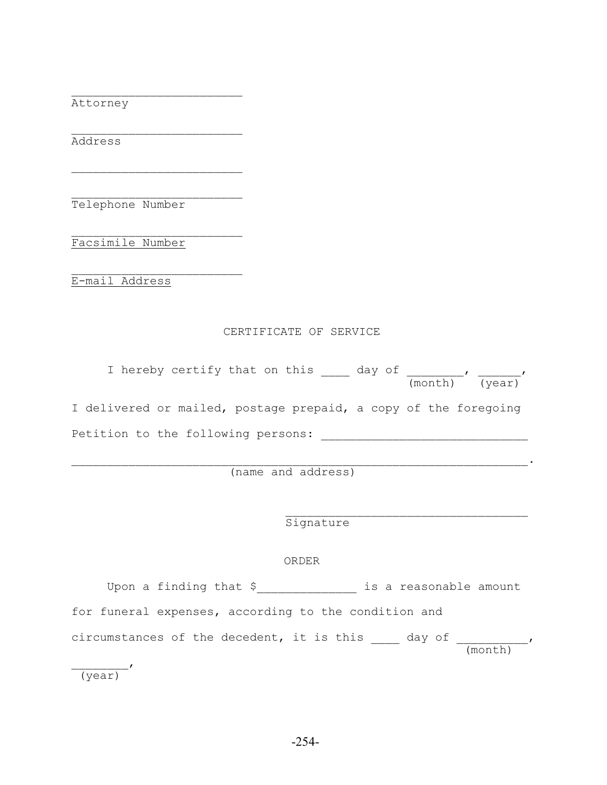Attorney

Address

Telephone Number

 $\mathcal{L}_\text{max}$ 

 $\mathcal{L}_\text{max}$ 

 $\mathcal{L}_\text{max}$ 

 $\mathcal{L}_\text{max}$ 

Facsimile Number

E-mail Address

#### CERTIFICATE OF SERVICE

| I hereby certify that on this                                   | day of<br>(month) (year) |
|-----------------------------------------------------------------|--------------------------|
| I delivered or mailed, postage prepaid, a copy of the foregoing |                          |
| Petition to the following persons:                              |                          |

(name and address)

 $\mathcal{L}_\mathcal{L} = \mathcal{L}_\mathcal{L} = \mathcal{L}_\mathcal{L} = \mathcal{L}_\mathcal{L} = \mathcal{L}_\mathcal{L} = \mathcal{L}_\mathcal{L} = \mathcal{L}_\mathcal{L} = \mathcal{L}_\mathcal{L} = \mathcal{L}_\mathcal{L} = \mathcal{L}_\mathcal{L} = \mathcal{L}_\mathcal{L} = \mathcal{L}_\mathcal{L} = \mathcal{L}_\mathcal{L} = \mathcal{L}_\mathcal{L} = \mathcal{L}_\mathcal{L} = \mathcal{L}_\mathcal{L} = \mathcal{L}_\mathcal{L}$ 

Signature

## ORDER

 $\mathcal{L}_\text{max}$  and  $\mathcal{L}_\text{max}$  and  $\mathcal{L}_\text{max}$  and  $\mathcal{L}_\text{max}$  and  $\mathcal{L}_\text{max}$ 

Upon a finding that \$\_\_\_\_\_\_\_\_\_\_\_\_\_\_ is a reasonable amount for funeral expenses, according to the condition and circumstances of the decedent, it is this day of  $\qquad \qquad$  (month)  $\overline{\phantom{a}}$ 

(year)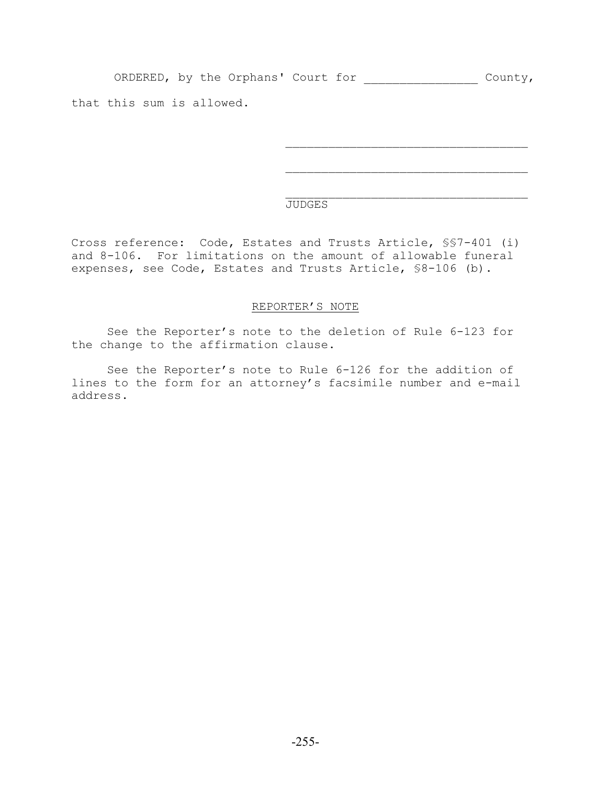ORDERED, by the Orphans' Court for \_\_\_\_\_\_\_\_\_\_\_\_\_\_\_\_ County,

 $\mathcal{L}_\text{max}$ 

that this sum is allowed.

## $\mathcal{L}_\text{max}$ JUDGES

Cross reference: Code, Estates and Trusts Article, §§7-401 (i) and 8-106. For limitations on the amount of allowable funeral expenses, see Code, Estates and Trusts Article, §8-106 (b).

## REPORTER'S NOTE

See the Reporter's note to the deletion of Rule 6-123 for the change to the affirmation clause.

See the Reporter's note to Rule 6-126 for the addition of lines to the form for an attorney's facsimile number and e-mail address.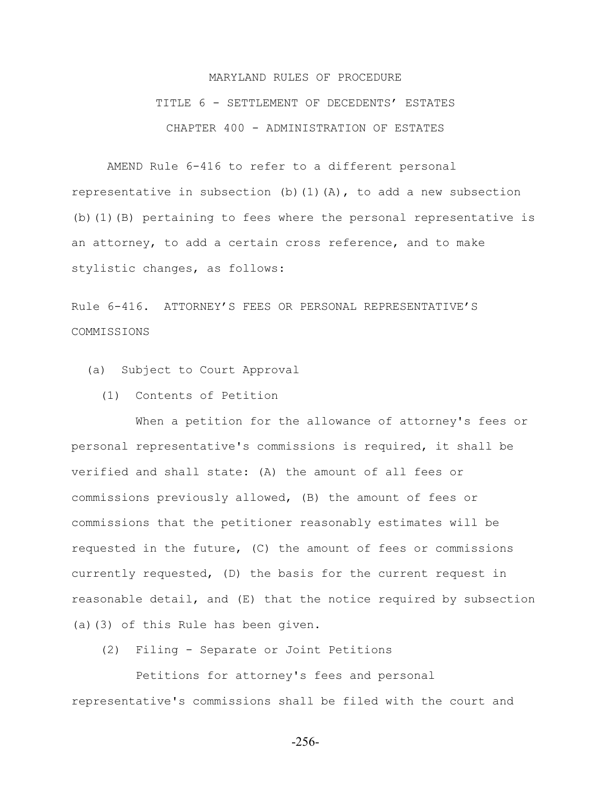## MARYLAND RULES OF PROCEDURE TITLE 6 - SETTLEMENT OF DECEDENTS' ESTATES CHAPTER 400 - ADMINISTRATION OF ESTATES

AMEND Rule 6-416 to refer to a different personal representative in subsection (b)(1)(A), to add a new subsection (b)(1)(B) pertaining to fees where the personal representative is an attorney, to add a certain cross reference, and to make stylistic changes, as follows:

Rule 6-416. ATTORNEY'S FEES OR PERSONAL REPRESENTATIVE'S COMMISSIONS

(a) Subject to Court Approval

(1) Contents of Petition

 When a petition for the allowance of attorney's fees or personal representative's commissions is required, it shall be verified and shall state: (A) the amount of all fees or commissions previously allowed, (B) the amount of fees or commissions that the petitioner reasonably estimates will be requested in the future, (C) the amount of fees or commissions currently requested, (D) the basis for the current request in reasonable detail, and (E) that the notice required by subsection (a)(3) of this Rule has been given.

(2) Filing - Separate or Joint Petitions

 Petitions for attorney's fees and personal representative's commissions shall be filed with the court and

-256-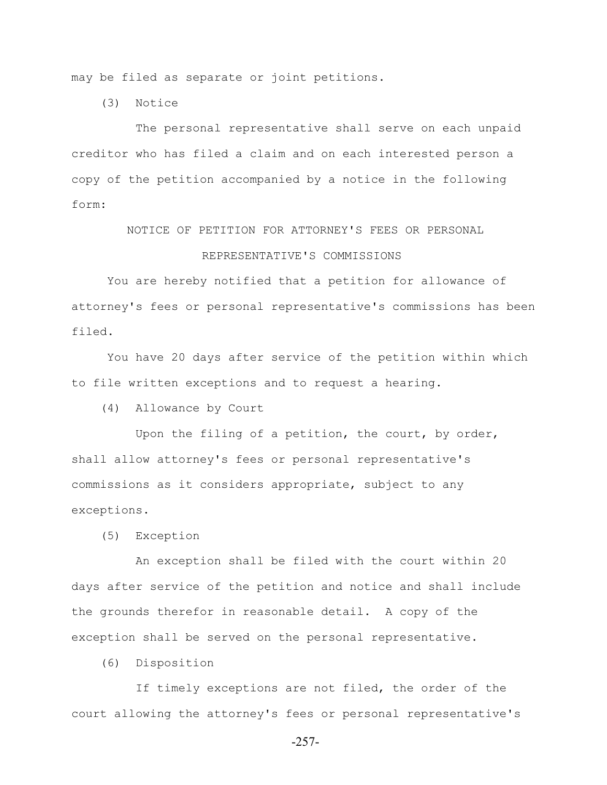may be filed as separate or joint petitions.

(3) Notice

 The personal representative shall serve on each unpaid creditor who has filed a claim and on each interested person a copy of the petition accompanied by a notice in the following form:

> NOTICE OF PETITION FOR ATTORNEY'S FEES OR PERSONAL REPRESENTATIVE'S COMMISSIONS

You are hereby notified that a petition for allowance of attorney's fees or personal representative's commissions has been filed.

You have 20 days after service of the petition within which to file written exceptions and to request a hearing.

(4) Allowance by Court

 Upon the filing of a petition, the court, by order, shall allow attorney's fees or personal representative's commissions as it considers appropriate, subject to any exceptions.

(5) Exception

 An exception shall be filed with the court within 20 days after service of the petition and notice and shall include the grounds therefor in reasonable detail. A copy of the exception shall be served on the personal representative.

(6) Disposition

 If timely exceptions are not filed, the order of the court allowing the attorney's fees or personal representative's

-257-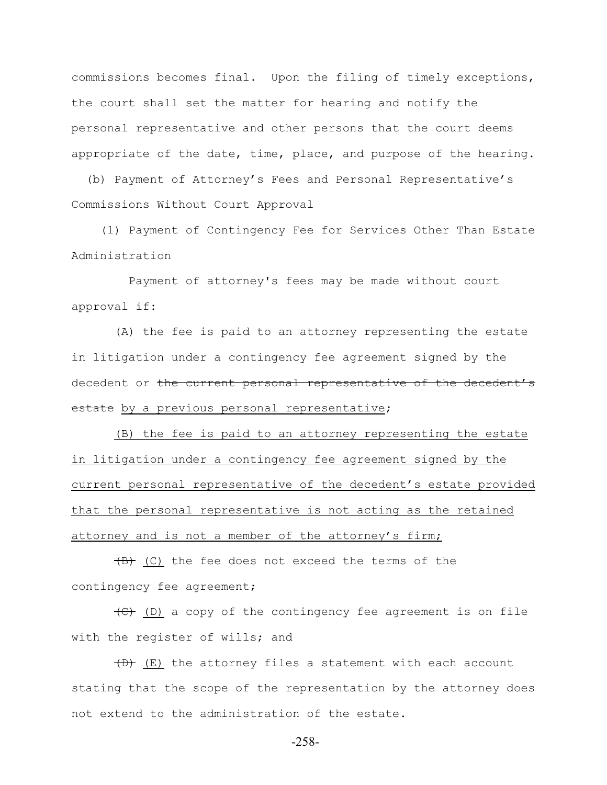commissions becomes final. Upon the filing of timely exceptions, the court shall set the matter for hearing and notify the personal representative and other persons that the court deems appropriate of the date, time, place, and purpose of the hearing.

 (b) Payment of Attorney's Fees and Personal Representative's Commissions Without Court Approval

 (1) Payment of Contingency Fee for Services Other Than Estate Administration

 Payment of attorney's fees may be made without court approval if:

 (A) the fee is paid to an attorney representing the estate in litigation under a contingency fee agreement signed by the decedent or the current personal representative of the decedent's estate by a previous personal representative;

 (B) the fee is paid to an attorney representing the estate in litigation under a contingency fee agreement signed by the current personal representative of the decedent's estate provided that the personal representative is not acting as the retained attorney and is not a member of the attorney's firm;

 $(B)$  (C) the fee does not exceed the terms of the contingency fee agreement;

 $\left(\frac{f(t)}{f(t)}\right)$  a copy of the contingency fee agreement is on file with the register of wills; and

 $(D)$  (E) the attorney files a statement with each account stating that the scope of the representation by the attorney does not extend to the administration of the estate.

-258-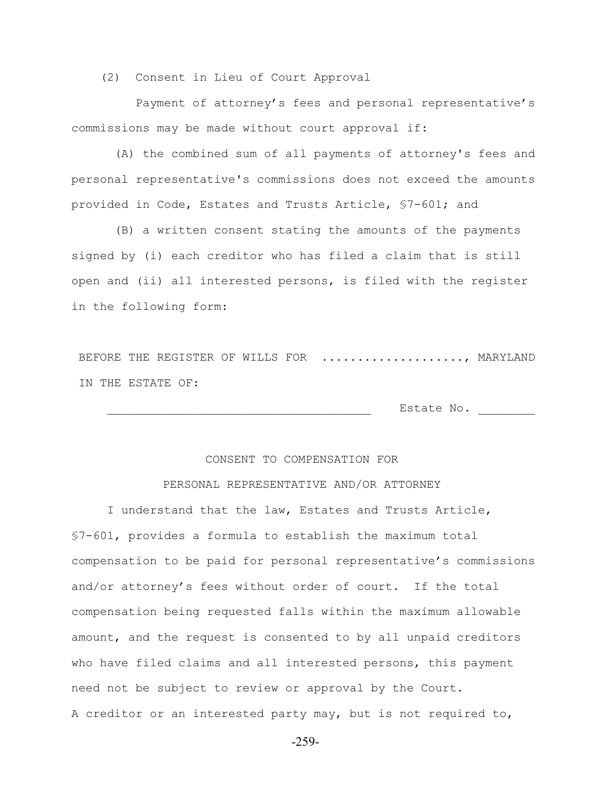(2) Consent in Lieu of Court Approval

 Payment of attorney's fees and personal representative's commissions may be made without court approval if:

 (A) the combined sum of all payments of attorney's fees and personal representative's commissions does not exceed the amounts provided in Code, Estates and Trusts Article, §7-601; and

 (B) a written consent stating the amounts of the payments signed by (i) each creditor who has filed a claim that is still open and (ii) all interested persons, is filed with the register in the following form:

BEFORE THE REGISTER OF WILLS FOR ....................., MARYLAND IN THE ESTATE OF:

Estate No. \_\_\_\_\_\_\_\_\_

## CONSENT TO COMPENSATION FOR

## PERSONAL REPRESENTATIVE AND/OR ATTORNEY

I understand that the law, Estates and Trusts Article, §7-601, provides a formula to establish the maximum total compensation to be paid for personal representative's commissions and/or attorney's fees without order of court. If the total compensation being requested falls within the maximum allowable amount, and the request is consented to by all unpaid creditors who have filed claims and all interested persons, this payment need not be subject to review or approval by the Court. A creditor or an interested party may, but is not required to,

-259-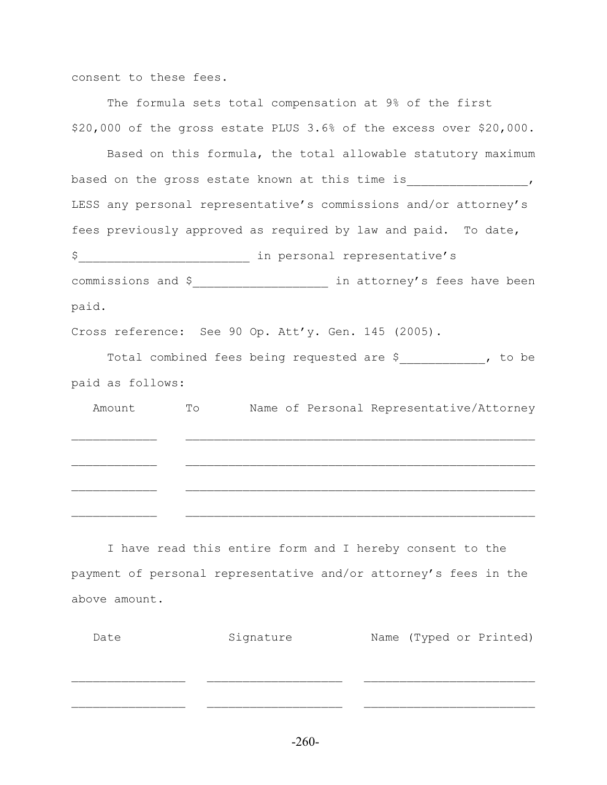consent to these fees.

The formula sets total compensation at 9% of the first \$20,000 of the gross estate PLUS 3.6% of the excess over \$20,000.

Based on this formula, the total allowable statutory maximum based on the gross estate known at this time is \_\_\_\_\_\_\_\_\_\_\_\_\_\_\_, LESS any personal representative's commissions and/or attorney's fees previously approved as required by law and paid. To date, \$\_\_\_\_\_\_\_\_\_\_\_\_\_\_\_\_\_\_\_\_\_\_\_\_ in personal representative's commissions and \$<br>
<u>
commissions</u> and \$<br>
<u>
a</u>
in attorney's fees have been paid.

Cross reference: See 90 Op. Att'y. Gen. 145 (2005).

Total combined fees being requested are \$\_\_\_\_\_\_\_\_\_\_\_\_, to be paid as follows:

 Amount To Name of Personal Representative/Attorney  $\mathcal{L}_\text{max} = \frac{1}{2} \sum_{i=1}^n \mathcal{L}_\text{max}(\mathbf{z}_i - \mathbf{z}_i)$  $\mathcal{L}_\text{max} = \frac{1}{2} \sum_{i=1}^n \mathcal{L}_\text{max}(\mathbf{z}_i - \mathbf{z}_i)$  $\mathcal{L}_\text{max} = \frac{1}{2} \sum_{i=1}^n \mathcal{L}_\text{max}(\mathbf{z}_i - \mathbf{z}_i)$ 

I have read this entire form and I hereby consent to the payment of personal representative and/or attorney's fees in the above amount.

| Date | Signature | Name (Typed or Printed) |
|------|-----------|-------------------------|
|      |           |                         |
|      |           |                         |
|      |           |                         |
|      |           |                         |
|      |           |                         |

-260-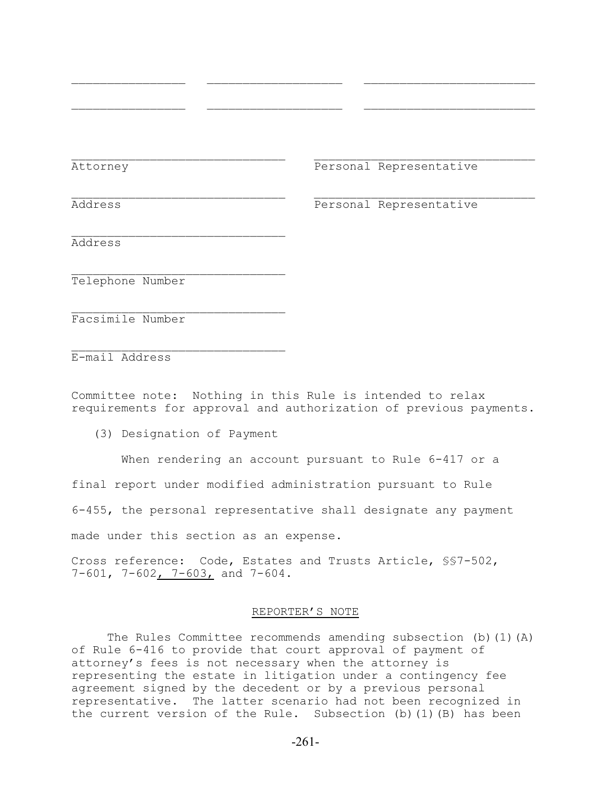Attorney Personal Representative

Address Personal Representative

Address

Telephone Number

Facsimile Number

 $\mathcal{L}_\text{max}$ E-mail Address

Committee note: Nothing in this Rule is intended to relax requirements for approval and authorization of previous payments.

 $\mathcal{L}_\text{max}$  and the contract of the contract of the contract of the contract of the contract of the contract of

 $\mathcal{L}_\text{max}$  and the contract of the contract of the contract of the contract of the contract of the contract of

 $\mathcal{L}_\text{max} = \frac{1}{2} \sum_{i=1}^n \mathcal{L}_\text{max}(\mathbf{x}_i - \mathbf{y}_i)$ 

(3) Designation of Payment

 $\mathcal{L}_\text{max}$ 

 $\mathcal{L}_\text{max}$ 

When rendering an account pursuant to Rule 6-417 or a

final report under modified administration pursuant to Rule

6-455, the personal representative shall designate any payment

made under this section as an expense.

Cross reference: Code, Estates and Trusts Article, §§7-502, 7-601, 7-602, 7-603, and 7-604.

## REPORTER'S NOTE

The Rules Committee recommends amending subsection (b)(1)(A) of Rule 6-416 to provide that court approval of payment of attorney's fees is not necessary when the attorney is representing the estate in litigation under a contingency fee agreement signed by the decedent or by a previous personal representative. The latter scenario had not been recognized in the current version of the Rule. Subsection (b)(1)(B) has been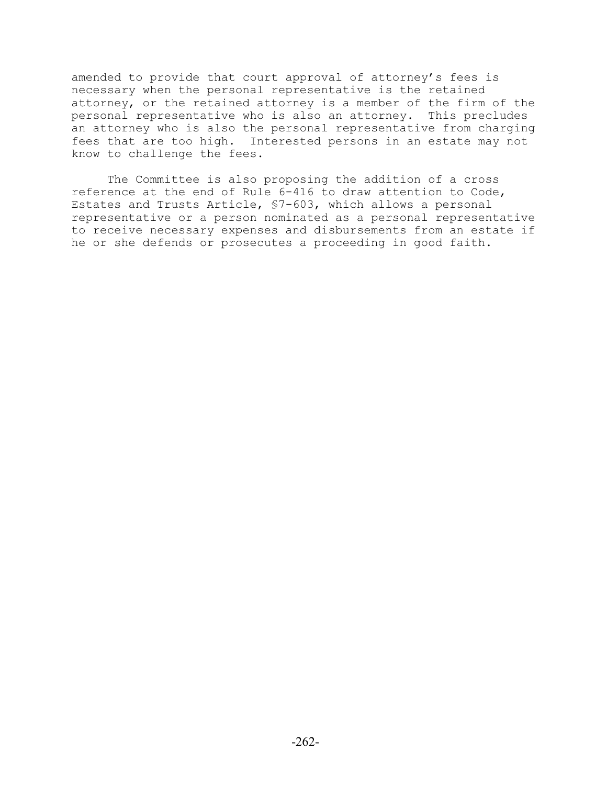amended to provide that court approval of attorney's fees is necessary when the personal representative is the retained attorney, or the retained attorney is a member of the firm of the personal representative who is also an attorney. This precludes an attorney who is also the personal representative from charging fees that are too high. Interested persons in an estate may not know to challenge the fees.

The Committee is also proposing the addition of a cross reference at the end of Rule 6-416 to draw attention to Code, Estates and Trusts Article, §7-603, which allows a personal representative or a person nominated as a personal representative to receive necessary expenses and disbursements from an estate if he or she defends or prosecutes a proceeding in good faith.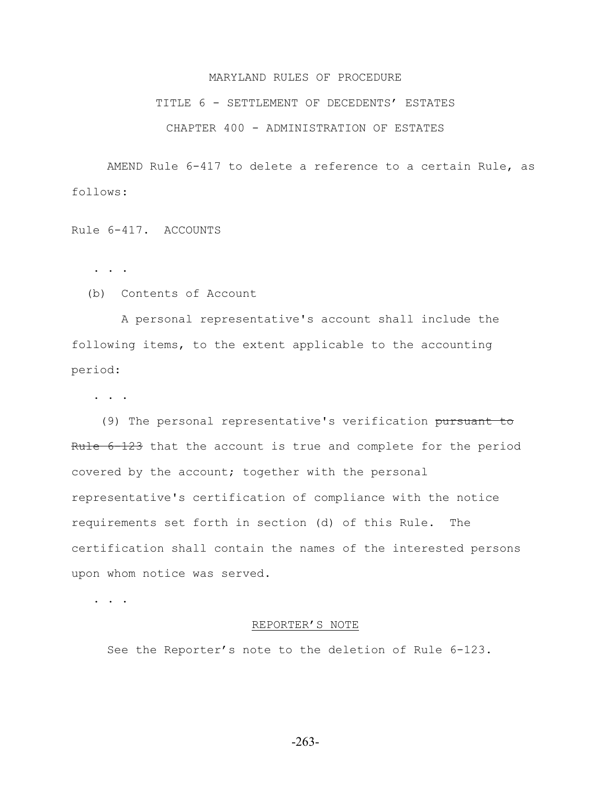## MARYLAND RULES OF PROCEDURE

## TITLE 6 - SETTLEMENT OF DECEDENTS' ESTATES

## CHAPTER 400 - ADMINISTRATION OF ESTATES

AMEND Rule 6-417 to delete a reference to a certain Rule, as follows:

Rule 6-417. ACCOUNTS

. . .

(b) Contents of Account

 A personal representative's account shall include the following items, to the extent applicable to the accounting period:

. . .

 (9) The personal representative's verification pursuant to Rule 6-123 that the account is true and complete for the period covered by the account; together with the personal representative's certification of compliance with the notice requirements set forth in section (d) of this Rule. The certification shall contain the names of the interested persons upon whom notice was served.

. . . .

### REPORTER'S NOTE

See the Reporter's note to the deletion of Rule 6-123.

-263-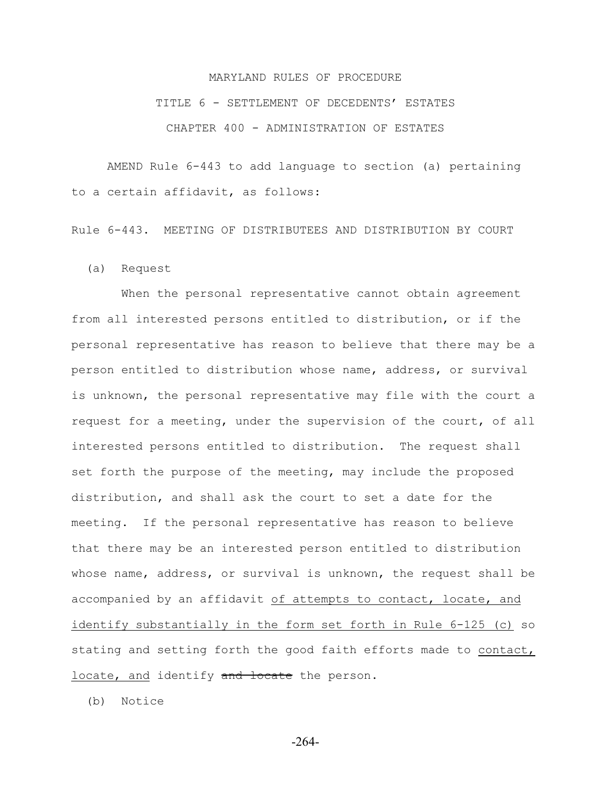## MARYLAND RULES OF PROCEDURE TITLE 6 - SETTLEMENT OF DECEDENTS' ESTATES CHAPTER 400 - ADMINISTRATION OF ESTATES

AMEND Rule 6-443 to add language to section (a) pertaining to a certain affidavit, as follows:

Rule 6-443. MEETING OF DISTRIBUTEES AND DISTRIBUTION BY COURT

(a) Request

When the personal representative cannot obtain agreement from all interested persons entitled to distribution, or if the personal representative has reason to believe that there may be a person entitled to distribution whose name, address, or survival is unknown, the personal representative may file with the court a request for a meeting, under the supervision of the court, of all interested persons entitled to distribution. The request shall set forth the purpose of the meeting, may include the proposed distribution, and shall ask the court to set a date for the meeting. If the personal representative has reason to believe that there may be an interested person entitled to distribution whose name, address, or survival is unknown, the request shall be accompanied by an affidavit of attempts to contact, locate, and identify substantially in the form set forth in Rule 6-125 (c) so stating and setting forth the good faith efforts made to contact, locate, and identify and locate the person.

(b) Notice

-264-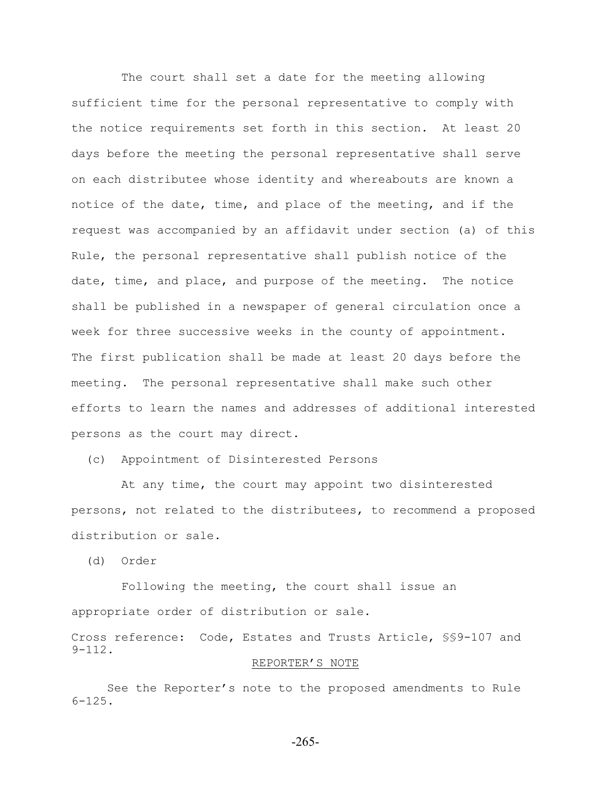The court shall set a date for the meeting allowing sufficient time for the personal representative to comply with the notice requirements set forth in this section. At least 20 days before the meeting the personal representative shall serve on each distributee whose identity and whereabouts are known a notice of the date, time, and place of the meeting, and if the request was accompanied by an affidavit under section (a) of this Rule, the personal representative shall publish notice of the date, time, and place, and purpose of the meeting. The notice shall be published in a newspaper of general circulation once a week for three successive weeks in the county of appointment. The first publication shall be made at least 20 days before the meeting. The personal representative shall make such other efforts to learn the names and addresses of additional interested persons as the court may direct.

(c) Appointment of Disinterested Persons

 At any time, the court may appoint two disinterested persons, not related to the distributees, to recommend a proposed distribution or sale.

(d) Order

 Following the meeting, the court shall issue an appropriate order of distribution or sale.

Cross reference: Code, Estates and Trusts Article, §§9-107 and 9-112.

## REPORTER'S NOTE

See the Reporter's note to the proposed amendments to Rule 6-125.

-265-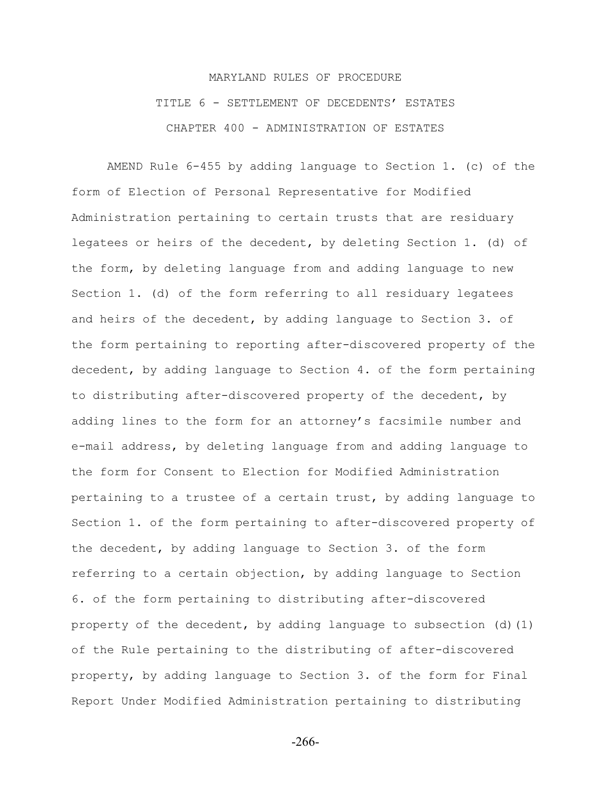## MARYLAND RULES OF PROCEDURE TITLE 6 - SETTLEMENT OF DECEDENTS' ESTATES CHAPTER 400 - ADMINISTRATION OF ESTATES

AMEND Rule 6-455 by adding language to Section 1. (c) of the form of Election of Personal Representative for Modified Administration pertaining to certain trusts that are residuary legatees or heirs of the decedent, by deleting Section 1. (d) of the form, by deleting language from and adding language to new Section 1. (d) of the form referring to all residuary legatees and heirs of the decedent, by adding language to Section 3. of the form pertaining to reporting after-discovered property of the decedent, by adding language to Section 4. of the form pertaining to distributing after-discovered property of the decedent, by adding lines to the form for an attorney's facsimile number and e-mail address, by deleting language from and adding language to the form for Consent to Election for Modified Administration pertaining to a trustee of a certain trust, by adding language to Section 1. of the form pertaining to after-discovered property of the decedent, by adding language to Section 3. of the form referring to a certain objection, by adding language to Section 6. of the form pertaining to distributing after-discovered property of the decedent, by adding language to subsection  $(d)$   $(1)$ of the Rule pertaining to the distributing of after-discovered property, by adding language to Section 3. of the form for Final Report Under Modified Administration pertaining to distributing

-266-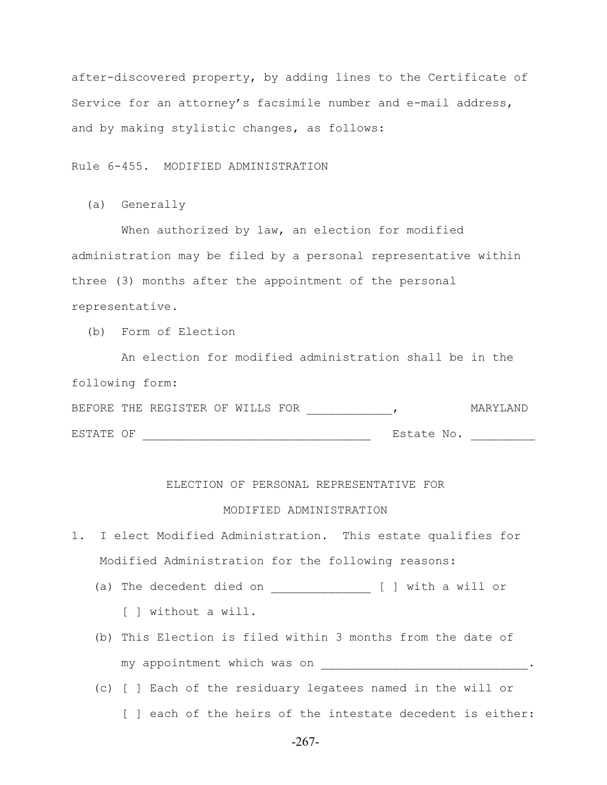after-discovered property, by adding lines to the Certificate of Service for an attorney's facsimile number and e-mail address, and by making stylistic changes, as follows:

Rule 6-455. MODIFIED ADMINISTRATION

(a) Generally

When authorized by law, an election for modified administration may be filed by a personal representative within three (3) months after the appointment of the personal representative.

(b) Form of Election

 An election for modified administration shall be in the following form: BEFORE THE REGISTER OF WILLS FOR \_\_\_\_\_\_\_\_\_\_\_\_\_\_, MARYLAND

ESTATE OF \_\_\_\_\_\_\_\_\_\_\_\_\_\_\_\_\_\_\_\_\_\_\_\_\_\_\_\_\_\_\_\_ Estate No. \_\_\_\_\_\_\_\_\_

## ELECTION OF PERSONAL REPRESENTATIVE FOR

## MODIFIED ADMINISTRATION

- 1. I elect Modified Administration. This estate qualifies for Modified Administration for the following reasons:
	- (a) The decedent died on \_\_\_\_\_\_\_\_\_\_\_\_\_\_ [ ] with a will or [ ] without a will.
	- (b) This Election is filed within 3 months from the date of my appointment which was on \_\_\_\_\_\_\_\_\_\_\_\_\_\_\_\_\_\_\_\_\_\_\_\_\_\_\_\_\_\_\_\_\_\_.
	- (c) [ ] Each of the residuary legatees named in the will or [ ] each of the heirs of the intestate decedent is either: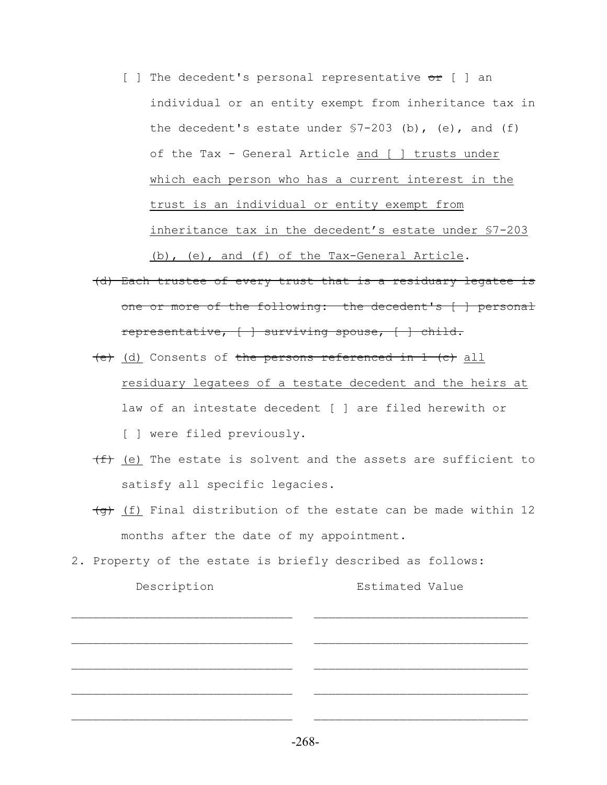- $\lceil \ \rceil$  The decedent's personal representative or  $\lceil \ \rceil$  an individual or an entity exempt from inheritance tax in the decedent's estate under  $$7-203$  (b), (e), and (f) of the Tax - General Article and [ ] trusts under which each person who has a current interest in the trust is an individual or entity exempt from inheritance tax in the decedent's estate under §7-203 (b), (e), and (f) of the Tax-General Article.
- (d) Each trustee of every trust that is a residuary legatee is one or more of the following: the decedent's [ ] personal representative, [ ] surviving spouse, [ ] child.
- (e) (d) Consents of the persons referenced in 1 (c) all residuary legatees of a testate decedent and the heirs at law of an intestate decedent [ ] are filed herewith or [ ] were filed previously.
- $(f)$  (e) The estate is solvent and the assets are sufficient to satisfy all specific legacies.
- $\overline{(g)}$  (f) Final distribution of the estate can be made within 12 months after the date of my appointment.
- 2. Property of the estate is briefly described as follows: Description Estimated Value

 $\mathcal{L}_\text{max} = \frac{1}{2} \sum_{i=1}^n \mathcal{L}_\text{max}(\mathbf{x}_i - \mathbf{y}_i)$ 

 $\mathcal{L}_\text{max} = \frac{1}{2} \sum_{i=1}^n \mathcal{L}_\text{max}(\mathbf{x}_i - \mathbf{y}_i)$ 

 $\mathcal{L}_\text{max} = \frac{1}{2} \sum_{i=1}^n \mathcal{L}_\text{max}(\mathbf{x}_i - \mathbf{y}_i)$ 

 $\mathcal{L}_\text{max} = \frac{1}{2} \sum_{i=1}^n \mathcal{L}_\text{max}(\mathbf{x}_i - \mathbf{y}_i)$ 

-268-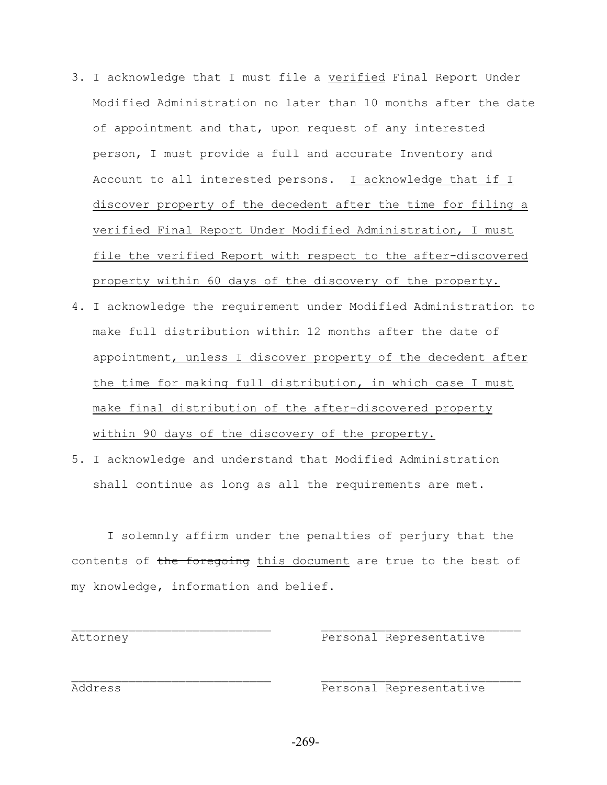- 3. I acknowledge that I must file a verified Final Report Under Modified Administration no later than 10 months after the date of appointment and that, upon request of any interested person, I must provide a full and accurate Inventory and Account to all interested persons. I acknowledge that if I discover property of the decedent after the time for filing a verified Final Report Under Modified Administration, I must file the verified Report with respect to the after-discovered property within 60 days of the discovery of the property.
- 4. I acknowledge the requirement under Modified Administration to make full distribution within 12 months after the date of appointment, unless I discover property of the decedent after the time for making full distribution, in which case I must make final distribution of the after-discovered property within 90 days of the discovery of the property.
- 5. I acknowledge and understand that Modified Administration shall continue as long as all the requirements are met.

I solemnly affirm under the penalties of perjury that the contents of the foregoing this document are true to the best of my knowledge, information and belief.

 $\mathcal{L}_\text{max}$  and the contract of the contract of the contract of the contract of the contract of the contract of the contract of the contract of the contract of the contract of the contract of the contract of the contrac

 $\mathcal{L}_\text{max}$  and the contract of the contract of the contract of the contract of the contract of the contract of the contract of the contract of the contract of the contract of the contract of the contract of the contrac

Attorney **Personal Representative** 

Address **Personal Representative**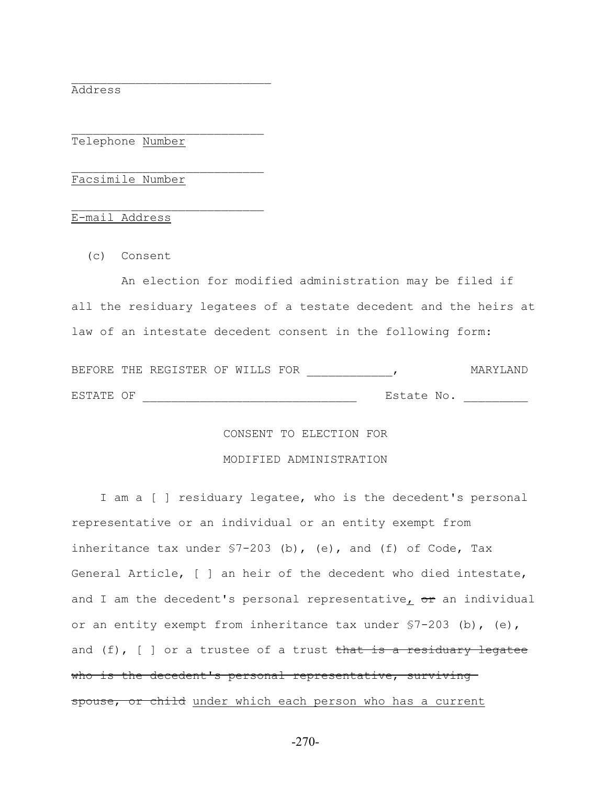Address

Telephone Number

 $\mathcal{L}_\text{max}$ 

 $\mathcal{L}_\text{max}$ 

 $\mathcal{L}_\text{max}$ 

Facsimile Number

E-mail Address

(c) Consent

 An election for modified administration may be filed if all the residuary legatees of a testate decedent and the heirs at law of an intestate decedent consent in the following form:

|           | BEFORE THE REGISTER OF WILLS FOR |  |            | MARYIAND |
|-----------|----------------------------------|--|------------|----------|
| ESTATE OF |                                  |  | Estate No. |          |

## CONSENT TO ELECTION FOR

## MODIFIED ADMINISTRATION

 I am a [ ] residuary legatee, who is the decedent's personal representative or an individual or an entity exempt from inheritance tax under  $$7-203$  (b), (e), and (f) of Code, Tax General Article, [ ] an heir of the decedent who died intestate, and I am the decedent's personal representative<sub> $I$ </sub> or an individual or an entity exempt from inheritance tax under §7-203 (b), (e), and  $(f)$ ,  $[$   $]$  or a trustee of a trust that is a residuary legatee who is the decedent's personal representative, surviving spouse, or child under which each person who has a current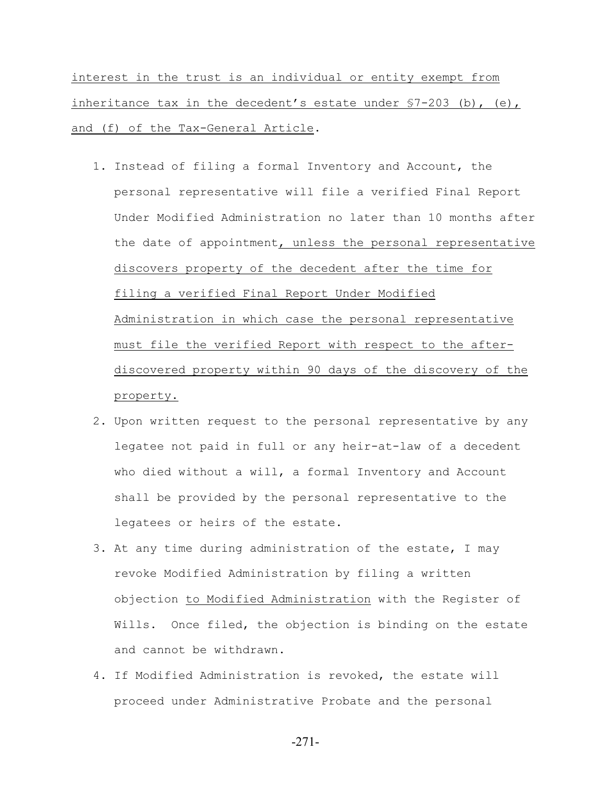interest in the trust is an individual or entity exempt from inheritance tax in the decedent's estate under §7-203 (b), (e), and (f) of the Tax-General Article.

- 1. Instead of filing a formal Inventory and Account, the personal representative will file a verified Final Report Under Modified Administration no later than 10 months after the date of appointment, unless the personal representative discovers property of the decedent after the time for filing a verified Final Report Under Modified Administration in which case the personal representative must file the verified Report with respect to the after discovered property within 90 days of the discovery of the property.
- 2. Upon written request to the personal representative by any legatee not paid in full or any heir-at-law of a decedent who died without a will, a formal Inventory and Account shall be provided by the personal representative to the legatees or heirs of the estate.
- 3. At any time during administration of the estate, I may revoke Modified Administration by filing a written objection to Modified Administration with the Register of Wills. Once filed, the objection is binding on the estate and cannot be withdrawn.
- 4. If Modified Administration is revoked, the estate will proceed under Administrative Probate and the personal

-271-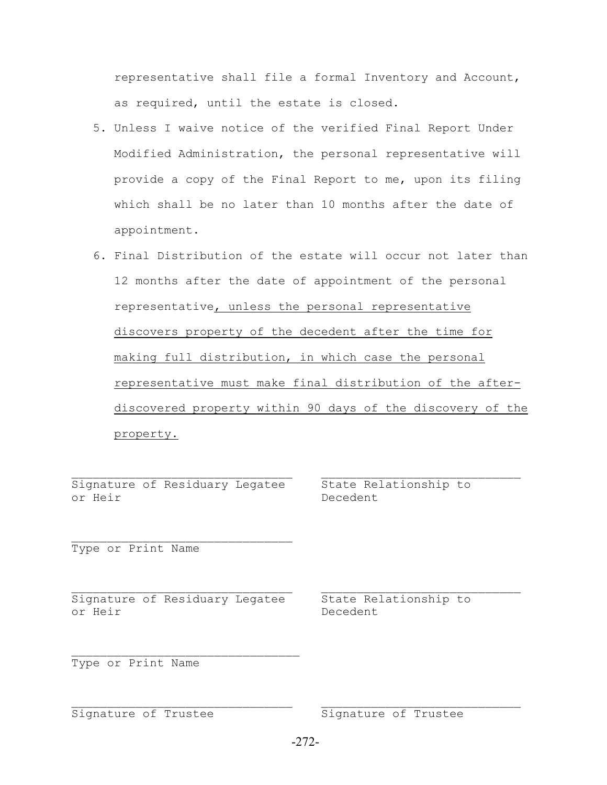representative shall file a formal Inventory and Account, as required, until the estate is closed.

- 5. Unless I waive notice of the verified Final Report Under Modified Administration, the personal representative will provide a copy of the Final Report to me, upon its filing which shall be no later than 10 months after the date of appointment.
- 6. Final Distribution of the estate will occur not later than 12 months after the date of appointment of the personal representative, unless the personal representative discovers property of the decedent after the time for making full distribution, in which case the personal representative must make final distribution of the after discovered property within 90 days of the discovery of the property.

Signature of Residuary Legatee State Relationship to or Heir Decedent

 $\mathcal{L}_\text{max}$ 

Type or Print Name

Signature of Residuary Legatee State Relationship to or Heir Decedent

 $\mathcal{L}_\text{max}$ 

Type or Print Name

Signature of Trustee Signature of Trustee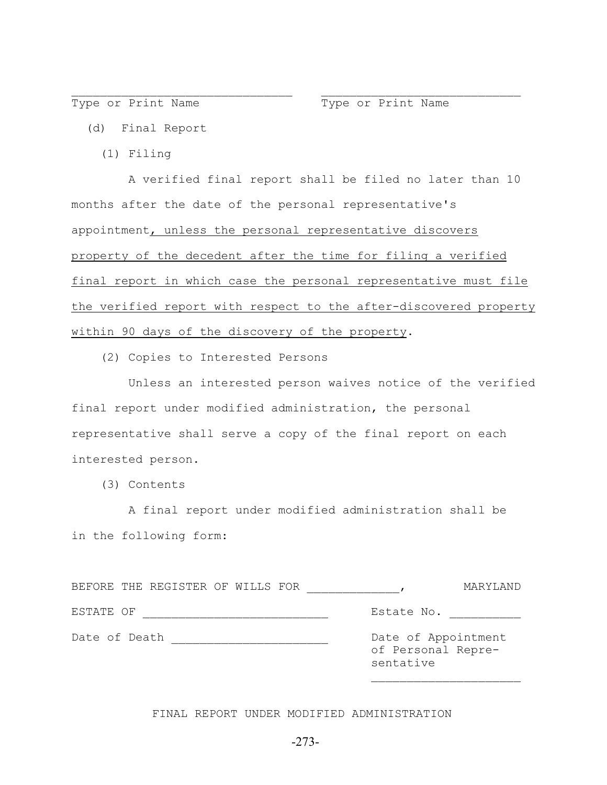Type or Print Name Type or Print Name

- (d) Final Report
	- (1) Filing

 A verified final report shall be filed no later than 10 months after the date of the personal representative's appointment, unless the personal representative discovers property of the decedent after the time for filing a verified final report in which case the personal representative must file the verified report with respect to the after-discovered property within 90 days of the discovery of the property.

 $\mathcal{L}_\text{max}$  and the contract of the contract of the contract of the contract of the contract of the contract of

(2) Copies to Interested Persons

 Unless an interested person waives notice of the verified final report under modified administration, the personal representative shall serve a copy of the final report on each interested person.

(3) Contents

 A final report under modified administration shall be in the following form:

| BEFORE THE REGISTER OF WILLS FOR | MARYLAND                                               |
|----------------------------------|--------------------------------------------------------|
| ESTATE OF                        | Estate No.                                             |
| Date of Death                    | Date of Appointment<br>of Personal Repre-<br>sentative |

 $\mathcal{L}_\text{max}$  and  $\mathcal{L}_\text{max}$  and  $\mathcal{L}_\text{max}$  and  $\mathcal{L}_\text{max}$  and  $\mathcal{L}_\text{max}$ 

FINAL REPORT UNDER MODIFIED ADMINISTRATION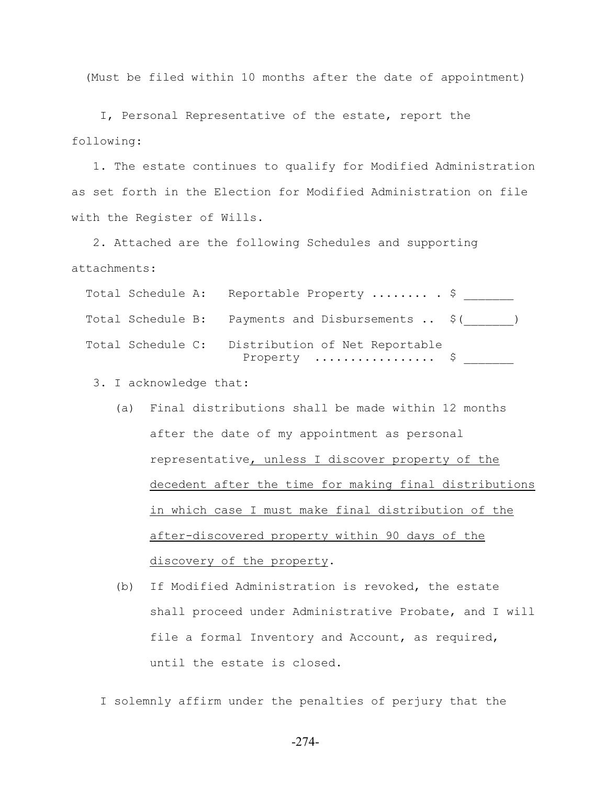(Must be filed within 10 months after the date of appointment)

 I, Personal Representative of the estate, report the following:

 1. The estate continues to qualify for Modified Administration as set forth in the Election for Modified Administration on file with the Register of Wills.

 2. Attached are the following Schedules and supporting attachments:

|  | Total Schedule A: Reportable Property  \$                                                   |  |
|--|---------------------------------------------------------------------------------------------|--|
|  | Total Schedule B: Payments and Disbursements  \$()                                          |  |
|  | Total Schedule C: Distribution of Net Reportable<br>Property $\dots\dots\dots\dots\dots$ \$ |  |

3. I acknowledge that:

- (a) Final distributions shall be made within 12 months after the date of my appointment as personal representative, unless I discover property of the decedent after the time for making final distributions in which case I must make final distribution of the after-discovered property within 90 days of the discovery of the property.
- (b) If Modified Administration is revoked, the estate shall proceed under Administrative Probate, and I will file a formal Inventory and Account, as required, until the estate is closed.

I solemnly affirm under the penalties of perjury that the

-274-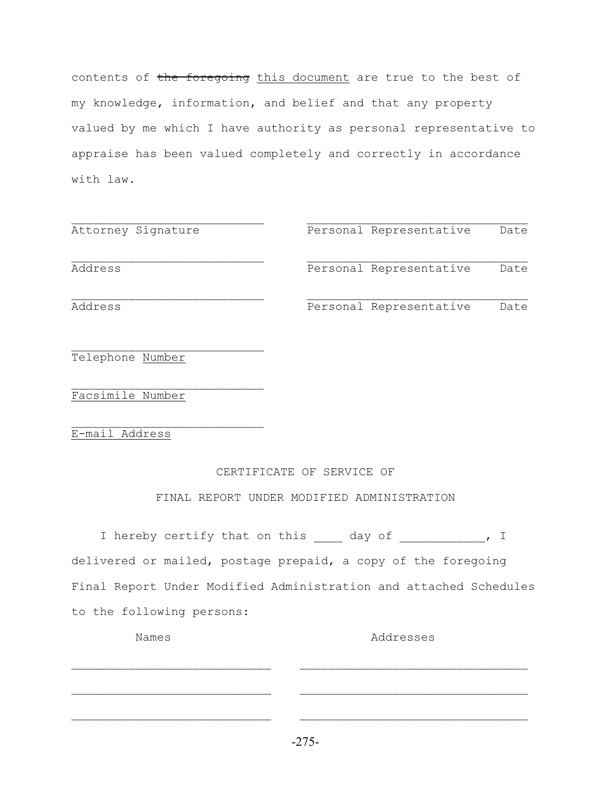contents of the foregoing this document are true to the best of my knowledge, information, and belief and that any property valued by me which I have authority as personal representative to appraise has been valued completely and correctly in accordance with law.

| Attorney Signature | Personal Representative | Date |
|--------------------|-------------------------|------|
| Address            | Personal Representative | Date |
| Address            | Personal Representative | Date |

 $\mathcal{L}_\text{max}$ Telephone Number

Facsimile Number

 $\mathcal{L}_\text{max}$ E-mail Address

## CERTIFICATE OF SERVICE OF

FINAL REPORT UNDER MODIFIED ADMINISTRATION

|  |                           | I hereby certify that on this day of ________, I                  |  |  |
|--|---------------------------|-------------------------------------------------------------------|--|--|
|  |                           | delivered or mailed, postage prepaid, a copy of the foregoing     |  |  |
|  |                           | Final Report Under Modified Administration and attached Schedules |  |  |
|  | to the following persons: |                                                                   |  |  |

Names **Addresses** 

 $\mathcal{L}_\text{max}$  and the contract of the contract of the contract of the contract of the contract of the contract of

 $\mathcal{L}_\text{max}$  and the contract of the contract of the contract of the contract of the contract of the contract of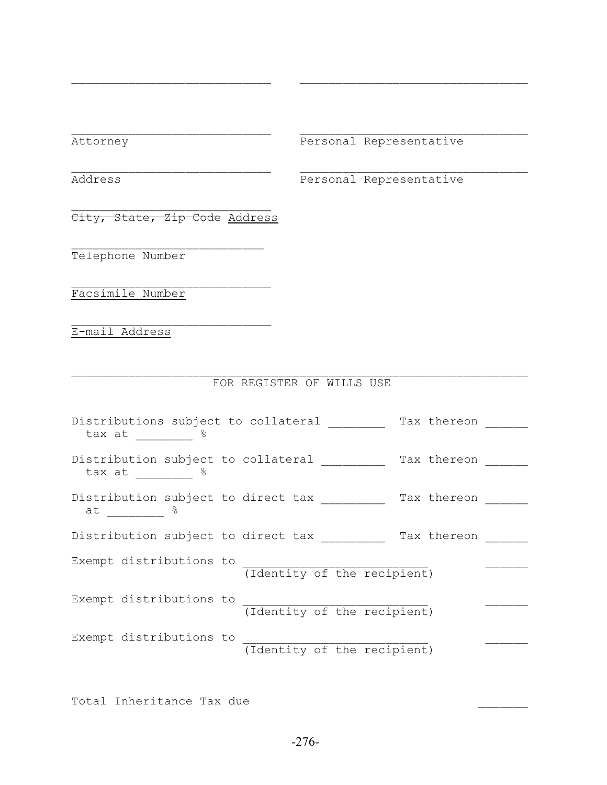Attorney Personal Representative

Address Personal Representative

 $\mathcal{L}_\text{max}$ City, State, Zip Code Address

 $\mathcal{L}_\text{max}$ 

 $\mathcal{L}_\text{max}$ 

Telephone Number

Facsimile Number

E-mail Address

## FOR REGISTER OF WILLS USE

 $\mathcal{L}_\text{max}$  and the contract of the contract of the contract of the contract of the contract of the contract of

 $\mathcal{L}_\text{max}$  and the contract of the contract of the contract of the contract of the contract of the contract of

| Distributions subject to collateral<br>- 2<br>tax at      |                             | Tax thereon |
|-----------------------------------------------------------|-----------------------------|-------------|
| Distribution subject to collateral<br>tax at 8            |                             | Tax thereon |
| Distribution subject to direct tax<br>$\frac{8}{6}$<br>at |                             | Tax thereon |
| Distribution subject to direct tax                        |                             | Tax thereon |
| Exempt distributions to                                   | (Identity of the recipient) |             |
| Exempt distributions to                                   | (Identity of the recipient) |             |
| Exempt distributions to                                   | (Identity of the recipient) |             |

Total Inheritance Tax due \_\_\_\_\_\_\_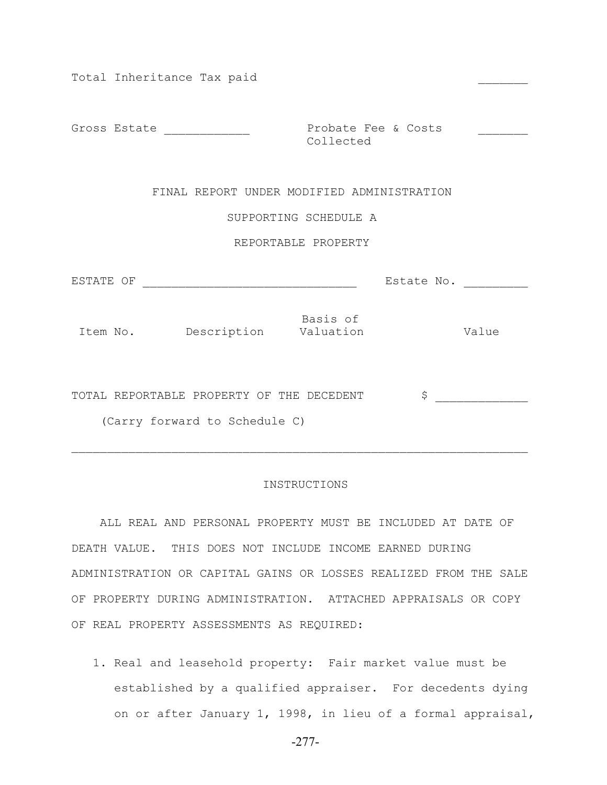| Total Inheritance Tax paid                                                 |                                  |                  |
|----------------------------------------------------------------------------|----------------------------------|------------------|
| Gross Estate ______________                                                | Probate Fee & Costs<br>Collected |                  |
| FINAL REPORT UNDER MODIFIED ADMINISTRATION                                 |                                  |                  |
|                                                                            | SUPPORTING SCHEDULE A            |                  |
|                                                                            | REPORTABLE PROPERTY              |                  |
|                                                                            |                                  | Estate No. _____ |
| Item No. Description Valuation                                             | Basis of                         | Value            |
| TOTAL REPORTABLE PROPERTY OF THE DECEDENT<br>(Carry forward to Schedule C) |                                  | \$               |

## INSTRUCTIONS

 ALL REAL AND PERSONAL PROPERTY MUST BE INCLUDED AT DATE OF DEATH VALUE. THIS DOES NOT INCLUDE INCOME EARNED DURING ADMINISTRATION OR CAPITAL GAINS OR LOSSES REALIZED FROM THE SALE OF PROPERTY DURING ADMINISTRATION. ATTACHED APPRAISALS OR COPY OF REAL PROPERTY ASSESSMENTS AS REQUIRED:

 1. Real and leasehold property: Fair market value must be established by a qualified appraiser. For decedents dying on or after January 1, 1998, in lieu of a formal appraisal,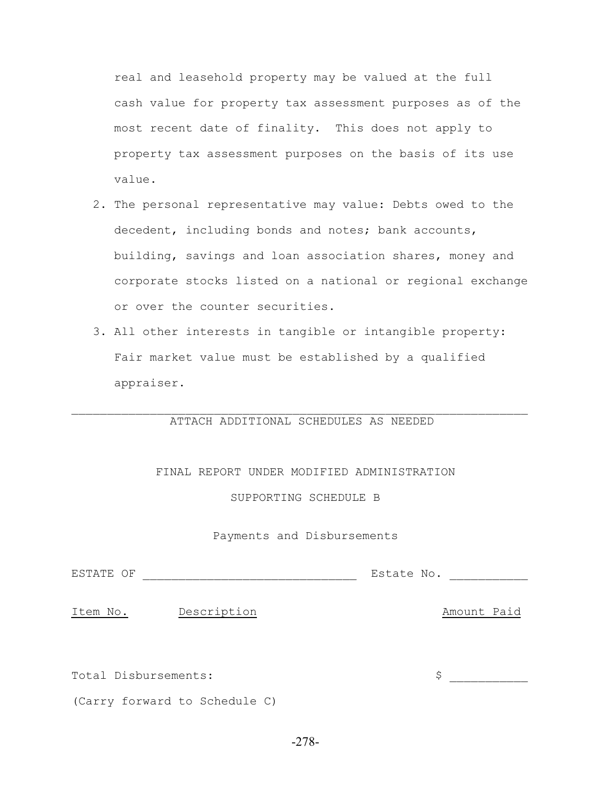real and leasehold property may be valued at the full cash value for property tax assessment purposes as of the most recent date of finality. This does not apply to property tax assessment purposes on the basis of its use value.

- 2. The personal representative may value: Debts owed to the decedent, including bonds and notes; bank accounts, building, savings and loan association shares, money and corporate stocks listed on a national or regional exchange or over the counter securities.
- 3. All other interests in tangible or intangible property: Fair market value must be established by a qualified appraiser.

## $\mathcal{L}_\text{max} = \mathcal{L}_\text{max} = \mathcal{L}_\text{max} = \mathcal{L}_\text{max} = \mathcal{L}_\text{max} = \mathcal{L}_\text{max} = \mathcal{L}_\text{max} = \mathcal{L}_\text{max} = \mathcal{L}_\text{max} = \mathcal{L}_\text{max} = \mathcal{L}_\text{max} = \mathcal{L}_\text{max} = \mathcal{L}_\text{max} = \mathcal{L}_\text{max} = \mathcal{L}_\text{max} = \mathcal{L}_\text{max} = \mathcal{L}_\text{max} = \mathcal{L}_\text{max} = \mathcal{$ ATTACH ADDITIONAL SCHEDULES AS NEEDED

## FINAL REPORT UNDER MODIFIED ADMINISTRATION

SUPPORTING SCHEDULE B

## Payments and Disbursements

ESTATE OF \_\_\_\_\_\_\_\_\_\_\_\_\_\_\_\_\_\_\_\_\_\_\_\_\_\_\_\_\_\_ Estate No. \_\_\_\_\_\_\_\_\_\_\_

Item No. Description Contract Contract Amount Paid

Total Disbursements:  $\zeta$ 

(Carry forward to Schedule C)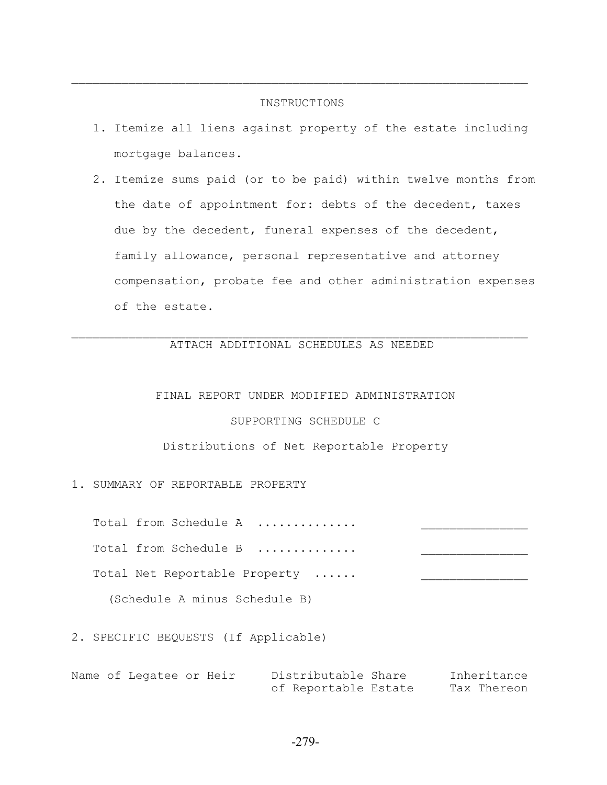## INSTRUCTIONS

 $\mathcal{L}_\text{max} = \mathcal{L}_\text{max} = \mathcal{L}_\text{max} = \mathcal{L}_\text{max} = \mathcal{L}_\text{max} = \mathcal{L}_\text{max} = \mathcal{L}_\text{max} = \mathcal{L}_\text{max} = \mathcal{L}_\text{max} = \mathcal{L}_\text{max} = \mathcal{L}_\text{max} = \mathcal{L}_\text{max} = \mathcal{L}_\text{max} = \mathcal{L}_\text{max} = \mathcal{L}_\text{max} = \mathcal{L}_\text{max} = \mathcal{L}_\text{max} = \mathcal{L}_\text{max} = \mathcal{$ 

- 1. Itemize all liens against property of the estate including mortgage balances.
- 2. Itemize sums paid (or to be paid) within twelve months from the date of appointment for: debts of the decedent, taxes due by the decedent, funeral expenses of the decedent, family allowance, personal representative and attorney compensation, probate fee and other administration expenses of the estate.

## $\mathcal{L}_\text{max} = \mathcal{L}_\text{max} = \mathcal{L}_\text{max} = \mathcal{L}_\text{max} = \mathcal{L}_\text{max} = \mathcal{L}_\text{max} = \mathcal{L}_\text{max} = \mathcal{L}_\text{max} = \mathcal{L}_\text{max} = \mathcal{L}_\text{max} = \mathcal{L}_\text{max} = \mathcal{L}_\text{max} = \mathcal{L}_\text{max} = \mathcal{L}_\text{max} = \mathcal{L}_\text{max} = \mathcal{L}_\text{max} = \mathcal{L}_\text{max} = \mathcal{L}_\text{max} = \mathcal{$ ATTACH ADDITIONAL SCHEDULES AS NEEDED

## FINAL REPORT UNDER MODIFIED ADMINISTRATION

## SUPPORTING SCHEDULE C

### Distributions of Net Reportable Property

## 1. SUMMARY OF REPORTABLE PROPERTY

Total from Schedule A .............

Total from Schedule B .............

Total Net Reportable Property ......

(Schedule A minus Schedule B)

## 2. SPECIFIC BEQUESTS (If Applicable)

Name of Legatee or Heir Distributable Share Inheritance of Reportable Estate Tax Thereon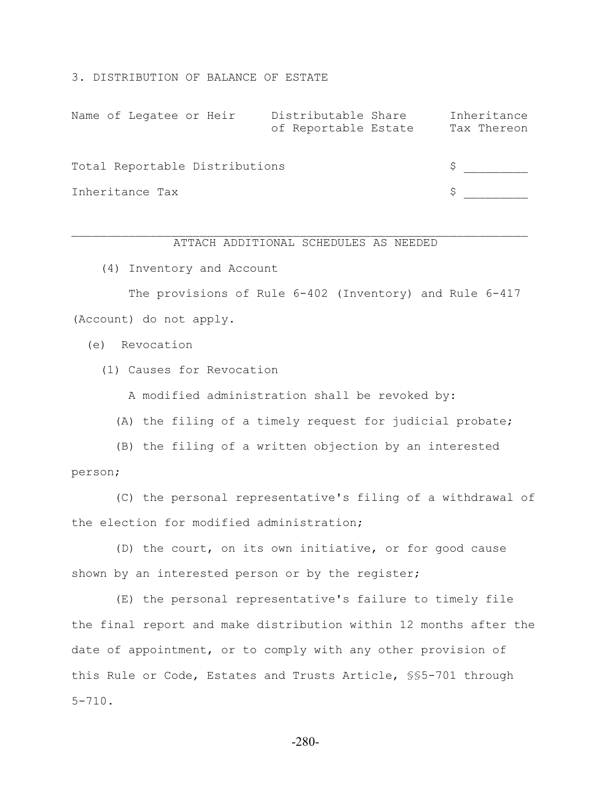3. DISTRIBUTION OF BALANCE OF ESTATE

| Name of Legatee or Heir        | Distributable Share<br>of Reportable Estate | Inheritance<br>Tax Thereon |
|--------------------------------|---------------------------------------------|----------------------------|
| Total Reportable Distributions |                                             |                            |
| Inheritance Tax                |                                             |                            |

## $\mathcal{L}_\text{max} = \mathcal{L}_\text{max} = \mathcal{L}_\text{max} = \mathcal{L}_\text{max} = \mathcal{L}_\text{max} = \mathcal{L}_\text{max} = \mathcal{L}_\text{max} = \mathcal{L}_\text{max} = \mathcal{L}_\text{max} = \mathcal{L}_\text{max} = \mathcal{L}_\text{max} = \mathcal{L}_\text{max} = \mathcal{L}_\text{max} = \mathcal{L}_\text{max} = \mathcal{L}_\text{max} = \mathcal{L}_\text{max} = \mathcal{L}_\text{max} = \mathcal{L}_\text{max} = \mathcal{$ ATTACH ADDITIONAL SCHEDULES AS NEEDED

(4) Inventory and Account

 The provisions of Rule 6-402 (Inventory) and Rule 6-417 (Account) do not apply.

(e) Revocation

(1) Causes for Revocation

A modified administration shall be revoked by:

(A) the filing of a timely request for judicial probate;

 (B) the filing of a written objection by an interested person;

 (C) the personal representative's filing of a withdrawal of the election for modified administration;

 (D) the court, on its own initiative, or for good cause shown by an interested person or by the register;

 (E) the personal representative's failure to timely file the final report and make distribution within 12 months after the date of appointment, or to comply with any other provision of this Rule or Code, Estates and Trusts Article, §§5-701 through 5-710.

-280-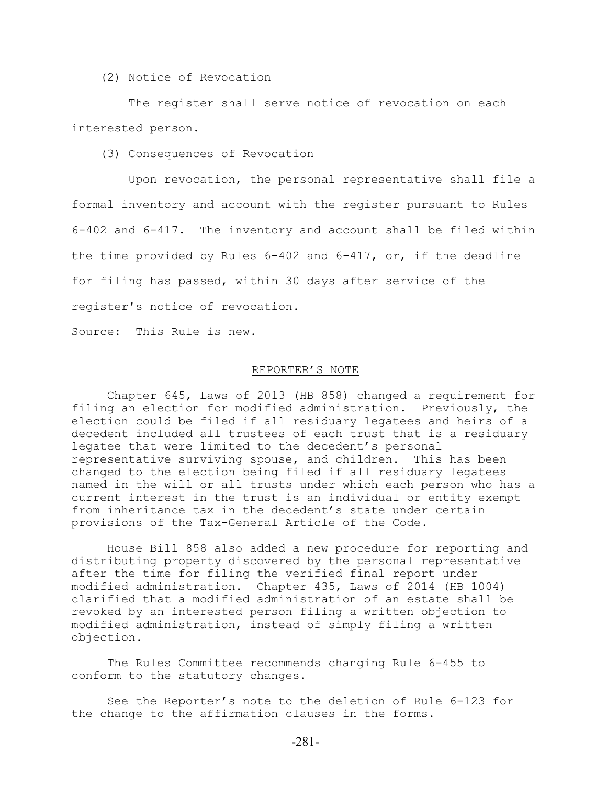(2) Notice of Revocation

 The register shall serve notice of revocation on each interested person.

(3) Consequences of Revocation

 Upon revocation, the personal representative shall file a formal inventory and account with the register pursuant to Rules 6-402 and 6-417. The inventory and account shall be filed within the time provided by Rules  $6-402$  and  $6-417$ , or, if the deadline for filing has passed, within 30 days after service of the register's notice of revocation.

Source: This Rule is new.

## REPORTER'S NOTE

Chapter 645, Laws of 2013 (HB 858) changed a requirement for filing an election for modified administration. Previously, the election could be filed if all residuary legatees and heirs of a decedent included all trustees of each trust that is a residuary legatee that were limited to the decedent's personal representative surviving spouse, and children. This has been changed to the election being filed if all residuary legatees named in the will or all trusts under which each person who has a current interest in the trust is an individual or entity exempt from inheritance tax in the decedent's state under certain provisions of the Tax-General Article of the Code.

House Bill 858 also added a new procedure for reporting and distributing property discovered by the personal representative after the time for filing the verified final report under modified administration. Chapter 435, Laws of 2014 (HB 1004) clarified that a modified administration of an estate shall be revoked by an interested person filing a written objection to modified administration, instead of simply filing a written objection.

The Rules Committee recommends changing Rule 6-455 to conform to the statutory changes.

See the Reporter's note to the deletion of Rule 6-123 for the change to the affirmation clauses in the forms.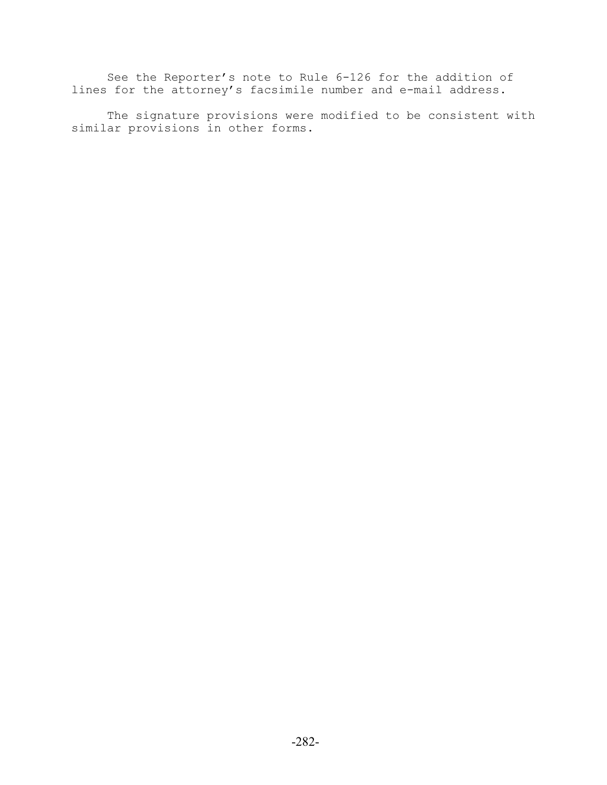See the Reporter's note to Rule 6-126 for the addition of lines for the attorney's facsimile number and e-mail address.

The signature provisions were modified to be consistent with similar provisions in other forms.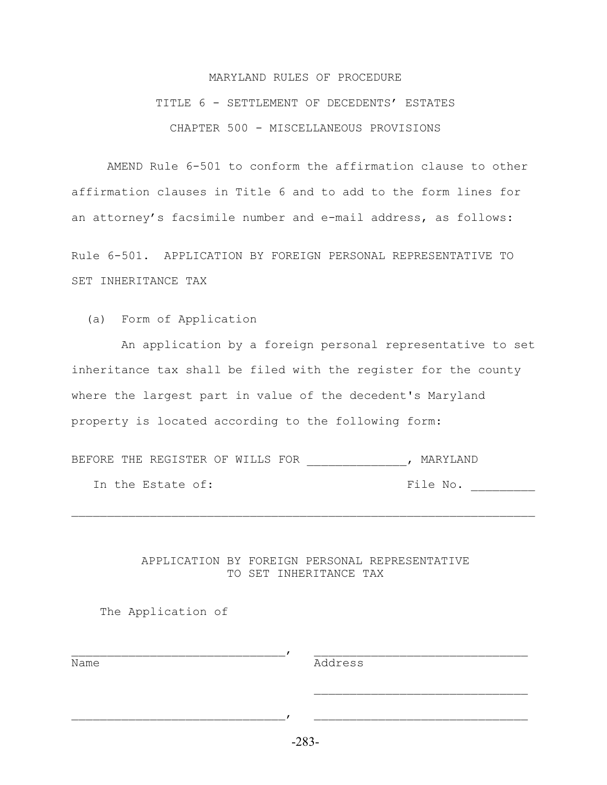# MARYLAND RULES OF PROCEDURE TITLE 6 - SETTLEMENT OF DECEDENTS' ESTATES CHAPTER 500 - MISCELLANEOUS PROVISIONS

AMEND Rule 6-501 to conform the affirmation clause to other affirmation clauses in Title 6 and to add to the form lines for an attorney's facsimile number and e-mail address, as follows:

Rule 6-501. APPLICATION BY FOREIGN PERSONAL REPRESENTATIVE TO SET INHERITANCE TAX

(a) Form of Application

 An application by a foreign personal representative to set inheritance tax shall be filed with the register for the county where the largest part in value of the decedent's Maryland property is located according to the following form:

BEFORE THE REGISTER OF WILLS FOR THE MARYLAND

In the Estate of: The No. File No.

APPLICATION BY FOREIGN PERSONAL REPRESENTATIVE TO SET INHERITANCE TAX

 $\mathcal{L}$ 

 $\mathcal{L}_\text{max} = \mathcal{L}_\text{max} = \mathcal{L}_\text{max} = \mathcal{L}_\text{max} = \mathcal{L}_\text{max} = \mathcal{L}_\text{max} = \mathcal{L}_\text{max} = \mathcal{L}_\text{max} = \mathcal{L}_\text{max} = \mathcal{L}_\text{max} = \mathcal{L}_\text{max} = \mathcal{L}_\text{max} = \mathcal{L}_\text{max} = \mathcal{L}_\text{max} = \mathcal{L}_\text{max} = \mathcal{L}_\text{max} = \mathcal{L}_\text{max} = \mathcal{L}_\text{max} = \mathcal{$ 

The Application of

<u>Name Manners (Manners Communication</u> Communication Communication Communication Communication Communication Communication Communication Communication Communication Communication Communication Communication Communication Co

-283-

 $\mathcal{L}$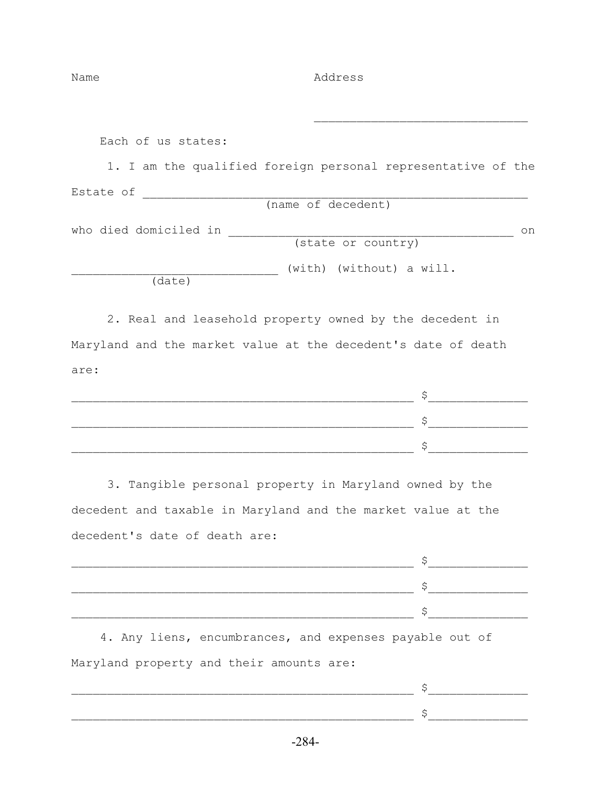Name Address

Each of us states:

 1. I am the qualified foreign personal representative of the Estate of \_\_\_\_\_\_\_\_\_\_\_\_\_\_\_\_\_\_\_\_\_\_\_\_\_\_\_\_\_\_\_\_\_\_\_\_\_\_\_\_\_\_\_\_\_\_\_\_\_\_\_\_\_\_ (name of decedent)

 $\mathcal{L}_\text{max}$  and  $\mathcal{L}_\text{max}$  and  $\mathcal{L}_\text{max}$  and  $\mathcal{L}_\text{max}$  and  $\mathcal{L}_\text{max}$ 

who died domiciled in \_\_\_\_\_\_\_\_\_\_\_\_\_\_\_\_\_\_\_\_\_\_\_\_\_\_\_\_\_\_\_\_\_\_\_\_\_\_\_\_ on (state or country)

(with) (without) a will.

(date)

 2. Real and leasehold property owned by the decedent in Maryland and the market value at the decedent's date of death are:

| _________ |  |
|-----------|--|
|           |  |

 3. Tangible personal property in Maryland owned by the decedent and taxable in Maryland and the market value at the decedent's date of death are:

| ___       |  |
|-----------|--|
| _________ |  |
| ___       |  |

 4. Any liens, encumbrances, and expenses payable out of Maryland property and their amounts are: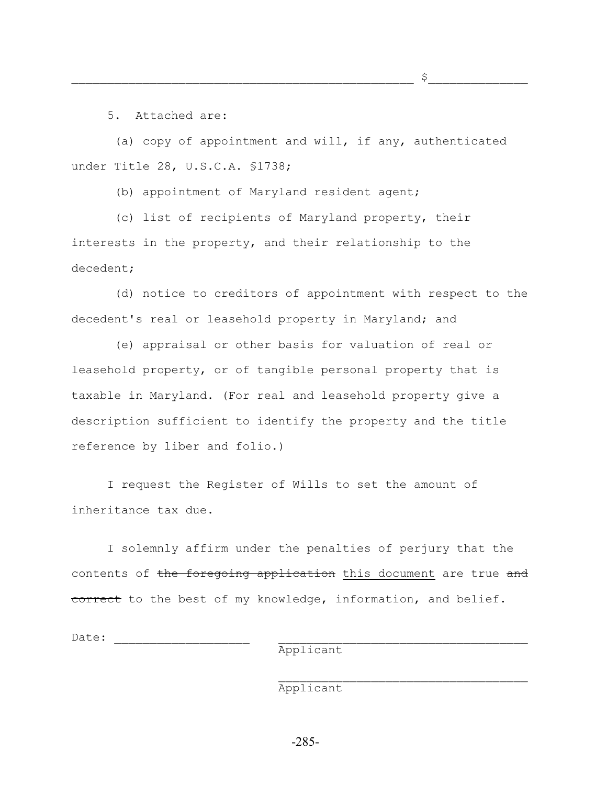$\varsigma$ 

5. Attached are:

 (a) copy of appointment and will, if any, authenticated under Title 28, U.S.C.A. §1738;

(b) appointment of Maryland resident agent;

 (c) list of recipients of Maryland property, their interests in the property, and their relationship to the decedent;

 (d) notice to creditors of appointment with respect to the decedent's real or leasehold property in Maryland; and

 (e) appraisal or other basis for valuation of real or leasehold property, or of tangible personal property that is taxable in Maryland. (For real and leasehold property give a description sufficient to identify the property and the title reference by liber and folio.)

 I request the Register of Wills to set the amount of inheritance tax due.

 I solemnly affirm under the penalties of perjury that the contents of the foregoing application this document are true and correct to the best of my knowledge, information, and belief.

Date:

Applicant

Applicant

 $\mathcal{L}_\text{max}$  and  $\mathcal{L}_\text{max}$  and  $\mathcal{L}_\text{max}$  and  $\mathcal{L}_\text{max}$  and  $\mathcal{L}_\text{max}$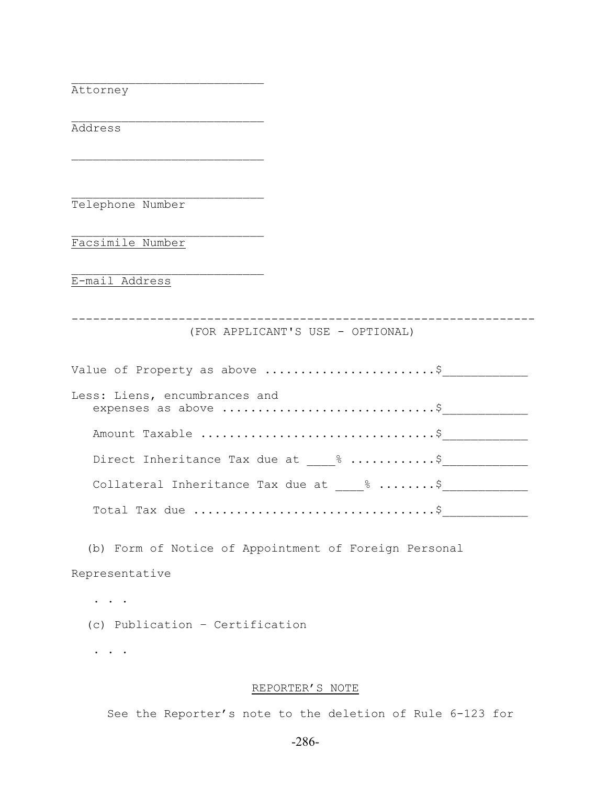Attorney

Address

Telephone Number

 $\mathcal{L}_\text{max}$ 

 $\mathcal{L}_\text{max}$ 

 $\mathcal{L}_\text{max}$ 

 $\mathcal{L}_\text{max}$ 

Facsimile Number

E-mail Address

----------------------------------------------------------------- (FOR APPLICANT'S USE - OPTIONAL)

| Value of Property as above \$                         |  |
|-------------------------------------------------------|--|
| Less: Liens, encumbrances and<br>expenses as above \$ |  |
|                                                       |  |
| Direct Inheritance Tax due at 8 \$                    |  |
| Collateral Inheritance Tax due at 8 \$                |  |
|                                                       |  |

 (b) Form of Notice of Appointment of Foreign Personal Representative

. . . . . (c) Publication – Certification

. . .

## REPORTER'S NOTE

See the Reporter's note to the deletion of Rule 6-123 for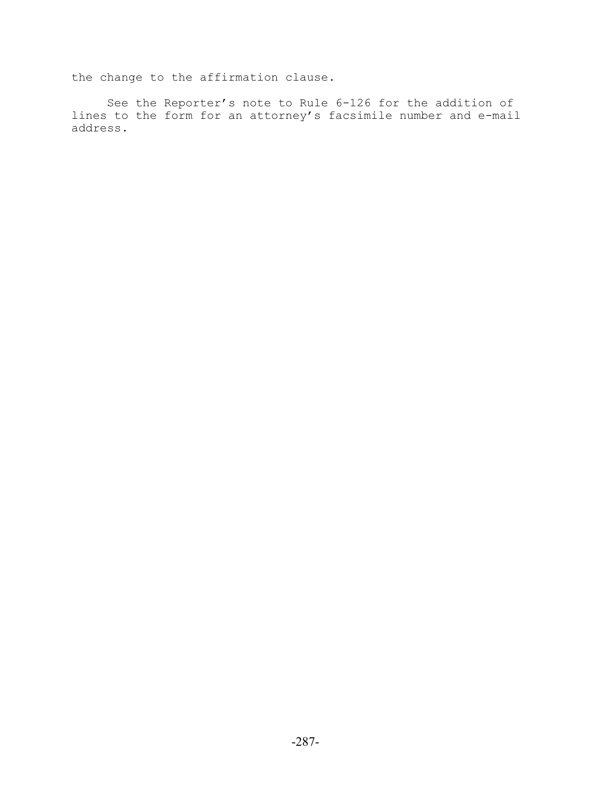the change to the affirmation clause.

See the Reporter's note to Rule 6-126 for the addition of lines to the form for an attorney's facsimile number and e-mail address.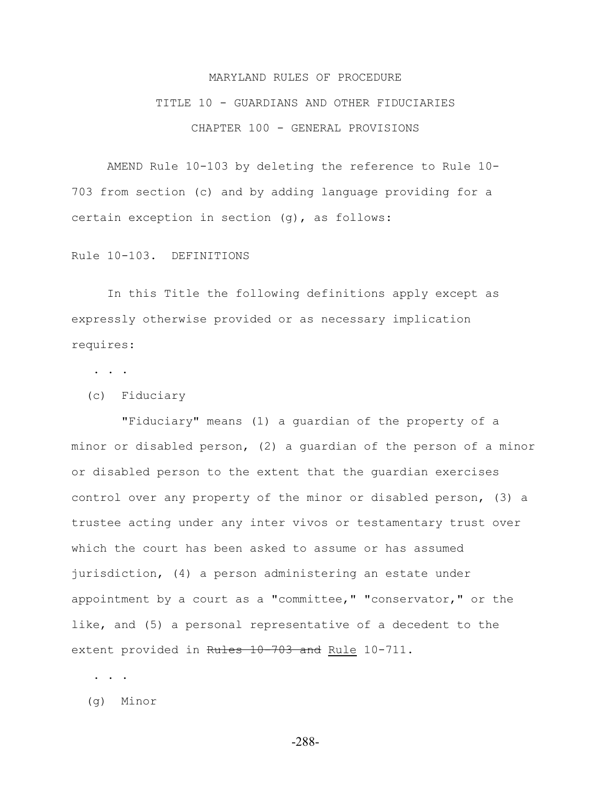## MARYLAND RULES OF PROCEDURE

## TITLE 10 - GUARDIANS AND OTHER FIDUCIARIES CHAPTER 100 - GENERAL PROVISIONS

AMEND Rule 10-103 by deleting the reference to Rule 10- 703 from section (c) and by adding language providing for a certain exception in section (g), as follows:

Rule 10-103. DEFINITIONS

In this Title the following definitions apply except as expressly otherwise provided or as necessary implication requires:

. . .

(c) Fiduciary

 "Fiduciary" means (1) a guardian of the property of a minor or disabled person, (2) a guardian of the person of a minor or disabled person to the extent that the guardian exercises control over any property of the minor or disabled person, (3) a trustee acting under any inter vivos or testamentary trust over which the court has been asked to assume or has assumed jurisdiction, (4) a person administering an estate under appointment by a court as a "committee," "conservator," or the like, and (5) a personal representative of a decedent to the extent provided in Rules 10-703 and Rule 10-711.

. . .

(g) Minor

-288-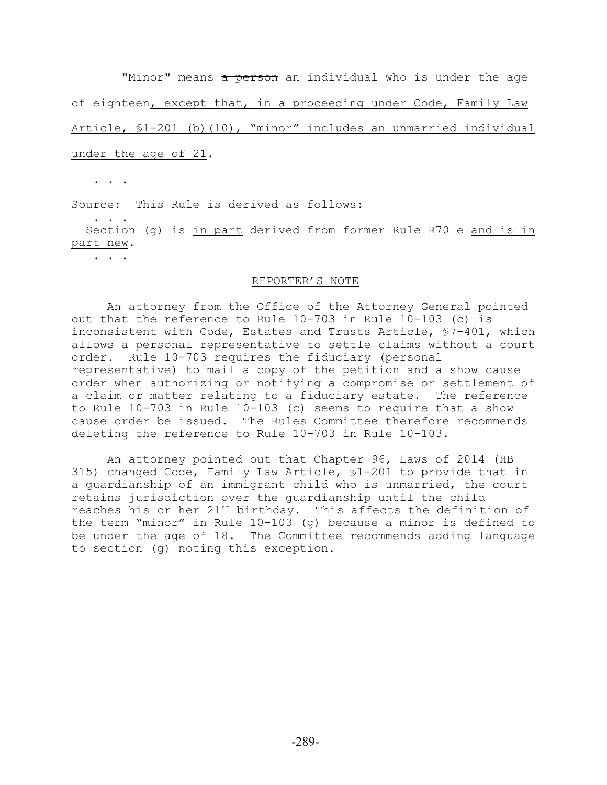"Minor" means a person an individual who is under the age of eighteen, except that, in a proceeding under Code, Family Law Article, §1-201 (b)(10), "minor" includes an unmarried individual under the age of 21.

. . .

Source: This Rule is derived as follows:

 . . . Section (g) is in part derived from former Rule R70 e and is in part new.

. . .

#### REPORTER'S NOTE

An attorney from the Office of the Attorney General pointed out that the reference to Rule 10-703 in Rule 10-103 (c) is inconsistent with Code, Estates and Trusts Article, §7-401, which allows a personal representative to settle claims without a court order. Rule 10-703 requires the fiduciary (personal representative) to mail a copy of the petition and a show cause order when authorizing or notifying a compromise or settlement of a claim or matter relating to a fiduciary estate. The reference to Rule 10-703 in Rule 10-103 (c) seems to require that a show cause order be issued. The Rules Committee therefore recommends deleting the reference to Rule 10-703 in Rule 10-103.

An attorney pointed out that Chapter 96, Laws of 2014 (HB 315) changed Code, Family Law Article, §1-201 to provide that in a guardianship of an immigrant child who is unmarried, the court retains jurisdiction over the guardianship until the child reaches his or her  $21^{st}$  birthday. This affects the definition of the term "minor" in Rule 10-103 (g) because a minor is defined to be under the age of 18. The Committee recommends adding language to section (g) noting this exception.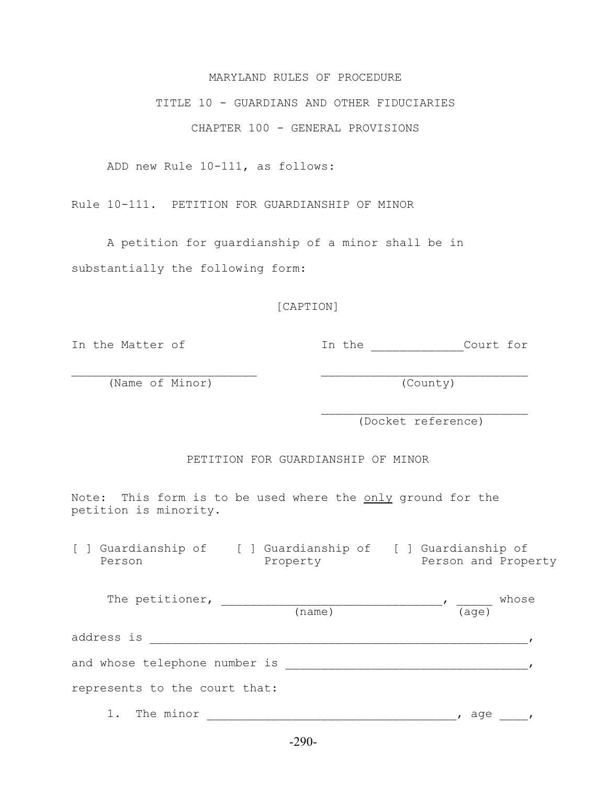#### MARYLAND RULES OF PROCEDURE

#### TITLE 10 - GUARDIANS AND OTHER FIDUCIARIES

CHAPTER 100 - GENERAL PROVISIONS

ADD new Rule 10-111, as follows:

Rule 10-111. PETITION FOR GUARDIANSHIP OF MINOR

A petition for guardianship of a minor shall be in substantially the following form:

#### [CAPTION]

In the Matter of The Inthe Court for

(Name of Minor) (County)

(Docket reference)

PETITION FOR GUARDIANSHIP OF MINOR

 $\mathcal{L}_\text{max}$  and  $\mathcal{L}_\text{max}$  and  $\mathcal{L}_\text{max}$  and  $\mathcal{L}_\text{max}$  and  $\mathcal{L}_\text{max}$ 

Note: This form is to be used where the only ground for the petition is minority.

[ ] Guardianship of [ ] Guardianship of [ ] Guardianship of Person **Property** Person and Property

| The petitioner,               |        |                | whose |
|-------------------------------|--------|----------------|-------|
|                               | (name) | $(\text{age})$ |       |
| address is                    |        |                |       |
| and whose telephone number is |        |                |       |
| represents to the court that: |        |                |       |
| The minor                     |        | aqe            |       |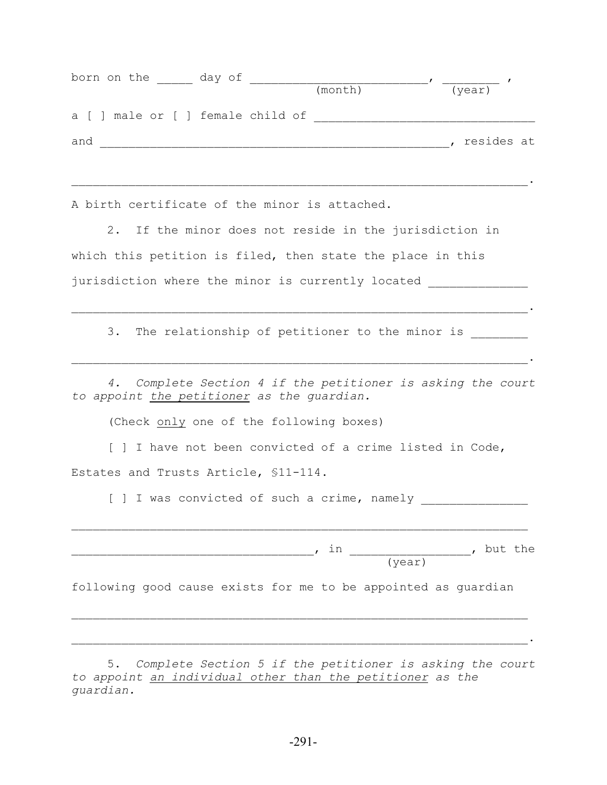| born on the day of |         |                                   |
|--------------------|---------|-----------------------------------|
|                    | (month) | (year)                            |
|                    |         |                                   |
|                    |         | resides at                        |
|                    |         |                                   |
|                    |         | a [ ] male or [ ] female child of |

A birth certificate of the minor is attached.

2. If the minor does not reside in the jurisdiction in which this petition is filed, then state the place in this jurisdiction where the minor is currently located \_\_\_\_\_\_\_\_\_\_\_\_\_\_

3. The relationship of petitioner to the minor is \_\_\_\_\_\_\_\_

 $\mathcal{L}_\mathcal{L} = \mathcal{L}_\mathcal{L} = \mathcal{L}_\mathcal{L} = \mathcal{L}_\mathcal{L} = \mathcal{L}_\mathcal{L} = \mathcal{L}_\mathcal{L} = \mathcal{L}_\mathcal{L} = \mathcal{L}_\mathcal{L} = \mathcal{L}_\mathcal{L} = \mathcal{L}_\mathcal{L} = \mathcal{L}_\mathcal{L} = \mathcal{L}_\mathcal{L} = \mathcal{L}_\mathcal{L} = \mathcal{L}_\mathcal{L} = \mathcal{L}_\mathcal{L} = \mathcal{L}_\mathcal{L} = \mathcal{L}_\mathcal{L}$ 

*4. Complete Section 4 if the petitioner is asking the court to appoint the petitioner as the guardian.*

 $\mathcal{L}_\mathcal{L} = \mathcal{L}_\mathcal{L} = \mathcal{L}_\mathcal{L} = \mathcal{L}_\mathcal{L} = \mathcal{L}_\mathcal{L} = \mathcal{L}_\mathcal{L} = \mathcal{L}_\mathcal{L} = \mathcal{L}_\mathcal{L} = \mathcal{L}_\mathcal{L} = \mathcal{L}_\mathcal{L} = \mathcal{L}_\mathcal{L} = \mathcal{L}_\mathcal{L} = \mathcal{L}_\mathcal{L} = \mathcal{L}_\mathcal{L} = \mathcal{L}_\mathcal{L} = \mathcal{L}_\mathcal{L} = \mathcal{L}_\mathcal{L}$ 

(Check only one of the following boxes)

[ ] I have not been convicted of a crime listed in Code, Estates and Trusts Article, §11-114.

[ ] I was convicted of such a crime, namely

, in  $\qquad \qquad$ , in  $\qquad \qquad$ , but the (year)

 $\mathcal{L}_\text{max} = \mathcal{L}_\text{max} = \mathcal{L}_\text{max} = \mathcal{L}_\text{max} = \mathcal{L}_\text{max} = \mathcal{L}_\text{max} = \mathcal{L}_\text{max} = \mathcal{L}_\text{max} = \mathcal{L}_\text{max} = \mathcal{L}_\text{max} = \mathcal{L}_\text{max} = \mathcal{L}_\text{max} = \mathcal{L}_\text{max} = \mathcal{L}_\text{max} = \mathcal{L}_\text{max} = \mathcal{L}_\text{max} = \mathcal{L}_\text{max} = \mathcal{L}_\text{max} = \mathcal{$ 

following good cause exists for me to be appointed as guardian

 $\mathcal{L}_\text{max} = \mathcal{L}_\text{max} = \mathcal{L}_\text{max} = \mathcal{L}_\text{max} = \mathcal{L}_\text{max} = \mathcal{L}_\text{max} = \mathcal{L}_\text{max} = \mathcal{L}_\text{max} = \mathcal{L}_\text{max} = \mathcal{L}_\text{max} = \mathcal{L}_\text{max} = \mathcal{L}_\text{max} = \mathcal{L}_\text{max} = \mathcal{L}_\text{max} = \mathcal{L}_\text{max} = \mathcal{L}_\text{max} = \mathcal{L}_\text{max} = \mathcal{L}_\text{max} = \mathcal{$ 

5. *Complete Section 5 if the petitioner is asking the court to appoint an individual other than the petitioner as the guardian.*

 $\mathcal{L}_\mathcal{L} = \mathcal{L}_\mathcal{L} = \mathcal{L}_\mathcal{L} = \mathcal{L}_\mathcal{L} = \mathcal{L}_\mathcal{L} = \mathcal{L}_\mathcal{L} = \mathcal{L}_\mathcal{L} = \mathcal{L}_\mathcal{L} = \mathcal{L}_\mathcal{L} = \mathcal{L}_\mathcal{L} = \mathcal{L}_\mathcal{L} = \mathcal{L}_\mathcal{L} = \mathcal{L}_\mathcal{L} = \mathcal{L}_\mathcal{L} = \mathcal{L}_\mathcal{L} = \mathcal{L}_\mathcal{L} = \mathcal{L}_\mathcal{L}$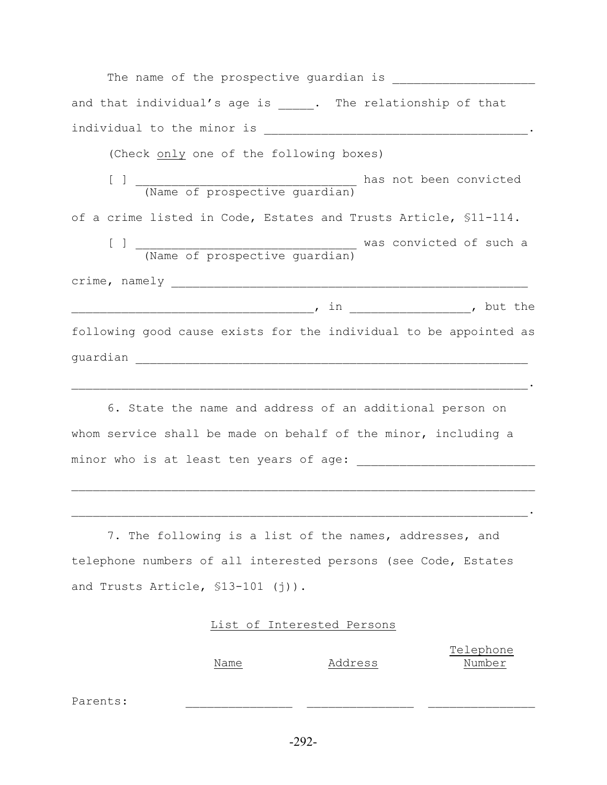| and that individual's age is _____. The relationship of that      |
|-------------------------------------------------------------------|
|                                                                   |
| (Check only one of the following boxes)                           |
|                                                                   |
| of a crime listed in Code, Estates and Trusts Article, \$11-114.  |
|                                                                   |
|                                                                   |
|                                                                   |
| following good cause exists for the individual to be appointed as |
|                                                                   |
|                                                                   |

6. State the name and address of an additional person on whom service shall be made on behalf of the minor, including a minor who is at least ten years of age:

7. The following is a list of the names, addresses, and telephone numbers of all interested persons (see Code, Estates and Trusts Article, §13-101 (j)).

 $\mathcal{L}_\mathcal{L} = \mathcal{L}_\mathcal{L} = \mathcal{L}_\mathcal{L} = \mathcal{L}_\mathcal{L} = \mathcal{L}_\mathcal{L} = \mathcal{L}_\mathcal{L} = \mathcal{L}_\mathcal{L} = \mathcal{L}_\mathcal{L} = \mathcal{L}_\mathcal{L} = \mathcal{L}_\mathcal{L} = \mathcal{L}_\mathcal{L} = \mathcal{L}_\mathcal{L} = \mathcal{L}_\mathcal{L} = \mathcal{L}_\mathcal{L} = \mathcal{L}_\mathcal{L} = \mathcal{L}_\mathcal{L} = \mathcal{L}_\mathcal{L}$ 

#### List of Interested Persons

 Telephone Name Address Number

Parents: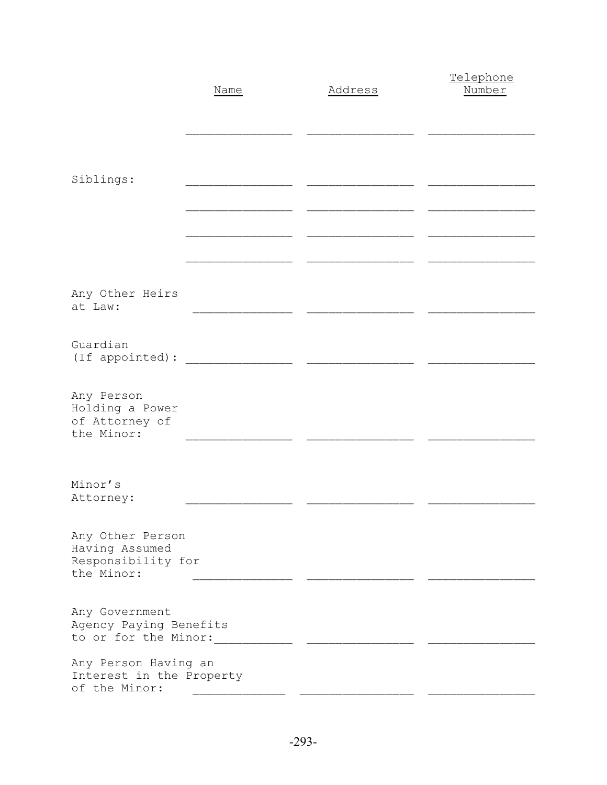|                                                                        | Name | Address | Telephone<br>Number |
|------------------------------------------------------------------------|------|---------|---------------------|
|                                                                        |      |         |                     |
|                                                                        |      |         |                     |
| Siblings:                                                              |      |         |                     |
|                                                                        |      |         |                     |
|                                                                        |      |         |                     |
|                                                                        |      |         |                     |
| Any Other Heirs<br>at Law:                                             |      |         |                     |
| Guardian<br>(If appointed):                                            |      |         |                     |
| Any Person<br>Holding a Power<br>of Attorney of<br>the Minor:          |      |         |                     |
|                                                                        |      |         |                     |
| Minor's<br>Attorney:                                                   |      |         |                     |
| Any Other Person<br>Having Assumed<br>Responsibility for<br>the Minor: |      |         |                     |
| Any Government<br>Agency Paying Benefits<br>to or for the Minor:       |      |         |                     |
| Any Person Having an<br>Interest in the Property<br>of the Minor:      |      |         |                     |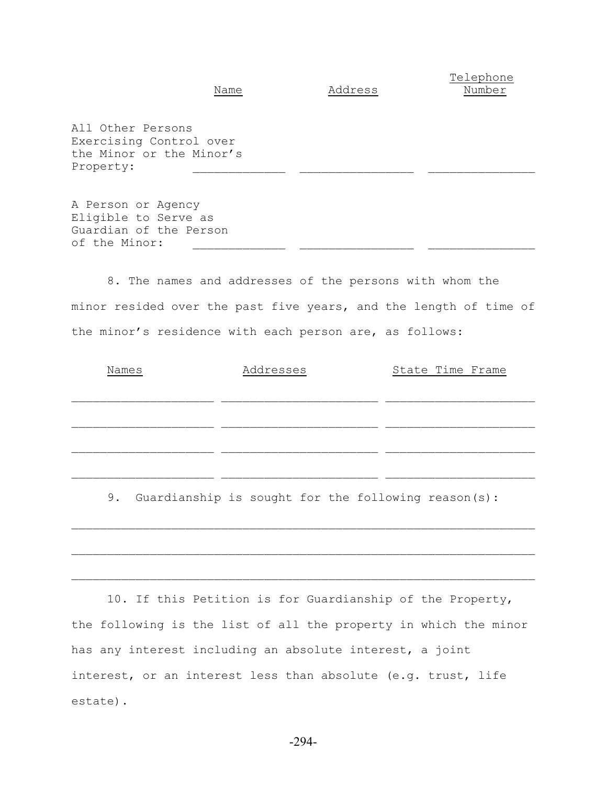Telephone Name Address Number

All Other Persons Exercising Control over the Minor or the Minor's Property:

A Person or Agency Eligible to Serve as Guardian of the Person of the Minor:

8. The names and addresses of the persons with whom the minor resided over the past five years, and the length of time of the minor's residence with each person are, as follows:

| Names | Addresses                                           | State Time Frame |
|-------|-----------------------------------------------------|------------------|
|       |                                                     |                  |
|       |                                                     |                  |
| 9.    | Guardianship is sought for the following reason(s): |                  |
|       |                                                     |                  |
|       |                                                     |                  |

10. If this Petition is for Guardianship of the Property, the following is the list of all the property in which the minor has any interest including an absolute interest, a joint interest, or an interest less than absolute (e.g. trust, life estate).

 $\mathcal{L}_\text{max} = \mathcal{L}_\text{max} = \mathcal{L}_\text{max} = \mathcal{L}_\text{max} = \mathcal{L}_\text{max} = \mathcal{L}_\text{max} = \mathcal{L}_\text{max} = \mathcal{L}_\text{max} = \mathcal{L}_\text{max} = \mathcal{L}_\text{max} = \mathcal{L}_\text{max} = \mathcal{L}_\text{max} = \mathcal{L}_\text{max} = \mathcal{L}_\text{max} = \mathcal{L}_\text{max} = \mathcal{L}_\text{max} = \mathcal{L}_\text{max} = \mathcal{L}_\text{max} = \mathcal{$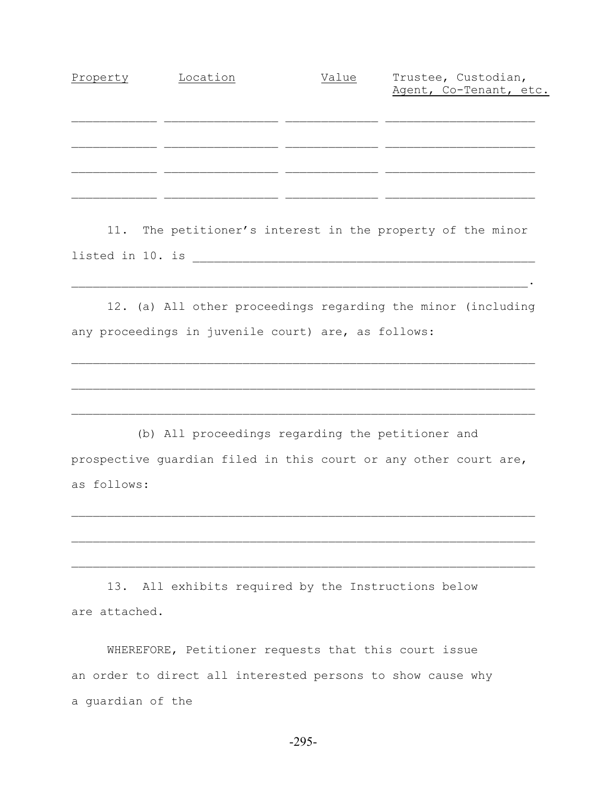| Location | Value | Trustee, Custodian,    |
|----------|-------|------------------------|
|          |       | Agent, Co-Tenant, etc. |
|          |       |                        |
|          |       |                        |
|          |       |                        |
|          |       |                        |
|          |       |                        |
|          |       |                        |
|          |       |                        |
|          |       |                        |

11. The petitioner's interest in the property of the minor listed in 10. is \_\_\_\_\_\_\_\_\_\_\_\_\_\_\_\_\_\_\_\_\_\_\_\_\_\_\_\_\_\_\_\_\_\_\_\_\_\_\_\_\_\_\_\_\_\_\_\_

12. (a) All other proceedings regarding the minor (including any proceedings in juvenile court) are, as follows:

 $\mathcal{L}_\text{max} = \mathcal{L}_\text{max} = \mathcal{L}_\text{max} = \mathcal{L}_\text{max} = \mathcal{L}_\text{max} = \mathcal{L}_\text{max} = \mathcal{L}_\text{max} = \mathcal{L}_\text{max} = \mathcal{L}_\text{max} = \mathcal{L}_\text{max} = \mathcal{L}_\text{max} = \mathcal{L}_\text{max} = \mathcal{L}_\text{max} = \mathcal{L}_\text{max} = \mathcal{L}_\text{max} = \mathcal{L}_\text{max} = \mathcal{L}_\text{max} = \mathcal{L}_\text{max} = \mathcal{$ 

 $\mathcal{L}_\text{max} = \mathcal{L}_\text{max} = \mathcal{L}_\text{max} = \mathcal{L}_\text{max} = \mathcal{L}_\text{max} = \mathcal{L}_\text{max} = \mathcal{L}_\text{max} = \mathcal{L}_\text{max} = \mathcal{L}_\text{max} = \mathcal{L}_\text{max} = \mathcal{L}_\text{max} = \mathcal{L}_\text{max} = \mathcal{L}_\text{max} = \mathcal{L}_\text{max} = \mathcal{L}_\text{max} = \mathcal{L}_\text{max} = \mathcal{L}_\text{max} = \mathcal{L}_\text{max} = \mathcal{$ 

 $\mathcal{L}_\mathcal{L} = \mathcal{L}_\mathcal{L} = \mathcal{L}_\mathcal{L} = \mathcal{L}_\mathcal{L} = \mathcal{L}_\mathcal{L} = \mathcal{L}_\mathcal{L} = \mathcal{L}_\mathcal{L} = \mathcal{L}_\mathcal{L} = \mathcal{L}_\mathcal{L} = \mathcal{L}_\mathcal{L} = \mathcal{L}_\mathcal{L} = \mathcal{L}_\mathcal{L} = \mathcal{L}_\mathcal{L} = \mathcal{L}_\mathcal{L} = \mathcal{L}_\mathcal{L} = \mathcal{L}_\mathcal{L} = \mathcal{L}_\mathcal{L}$ 

 (b) All proceedings regarding the petitioner and prospective guardian filed in this court or any other court are, as follows:

 $\mathcal{L}_\text{max} = \mathcal{L}_\text{max} = \mathcal{L}_\text{max} = \mathcal{L}_\text{max} = \mathcal{L}_\text{max} = \mathcal{L}_\text{max} = \mathcal{L}_\text{max} = \mathcal{L}_\text{max} = \mathcal{L}_\text{max} = \mathcal{L}_\text{max} = \mathcal{L}_\text{max} = \mathcal{L}_\text{max} = \mathcal{L}_\text{max} = \mathcal{L}_\text{max} = \mathcal{L}_\text{max} = \mathcal{L}_\text{max} = \mathcal{L}_\text{max} = \mathcal{L}_\text{max} = \mathcal{$ 

 $\mathcal{L}_\text{max} = \mathcal{L}_\text{max} = \mathcal{L}_\text{max} = \mathcal{L}_\text{max} = \mathcal{L}_\text{max} = \mathcal{L}_\text{max} = \mathcal{L}_\text{max} = \mathcal{L}_\text{max} = \mathcal{L}_\text{max} = \mathcal{L}_\text{max} = \mathcal{L}_\text{max} = \mathcal{L}_\text{max} = \mathcal{L}_\text{max} = \mathcal{L}_\text{max} = \mathcal{L}_\text{max} = \mathcal{L}_\text{max} = \mathcal{L}_\text{max} = \mathcal{L}_\text{max} = \mathcal{$ 

 $\mathcal{L}_\text{max} = \mathcal{L}_\text{max} = \mathcal{L}_\text{max} = \mathcal{L}_\text{max} = \mathcal{L}_\text{max} = \mathcal{L}_\text{max} = \mathcal{L}_\text{max} = \mathcal{L}_\text{max} = \mathcal{L}_\text{max} = \mathcal{L}_\text{max} = \mathcal{L}_\text{max} = \mathcal{L}_\text{max} = \mathcal{L}_\text{max} = \mathcal{L}_\text{max} = \mathcal{L}_\text{max} = \mathcal{L}_\text{max} = \mathcal{L}_\text{max} = \mathcal{L}_\text{max} = \mathcal{$ 

13. All exhibits required by the Instructions below are attached.

WHEREFORE, Petitioner requests that this court issue an order to direct all interested persons to show cause why a guardian of the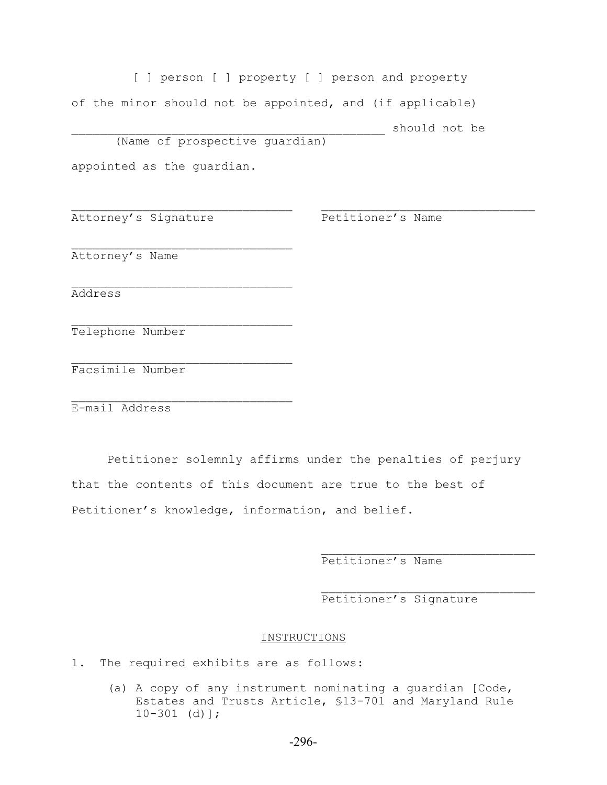[ ] person [ ] property [ ] person and property of the minor should not be appointed, and (if applicable) should not be (Name of prospective guardian)

 $\mathcal{L}_\text{max}$  and the contract of the contract of the contract of the contract of the contract of the contract of

appointed as the guardian.

 $\mathcal{L}_\text{max}$ 

 $\mathcal{L}_\text{max}$ 

 $\mathcal{L}_\text{max}$ 

 $\mathcal{L}_\text{max}$ 

Attorney's Signature The Petitioner's Name

Attorney's Name

Address

Telephone Number

Facsimile Number

E-mail Address

Petitioner solemnly affirms under the penalties of perjury that the contents of this document are true to the best of Petitioner's knowledge, information, and belief.

Petitioner's Name

Petitioner's Signature

 $\mathcal{L}_\text{max}$ 

#### INSTRUCTIONS

1. The required exhibits are as follows:

(a) A copy of any instrument nominating a guardian [Code, Estates and Trusts Article, §13-701 and Maryland Rule 10-301 (d)];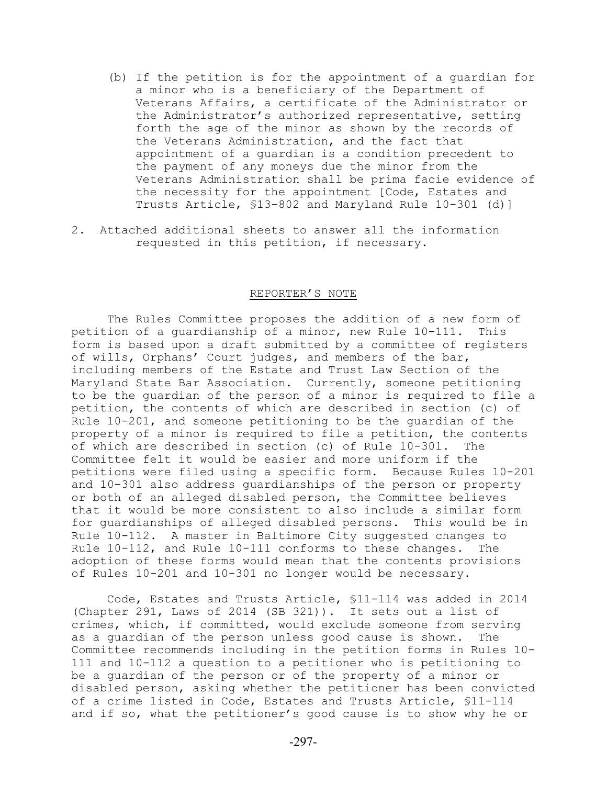- (b) If the petition is for the appointment of a guardian for a minor who is a beneficiary of the Department of Veterans Affairs, a certificate of the Administrator or the Administrator's authorized representative, setting forth the age of the minor as shown by the records of the Veterans Administration, and the fact that appointment of a guardian is a condition precedent to the payment of any moneys due the minor from the Veterans Administration shall be prima facie evidence of the necessity for the appointment [Code, Estates and Trusts Article, §13-802 and Maryland Rule 10-301 (d)]
- 2. Attached additional sheets to answer all the information requested in this petition, if necessary.

#### REPORTER'S NOTE

The Rules Committee proposes the addition of a new form of petition of a guardianship of a minor, new Rule 10-111. This form is based upon a draft submitted by a committee of registers of wills, Orphans' Court judges, and members of the bar, including members of the Estate and Trust Law Section of the Maryland State Bar Association. Currently, someone petitioning to be the guardian of the person of a minor is required to file a petition, the contents of which are described in section (c) of Rule 10-201, and someone petitioning to be the guardian of the property of a minor is required to file a petition, the contents of which are described in section (c) of Rule 10-301. The Committee felt it would be easier and more uniform if the petitions were filed using a specific form. Because Rules 10-201 and 10-301 also address guardianships of the person or property or both of an alleged disabled person, the Committee believes that it would be more consistent to also include a similar form for guardianships of alleged disabled persons. This would be in Rule 10-112. A master in Baltimore City suggested changes to Rule 10-112, and Rule 10-111 conforms to these changes. The adoption of these forms would mean that the contents provisions of Rules 10-201 and 10-301 no longer would be necessary.

Code, Estates and Trusts Article, §11-114 was added in 2014 (Chapter 291, Laws of 2014 (SB 321)). It sets out a list of crimes, which, if committed, would exclude someone from serving as a guardian of the person unless good cause is shown. The Committee recommends including in the petition forms in Rules 10- 111 and 10-112 a question to a petitioner who is petitioning to be a guardian of the person or of the property of a minor or disabled person, asking whether the petitioner has been convicted of a crime listed in Code, Estates and Trusts Article, §11-114 and if so, what the petitioner's good cause is to show why he or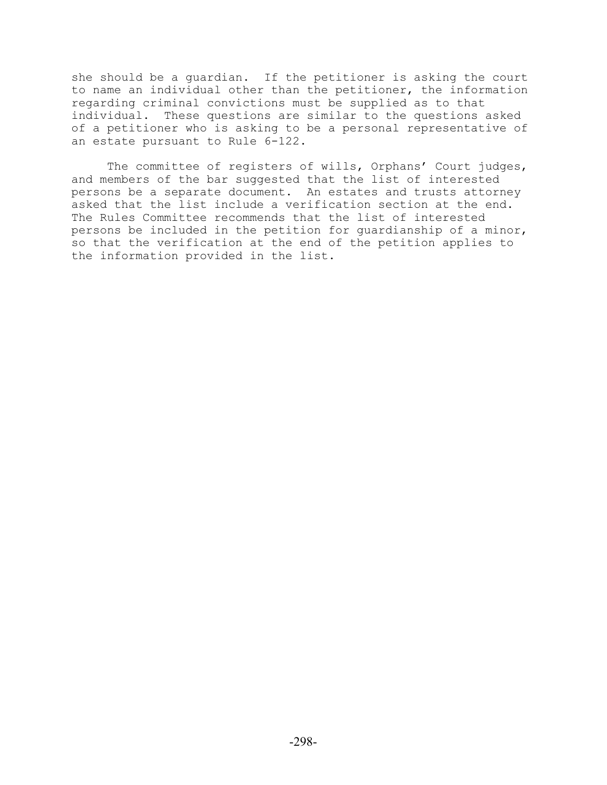she should be a guardian. If the petitioner is asking the court to name an individual other than the petitioner, the information regarding criminal convictions must be supplied as to that individual. These questions are similar to the questions asked of a petitioner who is asking to be a personal representative of an estate pursuant to Rule 6-122.

The committee of registers of wills, Orphans' Court judges, and members of the bar suggested that the list of interested persons be a separate document. An estates and trusts attorney asked that the list include a verification section at the end. The Rules Committee recommends that the list of interested persons be included in the petition for guardianship of a minor, so that the verification at the end of the petition applies to the information provided in the list.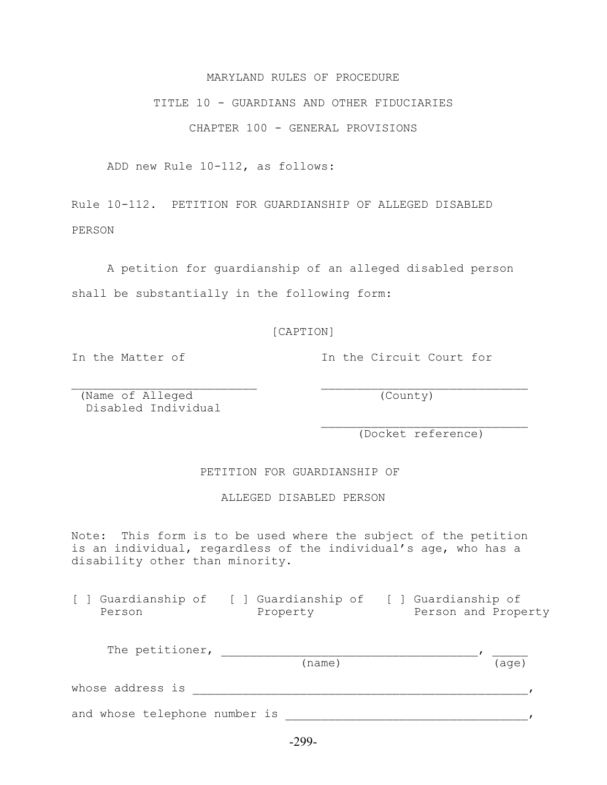# whose address is \_\_\_\_\_\_\_\_\_\_\_\_\_\_\_\_\_\_\_\_\_\_\_\_\_\_\_\_\_\_\_\_\_\_\_\_\_\_\_\_\_\_\_\_\_\_\_,

(name) (age)

and whose telephone number is \_\_\_\_\_\_\_\_\_\_\_\_\_\_\_\_\_\_\_\_\_\_\_\_\_\_\_\_\_\_\_\_\_\_,

### -299-

 (Name of Alleged (County) Disabled Individual

 $\mathcal{L}_\text{max}$  and  $\mathcal{L}_\text{max}$  and  $\mathcal{L}_\text{max}$  and  $\mathcal{L}_\text{max}$  and  $\mathcal{L}_\text{max}$ (Docket reference)

ALLEGED DISABLED PERSON

Note: This form is to be used where the subject of the petition is an individual, regardless of the individual's age, who has a disability other than minority.

[ ] Guardianship of [ ] Guardianship of [ ] Guardianship of

Person Property Person and Property

The petitioner, which is a set of the petitioner,  $\overline{a}$ 

PETITION FOR GUARDIANSHIP OF

PERSON

Rule 10-112. PETITION FOR GUARDIANSHIP OF ALLEGED DISABLED

A petition for guardianship of an alleged disabled person

shall be substantially in the following form:

[CAPTION]

In the Matter of The Circuit Court for

ADD new Rule 10-112, as follows:

MARYLAND RULES OF PROCEDURE

TITLE 10 - GUARDIANS AND OTHER FIDUCIARIES

CHAPTER 100 - GENERAL PROVISIONS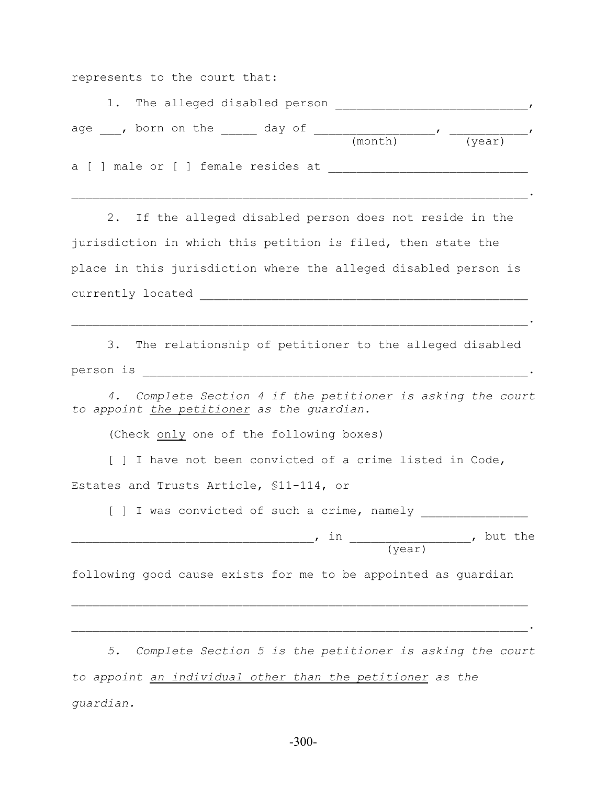represents to the court that:

|  | 1. The alleged disabled person      |         |        |  |
|--|-------------------------------------|---------|--------|--|
|  | age, born on the<br>day of          |         |        |  |
|  | a [ ] male or [ ] female resides at | (month) | (year) |  |
|  |                                     |         |        |  |

 $\mathcal{L}_\mathcal{L} = \mathcal{L}_\mathcal{L} = \mathcal{L}_\mathcal{L} = \mathcal{L}_\mathcal{L} = \mathcal{L}_\mathcal{L} = \mathcal{L}_\mathcal{L} = \mathcal{L}_\mathcal{L} = \mathcal{L}_\mathcal{L} = \mathcal{L}_\mathcal{L} = \mathcal{L}_\mathcal{L} = \mathcal{L}_\mathcal{L} = \mathcal{L}_\mathcal{L} = \mathcal{L}_\mathcal{L} = \mathcal{L}_\mathcal{L} = \mathcal{L}_\mathcal{L} = \mathcal{L}_\mathcal{L} = \mathcal{L}_\mathcal{L}$ 

2. If the alleged disabled person does not reside in the jurisdiction in which this petition is filed, then state the place in this jurisdiction where the alleged disabled person is currently located \_\_\_\_\_\_\_\_\_\_\_\_\_\_\_\_\_\_\_\_\_\_\_\_\_\_\_\_\_\_\_\_\_\_\_\_\_\_\_\_\_\_\_\_\_\_

3. The relationship of petitioner to the alleged disabled person is \_\_\_\_\_\_\_\_\_\_\_\_\_\_\_\_\_\_\_\_\_\_\_\_\_\_\_\_\_\_\_\_\_\_\_\_\_\_\_\_\_\_\_\_\_\_\_\_\_\_\_\_\_\_.

 $\mathcal{L}_\mathcal{L} = \mathcal{L}_\mathcal{L} = \mathcal{L}_\mathcal{L} = \mathcal{L}_\mathcal{L} = \mathcal{L}_\mathcal{L} = \mathcal{L}_\mathcal{L} = \mathcal{L}_\mathcal{L} = \mathcal{L}_\mathcal{L} = \mathcal{L}_\mathcal{L} = \mathcal{L}_\mathcal{L} = \mathcal{L}_\mathcal{L} = \mathcal{L}_\mathcal{L} = \mathcal{L}_\mathcal{L} = \mathcal{L}_\mathcal{L} = \mathcal{L}_\mathcal{L} = \mathcal{L}_\mathcal{L} = \mathcal{L}_\mathcal{L}$ 

*4. Complete Section 4 if the petitioner is asking the court to appoint the petitioner as the guardian.*

(Check only one of the following boxes)

[ ] I have not been convicted of a crime listed in Code,

Estates and Trusts Article, §11-114, or

[ ] I was convicted of such a crime, namely \_\_\_\_\_\_\_\_\_\_\_\_\_\_\_

, in  $\qquad \qquad$ , in  $\qquad \qquad$ , but the (year)

following good cause exists for me to be appointed as guardian

*5. Complete Section 5 is the petitioner is asking the court to appoint an individual other than the petitioner as the guardian.*

 $\mathcal{L}_\mathcal{L} = \mathcal{L}_\mathcal{L} = \mathcal{L}_\mathcal{L} = \mathcal{L}_\mathcal{L} = \mathcal{L}_\mathcal{L} = \mathcal{L}_\mathcal{L} = \mathcal{L}_\mathcal{L} = \mathcal{L}_\mathcal{L} = \mathcal{L}_\mathcal{L} = \mathcal{L}_\mathcal{L} = \mathcal{L}_\mathcal{L} = \mathcal{L}_\mathcal{L} = \mathcal{L}_\mathcal{L} = \mathcal{L}_\mathcal{L} = \mathcal{L}_\mathcal{L} = \mathcal{L}_\mathcal{L} = \mathcal{L}_\mathcal{L}$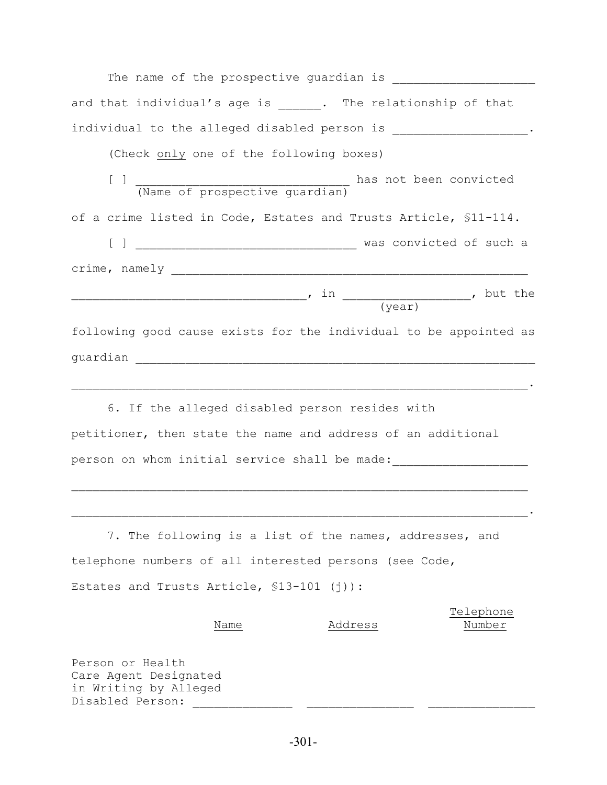| The name of the prospective guardian is                             |
|---------------------------------------------------------------------|
| and that individual's age is ______. The relationship of that       |
| individual to the alleged disabled person is _____________________. |
| (Check only one of the following boxes)                             |
|                                                                     |
| of a crime listed in Code, Estates and Trusts Article, \$11-114.    |
|                                                                     |
|                                                                     |
|                                                                     |
| following good cause exists for the individual to be appointed as   |
|                                                                     |
|                                                                     |

6. If the alleged disabled person resides with petitioner, then state the name and address of an additional person on whom initial service shall be made:

7. The following is a list of the names, addresses, and telephone numbers of all interested persons (see Code, Estates and Trusts Article, §13-101 (j)):

 $\mathcal{L}_\mathcal{L} = \mathcal{L}_\mathcal{L} = \mathcal{L}_\mathcal{L} = \mathcal{L}_\mathcal{L} = \mathcal{L}_\mathcal{L} = \mathcal{L}_\mathcal{L} = \mathcal{L}_\mathcal{L} = \mathcal{L}_\mathcal{L} = \mathcal{L}_\mathcal{L} = \mathcal{L}_\mathcal{L} = \mathcal{L}_\mathcal{L} = \mathcal{L}_\mathcal{L} = \mathcal{L}_\mathcal{L} = \mathcal{L}_\mathcal{L} = \mathcal{L}_\mathcal{L} = \mathcal{L}_\mathcal{L} = \mathcal{L}_\mathcal{L}$ 

 Telephone Name Address Number Person or Health Care Agent Designated

in Writing by Alleged Disabled Person: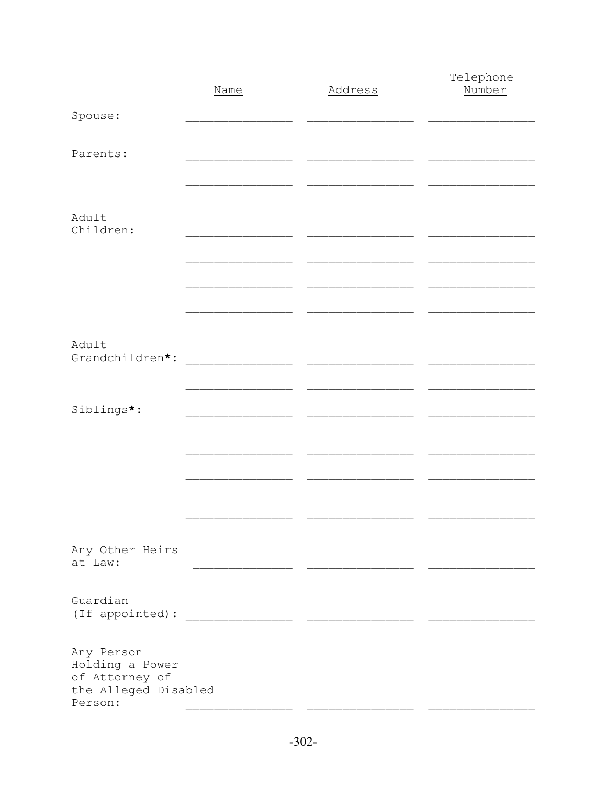|                                                                                    | Name | Address | Telephone<br>Number |
|------------------------------------------------------------------------------------|------|---------|---------------------|
| Spouse:                                                                            |      |         |                     |
| Parents:                                                                           |      |         |                     |
|                                                                                    |      |         |                     |
| Adult<br>Children:                                                                 |      |         |                     |
|                                                                                    |      |         |                     |
|                                                                                    |      |         |                     |
|                                                                                    |      |         |                     |
| Adult<br>Grandchildren*:                                                           |      |         |                     |
|                                                                                    |      |         |                     |
| Siblings*:                                                                         |      |         |                     |
|                                                                                    |      |         |                     |
|                                                                                    |      |         |                     |
|                                                                                    |      |         |                     |
|                                                                                    |      |         |                     |
| Any Other Heirs<br>at Law:                                                         |      |         |                     |
| Guardian                                                                           |      |         |                     |
|                                                                                    |      |         |                     |
| Any Person<br>Holding a Power<br>of Attorney of<br>the Alleged Disabled<br>Person: |      |         |                     |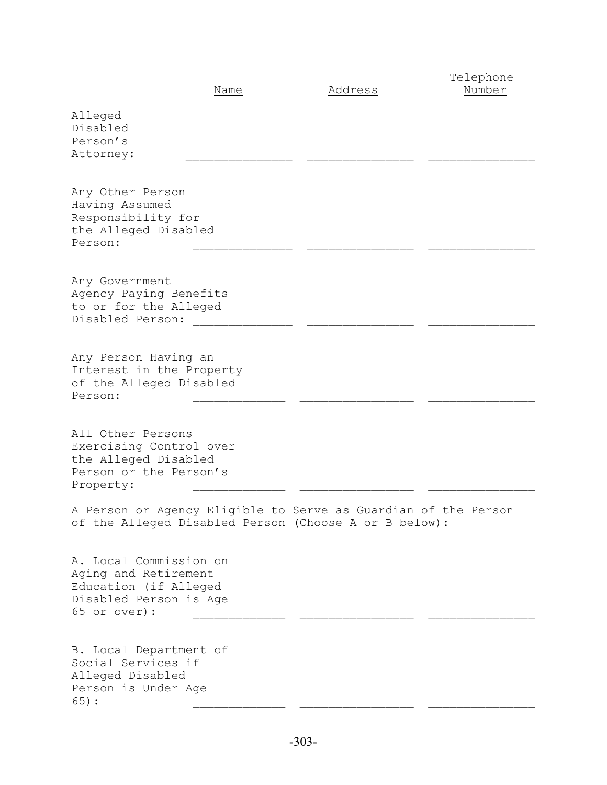|                                                                                                                   | Name | Address                                                                                                                 | Telephone<br>Number |
|-------------------------------------------------------------------------------------------------------------------|------|-------------------------------------------------------------------------------------------------------------------------|---------------------|
| Alleged<br>Disabled<br>Person's<br>Attorney:                                                                      |      |                                                                                                                         |                     |
| Any Other Person<br>Having Assumed<br>Responsibility for<br>the Alleged Disabled<br>Person:                       |      |                                                                                                                         |                     |
| Any Government<br>Agency Paying Benefits<br>to or for the Alleged<br>Disabled Person:                             |      |                                                                                                                         |                     |
| Any Person Having an<br>Interest in the Property<br>of the Alleged Disabled<br>Person:                            |      |                                                                                                                         |                     |
| All Other Persons<br>Exercising Control over<br>the Alleged Disabled<br>Person or the Person's<br>Property:       |      |                                                                                                                         |                     |
|                                                                                                                   |      | A Person or Agency Eligible to Serve as Guardian of the Person<br>of the Alleged Disabled Person (Choose A or B below): |                     |
| A. Local Commission on<br>Aging and Retirement<br>Education (if Alleged<br>Disabled Person is Age<br>65 or over): |      |                                                                                                                         |                     |
| B. Local Department of<br>Social Services if<br>Alleged Disabled<br>Person is Under Age<br>$65)$ :                |      |                                                                                                                         |                     |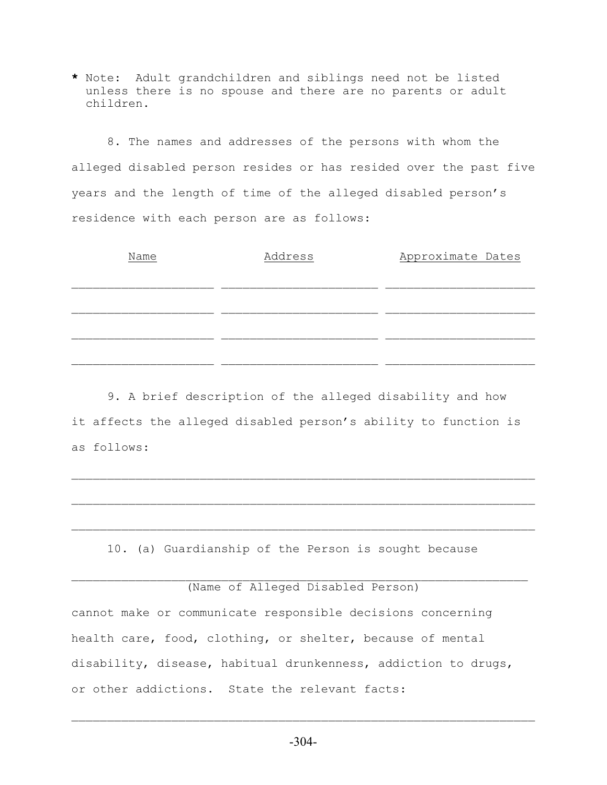**\*** Note: Adult grandchildren and siblings need not be listed unless there is no spouse and there are no parents or adult children.

8. The names and addresses of the persons with whom the alleged disabled person resides or has resided over the past five years and the length of time of the alleged disabled person's residence with each person are as follows:

| Name | Address | Approximate Dates |
|------|---------|-------------------|
|      |         |                   |
|      |         |                   |
|      |         |                   |
|      |         |                   |
|      |         |                   |

9. A brief description of the alleged disability and how it affects the alleged disabled person's ability to function is as follows:

10. (a) Guardianship of the Person is sought because

 $\mathcal{L}_\text{max} = \mathcal{L}_\text{max} = \mathcal{L}_\text{max} = \mathcal{L}_\text{max} = \mathcal{L}_\text{max} = \mathcal{L}_\text{max} = \mathcal{L}_\text{max} = \mathcal{L}_\text{max} = \mathcal{L}_\text{max} = \mathcal{L}_\text{max} = \mathcal{L}_\text{max} = \mathcal{L}_\text{max} = \mathcal{L}_\text{max} = \mathcal{L}_\text{max} = \mathcal{L}_\text{max} = \mathcal{L}_\text{max} = \mathcal{L}_\text{max} = \mathcal{L}_\text{max} = \mathcal{$ 

 $\mathcal{L}_\text{max} = \mathcal{L}_\text{max} = \mathcal{L}_\text{max} = \mathcal{L}_\text{max} = \mathcal{L}_\text{max} = \mathcal{L}_\text{max} = \mathcal{L}_\text{max} = \mathcal{L}_\text{max} = \mathcal{L}_\text{max} = \mathcal{L}_\text{max} = \mathcal{L}_\text{max} = \mathcal{L}_\text{max} = \mathcal{L}_\text{max} = \mathcal{L}_\text{max} = \mathcal{L}_\text{max} = \mathcal{L}_\text{max} = \mathcal{L}_\text{max} = \mathcal{L}_\text{max} = \mathcal{$ 

 (Name of Alleged Disabled Person) cannot make or communicate responsible decisions concerning health care, food, clothing, or shelter, because of mental disability, disease, habitual drunkenness, addiction to drugs, or other addictions. State the relevant facts:

 $\mathcal{L}_\text{max} = \mathcal{L}_\text{max} = \mathcal{L}_\text{max} = \mathcal{L}_\text{max} = \mathcal{L}_\text{max} = \mathcal{L}_\text{max} = \mathcal{L}_\text{max} = \mathcal{L}_\text{max} = \mathcal{L}_\text{max} = \mathcal{L}_\text{max} = \mathcal{L}_\text{max} = \mathcal{L}_\text{max} = \mathcal{L}_\text{max} = \mathcal{L}_\text{max} = \mathcal{L}_\text{max} = \mathcal{L}_\text{max} = \mathcal{L}_\text{max} = \mathcal{L}_\text{max} = \mathcal{$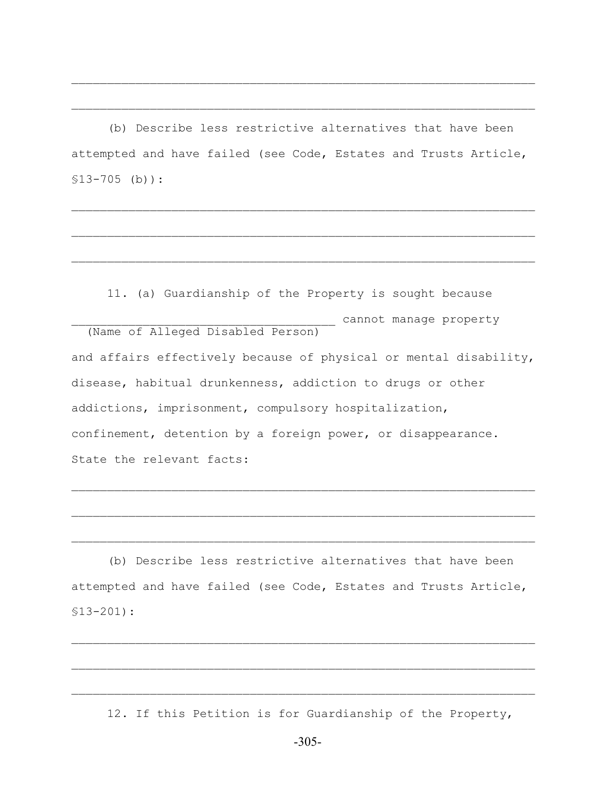(b) Describe less restrictive alternatives that have been attempted and have failed (see Code, Estates and Trusts Article, §13-705 (b)):

 $\mathcal{L}_\text{max} = \mathcal{L}_\text{max} = \mathcal{L}_\text{max} = \mathcal{L}_\text{max} = \mathcal{L}_\text{max} = \mathcal{L}_\text{max} = \mathcal{L}_\text{max} = \mathcal{L}_\text{max} = \mathcal{L}_\text{max} = \mathcal{L}_\text{max} = \mathcal{L}_\text{max} = \mathcal{L}_\text{max} = \mathcal{L}_\text{max} = \mathcal{L}_\text{max} = \mathcal{L}_\text{max} = \mathcal{L}_\text{max} = \mathcal{L}_\text{max} = \mathcal{L}_\text{max} = \mathcal{$ 

 $\mathcal{L}_\text{max} = \mathcal{L}_\text{max} = \mathcal{L}_\text{max} = \mathcal{L}_\text{max} = \mathcal{L}_\text{max} = \mathcal{L}_\text{max} = \mathcal{L}_\text{max} = \mathcal{L}_\text{max} = \mathcal{L}_\text{max} = \mathcal{L}_\text{max} = \mathcal{L}_\text{max} = \mathcal{L}_\text{max} = \mathcal{L}_\text{max} = \mathcal{L}_\text{max} = \mathcal{L}_\text{max} = \mathcal{L}_\text{max} = \mathcal{L}_\text{max} = \mathcal{L}_\text{max} = \mathcal{$ 

 $\mathcal{L}_\text{max} = \mathcal{L}_\text{max} = \mathcal{L}_\text{max} = \mathcal{L}_\text{max} = \mathcal{L}_\text{max} = \mathcal{L}_\text{max} = \mathcal{L}_\text{max} = \mathcal{L}_\text{max} = \mathcal{L}_\text{max} = \mathcal{L}_\text{max} = \mathcal{L}_\text{max} = \mathcal{L}_\text{max} = \mathcal{L}_\text{max} = \mathcal{L}_\text{max} = \mathcal{L}_\text{max} = \mathcal{L}_\text{max} = \mathcal{L}_\text{max} = \mathcal{L}_\text{max} = \mathcal{$ 

 $\mathcal{L}_\text{max} = \mathcal{L}_\text{max} = \mathcal{L}_\text{max} = \mathcal{L}_\text{max} = \mathcal{L}_\text{max} = \mathcal{L}_\text{max} = \mathcal{L}_\text{max} = \mathcal{L}_\text{max} = \mathcal{L}_\text{max} = \mathcal{L}_\text{max} = \mathcal{L}_\text{max} = \mathcal{L}_\text{max} = \mathcal{L}_\text{max} = \mathcal{L}_\text{max} = \mathcal{L}_\text{max} = \mathcal{L}_\text{max} = \mathcal{L}_\text{max} = \mathcal{L}_\text{max} = \mathcal{$ 

 $\mathcal{L}_\text{max} = \mathcal{L}_\text{max} = \mathcal{L}_\text{max} = \mathcal{L}_\text{max} = \mathcal{L}_\text{max} = \mathcal{L}_\text{max} = \mathcal{L}_\text{max} = \mathcal{L}_\text{max} = \mathcal{L}_\text{max} = \mathcal{L}_\text{max} = \mathcal{L}_\text{max} = \mathcal{L}_\text{max} = \mathcal{L}_\text{max} = \mathcal{L}_\text{max} = \mathcal{L}_\text{max} = \mathcal{L}_\text{max} = \mathcal{L}_\text{max} = \mathcal{L}_\text{max} = \mathcal{$ 

11. (a) Guardianship of the Property is sought because \_\_\_\_\_\_\_\_\_\_\_\_\_\_\_\_\_\_\_\_\_\_\_\_\_\_\_\_\_\_\_\_\_\_\_\_\_ cannot manage property (Name of Alleged Disabled Person) and affairs effectively because of physical or mental disability, disease, habitual drunkenness, addiction to drugs or other addictions, imprisonment, compulsory hospitalization, confinement, detention by a foreign power, or disappearance. State the relevant facts:

(b) Describe less restrictive alternatives that have been attempted and have failed (see Code, Estates and Trusts Article, §13-201):

 $\mathcal{L}_\text{max} = \mathcal{L}_\text{max} = \mathcal{L}_\text{max} = \mathcal{L}_\text{max} = \mathcal{L}_\text{max} = \mathcal{L}_\text{max} = \mathcal{L}_\text{max} = \mathcal{L}_\text{max} = \mathcal{L}_\text{max} = \mathcal{L}_\text{max} = \mathcal{L}_\text{max} = \mathcal{L}_\text{max} = \mathcal{L}_\text{max} = \mathcal{L}_\text{max} = \mathcal{L}_\text{max} = \mathcal{L}_\text{max} = \mathcal{L}_\text{max} = \mathcal{L}_\text{max} = \mathcal{$ 

 $\mathcal{L}_\text{max} = \mathcal{L}_\text{max} = \mathcal{L}_\text{max} = \mathcal{L}_\text{max} = \mathcal{L}_\text{max} = \mathcal{L}_\text{max} = \mathcal{L}_\text{max} = \mathcal{L}_\text{max} = \mathcal{L}_\text{max} = \mathcal{L}_\text{max} = \mathcal{L}_\text{max} = \mathcal{L}_\text{max} = \mathcal{L}_\text{max} = \mathcal{L}_\text{max} = \mathcal{L}_\text{max} = \mathcal{L}_\text{max} = \mathcal{L}_\text{max} = \mathcal{L}_\text{max} = \mathcal{$ 

 $\mathcal{L}_\text{max} = \mathcal{L}_\text{max} = \mathcal{L}_\text{max} = \mathcal{L}_\text{max} = \mathcal{L}_\text{max} = \mathcal{L}_\text{max} = \mathcal{L}_\text{max} = \mathcal{L}_\text{max} = \mathcal{L}_\text{max} = \mathcal{L}_\text{max} = \mathcal{L}_\text{max} = \mathcal{L}_\text{max} = \mathcal{L}_\text{max} = \mathcal{L}_\text{max} = \mathcal{L}_\text{max} = \mathcal{L}_\text{max} = \mathcal{L}_\text{max} = \mathcal{L}_\text{max} = \mathcal{$ 

 $\mathcal{L}_\text{max} = \mathcal{L}_\text{max} = \mathcal{L}_\text{max} = \mathcal{L}_\text{max} = \mathcal{L}_\text{max} = \mathcal{L}_\text{max} = \mathcal{L}_\text{max} = \mathcal{L}_\text{max} = \mathcal{L}_\text{max} = \mathcal{L}_\text{max} = \mathcal{L}_\text{max} = \mathcal{L}_\text{max} = \mathcal{L}_\text{max} = \mathcal{L}_\text{max} = \mathcal{L}_\text{max} = \mathcal{L}_\text{max} = \mathcal{L}_\text{max} = \mathcal{L}_\text{max} = \mathcal{$ 

12. If this Petition is for Guardianship of the Property,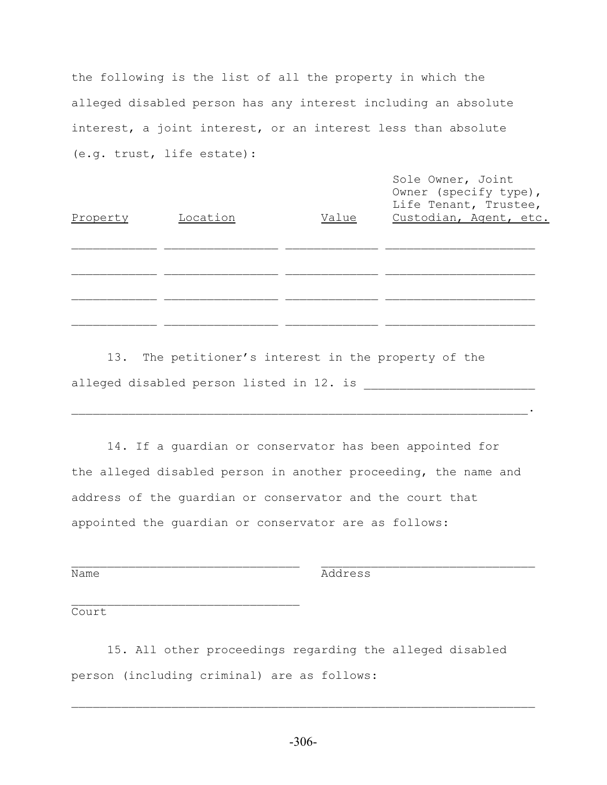the following is the list of all the property in which the alleged disabled person has any interest including an absolute interest, a joint interest, or an interest less than absolute (e.g. trust, life estate):

| Property | Location | Value | Sole Owner, Joint<br>Owner (specify type),<br>Life Tenant, Trustee,<br>Custodian, Agent, etc. |
|----------|----------|-------|-----------------------------------------------------------------------------------------------|
|          |          |       |                                                                                               |
|          |          |       |                                                                                               |

13. The petitioner's interest in the property of the alleged disabled person listed in 12. is \_\_\_\_\_\_\_\_\_\_\_\_\_\_\_\_\_\_\_\_\_\_\_\_

 $\mathcal{L}_\text{max} = \frac{1}{2} \sum_{i=1}^n \mathcal{L}_\text{max}(\mathcal{L}_i - \mathcal{L}_i)$ 

14. If a guardian or conservator has been appointed for the alleged disabled person in another proceeding, the name and address of the guardian or conservator and the court that appointed the guardian or conservator are as follows:

 $\mathcal{L}_\text{max} = \frac{1}{2} \sum_{i=1}^n \mathcal{L}_\text{max}(\mathbf{z}_i - \mathbf{z}_i)$ 

Name Address

Court

15. All other proceedings regarding the alleged disabled person (including criminal) are as follows: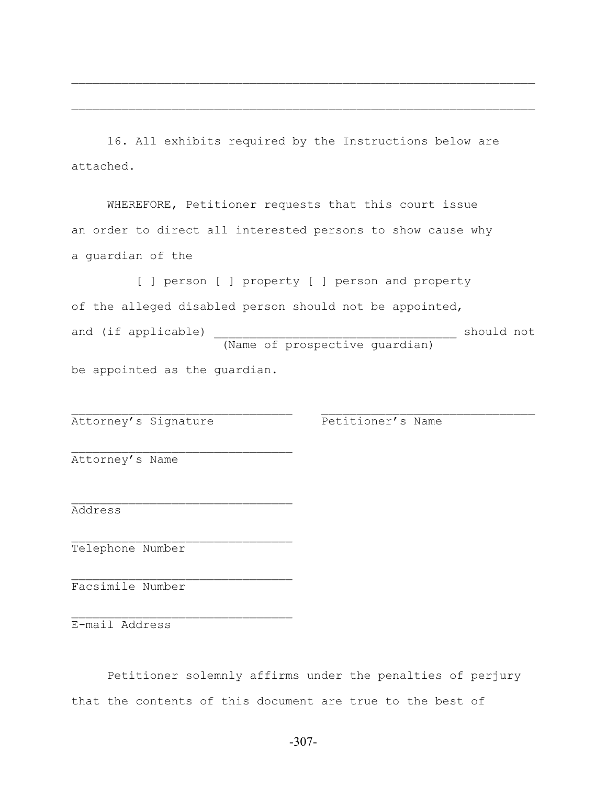16. All exhibits required by the Instructions below are attached.

 $\mathcal{L}_\text{max} = \mathcal{L}_\text{max} = \mathcal{L}_\text{max} = \mathcal{L}_\text{max} = \mathcal{L}_\text{max} = \mathcal{L}_\text{max} = \mathcal{L}_\text{max} = \mathcal{L}_\text{max} = \mathcal{L}_\text{max} = \mathcal{L}_\text{max} = \mathcal{L}_\text{max} = \mathcal{L}_\text{max} = \mathcal{L}_\text{max} = \mathcal{L}_\text{max} = \mathcal{L}_\text{max} = \mathcal{L}_\text{max} = \mathcal{L}_\text{max} = \mathcal{L}_\text{max} = \mathcal{$ 

 $\mathcal{L}_\text{max} = \mathcal{L}_\text{max} = \mathcal{L}_\text{max} = \mathcal{L}_\text{max} = \mathcal{L}_\text{max} = \mathcal{L}_\text{max} = \mathcal{L}_\text{max} = \mathcal{L}_\text{max} = \mathcal{L}_\text{max} = \mathcal{L}_\text{max} = \mathcal{L}_\text{max} = \mathcal{L}_\text{max} = \mathcal{L}_\text{max} = \mathcal{L}_\text{max} = \mathcal{L}_\text{max} = \mathcal{L}_\text{max} = \mathcal{L}_\text{max} = \mathcal{L}_\text{max} = \mathcal{$ 

WHEREFORE, Petitioner requests that this court issue an order to direct all interested persons to show cause why a guardian of the

[ ] person [ ] property [ ] person and property of the alleged disabled person should not be appointed, and (if applicable) and (if applicable) (Name of prospective guardian)

 $\mathcal{L}_\text{max}$  and the contract of the contract of the contract of the contract of the contract of the contract of

be appointed as the guardian.

 $\mathcal{L}_\text{max}$ 

 $\mathcal{L}_\text{max}$ 

 $\mathcal{L}_\text{max}$ 

 $\mathcal{L}_\text{max}$ 

 $\mathcal{L}_\text{max}$ 

Attorney's Signature The Petitioner's Name

Attorney's Name

Address

Telephone Number

Facsimile Number

E-mail Address

Petitioner solemnly affirms under the penalties of perjury that the contents of this document are true to the best of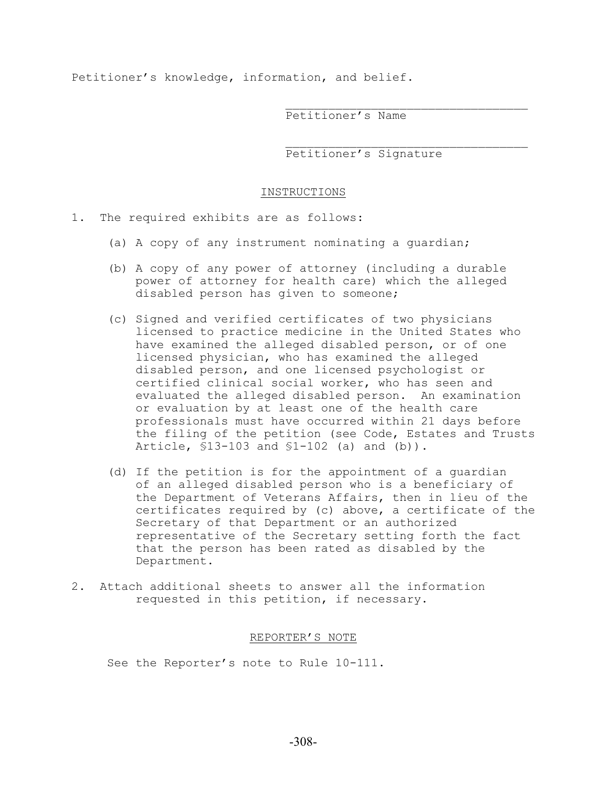Petitioner's knowledge, information, and belief.

Petitioner's Name

Petitioner's Signature

 $\mathcal{L}_\text{max}$ 

 $\mathcal{L}_\text{max}$ 

#### INSTRUCTIONS

1. The required exhibits are as follows:

- (a) A copy of any instrument nominating a guardian;
- (b) A copy of any power of attorney (including a durable power of attorney for health care) which the alleged disabled person has given to someone;
- (c) Signed and verified certificates of two physicians licensed to practice medicine in the United States who have examined the alleged disabled person, or of one licensed physician, who has examined the alleged disabled person, and one licensed psychologist or certified clinical social worker, who has seen and evaluated the alleged disabled person. An examination or evaluation by at least one of the health care professionals must have occurred within 21 days before the filing of the petition (see Code, Estates and Trusts Article, §13-103 and §1-102 (a) and (b)).
- (d) If the petition is for the appointment of a guardian of an alleged disabled person who is a beneficiary of the Department of Veterans Affairs, then in lieu of the certificates required by (c) above, a certificate of the Secretary of that Department or an authorized representative of the Secretary setting forth the fact that the person has been rated as disabled by the Department.
- 2. Attach additional sheets to answer all the information requested in this petition, if necessary.

#### REPORTER'S NOTE

See the Reporter's note to Rule 10-111.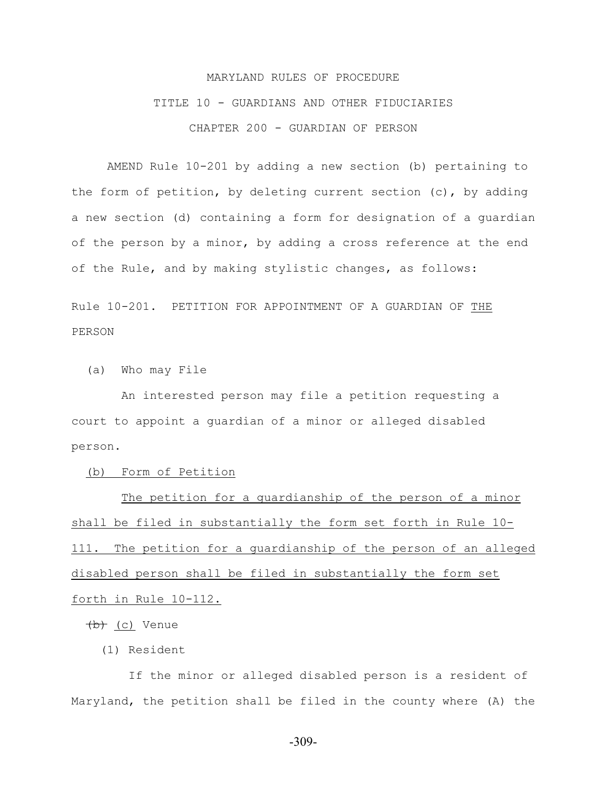# MARYLAND RULES OF PROCEDURE TITLE 10 - GUARDIANS AND OTHER FIDUCIARIES CHAPTER 200 - GUARDIAN OF PERSON

AMEND Rule 10-201 by adding a new section (b) pertaining to the form of petition, by deleting current section (c), by adding a new section (d) containing a form for designation of a guardian of the person by a minor, by adding a cross reference at the end of the Rule, and by making stylistic changes, as follows:

Rule 10-201. PETITION FOR APPOINTMENT OF A GUARDIAN OF THE PERSON

(a) Who may File

 An interested person may file a petition requesting a court to appoint a guardian of a minor or alleged disabled person.

(b) Form of Petition

 The petition for a guardianship of the person of a minor shall be filed in substantially the form set forth in Rule 10- 111. The petition for a guardianship of the person of an alleged disabled person shall be filed in substantially the form set forth in Rule 10-112.

(b) (c) Venue

(1) Resident

 If the minor or alleged disabled person is a resident of Maryland, the petition shall be filed in the county where (A) the

-309-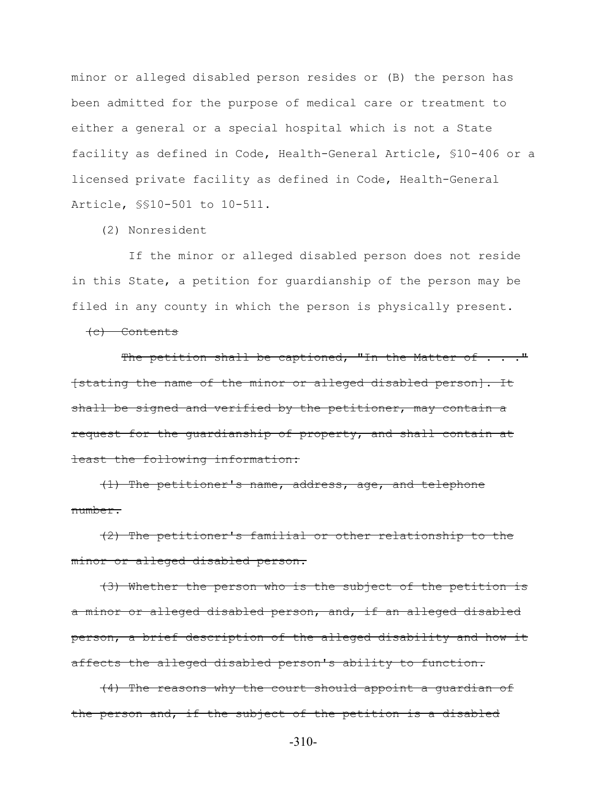minor or alleged disabled person resides or (B) the person has been admitted for the purpose of medical care or treatment to either a general or a special hospital which is not a State facility as defined in Code, Health-General Article, §10-406 or a licensed private facility as defined in Code, Health-General Article, §§10-501 to 10-511.

(2) Nonresident

 If the minor or alleged disabled person does not reside in this State, a petition for guardianship of the person may be filed in any county in which the person is physically present.

(c) Contents

The petition shall be captioned, "In the Matter of . . . " [stating the name of the minor or alleged disabled person]. It shall be signed and verified by the petitioner, may contain a request for the guardianship of property, and shall contain at least the following information:

 (1) The petitioner's name, address, age, and telephone number.

 (2) The petitioner's familial or other relationship to the minor or alleged disabled person.

 (3) Whether the person who is the subject of the petition is a minor or alleged disabled person, and, if an alleged disabled person, a brief description of the alleged disability and how it affects the alleged disabled person's ability to function.

 (4) The reasons why the court should appoint a guardian of the person and, if the subject of the petition is a disabled

-310-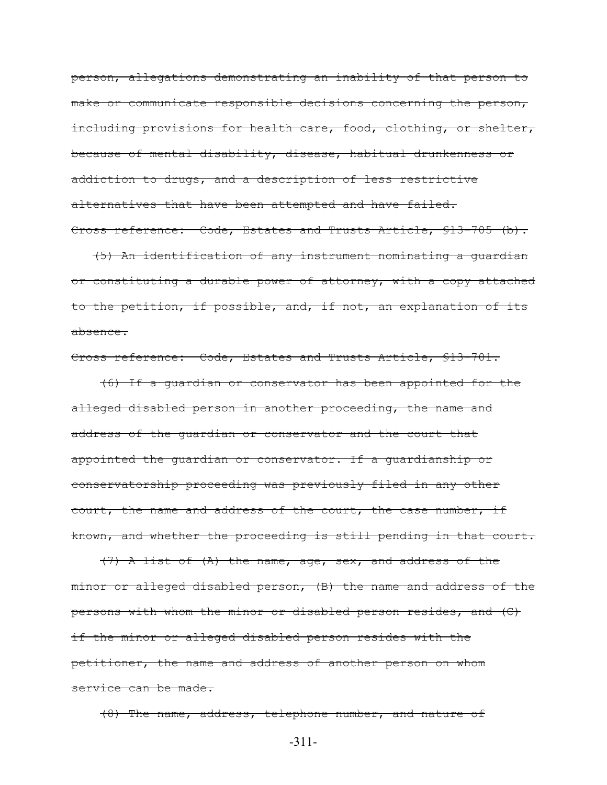person, allegations demonstrating an inability of that person to make or communicate responsible decisions concerning the person, including provisions for health care, food, clothing, or shelter, because of mental disability, disease, habitual drunkenness or addiction to drugs, and a description of less restrictive alternatives that have been attempted and have failed. Cross reference: Code, Estates and Trusts Article, §13-705 (b).

 (5) An identification of any instrument nominating a guardian or constituting a durable power of attorney, with a copy attached to the petition, if possible, and, if not, an explanation of its absence.

#### Cross reference: Code, Estates and Trusts Article, §13-701.

 (6) If a guardian or conservator has been appointed for the alleged disabled person in another proceeding, the name and address of the guardian or conservator and the court that appointed the guardian or conservator. If a guardianship or conservatorship proceeding was previously filed in any other court, the name and address of the court, the case number, if known, and whether the proceeding is still pending in that court.

 (7) A list of (A) the name, age, sex, and address of the minor or alleged disabled person, (B) the name and address of the persons with whom the minor or disabled person resides, and (C) if the minor or alleged disabled person resides with the petitioner, the name and address of another person on whom service can be made.

(8) The name, address, telephone number, and nature of

-311-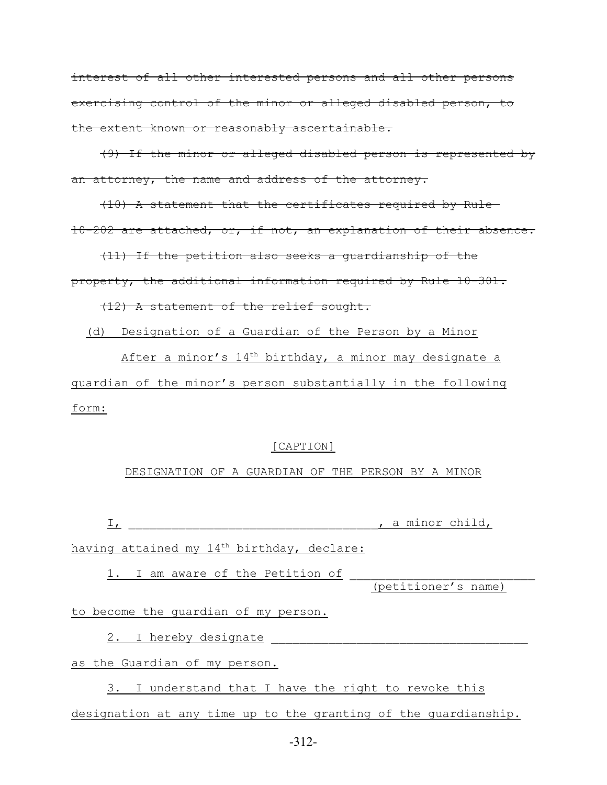interest of all other interested persons and all other persons exercising control of the minor or alleged disabled person, to the extent known or reasonably ascertainable.

 (9) If the minor or alleged disabled person is represented by an attorney, the name and address of the attorney.

 (10) A statement that the certificates required by Rule 10-202 are attached, or, if not, an explanation of their absence.

 (11) If the petition also seeks a guardianship of the property, the additional information required by Rule 10-301.

(12) A statement of the relief sought.

(d) Designation of a Guardian of the Person by a Minor

After a minor's  $14<sup>th</sup>$  birthday, a minor may designate a guardian of the minor's person substantially in the following form:

#### [CAPTION]

#### DESIGNATION OF A GUARDIAN OF THE PERSON BY A MINOR

 $I$ ,  $\frac{I}{I}$ ,  $\frac{I}{I}$   $\frac{I}{I}$   $\frac{I}{I}$   $\frac{I}{I}$   $\frac{I}{I}$   $\frac{I}{I}$   $\frac{I}{I}$   $\frac{I}{I}$   $\frac{I}{I}$   $\frac{I}{I}$   $\frac{I}{I}$   $\frac{I}{I}$   $\frac{I}{I}$   $\frac{I}{I}$   $\frac{I}{I}$   $\frac{I}{I}$   $\frac{I}{I}$   $\frac{I}{I}$   $\frac{I}{I}$   $\frac{I}{I}$   $\frac{I$ 

having attained my  $14<sup>th</sup>$  birthday, declare:

1. I am aware of the Petition of

(petitioner's name)

to become the guardian of my person.

2. I hereby designate

as the Guardian of my person.

3. I understand that I have the right to revoke this designation at any time up to the granting of the guardianship.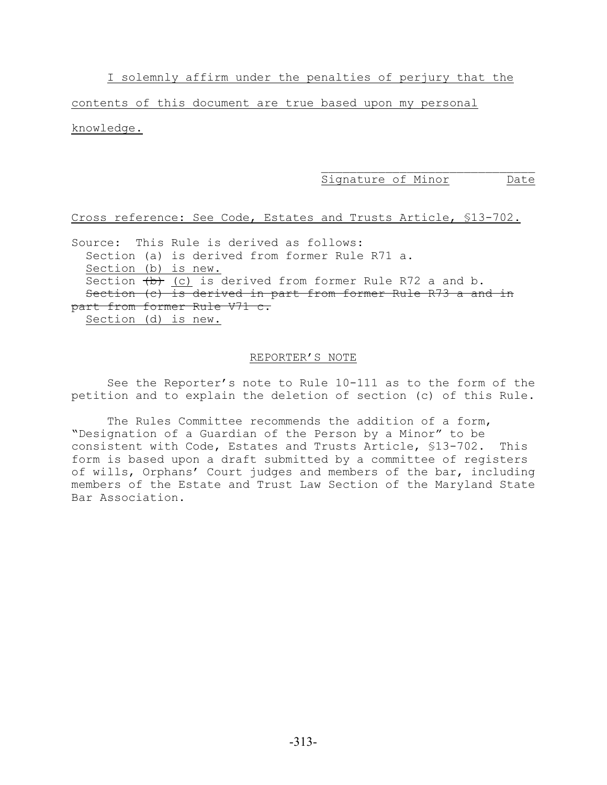I solemnly affirm under the penalties of perjury that the

contents of this document are true based upon my personal knowledge.

Signature of Minor Date

#### Cross reference: See Code, Estates and Trusts Article, §13-702.

Source: This Rule is derived as follows: Section (a) is derived from former Rule R71 a. Section (b) is new. Section  $(b)$  (c) is derived from former Rule R72 a and b. Section (c) is derived in part from former Rule R73 a and in part from former Rule V71 c. Section (d) is new.

#### REPORTER'S NOTE

See the Reporter's note to Rule 10-111 as to the form of the petition and to explain the deletion of section (c) of this Rule.

The Rules Committee recommends the addition of a form, "Designation of a Guardian of the Person by a Minor" to be consistent with Code, Estates and Trusts Article, §13-702. This form is based upon a draft submitted by a committee of registers of wills, Orphans' Court judges and members of the bar, including members of the Estate and Trust Law Section of the Maryland State Bar Association.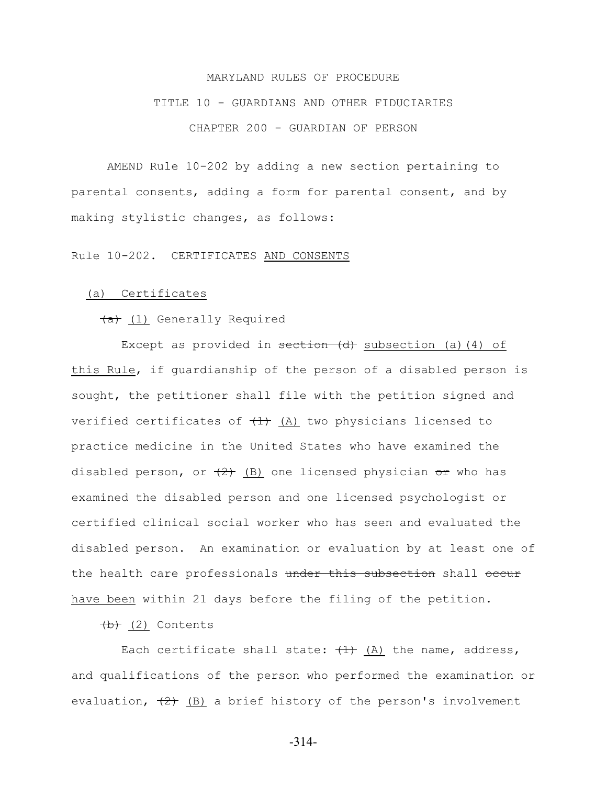# MARYLAND RULES OF PROCEDURE TITLE 10 - GUARDIANS AND OTHER FIDUCIARIES CHAPTER 200 - GUARDIAN OF PERSON

AMEND Rule 10-202 by adding a new section pertaining to parental consents, adding a form for parental consent, and by making stylistic changes, as follows:

Rule 10-202. CERTIFICATES AND CONSENTS

#### (a) Certificates

(a) (1) Generally Required

Except as provided in  $set$   $\frac{1}{x}$  subsection (a)(4) of this Rule, if guardianship of the person of a disabled person is sought, the petitioner shall file with the petition signed and verified certificates of  $(1)$  (A) two physicians licensed to practice medicine in the United States who have examined the disabled person, or  $(2)$  (B) one licensed physician or who has examined the disabled person and one licensed psychologist or certified clinical social worker who has seen and evaluated the disabled person. An examination or evaluation by at least one of the health care professionals under this subsection shall occur have been within 21 days before the filing of the petition.

 $(b)$  (2) Contents

Each certificate shall state:  $(1)$  (A) the name, address, and qualifications of the person who performed the examination or evaluation,  $\left(\frac{2}{2}\right)$  (B) a brief history of the person's involvement

-314-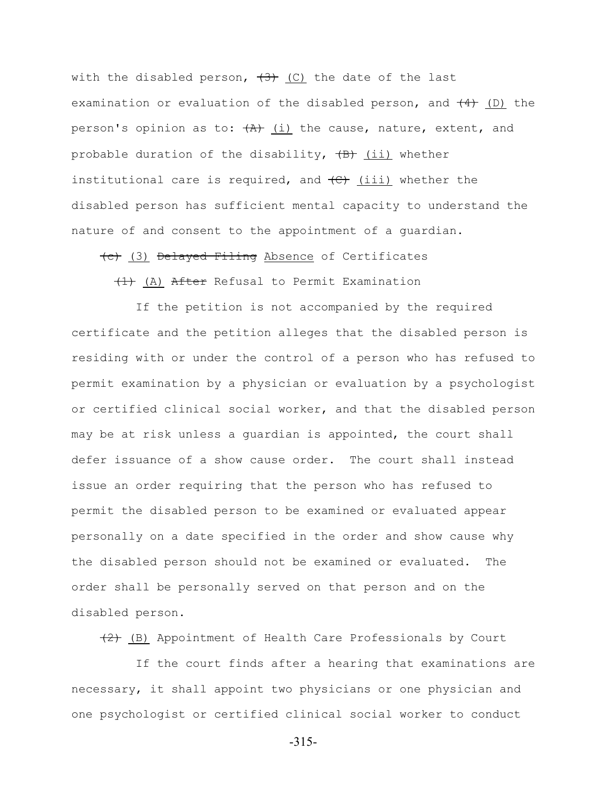with the disabled person,  $(3)$  (C) the date of the last examination or evaluation of the disabled person, and  $(4)$  (D) the person's opinion as to:  $(A)$  (i) the cause, nature, extent, and probable duration of the disability,  $(B)$  (ii) whether institutional care is required, and  $\left(\frac{c}{c}\right)$  (iii) whether the disabled person has sufficient mental capacity to understand the nature of and consent to the appointment of a guardian.

(c) (3) Delayed Filing Absence of Certificates

 $(1)$  (A) After Refusal to Permit Examination

 If the petition is not accompanied by the required certificate and the petition alleges that the disabled person is residing with or under the control of a person who has refused to permit examination by a physician or evaluation by a psychologist or certified clinical social worker, and that the disabled person may be at risk unless a guardian is appointed, the court shall defer issuance of a show cause order. The court shall instead issue an order requiring that the person who has refused to permit the disabled person to be examined or evaluated appear personally on a date specified in the order and show cause why the disabled person should not be examined or evaluated. The order shall be personally served on that person and on the disabled person.

 $(2)$  (B) Appointment of Health Care Professionals by Court

 If the court finds after a hearing that examinations are necessary, it shall appoint two physicians or one physician and one psychologist or certified clinical social worker to conduct

-315-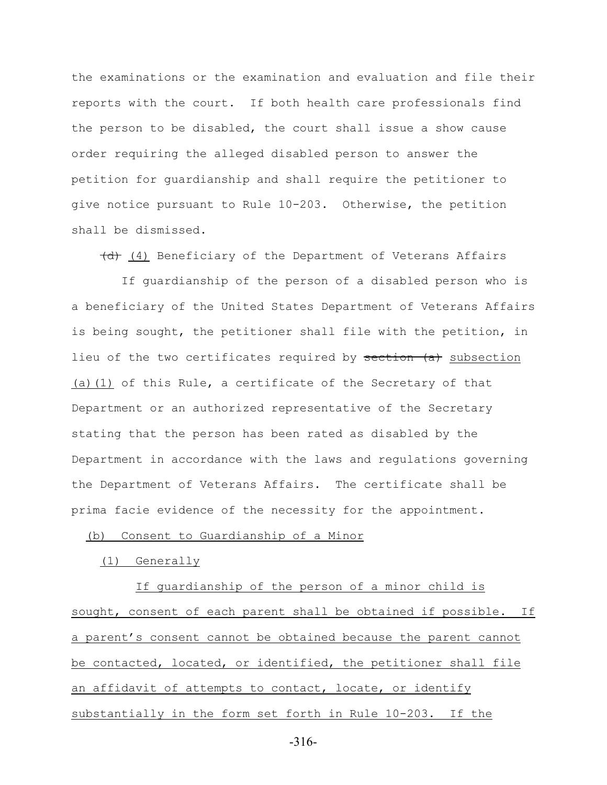the examinations or the examination and evaluation and file their reports with the court. If both health care professionals find the person to be disabled, the court shall issue a show cause order requiring the alleged disabled person to answer the petition for guardianship and shall require the petitioner to give notice pursuant to Rule 10-203. Otherwise, the petition shall be dismissed.

(d) (4) Beneficiary of the Department of Veterans Affairs

 If guardianship of the person of a disabled person who is a beneficiary of the United States Department of Veterans Affairs is being sought, the petitioner shall file with the petition, in lieu of the two certificates required by section (a) subsection (a)(1) of this Rule, a certificate of the Secretary of that Department or an authorized representative of the Secretary stating that the person has been rated as disabled by the Department in accordance with the laws and regulations governing the Department of Veterans Affairs. The certificate shall be prima facie evidence of the necessity for the appointment.

#### (b) Consent to Guardianship of a Minor

#### (1) Generally

 If guardianship of the person of a minor child is sought, consent of each parent shall be obtained if possible. If a parent's consent cannot be obtained because the parent cannot be contacted, located, or identified, the petitioner shall file an affidavit of attempts to contact, locate, or identify substantially in the form set forth in Rule 10-203. If the

-316-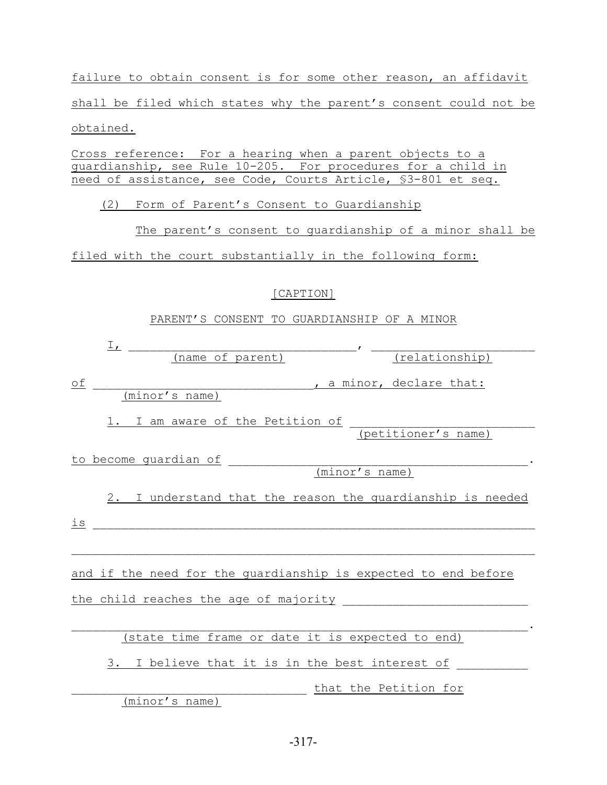failure to obtain consent is for some other reason, an affidavit shall be filed which states why the parent's consent could not be obtained.

Cross reference: For a hearing when a parent objects to a guardianship, see Rule 10-205. For procedures for a child in need of assistance, see Code, Courts Article, §3-801 et seq.

(2) Form of Parent's Consent to Guardianship

 The parent's consent to guardianship of a minor shall be filed with the court substantially in the following form:

### [CAPTION]

### PARENT'S CONSENT TO GUARDIANSHIP OF A MINOR

| $\frac{1}{\sqrt{2}}$                                           |  |  |  |  |
|----------------------------------------------------------------|--|--|--|--|
| (name of parent)<br>$(\text{relationship})$                    |  |  |  |  |
| оf<br>, a minor, declare that:<br>(minor's name)               |  |  |  |  |
| 1. I am aware of the Petition of<br>(petitioner's name)        |  |  |  |  |
| to become guardian of                                          |  |  |  |  |
| (minor's name)                                                 |  |  |  |  |
| 2. I understand that the reason the quardianship is needed     |  |  |  |  |
| is                                                             |  |  |  |  |
|                                                                |  |  |  |  |
| and if the need for the guardianship is expected to end before |  |  |  |  |
| the child reaches the age of majority                          |  |  |  |  |
|                                                                |  |  |  |  |
| (state time frame or date it is expected to end)               |  |  |  |  |
| 3. I believe that it is in the best interest of                |  |  |  |  |
| that the Petition for                                          |  |  |  |  |

(minor's name)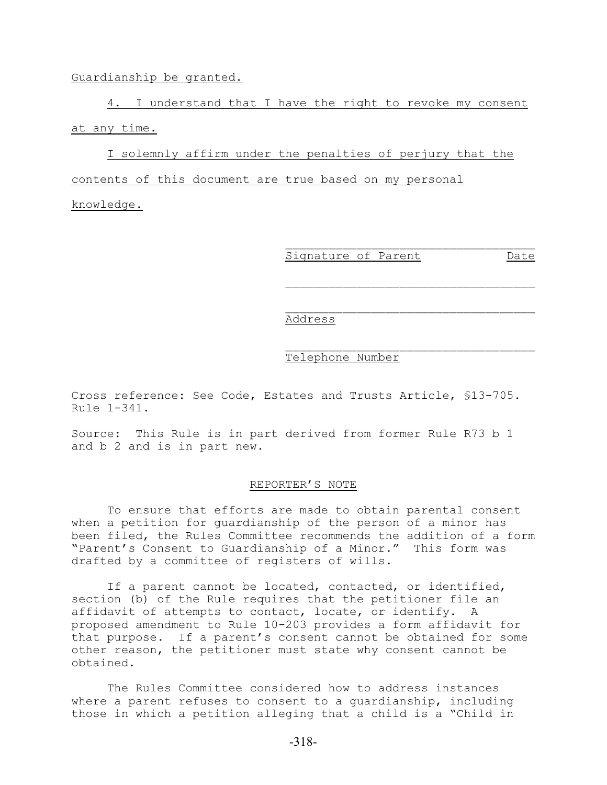#### Guardianship be granted.

4. I understand that I have the right to revoke my consent at any time.

I solemnly affirm under the penalties of perjury that the contents of this document are true based on my personal

knowledge.

 $\mathcal{L}_\text{max}$ Signature of Parent Date

 $\mathcal{L}_\text{max}$ 

 $\mathcal{L}_\text{max}$ 

#### Address

#### Telephone Number

Cross reference: See Code, Estates and Trusts Article, §13-705. Rule 1-341.

Source: This Rule is in part derived from former Rule R73 b 1 and b 2 and is in part new.

#### REPORTER'S NOTE

To ensure that efforts are made to obtain parental consent when a petition for guardianship of the person of a minor has been filed, the Rules Committee recommends the addition of a form "Parent's Consent to Guardianship of a Minor." This form was drafted by a committee of registers of wills.

If a parent cannot be located, contacted, or identified, section (b) of the Rule requires that the petitioner file an affidavit of attempts to contact, locate, or identify. A proposed amendment to Rule 10-203 provides a form affidavit for that purpose. If a parent's consent cannot be obtained for some other reason, the petitioner must state why consent cannot be obtained.

The Rules Committee considered how to address instances where a parent refuses to consent to a guardianship, including those in which a petition alleging that a child is a "Child in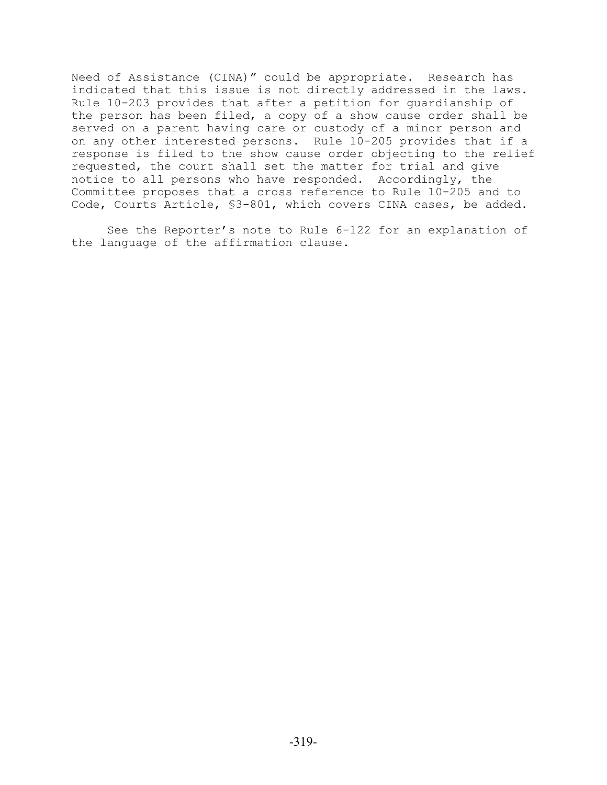Need of Assistance (CINA)" could be appropriate. Research has indicated that this issue is not directly addressed in the laws. Rule 10-203 provides that after a petition for guardianship of the person has been filed, a copy of a show cause order shall be served on a parent having care or custody of a minor person and on any other interested persons. Rule 10-205 provides that if a response is filed to the show cause order objecting to the relief requested, the court shall set the matter for trial and give notice to all persons who have responded. Accordingly, the Committee proposes that a cross reference to Rule 10-205 and to Code, Courts Article, §3-801, which covers CINA cases, be added.

See the Reporter's note to Rule 6-122 for an explanation of the language of the affirmation clause.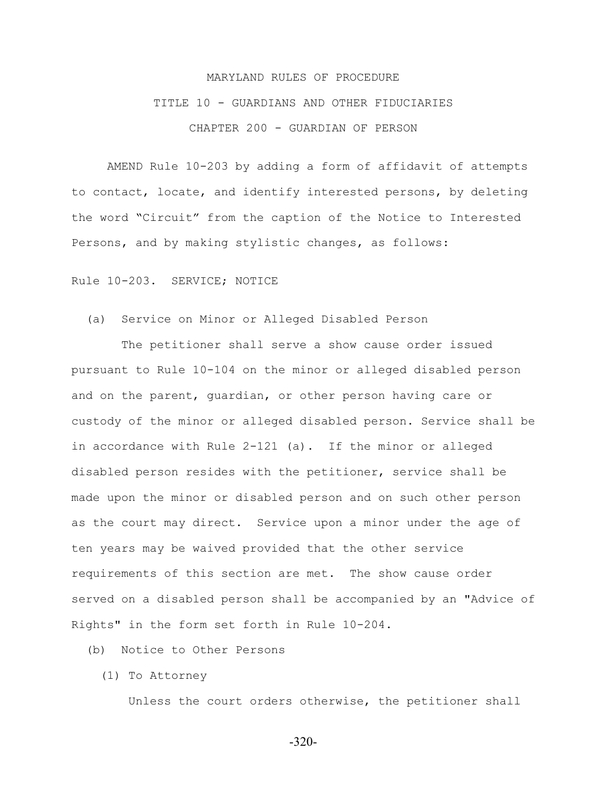# MARYLAND RULES OF PROCEDURE TITLE 10 - GUARDIANS AND OTHER FIDUCIARIES CHAPTER 200 - GUARDIAN OF PERSON

AMEND Rule 10-203 by adding a form of affidavit of attempts to contact, locate, and identify interested persons, by deleting the word "Circuit" from the caption of the Notice to Interested Persons, and by making stylistic changes, as follows:

Rule 10-203. SERVICE; NOTICE

(a) Service on Minor or Alleged Disabled Person

 The petitioner shall serve a show cause order issued pursuant to Rule 10-104 on the minor or alleged disabled person and on the parent, guardian, or other person having care or custody of the minor or alleged disabled person. Service shall be in accordance with Rule 2-121 (a). If the minor or alleged disabled person resides with the petitioner, service shall be made upon the minor or disabled person and on such other person as the court may direct. Service upon a minor under the age of ten years may be waived provided that the other service requirements of this section are met. The show cause order served on a disabled person shall be accompanied by an "Advice of Rights" in the form set forth in Rule 10-204.

(b) Notice to Other Persons

(1) To Attorney

Unless the court orders otherwise, the petitioner shall

-320-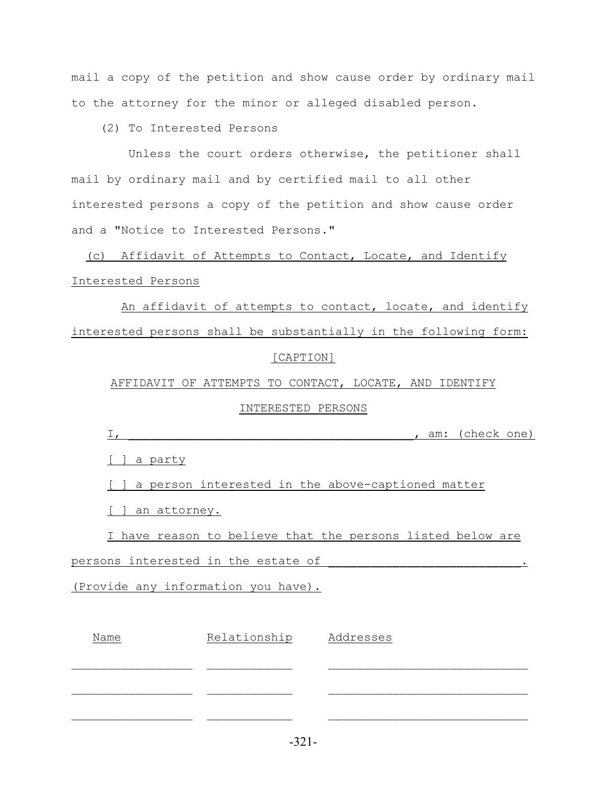mail a copy of the petition and show cause order by ordinary mail to the attorney for the minor or alleged disabled person.

(2) To Interested Persons

 Unless the court orders otherwise, the petitioner shall mail by ordinary mail and by certified mail to all other interested persons a copy of the petition and show cause order and a "Notice to Interested Persons."

 (c) Affidavit of Attempts to Contact, Locate, and Identify Interested Persons

 An affidavit of attempts to contact, locate, and identify interested persons shall be substantially in the following form: [CAPTION]

AFFIDAVIT OF ATTEMPTS TO CONTACT, LOCATE, AND IDENTIFY

#### INTERESTED PERSONS

| __<br><u>__</u> | aill | am: (check one) |  |
|-----------------|------|-----------------|--|
|                 |      |                 |  |

[ ] a party

[ ] a person interested in the above-captioned matter

[ ] an attorney.

I have reason to believe that the persons listed below are

persons interested in the estate of

(Provide any information you have).

| Name | Relationship | Addresses |
|------|--------------|-----------|
|      |              |           |
|      |              |           |
|      |              |           |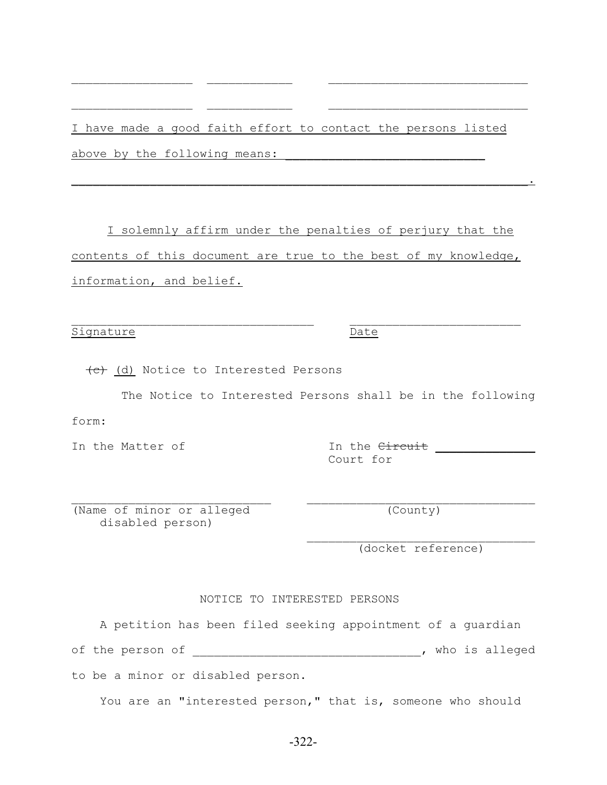I have made a good faith effort to contact the persons listed above by the following means:

 $\mathcal{L}_\text{max}$  and the contract of the contract of the contract of the contract of the contract of the contract of

 $\mathcal{L}_\text{max}$  and the contract of the contract of the contract of the contract of the contract of the contract of

 $\blacksquare$  . The contract of the contract of the contract of the contract of the contract of the contract of the contract of the contract of the contract of the contract of the contract of the contract of the contract of the

I solemnly affirm under the penalties of perjury that the contents of this document are true to the best of my knowledge, information, and belief.

Signature Date

(c) (d) Notice to Interested Persons

The Notice to Interested Persons shall be in the following

form:

In the Matter of The Circuit Level of The Circuit Level And The Circuit Level And The Matter of The Circuit Level And The Matter of The Circuit Level And The Circuit Level And The Matter of The Matter of The Matter of The

 $\mathcal{L}_\text{max}$  and the contract of the contract of the contract of the contract of the contract of the contract of (Name of minor or alleged (County) disabled person)

> $\mathcal{L}_\text{max}$ (docket reference)

NOTICE TO INTERESTED PERSONS

 A petition has been filed seeking appointment of a guardian of the person of \_\_\_\_\_\_\_\_\_\_\_\_\_\_\_\_\_\_\_\_\_\_\_\_\_\_\_\_\_\_\_\_, who is alleged to be a minor or disabled person.

You are an "interested person," that is, someone who should

Court for

 $\mathcal{L}_\text{max}$  and the contract of the contract of the contract of the contract of the contract of the contract of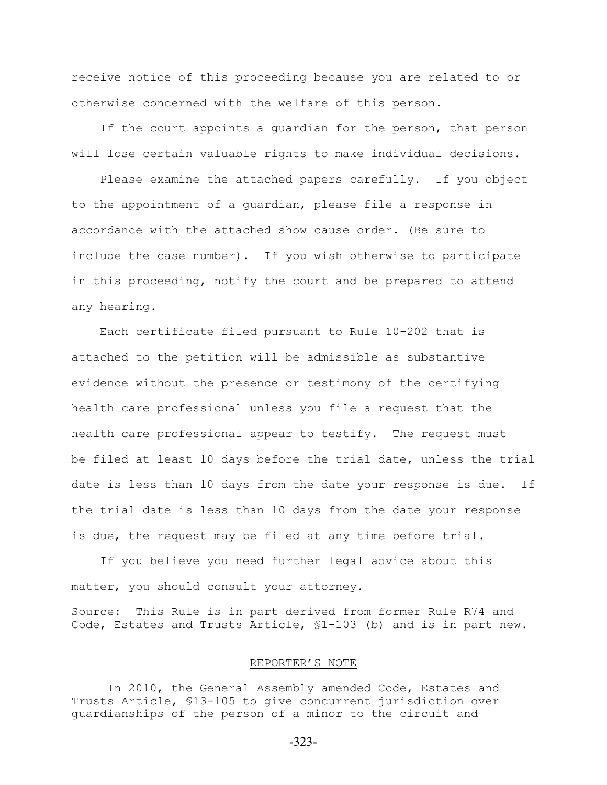receive notice of this proceeding because you are related to or otherwise concerned with the welfare of this person.

If the court appoints a quardian for the person, that person will lose certain valuable rights to make individual decisions.

 Please examine the attached papers carefully. If you object to the appointment of a guardian, please file a response in accordance with the attached show cause order. (Be sure to include the case number). If you wish otherwise to participate in this proceeding, notify the court and be prepared to attend any hearing.

 Each certificate filed pursuant to Rule 10-202 that is attached to the petition will be admissible as substantive evidence without the presence or testimony of the certifying health care professional unless you file a request that the health care professional appear to testify. The request must be filed at least 10 days before the trial date, unless the trial date is less than 10 days from the date your response is due. If the trial date is less than 10 days from the date your response is due, the request may be filed at any time before trial.

 If you believe you need further legal advice about this matter, you should consult your attorney. Source: This Rule is in part derived from former Rule R74 and Code, Estates and Trusts Article, §1-103 (b) and is in part new.

#### REPORTER'S NOTE

In 2010, the General Assembly amended Code, Estates and Trusts Article, §13-105 to give concurrent jurisdiction over guardianships of the person of a minor to the circuit and

-323-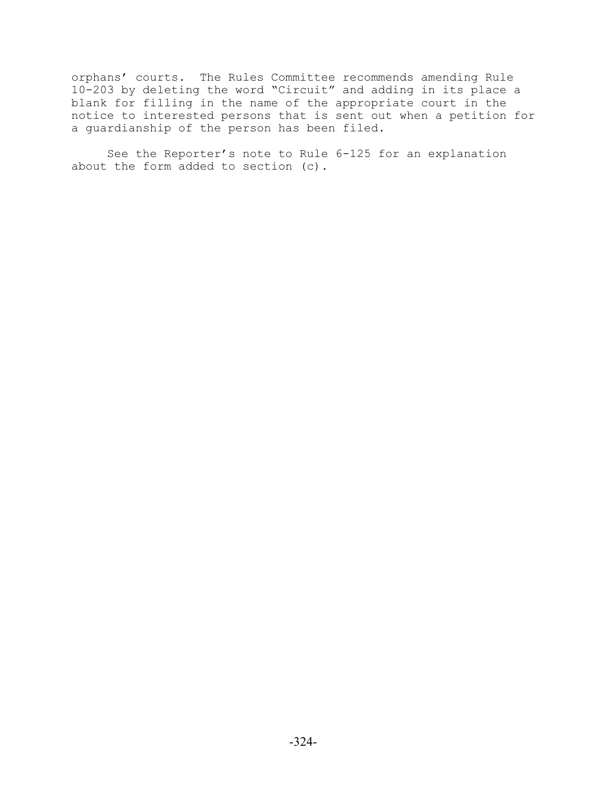orphans' courts. The Rules Committee recommends amending Rule 10-203 by deleting the word "Circuit" and adding in its place a blank for filling in the name of the appropriate court in the notice to interested persons that is sent out when a petition for a guardianship of the person has been filed.

See the Reporter's note to Rule 6-125 for an explanation about the form added to section (c).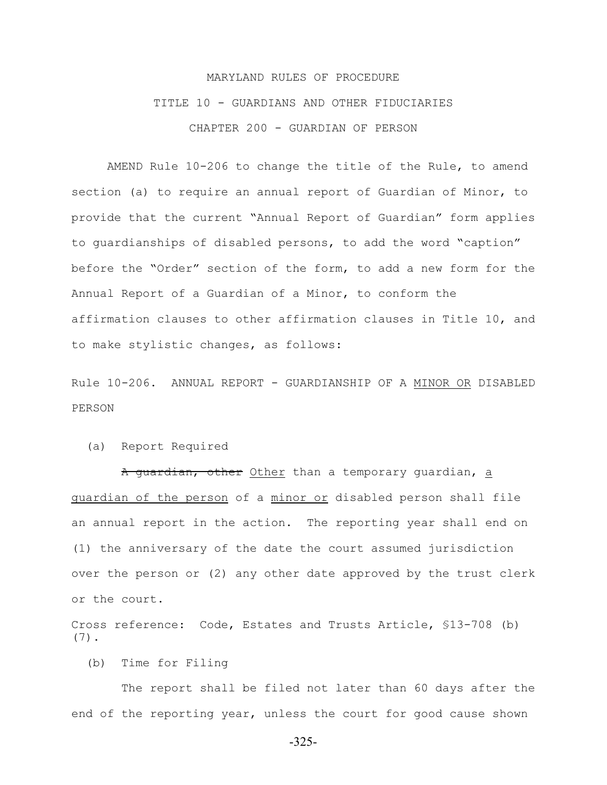# MARYLAND RULES OF PROCEDURE TITLE 10 - GUARDIANS AND OTHER FIDUCIARIES CHAPTER 200 - GUARDIAN OF PERSON

AMEND Rule 10-206 to change the title of the Rule, to amend section (a) to require an annual report of Guardian of Minor, to provide that the current "Annual Report of Guardian" form applies to guardianships of disabled persons, to add the word "caption" before the "Order" section of the form, to add a new form for the Annual Report of a Guardian of a Minor, to conform the affirmation clauses to other affirmation clauses in Title 10, and to make stylistic changes, as follows:

Rule 10-206. ANNUAL REPORT - GUARDIANSHIP OF A MINOR OR DISABLED PERSON

#### (a) Report Required

A guardian, other Other than a temporary guardian, a guardian of the person of a minor or disabled person shall file an annual report in the action. The reporting year shall end on (1) the anniversary of the date the court assumed jurisdiction over the person or (2) any other date approved by the trust clerk or the court.

Cross reference: Code, Estates and Trusts Article, §13-708 (b) (7).

(b) Time for Filing

 The report shall be filed not later than 60 days after the end of the reporting year, unless the court for good cause shown

-325-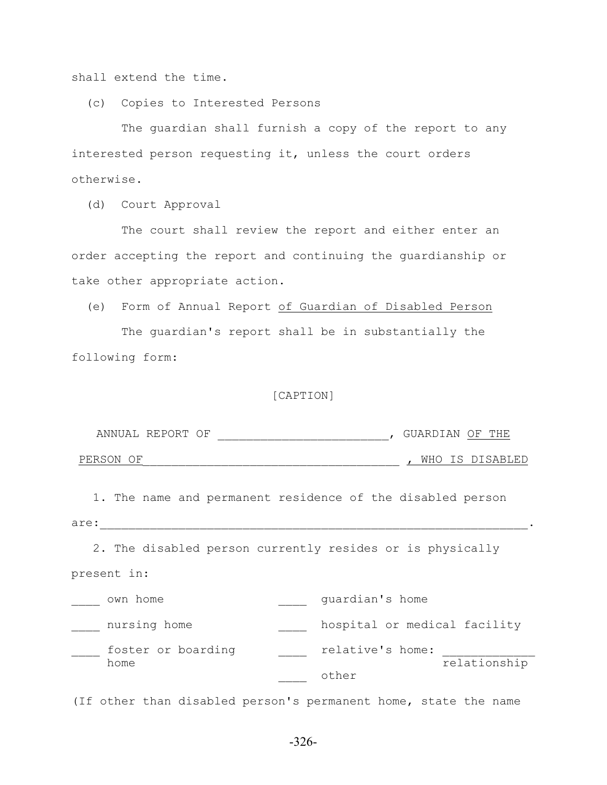shall extend the time.

(c) Copies to Interested Persons

 The guardian shall furnish a copy of the report to any interested person requesting it, unless the court orders otherwise.

(d) Court Approval

 The court shall review the report and either enter an order accepting the report and continuing the guardianship or take other appropriate action.

(e) Form of Annual Report of Guardian of Disabled Person

 The guardian's report shall be in substantially the following form:

#### [CAPTION]

| ANNUAL REPORT OF | $\rightarrow$ | $11 \text{ A} \text{N}$<br>A R | 里日中<br>∩F   |
|------------------|---------------|--------------------------------|-------------|
|                  |               |                                |             |
| PERSON OF        |               | WHO                            | TS DISARLED |

 1. The name and permanent residence of the disabled person are:\_\_\_\_\_\_\_\_\_\_\_\_\_\_\_\_\_\_\_\_\_\_\_\_\_\_\_\_\_\_\_\_\_\_\_\_\_\_\_\_\_\_\_\_\_\_\_\_\_\_\_\_\_\_\_\_\_\_\_\_.

2. The disabled person currently resides or is physically

| own home           | quardian's home              |              |
|--------------------|------------------------------|--------------|
| nursing home       | hospital or medical facility |              |
| foster or boarding | relative's home:             |              |
| home               |                              | relationship |
|                    | other                        |              |

(If other than disabled person's permanent home, state the name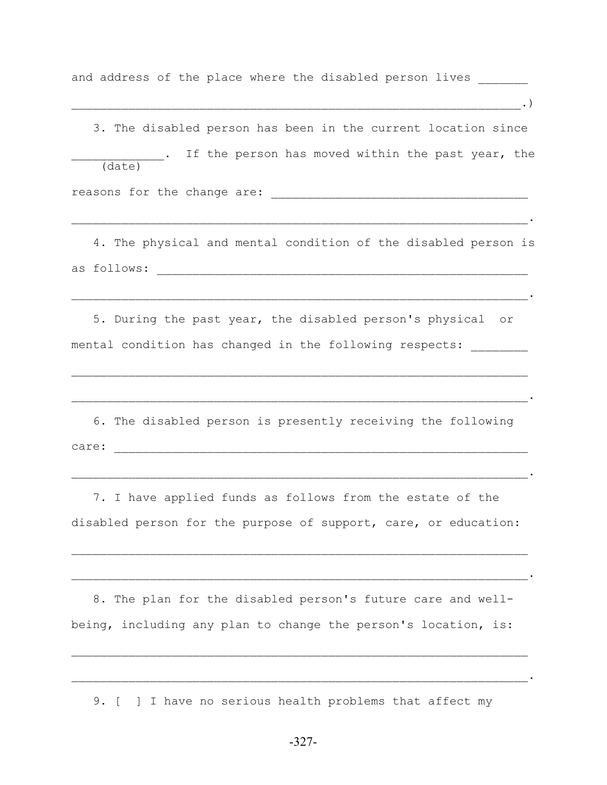and address of the place where the disabled person lives

 $\ldots)$  3. The disabled person has been in the current location since . If the person has moved within the past year, the (date) reasons for the change are: \_\_\_\_\_\_\_\_\_\_\_\_\_\_\_\_\_\_\_\_\_\_\_\_\_\_\_\_\_\_\_\_\_\_\_\_  $\mathcal{L}_\mathcal{L} = \mathcal{L}_\mathcal{L} = \mathcal{L}_\mathcal{L} = \mathcal{L}_\mathcal{L} = \mathcal{L}_\mathcal{L} = \mathcal{L}_\mathcal{L} = \mathcal{L}_\mathcal{L} = \mathcal{L}_\mathcal{L} = \mathcal{L}_\mathcal{L} = \mathcal{L}_\mathcal{L} = \mathcal{L}_\mathcal{L} = \mathcal{L}_\mathcal{L} = \mathcal{L}_\mathcal{L} = \mathcal{L}_\mathcal{L} = \mathcal{L}_\mathcal{L} = \mathcal{L}_\mathcal{L} = \mathcal{L}_\mathcal{L}$  4. The physical and mental condition of the disabled person is as follows: \_\_\_\_\_\_\_\_\_\_\_\_\_\_\_\_\_\_\_\_\_\_\_\_\_\_\_\_\_\_\_\_\_\_\_\_\_\_\_\_\_\_\_\_\_\_\_\_\_\_\_\_ \_\_\_\_\_\_\_\_\_\_\_\_\_\_\_\_\_\_\_\_\_\_\_\_\_\_\_\_\_\_\_\_\_\_\_\_\_\_\_\_\_\_\_\_\_\_\_\_\_\_\_\_\_\_\_\_\_\_\_\_\_\_\_\_. 5. During the past year, the disabled person's physical or mental condition has changed in the following respects:  $\mathcal{L}_\mathcal{L} = \mathcal{L}_\mathcal{L} = \mathcal{L}_\mathcal{L} = \mathcal{L}_\mathcal{L} = \mathcal{L}_\mathcal{L} = \mathcal{L}_\mathcal{L} = \mathcal{L}_\mathcal{L} = \mathcal{L}_\mathcal{L} = \mathcal{L}_\mathcal{L} = \mathcal{L}_\mathcal{L} = \mathcal{L}_\mathcal{L} = \mathcal{L}_\mathcal{L} = \mathcal{L}_\mathcal{L} = \mathcal{L}_\mathcal{L} = \mathcal{L}_\mathcal{L} = \mathcal{L}_\mathcal{L} = \mathcal{L}_\mathcal{L}$  6. The disabled person is presently receiving the following care: \_\_\_\_\_\_\_\_\_\_\_\_\_\_\_\_\_\_\_\_\_\_\_\_\_\_\_\_\_\_\_\_\_\_\_\_\_\_\_\_\_\_\_\_\_\_\_\_\_\_\_\_\_\_\_\_\_\_  $\mathcal{L}_\mathcal{L} = \mathcal{L}_\mathcal{L} = \mathcal{L}_\mathcal{L} = \mathcal{L}_\mathcal{L} = \mathcal{L}_\mathcal{L} = \mathcal{L}_\mathcal{L} = \mathcal{L}_\mathcal{L} = \mathcal{L}_\mathcal{L} = \mathcal{L}_\mathcal{L} = \mathcal{L}_\mathcal{L} = \mathcal{L}_\mathcal{L} = \mathcal{L}_\mathcal{L} = \mathcal{L}_\mathcal{L} = \mathcal{L}_\mathcal{L} = \mathcal{L}_\mathcal{L} = \mathcal{L}_\mathcal{L} = \mathcal{L}_\mathcal{L}$  7. I have applied funds as follows from the estate of the disabled person for the purpose of support, care, or education:

 8. The plan for the disabled person's future care and wellbeing, including any plan to change the person's location, is:

 $\mathcal{L}_\text{max} = \mathcal{L}_\text{max} = \mathcal{L}_\text{max} = \mathcal{L}_\text{max} = \mathcal{L}_\text{max} = \mathcal{L}_\text{max} = \mathcal{L}_\text{max} = \mathcal{L}_\text{max} = \mathcal{L}_\text{max} = \mathcal{L}_\text{max} = \mathcal{L}_\text{max} = \mathcal{L}_\text{max} = \mathcal{L}_\text{max} = \mathcal{L}_\text{max} = \mathcal{L}_\text{max} = \mathcal{L}_\text{max} = \mathcal{L}_\text{max} = \mathcal{L}_\text{max} = \mathcal{$ 

 $\mathcal{L}_\mathcal{L} = \mathcal{L}_\mathcal{L} = \mathcal{L}_\mathcal{L} = \mathcal{L}_\mathcal{L} = \mathcal{L}_\mathcal{L} = \mathcal{L}_\mathcal{L} = \mathcal{L}_\mathcal{L} = \mathcal{L}_\mathcal{L} = \mathcal{L}_\mathcal{L} = \mathcal{L}_\mathcal{L} = \mathcal{L}_\mathcal{L} = \mathcal{L}_\mathcal{L} = \mathcal{L}_\mathcal{L} = \mathcal{L}_\mathcal{L} = \mathcal{L}_\mathcal{L} = \mathcal{L}_\mathcal{L} = \mathcal{L}_\mathcal{L}$ 

 $\mathcal{L}_\text{max} = \mathcal{L}_\text{max} = \mathcal{L}_\text{max} = \mathcal{L}_\text{max} = \mathcal{L}_\text{max} = \mathcal{L}_\text{max} = \mathcal{L}_\text{max} = \mathcal{L}_\text{max} = \mathcal{L}_\text{max} = \mathcal{L}_\text{max} = \mathcal{L}_\text{max} = \mathcal{L}_\text{max} = \mathcal{L}_\text{max} = \mathcal{L}_\text{max} = \mathcal{L}_\text{max} = \mathcal{L}_\text{max} = \mathcal{L}_\text{max} = \mathcal{L}_\text{max} = \mathcal{$ 

 $\mathcal{L}_\mathcal{L} = \mathcal{L}_\mathcal{L} = \mathcal{L}_\mathcal{L} = \mathcal{L}_\mathcal{L} = \mathcal{L}_\mathcal{L} = \mathcal{L}_\mathcal{L} = \mathcal{L}_\mathcal{L} = \mathcal{L}_\mathcal{L} = \mathcal{L}_\mathcal{L} = \mathcal{L}_\mathcal{L} = \mathcal{L}_\mathcal{L} = \mathcal{L}_\mathcal{L} = \mathcal{L}_\mathcal{L} = \mathcal{L}_\mathcal{L} = \mathcal{L}_\mathcal{L} = \mathcal{L}_\mathcal{L} = \mathcal{L}_\mathcal{L}$ 

9. [ ] I have no serious health problems that affect my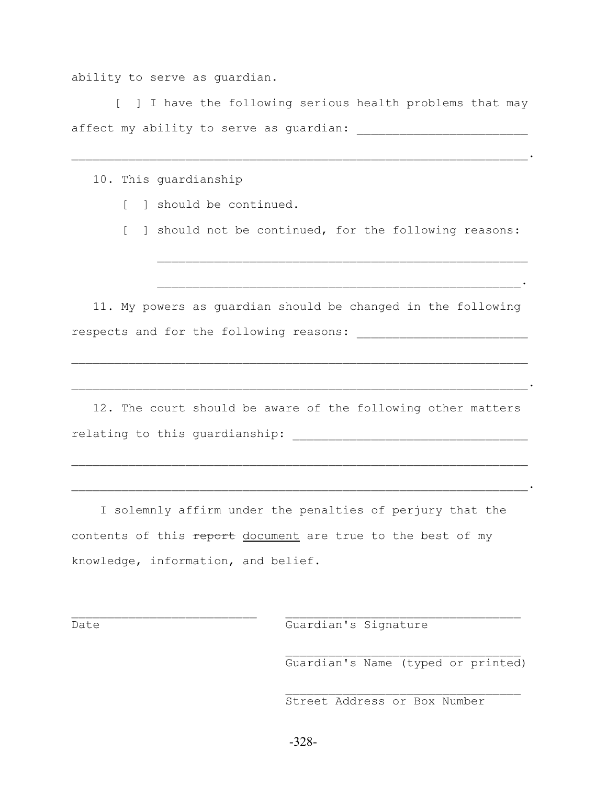ability to serve as guardian.

 [ ] I have the following serious health problems that may affect my ability to serve as guardian:

 $\mathcal{L}_\mathcal{L} = \mathcal{L}_\mathcal{L} = \mathcal{L}_\mathcal{L} = \mathcal{L}_\mathcal{L} = \mathcal{L}_\mathcal{L} = \mathcal{L}_\mathcal{L} = \mathcal{L}_\mathcal{L} = \mathcal{L}_\mathcal{L} = \mathcal{L}_\mathcal{L} = \mathcal{L}_\mathcal{L} = \mathcal{L}_\mathcal{L} = \mathcal{L}_\mathcal{L} = \mathcal{L}_\mathcal{L} = \mathcal{L}_\mathcal{L} = \mathcal{L}_\mathcal{L} = \mathcal{L}_\mathcal{L} = \mathcal{L}_\mathcal{L}$ 

10. This guardianship

- [ ] should be continued.
- [ ] should not be continued, for the following reasons:

 11. My powers as guardian should be changed in the following respects and for the following reasons: \_\_\_\_\_\_\_\_\_\_\_\_\_\_\_\_\_\_\_\_\_\_\_\_

 $\mathcal{L}_\text{max} = \mathcal{L}_\text{max} = \mathcal{L}_\text{max} = \mathcal{L}_\text{max} = \mathcal{L}_\text{max} = \mathcal{L}_\text{max} = \mathcal{L}_\text{max} = \mathcal{L}_\text{max} = \mathcal{L}_\text{max} = \mathcal{L}_\text{max} = \mathcal{L}_\text{max} = \mathcal{L}_\text{max} = \mathcal{L}_\text{max} = \mathcal{L}_\text{max} = \mathcal{L}_\text{max} = \mathcal{L}_\text{max} = \mathcal{L}_\text{max} = \mathcal{L}_\text{max} = \mathcal{$ 

 $\mathcal{L}_\mathcal{L} = \mathcal{L}_\mathcal{L} = \mathcal{L}_\mathcal{L} = \mathcal{L}_\mathcal{L} = \mathcal{L}_\mathcal{L} = \mathcal{L}_\mathcal{L} = \mathcal{L}_\mathcal{L} = \mathcal{L}_\mathcal{L} = \mathcal{L}_\mathcal{L} = \mathcal{L}_\mathcal{L} = \mathcal{L}_\mathcal{L} = \mathcal{L}_\mathcal{L} = \mathcal{L}_\mathcal{L} = \mathcal{L}_\mathcal{L} = \mathcal{L}_\mathcal{L} = \mathcal{L}_\mathcal{L} = \mathcal{L}_\mathcal{L}$ 

 $\mathcal{L}_\text{max}$  and the contract of the contract of the contract of the contract of the contract of the contract of the contract of the contract of the contract of the contract of the contract of the contract of the contrac

 $\mathcal{L}_\text{max} = \frac{1}{2} \sum_{i=1}^n \mathcal{L}_\text{max}(\mathcal{L}_i - \mathcal{L}_i)$ 

 12. The court should be aware of the following other matters relating to this guardianship: \_\_\_\_\_\_\_\_\_\_\_\_\_\_\_\_\_\_\_\_\_\_\_\_\_\_\_\_\_\_\_\_\_

 $\mathcal{L}_\text{max} = \mathcal{L}_\text{max} = \mathcal{L}_\text{max} = \mathcal{L}_\text{max} = \mathcal{L}_\text{max} = \mathcal{L}_\text{max} = \mathcal{L}_\text{max} = \mathcal{L}_\text{max} = \mathcal{L}_\text{max} = \mathcal{L}_\text{max} = \mathcal{L}_\text{max} = \mathcal{L}_\text{max} = \mathcal{L}_\text{max} = \mathcal{L}_\text{max} = \mathcal{L}_\text{max} = \mathcal{L}_\text{max} = \mathcal{L}_\text{max} = \mathcal{L}_\text{max} = \mathcal{$ 

 I solemnly affirm under the penalties of perjury that the contents of this report document are true to the best of my knowledge, information, and belief.

 $\mathcal{L}_\text{max}$  and the contract of the contract of the contract of the contract of the contract of the contract of

Date Guardian's Signature

 $\mathcal{L}_\text{max}$ Guardian's Name (typed or printed)

\_\_\_\_\_\_\_\_\_\_\_\_\_\_\_\_\_\_\_\_\_\_\_\_\_\_\_\_\_\_\_\_\_\_\_\_\_\_\_\_\_\_\_\_\_\_\_\_\_\_\_\_\_\_\_\_\_\_\_\_\_\_\_\_.

Street Address or Box Number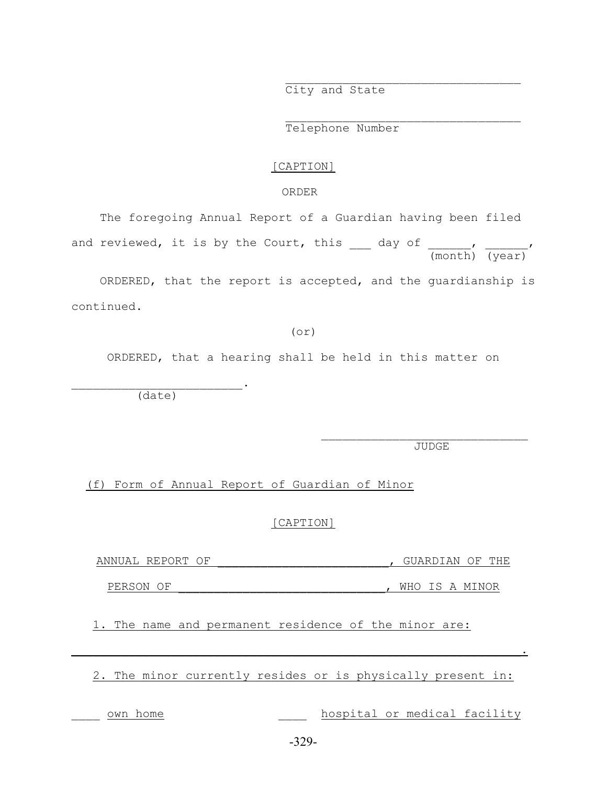City and State

 $\mathcal{L}_\text{max}$ 

 $\mathcal{L}_\text{max}$ 

Telephone Number

#### [CAPTION]

### ORDER

 The foregoing Annual Report of a Guardian having been filed and reviewed, it is by the Court, this and day of the section of the section of the section of the section of the section of the section of the section of the section of the section of the section of the section of the sec (month) (year)

 ORDERED, that the report is accepted, and the guardianship is continued.

(or)

ORDERED, that a hearing shall be held in this matter on

(date)

 $\mathcal{L}_\text{max}$  and  $\mathcal{L}_\text{max}$  and  $\mathcal{L}_\text{max}$  and  $\mathcal{L}_\text{max}$ 

JUDGE

 $\mathcal{L}_\text{max}$ 

(f) Form of Annual Report of Guardian of Minor

[CAPTION]

ANNUAL REPORT OF \_\_\_\_\_\_\_\_\_\_\_\_\_\_\_\_\_\_\_\_\_\_\_\_, GUARDIAN OF THE

PERSON OF \_\_\_\_\_\_\_\_\_\_\_\_\_\_\_\_\_\_\_\_\_\_\_\_\_\_\_\_\_, WHO IS A MINOR

1. The name and permanent residence of the minor are:

2. The minor currently resides or is physically present in:

 $\mathcal{L}_\text{max}$  and  $\mathcal{L}_\text{max}$  and  $\mathcal{L}_\text{max}$  and  $\mathcal{L}_\text{max}$  and  $\mathcal{L}_\text{max}$  and  $\mathcal{L}_\text{max}$ 

own home  $h$  hospital or medical facility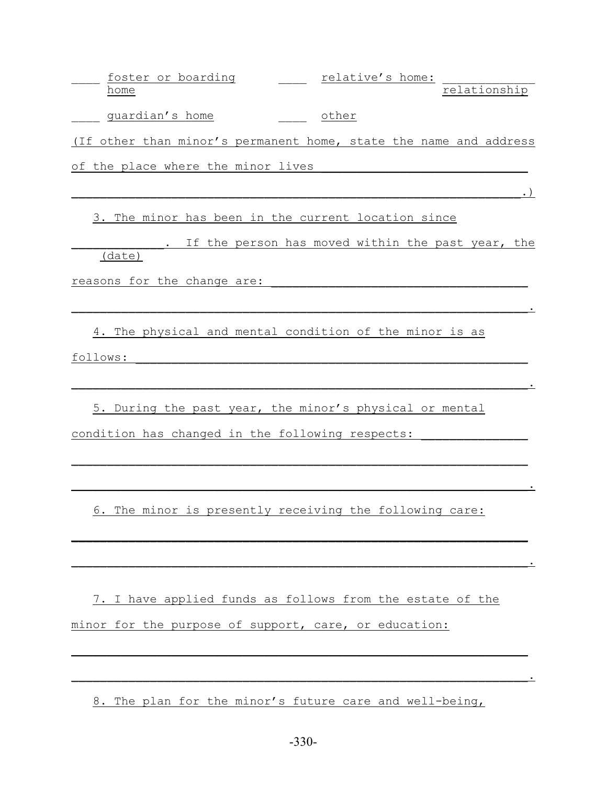| foster or boarding |  | relative's home: |              |
|--------------------|--|------------------|--------------|
| home               |  |                  | relationshir |
|                    |  |                  |              |

\_\_\_\_\_ guardian's home \_\_\_\_\_\_\_ other

(If other than minor's permanent home, state the name and address

of the place where the minor lives

 $\blacksquare$ 

3. The minor has been in the current location since

. If the person has moved within the past year, the (date)

 $\mathcal{L}_\text{max} = \mathcal{L}_\text{max} = \mathcal{L}_\text{max} = \mathcal{L}_\text{max} = \mathcal{L}_\text{max} = \mathcal{L}_\text{max} = \mathcal{L}_\text{max} = \mathcal{L}_\text{max} = \mathcal{L}_\text{max} = \mathcal{L}_\text{max} = \mathcal{L}_\text{max} = \mathcal{L}_\text{max} = \mathcal{L}_\text{max} = \mathcal{L}_\text{max} = \mathcal{L}_\text{max} = \mathcal{L}_\text{max} = \mathcal{L}_\text{max} = \mathcal{L}_\text{max} = \mathcal{$ 

 $\mathcal{L}_\text{max}$  and  $\mathcal{L}_\text{max}$  and  $\mathcal{L}_\text{max}$  and  $\mathcal{L}_\text{max}$  and  $\mathcal{L}_\text{max}$  and  $\mathcal{L}_\text{max}$ 

reasons for the change are:  $\overline{\phantom{a}}$ 

 4. The physical and mental condition of the minor is as follows:

5. During the past year, the minor's physical or mental condition has changed in the following respects:

6. The minor is presently receiving the following care:

 $\mathcal{L}_\text{max}$  and  $\mathcal{L}_\text{max}$  and  $\mathcal{L}_\text{max}$  and  $\mathcal{L}_\text{max}$  and  $\mathcal{L}_\text{max}$  and  $\mathcal{L}_\text{max}$ 

 $\blacksquare$  . The contract of the contract of the contract of the contract of the contract of the contract of the contract of the contract of the contract of the contract of the contract of the contract of the contract of the

 $\mathcal{L}_\text{max}$  and  $\mathcal{L}_\text{max}$  and  $\mathcal{L}_\text{max}$  and  $\mathcal{L}_\text{max}$  and  $\mathcal{L}_\text{max}$  and  $\mathcal{L}_\text{max}$ 

 $\mathcal{L}_\text{max}$  and  $\mathcal{L}_\text{max}$  and  $\mathcal{L}_\text{max}$  and  $\mathcal{L}_\text{max}$  and  $\mathcal{L}_\text{max}$  and  $\mathcal{L}_\text{max}$ 

7. I have applied funds as follows from the estate of the minor for the purpose of support, care, or education:

 $\mathcal{L}_\text{max}$  and  $\mathcal{L}_\text{max}$  and  $\mathcal{L}_\text{max}$  and  $\mathcal{L}_\text{max}$  and  $\mathcal{L}_\text{max}$  and  $\mathcal{L}_\text{max}$ 

 $\mathcal{L}_\text{max}$  and  $\mathcal{L}_\text{max}$  and  $\mathcal{L}_\text{max}$  and  $\mathcal{L}_\text{max}$  and  $\mathcal{L}_\text{max}$  and  $\mathcal{L}_\text{max}$ 

8. The plan for the minor's future care and well-being,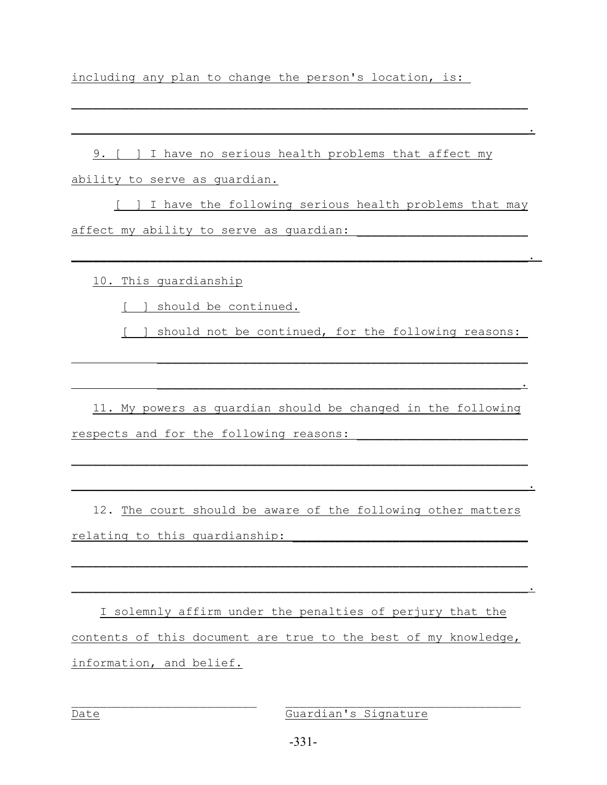including any plan to change the person's location, is:

 9. [ ] I have no serious health problems that affect my ability to serve as guardian.

 [ ] I have the following serious health problems that may affect my ability to serve as quardian:

 $\mathcal{L}_\text{max}$  and  $\mathcal{L}_\text{max}$  and  $\mathcal{L}_\text{max}$  and  $\mathcal{L}_\text{max}$  and  $\mathcal{L}_\text{max}$  and  $\mathcal{L}_\text{max}$ 

 $\mathcal{L}_\text{max}$  and  $\mathcal{L}_\text{max}$  and  $\mathcal{L}_\text{max}$  and  $\mathcal{L}_\text{max}$  and  $\mathcal{L}_\text{max}$  and  $\mathcal{L}_\text{max}$ 

 $\blacksquare$  . The contract of the contract of the contract of the contract of the contract of the contract of the contract of the contract of the contract of the contract of the contract of the contract of the contract of the

10. This guardianship

[ ] should be continued.

[ ] should not be continued, for the following reasons:

 11. My powers as guardian should be changed in the following respects and for the following reasons:

 $\mathcal{L}_\text{max}$  and  $\mathcal{L}_\text{max}$  and  $\mathcal{L}_\text{max}$  and  $\mathcal{L}_\text{max}$  and  $\mathcal{L}_\text{max}$  and  $\mathcal{L}_\text{max}$ 

 $\mathcal{L}_\text{max} = \mathcal{L}_\text{max} = \mathcal{L}_\text{max} = \mathcal{L}_\text{max} = \mathcal{L}_\text{max} = \mathcal{L}_\text{max} = \mathcal{L}_\text{max} = \mathcal{L}_\text{max} = \mathcal{L}_\text{max} = \mathcal{L}_\text{max} = \mathcal{L}_\text{max} = \mathcal{L}_\text{max} = \mathcal{L}_\text{max} = \mathcal{L}_\text{max} = \mathcal{L}_\text{max} = \mathcal{L}_\text{max} = \mathcal{L}_\text{max} = \mathcal{L}_\text{max} = \mathcal{$ 

 $\mathcal{L}_\text{max}$  and  $\mathcal{L}_\text{max}$  and  $\mathcal{L}_\text{max}$  and  $\mathcal{L}_\text{max}$  and  $\mathcal{L}_\text{max}$  and  $\mathcal{L}_\text{max}$ 

 $\mathcal{L}_\text{max}$  , and the contract of the contract of the contract of the contract of the contract of the contract of the contract of the contract of the contract of the contract of the contract of the contract of the contr

 12. The court should be aware of the following other matters relating to this quardianship:

 $\mathcal{L}_\text{max}$  and the contract of the contract of the contract of the contract of the contract of the contract of the contract of the contract of the contract of the contract of the contract of the contract of the contrac

 $\mathcal{L}_\text{max} = \mathcal{L}_\text{max} = \mathcal{L}_\text{max} = \mathcal{L}_\text{max} = \mathcal{L}_\text{max} = \mathcal{L}_\text{max} = \mathcal{L}_\text{max} = \mathcal{L}_\text{max} = \mathcal{L}_\text{max} = \mathcal{L}_\text{max} = \mathcal{L}_\text{max} = \mathcal{L}_\text{max} = \mathcal{L}_\text{max} = \mathcal{L}_\text{max} = \mathcal{L}_\text{max} = \mathcal{L}_\text{max} = \mathcal{L}_\text{max} = \mathcal{L}_\text{max} = \mathcal{$ 

 I solemnly affirm under the penalties of perjury that the contents of this document are true to the best of my knowledge, information, and belief.

Date Guardian's Signature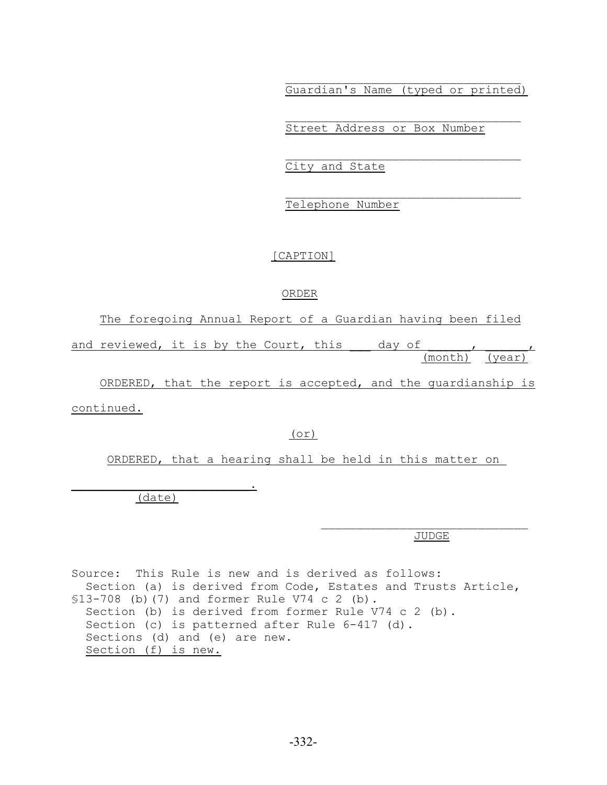$\mathcal{L}_\text{max}$ Guardian's Name (typed or printed)

 $\mathcal{L}_\text{max}$ 

 $\mathcal{L}_\text{max}$ 

Street Address or Box Number

City and State

Telephone Number

# [CAPTION]

# ORDER

The foregoing Annual Report of a Guardian having been filed

and reviewed, it is by the Court, this day of the contract of the set of the set of the set of the set of the s (month) (year)

 ORDERED, that the report is accepted, and the guardianship is continued.

# (or)

ORDERED, that a hearing shall be held in this matter on

(date)

 $\mathcal{L}=\mathcal{L}=\mathcal{L}=\mathcal{L}=\mathcal{L}=\mathcal{L}=\mathcal{L}=\mathcal{L}=\mathcal{L}=\mathcal{L}=\mathcal{L}=\mathcal{L}=\mathcal{L}=\mathcal{L}=\mathcal{L}=\mathcal{L}=\mathcal{L}=\mathcal{L}=\mathcal{L}=\mathcal{L}=\mathcal{L}=\mathcal{L}=\mathcal{L}=\mathcal{L}=\mathcal{L}=\mathcal{L}=\mathcal{L}=\mathcal{L}=\mathcal{L}=\mathcal{L}=\mathcal{L}=\mathcal{L}=\mathcal{L}=\mathcal{L}=\mathcal{L}=\mathcal{L}=\mathcal{$ 

JUDGE

 $\mathcal{L}_\text{max}$ 

Source: This Rule is new and is derived as follows: Section (a) is derived from Code, Estates and Trusts Article, §13-708 (b)(7) and former Rule V74 c 2 (b). Section (b) is derived from former Rule V74 c 2 (b). Section (c) is patterned after Rule 6-417 (d). Sections (d) and (e) are new. Section (f) is new.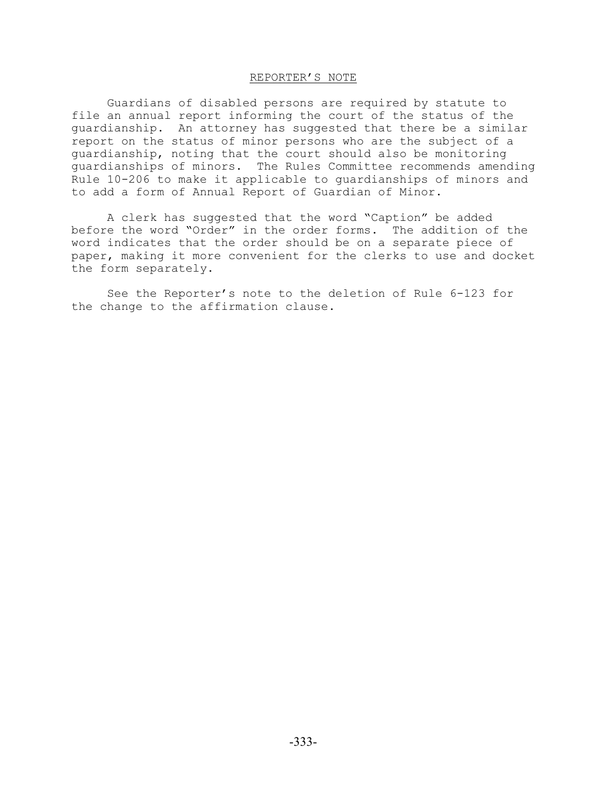# REPORTER'S NOTE

Guardians of disabled persons are required by statute to file an annual report informing the court of the status of the guardianship. An attorney has suggested that there be a similar report on the status of minor persons who are the subject of a guardianship, noting that the court should also be monitoring guardianships of minors. The Rules Committee recommends amending Rule 10-206 to make it applicable to guardianships of minors and to add a form of Annual Report of Guardian of Minor.

A clerk has suggested that the word "Caption" be added before the word "Order" in the order forms. The addition of the word indicates that the order should be on a separate piece of paper, making it more convenient for the clerks to use and docket the form separately.

See the Reporter's note to the deletion of Rule 6-123 for the change to the affirmation clause.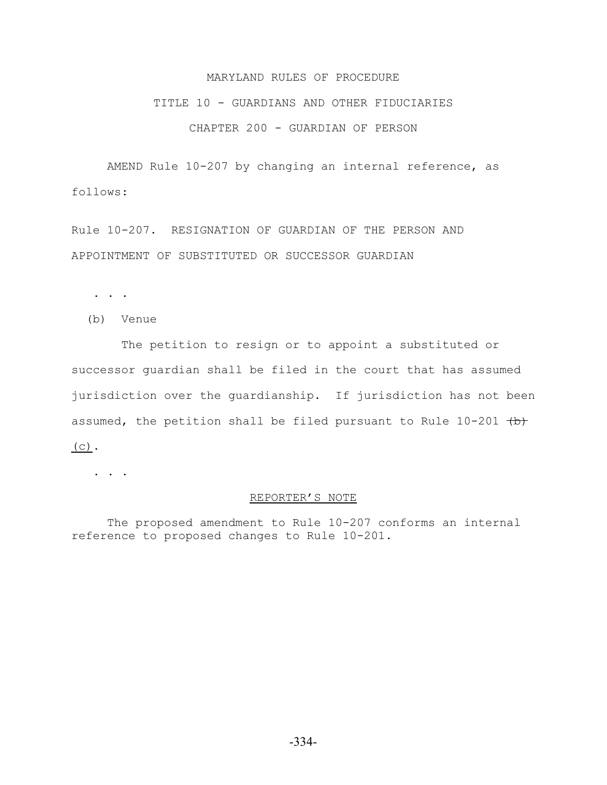# MARYLAND RULES OF PROCEDURE

#### TITLE 10 - GUARDIANS AND OTHER FIDUCIARIES

# CHAPTER 200 - GUARDIAN OF PERSON

AMEND Rule 10-207 by changing an internal reference, as follows:

Rule 10-207. RESIGNATION OF GUARDIAN OF THE PERSON AND APPOINTMENT OF SUBSTITUTED OR SUCCESSOR GUARDIAN

. . .

(b) Venue

 The petition to resign or to appoint a substituted or successor guardian shall be filed in the court that has assumed jurisdiction over the guardianship. If jurisdiction has not been assumed, the petition shall be filed pursuant to Rule  $10-201$  (b)  $(C)$ .

. . .

#### REPORTER'S NOTE

The proposed amendment to Rule 10-207 conforms an internal reference to proposed changes to Rule 10-201.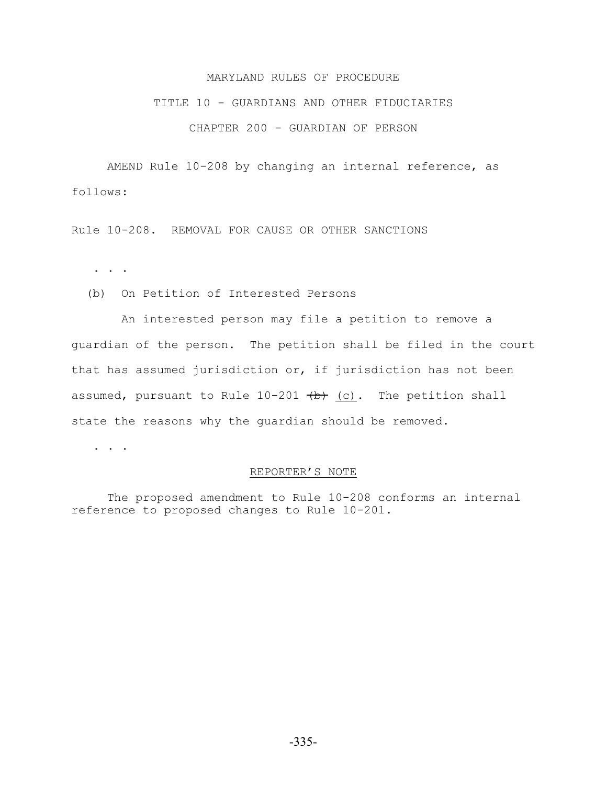# MARYLAND RULES OF PROCEDURE

#### TITLE 10 - GUARDIANS AND OTHER FIDUCIARIES

## CHAPTER 200 - GUARDIAN OF PERSON

AMEND Rule 10-208 by changing an internal reference, as follows:

Rule 10-208. REMOVAL FOR CAUSE OR OTHER SANCTIONS

. . .

(b) On Petition of Interested Persons

 An interested person may file a petition to remove a guardian of the person. The petition shall be filed in the court that has assumed jurisdiction or, if jurisdiction has not been assumed, pursuant to Rule  $10-201$  (b) (c). The petition shall state the reasons why the guardian should be removed.

. . .

# REPORTER'S NOTE

The proposed amendment to Rule 10-208 conforms an internal reference to proposed changes to Rule 10-201.

-335-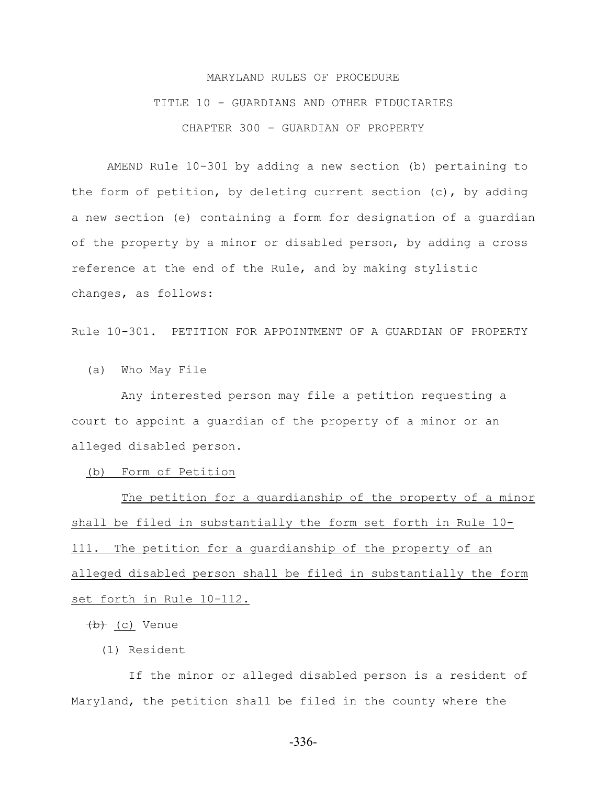# MARYLAND RULES OF PROCEDURE TITLE 10 - GUARDIANS AND OTHER FIDUCIARIES CHAPTER 300 - GUARDIAN OF PROPERTY

AMEND Rule 10-301 by adding a new section (b) pertaining to the form of petition, by deleting current section (c), by adding a new section (e) containing a form for designation of a guardian of the property by a minor or disabled person, by adding a cross reference at the end of the Rule, and by making stylistic changes, as follows:

Rule 10-301. PETITION FOR APPOINTMENT OF A GUARDIAN OF PROPERTY

(a) Who May File

 Any interested person may file a petition requesting a court to appoint a guardian of the property of a minor or an alleged disabled person.

(b) Form of Petition

 The petition for a guardianship of the property of a minor shall be filed in substantially the form set forth in Rule 10- 111. The petition for a guardianship of the property of an alleged disabled person shall be filed in substantially the form set forth in Rule 10-112.

(b) (c) Venue

(1) Resident

 If the minor or alleged disabled person is a resident of Maryland, the petition shall be filed in the county where the

-336-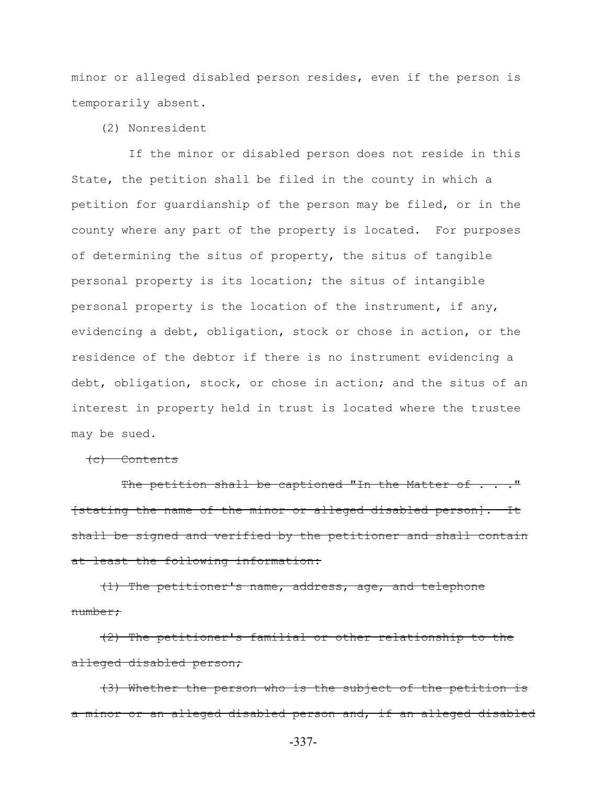minor or alleged disabled person resides, even if the person is temporarily absent.

(2) Nonresident

 If the minor or disabled person does not reside in this State, the petition shall be filed in the county in which a petition for guardianship of the person may be filed, or in the county where any part of the property is located. For purposes of determining the situs of property, the situs of tangible personal property is its location; the situs of intangible personal property is the location of the instrument, if any, evidencing a debt, obligation, stock or chose in action, or the residence of the debtor if there is no instrument evidencing a debt, obligation, stock, or chose in action; and the situs of an interest in property held in trust is located where the trustee may be sued.

(c) Contents

The petition shall be captioned "In the Matter of . . . " [stating the name of the minor or alleged disabled person]. It shall be signed and verified by the petitioner and shall contain at least the following information:

 (1) The petitioner's name, address, age, and telephone number;

 (2) The petitioner's familial or other relationship to the alleged disabled person;

 (3) Whether the person who is the subject of the petition is a minor or an alleged disabled person and, if an alleged disabled

-337-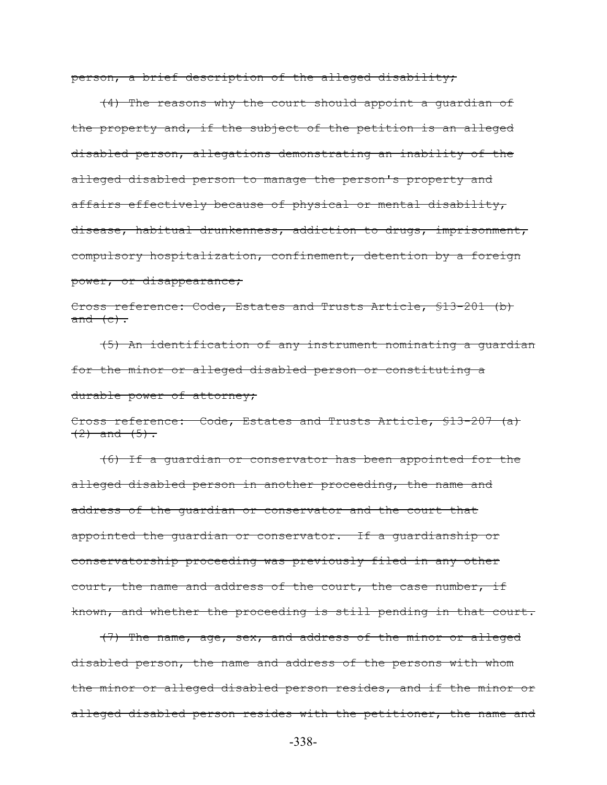person, a brief description of the alleged disability;

 (4) The reasons why the court should appoint a guardian of the property and, if the subject of the petition is an alleged disabled person, allegations demonstrating an inability of the alleged disabled person to manage the person's property and affairs effectively because of physical or mental disability, disease, habitual drunkenness, addiction to drugs, imprisonment, compulsory hospitalization, confinement, detention by a foreign power, or disappearance;

Cross reference: Code, Estates and Trusts Article, §13-201 (b) and  $(e)$ .

 (5) An identification of any instrument nominating a guardian for the minor or alleged disabled person or constituting a durable power of attorney;

Cross reference: Code, Estates and Trusts Article, §13-207 (a)  $(2)$  and  $(5)$ .

 (6) If a guardian or conservator has been appointed for the alleged disabled person in another proceeding, the name and address of the guardian or conservator and the court that appointed the guardian or conservator. If a guardianship or conservatorship proceeding was previously filed in any other court, the name and address of the court, the case number, if known, and whether the proceeding is still pending in that court.

 (7) The name, age, sex, and address of the minor or alleged disabled person, the name and address of the persons with whom the minor or alleged disabled person resides, and if the minor or alleged disabled person resides with the petitioner, the name and

-338-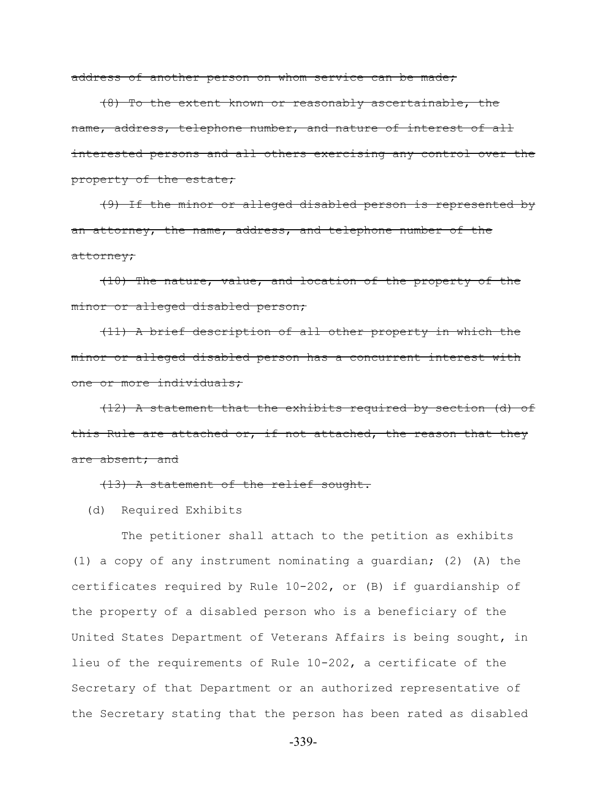address of another person on whom service can be made;

 (8) To the extent known or reasonably ascertainable, the name, address, telephone number, and nature of interest of all interested persons and all others exercising any control over the property of the estate;

 (9) If the minor or alleged disabled person is represented by an attorney, the name, address, and telephone number of the attorney;

 (10) The nature, value, and location of the property of the minor or alleged disabled person;

 (11) A brief description of all other property in which the minor or alleged disabled person has a concurrent interest with one or more individuals;

 (12) A statement that the exhibits required by section (d) of this Rule are attached or, if not attached, the reason that they are absent; and

(13) A statement of the relief sought.

(d) Required Exhibits

 The petitioner shall attach to the petition as exhibits (1) a copy of any instrument nominating a guardian; (2) (A) the certificates required by Rule 10-202, or (B) if guardianship of the property of a disabled person who is a beneficiary of the United States Department of Veterans Affairs is being sought, in lieu of the requirements of Rule 10-202, a certificate of the Secretary of that Department or an authorized representative of the Secretary stating that the person has been rated as disabled

-339-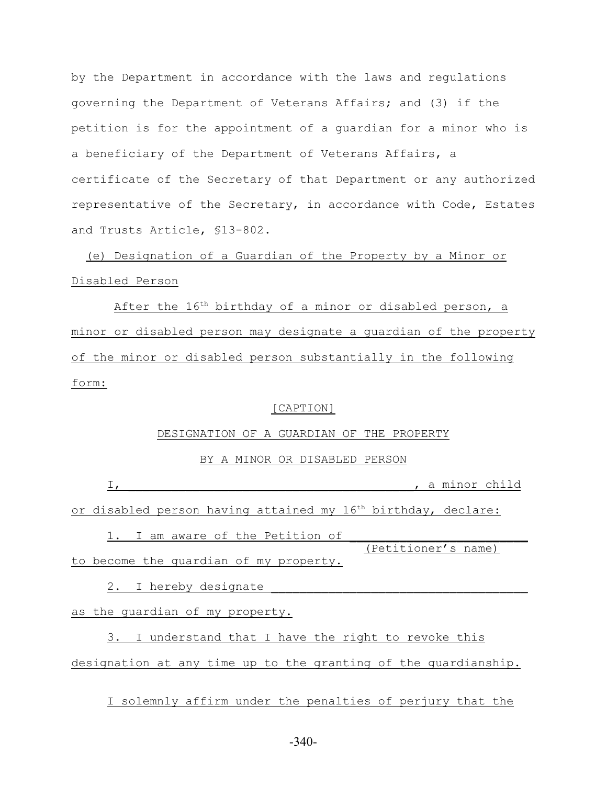by the Department in accordance with the laws and regulations governing the Department of Veterans Affairs; and (3) if the petition is for the appointment of a guardian for a minor who is a beneficiary of the Department of Veterans Affairs, a certificate of the Secretary of that Department or any authorized representative of the Secretary, in accordance with Code, Estates and Trusts Article, §13-802.

 (e) Designation of a Guardian of the Property by a Minor or Disabled Person

After the  $16<sup>th</sup>$  birthday of a minor or disabled person, a minor or disabled person may designate a guardian of the property of the minor or disabled person substantially in the following form:

#### [CAPTION]

#### DESIGNATION OF A GUARDIAN OF THE PROPERTY

# BY A MINOR OR DISABLED PERSON

I, \_\_\_\_\_\_\_\_\_\_\_\_\_\_\_\_\_\_\_\_\_\_\_\_\_\_\_\_\_\_\_\_\_\_\_\_\_\_\_\_, a minor child

or disabled person having attained my  $16<sup>th</sup>$  birthday, declare:

1. I am aware of the Petition of (Petitioner's name) to become the quardian of my property.

2. I hereby designate

as the guardian of my property.

3. I understand that I have the right to revoke this designation at any time up to the granting of the guardianship.

I solemnly affirm under the penalties of perjury that the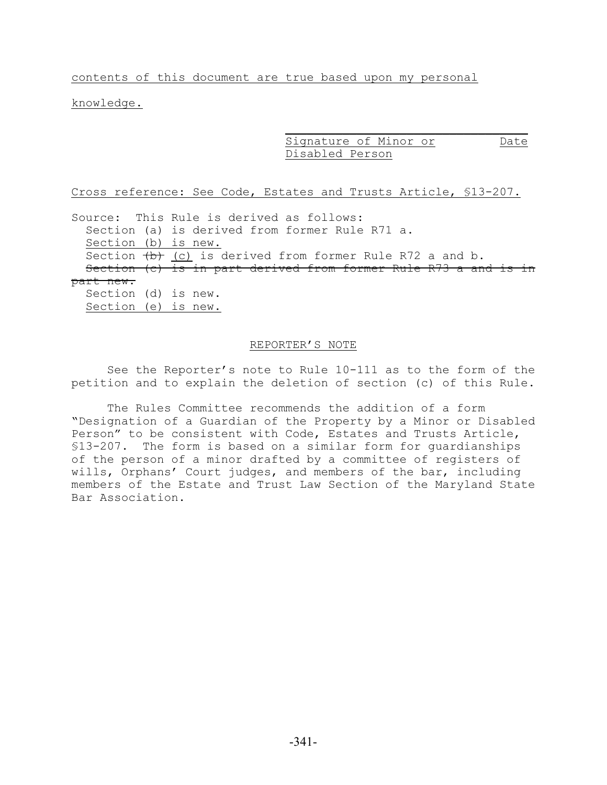contents of this document are true based upon my personal

knowledge.

 $\overline{\phantom{a}}$  , which is a set of the set of the set of the set of the set of the set of the set of the set of the set of the set of the set of the set of the set of the set of the set of the set of the set of the set of th Signature of Minor or Date Disabled Person

Cross reference: See Code, Estates and Trusts Article, §13-207.

Source: This Rule is derived as follows: Section (a) is derived from former Rule R71 a. Section (b) is new. Section  $(b)$  (c) is derived from former Rule R72 a and b. Section (c) is in part derived from former Rule R73 a and is in part new.

 Section (d) is new. Section (e) is new.

### REPORTER'S NOTE

See the Reporter's note to Rule 10-111 as to the form of the petition and to explain the deletion of section (c) of this Rule.

The Rules Committee recommends the addition of a form "Designation of a Guardian of the Property by a Minor or Disabled Person" to be consistent with Code, Estates and Trusts Article, §13-207. The form is based on a similar form for guardianships of the person of a minor drafted by a committee of registers of wills, Orphans' Court judges, and members of the bar, including members of the Estate and Trust Law Section of the Maryland State Bar Association.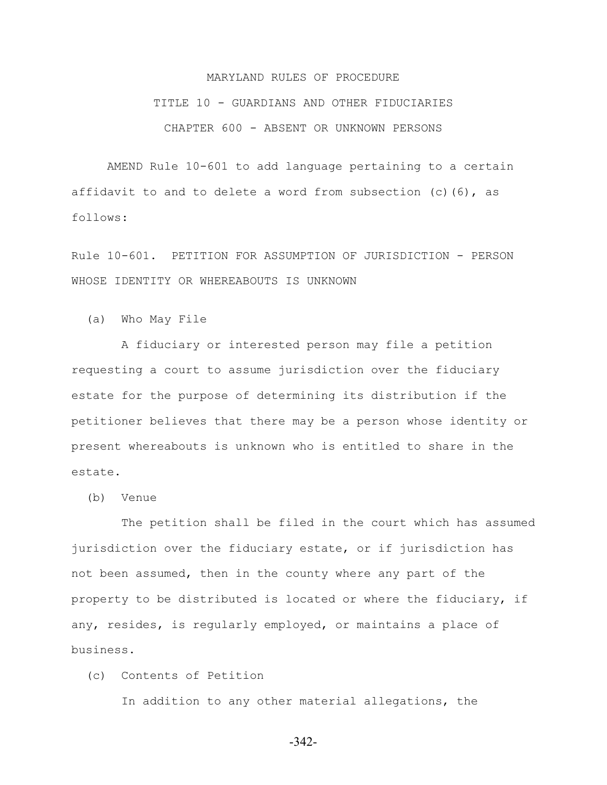# MARYLAND RULES OF PROCEDURE TITLE 10 - GUARDIANS AND OTHER FIDUCIARIES CHAPTER 600 - ABSENT OR UNKNOWN PERSONS

AMEND Rule 10-601 to add language pertaining to a certain affidavit to and to delete a word from subsection  $(c)$  (6), as follows:

Rule 10-601. PETITION FOR ASSUMPTION OF JURISDICTION - PERSON WHOSE IDENTITY OR WHEREABOUTS IS UNKNOWN

(a) Who May File

 A fiduciary or interested person may file a petition requesting a court to assume jurisdiction over the fiduciary estate for the purpose of determining its distribution if the petitioner believes that there may be a person whose identity or present whereabouts is unknown who is entitled to share in the estate.

(b) Venue

 The petition shall be filed in the court which has assumed jurisdiction over the fiduciary estate, or if jurisdiction has not been assumed, then in the county where any part of the property to be distributed is located or where the fiduciary, if any, resides, is regularly employed, or maintains a place of business.

(c) Contents of Petition

In addition to any other material allegations, the

-342-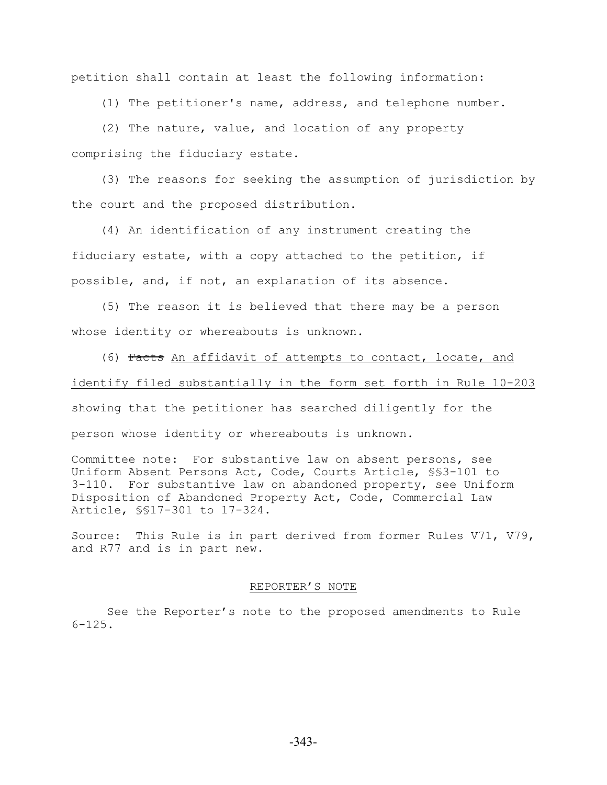petition shall contain at least the following information:

(1) The petitioner's name, address, and telephone number.

 (2) The nature, value, and location of any property comprising the fiduciary estate.

 (3) The reasons for seeking the assumption of jurisdiction by the court and the proposed distribution.

 (4) An identification of any instrument creating the fiduciary estate, with a copy attached to the petition, if possible, and, if not, an explanation of its absence.

 (5) The reason it is believed that there may be a person whose identity or whereabouts is unknown.

 (6) Facts An affidavit of attempts to contact, locate, and identify filed substantially in the form set forth in Rule 10-203 showing that the petitioner has searched diligently for the person whose identity or whereabouts is unknown.

Committee note: For substantive law on absent persons, see Uniform Absent Persons Act, Code, Courts Article, §§3-101 to 3-110. For substantive law on abandoned property, see Uniform Disposition of Abandoned Property Act, Code, Commercial Law Article, §§17-301 to 17-324.

Source: This Rule is in part derived from former Rules V71, V79, and R77 and is in part new.

#### REPORTER'S NOTE

See the Reporter's note to the proposed amendments to Rule 6-125.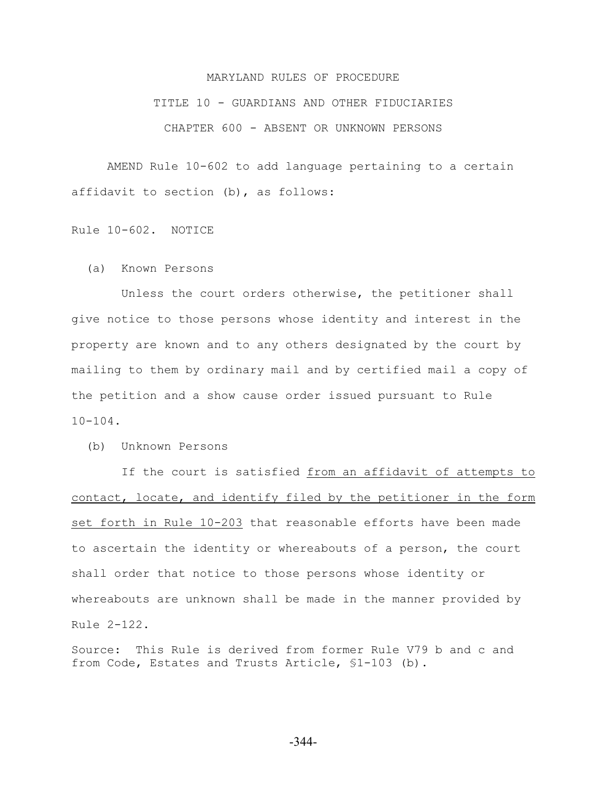# MARYLAND RULES OF PROCEDURE TITLE 10 - GUARDIANS AND OTHER FIDUCIARIES CHAPTER 600 - ABSENT OR UNKNOWN PERSONS

AMEND Rule 10-602 to add language pertaining to a certain affidavit to section (b), as follows:

Rule 10-602. NOTICE

(a) Known Persons

 Unless the court orders otherwise, the petitioner shall give notice to those persons whose identity and interest in the property are known and to any others designated by the court by mailing to them by ordinary mail and by certified mail a copy of the petition and a show cause order issued pursuant to Rule 10-104.

(b) Unknown Persons

 If the court is satisfied from an affidavit of attempts to contact, locate, and identify filed by the petitioner in the form set forth in Rule 10-203 that reasonable efforts have been made to ascertain the identity or whereabouts of a person, the court shall order that notice to those persons whose identity or whereabouts are unknown shall be made in the manner provided by Rule 2-122.

Source: This Rule is derived from former Rule V79 b and c and from Code, Estates and Trusts Article, §1-103 (b).

-344-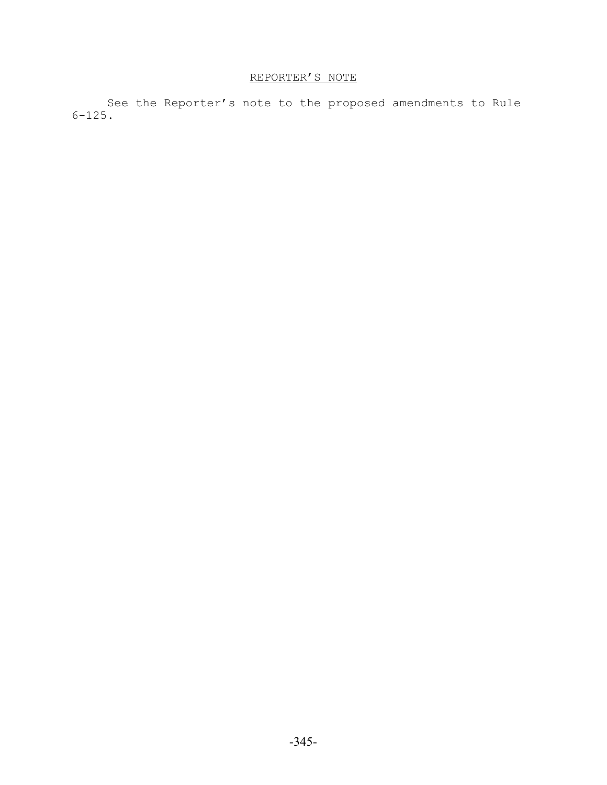# REPORTER'S NOTE

See the Reporter's note to the proposed amendments to Rule 6-125.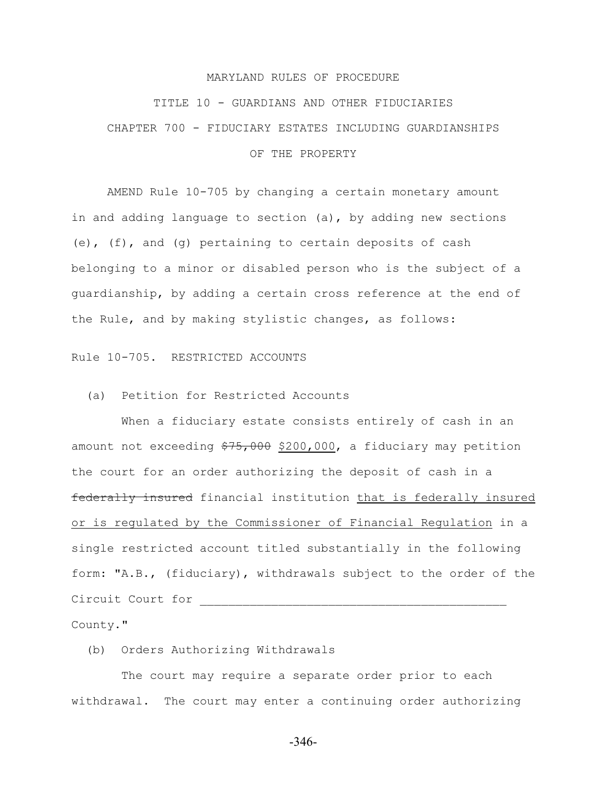#### MARYLAND RULES OF PROCEDURE

# TITLE 10 - GUARDIANS AND OTHER FIDUCIARIES CHAPTER 700 - FIDUCIARY ESTATES INCLUDING GUARDIANSHIPS OF THE PROPERTY

AMEND Rule 10-705 by changing a certain monetary amount in and adding language to section  $(a)$ , by adding new sections (e), (f), and (g) pertaining to certain deposits of cash belonging to a minor or disabled person who is the subject of a guardianship, by adding a certain cross reference at the end of the Rule, and by making stylistic changes, as follows:

Rule 10-705. RESTRICTED ACCOUNTS

# (a) Petition for Restricted Accounts

 When a fiduciary estate consists entirely of cash in an amount not exceeding  $\frac{275,000}{200,000}$ , a fiduciary may petition the court for an order authorizing the deposit of cash in a federally insured financial institution that is federally insured or is regulated by the Commissioner of Financial Regulation in a single restricted account titled substantially in the following form: "A.B., (fiduciary), withdrawals subject to the order of the Circuit Court for \_\_\_\_\_\_\_\_\_\_\_\_\_\_\_\_\_\_\_\_\_\_\_\_\_\_\_\_\_\_\_\_\_\_\_\_\_\_\_\_\_\_\_ County."

(b) Orders Authorizing Withdrawals

 The court may require a separate order prior to each withdrawal. The court may enter a continuing order authorizing

-346-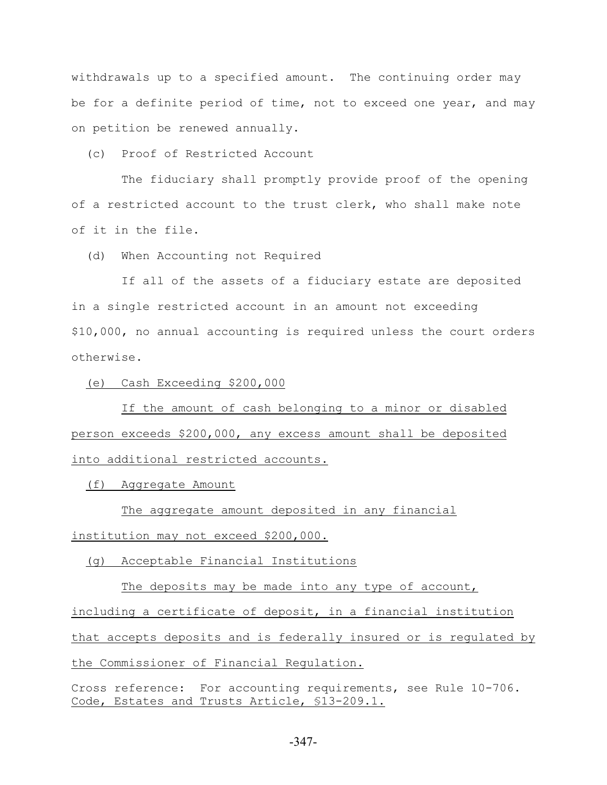withdrawals up to a specified amount. The continuing order may be for a definite period of time, not to exceed one year, and may on petition be renewed annually.

(c) Proof of Restricted Account

 The fiduciary shall promptly provide proof of the opening of a restricted account to the trust clerk, who shall make note of it in the file.

(d) When Accounting not Required

 If all of the assets of a fiduciary estate are deposited in a single restricted account in an amount not exceeding \$10,000, no annual accounting is required unless the court orders otherwise.

(e) Cash Exceeding \$200,000

 If the amount of cash belonging to a minor or disabled person exceeds \$200,000, any excess amount shall be deposited into additional restricted accounts.

(f) Aggregate Amount

 The aggregate amount deposited in any financial institution may not exceed \$200,000.

(g) Acceptable Financial Institutions

The deposits may be made into any type of account, including a certificate of deposit, in a financial institution that accepts deposits and is federally insured or is regulated by the Commissioner of Financial Regulation.

Cross reference: For accounting requirements, see Rule 10-706. Code, Estates and Trusts Article, §13-209.1.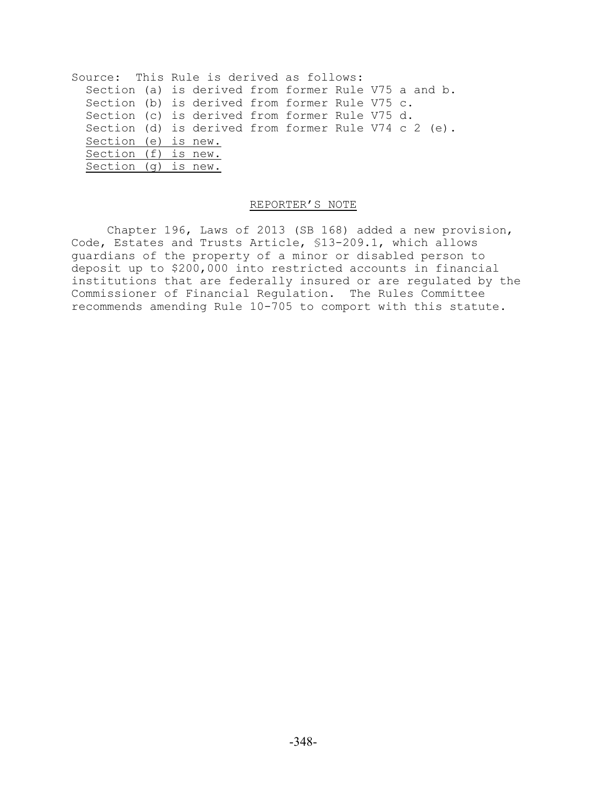| Section (a) is derived from former Rule V75 a and b. |
|------------------------------------------------------|
| Section (b) is derived from former Rule V75 c.       |
| Section (c) is derived from former Rule V75 d.       |
| Section (d) is derived from former Rule V74 c 2 (e). |
|                                                      |
|                                                      |
|                                                      |
|                                                      |

## REPORTER'S NOTE

Chapter 196, Laws of 2013 (SB 168) added a new provision, Code, Estates and Trusts Article, §13-209.1, which allows guardians of the property of a minor or disabled person to deposit up to \$200,000 into restricted accounts in financial institutions that are federally insured or are regulated by the Commissioner of Financial Regulation. The Rules Committee recommends amending Rule 10-705 to comport with this statute.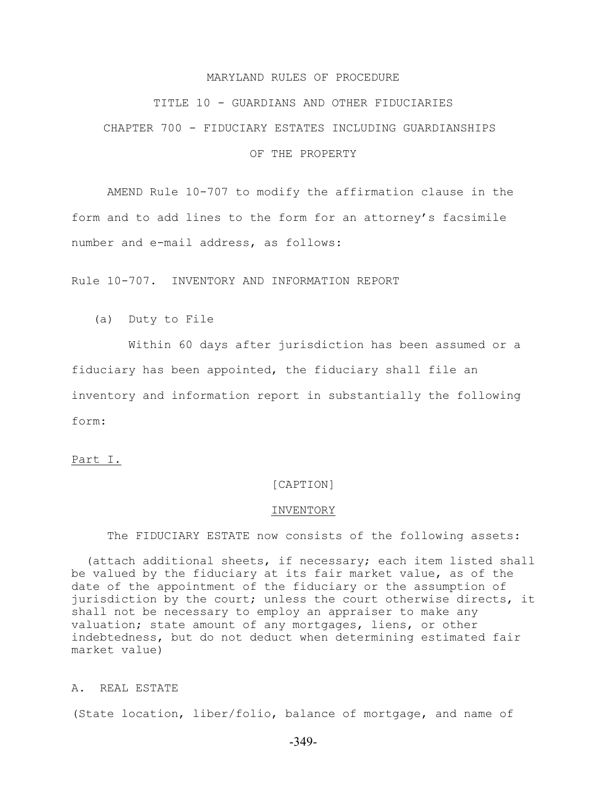#### MARYLAND RULES OF PROCEDURE

#### TITLE 10 - GUARDIANS AND OTHER FIDUCIARIES

CHAPTER 700 - FIDUCIARY ESTATES INCLUDING GUARDIANSHIPS

#### OF THE PROPERTY

AMEND Rule 10-707 to modify the affirmation clause in the form and to add lines to the form for an attorney's facsimile number and e-mail address, as follows:

Rule 10-707. INVENTORY AND INFORMATION REPORT

(a) Duty to File

 Within 60 days after jurisdiction has been assumed or a fiduciary has been appointed, the fiduciary shall file an inventory and information report in substantially the following form:

## Part I.

# [CAPTION]

#### INVENTORY

The FIDUCIARY ESTATE now consists of the following assets:

 (attach additional sheets, if necessary; each item listed shall be valued by the fiduciary at its fair market value, as of the date of the appointment of the fiduciary or the assumption of jurisdiction by the court; unless the court otherwise directs, it shall not be necessary to employ an appraiser to make any valuation; state amount of any mortgages, liens, or other indebtedness, but do not deduct when determining estimated fair market value)

#### A. REAL ESTATE

(State location, liber/folio, balance of mortgage, and name of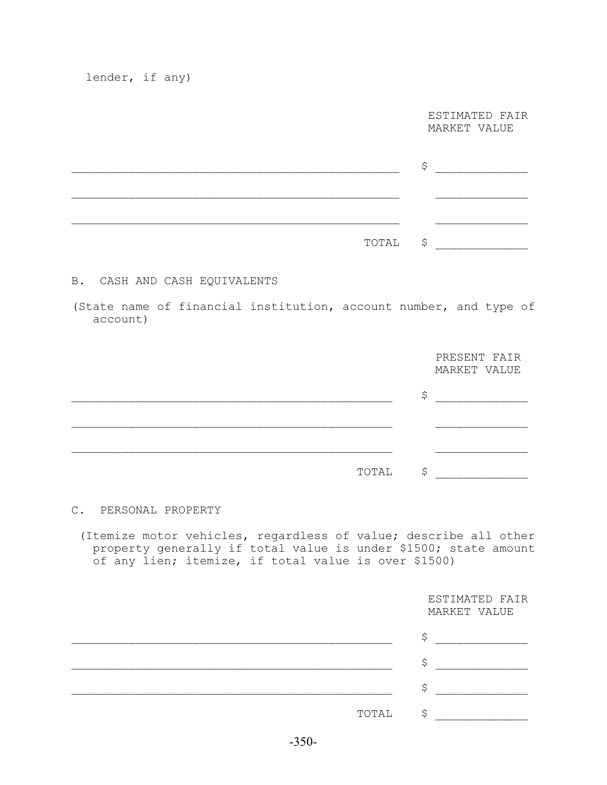lender, if any)

 ESTIMATED FAIR MARKET VALUE

| TOTAL \$ |  |
|----------|--|

# B. CASH AND CASH EQUIVALENTS

(State name of financial institution, account number, and type of account)

|       | PRESENT FAIR<br>MARKET VALUE |
|-------|------------------------------|
|       |                              |
|       |                              |
|       |                              |
| TOTAL |                              |

## C. PERSONAL PROPERTY

 (Itemize motor vehicles, regardless of value; describe all other property generally if total value is under \$1500; state amount of any lien; itemize, if total value is over \$1500)

|       | ESTIMATED FAIR<br>MARKET VALUE |
|-------|--------------------------------|
|       | ∼                              |
|       |                                |
|       |                                |
| TOTAL |                                |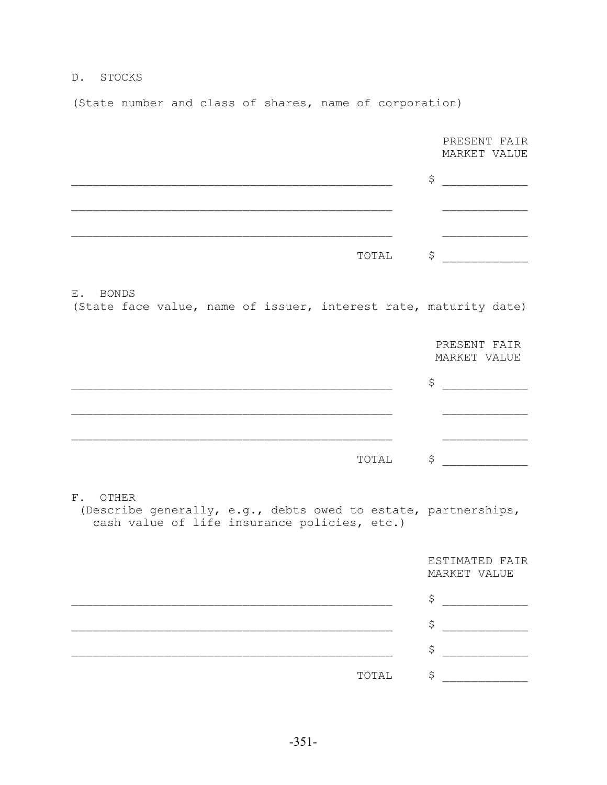# D. STOCKS

(State number and class of shares, name of corporation)

|                                                                                                                                  | PRESENT FAIR<br>MARKET VALUE   |
|----------------------------------------------------------------------------------------------------------------------------------|--------------------------------|
|                                                                                                                                  | \$                             |
|                                                                                                                                  |                                |
|                                                                                                                                  |                                |
| TOTAL                                                                                                                            | $\boldsymbol{\mathsf{S}}$      |
| E. BONDS<br>(State face value, name of issuer, interest rate, maturity date)                                                     |                                |
|                                                                                                                                  | PRESENT FAIR<br>MARKET VALUE   |
|                                                                                                                                  | \$                             |
|                                                                                                                                  |                                |
| TOTAL                                                                                                                            | \$                             |
| $F$ .<br>OTHER<br>(Describe generally, e.g., debts owed to estate, partnerships,<br>cash value of life insurance policies, etc.) |                                |
|                                                                                                                                  | ESTIMATED FAIR<br>MARKET VALUE |
|                                                                                                                                  | \$                             |
|                                                                                                                                  | \$                             |
|                                                                                                                                  | \$                             |
| TOTAL                                                                                                                            | \$                             |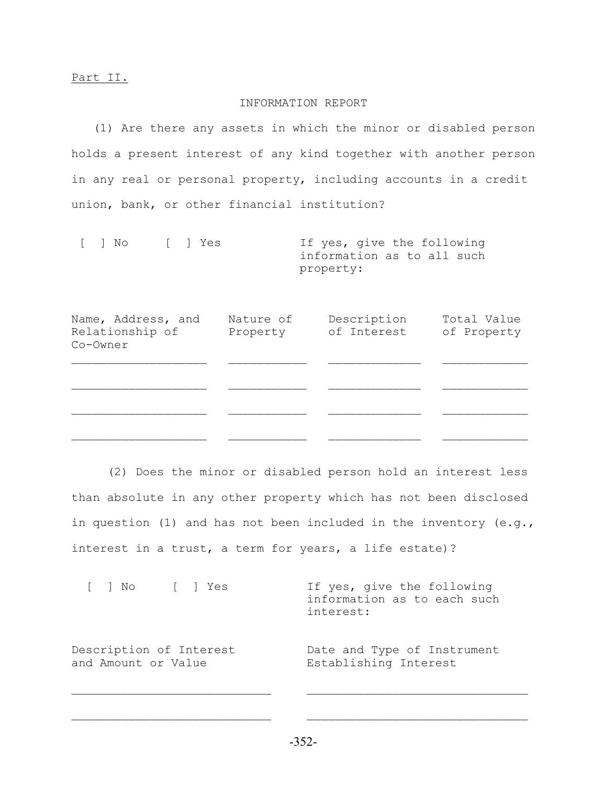### INFORMATION REPORT

 (1) Are there any assets in which the minor or disabled person holds a present interest of any kind together with another person in any real or personal property, including accounts in a credit union, bank, or other financial institution?

|  | I No I Yes | If yes, give the following |
|--|------------|----------------------------|
|  |            | information as to all such |
|  |            | property:                  |

| Name, Address, and<br>Relationship of<br>Co-Owner | Nature of<br>Property | Description<br>of Interest | Total Value<br>of Property |
|---------------------------------------------------|-----------------------|----------------------------|----------------------------|
|                                                   |                       |                            |                            |
|                                                   |                       |                            |                            |
|                                                   |                       |                            |                            |

(2) Does the minor or disabled person hold an interest less than absolute in any other property which has not been disclosed in question (1) and has not been included in the inventory (e.g., interest in a trust, a term for years, a life estate)?

[ ] No [ ] Yes If yes, give the following information as to each such interest: Description of Interest Date and Type of Instrument and Amount or Value Establishing Interest

$$
-352-
$$

 $\mathcal{L}_\text{max}$  and the contract of the contract of the contract of the contract of the contract of the contract of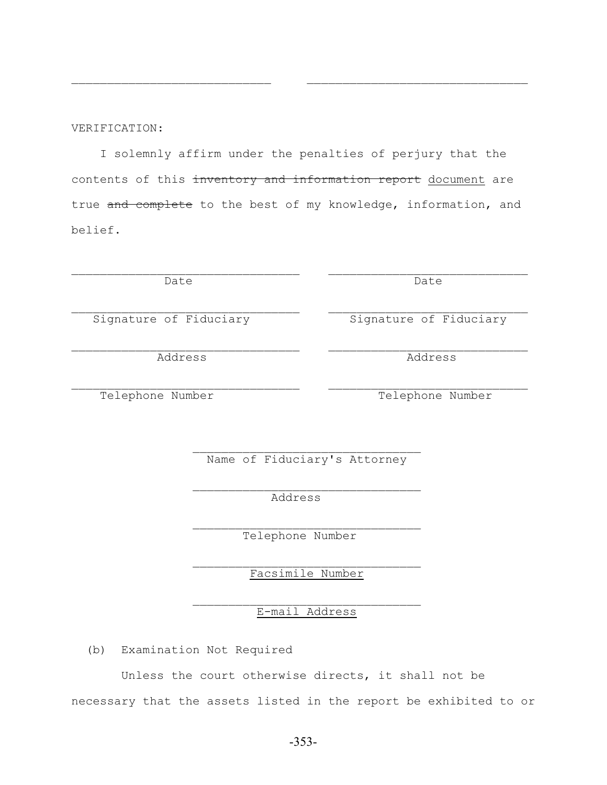Unless the court otherwise directs, it shall not be necessary that the assets listed in the report be exhibited to or

-353-

 $\mathcal{L}_\text{max}$  and the contract of the contract of the contract of the contract of the contract of the contract of Signature of Fiduciary **Signature of Fiduciary** 

 $\mathcal{L}_\text{max}$  and the contract of the contract of the contract of the contract of the contract of the contract of

Address Address

 I solemnly affirm under the penalties of perjury that the contents of this inventory and information report document are true and complete to the best of my knowledge, information, and belief.

 $\mathcal{L}_\text{max}$  and the contract of the contract of the contract of the contract of the contract of the contract of

VERIFICATION:

 $\mathcal{L}_\text{max}$  and the contract of the contract of the contract of the contract of the contract of the contract of the contract of the contract of the contract of the contract of the contract of the contract of the contrac Facsimile Number

Telephone Number

E-mail Address

Telephone Number Telephone Number

Name of Fiduciary's Attorney

(b) Examination Not Required

 $\mathcal{L}_\text{max}$  and  $\mathcal{L}_\text{max}$  and  $\mathcal{L}_\text{max}$  and  $\mathcal{L}_\text{max}$ 

Address

 $\mathcal{L}_\text{max}$  and  $\mathcal{L}_\text{max}$  and  $\mathcal{L}_\text{max}$  and  $\mathcal{L}_\text{max}$ 

Date Date Date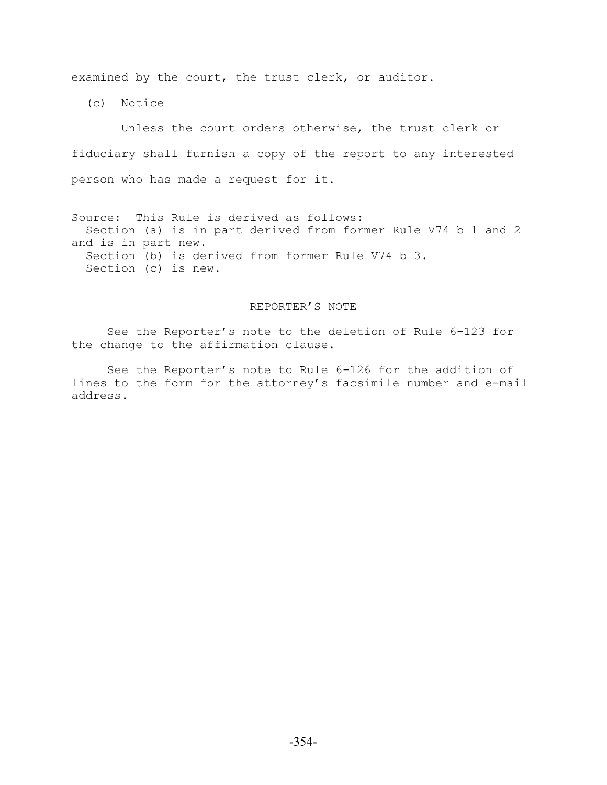examined by the court, the trust clerk, or auditor.

(c) Notice

 Unless the court orders otherwise, the trust clerk or fiduciary shall furnish a copy of the report to any interested person who has made a request for it.

Source: This Rule is derived as follows: Section (a) is in part derived from former Rule V74 b 1 and 2 and is in part new. Section (b) is derived from former Rule V74 b 3. Section (c) is new.

#### REPORTER'S NOTE

See the Reporter's note to the deletion of Rule 6-123 for the change to the affirmation clause.

See the Reporter's note to Rule 6-126 for the addition of lines to the form for the attorney's facsimile number and e-mail address.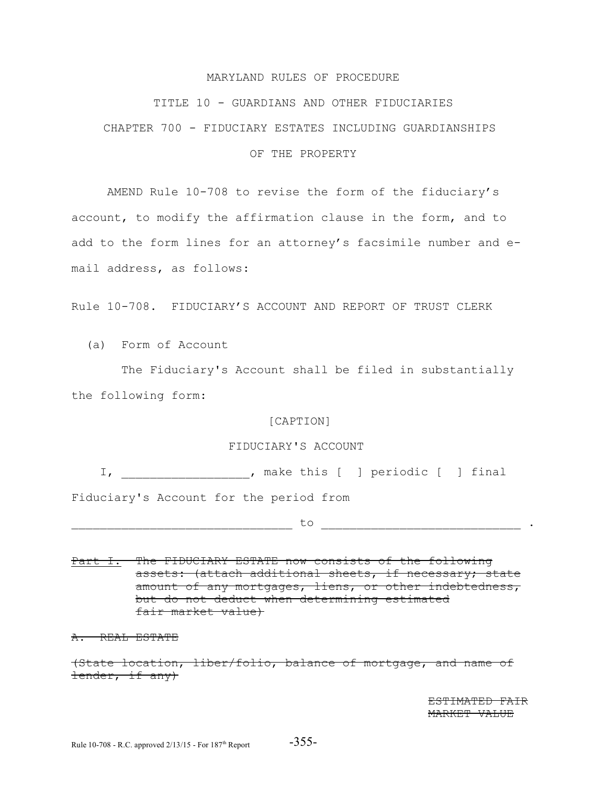#### MARYLAND RULES OF PROCEDURE

#### TITLE 10 - GUARDIANS AND OTHER FIDUCIARIES

CHAPTER 700 - FIDUCIARY ESTATES INCLUDING GUARDIANSHIPS

#### OF THE PROPERTY

AMEND Rule 10-708 to revise the form of the fiduciary's account, to modify the affirmation clause in the form, and to add to the form lines for an attorney's facsimile number and email address, as follows:

Rule 10-708. FIDUCIARY'S ACCOUNT AND REPORT OF TRUST CLERK

(a) Form of Account

 The Fiduciary's Account shall be filed in substantially the following form:

## [CAPTION]

# FIDUCIARY'S ACCOUNT

I, \_\_\_\_\_\_\_\_\_\_\_\_\_\_\_\_\_\_, make this [ ] periodic [ ] final

Fiduciary's Account for the period from

\_\_\_\_\_\_\_\_\_\_\_\_\_\_\_\_\_\_\_\_\_\_\_\_\_\_\_\_\_\_\_ to \_\_\_\_\_\_\_\_\_\_\_\_\_\_\_\_\_\_\_\_\_\_\_\_\_\_\_\_ .

Part I. The FIDUCIARY ESTATE now consists of the following assets: (attach additional sheets, if necessary; state amount of any mortgages, liens, or other indebtedness, but do not deduct when determining estimated fair market value)

A. REAL ESTATE

(State location, liber/folio, balance of mortgage, and name of lender, if any)

> ESTIMATED FAIR MARKET VALUE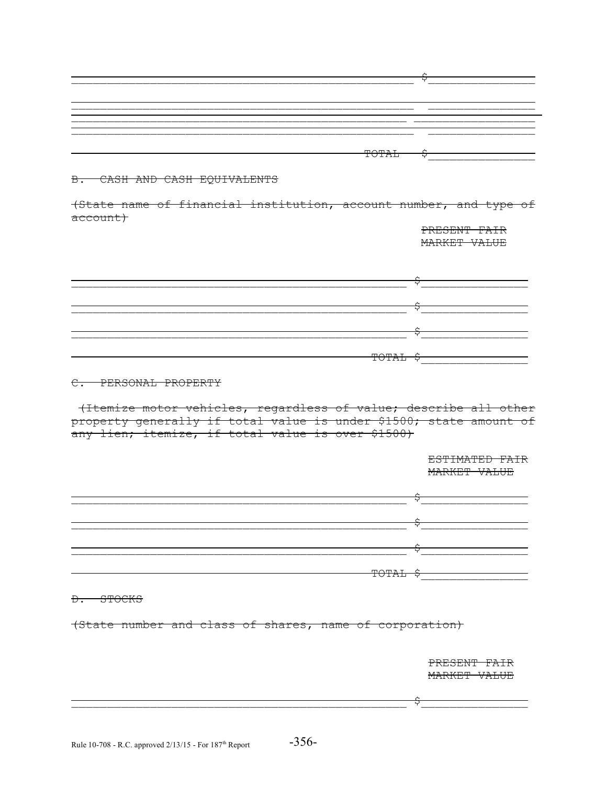| -- | _______ |
|----|---------|
|    |         |
|    | $\sim$  |

# B. CASH AND CASH EQUIVALENTS

(State name of financial institution, account number, and type of account)

> PRESENT FAIR MARKET VALUE

\_\_\_\_\_\_\_\_\_\_\_\_\_\_\_\_\_\_\_\_\_\_\_\_\_\_\_\_\_\_\_\_\_\_\_\_\_\_\_\_\_\_\_\_\_\_\_ \$\_\_\_\_\_\_\_\_\_\_\_\_\_\_\_ \_\_\_\_\_\_\_\_\_\_\_\_\_\_\_\_\_\_\_\_\_\_\_\_\_\_\_\_\_\_\_\_\_\_\_\_\_\_\_\_\_\_\_\_\_\_\_ \$\_\_\_\_\_\_\_\_\_\_\_\_\_\_\_  $\uparrow$  $\Gamma$  or all  $\Gamma$  is the contract of the contract of the contract of the contract of the contract of the contract of the contract of the contract of the contract of the contract of the contract of the contract of the contr

# C. PERSONAL PROPERTY

 (Itemize motor vehicles, regardless of value; describe all other property generally if total value is under \$1500; state amount of any lien; itemize, if total value is over \$1500)

 ESTIMATED FAIR MARKET VALUE \_\_\_\_\_\_\_\_\_\_\_\_\_\_\_\_\_\_\_\_\_\_\_\_\_\_\_\_\_\_\_\_\_\_\_\_\_\_\_\_\_\_\_\_\_\_\_ \$\_\_\_\_\_\_\_\_\_\_\_\_\_\_\_ \_\_\_\_\_\_\_\_\_\_\_\_\_\_\_\_\_\_\_\_\_\_\_\_\_\_\_\_\_\_\_\_\_\_\_\_\_\_\_\_\_\_\_\_\_\_\_ \$\_\_\_\_\_\_\_\_\_\_\_\_\_\_\_  $\uparrow$  $\Gamma$  or all  $\Gamma$  is the contract of the contract of the contract of the contract of the contract of the contract of the contract of the contract of the contract of the contract of the contract of the contract of the contr

#### D. STOCKS

(State number and class of shares, name of corporation)

 PRESENT FAIR MARKET VALUE

 $\uparrow$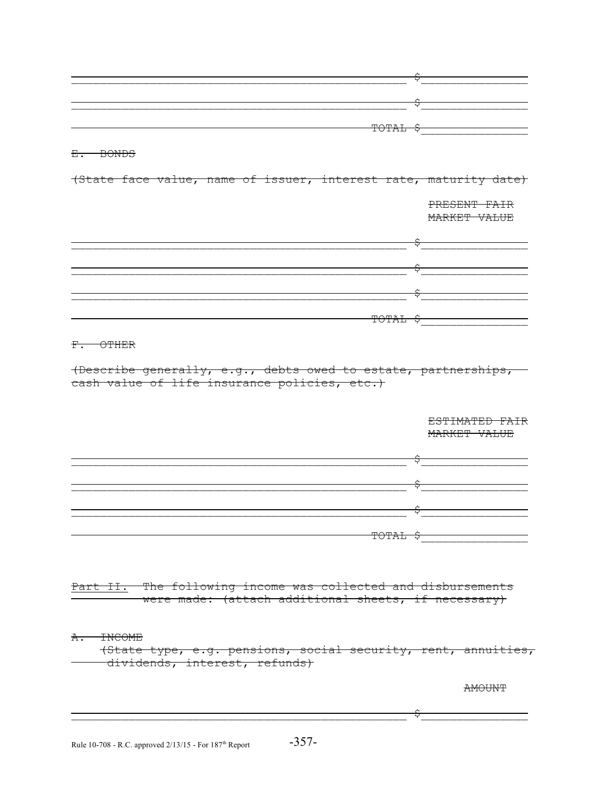| TOTAL \$                                                         |                                                     |
|------------------------------------------------------------------|-----------------------------------------------------|
|                                                                  |                                                     |
| $E - BOMDS$                                                      |                                                     |
|                                                                  |                                                     |
| (State face value, name of issuer, interest rate, maturity date) |                                                     |
|                                                                  |                                                     |
|                                                                  | PRESENT FAIR                                        |
|                                                                  | MARKET VALUE                                        |
|                                                                  |                                                     |
|                                                                  |                                                     |
|                                                                  |                                                     |
|                                                                  |                                                     |
|                                                                  |                                                     |
|                                                                  |                                                     |
|                                                                  |                                                     |
|                                                                  | $\overbrace{ \text{POTAL}}$ $\overbrace{ \text{S}}$ |
|                                                                  |                                                     |
| $F.$ OTHER                                                       |                                                     |
|                                                                  |                                                     |
|                                                                  | ESTIMATED FAIR                                      |
|                                                                  | MARKET VALUE                                        |
|                                                                  |                                                     |
|                                                                  |                                                     |
|                                                                  |                                                     |
|                                                                  |                                                     |
|                                                                  |                                                     |
|                                                                  |                                                     |
| <del>TOTAL \$</del>                                              |                                                     |
|                                                                  |                                                     |
|                                                                  |                                                     |
|                                                                  |                                                     |
|                                                                  |                                                     |
| Part II. The following income was collected and disbursements    |                                                     |
| were made: (attach additional sheets, if necessary)              |                                                     |
|                                                                  |                                                     |
|                                                                  |                                                     |
| <b>INCOME</b><br>A.                                              |                                                     |
| (State type, e.g. pensions, social security, rent, annuities,    |                                                     |
| dividends, interest, refunds)                                    |                                                     |
|                                                                  |                                                     |
|                                                                  | AMOUNT                                              |
|                                                                  |                                                     |
|                                                                  |                                                     |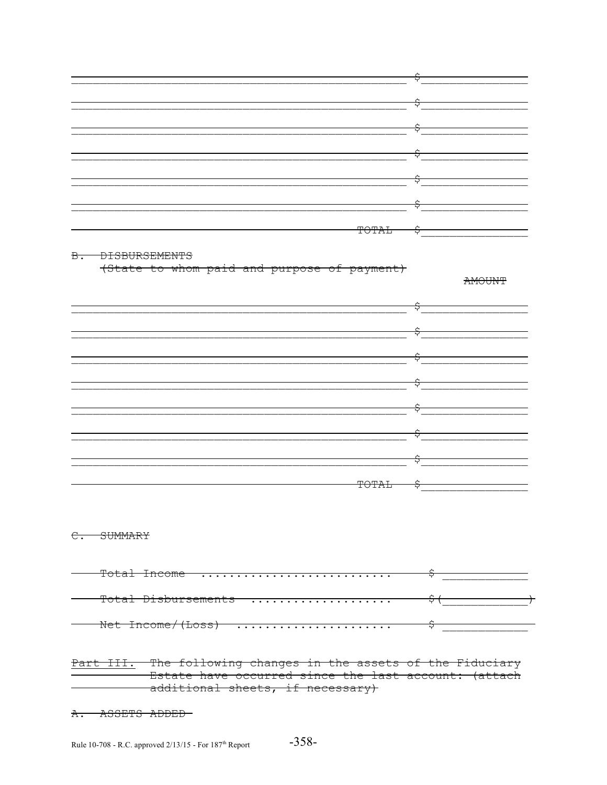|              | ∼ |
|--------------|---|
|              | ٻ |
|              |   |
|              | ∼ |
|              | Υ |
|              |   |
|              | ∼ |
|              | ٻ |
|              |   |
|              | ∼ |
|              | ٻ |
|              |   |
|              | ∼ |
|              | ٻ |
|              |   |
|              | ∼ |
|              | ٮ |
|              |   |
|              | ∼ |
| <b>TOTAL</b> | ۲ |

#### B. DISBURSEMENTS

(State to whom paid and purpose of payment)

**AMOUNT** 



## C. SUMMARY

| $m \sim 10$<br>THCOME                                                                                                                                                                                                                |  |
|--------------------------------------------------------------------------------------------------------------------------------------------------------------------------------------------------------------------------------------|--|
| $\pi$ <sub>2</sub> $\pi$ <sub>2</sub> $\pi$ <sub>2</sub> $\pi$ <sub>2</sub> $\pi$ <sub>2</sub> $\pi$ <sub>2</sub> $\pi$ <sub>2</sub> $\pi$ <sub>2</sub> $\pi$ <sub>2</sub> $\pi$ <sub>2</sub> $\pi$<br>tai <del>pispuisement</del> s |  |
| $M \sim 1$ T <sub>12</sub> $\approx 2000$<br>$(1T - n)$<br>Net<br><b>THCOME</b>                                                                                                                                                      |  |

<del>III<u>.</u></del> The following changes in the assets of the Fiduciary Estate have occurred since the last account: (attach additional sheets, if necessary)

A. ASSETS ADDED-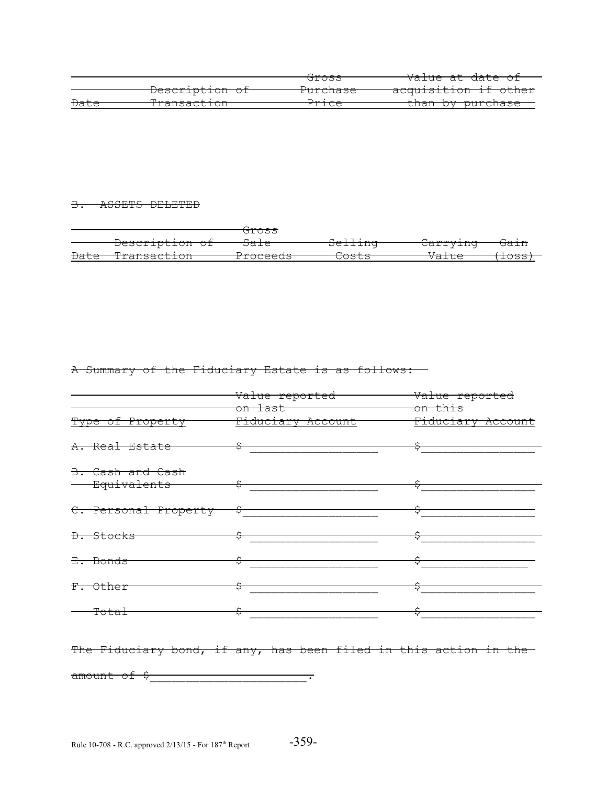|                 |                                                             | 7 <b>.</b> .      |                             |
|-----------------|-------------------------------------------------------------|-------------------|-----------------------------|
|                 |                                                             | <del>GIOSS</del>  | <del>Value at date of</del> |
|                 |                                                             | D                 |                             |
|                 | Description of                                              | <b>TUICHASE</b>   | acquisition if other        |
| <del>Date</del> | $H \rightarrow \sim \sim \sim \sim + \frac{1}{2} \sim \sim$ | $D = \frac{1}{2}$ | than by purchase            |
|                 | <u>rransactron</u>                                          | TIIGE.            |                             |

## B. ASSETS DELETED

|                 |                                     | <del>Gross</del>  |                                       |                                                                         |                 |
|-----------------|-------------------------------------|-------------------|---------------------------------------|-------------------------------------------------------------------------|-----------------|
|                 | $D = \frac{1}{2}$<br>Describeion of | $C - 7 -$<br>pare | $C - 1$ $\vdots$ $\ldots$<br>pertrind | $\alpha$ - $\alpha$ - $\alpha$ - $\alpha$ - $\alpha$<br><b>CALIVING</b> | <del>Gain</del> |
| <del>Date</del> | لمعاطم وموجدها                      | مأمم مصمصدا       | $\sim$ $\sim$ $\sim$ $\sim$ $\sim$    | $77 - 7 - -$                                                            | $\sqrt{2}$      |
|                 | I Lalisact LOII                     | FIUCEEUS.         | しいつしつ                                 | VAIIIE                                                                  | 1022            |

# A Summary of the Fiduciary Estate is as follows:

|                                            | Value reported<br>on last <b>communication</b>                   | Value reported<br><del>on this</del> |  |
|--------------------------------------------|------------------------------------------------------------------|--------------------------------------|--|
| Type of Property                           | Fiduciary Account                                                | Fiduciary Account                    |  |
| <del>A. Real Estate</del>                  | $\frac{1}{2}$                                                    |                                      |  |
| B. Cash and Cash<br><del>Equivalents</del> | $\frac{1}{2}$                                                    |                                      |  |
| C. Personal Property \$                    |                                                                  |                                      |  |
| D. Stocks                                  |                                                                  |                                      |  |
| <del>E. Bonds</del>                        |                                                                  |                                      |  |
| F. Other                                   |                                                                  |                                      |  |
| <del>Total</del>                           |                                                                  |                                      |  |
|                                            | The Fiduciary bond, if any, has been filed in this action in the |                                      |  |
| amount of \$                               |                                                                  |                                      |  |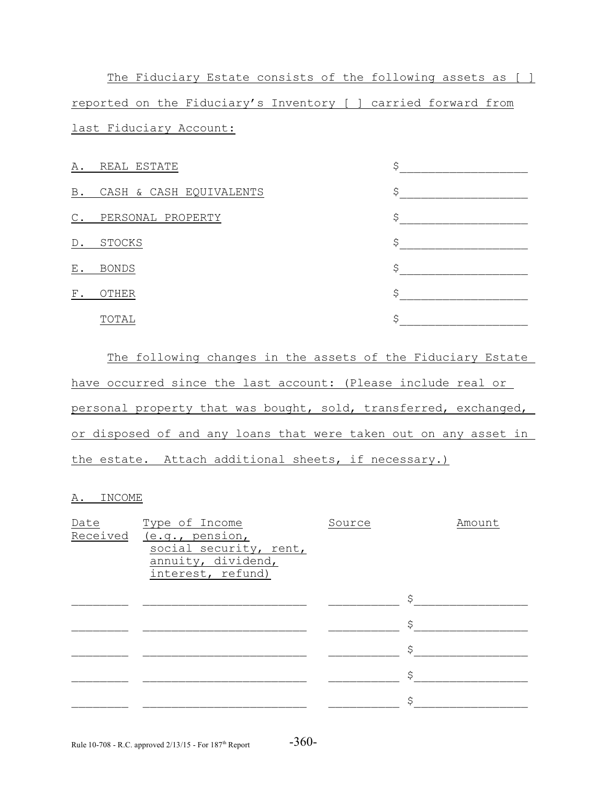The Fiduciary Estate consists of the following assets as [ ] reported on the Fiduciary's Inventory [ ] carried forward from last Fiduciary Account:

| Α.            | REAL ESTATE             | S  |
|---------------|-------------------------|----|
| B.            | CASH & CASH EQUIVALENTS | \$ |
| $\mathbb C$ . | PERSONAL PROPERTY       | Ś  |
| D.            | <b>STOCKS</b>           | Ś  |
| ${\bf E}$ .   | <b>BONDS</b>            | Ś  |
| ${\rm F}$ .   | OTHER                   | Ś  |
|               | TOTAL                   | Ś  |

The following changes in the assets of the Fiduciary Estate have occurred since the last account: (Please include real or personal property that was bought, sold, transferred, exchanged, or disposed of and any loans that were taken out on any asset in the estate. Attach additional sheets, if necessary.)

## A. INCOME

| Date     | Type of Income         | Source | Amount |
|----------|------------------------|--------|--------|
| Received | (e.g., pension,        |        |        |
|          | social security, rent, |        |        |
|          | annuity, dividend,     |        |        |
|          | interest, refund)      |        |        |
|          |                        |        |        |
|          |                        |        | Ś      |
|          |                        |        |        |
|          |                        |        | \$     |
|          |                        |        |        |
|          |                        |        | Ŝ      |
|          |                        |        |        |
|          |                        |        | \$     |
|          |                        |        |        |
|          |                        |        | \$     |
|          |                        |        |        |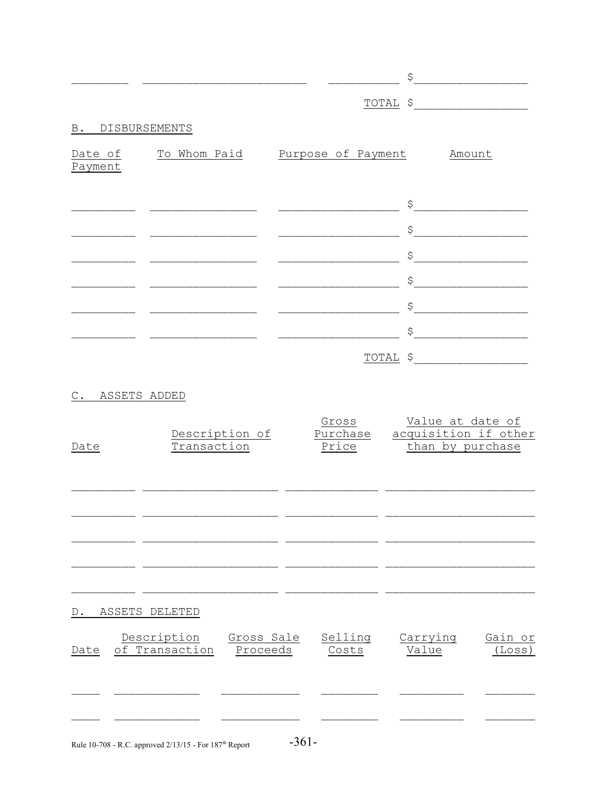|                  |                                                         |                              | $S$                                                                                                                                                                                                                                                                                                                                                                                                                                                                                                      |
|------------------|---------------------------------------------------------|------------------------------|----------------------------------------------------------------------------------------------------------------------------------------------------------------------------------------------------------------------------------------------------------------------------------------------------------------------------------------------------------------------------------------------------------------------------------------------------------------------------------------------------------|
|                  |                                                         |                              | $\underbrace{\texttt{Total}} \quad \texttt{\$} \qquad \qquad \texttt{\_} \qquad \qquad \texttt{\_} \qquad \qquad \texttt{\_} \qquad \qquad \texttt{\_} \qquad \qquad \texttt{\_} \qquad \qquad \texttt{\_} \qquad \qquad \texttt{\_} \qquad \qquad \texttt{\_} \qquad \qquad \texttt{\_} \qquad \qquad \texttt{\_} \qquad \qquad \texttt{\_} \qquad \qquad \texttt{\_} \qquad \qquad \texttt{\_} \qquad \qquad \texttt{\_} \qquad \qquad \texttt{\_} \qquad \qquad \texttt{\_} \qquad \qquad \texttt{\_$ |
| B. DISBURSEMENTS |                                                         |                              |                                                                                                                                                                                                                                                                                                                                                                                                                                                                                                          |
| Payment          | Date of To Whom Paid Purpose of Payment                 |                              | Amount                                                                                                                                                                                                                                                                                                                                                                                                                                                                                                   |
|                  |                                                         |                              | $\begin{picture}(20,10) \put(0,0){\vector(1,0){100}} \put(15,0){\vector(1,0){100}} \put(15,0){\vector(1,0){100}} \put(15,0){\vector(1,0){100}} \put(15,0){\vector(1,0){100}} \put(15,0){\vector(1,0){100}} \put(15,0){\vector(1,0){100}} \put(15,0){\vector(1,0){100}} \put(15,0){\vector(1,0){100}} \put(15,0){\vector(1,0){100}} \put(15,0){\vector(1,0){100}} \$                                                                                                                                      |
|                  | _________________________                               |                              | $\begin{picture}(20,10) \put(0,0){\vector(1,0){100}} \put(15,0){\vector(1,0){100}} \put(15,0){\vector(1,0){100}} \put(15,0){\vector(1,0){100}} \put(15,0){\vector(1,0){100}} \put(15,0){\vector(1,0){100}} \put(15,0){\vector(1,0){100}} \put(15,0){\vector(1,0){100}} \put(15,0){\vector(1,0){100}} \put(15,0){\vector(1,0){100}} \put(15,0){\vector(1,0){100}} \$                                                                                                                                      |
|                  |                                                         |                              | $\begin{picture}(20,10) \put(0,0){\vector(1,0){100}} \put(15,0){\vector(1,0){100}} \put(15,0){\vector(1,0){100}} \put(15,0){\vector(1,0){100}} \put(15,0){\vector(1,0){100}} \put(15,0){\vector(1,0){100}} \put(15,0){\vector(1,0){100}} \put(15,0){\vector(1,0){100}} \put(15,0){\vector(1,0){100}} \put(15,0){\vector(1,0){100}} \put(15,0){\vector(1,0){100}} \$                                                                                                                                      |
|                  |                                                         |                              | $\begin{picture}(20,10) \put(0,0){\vector(1,0){100}} \put(15,0){\vector(1,0){100}} \put(15,0){\vector(1,0){100}} \put(15,0){\vector(1,0){100}} \put(15,0){\vector(1,0){100}} \put(15,0){\vector(1,0){100}} \put(15,0){\vector(1,0){100}} \put(15,0){\vector(1,0){100}} \put(15,0){\vector(1,0){100}} \put(15,0){\vector(1,0){100}} \put(15,0){\vector(1,0){100}} \$                                                                                                                                      |
|                  |                                                         | <u> Alexandria (m. 1858)</u> | $\begin{picture}(20,10) \put(0,0){\vector(1,0){100}} \put(15,0){\vector(1,0){100}} \put(15,0){\vector(1,0){100}} \put(15,0){\vector(1,0){100}} \put(15,0){\vector(1,0){100}} \put(15,0){\vector(1,0){100}} \put(15,0){\vector(1,0){100}} \put(15,0){\vector(1,0){100}} \put(15,0){\vector(1,0){100}} \put(15,0){\vector(1,0){100}} \put(15,0){\vector(1,0){100}} \$                                                                                                                                      |
|                  |                                                         |                              | $\begin{array}{c}\n\zeta \\ \hline\n\end{array}$                                                                                                                                                                                                                                                                                                                                                                                                                                                         |
|                  |                                                         |                              | TOTAL \$                                                                                                                                                                                                                                                                                                                                                                                                                                                                                                 |
| ASSETS ADDED     |                                                         |                              |                                                                                                                                                                                                                                                                                                                                                                                                                                                                                                          |
| Date             | Description of<br>Transaction                           | Gross<br>Purchase<br>Price   | Value at date of<br>acquisition if other<br>than by purchase                                                                                                                                                                                                                                                                                                                                                                                                                                             |
|                  |                                                         |                              |                                                                                                                                                                                                                                                                                                                                                                                                                                                                                                          |
|                  |                                                         |                              |                                                                                                                                                                                                                                                                                                                                                                                                                                                                                                          |
| D.               | ASSETS DELETED                                          |                              |                                                                                                                                                                                                                                                                                                                                                                                                                                                                                                          |
| Date             | Description<br>Gross Sale<br>of Transaction<br>Proceeds | Selling<br>Costs             | Carrying<br>Gain or<br>Value<br>(Loss)                                                                                                                                                                                                                                                                                                                                                                                                                                                                   |
|                  |                                                         |                              |                                                                                                                                                                                                                                                                                                                                                                                                                                                                                                          |
|                  |                                                         |                              |                                                                                                                                                                                                                                                                                                                                                                                                                                                                                                          |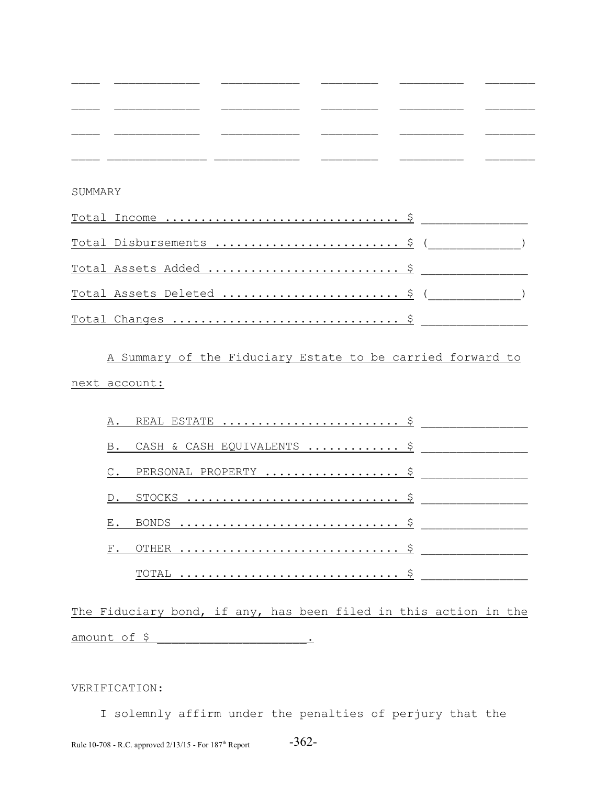| SUMMARY |                            |  |
|---------|----------------------------|--|
|         |                            |  |
|         | Total Disbursements  \$ (  |  |
|         | Total Assets Added  \$     |  |
|         | Total Assets Deleted  \$ ( |  |
|         | Total Changes  \$          |  |

A Summary of the Fiduciary Estate to be carried forward to next account:

| B. CASH & CASH EQUIVALENTS  \$ |
|--------------------------------|
| C. PERSONAL PROPERTY  \$       |
|                                |
|                                |
|                                |
|                                |

The Fiduciary bond, if any, has been filed in this action in the amount of \$ \_\_\_\_\_\_\_\_\_\_\_\_\_\_\_\_\_\_\_\_\_.

# VERIFICATION:

 I solemnly affirm under the penalties of perjury that the Rule 10-708 - R.C. approved  $2/13/15$  - For 187<sup>th</sup> Report  $-362$ -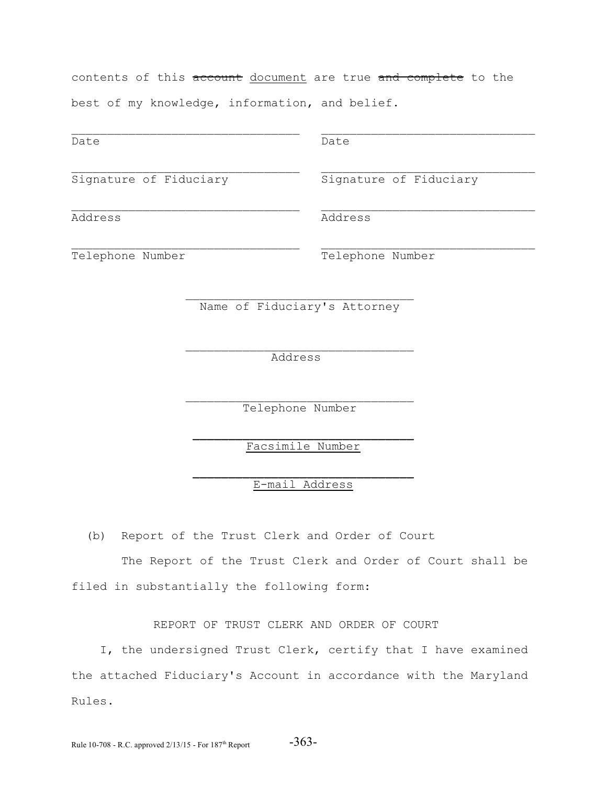The Report of the Trust Clerk and Order of Court shall be

(b) Report of the Trust Clerk and Order of Court

 $\mathcal{L}_\text{max}$  and the contract of the contract of the contract of the contract of the contract of the contract of the contract of the contract of the contract of the contract of the contract of the contract of the contrac

filed in substantially the following form:

REPORT OF TRUST CLERK AND ORDER OF COURT

 I, the undersigned Trust Clerk, certify that I have examined the attached Fiduciary's Account in accordance with the Maryland Rules.

Rule 10-708 - R.C. approved  $2/13/15$  - For  $187<sup>th</sup>$  Report  $-363-$ 

contents of this account document are true and complete to the best of my knowledge, information, and belief.

 $\mathcal{L}_\text{max} = \frac{1}{2} \sum_{i=1}^n \mathcal{L}_\text{max}(\mathbf{z}_i - \mathbf{z}_i)$ 

 $\mathcal{L}_\text{max} = \frac{1}{2} \sum_{i=1}^n \mathcal{L}_\text{max}(\mathbf{z}_i - \mathbf{z}_i)$ 

Name of Fiduciary's Attorney

Date Date Date

Signature of Fiduciary Signature of Fiduciary

Address Address

Telephone Number Telephone Number

 $\mathcal{L}_\text{max}$  and the contract of the contract of the contract of the contract of the contract of the contract of the contract of the contract of the contract of the contract of the contract of the contract of the contrac

Address

 $\mathcal{L}_\text{max}$  and the contract of the contract of the contract of the contract of the contract of the contract of the contract of the contract of the contract of the contract of the contract of the contract of the contrac Telephone Number

> $\mathcal{L}_\text{max}$  and  $\mathcal{L}_\text{max}$  and  $\mathcal{L}_\text{max}$  and  $\mathcal{L}_\text{max}$ Facsimile Number

> $\mathcal{L}_\text{max}$  and  $\mathcal{L}_\text{max}$  and  $\mathcal{L}_\text{max}$  and  $\mathcal{L}_\text{max}$ E-mail Address

 $\mathcal{L}_\text{max} = \frac{1}{2} \sum_{i=1}^n \mathcal{L}_\text{max}(\mathbf{z}_i - \mathbf{z}_i)$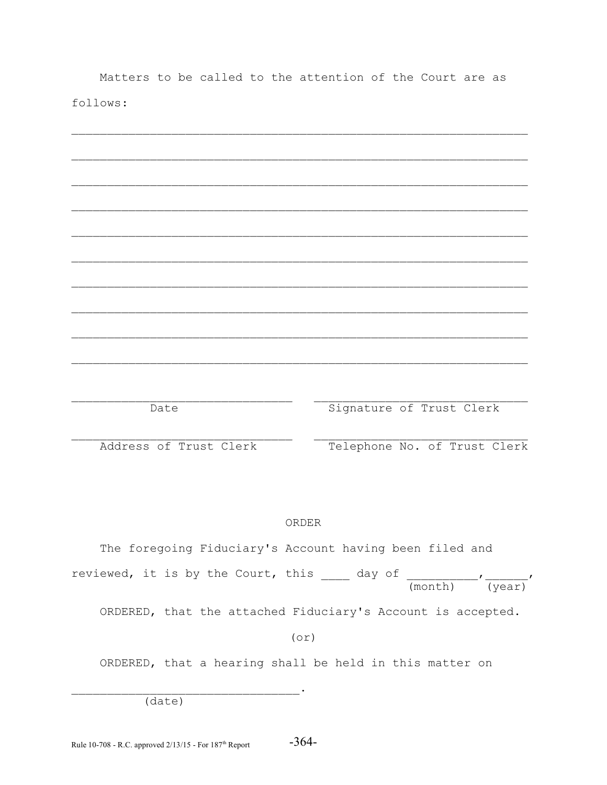|          |  |  | Matters to be called to the attention of the Court are as |  |  |  |
|----------|--|--|-----------------------------------------------------------|--|--|--|
| follows: |  |  |                                                           |  |  |  |
|          |  |  |                                                           |  |  |  |
|          |  |  |                                                           |  |  |  |

| Date | Signature of Trust Clerk |
|------|--------------------------|

Address of Trust Clerk

Telephone No. of Trust Clerk

# ORDER

The foregoing Fiduciary's Account having been filed and reviewed, it is by the Court, this  $\frac{1}{\text{max}}$  day of  $\frac{1}{\text{max}}$ ,  $\frac{1}{\text{max}}$ , ORDERED, that the attached Fiduciary's Account is accepted.

 $(0r)$ 

ORDERED, that a hearing shall be held in this matter on

 $\overline{(date)}$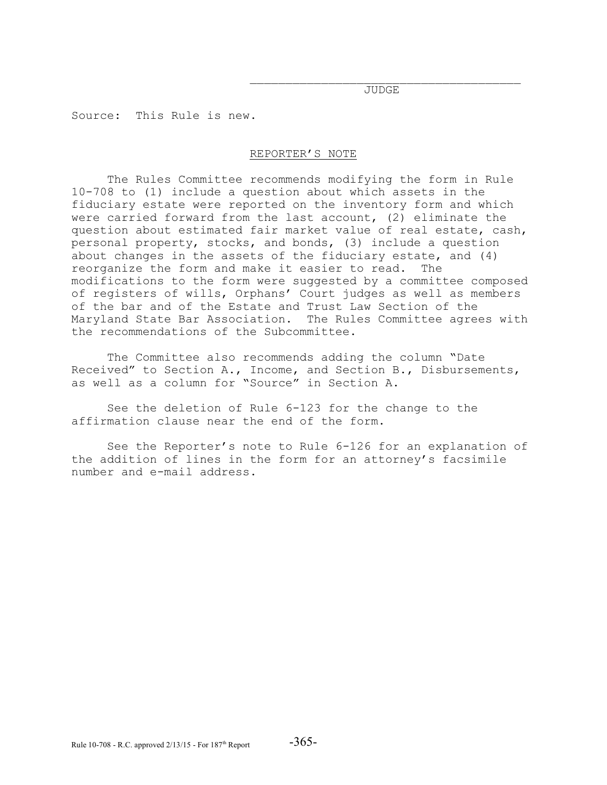$\mathcal{L}_\text{max}$ JUDGE

Source: This Rule is new.

## REPORTER'S NOTE

The Rules Committee recommends modifying the form in Rule 10-708 to (1) include a question about which assets in the fiduciary estate were reported on the inventory form and which were carried forward from the last account, (2) eliminate the question about estimated fair market value of real estate, cash, personal property, stocks, and bonds, (3) include a question about changes in the assets of the fiduciary estate, and (4) reorganize the form and make it easier to read. The modifications to the form were suggested by a committee composed of registers of wills, Orphans' Court judges as well as members of the bar and of the Estate and Trust Law Section of the Maryland State Bar Association. The Rules Committee agrees with the recommendations of the Subcommittee.

The Committee also recommends adding the column "Date Received" to Section A., Income, and Section B., Disbursements, as well as a column for "Source" in Section A.

See the deletion of Rule 6-123 for the change to the affirmation clause near the end of the form.

See the Reporter's note to Rule 6-126 for an explanation of the addition of lines in the form for an attorney's facsimile number and e-mail address.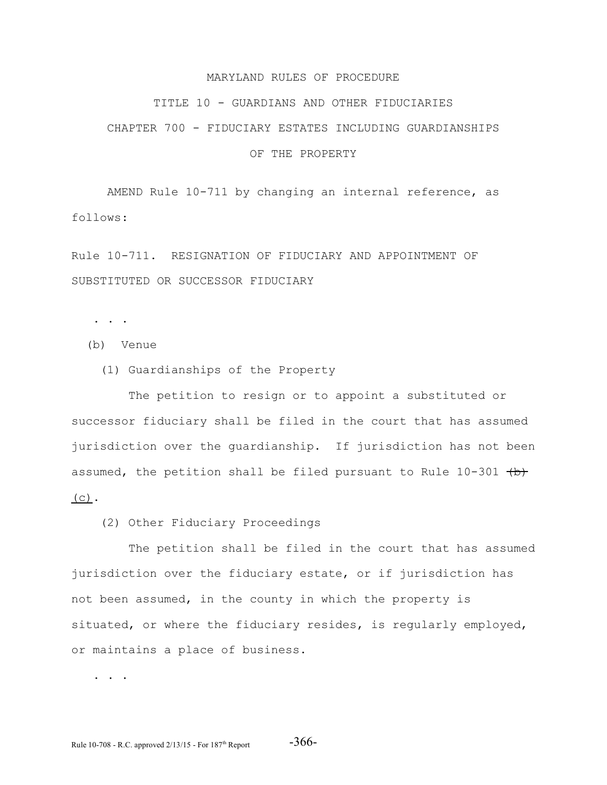#### MARYLAND RULES OF PROCEDURE

#### TITLE 10 - GUARDIANS AND OTHER FIDUCIARIES

# CHAPTER 700 - FIDUCIARY ESTATES INCLUDING GUARDIANSHIPS

## OF THE PROPERTY

AMEND Rule 10-711 by changing an internal reference, as follows:

Rule 10-711. RESIGNATION OF FIDUCIARY AND APPOINTMENT OF SUBSTITUTED OR SUCCESSOR FIDUCIARY

. . .

- (b) Venue
	- (1) Guardianships of the Property

 The petition to resign or to appoint a substituted or successor fiduciary shall be filed in the court that has assumed jurisdiction over the guardianship. If jurisdiction has not been assumed, the petition shall be filed pursuant to Rule  $10-301$  (b)  $(C)$ .

(2) Other Fiduciary Proceedings

 The petition shall be filed in the court that has assumed jurisdiction over the fiduciary estate, or if jurisdiction has not been assumed, in the county in which the property is situated, or where the fiduciary resides, is regularly employed, or maintains a place of business.

. . .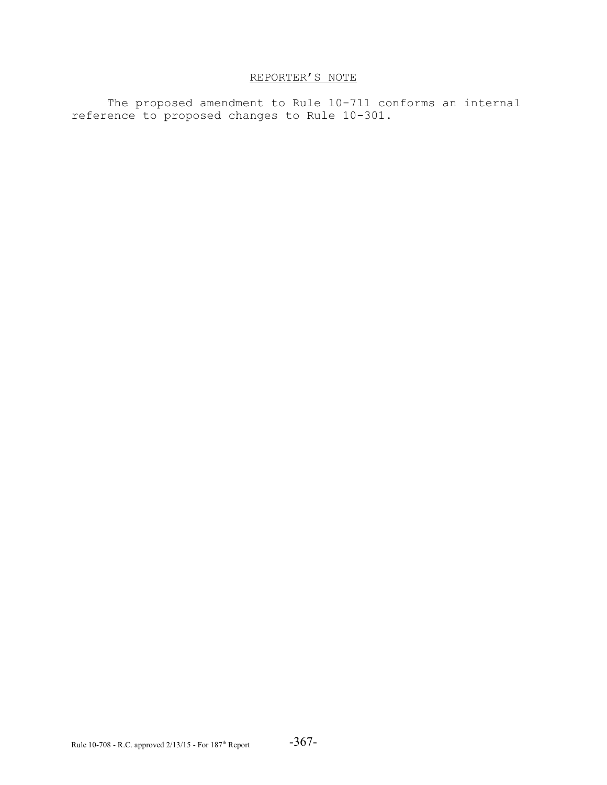# REPORTER'S NOTE

The proposed amendment to Rule 10-711 conforms an internal reference to proposed changes to Rule 10-301.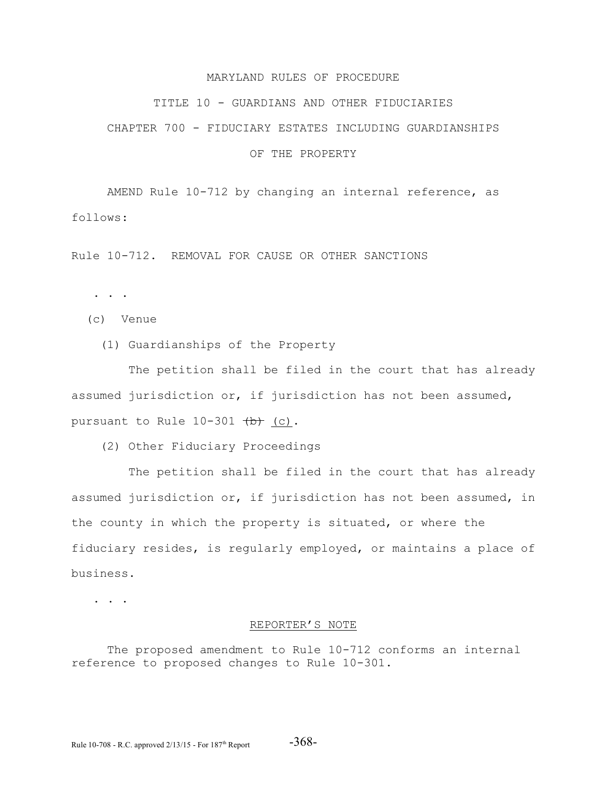#### MARYLAND RULES OF PROCEDURE

#### TITLE 10 - GUARDIANS AND OTHER FIDUCIARIES

# CHAPTER 700 - FIDUCIARY ESTATES INCLUDING GUARDIANSHIPS

# OF THE PROPERTY

AMEND Rule 10-712 by changing an internal reference, as follows:

Rule 10-712. REMOVAL FOR CAUSE OR OTHER SANCTIONS

. . .

- (c) Venue
	- (1) Guardianships of the Property

 The petition shall be filed in the court that has already assumed jurisdiction or, if jurisdiction has not been assumed, pursuant to Rule  $10-301$   $(b)$  (c).

(2) Other Fiduciary Proceedings

 The petition shall be filed in the court that has already assumed jurisdiction or, if jurisdiction has not been assumed, in the county in which the property is situated, or where the fiduciary resides, is regularly employed, or maintains a place of business.

. . . .

#### REPORTER'S NOTE

The proposed amendment to Rule 10-712 conforms an internal reference to proposed changes to Rule 10-301.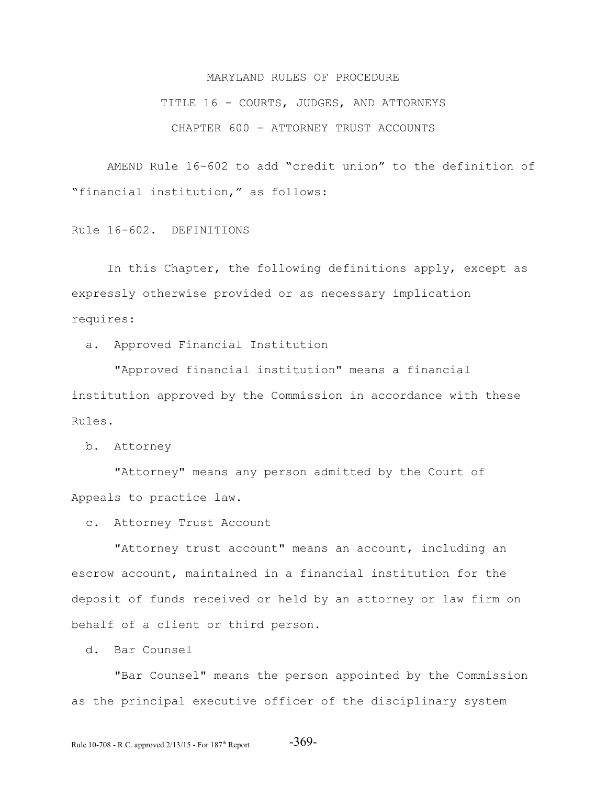# MARYLAND RULES OF PROCEDURE

TITLE 16 - COURTS, JUDGES, AND ATTORNEYS

CHAPTER 600 - ATTORNEY TRUST ACCOUNTS

AMEND Rule 16-602 to add "credit union" to the definition of "financial institution," as follows:

Rule 16-602. DEFINITIONS

In this Chapter, the following definitions apply, except as expressly otherwise provided or as necessary implication requires:

a. Approved Financial Institution

 "Approved financial institution" means a financial institution approved by the Commission in accordance with these Rules.

b. Attorney

 "Attorney" means any person admitted by the Court of Appeals to practice law.

c. Attorney Trust Account

 "Attorney trust account" means an account, including an escrow account, maintained in a financial institution for the deposit of funds received or held by an attorney or law firm on behalf of a client or third person.

d. Bar Counsel

 "Bar Counsel" means the person appointed by the Commission as the principal executive officer of the disciplinary system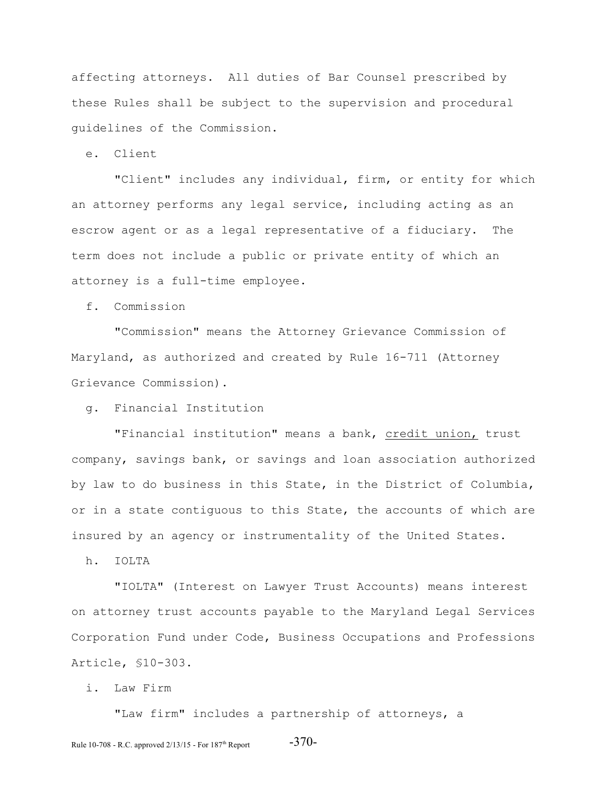affecting attorneys. All duties of Bar Counsel prescribed by these Rules shall be subject to the supervision and procedural guidelines of the Commission.

e. Client

 "Client" includes any individual, firm, or entity for which an attorney performs any legal service, including acting as an escrow agent or as a legal representative of a fiduciary. The term does not include a public or private entity of which an attorney is a full-time employee.

f. Commission

 "Commission" means the Attorney Grievance Commission of Maryland, as authorized and created by Rule 16-711 (Attorney Grievance Commission).

g. Financial Institution

"Financial institution" means a bank, credit union, trust company, savings bank, or savings and loan association authorized by law to do business in this State, in the District of Columbia, or in a state contiguous to this State, the accounts of which are insured by an agency or instrumentality of the United States.

h. IOLTA

 "IOLTA" (Interest on Lawyer Trust Accounts) means interest on attorney trust accounts payable to the Maryland Legal Services Corporation Fund under Code, Business Occupations and Professions Article, §10-303.

i. Law Firm

"Law firm" includes a partnership of attorneys, a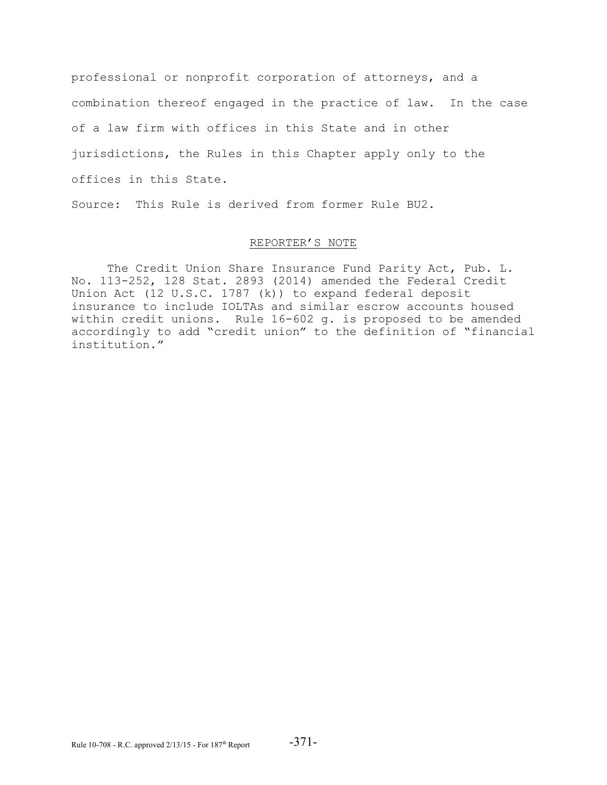professional or nonprofit corporation of attorneys, and a combination thereof engaged in the practice of law. In the case of a law firm with offices in this State and in other jurisdictions, the Rules in this Chapter apply only to the offices in this State.

Source: This Rule is derived from former Rule BU2.

# REPORTER'S NOTE

The Credit Union Share Insurance Fund Parity Act, Pub. L. No. 113-252, 128 Stat. 2893 (2014) amended the Federal Credit Union Act (12 U.S.C. 1787 (k)) to expand federal deposit insurance to include IOLTAs and similar escrow accounts housed within credit unions. Rule 16-602 g. is proposed to be amended accordingly to add "credit union" to the definition of "financial institution."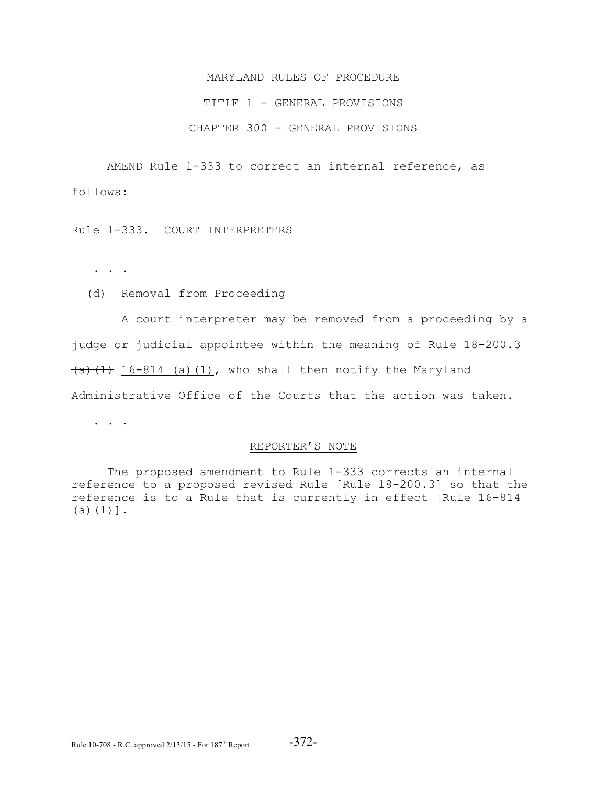# MARYLAND RULES OF PROCEDURE TITLE 1 - GENERAL PROVISIONS CHAPTER 300 - GENERAL PROVISIONS

AMEND Rule 1-333 to correct an internal reference, as follows:

Rule 1-333. COURT INTERPRETERS

. . .

(d) Removal from Proceeding

 A court interpreter may be removed from a proceeding by a judge or judicial appointee within the meaning of Rule 18-200.3  $(a)$   $(1)$   $16-814$   $(a)$   $(1)$ , who shall then notify the Maryland Administrative Office of the Courts that the action was taken.

. . .

# REPORTER'S NOTE

The proposed amendment to Rule 1-333 corrects an internal reference to a proposed revised Rule [Rule 18-200.3] so that the reference is to a Rule that is currently in effect [Rule 16-814  $(a)(1)$ ].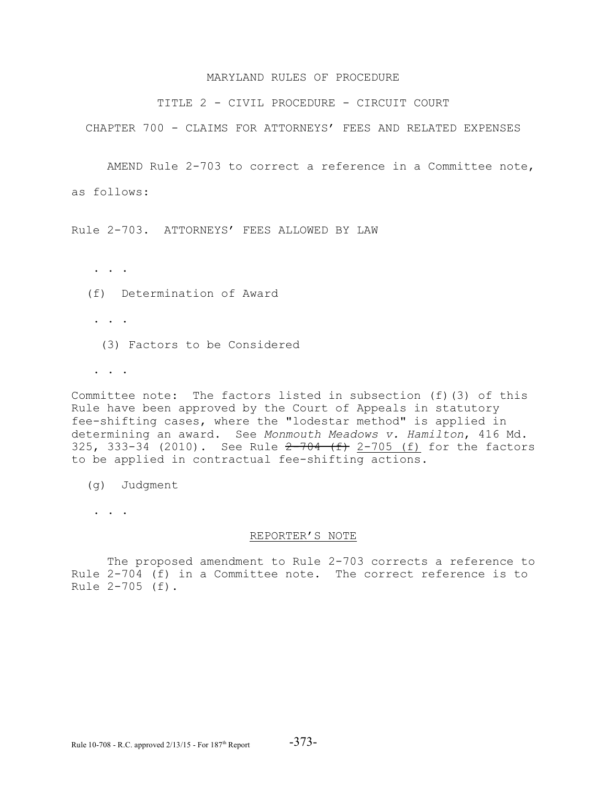#### MARYLAND RULES OF PROCEDURE

TITLE 2 - CIVIL PROCEDURE - CIRCUIT COURT

CHAPTER 700 - CLAIMS FOR ATTORNEYS' FEES AND RELATED EXPENSES

AMEND Rule 2-703 to correct a reference in a Committee note, as follows:

Rule 2-703. ATTORNEYS' FEES ALLOWED BY LAW

. . .

(f) Determination of Award

. . . . .

(3) Factors to be Considered

. . .

Committee note: The factors listed in subsection (f)(3) of this Rule have been approved by the Court of Appeals in statutory fee-shifting cases, where the "lodestar method" is applied in determining an award. See *Monmouth Meadows v. Hamilton*, 416 Md. 325, 333-34 (2010). See Rule  $2-704$  (f)  $2-705$  (f) for the factors to be applied in contractual fee-shifting actions.

(g) Judgment

. . . .

#### REPORTER'S NOTE

The proposed amendment to Rule 2-703 corrects a reference to Rule 2-704 (f) in a Committee note. The correct reference is to Rule 2-705 (f).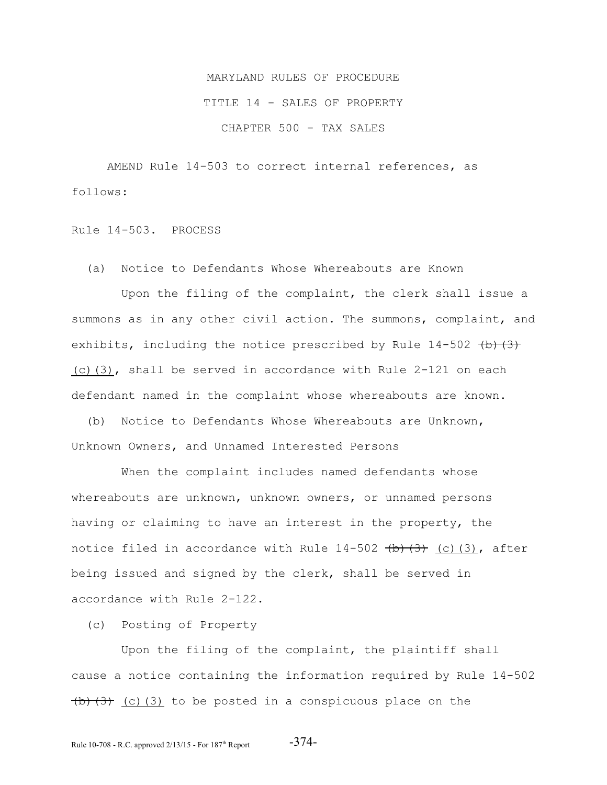# MARYLAND RULES OF PROCEDURE TITLE 14 - SALES OF PROPERTY CHAPTER 500 - TAX SALES

AMEND Rule 14-503 to correct internal references, as follows:

Rule 14-503. PROCESS

(a) Notice to Defendants Whose Whereabouts are Known

 Upon the filing of the complaint, the clerk shall issue a summons as in any other civil action. The summons, complaint, and exhibits, including the notice prescribed by Rule  $14-502$  (b)(3) (c)(3), shall be served in accordance with Rule 2-121 on each defendant named in the complaint whose whereabouts are known.

 (b) Notice to Defendants Whose Whereabouts are Unknown, Unknown Owners, and Unnamed Interested Persons

 When the complaint includes named defendants whose whereabouts are unknown, unknown owners, or unnamed persons having or claiming to have an interest in the property, the notice filed in accordance with Rule  $14-502$  (b)(3) (3), after being issued and signed by the clerk, shall be served in accordance with Rule 2-122.

(c) Posting of Property

 Upon the filing of the complaint, the plaintiff shall cause a notice containing the information required by Rule 14-502  $(b)$   $(3)$   $(c)$   $(3)$  to be posted in a conspicuous place on the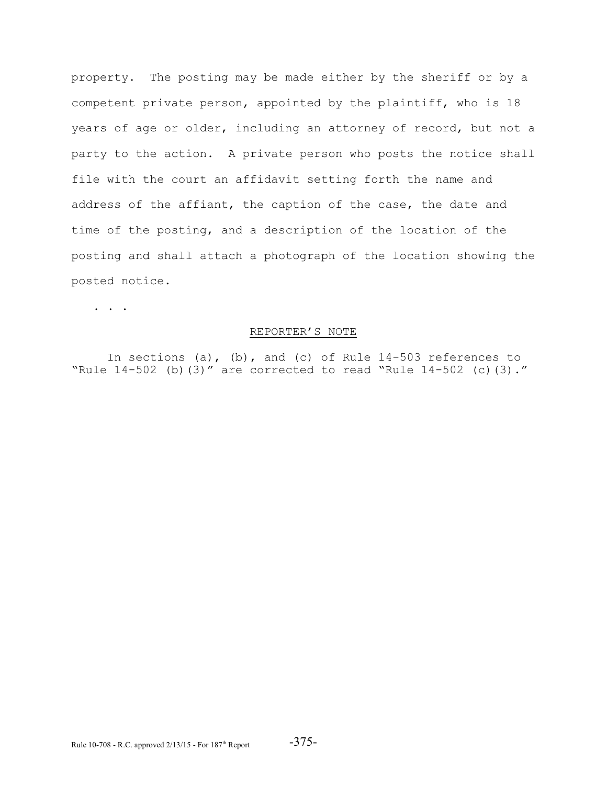property. The posting may be made either by the sheriff or by a competent private person, appointed by the plaintiff, who is 18 years of age or older, including an attorney of record, but not a party to the action. A private person who posts the notice shall file with the court an affidavit setting forth the name and address of the affiant, the caption of the case, the date and time of the posting, and a description of the location of the posting and shall attach a photograph of the location showing the posted notice.

. . .

## REPORTER'S NOTE

In sections (a), (b), and (c) of Rule 14-503 references to "Rule 14-502 (b)(3)" are corrected to read "Rule 14-502 (c)(3)."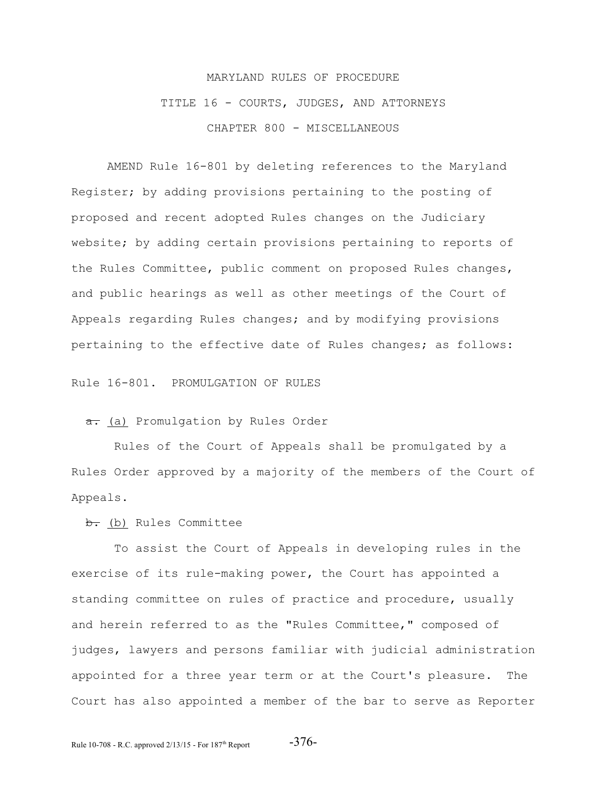# MARYLAND RULES OF PROCEDURE TITLE 16 - COURTS, JUDGES, AND ATTORNEYS CHAPTER 800 - MISCELLANEOUS

AMEND Rule 16-801 by deleting references to the Maryland Register; by adding provisions pertaining to the posting of proposed and recent adopted Rules changes on the Judiciary website; by adding certain provisions pertaining to reports of the Rules Committee, public comment on proposed Rules changes, and public hearings as well as other meetings of the Court of Appeals regarding Rules changes; and by modifying provisions pertaining to the effective date of Rules changes; as follows:

Rule 16-801. PROMULGATION OF RULES

a. (a) Promulgation by Rules Order

 Rules of the Court of Appeals shall be promulgated by a Rules Order approved by a majority of the members of the Court of Appeals.

b. (b) Rules Committee

 To assist the Court of Appeals in developing rules in the exercise of its rule-making power, the Court has appointed a standing committee on rules of practice and procedure, usually and herein referred to as the "Rules Committee," composed of judges, lawyers and persons familiar with judicial administration appointed for a three year term or at the Court's pleasure. The Court has also appointed a member of the bar to serve as Reporter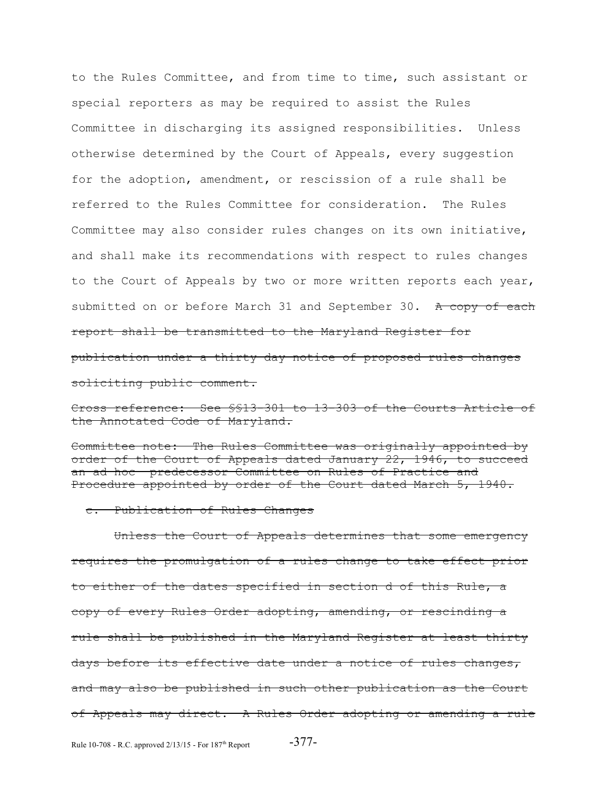to the Rules Committee, and from time to time, such assistant or special reporters as may be required to assist the Rules Committee in discharging its assigned responsibilities. Unless otherwise determined by the Court of Appeals, every suggestion for the adoption, amendment, or rescission of a rule shall be referred to the Rules Committee for consideration. The Rules Committee may also consider rules changes on its own initiative, and shall make its recommendations with respect to rules changes to the Court of Appeals by two or more written reports each year, submitted on or before March 31 and September 30. A copy of each report shall be transmitted to the Maryland Register for publication under a thirty day notice of proposed rules changes soliciting public comment.

Cross reference: See §§13-301 to 13-303 of the Courts Article of the Annotated Code of Maryland.

Committee note: The Rules Committee was originally appointed by order of the Court of Appeals dated January 22, 1946, to succeed an ad hoc predecessor Committee on Rules of Practice and Procedure appointed by order of the Court dated March 5, 1940.

#### c. Publication of Rules Changes

 Unless the Court of Appeals determines that some emergency requires the promulgation of a rules change to take effect prior to either of the dates specified in section d of this Rule, a copy of every Rules Order adopting, amending, or rescinding a rule shall be published in the Maryland Register at least thirty days before its effective date under a notice of rules changes, and may also be published in such other publication as the Court of Appeals may direct. A Rules Order adopting or amending a rule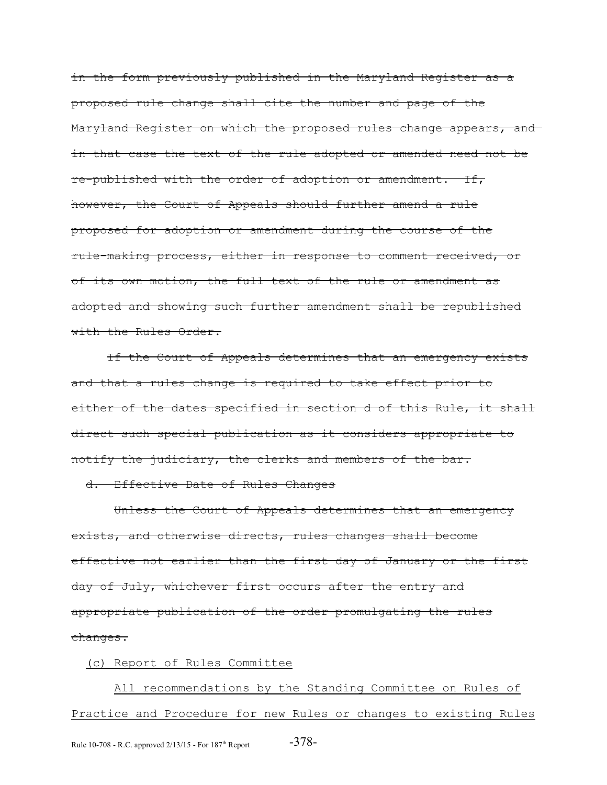in the form previously published in the Maryland Register as a proposed rule change shall cite the number and page of the Maryland Register on which the proposed rules change appears, and in that case the text of the rule adopted or amended need not be re-published with the order of adoption or amendment. If, however, the Court of Appeals should further amend a rule proposed for adoption or amendment during the course of the rule-making process, either in response to comment received, or of its own motion, the full text of the rule or amendment as adopted and showing such further amendment shall be republished with the Rules Order.

If the Court of Appeals determines that an emergency exists and that a rules change is required to take effect prior to either of the dates specified in section d of this Rule, it shall direct such special publication as it considers appropriate to notify the judiciary, the clerks and members of the bar.

# d. Effective Date of Rules Changes

Unless the Court of Appeals determines that an emergency exists, and otherwise directs, rules changes shall become effective not earlier than the first day of January or the first day of July, whichever first occurs after the entry and appropriate publication of the order promulgating the rules changes.

# (c) Report of Rules Committee

 All recommendations by the Standing Committee on Rules of Practice and Procedure for new Rules or changes to existing Rules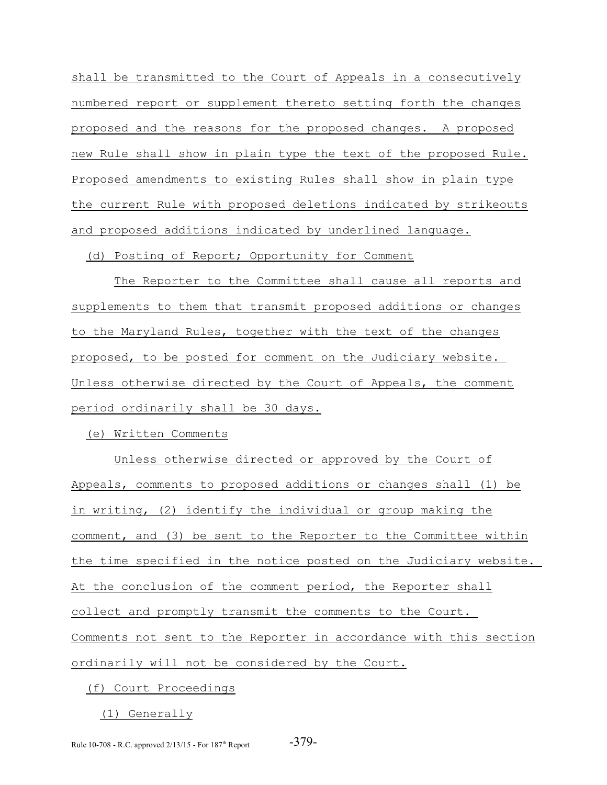shall be transmitted to the Court of Appeals in a consecutively numbered report or supplement thereto setting forth the changes proposed and the reasons for the proposed changes. A proposed new Rule shall show in plain type the text of the proposed Rule. Proposed amendments to existing Rules shall show in plain type the current Rule with proposed deletions indicated by strikeouts and proposed additions indicated by underlined language.

(d) Posting of Report; Opportunity for Comment

 The Reporter to the Committee shall cause all reports and supplements to them that transmit proposed additions or changes to the Maryland Rules, together with the text of the changes proposed, to be posted for comment on the Judiciary website. Unless otherwise directed by the Court of Appeals, the comment period ordinarily shall be 30 days.

(e) Written Comments

 Unless otherwise directed or approved by the Court of Appeals, comments to proposed additions or changes shall (1) be in writing, (2) identify the individual or group making the comment, and (3) be sent to the Reporter to the Committee within the time specified in the notice posted on the Judiciary website. At the conclusion of the comment period, the Reporter shall collect and promptly transmit the comments to the Court. Comments not sent to the Reporter in accordance with this section ordinarily will not be considered by the Court.

(f) Court Proceedings

(1) Generally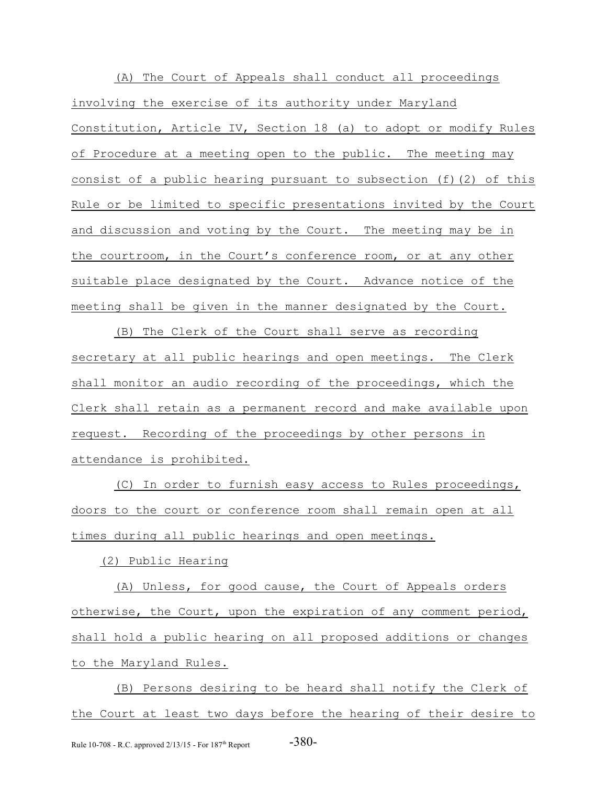(A) The Court of Appeals shall conduct all proceedings involving the exercise of its authority under Maryland Constitution, Article IV, Section 18 (a) to adopt or modify Rules of Procedure at a meeting open to the public. The meeting may consist of a public hearing pursuant to subsection (f)(2) of this Rule or be limited to specific presentations invited by the Court and discussion and voting by the Court. The meeting may be in the courtroom, in the Court's conference room, or at any other suitable place designated by the Court. Advance notice of the meeting shall be given in the manner designated by the Court.

 (B) The Clerk of the Court shall serve as recording secretary at all public hearings and open meetings. The Clerk shall monitor an audio recording of the proceedings, which the Clerk shall retain as a permanent record and make available upon request. Recording of the proceedings by other persons in attendance is prohibited.

 (C) In order to furnish easy access to Rules proceedings, doors to the court or conference room shall remain open at all times during all public hearings and open meetings.

(2) Public Hearing

 (A) Unless, for good cause, the Court of Appeals orders otherwise, the Court, upon the expiration of any comment period, shall hold a public hearing on all proposed additions or changes to the Maryland Rules.

 (B) Persons desiring to be heard shall notify the Clerk of the Court at least two days before the hearing of their desire to Rule 10-708 - R.C. approved  $2/13/15$  - For  $187<sup>th</sup>$  Report  $-380$ -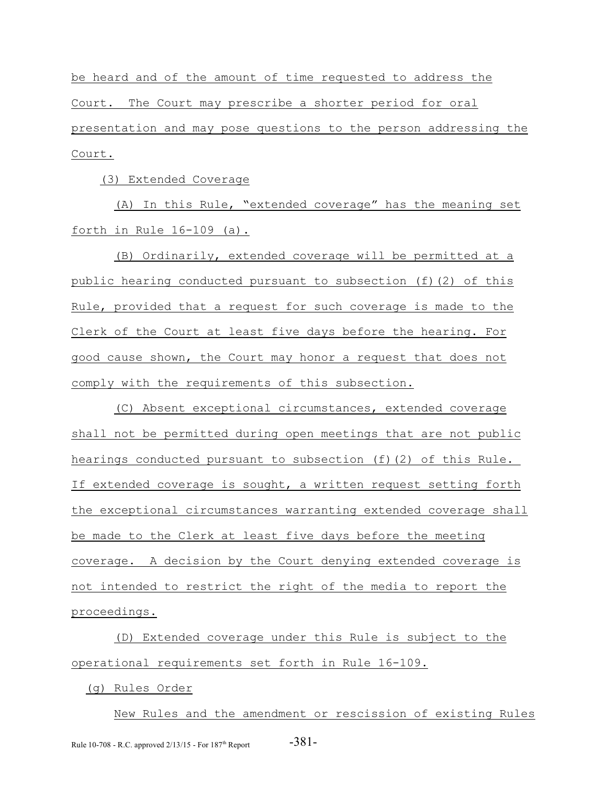be heard and of the amount of time requested to address the Court. The Court may prescribe a shorter period for oral presentation and may pose questions to the person addressing the Court.

(3) Extended Coverage

 (A) In this Rule, "extended coverage" has the meaning set forth in Rule 16-109 (a).

 (B) Ordinarily, extended coverage will be permitted at a public hearing conducted pursuant to subsection (f)(2) of this Rule, provided that a request for such coverage is made to the Clerk of the Court at least five days before the hearing. For good cause shown, the Court may honor a request that does not comply with the requirements of this subsection.

 (C) Absent exceptional circumstances, extended coverage shall not be permitted during open meetings that are not public hearings conducted pursuant to subsection (f)(2) of this Rule. If extended coverage is sought, a written request setting forth the exceptional circumstances warranting extended coverage shall be made to the Clerk at least five days before the meeting coverage. A decision by the Court denying extended coverage is not intended to restrict the right of the media to report the proceedings.

 (D) Extended coverage under this Rule is subject to the operational requirements set forth in Rule 16-109.

(g) Rules Order

 New Rules and the amendment or rescission of existing Rules Rule 10-708 - R.C. approved  $2/13/15$  - For  $187<sup>th</sup>$  Report  $-381$  -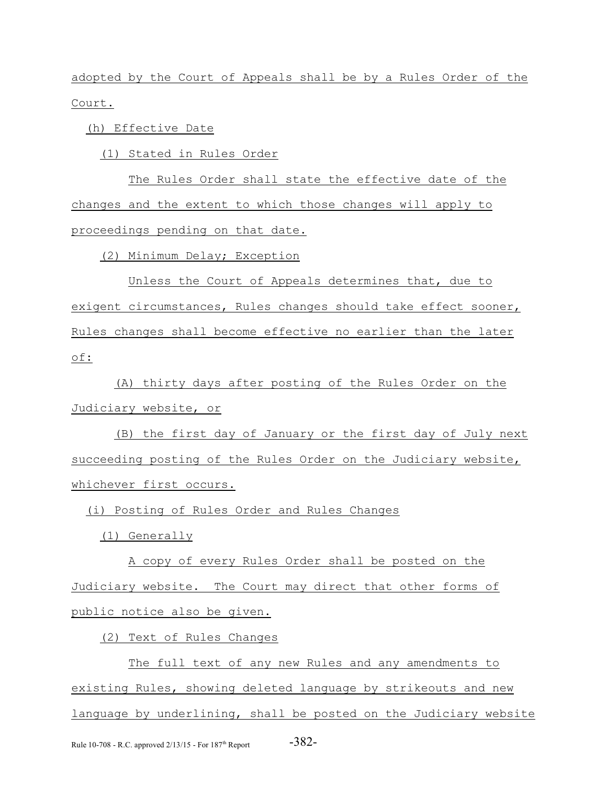adopted by the Court of Appeals shall be by a Rules Order of the Court.

(h) Effective Date

(1) Stated in Rules Order

 The Rules Order shall state the effective date of the changes and the extent to which those changes will apply to proceedings pending on that date.

(2) Minimum Delay; Exception

 Unless the Court of Appeals determines that, due to exigent circumstances, Rules changes should take effect sooner, Rules changes shall become effective no earlier than the later of:

 (A) thirty days after posting of the Rules Order on the Judiciary website, or

 (B) the first day of January or the first day of July next succeeding posting of the Rules Order on the Judiciary website, whichever first occurs.

(i) Posting of Rules Order and Rules Changes

(1) Generally

 A copy of every Rules Order shall be posted on the Judiciary website. The Court may direct that other forms of public notice also be given.

(2) Text of Rules Changes

 The full text of any new Rules and any amendments to existing Rules, showing deleted language by strikeouts and new language by underlining, shall be posted on the Judiciary website